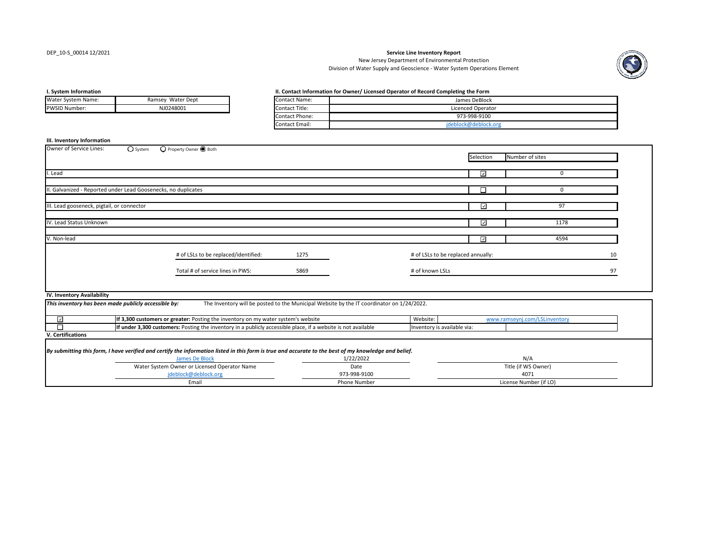#### DEP\_10‐S\_00014 12/2021

#### **Service Line Inventory Report**

Division of Water Supply and Geoscience ‐ Water System Operations Element New Jersey Department of Environmental Protection



#### **I.**

| Water System Name:   | Ramsey Water Dept | <b>Contact Name:</b> |
|----------------------|-------------------|----------------------|
| <b>PWSID Number:</b> | NJ0248001         | Contact Title:       |
|                      |                   |                      |

#### **System Information II. Contact Information for Owner/ Licensed Operator of Record Completing the Form**

| Contact Name:  | James DeBlock        |
|----------------|----------------------|
| Contact Title: | Licenced Operator    |
| Contact Phone: | 973-998-9100         |
| Contact Email: | ideblock@deblock.org |
|                |                      |

#### **III. Inventory Information**

| Owner of Service Lines:<br>$\bigcirc$ System                   | O Property Owner <b>O</b> Both                                                                                                                        |                                                                                           |                                    |                          |                               |    |  |
|----------------------------------------------------------------|-------------------------------------------------------------------------------------------------------------------------------------------------------|-------------------------------------------------------------------------------------------|------------------------------------|--------------------------|-------------------------------|----|--|
|                                                                |                                                                                                                                                       |                                                                                           |                                    | Selection                | Number of sites               |    |  |
|                                                                |                                                                                                                                                       |                                                                                           |                                    |                          |                               |    |  |
| . Lead                                                         |                                                                                                                                                       |                                                                                           |                                    | $\overline{\mathcal{L}}$ | $\mathbf 0$                   |    |  |
|                                                                |                                                                                                                                                       |                                                                                           |                                    |                          |                               |    |  |
| II. Galvanized - Reported under Lead Goosenecks, no duplicates |                                                                                                                                                       |                                                                                           |                                    | □                        | 0                             |    |  |
|                                                                |                                                                                                                                                       |                                                                                           |                                    |                          |                               |    |  |
| III. Lead gooseneck, pigtail, or connector                     |                                                                                                                                                       |                                                                                           |                                    | ☑                        | 97                            |    |  |
|                                                                |                                                                                                                                                       |                                                                                           |                                    |                          |                               |    |  |
| IV. Lead Status Unknown                                        |                                                                                                                                                       |                                                                                           |                                    | ☑                        | 1178                          |    |  |
|                                                                |                                                                                                                                                       |                                                                                           |                                    |                          |                               |    |  |
| V. Non-lead                                                    |                                                                                                                                                       |                                                                                           |                                    | $\overline{\mathcal{S}}$ | 4594                          |    |  |
|                                                                | # of LSLs to be replaced/identified:                                                                                                                  | 1275                                                                                      |                                    |                          |                               |    |  |
|                                                                |                                                                                                                                                       |                                                                                           | # of LSLs to be replaced annually: |                          |                               | 10 |  |
|                                                                | Total # of service lines in PWS:                                                                                                                      | 5869                                                                                      | # of known LSLs                    |                          |                               | 97 |  |
|                                                                |                                                                                                                                                       |                                                                                           |                                    |                          |                               |    |  |
|                                                                |                                                                                                                                                       |                                                                                           |                                    |                          |                               |    |  |
| IV. Inventory Availability                                     |                                                                                                                                                       |                                                                                           |                                    |                          |                               |    |  |
| This inventory has been made publicly accessible by:           |                                                                                                                                                       | The Inventory will be posted to the Municipal Website by the IT coordinator on 1/24/2022. |                                    |                          |                               |    |  |
|                                                                |                                                                                                                                                       |                                                                                           |                                    |                          |                               |    |  |
| ☑                                                              | If 3,300 customers or greater: Posting the inventory on my water system's website                                                                     |                                                                                           | Website:                           |                          | www.ramseynj.com/LSLinventory |    |  |
| П                                                              | If under 3,300 customers: Posting the inventory in a publicly accessible place, if a website is not available                                         |                                                                                           | Inventory is available via:        |                          |                               |    |  |
| V. Certifications                                              |                                                                                                                                                       |                                                                                           |                                    |                          |                               |    |  |
|                                                                |                                                                                                                                                       |                                                                                           |                                    |                          |                               |    |  |
|                                                                | By submitting this form, I have verified and certify the information listed in this form is true and accurate to the best of my knowledge and belief. |                                                                                           |                                    |                          |                               |    |  |
|                                                                | <b>James De Block</b>                                                                                                                                 | 1/22/2022                                                                                 | N/A                                |                          |                               |    |  |
|                                                                | Water System Owner or Licensed Operator Name                                                                                                          | Date                                                                                      | Title (if WS Owner)                |                          |                               |    |  |
|                                                                | ideblock@deblock.org                                                                                                                                  | 973-998-9100                                                                              | 4071                               |                          |                               |    |  |
|                                                                | Email                                                                                                                                                 | Phone Number                                                                              |                                    |                          | License Number (if LO)        |    |  |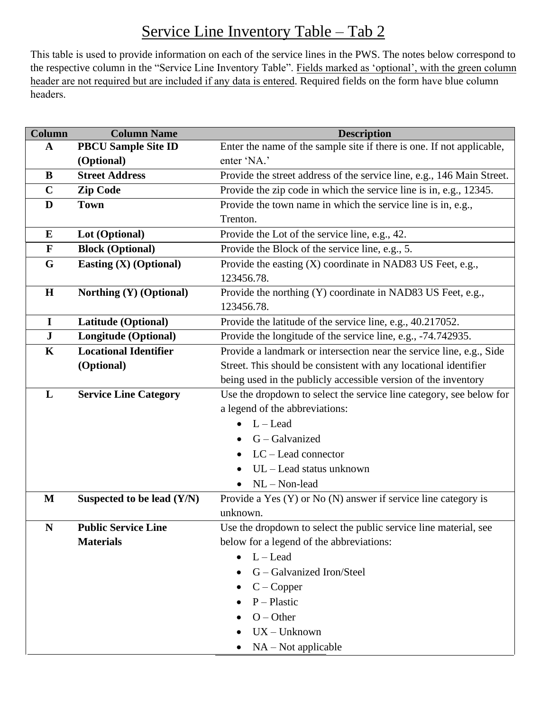# Service Line Inventory Table – Tab 2

This table is used to provide information on each of the service lines in the PWS. The notes below correspond to the respective column in the "Service Line Inventory Table". Fields marked as 'optional', with the green column header are not required but are included if any data is entered. Required fields on the form have blue column headers.

| <b>Column Name</b>            | <b>Description</b>                                                     |
|-------------------------------|------------------------------------------------------------------------|
| <b>PBCU Sample Site ID</b>    | Enter the name of the sample site if there is one. If not applicable,  |
| (Optional)                    | enter 'NA.'                                                            |
| <b>Street Address</b>         | Provide the street address of the service line, e.g., 146 Main Street. |
| <b>Zip Code</b>               | Provide the zip code in which the service line is in, e.g., 12345.     |
| <b>Town</b>                   | Provide the town name in which the service line is in, e.g.,           |
|                               | Trenton.                                                               |
| Lot (Optional)                | Provide the Lot of the service line, e.g., 42.                         |
| <b>Block (Optional)</b>       | Provide the Block of the service line, e.g., 5.                        |
| <b>Easting (X) (Optional)</b> | Provide the easting (X) coordinate in NAD83 US Feet, e.g.,             |
|                               | 123456.78.                                                             |
| Northing (Y) (Optional)       | Provide the northing (Y) coordinate in NAD83 US Feet, e.g.,            |
|                               | 123456.78.                                                             |
| Latitude (Optional)           | Provide the latitude of the service line, e.g., 40.217052.             |
| <b>Longitude (Optional)</b>   | Provide the longitude of the service line, e.g., -74.742935.           |
| <b>Locational Identifier</b>  | Provide a landmark or intersection near the service line, e.g., Side   |
| (Optional)                    | Street. This should be consistent with any locational identifier       |
|                               | being used in the publicly accessible version of the inventory         |
| <b>Service Line Category</b>  | Use the dropdown to select the service line category, see below for    |
|                               | a legend of the abbreviations:                                         |
|                               | $L -$ Lead                                                             |
|                               | G - Galvanized                                                         |
|                               | $LC$ – Lead connector                                                  |
|                               | UL - Lead status unknown                                               |
|                               | $NL - Non-lead$                                                        |
|                               | Provide a Yes (Y) or No (N) answer if service line category is         |
|                               | unknown.                                                               |
| <b>Public Service Line</b>    | Use the dropdown to select the public service line material, see       |
| <b>Materials</b>              | below for a legend of the abbreviations:                               |
|                               | $L -$ Lead<br>$\bullet$                                                |
|                               | G – Galvanized Iron/Steel                                              |
|                               | $C$ – Copper                                                           |
|                               | $P-Plastic$                                                            |
|                               | $O - Other$                                                            |
|                               | $UX - Unknown$                                                         |
|                               | $NA - Not applicable$                                                  |
|                               | Suspected to be lead $(Y/N)$                                           |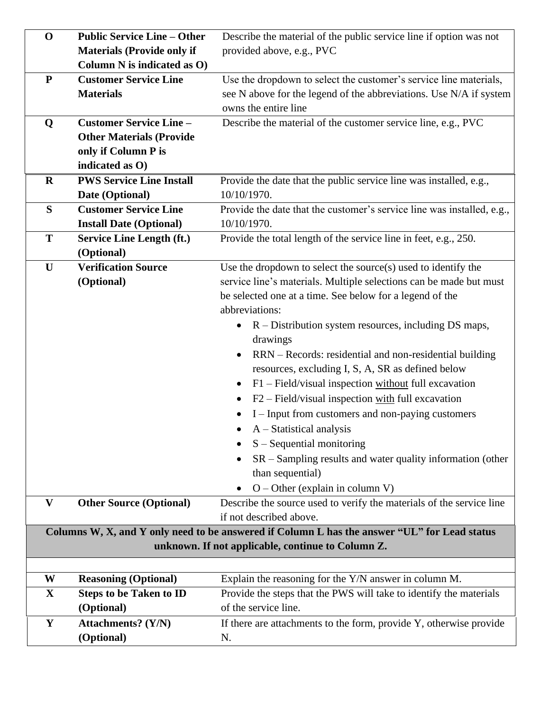| $\mathbf 0$  | <b>Public Service Line - Other</b> | Describe the material of the public service line if option was not                           |
|--------------|------------------------------------|----------------------------------------------------------------------------------------------|
|              | <b>Materials (Provide only if</b>  | provided above, e.g., PVC                                                                    |
|              | Column N is indicated as O)        |                                                                                              |
| ${\bf P}$    | <b>Customer Service Line</b>       | Use the dropdown to select the customer's service line materials,                            |
|              | <b>Materials</b>                   | see N above for the legend of the abbreviations. Use N/A if system                           |
|              |                                    | owns the entire line                                                                         |
| Q            | <b>Customer Service Line -</b>     | Describe the material of the customer service line, e.g., PVC                                |
|              | <b>Other Materials (Provide</b>    |                                                                                              |
|              | only if Column P is                |                                                                                              |
|              | indicated as O)                    |                                                                                              |
| $\bf R$      | <b>PWS Service Line Install</b>    | Provide the date that the public service line was installed, e.g.,                           |
|              | Date (Optional)                    | 10/10/1970.                                                                                  |
| S            | <b>Customer Service Line</b>       | Provide the date that the customer's service line was installed, e.g.,                       |
|              | <b>Install Date (Optional)</b>     | 10/10/1970.                                                                                  |
| T            | <b>Service Line Length (ft.)</b>   | Provide the total length of the service line in feet, e.g., 250.                             |
|              | (Optional)                         |                                                                                              |
| U            | <b>Verification Source</b>         | Use the dropdown to select the source $(s)$ used to identify the                             |
|              | (Optional)                         | service line's materials. Multiple selections can be made but must                           |
|              |                                    | be selected one at a time. See below for a legend of the                                     |
|              |                                    | abbreviations:                                                                               |
|              |                                    | $R$ – Distribution system resources, including DS maps,                                      |
|              |                                    | drawings                                                                                     |
|              |                                    | RRN – Records: residential and non-residential building                                      |
|              |                                    | resources, excluding I, S, A, SR as defined below                                            |
|              |                                    | $F1$ – Field/visual inspection without full excavation<br>$\bullet$                          |
|              |                                    | $F2$ – Field/visual inspection with full excavation<br>$\bullet$                             |
|              |                                    | I – Input from customers and non-paying customers                                            |
|              |                                    | $A - Statistical$ analysis                                                                   |
|              |                                    | $S - Sequential$ monitoring                                                                  |
|              |                                    | $SR - Sampling$ results and water quality information (other                                 |
|              |                                    | than sequential)                                                                             |
|              |                                    | $O$ – Other (explain in column V)                                                            |
| $\mathbf{V}$ | <b>Other Source (Optional)</b>     | Describe the source used to verify the materials of the service line                         |
|              |                                    | if not described above.                                                                      |
|              |                                    | Columns W, X, and Y only need to be answered if Column L has the answer "UL" for Lead status |
|              |                                    | unknown. If not applicable, continue to Column Z.                                            |
|              |                                    |                                                                                              |
| W            | <b>Reasoning (Optional)</b>        | Explain the reasoning for the Y/N answer in column M.                                        |
| $\mathbf X$  | <b>Steps to be Taken to ID</b>     | Provide the steps that the PWS will take to identify the materials                           |
|              | (Optional)                         | of the service line.                                                                         |
|              |                                    |                                                                                              |
| $\mathbf Y$  | <b>Attachments?</b> (Y/N)          | If there are attachments to the form, provide Y, otherwise provide                           |
|              | (Optional)                         | N.                                                                                           |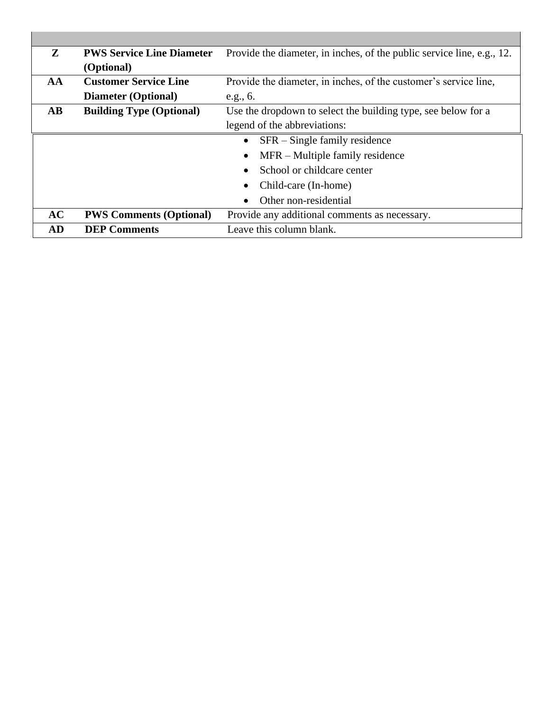| Z                      | <b>PWS Service Line Diameter</b> | Provide the diameter, in inches, of the public service line, e.g., 12. |
|------------------------|----------------------------------|------------------------------------------------------------------------|
|                        | (Optional)                       |                                                                        |
| AA                     | <b>Customer Service Line</b>     | Provide the diameter, in inches, of the customer's service line,       |
|                        | <b>Diameter (Optional)</b>       | e.g., 6.                                                               |
| $\mathbf{A}\mathbf{B}$ | <b>Building Type (Optional)</b>  | Use the dropdown to select the building type, see below for a          |
|                        |                                  | legend of the abbreviations:                                           |
|                        |                                  | SFR – Single family residence<br>$\bullet$                             |
|                        |                                  | MFR – Multiple family residence<br>$\bullet$                           |
|                        |                                  | School or childcare center                                             |
|                        |                                  | Child-care (In-home)                                                   |
|                        |                                  | Other non-residential                                                  |
| AC                     | <b>PWS Comments (Optional)</b>   | Provide any additional comments as necessary.                          |
| AD                     | <b>DEP Comments</b>              | Leave this column blank.                                               |

u.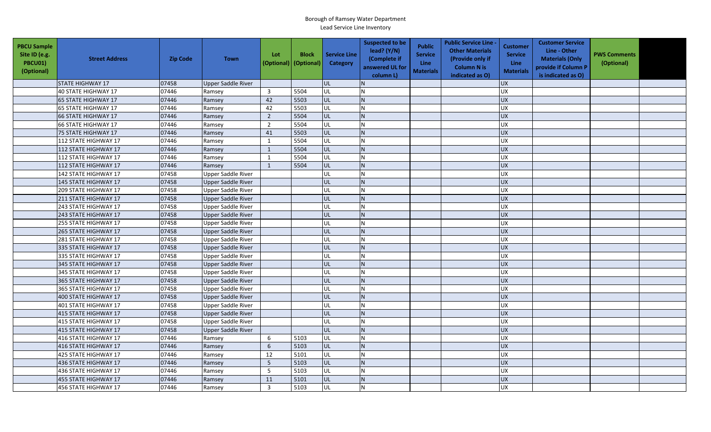| <b>PBCU Sample</b><br>Site ID (e.g.<br>PBCU01)<br>(Optional) | <b>Street Address</b>      | <b>Zip Code</b> | <b>Town</b>               | Lot<br>(Optional) | <b>Block</b><br>(Optional) | <b>Service Line</b><br><b>Category</b> | <b>Suspected to be</b><br>lead? (Y/N)<br>(Complete if<br>answered UL for<br>column L) | <b>Public</b><br><b>Service</b><br><b>Line</b><br><b>Materials</b> | <b>Public Service Line -</b><br><b>Other Materials</b><br>(Provide only if<br><b>Column N is</b><br>indicated as O) | <b>Customer</b><br><b>Service</b><br><b>Line</b><br><b>Materials</b> | <b>Customer Service</b><br>Line - Other<br><b>Materials (Only</b><br>provide if Column P<br>is indicated as O) | <b>PWS Comments</b><br>(Optional) |  |
|--------------------------------------------------------------|----------------------------|-----------------|---------------------------|-------------------|----------------------------|----------------------------------------|---------------------------------------------------------------------------------------|--------------------------------------------------------------------|---------------------------------------------------------------------------------------------------------------------|----------------------------------------------------------------------|----------------------------------------------------------------------------------------------------------------|-----------------------------------|--|
|                                                              | <b>STATE HIGHWAY 17</b>    | 07458           | <b>Upper Saddle River</b> |                   |                            | <b>UL</b>                              |                                                                                       |                                                                    |                                                                                                                     | <b>UX</b>                                                            |                                                                                                                |                                   |  |
|                                                              | 40 STATE HIGHWAY 17        | 07446           | Ramsey                    | $\overline{3}$    | 5504                       | UL                                     | N                                                                                     |                                                                    |                                                                                                                     | UX                                                                   |                                                                                                                |                                   |  |
|                                                              | 65 STATE HIGHWAY 17        | 07446           | Ramsey                    | 42                | 5503                       | <b>UL</b>                              | IN.                                                                                   |                                                                    |                                                                                                                     | <b>UX</b>                                                            |                                                                                                                |                                   |  |
|                                                              | 65 STATE HIGHWAY 17        | 07446           | Ramsey                    | 42                | 5503                       | UL                                     |                                                                                       |                                                                    |                                                                                                                     | <b>UX</b>                                                            |                                                                                                                |                                   |  |
|                                                              | 66 STATE HIGHWAY 17        | 07446           | Ramsey                    | $\overline{2}$    | 5504                       | <b>UL</b>                              | IN.                                                                                   |                                                                    |                                                                                                                     | <b>UX</b>                                                            |                                                                                                                |                                   |  |
|                                                              | <b>66 STATE HIGHWAY 17</b> | 07446           | Ramsey                    | $\overline{2}$    | 5504                       | UL                                     |                                                                                       |                                                                    |                                                                                                                     | <b>UX</b>                                                            |                                                                                                                |                                   |  |
|                                                              | 75 STATE HIGHWAY 17        | 07446           | Ramsey                    | 41                | 5503                       | UL                                     |                                                                                       |                                                                    |                                                                                                                     | <b>UX</b>                                                            |                                                                                                                |                                   |  |
|                                                              | 112 STATE HIGHWAY 17       | 07446           | Ramsey                    | 1                 | 5504                       | UL                                     |                                                                                       |                                                                    |                                                                                                                     | UX                                                                   |                                                                                                                |                                   |  |
|                                                              | 112 STATE HIGHWAY 17       | 07446           | Ramsey                    | $\mathbf{1}$      | 5504                       | <b>UL</b>                              | IN.                                                                                   |                                                                    |                                                                                                                     | <b>UX</b>                                                            |                                                                                                                |                                   |  |
|                                                              | 112 STATE HIGHWAY 17       | 07446           | Ramsey                    | 1                 | 5504                       | UL                                     | N                                                                                     |                                                                    |                                                                                                                     | UX                                                                   |                                                                                                                |                                   |  |
|                                                              | 112 STATE HIGHWAY 17       | 07446           | Ramsey                    | $\mathbf{1}$      | 5504                       | UL                                     | IN.                                                                                   |                                                                    |                                                                                                                     | <b>UX</b>                                                            |                                                                                                                |                                   |  |
|                                                              | 142 STATE HIGHWAY 17       | 07458           | <b>Upper Saddle River</b> |                   |                            | UL                                     | IN.                                                                                   |                                                                    |                                                                                                                     | UX                                                                   |                                                                                                                |                                   |  |
|                                                              | 145 STATE HIGHWAY 17       | 07458           | Upper Saddle River        |                   |                            | UL                                     | IN.                                                                                   |                                                                    |                                                                                                                     | <b>UX</b>                                                            |                                                                                                                |                                   |  |
|                                                              | 209 STATE HIGHWAY 17       | 07458           | Upper Saddle River        |                   |                            | <b>UL</b>                              | IN.                                                                                   |                                                                    |                                                                                                                     | UX                                                                   |                                                                                                                |                                   |  |
|                                                              | 211 STATE HIGHWAY 17       | 07458           | <b>Upper Saddle River</b> |                   |                            | UL                                     |                                                                                       |                                                                    |                                                                                                                     | <b>UX</b>                                                            |                                                                                                                |                                   |  |
|                                                              | 243 STATE HIGHWAY 17       | 07458           | <b>Upper Saddle River</b> |                   |                            | <b>UL</b>                              | N                                                                                     |                                                                    |                                                                                                                     | <b>UX</b>                                                            |                                                                                                                |                                   |  |
|                                                              | 243 STATE HIGHWAY 17       | 07458           | Upper Saddle River        |                   |                            | UL                                     | IN.                                                                                   |                                                                    |                                                                                                                     | <b>UX</b>                                                            |                                                                                                                |                                   |  |
|                                                              | 255 STATE HIGHWAY 17       | 07458           | Upper Saddle River        |                   |                            | <b>UL</b>                              |                                                                                       |                                                                    |                                                                                                                     | <b>UX</b>                                                            |                                                                                                                |                                   |  |
|                                                              | 265 STATE HIGHWAY 17       | 07458           | <b>Upper Saddle River</b> |                   |                            | UL                                     |                                                                                       |                                                                    |                                                                                                                     | <b>UX</b>                                                            |                                                                                                                |                                   |  |
|                                                              | 281 STATE HIGHWAY 17       | 07458           | Upper Saddle River        |                   |                            | UL                                     | N                                                                                     |                                                                    |                                                                                                                     | <b>UX</b>                                                            |                                                                                                                |                                   |  |
|                                                              | 335 STATE HIGHWAY 17       | 07458           | Upper Saddle River        |                   |                            | <b>UL</b>                              | N <sub>1</sub>                                                                        |                                                                    |                                                                                                                     | <b>UX</b>                                                            |                                                                                                                |                                   |  |
|                                                              | 335 STATE HIGHWAY 17       | 07458           | <b>Upper Saddle River</b> |                   |                            | UL                                     |                                                                                       |                                                                    |                                                                                                                     | UX                                                                   |                                                                                                                |                                   |  |
|                                                              | 345 STATE HIGHWAY 17       | 07458           | Upper Saddle River        |                   |                            | UL                                     | IN.                                                                                   |                                                                    |                                                                                                                     | <b>UX</b>                                                            |                                                                                                                |                                   |  |
|                                                              | 345 STATE HIGHWAY 17       | 07458           | <b>Upper Saddle River</b> |                   |                            | UL                                     | N                                                                                     |                                                                    |                                                                                                                     | UX                                                                   |                                                                                                                |                                   |  |
|                                                              | 365 STATE HIGHWAY 17       | 07458           | <b>Upper Saddle River</b> |                   |                            | UL                                     | IN.                                                                                   |                                                                    |                                                                                                                     | <b>UX</b>                                                            |                                                                                                                |                                   |  |
|                                                              | 365 STATE HIGHWAY 17       | 07458           | <b>Upper Saddle River</b> |                   |                            | <b>UL</b>                              |                                                                                       |                                                                    |                                                                                                                     | <b>UX</b>                                                            |                                                                                                                |                                   |  |
|                                                              | 400 STATE HIGHWAY 17       | 07458           | Upper Saddle River        |                   |                            | <b>UL</b>                              | IN.                                                                                   |                                                                    |                                                                                                                     | <b>UX</b>                                                            |                                                                                                                |                                   |  |
|                                                              | 401 STATE HIGHWAY 17       | 07458           | Upper Saddle River        |                   |                            | <b>UL</b>                              |                                                                                       |                                                                    |                                                                                                                     | UX                                                                   |                                                                                                                |                                   |  |
|                                                              | 415 STATE HIGHWAY 17       | 07458           | <b>Upper Saddle River</b> |                   |                            | UL                                     |                                                                                       |                                                                    |                                                                                                                     | <b>UX</b>                                                            |                                                                                                                |                                   |  |
|                                                              | 415 STATE HIGHWAY 17       | 07458           | <b>Upper Saddle River</b> |                   |                            | <b>UL</b>                              |                                                                                       |                                                                    |                                                                                                                     | UX                                                                   |                                                                                                                |                                   |  |
|                                                              | 415 STATE HIGHWAY 17       | 07458           | <b>Upper Saddle River</b> |                   |                            | UL                                     | N <sub>1</sub>                                                                        |                                                                    |                                                                                                                     | <b>UX</b>                                                            |                                                                                                                |                                   |  |
|                                                              | 416 STATE HIGHWAY 17       | 07446           | Ramsey                    | 6                 | 5103                       | lul.                                   | IN.                                                                                   |                                                                    |                                                                                                                     | <b>UX</b>                                                            |                                                                                                                |                                   |  |
|                                                              | 416 STATE HIGHWAY 17       | 07446           | Ramsey                    | 6                 | 5103                       | UL                                     |                                                                                       |                                                                    |                                                                                                                     | UX                                                                   |                                                                                                                |                                   |  |
|                                                              | 425 STATE HIGHWAY 17       | 07446           | Ramsey                    | 12                | 5101                       | UL                                     | IN.                                                                                   |                                                                    |                                                                                                                     | <b>UX</b>                                                            |                                                                                                                |                                   |  |
|                                                              | 436 STATE HIGHWAY 17       | 07446           | Ramsey                    | 5                 | 5103                       | <b>UL</b>                              | IN.                                                                                   |                                                                    |                                                                                                                     | UX                                                                   |                                                                                                                |                                   |  |
|                                                              | 436 STATE HIGHWAY 17       | 07446           | Ramsey                    | 5                 | 5103                       | UL                                     | N                                                                                     |                                                                    |                                                                                                                     | <b>UX</b>                                                            |                                                                                                                |                                   |  |
|                                                              | 455 STATE HIGHWAY 17       | 07446           | Ramsey                    | 11                | 5101                       | UL                                     |                                                                                       |                                                                    |                                                                                                                     | <b>UX</b>                                                            |                                                                                                                |                                   |  |
|                                                              | 456 STATE HIGHWAY 17       | 07446           | Ramsey                    | $\overline{3}$    | 5103                       | UL                                     |                                                                                       |                                                                    |                                                                                                                     | UX                                                                   |                                                                                                                |                                   |  |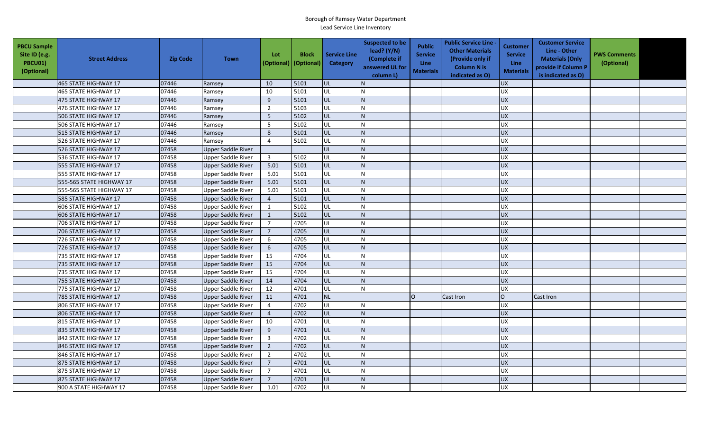| <b>PBCU Sample</b><br>Site ID (e.g.<br>PBCU01)<br>(Optional) | <b>Street Address</b>    | <b>Zip Code</b> | <b>Town</b>               | Lot                     | <b>Block</b><br>(Optional)   (Optional) | <b>Service Line</b><br>Category | <b>Suspected to be</b><br>lead? (Y/N)<br>(Complete if<br>answered UL for<br>column L) | Public<br><b>Service</b><br><b>Line</b><br><b>Materials</b> | <b>Public Service Line</b><br><b>Other Materials</b><br>(Provide only if<br><b>Column N is</b><br>indicated as O) | <b>Customer</b><br><b>Service</b><br><b>Line</b><br><b>Materials</b> | <b>Customer Service</b><br>Line - Other<br><b>Materials (Only</b><br>provide if Column P<br>is indicated as O) | <b>PWS Comments</b><br>(Optional) |  |
|--------------------------------------------------------------|--------------------------|-----------------|---------------------------|-------------------------|-----------------------------------------|---------------------------------|---------------------------------------------------------------------------------------|-------------------------------------------------------------|-------------------------------------------------------------------------------------------------------------------|----------------------------------------------------------------------|----------------------------------------------------------------------------------------------------------------|-----------------------------------|--|
|                                                              | 465 STATE HIGHWAY 17     | 07446           | Ramsey                    | 10                      | 5101                                    | UL                              |                                                                                       |                                                             |                                                                                                                   | <b>UX</b>                                                            |                                                                                                                |                                   |  |
|                                                              | 465 STATE HIGHWAY 17     | 07446           | Ramsey                    | 10                      | 5101                                    | UL                              | IN.                                                                                   |                                                             |                                                                                                                   | <b>UX</b>                                                            |                                                                                                                |                                   |  |
|                                                              | 475 STATE HIGHWAY 17     | 07446           | Ramsey                    | 9                       | 5101                                    | UL                              | IN.                                                                                   |                                                             |                                                                                                                   | <b>UX</b>                                                            |                                                                                                                |                                   |  |
|                                                              | 476 STATE HIGHWAY 17     | 07446           | Ramsey                    | $\overline{2}$          | 5103                                    | UL                              | <b>N</b>                                                                              |                                                             |                                                                                                                   | UX                                                                   |                                                                                                                |                                   |  |
|                                                              | 506 STATE HIGHWAY 17     | 07446           | Ramsey                    | 5                       | 5102                                    | UL                              | IN.                                                                                   |                                                             |                                                                                                                   | <b>UX</b>                                                            |                                                                                                                |                                   |  |
|                                                              | 506 STATE HIGHWAY 17     | 07446           | Ramsey                    | 5                       | 5102                                    | UL                              | <b>N</b>                                                                              |                                                             |                                                                                                                   | <b>UX</b>                                                            |                                                                                                                |                                   |  |
|                                                              | 515 STATE HIGHWAY 17     | 07446           | Ramsey                    | 8                       | 5101                                    | UL                              | IN.                                                                                   |                                                             |                                                                                                                   | <b>UX</b>                                                            |                                                                                                                |                                   |  |
|                                                              | 526 STATE HIGHWAY 17     | 07446           | Ramsey                    | $\overline{4}$          | 5102                                    | UL                              | N                                                                                     |                                                             |                                                                                                                   | <b>UX</b>                                                            |                                                                                                                |                                   |  |
|                                                              | 526 STATE HIGHWAY 17     | 07458           | <b>Upper Saddle River</b> |                         |                                         | UL                              | <b>N</b>                                                                              |                                                             |                                                                                                                   | UX                                                                   |                                                                                                                |                                   |  |
|                                                              | 536 STATE HIGHWAY 17     | 07458           | <b>Upper Saddle River</b> | $\overline{\mathbf{3}}$ | 5102                                    | UL                              | N                                                                                     |                                                             |                                                                                                                   | <b>UX</b>                                                            |                                                                                                                |                                   |  |
|                                                              | 555 STATE HIGHWAY 17     | 07458           | <b>Upper Saddle River</b> | 5.01                    | 5101                                    | UL                              | <sup>I</sup> N                                                                        |                                                             |                                                                                                                   | <b>UX</b>                                                            |                                                                                                                |                                   |  |
|                                                              | 555 STATE HIGHWAY 17     | 07458           | <b>Upper Saddle River</b> | 5.01                    | 5101                                    | UL                              | IN.                                                                                   |                                                             |                                                                                                                   | <b>UX</b>                                                            |                                                                                                                |                                   |  |
|                                                              | 555-565 STATE HIGHWAY 17 | 07458           | <b>Upper Saddle River</b> | 5.01                    | 5101                                    | UL                              | <sup>N</sup>                                                                          |                                                             |                                                                                                                   | <b>UX</b>                                                            |                                                                                                                |                                   |  |
|                                                              | 555-565 STATE HIGHWAY 17 | 07458           | <b>Upper Saddle River</b> | 5.01                    | 5101                                    | UL                              | <b>N</b>                                                                              |                                                             |                                                                                                                   | <b>UX</b>                                                            |                                                                                                                |                                   |  |
|                                                              | 585 STATE HIGHWAY 17     | 07458           | <b>Upper Saddle River</b> | $\overline{4}$          | 5101                                    | UL                              | <b>N</b>                                                                              |                                                             |                                                                                                                   | <b>UX</b>                                                            |                                                                                                                |                                   |  |
|                                                              | 606 STATE HIGHWAY 17     | 07458           | <b>Upper Saddle River</b> | 1                       | 5102                                    | UL                              | IN.                                                                                   |                                                             |                                                                                                                   | <b>UX</b>                                                            |                                                                                                                |                                   |  |
|                                                              | 606 STATE HIGHWAY 17     | 07458           | <b>Upper Saddle River</b> | $\mathbf{1}$            | 5102                                    | UL                              | IN.                                                                                   |                                                             |                                                                                                                   | <b>UX</b>                                                            |                                                                                                                |                                   |  |
|                                                              | 706 STATE HIGHWAY 17     | 07458           | <b>Upper Saddle River</b> | $\overline{7}$          | 4705                                    | UL                              | N                                                                                     |                                                             |                                                                                                                   | <b>UX</b>                                                            |                                                                                                                |                                   |  |
|                                                              | 706 STATE HIGHWAY 17     | 07458           | <b>Upper Saddle River</b> | $\overline{7}$          | 4705                                    | UL                              | <b>N</b>                                                                              |                                                             |                                                                                                                   | <b>UX</b>                                                            |                                                                                                                |                                   |  |
|                                                              | 726 STATE HIGHWAY 17     | 07458           | <b>Upper Saddle River</b> | 6                       | 4705                                    | UL                              | N                                                                                     |                                                             |                                                                                                                   | <b>UX</b>                                                            |                                                                                                                |                                   |  |
|                                                              | 726 STATE HIGHWAY 17     | 07458           | <b>Upper Saddle River</b> | $\sqrt{6}$              | 4705                                    | UL                              | IN.                                                                                   |                                                             |                                                                                                                   | <b>UX</b>                                                            |                                                                                                                |                                   |  |
|                                                              | 735 STATE HIGHWAY 17     | 07458           | <b>Upper Saddle River</b> | 15                      | 4704                                    | UL                              | N                                                                                     |                                                             |                                                                                                                   | <b>UX</b>                                                            |                                                                                                                |                                   |  |
|                                                              | 735 STATE HIGHWAY 17     | 07458           | <b>Upper Saddle River</b> | 15                      | 4704                                    | UL                              | IN.                                                                                   |                                                             |                                                                                                                   | <b>UX</b>                                                            |                                                                                                                |                                   |  |
|                                                              | 735 STATE HIGHWAY 17     | 07458           | <b>Upper Saddle River</b> | 15                      | 4704                                    | UL                              | <b>N</b>                                                                              |                                                             |                                                                                                                   | <b>UX</b>                                                            |                                                                                                                |                                   |  |
|                                                              | 755 STATE HIGHWAY 17     | 07458           | <b>Upper Saddle River</b> | 14                      | 4704                                    | UL                              | IN.                                                                                   |                                                             |                                                                                                                   | <b>UX</b>                                                            |                                                                                                                |                                   |  |
|                                                              | 775 STATE HIGHWAY 17     | 07458           | <b>Upper Saddle River</b> | 12                      | 4701                                    | UL                              |                                                                                       |                                                             |                                                                                                                   | <b>UX</b>                                                            |                                                                                                                |                                   |  |
|                                                              | 785 STATE HIGHWAY 17     | 07458           | <b>Upper Saddle River</b> | 11                      | 4701                                    | <b>NL</b>                       |                                                                                       | lo                                                          | Cast Iron                                                                                                         | lo                                                                   | Cast Iron                                                                                                      |                                   |  |
|                                                              | 806 STATE HIGHWAY 17     | 07458           | <b>Upper Saddle River</b> | $\overline{4}$          | 4702                                    | UL                              | IN.                                                                                   |                                                             |                                                                                                                   | <b>UX</b>                                                            |                                                                                                                |                                   |  |
|                                                              | 806 STATE HIGHWAY 17     | 07458           | <b>Upper Saddle River</b> | $\overline{4}$          | 4702                                    | UL                              |                                                                                       |                                                             |                                                                                                                   | <b>UX</b>                                                            |                                                                                                                |                                   |  |
|                                                              | 815 STATE HIGHWAY 17     | 07458           | <b>Upper Saddle River</b> | 10                      | 4701                                    | UL                              | N                                                                                     |                                                             |                                                                                                                   | <b>UX</b>                                                            |                                                                                                                |                                   |  |
|                                                              | 835 STATE HIGHWAY 17     | 07458           | <b>Upper Saddle River</b> | 9                       | 4701                                    | UL                              | <sup>N</sup>                                                                          |                                                             |                                                                                                                   | <b>UX</b>                                                            |                                                                                                                |                                   |  |
|                                                              | 842 STATE HIGHWAY 17     | 07458           | <b>Upper Saddle River</b> | $\overline{3}$          | 4702                                    | UL                              | N                                                                                     |                                                             |                                                                                                                   | <b>UX</b>                                                            |                                                                                                                |                                   |  |
|                                                              | 846 STATE HIGHWAY 17     | 07458           | <b>Upper Saddle River</b> | $\overline{2}$          | 4702                                    | UL                              | N                                                                                     |                                                             |                                                                                                                   | <b>UX</b>                                                            |                                                                                                                |                                   |  |
|                                                              | 846 STATE HIGHWAY 17     | 07458           | <b>Upper Saddle River</b> | $\overline{2}$          | 4702                                    | UL                              | <b>N</b>                                                                              |                                                             |                                                                                                                   | <b>UX</b>                                                            |                                                                                                                |                                   |  |
|                                                              | 875 STATE HIGHWAY 17     | 07458           | <b>Upper Saddle River</b> | $\sqrt{ }$              | 4701                                    | UL                              | <b>N</b>                                                                              |                                                             |                                                                                                                   | UX                                                                   |                                                                                                                |                                   |  |
|                                                              | 875 STATE HIGHWAY 17     | 07458           | <b>Upper Saddle River</b> | $\overline{7}$          | 4701                                    | UL                              | <b>N</b>                                                                              |                                                             |                                                                                                                   | <b>UX</b>                                                            |                                                                                                                |                                   |  |
|                                                              | 875 STATE HIGHWAY 17     | 07458           | <b>Upper Saddle River</b> | $\overline{7}$          | 4701                                    | UL                              | <b>N</b>                                                                              |                                                             |                                                                                                                   | <b>UX</b>                                                            |                                                                                                                |                                   |  |
|                                                              | 900 A STATE HIGHWAY 17   | 07458           | <b>Upper Saddle River</b> | 1.01                    | 4702                                    | UL                              | <b>N</b>                                                                              |                                                             |                                                                                                                   | <b>UX</b>                                                            |                                                                                                                |                                   |  |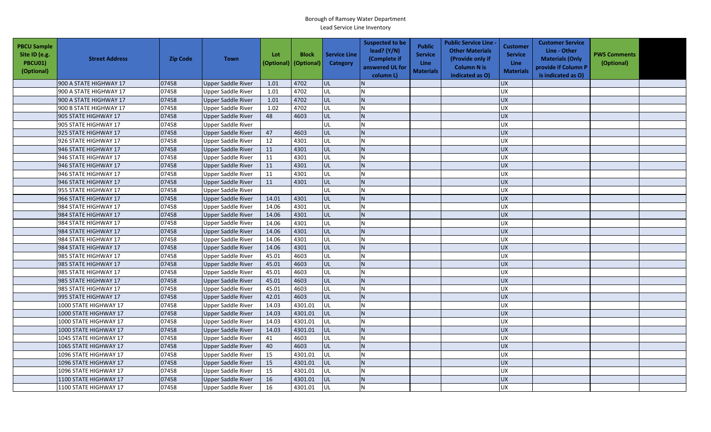| <b>PBCU Sample</b><br>Site ID (e.g.<br>PBCU01)<br>(Optional) | <b>Street Address</b>  | <b>Zip Code</b> | <b>Town</b>               | Lot<br>(Optional) | <b>Block</b><br>(Optional) | <b>Service Line</b><br>Category | <b>Suspected to be</b><br>lead? $(Y/N)$<br>(Complete if<br>answered UL for<br>column L) | <b>Public</b><br><b>Service</b><br>Line<br><b>Materials</b> | <b>Public Service Line -</b><br><b>Other Materials</b><br>(Provide only if<br><b>Column N is</b><br>indicated as O) | Customer<br><b>Service</b><br><b>Line</b><br><b>Materials</b> | <b>Customer Service</b><br>Line - Other<br><b>Materials (Only</b><br>provide if Column P<br>is indicated as O) | <b>PWS Comments</b><br>(Optional) |  |
|--------------------------------------------------------------|------------------------|-----------------|---------------------------|-------------------|----------------------------|---------------------------------|-----------------------------------------------------------------------------------------|-------------------------------------------------------------|---------------------------------------------------------------------------------------------------------------------|---------------------------------------------------------------|----------------------------------------------------------------------------------------------------------------|-----------------------------------|--|
|                                                              | 900 A STATE HIGHWAY 17 | 07458           | Upper Saddle River        | 1.01              | 4702                       | lul                             |                                                                                         |                                                             |                                                                                                                     | <b>UX</b>                                                     |                                                                                                                |                                   |  |
|                                                              | 900 A STATE HIGHWAY 17 | 07458           | <b>Upper Saddle River</b> | 1.01              | 4702                       | UL                              |                                                                                         |                                                             |                                                                                                                     | <b>UX</b>                                                     |                                                                                                                |                                   |  |
|                                                              | 900 A STATE HIGHWAY 17 | 07458           | Upper Saddle River        | 1.01              | 4702                       | UL                              |                                                                                         |                                                             |                                                                                                                     | <b>UX</b>                                                     |                                                                                                                |                                   |  |
|                                                              | 900 B STATE HIGHWAY 17 | 07458           | <b>Upper Saddle River</b> | 1.02              | 4702                       | UL                              |                                                                                         |                                                             |                                                                                                                     | <b>UX</b>                                                     |                                                                                                                |                                   |  |
|                                                              | 905 STATE HIGHWAY 17   | 07458           | Upper Saddle River        | 48                | 4603                       | UL                              |                                                                                         |                                                             |                                                                                                                     | <b>UX</b>                                                     |                                                                                                                |                                   |  |
|                                                              | 905 STATE HIGHWAY 17   | 07458           | Upper Saddle River        |                   |                            | UL                              |                                                                                         |                                                             |                                                                                                                     | <b>UX</b>                                                     |                                                                                                                |                                   |  |
|                                                              | 925 STATE HIGHWAY 17   | 07458           | Upper Saddle River        | 47                | 4603                       | UL                              |                                                                                         |                                                             |                                                                                                                     | <b>UX</b>                                                     |                                                                                                                |                                   |  |
|                                                              | 926 STATE HIGHWAY 17   | 07458           | <b>Upper Saddle River</b> | 12                | 4301                       | UL                              |                                                                                         |                                                             |                                                                                                                     | <b>UX</b>                                                     |                                                                                                                |                                   |  |
|                                                              | 946 STATE HIGHWAY 17   | 07458           | <b>Upper Saddle River</b> | 11                | 4301                       | UL                              |                                                                                         |                                                             |                                                                                                                     | <b>UX</b>                                                     |                                                                                                                |                                   |  |
|                                                              | 946 STATE HIGHWAY 17   | 07458           | Upper Saddle River        | 11                | 4301                       | UL                              |                                                                                         |                                                             |                                                                                                                     | <b>UX</b>                                                     |                                                                                                                |                                   |  |
|                                                              | 946 STATE HIGHWAY 17   | 07458           | Upper Saddle River        | 11                | 4301                       | UL                              |                                                                                         |                                                             |                                                                                                                     | <b>UX</b>                                                     |                                                                                                                |                                   |  |
|                                                              | 946 STATE HIGHWAY 17   | 07458           | Upper Saddle River        | 11                | 4301                       | UL                              |                                                                                         |                                                             |                                                                                                                     | <b>UX</b>                                                     |                                                                                                                |                                   |  |
|                                                              | 946 STATE HIGHWAY 17   | 07458           | <b>Upper Saddle River</b> | 11                | 4301                       | UL                              |                                                                                         |                                                             |                                                                                                                     | <b>UX</b>                                                     |                                                                                                                |                                   |  |
|                                                              | 955 STATE HIGHWAY 17   | 07458           | Upper Saddle River        |                   |                            | UL                              |                                                                                         |                                                             |                                                                                                                     | <b>UX</b>                                                     |                                                                                                                |                                   |  |
|                                                              | 966 STATE HIGHWAY 17   | 07458           | <b>Upper Saddle River</b> | 14.01             | 4301                       | UL                              |                                                                                         |                                                             |                                                                                                                     | <b>UX</b>                                                     |                                                                                                                |                                   |  |
|                                                              | 984 STATE HIGHWAY 17   | 07458           | <b>Upper Saddle River</b> | 14.06             | 4301                       | UL                              |                                                                                         |                                                             |                                                                                                                     | UX                                                            |                                                                                                                |                                   |  |
|                                                              | 984 STATE HIGHWAY 17   | 07458           | Upper Saddle River        | 14.06             | 4301                       | UL                              |                                                                                         |                                                             |                                                                                                                     | <b>UX</b>                                                     |                                                                                                                |                                   |  |
|                                                              | 984 STATE HIGHWAY 17   | 07458           | Upper Saddle River        | 14.06             | 4301                       | UL                              |                                                                                         |                                                             |                                                                                                                     | <b>UX</b>                                                     |                                                                                                                |                                   |  |
|                                                              | 984 STATE HIGHWAY 17   | 07458           | Upper Saddle River        | 14.06             | 4301                       | UL                              |                                                                                         |                                                             |                                                                                                                     | <b>UX</b>                                                     |                                                                                                                |                                   |  |
|                                                              | 984 STATE HIGHWAY 17   | 07458           | <b>Upper Saddle River</b> | 14.06             | 4301                       | <b>UL</b>                       |                                                                                         |                                                             |                                                                                                                     | <b>UX</b>                                                     |                                                                                                                |                                   |  |
|                                                              | 984 STATE HIGHWAY 17   | 07458           | Upper Saddle River        | 14.06             | 4301                       | UL                              |                                                                                         |                                                             |                                                                                                                     | <b>UX</b>                                                     |                                                                                                                |                                   |  |
|                                                              | 985 STATE HIGHWAY 17   | 07458           | <b>Upper Saddle River</b> | 45.01             | 4603                       | UL                              |                                                                                         |                                                             |                                                                                                                     | <b>UX</b>                                                     |                                                                                                                |                                   |  |
|                                                              | 985 STATE HIGHWAY 17   | 07458           | <b>Upper Saddle River</b> | 45.01             | 4603                       | UL                              |                                                                                         |                                                             |                                                                                                                     | <b>UX</b>                                                     |                                                                                                                |                                   |  |
|                                                              | 985 STATE HIGHWAY 17   | 07458           | <b>Upper Saddle River</b> | 45.01             | 4603                       | UL                              |                                                                                         |                                                             |                                                                                                                     | <b>UX</b>                                                     |                                                                                                                |                                   |  |
|                                                              | 985 STATE HIGHWAY 17   | 07458           | Upper Saddle River        | 45.01             | 4603                       | UL                              | N.                                                                                      |                                                             |                                                                                                                     | <b>UX</b>                                                     |                                                                                                                |                                   |  |
|                                                              | 985 STATE HIGHWAY 17   | 07458           | <b>Upper Saddle River</b> | 45.01             | 4603                       | <b>UL</b>                       |                                                                                         |                                                             |                                                                                                                     | <b>UX</b>                                                     |                                                                                                                |                                   |  |
|                                                              | 995 STATE HIGHWAY 17   | 07458           | <b>Upper Saddle River</b> | 42.01             | 4603                       | UL                              |                                                                                         |                                                             |                                                                                                                     | <b>UX</b>                                                     |                                                                                                                |                                   |  |
|                                                              | 1000 STATE HIGHWAY 17  | 07458           | Upper Saddle River        | 14.03             | 4301.01                    | lul                             |                                                                                         |                                                             |                                                                                                                     | <b>UX</b>                                                     |                                                                                                                |                                   |  |
|                                                              | 1000 STATE HIGHWAY 17  | 07458           | Upper Saddle River        | 14.03             | 4301.01                    | <b>JUL</b>                      |                                                                                         |                                                             |                                                                                                                     | <b>UX</b>                                                     |                                                                                                                |                                   |  |
|                                                              | 1000 STATE HIGHWAY 17  | 07458           | Upper Saddle River        | 14.03             | 4301.01                    | UL                              |                                                                                         |                                                             |                                                                                                                     | UX                                                            |                                                                                                                |                                   |  |
|                                                              | 1000 STATE HIGHWAY 17  | 07458           | <b>Upper Saddle River</b> | 14.03             | 4301.01                    | <b>UL</b>                       |                                                                                         |                                                             |                                                                                                                     | <b>UX</b>                                                     |                                                                                                                |                                   |  |
|                                                              | 1045 STATE HIGHWAY 17  | 07458           | <b>Upper Saddle River</b> | 41                | 4603                       | <b>UL</b>                       |                                                                                         |                                                             |                                                                                                                     | <b>UX</b>                                                     |                                                                                                                |                                   |  |
|                                                              | 1065 STATE HIGHWAY 17  | 07458           | <b>Upper Saddle River</b> | 40                | 4603                       | UL                              |                                                                                         |                                                             |                                                                                                                     | <b>UX</b>                                                     |                                                                                                                |                                   |  |
|                                                              | 1096 STATE HIGHWAY 17  | 07458           | <b>Upper Saddle River</b> | 15                | 4301.01                    | UL                              |                                                                                         |                                                             |                                                                                                                     | <b>UX</b>                                                     |                                                                                                                |                                   |  |
|                                                              | 1096 STATE HIGHWAY 17  | 07458           | Upper Saddle River        | 15                | 4301.01                    | <b>JUL</b>                      |                                                                                         |                                                             |                                                                                                                     | <b>UX</b>                                                     |                                                                                                                |                                   |  |
|                                                              | 1096 STATE HIGHWAY 17  | 07458           | Upper Saddle River        | 15                | 4301.01                    | <b>UL</b>                       |                                                                                         |                                                             |                                                                                                                     | <b>UX</b>                                                     |                                                                                                                |                                   |  |
|                                                              | 1100 STATE HIGHWAY 17  | 07458           | Upper Saddle River        | 16                | 4301.01                    | UL                              |                                                                                         |                                                             |                                                                                                                     | <b>UX</b>                                                     |                                                                                                                |                                   |  |
|                                                              | 1100 STATE HIGHWAY 17  | 07458           | Upper Saddle River        | 16                | 4301.01                    | UL                              |                                                                                         |                                                             |                                                                                                                     | <b>UX</b>                                                     |                                                                                                                |                                   |  |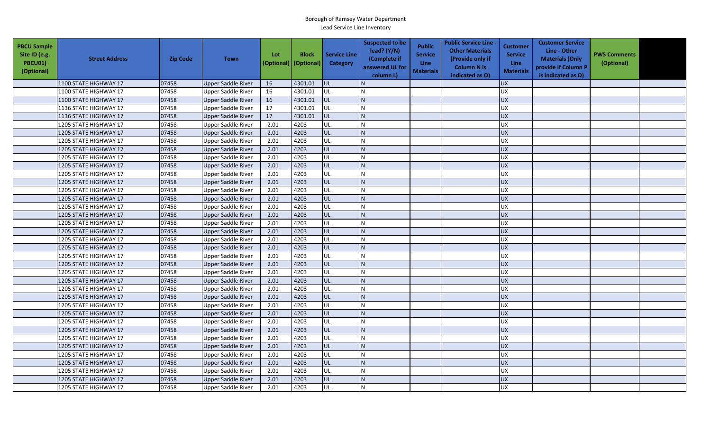| <b>PBCU Sample</b><br>Site ID (e.g.<br>PBCU01)<br>(Optional) | <b>Street Address</b> | <b>Zip Code</b> | <b>Town</b>               | Lot<br>(Optional) | <b>Block</b><br>(Optional) | <b>Service Line</b><br><b>Category</b> | <b>Suspected to be</b><br>lead? (Y/N)<br>(Complete if<br>answered UL for<br>column L) | <b>Public</b><br><b>Service</b><br><b>Line</b><br><b>Materials</b> | <b>Public Service Line -</b><br><b>Other Materials</b><br>(Provide only if<br><b>Column N is</b><br>indicated as O) | Customer<br><b>Service</b><br><b>Line</b><br><b>Materials</b> | <b>Customer Service</b><br>Line - Other<br><b>Materials (Only</b><br>provide if Column P<br>is indicated as O) | <b>PWS Comments</b><br>(Optional) |  |
|--------------------------------------------------------------|-----------------------|-----------------|---------------------------|-------------------|----------------------------|----------------------------------------|---------------------------------------------------------------------------------------|--------------------------------------------------------------------|---------------------------------------------------------------------------------------------------------------------|---------------------------------------------------------------|----------------------------------------------------------------------------------------------------------------|-----------------------------------|--|
|                                                              | 1100 STATE HIGHWAY 17 | 07458           | <b>Upper Saddle River</b> | 16                | 4301.01                    | <b>UL</b>                              |                                                                                       |                                                                    |                                                                                                                     | <b>UX</b>                                                     |                                                                                                                |                                   |  |
|                                                              | 1100 STATE HIGHWAY 17 | 07458           | <b>Upper Saddle River</b> | 16                | 4301.01                    | UL                                     |                                                                                       |                                                                    |                                                                                                                     | <b>UX</b>                                                     |                                                                                                                |                                   |  |
|                                                              | 1100 STATE HIGHWAY 17 | 07458           | Upper Saddle River        | 16                | 4301.01                    | <b>UL</b>                              | N <sub>1</sub>                                                                        |                                                                    |                                                                                                                     | <b>UX</b>                                                     |                                                                                                                |                                   |  |
|                                                              | 1136 STATE HIGHWAY 17 | 07458           | <b>Upper Saddle River</b> | 17                | 4301.01                    | UL                                     |                                                                                       |                                                                    |                                                                                                                     | <b>UX</b>                                                     |                                                                                                                |                                   |  |
|                                                              | 1136 STATE HIGHWAY 17 | 07458           | <b>Upper Saddle River</b> | 17                | 4301.01                    | <b>UL</b>                              |                                                                                       |                                                                    |                                                                                                                     | <b>UX</b>                                                     |                                                                                                                |                                   |  |
|                                                              | 1205 STATE HIGHWAY 17 | 07458           | Upper Saddle River        | 2.01              | 4203                       | UL                                     |                                                                                       |                                                                    |                                                                                                                     | <b>UX</b>                                                     |                                                                                                                |                                   |  |
|                                                              | 1205 STATE HIGHWAY 17 | 07458           | Upper Saddle River        | 2.01              | 4203                       | UL                                     |                                                                                       |                                                                    |                                                                                                                     | <b>UX</b>                                                     |                                                                                                                |                                   |  |
|                                                              | 1205 STATE HIGHWAY 17 | 07458           | Upper Saddle River        | 2.01              | 4203                       | UL                                     |                                                                                       |                                                                    |                                                                                                                     | UX                                                            |                                                                                                                |                                   |  |
|                                                              | 1205 STATE HIGHWAY 17 | 07458           | Upper Saddle River        | 2.01              | 4203                       | UL                                     |                                                                                       |                                                                    |                                                                                                                     | <b>UX</b>                                                     |                                                                                                                |                                   |  |
|                                                              | 1205 STATE HIGHWAY 17 | 07458           | Upper Saddle River        | 2.01              | 4203                       | UL                                     |                                                                                       |                                                                    |                                                                                                                     | UX                                                            |                                                                                                                |                                   |  |
|                                                              | 1205 STATE HIGHWAY 17 | 07458           | Upper Saddle River        | 2.01              | 4203                       | UL                                     |                                                                                       |                                                                    |                                                                                                                     | <b>UX</b>                                                     |                                                                                                                |                                   |  |
|                                                              | 1205 STATE HIGHWAY 17 | 07458           | Upper Saddle River        | 2.01              | 4203                       | UL                                     |                                                                                       |                                                                    |                                                                                                                     | <b>UX</b>                                                     |                                                                                                                |                                   |  |
|                                                              | 1205 STATE HIGHWAY 17 | 07458           | Upper Saddle River        | 2.01              | 4203                       | UL                                     |                                                                                       |                                                                    |                                                                                                                     | <b>UX</b>                                                     |                                                                                                                |                                   |  |
|                                                              | 1205 STATE HIGHWAY 17 | 07458           | Upper Saddle River        | 2.01              | 4203                       | UL                                     |                                                                                       |                                                                    |                                                                                                                     | <b>UX</b>                                                     |                                                                                                                |                                   |  |
|                                                              | 1205 STATE HIGHWAY 17 | 07458           | Upper Saddle River        | 2.01              | 4203                       | UL                                     |                                                                                       |                                                                    |                                                                                                                     | <b>UX</b>                                                     |                                                                                                                |                                   |  |
|                                                              | 1205 STATE HIGHWAY 17 | 07458           | Upper Saddle River        | 2.01              | 4203                       | UL                                     |                                                                                       |                                                                    |                                                                                                                     | <b>UX</b>                                                     |                                                                                                                |                                   |  |
|                                                              | 1205 STATE HIGHWAY 17 | 07458           | Upper Saddle River        | 2.01              | 4203                       | <b>UL</b>                              |                                                                                       |                                                                    |                                                                                                                     | UX                                                            |                                                                                                                |                                   |  |
|                                                              | 1205 STATE HIGHWAY 17 | 07458           | Upper Saddle River        | 2.01              | 4203                       | UL                                     |                                                                                       |                                                                    |                                                                                                                     | <b>UX</b>                                                     |                                                                                                                |                                   |  |
|                                                              | 1205 STATE HIGHWAY 17 | 07458           | Upper Saddle River        | 2.01              | 4203                       | UL                                     |                                                                                       |                                                                    |                                                                                                                     | <b>UX</b>                                                     |                                                                                                                |                                   |  |
|                                                              | 1205 STATE HIGHWAY 17 | 07458           | <b>Upper Saddle River</b> | 2.01              | 4203                       | UL                                     |                                                                                       |                                                                    |                                                                                                                     | <b>UX</b>                                                     |                                                                                                                |                                   |  |
|                                                              | 1205 STATE HIGHWAY 17 | 07458           | Upper Saddle River        | 2.01              | 4203                       | UL                                     |                                                                                       |                                                                    |                                                                                                                     | UX                                                            |                                                                                                                |                                   |  |
|                                                              | 1205 STATE HIGHWAY 17 | 07458           | <b>Upper Saddle River</b> | 2.01              | 4203                       | UL                                     |                                                                                       |                                                                    |                                                                                                                     | UX                                                            |                                                                                                                |                                   |  |
|                                                              | 1205 STATE HIGHWAY 17 | 07458           | Upper Saddle River        | 2.01              | 4203                       | UL                                     |                                                                                       |                                                                    |                                                                                                                     | <b>UX</b>                                                     |                                                                                                                |                                   |  |
|                                                              | 1205 STATE HIGHWAY 17 | 07458           | <b>Upper Saddle River</b> | 2.01              | 4203                       | UL                                     |                                                                                       |                                                                    |                                                                                                                     | <b>UX</b>                                                     |                                                                                                                |                                   |  |
|                                                              | 1205 STATE HIGHWAY 17 | 07458           | Upper Saddle River        | 2.01              | 4203                       | UL                                     | $\mathsf{N}$                                                                          |                                                                    |                                                                                                                     | <b>UX</b>                                                     |                                                                                                                |                                   |  |
|                                                              | 1205 STATE HIGHWAY 17 | 07458           | Upper Saddle River        | 2.01              | 4203                       | UL                                     |                                                                                       |                                                                    |                                                                                                                     | <b>UX</b>                                                     |                                                                                                                |                                   |  |
|                                                              | 1205 STATE HIGHWAY 17 | 07458           | Upper Saddle River        | 2.01              | 4203                       | UL                                     |                                                                                       |                                                                    |                                                                                                                     | <b>UX</b>                                                     |                                                                                                                |                                   |  |
|                                                              | 1205 STATE HIGHWAY 17 | 07458           | Upper Saddle River        | 2.01              | 4203                       | UL                                     |                                                                                       |                                                                    |                                                                                                                     | <b>UX</b>                                                     |                                                                                                                |                                   |  |
|                                                              | 1205 STATE HIGHWAY 17 | 07458           | Upper Saddle River        | 2.01              | 4203                       | UL                                     |                                                                                       |                                                                    |                                                                                                                     | <b>UX</b>                                                     |                                                                                                                |                                   |  |
|                                                              | 1205 STATE HIGHWAY 17 | 07458           | Upper Saddle River        | 2.01              | 4203                       | UL                                     |                                                                                       |                                                                    |                                                                                                                     | <b>UX</b>                                                     |                                                                                                                |                                   |  |
|                                                              | 1205 STATE HIGHWAY 17 | 07458           | <b>Upper Saddle River</b> | 2.01              | 4203                       | UL                                     |                                                                                       |                                                                    |                                                                                                                     | <b>UX</b>                                                     |                                                                                                                |                                   |  |
|                                                              | 1205 STATE HIGHWAY 17 | 07458           | <b>Upper Saddle River</b> | 2.01              | 4203                       | UL                                     |                                                                                       |                                                                    |                                                                                                                     | <b>UX</b>                                                     |                                                                                                                |                                   |  |
|                                                              | 1205 STATE HIGHWAY 17 | 07458           | <b>Upper Saddle River</b> | 2.01              | 4203                       | UL                                     |                                                                                       |                                                                    |                                                                                                                     | <b>UX</b>                                                     |                                                                                                                |                                   |  |
|                                                              | 1205 STATE HIGHWAY 17 | 07458           | <b>Upper Saddle River</b> | 2.01              | 4203                       | UL                                     |                                                                                       |                                                                    |                                                                                                                     | <b>UX</b>                                                     |                                                                                                                |                                   |  |
|                                                              | 1205 STATE HIGHWAY 17 | 07458           | Upper Saddle River        | 2.01              | 4203                       | UL                                     |                                                                                       |                                                                    |                                                                                                                     | <b>UX</b>                                                     |                                                                                                                |                                   |  |
|                                                              | 1205 STATE HIGHWAY 17 | 07458           | Upper Saddle River        | 2.01              | 4203                       | UL                                     |                                                                                       |                                                                    |                                                                                                                     | <b>UX</b>                                                     |                                                                                                                |                                   |  |
|                                                              | 1205 STATE HIGHWAY 17 | 07458           | Upper Saddle River        | 2.01              | 4203                       | UL                                     |                                                                                       |                                                                    |                                                                                                                     | <b>UX</b>                                                     |                                                                                                                |                                   |  |
|                                                              | 1205 STATE HIGHWAY 17 | 07458           | Upper Saddle River        | 2.01              | 4203                       | <b>UL</b>                              |                                                                                       |                                                                    |                                                                                                                     | <b>UX</b>                                                     |                                                                                                                |                                   |  |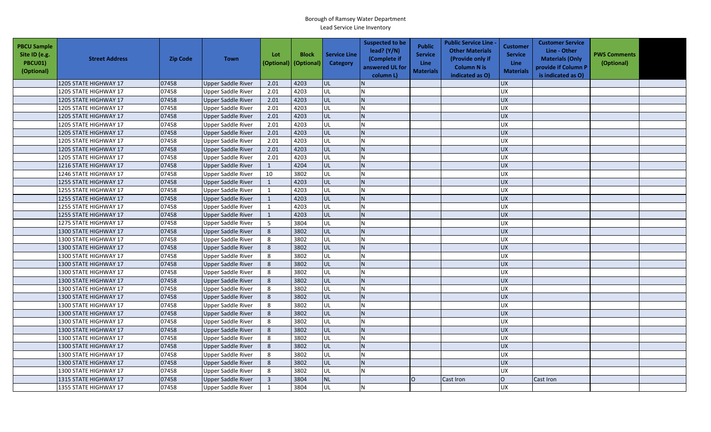| <b>PBCU Sample</b><br>Site ID (e.g.<br><b>PBCU01)</b><br>(Optional) | <b>Street Address</b> | <b>Zip Code</b> | <b>Town</b>               | Lot<br>(Optional) | <b>Block</b><br>(Optional) | <b>Service Line</b><br><b>Category</b> | <b>Suspected to be</b><br>lead? $(Y/N)$<br>(Complete if<br>answered UL for<br>column L) | <b>Public</b><br><b>Service</b><br><b>Line</b><br><b>Materials</b> | <b>Public Service Line -</b><br><b>Other Materials</b><br>(Provide only if<br><b>Column N is</b><br>indicated as O) | Customer<br><b>Service</b><br><b>Line</b><br><b>Materials</b> | <b>Customer Service</b><br>Line - Other<br><b>Materials (Only</b><br>provide if Column P<br>is indicated as O) | <b>PWS Comments</b><br>(Optional) |  |
|---------------------------------------------------------------------|-----------------------|-----------------|---------------------------|-------------------|----------------------------|----------------------------------------|-----------------------------------------------------------------------------------------|--------------------------------------------------------------------|---------------------------------------------------------------------------------------------------------------------|---------------------------------------------------------------|----------------------------------------------------------------------------------------------------------------|-----------------------------------|--|
|                                                                     | 1205 STATE HIGHWAY 17 | 07458           | <b>Upper Saddle River</b> | 2.01              | 4203                       | lul                                    |                                                                                         |                                                                    |                                                                                                                     | <b>UX</b>                                                     |                                                                                                                |                                   |  |
|                                                                     | 1205 STATE HIGHWAY 17 | 07458           | Upper Saddle River        | 2.01              | 4203                       | UL                                     |                                                                                         |                                                                    |                                                                                                                     | <b>UX</b>                                                     |                                                                                                                |                                   |  |
|                                                                     | 1205 STATE HIGHWAY 17 | 07458           | Upper Saddle River        | 2.01              | 4203                       | <b>UL</b>                              |                                                                                         |                                                                    |                                                                                                                     | <b>UX</b>                                                     |                                                                                                                |                                   |  |
|                                                                     | 1205 STATE HIGHWAY 17 | 07458           | <b>Upper Saddle River</b> | 2.01              | 4203                       | UL                                     |                                                                                         |                                                                    |                                                                                                                     | $\overline{UX}$                                               |                                                                                                                |                                   |  |
|                                                                     | 1205 STATE HIGHWAY 17 | 07458           | Upper Saddle River        | 2.01              | 4203                       | UL                                     |                                                                                         |                                                                    |                                                                                                                     | <b>UX</b>                                                     |                                                                                                                |                                   |  |
|                                                                     | 1205 STATE HIGHWAY 17 | 07458           | Upper Saddle River        | 2.01              | 4203                       | UL                                     |                                                                                         |                                                                    |                                                                                                                     | <b>UX</b>                                                     |                                                                                                                |                                   |  |
|                                                                     | 1205 STATE HIGHWAY 17 | 07458           | Upper Saddle River        | 2.01              | 4203                       | UL                                     |                                                                                         |                                                                    |                                                                                                                     | <b>UX</b>                                                     |                                                                                                                |                                   |  |
|                                                                     | 1205 STATE HIGHWAY 17 | 07458           | <b>Upper Saddle River</b> | 2.01              | 4203                       | UL                                     |                                                                                         |                                                                    |                                                                                                                     | <b>UX</b>                                                     |                                                                                                                |                                   |  |
|                                                                     | 1205 STATE HIGHWAY 17 | 07458           | <b>Upper Saddle River</b> | 2.01              | 4203                       | UL                                     |                                                                                         |                                                                    |                                                                                                                     | <b>UX</b>                                                     |                                                                                                                |                                   |  |
|                                                                     | 1205 STATE HIGHWAY 17 | 07458           | Upper Saddle River        | 2.01              | 4203                       | UL                                     |                                                                                         |                                                                    |                                                                                                                     | <b>UX</b>                                                     |                                                                                                                |                                   |  |
|                                                                     | 1216 STATE HIGHWAY 17 | 07458           | Upper Saddle River        | 1                 | 4204                       | UL                                     |                                                                                         |                                                                    |                                                                                                                     | <b>UX</b>                                                     |                                                                                                                |                                   |  |
|                                                                     | 1246 STATE HIGHWAY 17 | 07458           | <b>Upper Saddle River</b> | 10                | 3802                       | UL                                     |                                                                                         |                                                                    |                                                                                                                     | <b>UX</b>                                                     |                                                                                                                |                                   |  |
|                                                                     | 1255 STATE HIGHWAY 17 | 07458           | <b>Upper Saddle River</b> | $\mathbf{1}$      | 4203                       | UL                                     |                                                                                         |                                                                    |                                                                                                                     | <b>UX</b>                                                     |                                                                                                                |                                   |  |
|                                                                     | 1255 STATE HIGHWAY 17 | 07458           | <b>Upper Saddle River</b> | $\mathbf{1}$      | 4203                       | UL                                     |                                                                                         |                                                                    |                                                                                                                     | <b>UX</b>                                                     |                                                                                                                |                                   |  |
|                                                                     | 1255 STATE HIGHWAY 17 | 07458           | <b>Upper Saddle River</b> | $\mathbf{1}$      | 4203                       | UL                                     |                                                                                         |                                                                    |                                                                                                                     | <b>UX</b>                                                     |                                                                                                                |                                   |  |
|                                                                     | 1255 STATE HIGHWAY 17 | 07458           | <b>Upper Saddle River</b> | 1                 | 4203                       | U                                      |                                                                                         |                                                                    |                                                                                                                     | <b>UX</b>                                                     |                                                                                                                |                                   |  |
|                                                                     | 1255 STATE HIGHWAY 17 | 07458           | <b>Upper Saddle River</b> | $\mathbf{1}$      | 4203                       | UL                                     |                                                                                         |                                                                    |                                                                                                                     | <b>UX</b>                                                     |                                                                                                                |                                   |  |
|                                                                     | 1275 STATE HIGHWAY 17 | 07458           | Upper Saddle River        | -5                | 3804                       | UL                                     |                                                                                         |                                                                    |                                                                                                                     | <b>UX</b>                                                     |                                                                                                                |                                   |  |
|                                                                     | 1300 STATE HIGHWAY 17 | 07458           | Upper Saddle River        | 8                 | 3802                       | UL                                     |                                                                                         |                                                                    |                                                                                                                     | <b>UX</b>                                                     |                                                                                                                |                                   |  |
|                                                                     | 1300 STATE HIGHWAY 17 | 07458           | Upper Saddle River        | 8                 | 3802                       | UL                                     |                                                                                         |                                                                    |                                                                                                                     | <b>UX</b>                                                     |                                                                                                                |                                   |  |
|                                                                     | 1300 STATE HIGHWAY 17 | 07458           | Upper Saddle River        | 8                 | 3802                       | UL                                     |                                                                                         |                                                                    |                                                                                                                     | <b>UX</b>                                                     |                                                                                                                |                                   |  |
|                                                                     | 1300 STATE HIGHWAY 17 | 07458           | <b>Upper Saddle River</b> | 8                 | 3802                       | UL                                     |                                                                                         |                                                                    |                                                                                                                     | <b>UX</b>                                                     |                                                                                                                |                                   |  |
|                                                                     | 1300 STATE HIGHWAY 17 | 07458           | Upper Saddle River        | 8                 | 3802                       | UL                                     |                                                                                         |                                                                    |                                                                                                                     | <b>UX</b>                                                     |                                                                                                                |                                   |  |
|                                                                     | 1300 STATE HIGHWAY 17 | 07458           | <b>Upper Saddle River</b> | 8                 | 3802                       | UL                                     |                                                                                         |                                                                    |                                                                                                                     | <b>UX</b>                                                     |                                                                                                                |                                   |  |
|                                                                     | 1300 STATE HIGHWAY 17 | 07458           | <b>Upper Saddle River</b> | 8                 | 3802                       | <b>UL</b>                              | N.                                                                                      |                                                                    |                                                                                                                     | <b>UX</b>                                                     |                                                                                                                |                                   |  |
|                                                                     | 1300 STATE HIGHWAY 17 | 07458           | <b>Upper Saddle River</b> | 8                 | 3802                       | UL                                     |                                                                                         |                                                                    |                                                                                                                     | <b>UX</b>                                                     |                                                                                                                |                                   |  |
|                                                                     | 1300 STATE HIGHWAY 17 | 07458           | <b>Upper Saddle River</b> | 8                 | 3802                       | UL                                     |                                                                                         |                                                                    |                                                                                                                     | <b>UX</b>                                                     |                                                                                                                |                                   |  |
|                                                                     | 1300 STATE HIGHWAY 17 | 07458           | Upper Saddle River        | 8                 | 3802                       | UL                                     |                                                                                         |                                                                    |                                                                                                                     | UX                                                            |                                                                                                                |                                   |  |
|                                                                     | 1300 STATE HIGHWAY 17 | 07458           | Upper Saddle River        | 8                 | 3802                       | UL                                     |                                                                                         |                                                                    |                                                                                                                     | <b>UX</b>                                                     |                                                                                                                |                                   |  |
|                                                                     | 1300 STATE HIGHWAY 17 | 07458           | Upper Saddle River        | 8                 | 3802                       | UL                                     |                                                                                         |                                                                    |                                                                                                                     | <b>UX</b>                                                     |                                                                                                                |                                   |  |
|                                                                     | 1300 STATE HIGHWAY 17 | 07458           | Upper Saddle River        | 8                 | 3802                       | UL                                     |                                                                                         |                                                                    |                                                                                                                     | <b>UX</b>                                                     |                                                                                                                |                                   |  |
|                                                                     | 1300 STATE HIGHWAY 17 | 07458           | Upper Saddle River        | 8                 | 3802                       | UL                                     |                                                                                         |                                                                    |                                                                                                                     | <b>UX</b>                                                     |                                                                                                                |                                   |  |
|                                                                     | 1300 STATE HIGHWAY 17 | 07458           | Upper Saddle River        | 8                 | 3802                       | UL                                     |                                                                                         |                                                                    |                                                                                                                     | <b>UX</b>                                                     |                                                                                                                |                                   |  |
|                                                                     | 1300 STATE HIGHWAY 17 | 07458           | Upper Saddle River        | 8                 | 3802                       | UL                                     |                                                                                         |                                                                    |                                                                                                                     | <b>UX</b>                                                     |                                                                                                                |                                   |  |
|                                                                     | 1300 STATE HIGHWAY 17 | 07458           | <b>Upper Saddle River</b> | $8\phantom{1}$    | 3802                       | UL                                     |                                                                                         |                                                                    |                                                                                                                     | <b>UX</b>                                                     |                                                                                                                |                                   |  |
|                                                                     | 1300 STATE HIGHWAY 17 | 07458           | Upper Saddle River        | 8                 | 3802                       | UL                                     |                                                                                         |                                                                    |                                                                                                                     | <b>UX</b>                                                     |                                                                                                                |                                   |  |
|                                                                     | 1315 STATE HIGHWAY 17 | 07458           | <b>Upper Saddle River</b> | $\overline{3}$    | 3804                       | <b>NL</b>                              |                                                                                         | O                                                                  | Cast Iron                                                                                                           | $\mathsf O$                                                   | Cast Iron                                                                                                      |                                   |  |
|                                                                     | 1355 STATE HIGHWAY 17 | 07458           | Upper Saddle River        | 1                 | 3804                       | UL                                     |                                                                                         |                                                                    |                                                                                                                     | <b>UX</b>                                                     |                                                                                                                |                                   |  |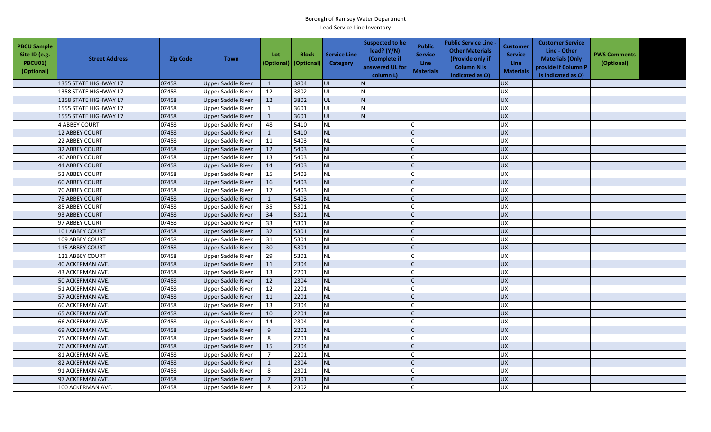| <b>PBCU Sample</b><br>Site ID (e.g.<br><b>PBCU01)</b><br>(Optional) | <b>Street Address</b> | <b>Zip Code</b> | <b>Town</b>               | Lot<br>(Optional) | <b>Block</b><br>(Optional) | <b>Service Line</b><br>Category | <b>Suspected to be</b><br>lead? (Y/N)<br>(Complete if<br>answered UL for<br>column L) | <b>Public</b><br><b>Service</b><br><b>Line</b><br><b>Materials</b> | <b>Public Service Line -</b><br><b>Other Materials</b><br>(Provide only if<br><b>Column N is</b><br>indicated as O) | <b>Customer</b><br><b>Service</b><br><b>Line</b><br><b>Materials</b> | <b>Customer Service</b><br>Line - Other<br><b>Materials (Only</b><br>provide if Column P<br>is indicated as O) | <b>PWS Comments</b><br>(Optional) |  |
|---------------------------------------------------------------------|-----------------------|-----------------|---------------------------|-------------------|----------------------------|---------------------------------|---------------------------------------------------------------------------------------|--------------------------------------------------------------------|---------------------------------------------------------------------------------------------------------------------|----------------------------------------------------------------------|----------------------------------------------------------------------------------------------------------------|-----------------------------------|--|
|                                                                     | 1355 STATE HIGHWAY 17 | 07458           | <b>Upper Saddle River</b> | 1                 | 3804                       | UL                              |                                                                                       |                                                                    |                                                                                                                     | <b>UX</b>                                                            |                                                                                                                |                                   |  |
|                                                                     | 1358 STATE HIGHWAY 17 | 07458           | <b>Upper Saddle River</b> | 12                | 3802                       | UL                              | N                                                                                     |                                                                    |                                                                                                                     | <b>UX</b>                                                            |                                                                                                                |                                   |  |
|                                                                     | 1358 STATE HIGHWAY 17 | 07458           | <b>Upper Saddle River</b> | 12                | 3802                       | UL                              | IN.                                                                                   |                                                                    |                                                                                                                     | <b>UX</b>                                                            |                                                                                                                |                                   |  |
|                                                                     | 1555 STATE HIGHWAY 17 | 07458           | Upper Saddle River        | $\mathbf{1}$      | 3601                       | UL                              |                                                                                       |                                                                    |                                                                                                                     | <b>UX</b>                                                            |                                                                                                                |                                   |  |
|                                                                     | 1555 STATE HIGHWAY 17 | 07458           | Upper Saddle River        | $\mathbf{1}$      | 3601                       | UL                              | IN.                                                                                   |                                                                    |                                                                                                                     | <b>UX</b>                                                            |                                                                                                                |                                   |  |
|                                                                     | <b>4 ABBEY COURT</b>  | 07458           | Upper Saddle River        | 48                | 5410                       | <b>NL</b>                       |                                                                                       |                                                                    |                                                                                                                     | <b>UX</b>                                                            |                                                                                                                |                                   |  |
|                                                                     | <b>12 ABBEY COURT</b> | 07458           | <b>Upper Saddle River</b> | 1                 | 5410                       | <b>NL</b>                       |                                                                                       |                                                                    |                                                                                                                     | <b>UX</b>                                                            |                                                                                                                |                                   |  |
|                                                                     | 22 ABBEY COURT        | 07458           | <b>Upper Saddle River</b> | 11                | 5403                       | <b>NL</b>                       |                                                                                       |                                                                    |                                                                                                                     | UX                                                                   |                                                                                                                |                                   |  |
|                                                                     | <b>32 ABBEY COURT</b> | 07458           | <b>Upper Saddle River</b> | 12                | 5403                       | <b>NL</b>                       |                                                                                       |                                                                    |                                                                                                                     | <b>UX</b>                                                            |                                                                                                                |                                   |  |
|                                                                     | 40 ABBEY COURT        | 07458           | Upper Saddle River        | 13                | 5403                       | <b>NL</b>                       |                                                                                       |                                                                    |                                                                                                                     | UX                                                                   |                                                                                                                |                                   |  |
|                                                                     | <b>44 ABBEY COURT</b> | 07458           | <b>Upper Saddle River</b> | 14                | 5403                       | <b>NL</b>                       |                                                                                       |                                                                    |                                                                                                                     | <b>UX</b>                                                            |                                                                                                                |                                   |  |
|                                                                     | <b>52 ABBEY COURT</b> | 07458           | <b>Upper Saddle River</b> | 15                | 5403                       | <b>NL</b>                       |                                                                                       |                                                                    |                                                                                                                     | UX                                                                   |                                                                                                                |                                   |  |
|                                                                     | <b>60 ABBEY COURT</b> | 07458           | <b>Upper Saddle River</b> | 16                | 5403                       | <b>NL</b>                       |                                                                                       |                                                                    |                                                                                                                     | <b>UX</b>                                                            |                                                                                                                |                                   |  |
|                                                                     | 70 ABBEY COURT        | 07458           | <b>Upper Saddle River</b> | 17                | 5403                       | <b>NL</b>                       |                                                                                       |                                                                    |                                                                                                                     | UX                                                                   |                                                                                                                |                                   |  |
|                                                                     | <b>78 ABBEY COURT</b> | 07458           | <b>Upper Saddle River</b> | $\mathbf{1}$      | 5403                       | NL                              |                                                                                       |                                                                    |                                                                                                                     | UX                                                                   |                                                                                                                |                                   |  |
|                                                                     | 85 ABBEY COURT        | 07458           | <b>Upper Saddle River</b> | 35                | 5301                       | <b>NL</b>                       |                                                                                       |                                                                    |                                                                                                                     | <b>UX</b>                                                            |                                                                                                                |                                   |  |
|                                                                     | 93 ABBEY COURT        | 07458           | Upper Saddle River        | 34                | 5301                       | NL                              |                                                                                       |                                                                    |                                                                                                                     | <b>UX</b>                                                            |                                                                                                                |                                   |  |
|                                                                     | 97 ABBEY COURT        | 07458           | Upper Saddle River        | 33                | 5301                       | <b>NL</b>                       |                                                                                       |                                                                    |                                                                                                                     | UX                                                                   |                                                                                                                |                                   |  |
|                                                                     | 101 ABBEY COURT       | 07458           | Upper Saddle River        | 32                | 5301                       | <b>NL</b>                       |                                                                                       |                                                                    |                                                                                                                     | <b>UX</b>                                                            |                                                                                                                |                                   |  |
|                                                                     | 109 ABBEY COURT       | 07458           | <b>Upper Saddle River</b> | 31                | 5301                       | <b>NL</b>                       |                                                                                       |                                                                    |                                                                                                                     | <b>UX</b>                                                            |                                                                                                                |                                   |  |
|                                                                     | 115 ABBEY COURT       | 07458           | <b>Upper Saddle River</b> | 30                | 5301                       | <b>NL</b>                       |                                                                                       |                                                                    |                                                                                                                     | <b>UX</b>                                                            |                                                                                                                |                                   |  |
|                                                                     | 121 ABBEY COURT       | 07458           | Upper Saddle River        | 29                | 5301                       | <b>NL</b>                       |                                                                                       |                                                                    |                                                                                                                     | UX                                                                   |                                                                                                                |                                   |  |
|                                                                     | 40 ACKERMAN AVE.      | 07458           | <b>Upper Saddle River</b> | 11                | 2304                       | <b>NL</b>                       |                                                                                       |                                                                    |                                                                                                                     | <b>UX</b>                                                            |                                                                                                                |                                   |  |
|                                                                     | 43 ACKERMAN AVE.      | 07458           | <b>Upper Saddle River</b> | 13                | 2201                       | <b>NL</b>                       |                                                                                       |                                                                    |                                                                                                                     | <b>UX</b>                                                            |                                                                                                                |                                   |  |
|                                                                     | 50 ACKERMAN AVE.      | 07458           | Upper Saddle River        | 12                | 2304                       | <b>NL</b>                       |                                                                                       |                                                                    |                                                                                                                     | <b>UX</b>                                                            |                                                                                                                |                                   |  |
|                                                                     | 51 ACKERMAN AVE.      | 07458           | Upper Saddle River        | 12                | 2201                       | <b>NL</b>                       |                                                                                       |                                                                    |                                                                                                                     | <b>UX</b>                                                            |                                                                                                                |                                   |  |
|                                                                     | 57 ACKERMAN AVE.      | 07458           | Upper Saddle River        | 11                | 2201                       | <b>NL</b>                       |                                                                                       |                                                                    |                                                                                                                     | <b>UX</b>                                                            |                                                                                                                |                                   |  |
|                                                                     | 60 ACKERMAN AVE.      | 07458           | Upper Saddle River        | 13                | 2304                       | <b>NL</b>                       |                                                                                       |                                                                    |                                                                                                                     | <b>UX</b>                                                            |                                                                                                                |                                   |  |
|                                                                     | 65 ACKERMAN AVE.      | 07458           | Upper Saddle River        | 10                | 2201                       | <b>NL</b>                       |                                                                                       |                                                                    |                                                                                                                     | <b>UX</b>                                                            |                                                                                                                |                                   |  |
|                                                                     | 66 ACKERMAN AVE.      | 07458           | <b>Upper Saddle River</b> | 14                | 2304                       | <b>NL</b>                       |                                                                                       |                                                                    |                                                                                                                     | UX                                                                   |                                                                                                                |                                   |  |
|                                                                     | 69 ACKERMAN AVE.      | 07458           | <b>Upper Saddle River</b> | 9                 | 2201                       | <b>NL</b>                       |                                                                                       |                                                                    |                                                                                                                     | <b>UX</b>                                                            |                                                                                                                |                                   |  |
|                                                                     | 75 ACKERMAN AVE.      | 07458           | Upper Saddle River        | $\,8\,$           | 2201                       | <b>NL</b>                       |                                                                                       |                                                                    |                                                                                                                     | <b>UX</b>                                                            |                                                                                                                |                                   |  |
|                                                                     | 76 ACKERMAN AVE.      | 07458           | <b>Upper Saddle River</b> | 15                | 2304                       | <b>NL</b>                       |                                                                                       |                                                                    |                                                                                                                     | UX                                                                   |                                                                                                                |                                   |  |
|                                                                     | 81 ACKERMAN AVE.      | 07458           | <b>Upper Saddle River</b> | $\overline{7}$    | 2201                       | <b>NL</b>                       |                                                                                       |                                                                    |                                                                                                                     | UX                                                                   |                                                                                                                |                                   |  |
|                                                                     | 82 ACKERMAN AVE.      | 07458           | <b>Upper Saddle River</b> | $\mathbf{1}$      | 2304                       | <b>NL</b>                       |                                                                                       |                                                                    |                                                                                                                     | UX                                                                   |                                                                                                                |                                   |  |
|                                                                     | 91 ACKERMAN AVE.      | 07458           | <b>Upper Saddle River</b> | 8                 | 2301                       | <b>NL</b>                       |                                                                                       |                                                                    |                                                                                                                     | UX                                                                   |                                                                                                                |                                   |  |
|                                                                     | 97 ACKERMAN AVE.      | 07458           | <b>Upper Saddle River</b> | $\overline{7}$    | 2301                       | <b>NL</b>                       |                                                                                       |                                                                    |                                                                                                                     | UX                                                                   |                                                                                                                |                                   |  |
|                                                                     | 100 ACKERMAN AVE.     | 07458           | <b>Upper Saddle River</b> | 8                 | 2302                       | <b>NL</b>                       |                                                                                       |                                                                    |                                                                                                                     | <b>UX</b>                                                            |                                                                                                                |                                   |  |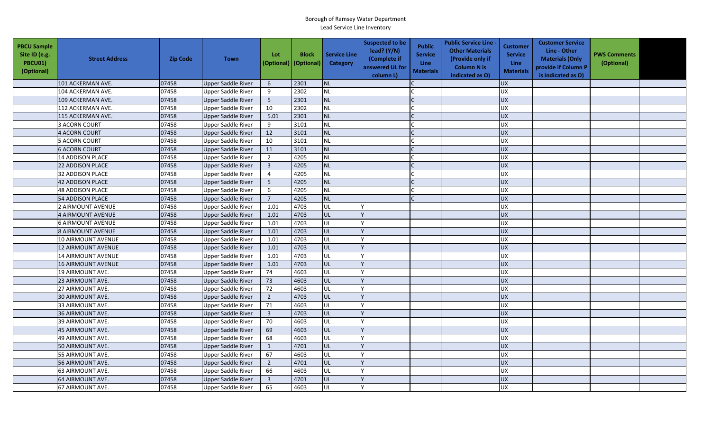| <b>PBCU Sample</b><br>Site ID (e.g.<br><b>PBCU01)</b><br>(Optional) | <b>Street Address</b>     | <b>Zip Code</b> | <b>Town</b>               | Lot<br>(Optional)       | <b>Block</b><br>(Optional) | <b>Service Line</b><br><b>Category</b> | <b>Suspected to be</b><br>lead? $(Y/N)$<br>(Complete if<br>answered UL for<br>column L) | <b>Public</b><br><b>Service</b><br><b>Line</b><br><b>Materials</b> | <b>Public Service Line -</b><br><b>Other Materials</b><br>(Provide only if<br><b>Column N is</b><br>indicated as O) | <b>Customer</b><br><b>Service</b><br><b>Line</b><br><b>Materials</b> | <b>Customer Service</b><br>Line - Other<br><b>Materials (Only</b><br>provide if Column P<br>is indicated as O) | <b>PWS Comments</b><br>(Optional) |  |
|---------------------------------------------------------------------|---------------------------|-----------------|---------------------------|-------------------------|----------------------------|----------------------------------------|-----------------------------------------------------------------------------------------|--------------------------------------------------------------------|---------------------------------------------------------------------------------------------------------------------|----------------------------------------------------------------------|----------------------------------------------------------------------------------------------------------------|-----------------------------------|--|
|                                                                     | 101 ACKERMAN AVE.         | 07458           | <b>Upper Saddle River</b> | 6                       | 2301                       | <b>NL</b>                              |                                                                                         |                                                                    |                                                                                                                     | <b>UX</b>                                                            |                                                                                                                |                                   |  |
|                                                                     | 104 ACKERMAN AVE.         | 07458           | <b>Upper Saddle River</b> | 9                       | 2302                       | <b>NL</b>                              |                                                                                         |                                                                    |                                                                                                                     | <b>UX</b>                                                            |                                                                                                                |                                   |  |
|                                                                     | 109 ACKERMAN AVE.         | 07458           | Upper Saddle River        | 5                       | 2301                       | NL                                     |                                                                                         |                                                                    |                                                                                                                     | <b>UX</b>                                                            |                                                                                                                |                                   |  |
|                                                                     | 112 ACKERMAN AVE.         | 07458           | <b>Upper Saddle River</b> | 10                      | 2302                       | <b>NL</b>                              |                                                                                         |                                                                    |                                                                                                                     | UX                                                                   |                                                                                                                |                                   |  |
|                                                                     | 115 ACKERMAN AVE.         | 07458           | <b>Upper Saddle River</b> | 5.01                    | 2301                       | NL                                     |                                                                                         |                                                                    |                                                                                                                     | <b>UX</b>                                                            |                                                                                                                |                                   |  |
|                                                                     | 3 ACORN COURT             | 07458           | <b>Upper Saddle River</b> | 9                       | 3101                       | <b>NL</b>                              |                                                                                         |                                                                    |                                                                                                                     | <b>UX</b>                                                            |                                                                                                                |                                   |  |
|                                                                     | 4 ACORN COURT             | 07458           | Upper Saddle River        | 12                      | 3101                       | <b>NL</b>                              |                                                                                         |                                                                    |                                                                                                                     | <b>UX</b>                                                            |                                                                                                                |                                   |  |
|                                                                     | 5 ACORN COURT             | 07458           | Upper Saddle River        | 10                      | 3101                       | <b>NL</b>                              |                                                                                         |                                                                    |                                                                                                                     | <b>UX</b>                                                            |                                                                                                                |                                   |  |
|                                                                     | <b>6 ACORN COURT</b>      | 07458           | <b>Upper Saddle River</b> | 11                      | 3101                       | <b>NL</b>                              |                                                                                         |                                                                    |                                                                                                                     | UX                                                                   |                                                                                                                |                                   |  |
|                                                                     | <b>14 ADDISON PLACE</b>   | 07458           | <b>Upper Saddle River</b> | 2                       | 4205                       | <b>NL</b>                              |                                                                                         |                                                                    |                                                                                                                     | <b>UX</b>                                                            |                                                                                                                |                                   |  |
|                                                                     | <b>22 ADDISON PLACE</b>   | 07458           | <b>Upper Saddle River</b> | $\overline{3}$          | 4205                       | <b>NL</b>                              |                                                                                         |                                                                    |                                                                                                                     | <b>UX</b>                                                            |                                                                                                                |                                   |  |
|                                                                     | 32 ADDISON PLACE          | 07458           | <b>Upper Saddle River</b> | $\overline{4}$          | 4205                       | <b>NL</b>                              |                                                                                         |                                                                    |                                                                                                                     | <b>UX</b>                                                            |                                                                                                                |                                   |  |
|                                                                     | <b>42 ADDISON PLACE</b>   | 07458           | <b>Upper Saddle River</b> | 5                       | 4205                       | <b>NL</b>                              |                                                                                         |                                                                    |                                                                                                                     | <b>UX</b>                                                            |                                                                                                                |                                   |  |
|                                                                     | <b>48 ADDISON PLACE</b>   | 07458           | <b>Upper Saddle River</b> | 6                       | 4205                       | <b>NL</b>                              |                                                                                         |                                                                    |                                                                                                                     | <b>UX</b>                                                            |                                                                                                                |                                   |  |
|                                                                     | <b>54 ADDISON PLACE</b>   | 07458           | <b>Upper Saddle River</b> | $\overline{7}$          | 4205                       | <b>NL</b>                              |                                                                                         |                                                                    |                                                                                                                     | <b>UX</b>                                                            |                                                                                                                |                                   |  |
|                                                                     | 2 AIRMOUNT AVENUE         | 07458           | <b>Upper Saddle River</b> | 1.01                    | 4703                       | UL                                     |                                                                                         |                                                                    |                                                                                                                     | <b>UX</b>                                                            |                                                                                                                |                                   |  |
|                                                                     | 4 AIRMOUNT AVENUE         | 07458           | Upper Saddle River        | 1.01                    | 4703                       | UL                                     |                                                                                         |                                                                    |                                                                                                                     | <b>UX</b>                                                            |                                                                                                                |                                   |  |
|                                                                     | 6 AIRMOUNT AVENUE         | 07458           | Upper Saddle River        | 1.01                    | 4703                       | UL                                     |                                                                                         |                                                                    |                                                                                                                     | UX                                                                   |                                                                                                                |                                   |  |
|                                                                     | 8 AIRMOUNT AVENUE         | 07458           | <b>Upper Saddle River</b> | 1.01                    | 4703                       | UL                                     |                                                                                         |                                                                    |                                                                                                                     | <b>UX</b>                                                            |                                                                                                                |                                   |  |
|                                                                     | 10 AIRMOUNT AVENUE        | 07458           | <b>Upper Saddle River</b> | 1.01                    | 4703                       | UL                                     |                                                                                         |                                                                    |                                                                                                                     | <b>UX</b>                                                            |                                                                                                                |                                   |  |
|                                                                     | 12 AIRMOUNT AVENUE        | 07458           | Upper Saddle River        | 1.01                    | 4703                       | UL                                     |                                                                                         |                                                                    |                                                                                                                     | <b>UX</b>                                                            |                                                                                                                |                                   |  |
|                                                                     | 14 AIRMOUNT AVENUE        | 07458           | <b>Upper Saddle River</b> | 1.01                    | 4703                       | UL                                     |                                                                                         |                                                                    |                                                                                                                     | <b>UX</b>                                                            |                                                                                                                |                                   |  |
|                                                                     | <b>16 AIRMOUNT AVENUE</b> | 07458           | <b>Upper Saddle River</b> | 1.01                    | 4703                       | UL                                     |                                                                                         |                                                                    |                                                                                                                     | <b>UX</b>                                                            |                                                                                                                |                                   |  |
|                                                                     | 19 AIRMOUNT AVE.          | 07458           | <b>Upper Saddle River</b> | 74                      | 4603                       | UL                                     |                                                                                         |                                                                    |                                                                                                                     | <b>UX</b>                                                            |                                                                                                                |                                   |  |
|                                                                     | 23 AIRMOUNT AVE.          | 07458           | <b>Upper Saddle River</b> | 73                      | 4603                       | UL                                     |                                                                                         |                                                                    |                                                                                                                     | <b>UX</b>                                                            |                                                                                                                |                                   |  |
|                                                                     | 27 AIRMOUNT AVE.          | 07458           | Upper Saddle River        | 72                      | 4603                       | UL                                     |                                                                                         |                                                                    |                                                                                                                     | UX                                                                   |                                                                                                                |                                   |  |
|                                                                     | 30 AIRMOUNT AVE.          | 07458           | <b>Upper Saddle River</b> | $\overline{2}$          | 4703                       | UL                                     |                                                                                         |                                                                    |                                                                                                                     | <b>UX</b>                                                            |                                                                                                                |                                   |  |
|                                                                     | 33 AIRMOUNT AVE.          | 07458           | Upper Saddle River        | 71                      | 4603                       | UL                                     |                                                                                         |                                                                    |                                                                                                                     | <b>UX</b>                                                            |                                                                                                                |                                   |  |
|                                                                     | 36 AIRMOUNT AVE.          | 07458           | <b>Upper Saddle River</b> | $\overline{3}$          | 4703                       | UL                                     |                                                                                         |                                                                    |                                                                                                                     | <b>UX</b>                                                            |                                                                                                                |                                   |  |
|                                                                     | 39 AIRMOUNT AVE.          | 07458           | <b>Upper Saddle River</b> | 70                      | 4603                       | UL                                     |                                                                                         |                                                                    |                                                                                                                     | <b>UX</b>                                                            |                                                                                                                |                                   |  |
|                                                                     | 45 AIRMOUNT AVE.          | 07458           | <b>Upper Saddle River</b> | 69                      | 4603                       | UL                                     |                                                                                         |                                                                    |                                                                                                                     | UX                                                                   |                                                                                                                |                                   |  |
|                                                                     | 49 AIRMOUNT AVE.          | 07458           | <b>Upper Saddle River</b> | 68                      | 4603                       | UL                                     |                                                                                         |                                                                    |                                                                                                                     | <b>UX</b>                                                            |                                                                                                                |                                   |  |
|                                                                     | 50 AIRMOUNT AVE.          | 07458           | <b>Upper Saddle River</b> | $\mathbf{1}$            | 4701                       | UL                                     |                                                                                         |                                                                    |                                                                                                                     | $\overline{UX}$                                                      |                                                                                                                |                                   |  |
|                                                                     | 55 AIRMOUNT AVE.          | 07458           | <b>Upper Saddle River</b> | 67                      | 4603                       | UL                                     |                                                                                         |                                                                    |                                                                                                                     | UX                                                                   |                                                                                                                |                                   |  |
|                                                                     | 56 AIRMOUNT AVE.          | 07458           | <b>Upper Saddle River</b> | $\overline{2}$          | 4701                       | UL                                     |                                                                                         |                                                                    |                                                                                                                     | UX                                                                   |                                                                                                                |                                   |  |
|                                                                     | 63 AIRMOUNT AVE.          | 07458           | <b>Upper Saddle River</b> | 66                      | 4603                       | UL                                     |                                                                                         |                                                                    |                                                                                                                     | <b>UX</b>                                                            |                                                                                                                |                                   |  |
|                                                                     | 64 AIRMOUNT AVE.          | 07458           | Upper Saddle River        | $\overline{\mathbf{3}}$ | 4701                       | UL                                     |                                                                                         |                                                                    |                                                                                                                     | <b>UX</b>                                                            |                                                                                                                |                                   |  |
|                                                                     | 67 AIRMOUNT AVE.          | 07458           | <b>Upper Saddle River</b> | 65                      | 4603                       | UL                                     |                                                                                         |                                                                    |                                                                                                                     | UX                                                                   |                                                                                                                |                                   |  |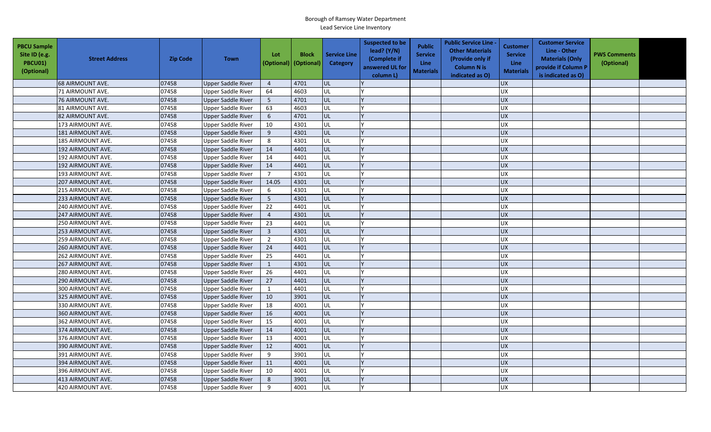| <b>PBCU Sample</b><br>Site ID (e.g.<br><b>PBCU01)</b><br>(Optional) | <b>Street Address</b> | <b>Zip Code</b> | <b>Town</b>               | Lot<br>(Optional) | <b>Block</b><br>(Optional) | <b>Service Line</b><br><b>Category</b> | <b>Suspected to be</b><br>lead? (Y/N)<br>(Complete if<br>answered UL for<br>column L) | <b>Public</b><br><b>Service</b><br><b>Line</b><br><b>Materials</b> | <b>Public Service Line -</b><br><b>Other Materials</b><br>(Provide only if<br><b>Column N is</b><br>indicated as O) | <b>Customer</b><br><b>Service</b><br><b>Line</b><br><b>Materials</b> | <b>Customer Service</b><br>Line - Other<br><b>Materials (Only</b><br>provide if Column P<br>is indicated as O) | <b>PWS Comments</b><br>(Optional) |  |
|---------------------------------------------------------------------|-----------------------|-----------------|---------------------------|-------------------|----------------------------|----------------------------------------|---------------------------------------------------------------------------------------|--------------------------------------------------------------------|---------------------------------------------------------------------------------------------------------------------|----------------------------------------------------------------------|----------------------------------------------------------------------------------------------------------------|-----------------------------------|--|
|                                                                     | 68 AIRMOUNT AVE.      | 07458           | <b>Upper Saddle River</b> | $\overline{4}$    | 4701                       | UL                                     |                                                                                       |                                                                    |                                                                                                                     | <b>UX</b>                                                            |                                                                                                                |                                   |  |
|                                                                     | 71 AIRMOUNT AVE.      | 07458           | <b>Upper Saddle River</b> | 64                | 4603                       | UL                                     |                                                                                       |                                                                    |                                                                                                                     | <b>UX</b>                                                            |                                                                                                                |                                   |  |
|                                                                     | 76 AIRMOUNT AVE.      | 07458           | Upper Saddle River        | 5                 | 4701                       | UL                                     |                                                                                       |                                                                    |                                                                                                                     | <b>UX</b>                                                            |                                                                                                                |                                   |  |
|                                                                     | 81 AIRMOUNT AVE.      | 07458           | <b>Upper Saddle River</b> | 63                | 4603                       | UL                                     |                                                                                       |                                                                    |                                                                                                                     | UX                                                                   |                                                                                                                |                                   |  |
|                                                                     | 82 AIRMOUNT AVE.      | 07458           | <b>Upper Saddle River</b> | 6                 | 4701                       | UL                                     |                                                                                       |                                                                    |                                                                                                                     | <b>UX</b>                                                            |                                                                                                                |                                   |  |
|                                                                     | 173 AIRMOUNT AVE.     | 07458           | <b>Upper Saddle River</b> | 10                | 4301                       | UL                                     |                                                                                       |                                                                    |                                                                                                                     | <b>UX</b>                                                            |                                                                                                                |                                   |  |
|                                                                     | 181 AIRMOUNT AVE.     | 07458           | Upper Saddle River        | 9                 | 4301                       | UL                                     |                                                                                       |                                                                    |                                                                                                                     | <b>UX</b>                                                            |                                                                                                                |                                   |  |
|                                                                     | 185 AIRMOUNT AVE.     | 07458           | Upper Saddle River        | 8                 | 4301                       | UL                                     |                                                                                       |                                                                    |                                                                                                                     | <b>UX</b>                                                            |                                                                                                                |                                   |  |
|                                                                     | 192 AIRMOUNT AVE.     | 07458           | <b>Upper Saddle River</b> | 14                | 4401                       | UL                                     |                                                                                       |                                                                    |                                                                                                                     | UX                                                                   |                                                                                                                |                                   |  |
|                                                                     | 192 AIRMOUNT AVE.     | 07458           | <b>Upper Saddle River</b> | 14                | 4401                       | UL                                     |                                                                                       |                                                                    |                                                                                                                     | <b>UX</b>                                                            |                                                                                                                |                                   |  |
|                                                                     | 192 AIRMOUNT AVE.     | 07458           | <b>Upper Saddle River</b> | 14                | 4401                       | UL                                     |                                                                                       |                                                                    |                                                                                                                     | <b>UX</b>                                                            |                                                                                                                |                                   |  |
|                                                                     | 193 AIRMOUNT AVE.     | 07458           | <b>Upper Saddle River</b> | $\overline{7}$    | 4301                       | UL                                     |                                                                                       |                                                                    |                                                                                                                     | <b>UX</b>                                                            |                                                                                                                |                                   |  |
|                                                                     | 207 AIRMOUNT AVE.     | 07458           | <b>Upper Saddle River</b> | 14.05             | 4301                       | UL                                     |                                                                                       |                                                                    |                                                                                                                     | <b>UX</b>                                                            |                                                                                                                |                                   |  |
|                                                                     | 215 AIRMOUNT AVE.     | 07458           | <b>Upper Saddle River</b> | 6                 | 4301                       | UL                                     |                                                                                       |                                                                    |                                                                                                                     | <b>UX</b>                                                            |                                                                                                                |                                   |  |
|                                                                     | 233 AIRMOUNT AVE.     | 07458           | <b>Upper Saddle River</b> | 5                 | 4301                       | UL                                     |                                                                                       |                                                                    |                                                                                                                     | <b>UX</b>                                                            |                                                                                                                |                                   |  |
|                                                                     | 240 AIRMOUNT AVE.     | 07458           | <b>Upper Saddle River</b> | 22                | 4401                       | UL                                     |                                                                                       |                                                                    |                                                                                                                     | <b>UX</b>                                                            |                                                                                                                |                                   |  |
|                                                                     | 247 AIRMOUNT AVE.     | 07458           | Upper Saddle River        | $\overline{4}$    | 4301                       | UL                                     |                                                                                       |                                                                    |                                                                                                                     | <b>UX</b>                                                            |                                                                                                                |                                   |  |
|                                                                     | 250 AIRMOUNT AVE.     | 07458           | Upper Saddle River        | 23                | 4401                       | UL                                     |                                                                                       |                                                                    |                                                                                                                     | UX                                                                   |                                                                                                                |                                   |  |
|                                                                     | 253 AIRMOUNT AVE.     | 07458           | <b>Upper Saddle River</b> | $\mathbf{3}$      | 4301                       | UL                                     |                                                                                       |                                                                    |                                                                                                                     | <b>UX</b>                                                            |                                                                                                                |                                   |  |
|                                                                     | 259 AIRMOUNT AVE.     | 07458           | <b>Upper Saddle River</b> | $\overline{2}$    | 4301                       | UL                                     |                                                                                       |                                                                    |                                                                                                                     | <b>UX</b>                                                            |                                                                                                                |                                   |  |
|                                                                     | 260 AIRMOUNT AVE.     | 07458           | Upper Saddle River        | 24                | 4401                       | UL                                     |                                                                                       |                                                                    |                                                                                                                     | <b>UX</b>                                                            |                                                                                                                |                                   |  |
|                                                                     | 262 AIRMOUNT AVE.     | 07458           | <b>Upper Saddle River</b> | 25                | 4401                       | UL                                     |                                                                                       |                                                                    |                                                                                                                     | <b>UX</b>                                                            |                                                                                                                |                                   |  |
|                                                                     | 267 AIRMOUNT AVE.     | 07458           | <b>Upper Saddle River</b> | $\mathbf{1}$      | 4301                       | UL                                     |                                                                                       |                                                                    |                                                                                                                     | <b>UX</b>                                                            |                                                                                                                |                                   |  |
|                                                                     | 280 AIRMOUNT AVE.     | 07458           | <b>Upper Saddle River</b> | 26                | 4401                       | UL                                     |                                                                                       |                                                                    |                                                                                                                     | <b>UX</b>                                                            |                                                                                                                |                                   |  |
|                                                                     | 290 AIRMOUNT AVE.     | 07458           | <b>Upper Saddle River</b> | 27                | 4401                       | UL                                     |                                                                                       |                                                                    |                                                                                                                     | <b>UX</b>                                                            |                                                                                                                |                                   |  |
|                                                                     | 300 AIRMOUNT AVE.     | 07458           | Upper Saddle River        | 1                 | 4401                       | UL                                     |                                                                                       |                                                                    |                                                                                                                     | UX                                                                   |                                                                                                                |                                   |  |
|                                                                     | 325 AIRMOUNT AVE.     | 07458           | <b>Upper Saddle River</b> | 10                | 3901                       | UL                                     |                                                                                       |                                                                    |                                                                                                                     | <b>UX</b>                                                            |                                                                                                                |                                   |  |
|                                                                     | 330 AIRMOUNT AVE.     | 07458           | Upper Saddle River        | 18                | 4001                       | UL                                     |                                                                                       |                                                                    |                                                                                                                     | <b>UX</b>                                                            |                                                                                                                |                                   |  |
|                                                                     | 360 AIRMOUNT AVE.     | 07458           | <b>Upper Saddle River</b> | 16                | 4001                       | UL                                     |                                                                                       |                                                                    |                                                                                                                     | <b>UX</b>                                                            |                                                                                                                |                                   |  |
|                                                                     | 362 AIRMOUNT AVE.     | 07458           | <b>Upper Saddle River</b> | 15                | 4001                       | UL                                     |                                                                                       |                                                                    |                                                                                                                     | <b>UX</b>                                                            |                                                                                                                |                                   |  |
|                                                                     | 374 AIRMOUNT AVE.     | 07458           | <b>Upper Saddle River</b> | 14                | 4001                       | UL                                     |                                                                                       |                                                                    |                                                                                                                     | <b>UX</b>                                                            |                                                                                                                |                                   |  |
|                                                                     | 376 AIRMOUNT AVE.     | 07458           | <b>Upper Saddle River</b> | 13                | 4001                       | UL                                     |                                                                                       |                                                                    |                                                                                                                     | <b>UX</b>                                                            |                                                                                                                |                                   |  |
|                                                                     | 390 AIRMOUNT AVE.     | 07458           | <b>Upper Saddle River</b> | 12                | 4001                       | UL                                     |                                                                                       |                                                                    |                                                                                                                     | $\overline{UX}$                                                      |                                                                                                                |                                   |  |
|                                                                     | 391 AIRMOUNT AVE.     | 07458           | <b>Upper Saddle River</b> | 9                 | 3901                       | UL                                     |                                                                                       |                                                                    |                                                                                                                     | UX                                                                   |                                                                                                                |                                   |  |
|                                                                     | 394 AIRMOUNT AVE.     | 07458           | <b>Upper Saddle River</b> | 11                | 4001                       | UL                                     |                                                                                       |                                                                    |                                                                                                                     | UX                                                                   |                                                                                                                |                                   |  |
|                                                                     | 396 AIRMOUNT AVE.     | 07458           | <b>Upper Saddle River</b> | 10                | 4001                       | UL                                     |                                                                                       |                                                                    |                                                                                                                     | <b>UX</b>                                                            |                                                                                                                |                                   |  |
|                                                                     | 413 AIRMOUNT AVE.     | 07458           | Upper Saddle River        | 8                 | 3901                       | UL                                     |                                                                                       |                                                                    |                                                                                                                     | <b>UX</b>                                                            |                                                                                                                |                                   |  |
|                                                                     | 420 AIRMOUNT AVE.     | 07458           | <b>Upper Saddle River</b> | 9                 | 4001                       | UL                                     |                                                                                       |                                                                    |                                                                                                                     | UX                                                                   |                                                                                                                |                                   |  |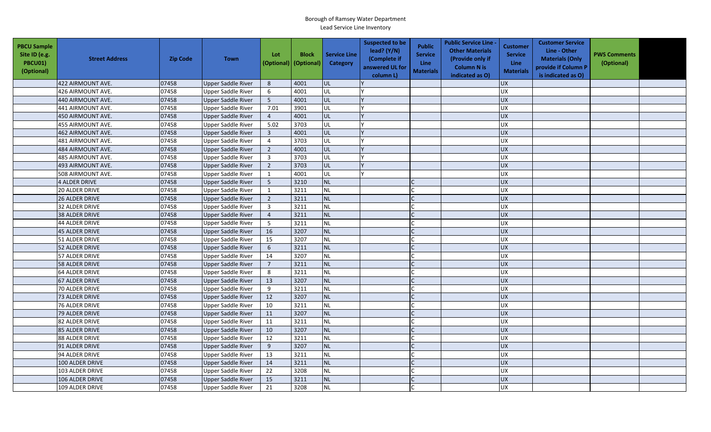| <b>PBCU Sample</b><br>Site ID (e.g.<br>PBCU01)<br>(Optional) | <b>Street Address</b> | <b>Zip Code</b> | <b>Town</b>               | Lot            | <b>Block</b><br>(Optional) (Optional) | <b>Service Line</b><br>Category | <b>Suspected to be</b><br>lead? (Y/N)<br>(Complete if<br>answered UL for<br>column L) | <b>Public</b><br><b>Service</b><br><b>Line</b><br><b>Materials</b> | <b>Public Service Line -</b><br><b>Other Materials</b><br>(Provide only if<br><b>Column N is</b><br>indicated as O) | Customer<br><b>Service</b><br><b>Line</b><br><b>Materials</b> | <b>Customer Service</b><br>Line - Other<br><b>Materials (Only</b><br>provide if Column P<br>is indicated as O) | <b>PWS Comments</b><br>(Optional) |  |
|--------------------------------------------------------------|-----------------------|-----------------|---------------------------|----------------|---------------------------------------|---------------------------------|---------------------------------------------------------------------------------------|--------------------------------------------------------------------|---------------------------------------------------------------------------------------------------------------------|---------------------------------------------------------------|----------------------------------------------------------------------------------------------------------------|-----------------------------------|--|
|                                                              | 422 AIRMOUNT AVE.     | 07458           | <b>Upper Saddle River</b> | 8              | 4001                                  | <b>UL</b>                       |                                                                                       |                                                                    |                                                                                                                     | <b>UX</b>                                                     |                                                                                                                |                                   |  |
|                                                              | 426 AIRMOUNT AVE.     | 07458           | Upper Saddle River        | 6              | 4001                                  | UL                              |                                                                                       |                                                                    |                                                                                                                     | <b>UX</b>                                                     |                                                                                                                |                                   |  |
|                                                              | 440 AIRMOUNT AVE.     | 07458           | Upper Saddle River        | 5              | 4001                                  | UL                              |                                                                                       |                                                                    |                                                                                                                     | UX                                                            |                                                                                                                |                                   |  |
|                                                              | 441 AIRMOUNT AVE.     | 07458           | <b>Upper Saddle River</b> | 7.01           | 3901                                  | UL                              |                                                                                       |                                                                    |                                                                                                                     | <b>UX</b>                                                     |                                                                                                                |                                   |  |
|                                                              | 450 AIRMOUNT AVE.     | 07458           | <b>Upper Saddle River</b> | $\overline{4}$ | 4001                                  | UL                              |                                                                                       |                                                                    |                                                                                                                     | <b>UX</b>                                                     |                                                                                                                |                                   |  |
|                                                              | 455 AIRMOUNT AVE.     | 07458           | <b>Upper Saddle River</b> | 5.02           | 3703                                  | UL                              |                                                                                       |                                                                    |                                                                                                                     | <b>UX</b>                                                     |                                                                                                                |                                   |  |
|                                                              | 462 AIRMOUNT AVE.     | 07458           | <b>Upper Saddle River</b> | $\overline{3}$ | 4001                                  | UL                              |                                                                                       |                                                                    |                                                                                                                     | <b>UX</b>                                                     |                                                                                                                |                                   |  |
|                                                              | 481 AIRMOUNT AVE.     | 07458           | <b>Upper Saddle River</b> | $\overline{4}$ | 3703                                  | UL                              |                                                                                       |                                                                    |                                                                                                                     | <b>UX</b>                                                     |                                                                                                                |                                   |  |
|                                                              | 484 AIRMOUNT AVE.     | 07458           | <b>Upper Saddle River</b> | $\overline{2}$ | 4001                                  | UL                              |                                                                                       |                                                                    |                                                                                                                     | <b>UX</b>                                                     |                                                                                                                |                                   |  |
|                                                              | 485 AIRMOUNT AVE.     | 07458           | <b>Upper Saddle River</b> | 3              | 3703                                  | UL                              |                                                                                       |                                                                    |                                                                                                                     | UX                                                            |                                                                                                                |                                   |  |
|                                                              | 493 AIRMOUNT AVE.     | 07458           | <b>Upper Saddle River</b> | $\overline{2}$ | 3703                                  | <b>UL</b>                       |                                                                                       |                                                                    |                                                                                                                     | <b>UX</b>                                                     |                                                                                                                |                                   |  |
|                                                              | 508 AIRMOUNT AVE.     | 07458           | <b>Upper Saddle River</b> | $\mathbf{1}$   | 4001                                  | UL                              |                                                                                       |                                                                    |                                                                                                                     | UX                                                            |                                                                                                                |                                   |  |
|                                                              | 4 ALDER DRIVE         | 07458           | <b>Upper Saddle River</b> | 5              | 3210                                  | <b>NL</b>                       |                                                                                       |                                                                    |                                                                                                                     | <b>UX</b>                                                     |                                                                                                                |                                   |  |
|                                                              | 20 ALDER DRIVE        | 07458           | <b>Upper Saddle River</b> | $\mathbf{1}$   | 3211                                  | <b>NL</b>                       |                                                                                       |                                                                    |                                                                                                                     | UX                                                            |                                                                                                                |                                   |  |
|                                                              | 26 ALDER DRIVE        | 07458           | <b>Upper Saddle River</b> | $\overline{2}$ | 3211                                  | <b>NL</b>                       |                                                                                       |                                                                    |                                                                                                                     | UX                                                            |                                                                                                                |                                   |  |
|                                                              | <b>32 ALDER DRIVE</b> | 07458           | <b>Upper Saddle River</b> | $\overline{3}$ | 3211                                  | <b>NL</b>                       |                                                                                       |                                                                    |                                                                                                                     | <b>UX</b>                                                     |                                                                                                                |                                   |  |
|                                                              | <b>38 ALDER DRIVE</b> | 07458           | <b>Upper Saddle River</b> | $\overline{4}$ | 3211                                  | <b>NL</b>                       |                                                                                       |                                                                    |                                                                                                                     | <b>UX</b>                                                     |                                                                                                                |                                   |  |
|                                                              | 44 ALDER DRIVE        | 07458           | <b>Upper Saddle River</b> | 5              | 3211                                  | <b>NL</b>                       |                                                                                       |                                                                    |                                                                                                                     | UX                                                            |                                                                                                                |                                   |  |
|                                                              | <b>45 ALDER DRIVE</b> | 07458           | <b>Upper Saddle River</b> | 16             | 3207                                  | <b>NL</b>                       |                                                                                       |                                                                    |                                                                                                                     | <b>UX</b>                                                     |                                                                                                                |                                   |  |
|                                                              | 51 ALDER DRIVE        | 07458           | <b>Upper Saddle River</b> | 15             | 3207                                  | <b>NL</b>                       |                                                                                       |                                                                    |                                                                                                                     | <b>UX</b>                                                     |                                                                                                                |                                   |  |
|                                                              | 52 ALDER DRIVE        | 07458           | <b>Upper Saddle River</b> | 6              | 3211                                  | NL                              |                                                                                       |                                                                    |                                                                                                                     | <b>UX</b>                                                     |                                                                                                                |                                   |  |
|                                                              | 57 ALDER DRIVE        | 07458           | Upper Saddle River        | 14             | 3207                                  | <b>NL</b>                       |                                                                                       |                                                                    |                                                                                                                     | <b>UX</b>                                                     |                                                                                                                |                                   |  |
|                                                              | <b>58 ALDER DRIVE</b> | 07458           | <b>Upper Saddle River</b> | $\overline{7}$ | 3211                                  | <b>NL</b>                       |                                                                                       |                                                                    |                                                                                                                     | UX                                                            |                                                                                                                |                                   |  |
|                                                              | 64 ALDER DRIVE        | 07458           | <b>Upper Saddle River</b> | 8              | 3211                                  | <b>NL</b>                       |                                                                                       |                                                                    |                                                                                                                     | <b>UX</b>                                                     |                                                                                                                |                                   |  |
|                                                              | 67 ALDER DRIVE        | 07458           | <b>Upper Saddle River</b> | 13             | 3207                                  | <b>NL</b>                       |                                                                                       |                                                                    |                                                                                                                     | UX                                                            |                                                                                                                |                                   |  |
|                                                              | 70 ALDER DRIVE        | 07458           | <b>Upper Saddle River</b> | 9              | 3211                                  | <b>NL</b>                       |                                                                                       |                                                                    |                                                                                                                     | <b>UX</b>                                                     |                                                                                                                |                                   |  |
|                                                              | 73 ALDER DRIVE        | 07458           | <b>Upper Saddle River</b> | 12             | 3207                                  | <b>NL</b>                       |                                                                                       |                                                                    |                                                                                                                     | <b>UX</b>                                                     |                                                                                                                |                                   |  |
|                                                              | 76 ALDER DRIVE        | 07458           | <b>Upper Saddle River</b> | 10             | 3211                                  | <b>NL</b>                       |                                                                                       |                                                                    |                                                                                                                     | <b>UX</b>                                                     |                                                                                                                |                                   |  |
|                                                              | 79 ALDER DRIVE        | 07458           | <b>Upper Saddle River</b> | 11             | 3207                                  | <b>NL</b>                       |                                                                                       |                                                                    |                                                                                                                     | <b>UX</b>                                                     |                                                                                                                |                                   |  |
|                                                              | 82 ALDER DRIVE        | 07458           | <b>Upper Saddle River</b> | 11             | 3211                                  | <b>NL</b>                       |                                                                                       |                                                                    |                                                                                                                     | UX                                                            |                                                                                                                |                                   |  |
|                                                              | 85 ALDER DRIVE        | 07458           | <b>Upper Saddle River</b> | 10             | 3207                                  | <b>NL</b>                       |                                                                                       |                                                                    |                                                                                                                     | <b>UX</b>                                                     |                                                                                                                |                                   |  |
|                                                              | <b>88 ALDER DRIVE</b> | 07458           | <b>Upper Saddle River</b> | 12             | 3211                                  | <b>NL</b>                       |                                                                                       |                                                                    |                                                                                                                     | UX                                                            |                                                                                                                |                                   |  |
|                                                              | 91 ALDER DRIVE        | 07458           | <b>Upper Saddle River</b> | 9              | 3207                                  | <b>NL</b>                       |                                                                                       |                                                                    |                                                                                                                     | <b>UX</b>                                                     |                                                                                                                |                                   |  |
|                                                              | 94 ALDER DRIVE        | 07458           | Upper Saddle River        | 13             | 3211                                  | <b>NL</b>                       |                                                                                       |                                                                    |                                                                                                                     | UX                                                            |                                                                                                                |                                   |  |
|                                                              | 100 ALDER DRIVE       | 07458           | <b>Upper Saddle River</b> | 14             | 3211                                  | NL                              |                                                                                       |                                                                    |                                                                                                                     | <b>UX</b>                                                     |                                                                                                                |                                   |  |
|                                                              | 103 ALDER DRIVE       | 07458           | <b>Upper Saddle River</b> | 22             | 3208                                  | <b>NL</b>                       |                                                                                       |                                                                    |                                                                                                                     | <b>UX</b>                                                     |                                                                                                                |                                   |  |
|                                                              | 106 ALDER DRIVE       | 07458           | <b>Upper Saddle River</b> | 15             | 3211                                  | <b>NL</b>                       |                                                                                       |                                                                    |                                                                                                                     | <b>UX</b>                                                     |                                                                                                                |                                   |  |
|                                                              | 109 ALDER DRIVE       | 07458           | <b>Upper Saddle River</b> | 21             | 3208                                  | <b>NL</b>                       |                                                                                       |                                                                    |                                                                                                                     | <b>UX</b>                                                     |                                                                                                                |                                   |  |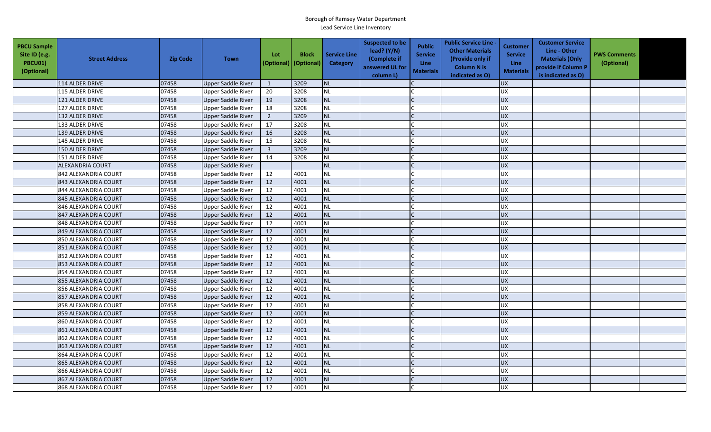| <b>PBCU Sample</b><br>Site ID (e.g.<br>PBCU01)<br>(Optional) | <b>Street Address</b> | <b>Zip Code</b> | <b>Town</b>               | Lot            | <b>Block</b><br>(Optional) (Optional) | <b>Service Line</b><br>Category | <b>Suspected to be</b><br>lead? (Y/N)<br>(Complete if<br>answered UL for<br>column L) | <b>Public</b><br><b>Service</b><br><b>Line</b><br><b>Materials</b> | <b>Public Service Line -</b><br><b>Other Materials</b><br>(Provide only if<br><b>Column N is</b><br>indicated as O) | Customer<br><b>Service</b><br><b>Line</b><br><b>Materials</b> | <b>Customer Service</b><br>Line - Other<br><b>Materials (Only</b><br>provide if Column P<br>is indicated as O) | <b>PWS Comments</b><br>(Optional) |  |
|--------------------------------------------------------------|-----------------------|-----------------|---------------------------|----------------|---------------------------------------|---------------------------------|---------------------------------------------------------------------------------------|--------------------------------------------------------------------|---------------------------------------------------------------------------------------------------------------------|---------------------------------------------------------------|----------------------------------------------------------------------------------------------------------------|-----------------------------------|--|
|                                                              | 114 ALDER DRIVE       | 07458           | <b>Upper Saddle River</b> | 1              | 3209                                  | <b>NL</b>                       |                                                                                       |                                                                    |                                                                                                                     | <b>UX</b>                                                     |                                                                                                                |                                   |  |
|                                                              | 115 ALDER DRIVE       | 07458           | Upper Saddle River        | 20             | 3208                                  | <b>NL</b>                       |                                                                                       |                                                                    |                                                                                                                     | <b>UX</b>                                                     |                                                                                                                |                                   |  |
|                                                              | 121 ALDER DRIVE       | 07458           | Upper Saddle River        | 19             | 3208                                  | <b>NL</b>                       |                                                                                       |                                                                    |                                                                                                                     | <b>UX</b>                                                     |                                                                                                                |                                   |  |
|                                                              | 127 ALDER DRIVE       | 07458           | <b>Upper Saddle River</b> | 18             | 3208                                  | <b>NL</b>                       |                                                                                       |                                                                    |                                                                                                                     | <b>UX</b>                                                     |                                                                                                                |                                   |  |
|                                                              | 132 ALDER DRIVE       | 07458           | <b>Upper Saddle River</b> | $\overline{2}$ | 3209                                  | <b>NL</b>                       |                                                                                       |                                                                    |                                                                                                                     | <b>UX</b>                                                     |                                                                                                                |                                   |  |
|                                                              | 133 ALDER DRIVE       | 07458           | Upper Saddle River        | 17             | 3208                                  | <b>NL</b>                       |                                                                                       |                                                                    |                                                                                                                     | <b>UX</b>                                                     |                                                                                                                |                                   |  |
|                                                              | 139 ALDER DRIVE       | 07458           | <b>Upper Saddle River</b> | 16             | 3208                                  | <b>NL</b>                       |                                                                                       |                                                                    |                                                                                                                     | <b>UX</b>                                                     |                                                                                                                |                                   |  |
|                                                              | 145 ALDER DRIVE       | 07458           | <b>Upper Saddle River</b> | 15             | 3208                                  | <b>NL</b>                       |                                                                                       |                                                                    |                                                                                                                     | <b>UX</b>                                                     |                                                                                                                |                                   |  |
|                                                              | 150 ALDER DRIVE       | 07458           | <b>Upper Saddle River</b> | $\overline{3}$ | 3209                                  | NL                              |                                                                                       |                                                                    |                                                                                                                     | <b>UX</b>                                                     |                                                                                                                |                                   |  |
|                                                              | 151 ALDER DRIVE       | 07458           | Upper Saddle River        | 14             | 3208                                  | <b>NL</b>                       |                                                                                       |                                                                    |                                                                                                                     | UX                                                            |                                                                                                                |                                   |  |
|                                                              | ALEXANDRIA COURT      | 07458           | <b>Upper Saddle River</b> |                |                                       | <b>NL</b>                       |                                                                                       |                                                                    |                                                                                                                     | <b>UX</b>                                                     |                                                                                                                |                                   |  |
|                                                              | 842 ALEXANDRIA COURT  | 07458           | <b>Upper Saddle River</b> | 12             | 4001                                  | <b>NL</b>                       |                                                                                       |                                                                    |                                                                                                                     | UX                                                            |                                                                                                                |                                   |  |
|                                                              | 843 ALEXANDRIA COURT  | 07458           | <b>Upper Saddle River</b> | 12             | 4001                                  | <b>NL</b>                       |                                                                                       |                                                                    |                                                                                                                     | <b>UX</b>                                                     |                                                                                                                |                                   |  |
|                                                              | 844 ALEXANDRIA COURT  | 07458           | <b>Upper Saddle River</b> | 12             | 4001                                  | <b>NL</b>                       |                                                                                       |                                                                    |                                                                                                                     | <b>UX</b>                                                     |                                                                                                                |                                   |  |
|                                                              | 845 ALEXANDRIA COURT  | 07458           | Upper Saddle River        | 12             | 4001                                  | <b>NL</b>                       |                                                                                       |                                                                    |                                                                                                                     | <b>UX</b>                                                     |                                                                                                                |                                   |  |
|                                                              | 846 ALEXANDRIA COURT  | 07458           | <b>Upper Saddle River</b> | 12             | 4001                                  | <b>NL</b>                       |                                                                                       |                                                                    |                                                                                                                     | <b>UX</b>                                                     |                                                                                                                |                                   |  |
|                                                              | 847 ALEXANDRIA COURT  | 07458           | Upper Saddle River        | 12             | 4001                                  | <b>NL</b>                       |                                                                                       |                                                                    |                                                                                                                     | <b>UX</b>                                                     |                                                                                                                |                                   |  |
|                                                              | 848 ALEXANDRIA COURT  | 07458           | <b>Upper Saddle River</b> | 12             | 4001                                  | <b>NL</b>                       |                                                                                       |                                                                    |                                                                                                                     | <b>UX</b>                                                     |                                                                                                                |                                   |  |
|                                                              | 849 ALEXANDRIA COURT  | 07458           | <b>Upper Saddle River</b> | 12             | 4001                                  | <b>NL</b>                       |                                                                                       |                                                                    |                                                                                                                     | <b>UX</b>                                                     |                                                                                                                |                                   |  |
|                                                              | 850 ALEXANDRIA COURT  | 07458           | Upper Saddle River        | 12             | 4001                                  | <b>NL</b>                       |                                                                                       |                                                                    |                                                                                                                     | <b>UX</b>                                                     |                                                                                                                |                                   |  |
|                                                              | 851 ALEXANDRIA COURT  | 07458           | <b>Upper Saddle River</b> | 12             | 4001                                  | <b>NL</b>                       |                                                                                       |                                                                    |                                                                                                                     | <b>UX</b>                                                     |                                                                                                                |                                   |  |
|                                                              | 852 ALEXANDRIA COURT  | 07458           | Upper Saddle River        | 12             | 4001                                  | <b>NL</b>                       |                                                                                       |                                                                    |                                                                                                                     | <b>UX</b>                                                     |                                                                                                                |                                   |  |
|                                                              | 853 ALEXANDRIA COURT  | 07458           | <b>Upper Saddle River</b> | 12             | 4001                                  | NL                              |                                                                                       |                                                                    |                                                                                                                     | UX                                                            |                                                                                                                |                                   |  |
|                                                              | 854 ALEXANDRIA COURT  | 07458           | <b>Upper Saddle River</b> | 12             | 4001                                  | <b>NL</b>                       |                                                                                       |                                                                    |                                                                                                                     | <b>UX</b>                                                     |                                                                                                                |                                   |  |
|                                                              | 855 ALEXANDRIA COURT  | 07458           | <b>Upper Saddle River</b> | 12             | 4001                                  | <b>NL</b>                       |                                                                                       |                                                                    |                                                                                                                     | UX                                                            |                                                                                                                |                                   |  |
|                                                              | 856 ALEXANDRIA COURT  | 07458           | <b>Upper Saddle River</b> | 12             | 4001                                  | <b>NL</b>                       |                                                                                       |                                                                    |                                                                                                                     | <b>UX</b>                                                     |                                                                                                                |                                   |  |
|                                                              | 857 ALEXANDRIA COURT  | 07458           | <b>Upper Saddle River</b> | 12             | 4001                                  | NL                              |                                                                                       |                                                                    |                                                                                                                     | <b>UX</b>                                                     |                                                                                                                |                                   |  |
|                                                              | 858 ALEXANDRIA COURT  | 07458           | <b>Upper Saddle River</b> | 12             | 4001                                  | <b>NL</b>                       |                                                                                       |                                                                    |                                                                                                                     | <b>UX</b>                                                     |                                                                                                                |                                   |  |
|                                                              | 859 ALEXANDRIA COURT  | 07458           | Upper Saddle River        | 12             | 4001                                  | <b>NL</b>                       |                                                                                       |                                                                    |                                                                                                                     | <b>UX</b>                                                     |                                                                                                                |                                   |  |
|                                                              | 860 ALEXANDRIA COURT  | 07458           | <b>Upper Saddle River</b> | 12             | 4001                                  | <b>NL</b>                       |                                                                                       |                                                                    |                                                                                                                     | UX                                                            |                                                                                                                |                                   |  |
|                                                              | 861 ALEXANDRIA COURT  | 07458           | <b>Upper Saddle River</b> | 12             | 4001                                  | <b>NL</b>                       |                                                                                       |                                                                    |                                                                                                                     | <b>UX</b>                                                     |                                                                                                                |                                   |  |
|                                                              | 862 ALEXANDRIA COURT  | 07458           | <b>Upper Saddle River</b> | 12             | 4001                                  | <b>NL</b>                       |                                                                                       |                                                                    |                                                                                                                     | UX                                                            |                                                                                                                |                                   |  |
|                                                              | 863 ALEXANDRIA COURT  | 07458           | <b>Upper Saddle River</b> | 12             | 4001                                  | <b>NL</b>                       |                                                                                       |                                                                    |                                                                                                                     | <b>UX</b>                                                     |                                                                                                                |                                   |  |
|                                                              | 864 ALEXANDRIA COURT  | 07458           | <b>Upper Saddle River</b> | 12             | 4001                                  | <b>NL</b>                       |                                                                                       |                                                                    |                                                                                                                     | <b>UX</b>                                                     |                                                                                                                |                                   |  |
|                                                              | 865 ALEXANDRIA COURT  | 07458           | Upper Saddle River        | 12             | 4001                                  | <b>NL</b>                       |                                                                                       |                                                                    |                                                                                                                     | <b>UX</b>                                                     |                                                                                                                |                                   |  |
|                                                              | 866 ALEXANDRIA COURT  | 07458           | <b>Upper Saddle River</b> | 12             | 4001                                  | <b>NL</b>                       |                                                                                       |                                                                    |                                                                                                                     | <b>UX</b>                                                     |                                                                                                                |                                   |  |
|                                                              | 867 ALEXANDRIA COURT  | 07458           | Upper Saddle River        | 12             | 4001                                  | NL                              |                                                                                       |                                                                    |                                                                                                                     | <b>UX</b>                                                     |                                                                                                                |                                   |  |
|                                                              | 868 ALEXANDRIA COURT  | 07458           | <b>Upper Saddle River</b> | 12             | 4001                                  | <b>NL</b>                       |                                                                                       |                                                                    |                                                                                                                     | <b>UX</b>                                                     |                                                                                                                |                                   |  |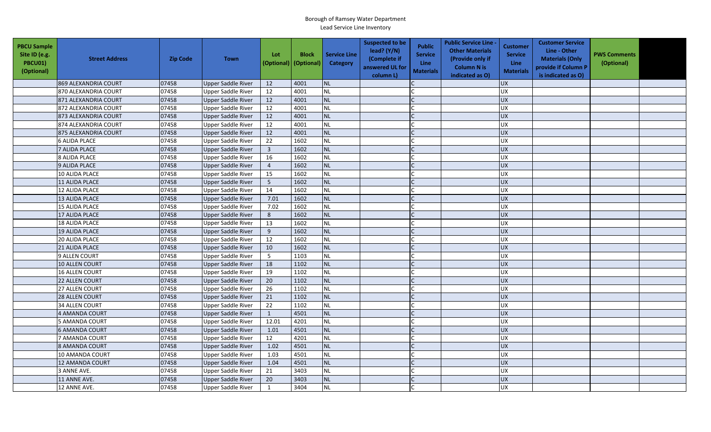| <b>PBCU Sample</b><br>Site ID (e.g.<br><b>PBCU01)</b><br>(Optional) | <b>Street Address</b> | <b>Zip Code</b> | <b>Town</b>               | Lot<br>(Optional)       | <b>Block</b><br>(Optional) | <b>Service Line</b><br>Category | <b>Suspected to be</b><br>lead? $(Y/N)$<br>(Complete if<br>answered UL for<br>column L) | <b>Public</b><br><b>Service</b><br><b>Line</b><br><b>Materials</b> | <b>Public Service Line -</b><br><b>Other Materials</b><br>(Provide only if<br><b>Column N is</b><br>indicated as O) | Customer<br><b>Service</b><br><b>Line</b><br><b>Materials</b> | <b>Customer Service</b><br>Line - Other<br><b>Materials (Only</b><br>provide if Column P<br>is indicated as O) | <b>PWS Comments</b><br>(Optional) |  |
|---------------------------------------------------------------------|-----------------------|-----------------|---------------------------|-------------------------|----------------------------|---------------------------------|-----------------------------------------------------------------------------------------|--------------------------------------------------------------------|---------------------------------------------------------------------------------------------------------------------|---------------------------------------------------------------|----------------------------------------------------------------------------------------------------------------|-----------------------------------|--|
|                                                                     | 869 ALEXANDRIA COURT  | 07458           | <b>Upper Saddle River</b> | 12                      | 4001                       | NL                              |                                                                                         |                                                                    |                                                                                                                     | <b>UX</b>                                                     |                                                                                                                |                                   |  |
|                                                                     | 870 ALEXANDRIA COURT  | 07458           | <b>Upper Saddle River</b> | 12                      | 4001                       | $\sf NL$                        |                                                                                         |                                                                    |                                                                                                                     | <b>UX</b>                                                     |                                                                                                                |                                   |  |
|                                                                     | 871 ALEXANDRIA COURT  | 07458           | <b>Upper Saddle River</b> | 12                      | 4001                       | NL                              |                                                                                         |                                                                    |                                                                                                                     | <b>UX</b>                                                     |                                                                                                                |                                   |  |
|                                                                     | 872 ALEXANDRIA COURT  | 07458           | <b>Upper Saddle River</b> | 12                      | 4001                       | <b>NL</b>                       |                                                                                         |                                                                    |                                                                                                                     | <b>UX</b>                                                     |                                                                                                                |                                   |  |
|                                                                     | 873 ALEXANDRIA COURT  | 07458           | <b>Upper Saddle River</b> | 12                      | 4001                       | <b>NL</b>                       |                                                                                         |                                                                    |                                                                                                                     | <b>UX</b>                                                     |                                                                                                                |                                   |  |
|                                                                     | 874 ALEXANDRIA COURT  | 07458           | <b>Upper Saddle River</b> | 12                      | 4001                       | NL                              |                                                                                         |                                                                    |                                                                                                                     | <b>UX</b>                                                     |                                                                                                                |                                   |  |
|                                                                     | 875 ALEXANDRIA COURT  | 07458           | <b>Upper Saddle River</b> | 12                      | 4001                       | <b>NL</b>                       |                                                                                         |                                                                    |                                                                                                                     | <b>UX</b>                                                     |                                                                                                                |                                   |  |
|                                                                     | <b>6 ALIDA PLACE</b>  | 07458           | <b>Upper Saddle River</b> | 22                      | 1602                       | <b>NL</b>                       |                                                                                         |                                                                    |                                                                                                                     | <b>UX</b>                                                     |                                                                                                                |                                   |  |
|                                                                     | 7 ALIDA PLACE         | 07458           | <b>Upper Saddle River</b> | $\overline{\mathbf{3}}$ | 1602                       | NL                              |                                                                                         |                                                                    |                                                                                                                     | <b>UX</b>                                                     |                                                                                                                |                                   |  |
|                                                                     | 8 ALIDA PLACE         | 07458           | <b>Upper Saddle River</b> | 16                      | 1602                       | NL                              |                                                                                         |                                                                    |                                                                                                                     | UX                                                            |                                                                                                                |                                   |  |
|                                                                     | 9 ALIDA PLACE         | 07458           | <b>Upper Saddle River</b> | $\overline{4}$          | 1602                       | NL                              |                                                                                         |                                                                    |                                                                                                                     | <b>UX</b>                                                     |                                                                                                                |                                   |  |
|                                                                     | 10 ALIDA PLACE        | 07458           | <b>Upper Saddle River</b> | 15                      | 1602                       | <b>NL</b>                       |                                                                                         |                                                                    |                                                                                                                     | <b>UX</b>                                                     |                                                                                                                |                                   |  |
|                                                                     | 11 ALIDA PLACE        | 07458           | <b>Upper Saddle River</b> | 5                       | 1602                       | NL                              |                                                                                         |                                                                    |                                                                                                                     | <b>UX</b>                                                     |                                                                                                                |                                   |  |
|                                                                     | 12 ALIDA PLACE        | 07458           | <b>Upper Saddle River</b> | 14                      | 1602                       | <b>NL</b>                       |                                                                                         |                                                                    |                                                                                                                     | UX                                                            |                                                                                                                |                                   |  |
|                                                                     | 13 ALIDA PLACE        | 07458           | <b>Upper Saddle River</b> | 7.01                    | 1602                       | <b>NL</b>                       |                                                                                         |                                                                    |                                                                                                                     | <b>UX</b>                                                     |                                                                                                                |                                   |  |
|                                                                     | 15 ALIDA PLACE        | 07458           | <b>Upper Saddle River</b> | 7.02                    | 1602                       | NL                              |                                                                                         |                                                                    |                                                                                                                     | <b>UX</b>                                                     |                                                                                                                |                                   |  |
|                                                                     | 17 ALIDA PLACE        | 07458           | <b>Upper Saddle River</b> | 8                       | 1602                       | <b>NL</b>                       |                                                                                         |                                                                    |                                                                                                                     | <b>UX</b>                                                     |                                                                                                                |                                   |  |
|                                                                     | 18 ALIDA PLACE        | 07458           | <b>Upper Saddle River</b> | 13                      | 1602                       | NL                              |                                                                                         |                                                                    |                                                                                                                     | <b>UX</b>                                                     |                                                                                                                |                                   |  |
|                                                                     | <b>19 ALIDA PLACE</b> | 07458           | <b>Upper Saddle River</b> | 9                       | 1602                       | <b>NL</b>                       |                                                                                         |                                                                    |                                                                                                                     | <b>UX</b>                                                     |                                                                                                                |                                   |  |
|                                                                     | 20 ALIDA PLACE        | 07458           | <b>Upper Saddle River</b> | 12                      | 1602                       | NL                              |                                                                                         |                                                                    |                                                                                                                     | <b>UX</b>                                                     |                                                                                                                |                                   |  |
|                                                                     | 21 ALIDA PLACE        | 07458           | <b>Upper Saddle River</b> | 10                      | 1602                       | NL                              |                                                                                         |                                                                    |                                                                                                                     | <b>UX</b>                                                     |                                                                                                                |                                   |  |
|                                                                     | 9 ALLEN COURT         | 07458           | <b>Upper Saddle River</b> | $5\phantom{.0}$         | 1103                       | NL                              |                                                                                         |                                                                    |                                                                                                                     | UX                                                            |                                                                                                                |                                   |  |
|                                                                     | 10 ALLEN COURT        | 07458           | <b>Upper Saddle River</b> | 18                      | 1102                       | <b>NL</b>                       |                                                                                         |                                                                    |                                                                                                                     | <b>UX</b>                                                     |                                                                                                                |                                   |  |
|                                                                     | 16 ALLEN COURT        | 07458           | <b>Upper Saddle River</b> | 19                      | 1102                       | NL                              |                                                                                         |                                                                    |                                                                                                                     | <b>UX</b>                                                     |                                                                                                                |                                   |  |
|                                                                     | 22 ALLEN COURT        | 07458           | <b>Upper Saddle River</b> | 20                      | 1102                       | NL                              |                                                                                         |                                                                    |                                                                                                                     | <b>UX</b>                                                     |                                                                                                                |                                   |  |
|                                                                     | 27 ALLEN COURT        | 07458           | <b>Upper Saddle River</b> | 26                      | 1102                       | <b>NL</b>                       |                                                                                         |                                                                    |                                                                                                                     | <b>UX</b>                                                     |                                                                                                                |                                   |  |
|                                                                     | 28 ALLEN COURT        | 07458           | <b>Upper Saddle River</b> | 21                      | 1102                       | <b>NL</b>                       |                                                                                         |                                                                    |                                                                                                                     | <b>UX</b>                                                     |                                                                                                                |                                   |  |
|                                                                     | <b>34 ALLEN COURT</b> | 07458           | <b>Upper Saddle River</b> | 22                      | 1102                       | <b>NL</b>                       |                                                                                         |                                                                    |                                                                                                                     | <b>UX</b>                                                     |                                                                                                                |                                   |  |
|                                                                     | 4 AMANDA COURT        | 07458           | Upper Saddle River        | 1                       | 4501                       | <b>NL</b>                       |                                                                                         |                                                                    |                                                                                                                     | <b>UX</b>                                                     |                                                                                                                |                                   |  |
|                                                                     | 5 AMANDA COURT        | 07458           | <b>Upper Saddle River</b> | 12.01                   | 4201                       | NL                              |                                                                                         |                                                                    |                                                                                                                     | <b>UX</b>                                                     |                                                                                                                |                                   |  |
|                                                                     | <b>6 AMANDA COURT</b> | 07458           | <b>Upper Saddle River</b> | 1.01                    | 4501                       | <b>NL</b>                       |                                                                                         |                                                                    |                                                                                                                     | <b>UX</b>                                                     |                                                                                                                |                                   |  |
|                                                                     | 7 AMANDA COURT        | 07458           | <b>Upper Saddle River</b> | 12                      | 4201                       | NL                              |                                                                                         |                                                                    |                                                                                                                     | UX                                                            |                                                                                                                |                                   |  |
|                                                                     | 8 AMANDA COURT        | 07458           | <b>Upper Saddle River</b> | 1.02                    | 4501                       | <b>NL</b>                       |                                                                                         |                                                                    |                                                                                                                     | <b>UX</b>                                                     |                                                                                                                |                                   |  |
|                                                                     | 10 AMANDA COURT       | 07458           | <b>Upper Saddle River</b> | 1.03                    | 4501                       | <b>NL</b>                       |                                                                                         |                                                                    |                                                                                                                     | <b>UX</b>                                                     |                                                                                                                |                                   |  |
|                                                                     | 12 AMANDA COURT       | 07458           | <b>Upper Saddle River</b> | 1.04                    | 4501                       | NL                              |                                                                                         |                                                                    |                                                                                                                     | <b>UX</b>                                                     |                                                                                                                |                                   |  |
|                                                                     | 3 ANNE AVE.           | 07458           | <b>Upper Saddle River</b> | 21                      | 3403                       | NL                              |                                                                                         |                                                                    |                                                                                                                     | <b>UX</b>                                                     |                                                                                                                |                                   |  |
|                                                                     | 11 ANNE AVE.          | 07458           | <b>Upper Saddle River</b> | 20                      | 3403                       | NL                              |                                                                                         |                                                                    |                                                                                                                     | <b>UX</b>                                                     |                                                                                                                |                                   |  |
|                                                                     | 12 ANNE AVE.          | 07458           | <b>Upper Saddle River</b> | $\mathbf{1}$            | 3404                       | <b>NL</b>                       |                                                                                         |                                                                    |                                                                                                                     | <b>UX</b>                                                     |                                                                                                                |                                   |  |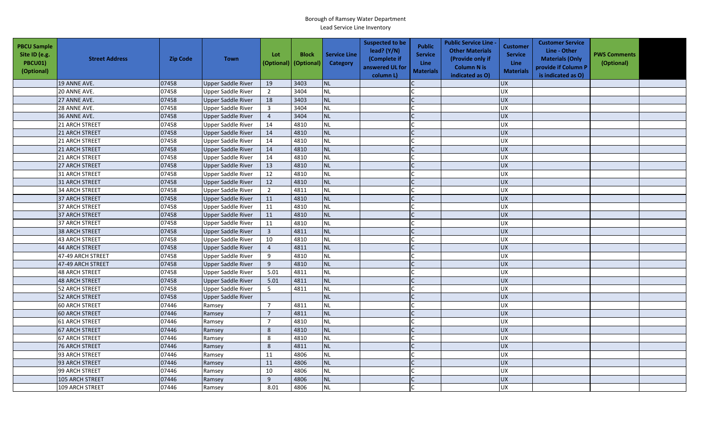| <b>PBCU Sample</b><br>Site ID (e.g.<br><b>PBCU01)</b><br>(Optional) | <b>Street Address</b> | <b>Zip Code</b> | <b>Town</b>               | Lot             | <b>Block</b><br>(Optional) (Optional) | <b>Service Line</b><br>Category | <b>Suspected to be</b><br>lead? $(Y/N)$<br>(Complete if<br>answered UL for<br>column L) | <b>Public</b><br><b>Service</b><br><b>Line</b><br><b>Materials</b> | <b>Public Service Line -</b><br><b>Other Materials</b><br>(Provide only if<br><b>Column N is</b><br>indicated as O) | Customer<br><b>Service</b><br><b>Line</b><br><b>Materials</b> | <b>Customer Service</b><br>Line - Other<br><b>Materials (Only</b><br>provide if Column P<br>is indicated as O) | <b>PWS Comments</b><br>(Optional) |  |
|---------------------------------------------------------------------|-----------------------|-----------------|---------------------------|-----------------|---------------------------------------|---------------------------------|-----------------------------------------------------------------------------------------|--------------------------------------------------------------------|---------------------------------------------------------------------------------------------------------------------|---------------------------------------------------------------|----------------------------------------------------------------------------------------------------------------|-----------------------------------|--|
|                                                                     | 19 ANNE AVE.          | 07458           | <b>Upper Saddle River</b> | 19              | 3403                                  | <b>NL</b>                       |                                                                                         |                                                                    |                                                                                                                     | <b>UX</b>                                                     |                                                                                                                |                                   |  |
|                                                                     | 20 ANNE AVE.          | 07458           | <b>Upper Saddle River</b> | $\overline{2}$  | 3404                                  | <b>NL</b>                       |                                                                                         |                                                                    |                                                                                                                     | <b>UX</b>                                                     |                                                                                                                |                                   |  |
|                                                                     | 27 ANNE AVE.          | 07458           | <b>Upper Saddle River</b> | 18              | 3403                                  | <b>NL</b>                       |                                                                                         |                                                                    |                                                                                                                     | UX                                                            |                                                                                                                |                                   |  |
|                                                                     | 28 ANNE AVE.          | 07458           | <b>Upper Saddle River</b> | $\overline{3}$  | 3404                                  | <b>NL</b>                       |                                                                                         |                                                                    |                                                                                                                     | <b>UX</b>                                                     |                                                                                                                |                                   |  |
|                                                                     | 36 ANNE AVE.          | 07458           | <b>Upper Saddle River</b> | $\sqrt{4}$      | 3404                                  | <b>NL</b>                       |                                                                                         |                                                                    |                                                                                                                     | <b>UX</b>                                                     |                                                                                                                |                                   |  |
|                                                                     | 21 ARCH STREET        | 07458           | <b>Upper Saddle River</b> | 14              | 4810                                  | <b>NL</b>                       |                                                                                         |                                                                    |                                                                                                                     | <b>UX</b>                                                     |                                                                                                                |                                   |  |
|                                                                     | 21 ARCH STREET        | 07458           | <b>Upper Saddle River</b> | 14              | 4810                                  | <b>NL</b>                       |                                                                                         |                                                                    |                                                                                                                     | <b>UX</b>                                                     |                                                                                                                |                                   |  |
|                                                                     | 21 ARCH STREET        | 07458           | <b>Upper Saddle River</b> | 14              | 4810                                  | <b>NL</b>                       |                                                                                         |                                                                    |                                                                                                                     | UX                                                            |                                                                                                                |                                   |  |
|                                                                     | 21 ARCH STREET        | 07458           | <b>Upper Saddle River</b> | 14              | 4810                                  | <b>NL</b>                       |                                                                                         |                                                                    |                                                                                                                     | <b>UX</b>                                                     |                                                                                                                |                                   |  |
|                                                                     | 21 ARCH STREET        | 07458           | <b>Upper Saddle River</b> | 14              | 4810                                  | <b>NL</b>                       |                                                                                         |                                                                    |                                                                                                                     | UX                                                            |                                                                                                                |                                   |  |
|                                                                     | 27 ARCH STREET        | 07458           | <b>Upper Saddle River</b> | 13              | 4810                                  | NL                              |                                                                                         |                                                                    |                                                                                                                     | UX                                                            |                                                                                                                |                                   |  |
|                                                                     | <b>31 ARCH STREET</b> | 07458           | <b>Upper Saddle River</b> | 12              | 4810                                  | <b>NL</b>                       |                                                                                         |                                                                    |                                                                                                                     | UX                                                            |                                                                                                                |                                   |  |
|                                                                     | 31 ARCH STREET        | 07458           | <b>Upper Saddle River</b> | 12              | 4810                                  | NL                              |                                                                                         |                                                                    |                                                                                                                     | <b>UX</b>                                                     |                                                                                                                |                                   |  |
|                                                                     | <b>34 ARCH STREET</b> | 07458           | <b>Upper Saddle River</b> | $\overline{2}$  | 4811                                  | <b>NL</b>                       |                                                                                         |                                                                    |                                                                                                                     | UX                                                            |                                                                                                                |                                   |  |
|                                                                     | 37 ARCH STREET        | 07458           | <b>Upper Saddle River</b> | 11              | 4810                                  | <b>NL</b>                       |                                                                                         |                                                                    |                                                                                                                     | UX                                                            |                                                                                                                |                                   |  |
|                                                                     | 37 ARCH STREET        | 07458           | <b>Upper Saddle River</b> | 11              | 4810                                  | <b>NL</b>                       |                                                                                         |                                                                    |                                                                                                                     | <b>UX</b>                                                     |                                                                                                                |                                   |  |
|                                                                     | 37 ARCH STREET        | 07458           | <b>Upper Saddle River</b> | 11              | 4810                                  | NL                              |                                                                                         |                                                                    |                                                                                                                     | <b>UX</b>                                                     |                                                                                                                |                                   |  |
|                                                                     | <b>37 ARCH STREET</b> | 07458           | <b>Upper Saddle River</b> | 11              | 4810                                  | <b>NL</b>                       |                                                                                         |                                                                    |                                                                                                                     | UX                                                            |                                                                                                                |                                   |  |
|                                                                     | 38 ARCH STREET        | 07458           | <b>Upper Saddle River</b> | $\overline{3}$  | 4811                                  | <b>NL</b>                       |                                                                                         |                                                                    |                                                                                                                     | <b>UX</b>                                                     |                                                                                                                |                                   |  |
|                                                                     | <b>43 ARCH STREET</b> | 07458           | <b>Upper Saddle River</b> | 10              | 4810                                  | <b>NL</b>                       |                                                                                         |                                                                    |                                                                                                                     | <b>UX</b>                                                     |                                                                                                                |                                   |  |
|                                                                     | 44 ARCH STREET        | 07458           | <b>Upper Saddle River</b> | $\overline{4}$  | 4811                                  | NL                              |                                                                                         |                                                                    |                                                                                                                     | UX                                                            |                                                                                                                |                                   |  |
|                                                                     | 47-49 ARCH STREET     | 07458           | Upper Saddle River        | 9               | 4810                                  | <b>NL</b>                       |                                                                                         |                                                                    |                                                                                                                     | <b>UX</b>                                                     |                                                                                                                |                                   |  |
|                                                                     | 47-49 ARCH STREET     | 07458           | <b>Upper Saddle River</b> | 9               | 4810                                  | <b>NL</b>                       |                                                                                         |                                                                    |                                                                                                                     | UX                                                            |                                                                                                                |                                   |  |
|                                                                     | 48 ARCH STREET        | 07458           | <b>Upper Saddle River</b> | 5.01            | 4811                                  | NL                              |                                                                                         |                                                                    |                                                                                                                     | UX                                                            |                                                                                                                |                                   |  |
|                                                                     | 48 ARCH STREET        | 07458           | <b>Upper Saddle River</b> | 5.01            | 4811                                  | <b>NL</b>                       |                                                                                         |                                                                    |                                                                                                                     | UX                                                            |                                                                                                                |                                   |  |
|                                                                     | 52 ARCH STREET        | 07458           | <b>Upper Saddle River</b> | $5\phantom{.0}$ | 4811                                  | <b>NL</b>                       |                                                                                         |                                                                    |                                                                                                                     | <b>UX</b>                                                     |                                                                                                                |                                   |  |
|                                                                     | 52 ARCH STREET        | 07458           | <b>Upper Saddle River</b> |                 |                                       | <b>NL</b>                       |                                                                                         |                                                                    |                                                                                                                     | <b>UX</b>                                                     |                                                                                                                |                                   |  |
|                                                                     | 60 ARCH STREET        | 07446           | Ramsey                    | $\overline{7}$  | 4811                                  | <b>NL</b>                       |                                                                                         |                                                                    |                                                                                                                     | <b>UX</b>                                                     |                                                                                                                |                                   |  |
|                                                                     | <b>60 ARCH STREET</b> | 07446           | Ramsey                    | $\overline{7}$  | 4811                                  | <b>NL</b>                       |                                                                                         |                                                                    |                                                                                                                     | <b>UX</b>                                                     |                                                                                                                |                                   |  |
|                                                                     | <b>61 ARCH STREET</b> | 07446           | Ramsey                    | $\overline{7}$  | 4810                                  | <b>NL</b>                       |                                                                                         |                                                                    |                                                                                                                     | UX                                                            |                                                                                                                |                                   |  |
|                                                                     | 67 ARCH STREET        | 07446           | Ramsey                    | 8               | 4810                                  | <b>NL</b>                       |                                                                                         |                                                                    |                                                                                                                     | <b>UX</b>                                                     |                                                                                                                |                                   |  |
|                                                                     | <b>67 ARCH STREET</b> | 07446           | Ramsey                    | $\,8\,$         | 4810                                  | <b>NL</b>                       |                                                                                         |                                                                    |                                                                                                                     | UX                                                            |                                                                                                                |                                   |  |
|                                                                     | <b>76 ARCH STREET</b> | 07446           | Ramsey                    | 8               | 4811                                  | <b>NL</b>                       |                                                                                         |                                                                    |                                                                                                                     | <b>UX</b>                                                     |                                                                                                                |                                   |  |
|                                                                     | 93 ARCH STREET        | 07446           | Ramsey                    | 11              | 4806                                  | <b>NL</b>                       |                                                                                         |                                                                    |                                                                                                                     | UX                                                            |                                                                                                                |                                   |  |
|                                                                     | 93 ARCH STREET        | 07446           | Ramsey                    | 11              | 4806                                  | NL                              |                                                                                         |                                                                    |                                                                                                                     | <b>UX</b>                                                     |                                                                                                                |                                   |  |
|                                                                     | 99 ARCH STREET        | 07446           | Ramsey                    | 10              | 4806                                  | <b>NL</b>                       |                                                                                         |                                                                    |                                                                                                                     | UX                                                            |                                                                                                                |                                   |  |
|                                                                     | 105 ARCH STREET       | 07446           | Ramsey                    | 9               | 4806                                  | NL                              |                                                                                         |                                                                    |                                                                                                                     | <b>UX</b>                                                     |                                                                                                                |                                   |  |
|                                                                     | 109 ARCH STREET       | 07446           | Ramsey                    | 8.01            | 4806                                  | NL                              |                                                                                         |                                                                    |                                                                                                                     | <b>UX</b>                                                     |                                                                                                                |                                   |  |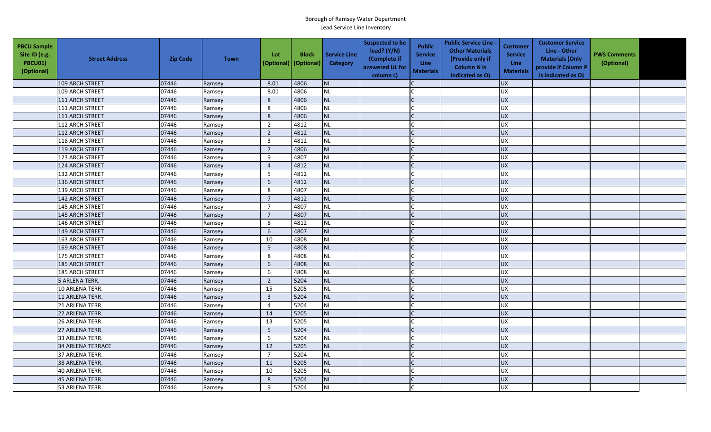| <b>PBCU Sample</b><br>Site ID (e.g.<br><b>PBCU01)</b><br>(Optional) | <b>Street Address</b>    | <b>Zip Code</b> | <b>Town</b> | Lot<br>(Optional) | <b>Block</b><br>(Optional) | <b>Service Line</b><br>Category | <b>Suspected to be</b><br>lead? (Y/N)<br>(Complete if<br>answered UL for<br>column L) | <b>Public</b><br><b>Service</b><br><b>Line</b><br><b>Materials</b> | <b>Public Service Line -</b><br><b>Other Materials</b><br>(Provide only if<br><b>Column N is</b><br>indicated as O) | <b>Customer</b><br><b>Service</b><br><b>Line</b><br><b>Materials</b> | <b>Customer Service</b><br>Line - Other<br><b>Materials (Only</b><br>provide if Column P<br>is indicated as O) | <b>PWS Comments</b><br>(Optional) |  |
|---------------------------------------------------------------------|--------------------------|-----------------|-------------|-------------------|----------------------------|---------------------------------|---------------------------------------------------------------------------------------|--------------------------------------------------------------------|---------------------------------------------------------------------------------------------------------------------|----------------------------------------------------------------------|----------------------------------------------------------------------------------------------------------------|-----------------------------------|--|
|                                                                     | 109 ARCH STREET          | 07446           | Ramsey      | 8.01              | 4806                       | <b>NL</b>                       |                                                                                       |                                                                    |                                                                                                                     | <b>UX</b>                                                            |                                                                                                                |                                   |  |
|                                                                     | 109 ARCH STREET          | 07446           | Ramsey      | 8.01              | 4806                       | <b>NL</b>                       |                                                                                       |                                                                    |                                                                                                                     | UX                                                                   |                                                                                                                |                                   |  |
|                                                                     | 111 ARCH STREET          | 07446           | Ramsey      | 8                 | 4806                       | <b>NL</b>                       |                                                                                       |                                                                    |                                                                                                                     | <b>UX</b>                                                            |                                                                                                                |                                   |  |
|                                                                     | 111 ARCH STREET          | 07446           | Ramsey      | 8                 | 4806                       | <b>NL</b>                       |                                                                                       |                                                                    |                                                                                                                     | <b>UX</b>                                                            |                                                                                                                |                                   |  |
|                                                                     | 111 ARCH STREET          | 07446           | Ramsey      | $\,8\,$           | 4806                       | <b>NL</b>                       |                                                                                       |                                                                    |                                                                                                                     | <b>UX</b>                                                            |                                                                                                                |                                   |  |
|                                                                     | 112 ARCH STREET          | 07446           | Ramsey      | $\overline{2}$    | 4812                       | <b>NL</b>                       |                                                                                       |                                                                    |                                                                                                                     | <b>UX</b>                                                            |                                                                                                                |                                   |  |
|                                                                     | 112 ARCH STREET          | 07446           | Ramsey      | $\overline{2}$    | 4812                       | <b>NL</b>                       |                                                                                       | $\mathsf{C}$                                                       |                                                                                                                     | <b>UX</b>                                                            |                                                                                                                |                                   |  |
|                                                                     | 118 ARCH STREET          | 07446           | Ramsey      | $\overline{3}$    | 4812                       | <b>NL</b>                       |                                                                                       |                                                                    |                                                                                                                     | <b>UX</b>                                                            |                                                                                                                |                                   |  |
|                                                                     | 119 ARCH STREET          | 07446           | Ramsey      | $\overline{7}$    | 4806                       | <b>NL</b>                       |                                                                                       |                                                                    |                                                                                                                     | <b>UX</b>                                                            |                                                                                                                |                                   |  |
|                                                                     | 123 ARCH STREET          | 07446           | Ramsey      | 9                 | 4807                       | NL                              |                                                                                       |                                                                    |                                                                                                                     | UX                                                                   |                                                                                                                |                                   |  |
|                                                                     | 124 ARCH STREET          | 07446           | Ramsey      | $\overline{4}$    | 4812                       | <b>NL</b>                       |                                                                                       | C                                                                  |                                                                                                                     | <b>UX</b>                                                            |                                                                                                                |                                   |  |
|                                                                     | 132 ARCH STREET          | 07446           | Ramsey      | 5                 | 4812                       | <b>NL</b>                       |                                                                                       |                                                                    |                                                                                                                     | <b>UX</b>                                                            |                                                                                                                |                                   |  |
|                                                                     | 136 ARCH STREET          | 07446           | Ramsey      | 6                 | 4812                       | <b>NL</b>                       |                                                                                       |                                                                    |                                                                                                                     | <b>UX</b>                                                            |                                                                                                                |                                   |  |
|                                                                     | 139 ARCH STREET          | 07446           | Ramsey      | 8                 | 4807                       | <b>NL</b>                       |                                                                                       |                                                                    |                                                                                                                     | <b>UX</b>                                                            |                                                                                                                |                                   |  |
|                                                                     | 142 ARCH STREET          | 07446           | Ramsey      | $\overline{7}$    | 4812                       | <b>NL</b>                       |                                                                                       |                                                                    |                                                                                                                     | <b>UX</b>                                                            |                                                                                                                |                                   |  |
|                                                                     | 145 ARCH STREET          | 07446           | Ramsey      | $\overline{7}$    | 4807                       | <b>NL</b>                       |                                                                                       |                                                                    |                                                                                                                     | <b>UX</b>                                                            |                                                                                                                |                                   |  |
|                                                                     | 145 ARCH STREET          | 07446           | Ramsey      | $\overline{7}$    | 4807                       | <b>NL</b>                       |                                                                                       |                                                                    |                                                                                                                     | UX                                                                   |                                                                                                                |                                   |  |
|                                                                     | 146 ARCH STREET          | 07446           | Ramsey      | 8                 | 4812                       | <b>NL</b>                       |                                                                                       |                                                                    |                                                                                                                     | UX                                                                   |                                                                                                                |                                   |  |
|                                                                     | 149 ARCH STREET          | 07446           | Ramsey      | 6                 | 4807                       | <b>NL</b>                       |                                                                                       |                                                                    |                                                                                                                     | <b>UX</b>                                                            |                                                                                                                |                                   |  |
|                                                                     | 163 ARCH STREET          | 07446           | Ramsey      | 10                | 4808                       | <b>NL</b>                       |                                                                                       |                                                                    |                                                                                                                     | <b>UX</b>                                                            |                                                                                                                |                                   |  |
|                                                                     | 169 ARCH STREET          | 07446           | Ramsey      | 9                 | 4808                       | <b>NL</b>                       |                                                                                       |                                                                    |                                                                                                                     | <b>UX</b>                                                            |                                                                                                                |                                   |  |
|                                                                     | 175 ARCH STREET          | 07446           | Ramsey      | $\,8\,$           | 4808                       | <b>NL</b>                       |                                                                                       |                                                                    |                                                                                                                     | <b>UX</b>                                                            |                                                                                                                |                                   |  |
|                                                                     | 185 ARCH STREET          | 07446           | Ramsey      | 6                 | 4808                       | <b>NL</b>                       |                                                                                       |                                                                    |                                                                                                                     | UX                                                                   |                                                                                                                |                                   |  |
|                                                                     | 185 ARCH STREET          | 07446           | Ramsey      | 6                 | 4808                       | <b>NL</b>                       |                                                                                       |                                                                    |                                                                                                                     | UX                                                                   |                                                                                                                |                                   |  |
|                                                                     | 5 ARLENA TERR.           | 07446           | Ramsey      | $\overline{2}$    | 5204                       | <b>NL</b>                       |                                                                                       |                                                                    |                                                                                                                     | UX                                                                   |                                                                                                                |                                   |  |
|                                                                     | 10 ARLENA TERR.          | 07446           | Ramsey      | 15                | 5205                       | <b>NL</b>                       |                                                                                       |                                                                    |                                                                                                                     | <b>UX</b>                                                            |                                                                                                                |                                   |  |
|                                                                     | 11 ARLENA TERR.          | 07446           | Ramsey      | $\mathbf{3}$      | 5204                       | <b>NL</b>                       |                                                                                       |                                                                    |                                                                                                                     | UX                                                                   |                                                                                                                |                                   |  |
|                                                                     | 21 ARLENA TERR.          | 07446           | Ramsey      | $\overline{4}$    | 5204                       | <b>NL</b>                       |                                                                                       |                                                                    |                                                                                                                     | <b>UX</b>                                                            |                                                                                                                |                                   |  |
|                                                                     | 22 ARLENA TERR.          | 07446           | Ramsey      | 14                | 5205                       | <b>NL</b>                       |                                                                                       |                                                                    |                                                                                                                     | <b>UX</b>                                                            |                                                                                                                |                                   |  |
|                                                                     | 26 ARLENA TERR.          | 07446           | Ramsey      | 13                | 5205                       | <b>NL</b>                       |                                                                                       |                                                                    |                                                                                                                     | UX                                                                   |                                                                                                                |                                   |  |
|                                                                     | 27 ARLENA TERR.          | 07446           | Ramsey      | 5                 | 5204                       | <b>NL</b>                       |                                                                                       |                                                                    |                                                                                                                     | <b>UX</b>                                                            |                                                                                                                |                                   |  |
|                                                                     | 33 ARLENA TERR.          | 07446           | Ramsey      | 6                 | 5204                       | <b>NL</b>                       |                                                                                       |                                                                    |                                                                                                                     | UX                                                                   |                                                                                                                |                                   |  |
|                                                                     | <b>34 ARLENA TERRACE</b> | 07446           | Ramsey      | 12                | 5205                       | <b>NL</b>                       |                                                                                       |                                                                    |                                                                                                                     | <b>UX</b>                                                            |                                                                                                                |                                   |  |
|                                                                     | 37 ARLENA TERR.          | 07446           | Ramsey      | $\overline{7}$    | 5204                       | <b>NL</b>                       |                                                                                       |                                                                    |                                                                                                                     | <b>UX</b>                                                            |                                                                                                                |                                   |  |
|                                                                     | 38 ARLENA TERR.          | 07446           | Ramsey      | 11                | 5205                       | <b>NL</b>                       |                                                                                       |                                                                    |                                                                                                                     | <b>UX</b>                                                            |                                                                                                                |                                   |  |
|                                                                     | 40 ARLENA TERR.          | 07446           | Ramsey      | 10                | 5205                       | <b>NL</b>                       |                                                                                       |                                                                    |                                                                                                                     | <b>UX</b>                                                            |                                                                                                                |                                   |  |
|                                                                     | 45 ARLENA TERR.          | 07446           | Ramsey      | $\,8\,$           | 5204                       | <b>NL</b>                       |                                                                                       |                                                                    |                                                                                                                     | UX                                                                   |                                                                                                                |                                   |  |
|                                                                     | 53 ARLENA TERR.          | 07446           | Ramsey      | 9                 | 5204                       | <b>NL</b>                       |                                                                                       |                                                                    |                                                                                                                     | <b>UX</b>                                                            |                                                                                                                |                                   |  |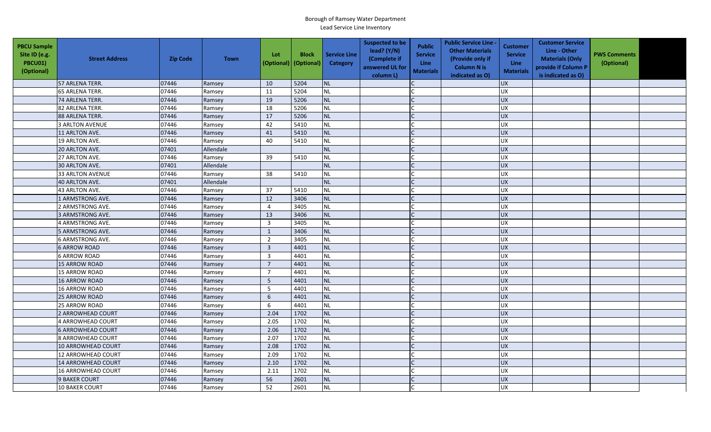| <b>PBCU Sample</b><br>Site ID (e.g.<br>PBCU01)<br>(Optional) | <b>Street Address</b>     | <b>Zip Code</b> | <b>Town</b> | Lot<br>(Optional) | <b>Block</b><br>(Optional) | <b>Service Line</b><br>Category | <b>Suspected to be</b><br>lead? $(Y/N)$<br>(Complete if<br>answered UL for<br>column L) | <b>Public</b><br><b>Service</b><br><b>Line</b><br><b>Materials</b> | <b>Public Service Line -</b><br><b>Other Materials</b><br>(Provide only if<br><b>Column N is</b><br>indicated as O) | <b>Customer</b><br><b>Service</b><br>Line<br><b>Materials</b> | <b>Customer Service</b><br>Line - Other<br><b>Materials (Only</b><br>provide if Column P<br>is indicated as O) | <b>PWS Comments</b><br>(Optional) |  |
|--------------------------------------------------------------|---------------------------|-----------------|-------------|-------------------|----------------------------|---------------------------------|-----------------------------------------------------------------------------------------|--------------------------------------------------------------------|---------------------------------------------------------------------------------------------------------------------|---------------------------------------------------------------|----------------------------------------------------------------------------------------------------------------|-----------------------------------|--|
|                                                              | 57 ARLENA TERR.           | 07446           | Ramsey      | 10                | 5204                       | <b>NL</b>                       |                                                                                         |                                                                    |                                                                                                                     | <b>UX</b>                                                     |                                                                                                                |                                   |  |
|                                                              | 65 ARLENA TERR.           | 07446           | Ramsey      | 11                | 5204                       | <b>NL</b>                       |                                                                                         |                                                                    |                                                                                                                     | <b>UX</b>                                                     |                                                                                                                |                                   |  |
|                                                              | 74 ARLENA TERR.           | 07446           | Ramsey      | 19                | 5206                       | <b>NL</b>                       |                                                                                         |                                                                    |                                                                                                                     | <b>UX</b>                                                     |                                                                                                                |                                   |  |
|                                                              | 82 ARLENA TERR.           | 07446           | Ramsey      | 18                | 5206                       | <b>NL</b>                       |                                                                                         |                                                                    |                                                                                                                     | UX                                                            |                                                                                                                |                                   |  |
|                                                              | 88 ARLENA TERR.           | 07446           | Ramsey      | $17\,$            | 5206                       | <b>NL</b>                       |                                                                                         |                                                                    |                                                                                                                     | <b>UX</b>                                                     |                                                                                                                |                                   |  |
|                                                              | 3 ARLTON AVENUE           | 07446           | Ramsey      | 42                | 5410                       | <b>NL</b>                       |                                                                                         |                                                                    |                                                                                                                     | <b>UX</b>                                                     |                                                                                                                |                                   |  |
|                                                              | 11 ARLTON AVE.            | 07446           | Ramsey      | 41                | 5410                       | <b>NL</b>                       |                                                                                         | $\mathsf{C}$                                                       |                                                                                                                     | <b>UX</b>                                                     |                                                                                                                |                                   |  |
|                                                              | 19 ARLTON AVE.            | 07446           | Ramsey      | 40                | 5410                       | <b>NL</b>                       |                                                                                         |                                                                    |                                                                                                                     | <b>UX</b>                                                     |                                                                                                                |                                   |  |
|                                                              | 20 ARLTON AVE.            | 07401           | Allendale   |                   |                            | <b>NL</b>                       |                                                                                         |                                                                    |                                                                                                                     | <b>UX</b>                                                     |                                                                                                                |                                   |  |
|                                                              | 27 ARLTON AVE.            | 07446           | Ramsey      | 39                | 5410                       | <b>NL</b>                       |                                                                                         |                                                                    |                                                                                                                     | UX                                                            |                                                                                                                |                                   |  |
|                                                              | 30 ARLTON AVE.            | 07401           | Allendale   |                   |                            | <b>NL</b>                       |                                                                                         | C                                                                  |                                                                                                                     | <b>UX</b>                                                     |                                                                                                                |                                   |  |
|                                                              | <b>33 ARLTON AVENUE</b>   | 07446           | Ramsey      | 38                | 5410                       | <b>NL</b>                       |                                                                                         |                                                                    |                                                                                                                     | <b>UX</b>                                                     |                                                                                                                |                                   |  |
|                                                              | 40 ARLTON AVE.            | 07401           | Allendale   |                   |                            | <b>NL</b>                       |                                                                                         |                                                                    |                                                                                                                     | <b>UX</b>                                                     |                                                                                                                |                                   |  |
|                                                              | 43 ARLTON AVE.            | 07446           | Ramsey      | 37                | 5410                       | <b>NL</b>                       |                                                                                         |                                                                    |                                                                                                                     | <b>UX</b>                                                     |                                                                                                                |                                   |  |
|                                                              | 1 ARMSTRONG AVE.          | 07446           | Ramsey      | 12                | 3406                       | <b>NL</b>                       |                                                                                         |                                                                    |                                                                                                                     | <b>UX</b>                                                     |                                                                                                                |                                   |  |
|                                                              | 2 ARMSTRONG AVE.          | 07446           | Ramsey      | $\overline{4}$    | 3405                       | <b>NL</b>                       |                                                                                         |                                                                    |                                                                                                                     | <b>UX</b>                                                     |                                                                                                                |                                   |  |
|                                                              | 3 ARMSTRONG AVE.          | 07446           | Ramsey      | 13                | 3406                       | <b>NL</b>                       |                                                                                         |                                                                    |                                                                                                                     | UX                                                            |                                                                                                                |                                   |  |
|                                                              | 4 ARMSTRONG AVE.          | 07446           | Ramsey      | $\overline{3}$    | 3405                       | <b>NL</b>                       |                                                                                         |                                                                    |                                                                                                                     | UX                                                            |                                                                                                                |                                   |  |
|                                                              | 5 ARMSTRONG AVE.          | 07446           | Ramsey      | $\mathbf{1}$      | 3406                       | <b>NL</b>                       |                                                                                         |                                                                    |                                                                                                                     | <b>UX</b>                                                     |                                                                                                                |                                   |  |
|                                                              | <b>6 ARMSTRONG AVE.</b>   | 07446           | Ramsey      | $\overline{2}$    | 3405                       | <b>NL</b>                       |                                                                                         |                                                                    |                                                                                                                     | <b>UX</b>                                                     |                                                                                                                |                                   |  |
|                                                              | <b>6 ARROW ROAD</b>       | 07446           | Ramsey      | $\overline{3}$    | 4401                       | <b>NL</b>                       |                                                                                         |                                                                    |                                                                                                                     | <b>UX</b>                                                     |                                                                                                                |                                   |  |
|                                                              | <b>6 ARROW ROAD</b>       | 07446           | Ramsey      | $\mathbf{3}$      | 4401                       | <b>NL</b>                       |                                                                                         |                                                                    |                                                                                                                     | <b>UX</b>                                                     |                                                                                                                |                                   |  |
|                                                              | <b>15 ARROW ROAD</b>      | 07446           | Ramsey      | $\overline{7}$    | 4401                       | <b>NL</b>                       |                                                                                         |                                                                    |                                                                                                                     | UX                                                            |                                                                                                                |                                   |  |
|                                                              | 15 ARROW ROAD             | 07446           | Ramsey      | $\overline{7}$    | 4401                       | <b>NL</b>                       |                                                                                         |                                                                    |                                                                                                                     | UX                                                            |                                                                                                                |                                   |  |
|                                                              | 16 ARROW ROAD             | 07446           | Ramsey      | 5                 | 4401                       | <b>NL</b>                       |                                                                                         |                                                                    |                                                                                                                     | UX                                                            |                                                                                                                |                                   |  |
|                                                              | 16 ARROW ROAD             | 07446           | Ramsey      | 5                 | 4401                       | <b>NL</b>                       |                                                                                         |                                                                    |                                                                                                                     | <b>UX</b>                                                     |                                                                                                                |                                   |  |
|                                                              | <b>25 ARROW ROAD</b>      | 07446           | Ramsey      | $\boldsymbol{6}$  | 4401                       | <b>NL</b>                       |                                                                                         |                                                                    |                                                                                                                     | UX                                                            |                                                                                                                |                                   |  |
|                                                              | 25 ARROW ROAD             | 07446           | Ramsey      | 6                 | 4401                       | <b>NL</b>                       |                                                                                         |                                                                    |                                                                                                                     | <b>UX</b>                                                     |                                                                                                                |                                   |  |
|                                                              | 2 ARROWHEAD COURT         | 07446           | Ramsey      | 2.04              | 1702                       | <b>NL</b>                       |                                                                                         |                                                                    |                                                                                                                     | <b>UX</b>                                                     |                                                                                                                |                                   |  |
|                                                              | 4 ARROWHEAD COURT         | 07446           | Ramsey      | 2.05              | 1702                       | <b>NL</b>                       |                                                                                         |                                                                    |                                                                                                                     | UX                                                            |                                                                                                                |                                   |  |
|                                                              | <b>6 ARROWHEAD COURT</b>  | 07446           | Ramsey      | 2.06              | 1702                       | <b>NL</b>                       |                                                                                         |                                                                    |                                                                                                                     | <b>UX</b>                                                     |                                                                                                                |                                   |  |
|                                                              | 8 ARROWHEAD COURT         | 07446           | Ramsey      | 2.07              | 1702                       | NL                              |                                                                                         |                                                                    |                                                                                                                     | UX                                                            |                                                                                                                |                                   |  |
|                                                              | <b>10 ARROWHEAD COURT</b> | 07446           | Ramsey      | 2.08              | 1702                       | <b>NL</b>                       |                                                                                         |                                                                    |                                                                                                                     | <b>UX</b>                                                     |                                                                                                                |                                   |  |
|                                                              | <b>12 ARROWHEAD COURT</b> | 07446           | Ramsey      | 2.09              | 1702                       | <b>NL</b>                       |                                                                                         |                                                                    |                                                                                                                     | <b>UX</b>                                                     |                                                                                                                |                                   |  |
|                                                              | <b>14 ARROWHEAD COURT</b> | 07446           | Ramsey      | 2.10              | 1702                       | NL                              |                                                                                         |                                                                    |                                                                                                                     | <b>UX</b>                                                     |                                                                                                                |                                   |  |
|                                                              | <b>16 ARROWHEAD COURT</b> | 07446           | Ramsey      | 2.11              | 1702                       | <b>NL</b>                       |                                                                                         |                                                                    |                                                                                                                     | <b>UX</b>                                                     |                                                                                                                |                                   |  |
|                                                              | <b>9 BAKER COURT</b>      | 07446           | Ramsey      | 56                | 2601                       | <b>NL</b>                       |                                                                                         |                                                                    |                                                                                                                     | UX                                                            |                                                                                                                |                                   |  |
|                                                              | <b>10 BAKER COURT</b>     | 07446           | Ramsey      | 52                | 2601                       | NL                              |                                                                                         |                                                                    |                                                                                                                     | <b>UX</b>                                                     |                                                                                                                |                                   |  |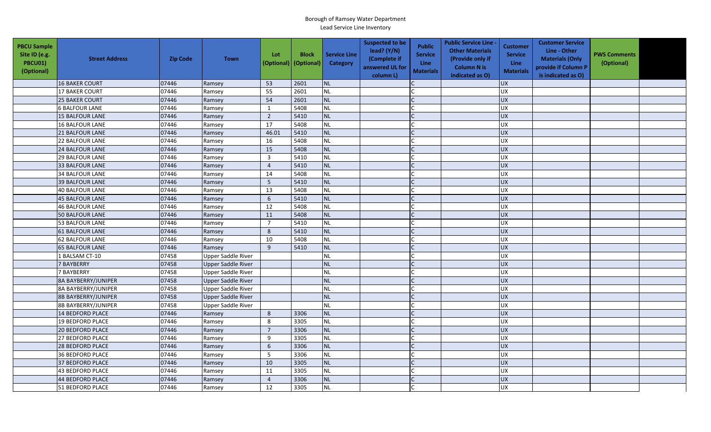| <b>PBCU Sample</b><br>Site ID (e.g.<br><b>PBCU01)</b><br>(Optional) | <b>Street Address</b>      | <b>Zip Code</b> | <b>Town</b>               | Lot<br>(Optional) | <b>Block</b><br>(Optional) | <b>Service Line</b><br><b>Category</b> | <b>Suspected to be</b><br>lead? $(Y/N)$<br>(Complete if<br>answered UL for<br>column L) | <b>Public</b><br><b>Service</b><br>Line<br><b>Materials</b> | <b>Public Service Line -</b><br><b>Other Materials</b><br>(Provide only if<br><b>Column N is</b><br>indicated as O) | <b>Customer</b><br><b>Service</b><br><b>Line</b><br><b>Materials</b> | <b>Customer Service</b><br>Line - Other<br><b>Materials (Only</b><br>provide if Column P<br>is indicated as O) | <b>PWS Comments</b><br>(Optional) |  |
|---------------------------------------------------------------------|----------------------------|-----------------|---------------------------|-------------------|----------------------------|----------------------------------------|-----------------------------------------------------------------------------------------|-------------------------------------------------------------|---------------------------------------------------------------------------------------------------------------------|----------------------------------------------------------------------|----------------------------------------------------------------------------------------------------------------|-----------------------------------|--|
|                                                                     | 16 BAKER COURT             | 07446           | Ramsey                    | 53                | 2601                       | <b>NL</b>                              |                                                                                         |                                                             |                                                                                                                     | <b>UX</b>                                                            |                                                                                                                |                                   |  |
|                                                                     | <b>17 BAKER COURT</b>      | 07446           | Ramsey                    | 55                | 2601                       | <b>NL</b>                              |                                                                                         |                                                             |                                                                                                                     | <b>UX</b>                                                            |                                                                                                                |                                   |  |
|                                                                     | <b>25 BAKER COURT</b>      | 07446           | Ramsey                    | 54                | 2601                       | <b>NL</b>                              |                                                                                         |                                                             |                                                                                                                     | <b>UX</b>                                                            |                                                                                                                |                                   |  |
|                                                                     | <b>6 BALFOUR LANE</b>      | 07446           | Ramsey                    | $\mathbf{1}$      | 5408                       | <b>NL</b>                              |                                                                                         |                                                             |                                                                                                                     | <b>UX</b>                                                            |                                                                                                                |                                   |  |
|                                                                     | <b>15 BALFOUR LANE</b>     | 07446           | Ramsey                    | $\overline{2}$    | 5410                       | <b>NL</b>                              |                                                                                         |                                                             |                                                                                                                     | <b>UX</b>                                                            |                                                                                                                |                                   |  |
|                                                                     | <b>16 BALFOUR LANE</b>     | 07446           | Ramsey                    | 17                | 5408                       | <b>NL</b>                              |                                                                                         |                                                             |                                                                                                                     | <b>UX</b>                                                            |                                                                                                                |                                   |  |
|                                                                     | <b>21 BALFOUR LANE</b>     | 07446           | Ramsey                    | 46.01             | 5410                       | <b>NL</b>                              |                                                                                         |                                                             |                                                                                                                     | <b>UX</b>                                                            |                                                                                                                |                                   |  |
|                                                                     | <b>22 BALFOUR LANE</b>     | 07446           | Ramsey                    | 16                | 5408                       | <b>NL</b>                              |                                                                                         |                                                             |                                                                                                                     | <b>UX</b>                                                            |                                                                                                                |                                   |  |
|                                                                     | 24 BALFOUR LANE            | 07446           | Ramsey                    | 15                | 5408                       | <b>NL</b>                              |                                                                                         | $\mathcal{C}$                                               |                                                                                                                     | <b>UX</b>                                                            |                                                                                                                |                                   |  |
|                                                                     | <b>29 BALFOUR LANE</b>     | 07446           | Ramsey                    | $\overline{3}$    | 5410                       | <b>NL</b>                              |                                                                                         |                                                             |                                                                                                                     | UX                                                                   |                                                                                                                |                                   |  |
|                                                                     | <b>33 BALFOUR LANE</b>     | 07446           | Ramsey                    | $\overline{4}$    | 5410                       | <b>NL</b>                              |                                                                                         |                                                             |                                                                                                                     | <b>UX</b>                                                            |                                                                                                                |                                   |  |
|                                                                     | <b>34 BALFOUR LANE</b>     | 07446           | Ramsey                    | 14                | 5408                       | <b>NL</b>                              |                                                                                         |                                                             |                                                                                                                     | <b>UX</b>                                                            |                                                                                                                |                                   |  |
|                                                                     | <b>39 BALFOUR LANE</b>     | 07446           | Ramsey                    | $5\phantom{.0}$   | 5410                       | <b>NL</b>                              |                                                                                         |                                                             |                                                                                                                     | <b>UX</b>                                                            |                                                                                                                |                                   |  |
|                                                                     | <b>40 BALFOUR LANE</b>     | 07446           | Ramsey                    | 13                | 5408                       | <b>NL</b>                              |                                                                                         |                                                             |                                                                                                                     | UX                                                                   |                                                                                                                |                                   |  |
|                                                                     | 45 BALFOUR LANE            | 07446           | Ramsey                    | 6                 | 5410                       | <b>NL</b>                              |                                                                                         |                                                             |                                                                                                                     | <b>UX</b>                                                            |                                                                                                                |                                   |  |
|                                                                     | <b>46 BALFOUR LANE</b>     | 07446           | Ramsey                    | 12                | 5408                       | <b>NL</b>                              |                                                                                         |                                                             |                                                                                                                     | <b>UX</b>                                                            |                                                                                                                |                                   |  |
|                                                                     | <b>50 BALFOUR LANE</b>     | 07446           | Ramsey                    | 11                | 5408                       | <b>NL</b>                              |                                                                                         | $\Gamma$                                                    |                                                                                                                     | UX                                                                   |                                                                                                                |                                   |  |
|                                                                     | <b>53 BALFOUR LANE</b>     | 07446           | Ramsey                    | $\overline{7}$    | 5410                       | <b>NL</b>                              |                                                                                         |                                                             |                                                                                                                     | <b>UX</b>                                                            |                                                                                                                |                                   |  |
|                                                                     | 61 BALFOUR LANE            | 07446           | Ramsey                    | 8                 | 5410                       | <b>NL</b>                              |                                                                                         |                                                             |                                                                                                                     | <b>UX</b>                                                            |                                                                                                                |                                   |  |
|                                                                     | 62 BALFOUR LANE            | 07446           | Ramsey                    | 10                | 5408                       | <b>NL</b>                              |                                                                                         |                                                             |                                                                                                                     | UX                                                                   |                                                                                                                |                                   |  |
|                                                                     | <b>65 BALFOUR LANE</b>     | 07446           | Ramsey                    | 9                 | 5410                       | <b>NL</b>                              |                                                                                         | $\mathsf{C}$                                                |                                                                                                                     | UX                                                                   |                                                                                                                |                                   |  |
|                                                                     | 1 BALSAM CT-10             | 07458           | <b>Upper Saddle River</b> |                   |                            | <b>NL</b>                              |                                                                                         |                                                             |                                                                                                                     | <b>UX</b>                                                            |                                                                                                                |                                   |  |
|                                                                     | 7 BAYBERRY                 | 07458           | <b>Upper Saddle River</b> |                   |                            | <b>NL</b>                              |                                                                                         |                                                             |                                                                                                                     | <b>UX</b>                                                            |                                                                                                                |                                   |  |
|                                                                     | 7 BAYBERRY                 | 07458           | <b>Upper Saddle River</b> |                   |                            | <b>NL</b>                              |                                                                                         |                                                             |                                                                                                                     | ΧŊ                                                                   |                                                                                                                |                                   |  |
|                                                                     | <b>8A BAYBERRY/JUNIPER</b> | 07458           | <b>Upper Saddle River</b> |                   |                            | <b>NL</b>                              |                                                                                         | $\mathsf{C}$                                                |                                                                                                                     | <b>UX</b>                                                            |                                                                                                                |                                   |  |
|                                                                     | <b>8A BAYBERRY/JUNIPER</b> | 07458           | <b>Upper Saddle River</b> |                   |                            | <b>NL</b>                              |                                                                                         |                                                             |                                                                                                                     | <b>UX</b>                                                            |                                                                                                                |                                   |  |
|                                                                     | <b>8B BAYBERRY/JUNIPER</b> | 07458           | <b>Upper Saddle River</b> |                   |                            | <b>NL</b>                              |                                                                                         |                                                             |                                                                                                                     | <b>UX</b>                                                            |                                                                                                                |                                   |  |
|                                                                     | <b>8B BAYBERRY/JUNIPER</b> | 07458           | Upper Saddle River        |                   |                            | <b>NL</b>                              |                                                                                         |                                                             |                                                                                                                     | <b>UX</b>                                                            |                                                                                                                |                                   |  |
|                                                                     | 14 BEDFORD PLACE           | 07446           | Ramsey                    | 8                 | 3306                       | <b>NL</b>                              |                                                                                         |                                                             |                                                                                                                     | <b>UX</b>                                                            |                                                                                                                |                                   |  |
|                                                                     | <b>19 BEDFORD PLACE</b>    | 07446           | Ramsey                    | 8                 | 3305                       | <b>NL</b>                              |                                                                                         |                                                             |                                                                                                                     | <b>UX</b>                                                            |                                                                                                                |                                   |  |
|                                                                     | <b>20 BEDFORD PLACE</b>    | 07446           | Ramsey                    | $\overline{7}$    | 3306                       | <b>NL</b>                              |                                                                                         |                                                             |                                                                                                                     | <b>UX</b>                                                            |                                                                                                                |                                   |  |
|                                                                     | 27 BEDFORD PLACE           | 07446           | Ramsey                    | 9                 | 3305                       | <b>NL</b>                              |                                                                                         | $\mathsf{C}$                                                |                                                                                                                     | <b>UX</b>                                                            |                                                                                                                |                                   |  |
|                                                                     | 28 BEDFORD PLACE           | 07446           | Ramsey                    | 6                 | 3306                       | <b>NL</b>                              |                                                                                         |                                                             |                                                                                                                     | UX                                                                   |                                                                                                                |                                   |  |
|                                                                     | 36 BEDFORD PLACE           | 07446           | Ramsey                    | 5                 | 3306                       | <b>NL</b>                              |                                                                                         |                                                             |                                                                                                                     | <b>UX</b>                                                            |                                                                                                                |                                   |  |
|                                                                     | 37 BEDFORD PLACE           | 07446           | Ramsey                    | 10                | 3305                       | <b>NL</b>                              |                                                                                         |                                                             |                                                                                                                     | <b>UX</b>                                                            |                                                                                                                |                                   |  |
|                                                                     | 43 BEDFORD PLACE           | 07446           | Ramsey                    | 11                | 3305                       | <b>NL</b>                              |                                                                                         |                                                             |                                                                                                                     | <b>UX</b>                                                            |                                                                                                                |                                   |  |
|                                                                     | 44 BEDFORD PLACE           | 07446           | Ramsey                    | $\overline{4}$    | 3306                       | <b>NL</b>                              |                                                                                         |                                                             |                                                                                                                     | <b>UX</b>                                                            |                                                                                                                |                                   |  |
|                                                                     | 51 BEDFORD PLACE           | 07446           | Ramsey                    | 12                | 3305                       | <b>NL</b>                              |                                                                                         |                                                             |                                                                                                                     | <b>UX</b>                                                            |                                                                                                                |                                   |  |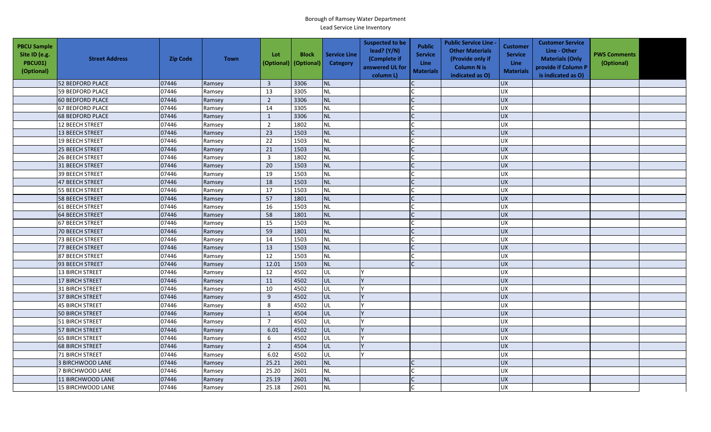| <b>PBCU Sample</b><br>Site ID (e.g.<br>PBCU01)<br>(Optional) | <b>Street Address</b>   | <b>Zip Code</b> | <b>Town</b> | Lot<br>(Optional)       | <b>Block</b><br>(Optional) | <b>Service Line</b><br>Category | <b>Suspected to be</b><br>lead? $(Y/N)$<br>(Complete if<br>answered UL for<br>column L) | <b>Public</b><br><b>Service</b><br>Line<br><b>Materials</b> | <b>Public Service Line -</b><br><b>Other Materials</b><br>(Provide only if<br><b>Column N is</b><br>indicated as O) | Customer<br><b>Service</b><br>Line<br><b>Materials</b> | <b>Customer Service</b><br>Line - Other<br><b>Materials (Only</b><br>provide if Column P<br>is indicated as O) | <b>PWS Comments</b><br>(Optional) |  |
|--------------------------------------------------------------|-------------------------|-----------------|-------------|-------------------------|----------------------------|---------------------------------|-----------------------------------------------------------------------------------------|-------------------------------------------------------------|---------------------------------------------------------------------------------------------------------------------|--------------------------------------------------------|----------------------------------------------------------------------------------------------------------------|-----------------------------------|--|
|                                                              | 52 BEDFORD PLACE        | 07446           | Ramsey      | $\overline{\mathbf{3}}$ | 3306                       | <b>NL</b>                       |                                                                                         |                                                             |                                                                                                                     | <b>UX</b>                                              |                                                                                                                |                                   |  |
|                                                              | <b>59 BEDFORD PLACE</b> | 07446           | Ramsey      | 13                      | 3305                       | <b>NL</b>                       |                                                                                         |                                                             |                                                                                                                     | <b>UX</b>                                              |                                                                                                                |                                   |  |
|                                                              | <b>60 BEDFORD PLACE</b> | 07446           | Ramsey      | $\overline{2}$          | 3306                       | <b>NL</b>                       |                                                                                         |                                                             |                                                                                                                     | <b>UX</b>                                              |                                                                                                                |                                   |  |
|                                                              | <b>67 BEDFORD PLACE</b> | 07446           | Ramsey      | 14                      | 3305                       | <b>NL</b>                       |                                                                                         |                                                             |                                                                                                                     | <b>UX</b>                                              |                                                                                                                |                                   |  |
|                                                              | 68 BEDFORD PLACE        | 07446           | Ramsey      | $\mathbf{1}$            | 3306                       | <b>NL</b>                       |                                                                                         |                                                             |                                                                                                                     | <b>UX</b>                                              |                                                                                                                |                                   |  |
|                                                              | 12 BEECH STREET         | 07446           | Ramsey      | $\overline{2}$          | 1802                       | <b>NL</b>                       |                                                                                         |                                                             |                                                                                                                     | UX                                                     |                                                                                                                |                                   |  |
|                                                              | 13 BEECH STREET         | 07446           | Ramsey      | 23                      | 1503                       | <b>NL</b>                       |                                                                                         |                                                             |                                                                                                                     | <b>UX</b>                                              |                                                                                                                |                                   |  |
|                                                              | <b>19 BEECH STREET</b>  | 07446           | Ramsey      | 22                      | 1503                       | <b>NL</b>                       |                                                                                         |                                                             |                                                                                                                     | <b>UX</b>                                              |                                                                                                                |                                   |  |
|                                                              | 25 BEECH STREET         | 07446           | Ramsey      | 21                      | 1503                       | <b>NL</b>                       |                                                                                         |                                                             |                                                                                                                     | <b>UX</b>                                              |                                                                                                                |                                   |  |
|                                                              | 26 BEECH STREET         | 07446           | Ramsey      | $\overline{3}$          | 1802                       | <b>NL</b>                       |                                                                                         |                                                             |                                                                                                                     | UX                                                     |                                                                                                                |                                   |  |
|                                                              | 31 BEECH STREET         | 07446           | Ramsey      | 20                      | 1503                       | <b>NL</b>                       |                                                                                         |                                                             |                                                                                                                     | <b>UX</b>                                              |                                                                                                                |                                   |  |
|                                                              | <b>39 BEECH STREET</b>  | 07446           | Ramsey      | 19                      | 1503                       | <b>NL</b>                       |                                                                                         |                                                             |                                                                                                                     | <b>UX</b>                                              |                                                                                                                |                                   |  |
|                                                              | 47 BEECH STREET         | 07446           | Ramsey      | 18                      | 1503                       | <b>NL</b>                       |                                                                                         |                                                             |                                                                                                                     | UX                                                     |                                                                                                                |                                   |  |
|                                                              | 55 BEECH STREET         | 07446           | Ramsey      | 17                      | 1503                       | <b>NL</b>                       |                                                                                         |                                                             |                                                                                                                     | UX                                                     |                                                                                                                |                                   |  |
|                                                              | <b>58 BEECH STREET</b>  | 07446           | Ramsey      | 57                      | 1801                       | NL                              |                                                                                         |                                                             |                                                                                                                     | <b>UX</b>                                              |                                                                                                                |                                   |  |
|                                                              | <b>61 BEECH STREET</b>  | 07446           | Ramsey      | 16                      | 1503                       | <b>NL</b>                       |                                                                                         |                                                             |                                                                                                                     | <b>UX</b>                                              |                                                                                                                |                                   |  |
|                                                              | 64 BEECH STREET         | 07446           | Ramsey      | 58                      | 1801                       | <b>NL</b>                       |                                                                                         |                                                             |                                                                                                                     | <b>UX</b>                                              |                                                                                                                |                                   |  |
|                                                              | 67 BEECH STREET         | 07446           | Ramsey      | 15                      | 1503                       | <b>NL</b>                       |                                                                                         |                                                             |                                                                                                                     | UX                                                     |                                                                                                                |                                   |  |
|                                                              | 70 BEECH STREET         | 07446           | Ramsey      | 59                      | 1801                       | <b>NL</b>                       |                                                                                         |                                                             |                                                                                                                     | <b>UX</b>                                              |                                                                                                                |                                   |  |
|                                                              | 73 BEECH STREET         | 07446           | Ramsey      | 14                      | 1503                       | NL                              |                                                                                         |                                                             |                                                                                                                     | <b>UX</b>                                              |                                                                                                                |                                   |  |
|                                                              | 77 BEECH STREET         | 07446           | Ramsey      | 13                      | 1503                       | <b>NL</b>                       |                                                                                         |                                                             |                                                                                                                     | <b>UX</b>                                              |                                                                                                                |                                   |  |
|                                                              | 87 BEECH STREET         | 07446           | Ramsey      | 12                      | 1503                       | <b>NL</b>                       |                                                                                         |                                                             |                                                                                                                     | UX                                                     |                                                                                                                |                                   |  |
|                                                              | 93 BEECH STREET         | 07446           | Ramsey      | 12.01                   | 1503                       | NL                              |                                                                                         |                                                             |                                                                                                                     | UX                                                     |                                                                                                                |                                   |  |
|                                                              | <b>13 BIRCH STREET</b>  | 07446           | Ramsey      | 12                      | 4502                       | UL                              |                                                                                         |                                                             |                                                                                                                     | UX                                                     |                                                                                                                |                                   |  |
|                                                              | 17 BIRCH STREET         | 07446           | Ramsey      | 11                      | 4502                       | UL                              |                                                                                         |                                                             |                                                                                                                     | UX                                                     |                                                                                                                |                                   |  |
|                                                              | 31 BIRCH STREET         | 07446           | Ramsey      | 10                      | 4502                       | UL                              |                                                                                         |                                                             |                                                                                                                     | <b>UX</b>                                              |                                                                                                                |                                   |  |
|                                                              | 37 BIRCH STREET         | 07446           | Ramsey      | 9                       | 4502                       | UL                              |                                                                                         |                                                             |                                                                                                                     | <b>UX</b>                                              |                                                                                                                |                                   |  |
|                                                              | <b>45 BIRCH STREET</b>  | 07446           | Ramsey      | 8                       | 4502                       | UL                              |                                                                                         |                                                             |                                                                                                                     | <b>UX</b>                                              |                                                                                                                |                                   |  |
|                                                              | <b>50 BIRCH STREET</b>  | 07446           | Ramsey      | $\overline{1}$          | 4504                       | UL                              |                                                                                         |                                                             |                                                                                                                     | <b>UX</b>                                              |                                                                                                                |                                   |  |
|                                                              | 51 BIRCH STREET         | 07446           | Ramsey      | $\overline{7}$          | 4502                       | UL                              |                                                                                         |                                                             |                                                                                                                     | <b>UX</b>                                              |                                                                                                                |                                   |  |
|                                                              | 57 BIRCH STREET         | 07446           | Ramsey      | 6.01                    | 4502                       | UL                              |                                                                                         |                                                             |                                                                                                                     | <b>UX</b>                                              |                                                                                                                |                                   |  |
|                                                              | 65 BIRCH STREET         | 07446           | Ramsey      | 6                       | 4502                       | UL                              |                                                                                         |                                                             |                                                                                                                     | UX                                                     |                                                                                                                |                                   |  |
|                                                              | <b>68 BIRCH STREET</b>  | 07446           | Ramsey      | $\overline{2}$          | 4504                       | UL                              |                                                                                         |                                                             |                                                                                                                     | UX                                                     |                                                                                                                |                                   |  |
|                                                              | <b>71 BIRCH STREET</b>  | 07446           | Ramsey      | 6.02                    | 4502                       | UL                              |                                                                                         |                                                             |                                                                                                                     | <b>UX</b>                                              |                                                                                                                |                                   |  |
|                                                              | 3 BIRCHWOOD LANE        | 07446           | Ramsey      | 25.21                   | 2601                       | <b>NL</b>                       |                                                                                         |                                                             |                                                                                                                     | UX                                                     |                                                                                                                |                                   |  |
|                                                              | 7 BIRCHWOOD LANE        | 07446           | Ramsey      | 25.20                   | 2601                       | <b>NL</b>                       |                                                                                         |                                                             |                                                                                                                     | <b>UX</b>                                              |                                                                                                                |                                   |  |
|                                                              | 11 BIRCHWOOD LANE       | 07446           | Ramsey      | 25.19                   | 2601                       | <b>NL</b>                       |                                                                                         |                                                             |                                                                                                                     | <b>UX</b>                                              |                                                                                                                |                                   |  |
|                                                              | 15 BIRCHWOOD LANE       | 07446           | Ramsey      | 25.18                   | 2601                       | NL                              |                                                                                         |                                                             |                                                                                                                     | <b>UX</b>                                              |                                                                                                                |                                   |  |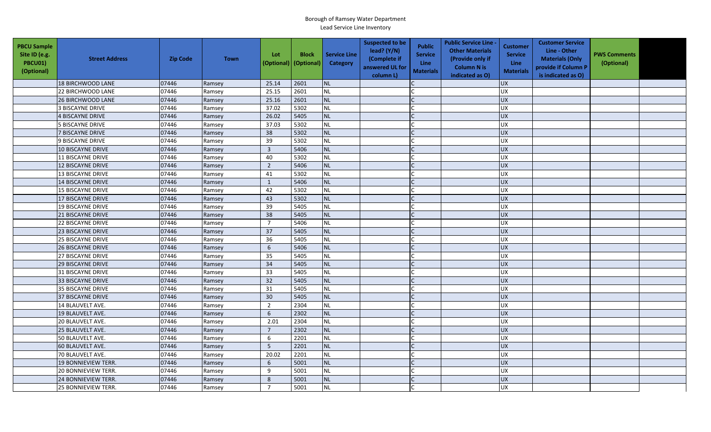| <b>PBCU Sample</b><br>Site ID (e.g.<br>PBCU01)<br>(Optional) | <b>Street Address</b>    | <b>Zip Code</b> | <b>Town</b> | Lot<br>(Optional) | <b>Block</b><br>(Optional) | <b>Service Line</b><br><b>Category</b> | <b>Suspected to be</b><br>lead? (Y/N)<br>(Complete if<br>answered UL for<br>column L) | <b>Public</b><br><b>Service</b><br><b>Line</b><br><b>Materials</b> | <b>Public Service Line -</b><br><b>Other Materials</b><br>(Provide only if<br><b>Column N is</b><br>indicated as O) | <b>Customer</b><br><b>Service</b><br>Line<br><b>Materials</b> | <b>Customer Service</b><br>Line - Other<br><b>Materials (Only</b><br>provide if Column P<br>is indicated as O) | <b>PWS Comments</b><br>(Optional) |  |
|--------------------------------------------------------------|--------------------------|-----------------|-------------|-------------------|----------------------------|----------------------------------------|---------------------------------------------------------------------------------------|--------------------------------------------------------------------|---------------------------------------------------------------------------------------------------------------------|---------------------------------------------------------------|----------------------------------------------------------------------------------------------------------------|-----------------------------------|--|
|                                                              | 18 BIRCHWOOD LANE        | 07446           | Ramsey      | 25.14             | 2601                       | <b>NL</b>                              |                                                                                       |                                                                    |                                                                                                                     | <b>UX</b>                                                     |                                                                                                                |                                   |  |
|                                                              | 22 BIRCHWOOD LANE        | 07446           | Ramsey      | 25.15             | 2601                       | <b>NL</b>                              |                                                                                       |                                                                    |                                                                                                                     | <b>UX</b>                                                     |                                                                                                                |                                   |  |
|                                                              | <b>26 BIRCHWOOD LANE</b> | 07446           | Ramsey      | 25.16             | 2601                       | <b>NL</b>                              |                                                                                       |                                                                    |                                                                                                                     | <b>UX</b>                                                     |                                                                                                                |                                   |  |
|                                                              | <b>3 BISCAYNE DRIVE</b>  | 07446           | Ramsey      | 37.02             | 5302                       | <b>NL</b>                              |                                                                                       |                                                                    |                                                                                                                     | <b>UX</b>                                                     |                                                                                                                |                                   |  |
|                                                              | <b>4 BISCAYNE DRIVE</b>  | 07446           | Ramsey      | 26.02             | 5405                       | <b>NL</b>                              |                                                                                       |                                                                    |                                                                                                                     | <b>UX</b>                                                     |                                                                                                                |                                   |  |
|                                                              | <b>5 BISCAYNE DRIVE</b>  | 07446           | Ramsey      | 37.03             | 5302                       | <b>NL</b>                              |                                                                                       |                                                                    |                                                                                                                     | <b>UX</b>                                                     |                                                                                                                |                                   |  |
|                                                              | <b>7 BISCAYNE DRIVE</b>  | 07446           | Ramsey      | 38                | 5302                       | <b>NL</b>                              |                                                                                       | $\mathsf{C}$                                                       |                                                                                                                     | <b>UX</b>                                                     |                                                                                                                |                                   |  |
|                                                              | 9 BISCAYNE DRIVE         | 07446           | Ramsey      | 39                | 5302                       | <b>NL</b>                              |                                                                                       |                                                                    |                                                                                                                     | <b>UX</b>                                                     |                                                                                                                |                                   |  |
|                                                              | 10 BISCAYNE DRIVE        | 07446           | Ramsey      | $\overline{3}$    | 5406                       | <b>NL</b>                              |                                                                                       |                                                                    |                                                                                                                     | <b>UX</b>                                                     |                                                                                                                |                                   |  |
|                                                              | <b>11 BISCAYNE DRIVE</b> | 07446           | Ramsey      | 40                | 5302                       | NL                                     |                                                                                       |                                                                    |                                                                                                                     | UX                                                            |                                                                                                                |                                   |  |
|                                                              | <b>12 BISCAYNE DRIVE</b> | 07446           | Ramsey      | $\overline{2}$    | 5406                       | <b>NL</b>                              |                                                                                       | C                                                                  |                                                                                                                     | <b>UX</b>                                                     |                                                                                                                |                                   |  |
|                                                              | <b>13 BISCAYNE DRIVE</b> | 07446           | Ramsey      | 41                | 5302                       | <b>NL</b>                              |                                                                                       |                                                                    |                                                                                                                     | <b>UX</b>                                                     |                                                                                                                |                                   |  |
|                                                              | 14 BISCAYNE DRIVE        | 07446           | Ramsey      | $\mathbf{1}$      | 5406                       | <b>NL</b>                              |                                                                                       |                                                                    |                                                                                                                     | <b>UX</b>                                                     |                                                                                                                |                                   |  |
|                                                              | <b>15 BISCAYNE DRIVE</b> | 07446           | Ramsey      | 42                | 5302                       | <b>NL</b>                              |                                                                                       |                                                                    |                                                                                                                     | <b>UX</b>                                                     |                                                                                                                |                                   |  |
|                                                              | 17 BISCAYNE DRIVE        | 07446           | Ramsey      | 43                | 5302                       | <b>NL</b>                              |                                                                                       |                                                                    |                                                                                                                     | <b>UX</b>                                                     |                                                                                                                |                                   |  |
|                                                              | 19 BISCAYNE DRIVE        | 07446           | Ramsey      | 39                | 5405                       | <b>NL</b>                              |                                                                                       |                                                                    |                                                                                                                     | <b>UX</b>                                                     |                                                                                                                |                                   |  |
|                                                              | 21 BISCAYNE DRIVE        | 07446           | Ramsey      | 38                | 5405                       | <b>NL</b>                              |                                                                                       |                                                                    |                                                                                                                     | UX                                                            |                                                                                                                |                                   |  |
|                                                              | 22 BISCAYNE DRIVE        | 07446           | Ramsey      | $\overline{7}$    | 5406                       | <b>NL</b>                              |                                                                                       |                                                                    |                                                                                                                     | UX                                                            |                                                                                                                |                                   |  |
|                                                              | <b>23 BISCAYNE DRIVE</b> | 07446           | Ramsey      | 37                | 5405                       | <b>NL</b>                              |                                                                                       |                                                                    |                                                                                                                     | <b>UX</b>                                                     |                                                                                                                |                                   |  |
|                                                              | <b>25 BISCAYNE DRIVE</b> | 07446           | Ramsey      | 36                | 5405                       | <b>NL</b>                              |                                                                                       |                                                                    |                                                                                                                     | <b>UX</b>                                                     |                                                                                                                |                                   |  |
|                                                              | <b>26 BISCAYNE DRIVE</b> | 07446           | Ramsey      | 6                 | 5406                       | <b>NL</b>                              |                                                                                       |                                                                    |                                                                                                                     | <b>UX</b>                                                     |                                                                                                                |                                   |  |
|                                                              | 27 BISCAYNE DRIVE        | 07446           | Ramsey      | 35                | 5405                       | <b>NL</b>                              |                                                                                       |                                                                    |                                                                                                                     | <b>UX</b>                                                     |                                                                                                                |                                   |  |
|                                                              | <b>29 BISCAYNE DRIVE</b> | 07446           | Ramsey      | 34                | 5405                       | <b>NL</b>                              |                                                                                       |                                                                    |                                                                                                                     | UX                                                            |                                                                                                                |                                   |  |
|                                                              | 31 BISCAYNE DRIVE        | 07446           | Ramsey      | 33                | 5405                       | <b>NL</b>                              |                                                                                       |                                                                    |                                                                                                                     | UX                                                            |                                                                                                                |                                   |  |
|                                                              | 33 BISCAYNE DRIVE        | 07446           | Ramsey      | 32                | 5405                       | <b>NL</b>                              |                                                                                       |                                                                    |                                                                                                                     | UX                                                            |                                                                                                                |                                   |  |
|                                                              | 35 BISCAYNE DRIVE        | 07446           | Ramsey      | 31                | 5405                       | <b>NL</b>                              |                                                                                       |                                                                    |                                                                                                                     | <b>UX</b>                                                     |                                                                                                                |                                   |  |
|                                                              | <b>37 BISCAYNE DRIVE</b> | 07446           | Ramsey      | 30                | 5405                       | <b>NL</b>                              |                                                                                       |                                                                    |                                                                                                                     | UX                                                            |                                                                                                                |                                   |  |
|                                                              | 14 BLAUVELT AVE.         | 07446           | Ramsey      | $\overline{2}$    | 2304                       | <b>NL</b>                              |                                                                                       |                                                                    |                                                                                                                     | <b>UX</b>                                                     |                                                                                                                |                                   |  |
|                                                              | 19 BLAUVELT AVE.         | 07446           | Ramsey      | 6                 | 2302                       | <b>NL</b>                              |                                                                                       |                                                                    |                                                                                                                     | <b>UX</b>                                                     |                                                                                                                |                                   |  |
|                                                              | 20 BLAUVELT AVE.         | 07446           | Ramsey      | 2.01              | 2304                       | <b>NL</b>                              |                                                                                       |                                                                    |                                                                                                                     | <b>UX</b>                                                     |                                                                                                                |                                   |  |
|                                                              | 25 BLAUVELT AVE.         | 07446           | Ramsey      | $\overline{7}$    | 2302                       | <b>NL</b>                              |                                                                                       |                                                                    |                                                                                                                     | <b>UX</b>                                                     |                                                                                                                |                                   |  |
|                                                              | 50 BLAUVELT AVE.         | 07446           | Ramsey      | 6                 | 2201                       | NL                                     |                                                                                       |                                                                    |                                                                                                                     | UX                                                            |                                                                                                                |                                   |  |
|                                                              | 60 BLAUVELT AVE.         | 07446           | Ramsey      | 5                 | 2201                       | <b>NL</b>                              |                                                                                       |                                                                    |                                                                                                                     | <b>UX</b>                                                     |                                                                                                                |                                   |  |
|                                                              | 70 BLAUVELT AVE.         | 07446           | Ramsey      | 20.02             | 2201                       | <b>NL</b>                              |                                                                                       |                                                                    |                                                                                                                     | <b>UX</b>                                                     |                                                                                                                |                                   |  |
|                                                              | 19 BONNIEVIEW TERR.      | 07446           | Ramsey      | 6                 | 5001                       | <b>NL</b>                              |                                                                                       |                                                                    |                                                                                                                     | <b>UX</b>                                                     |                                                                                                                |                                   |  |
|                                                              | 20 BONNIEVIEW TERR.      | 07446           | Ramsey      | 9                 | 5001                       | <b>NL</b>                              |                                                                                       |                                                                    |                                                                                                                     | <b>UX</b>                                                     |                                                                                                                |                                   |  |
|                                                              | 24 BONNIEVIEW TERR.      | 07446           | Ramsey      | 8                 | 5001                       | <b>NL</b>                              |                                                                                       |                                                                    |                                                                                                                     | UX                                                            |                                                                                                                |                                   |  |
|                                                              | 25 BONNIEVIEW TERR.      | 07446           | Ramsey      | $\overline{7}$    | 5001                       | <b>NL</b>                              |                                                                                       |                                                                    |                                                                                                                     | <b>UX</b>                                                     |                                                                                                                |                                   |  |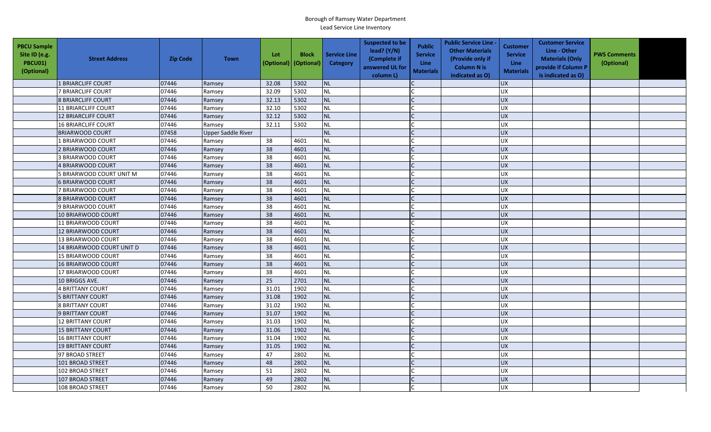| <b>PBCU Sample</b><br>Site ID (e.g.<br>PBCU01)<br>(Optional) | <b>Street Address</b>      | <b>Zip Code</b> | <b>Town</b>        | Lot<br>(Optional) | <b>Block</b><br>(Optional) | <b>Service Line</b><br><b>Category</b> | <b>Suspected to be</b><br>lead? (Y/N)<br>(Complete if<br>answered UL for<br>column L) | <b>Public</b><br><b>Service</b><br><b>Line</b><br><b>Materials</b> | <b>Public Service Line -</b><br><b>Other Materials</b><br>(Provide only if<br><b>Column N is</b><br>indicated as O) | <b>Customer</b><br><b>Service</b><br>Line<br><b>Materials</b> | <b>Customer Service</b><br>Line - Other<br><b>Materials (Only</b><br>provide if Column P<br>is indicated as O) | <b>PWS Comments</b><br>(Optional) |  |
|--------------------------------------------------------------|----------------------------|-----------------|--------------------|-------------------|----------------------------|----------------------------------------|---------------------------------------------------------------------------------------|--------------------------------------------------------------------|---------------------------------------------------------------------------------------------------------------------|---------------------------------------------------------------|----------------------------------------------------------------------------------------------------------------|-----------------------------------|--|
|                                                              | 1 BRIARCLIFF COURT         | 07446           | Ramsey             | 32.08             | 5302                       | <b>NL</b>                              |                                                                                       |                                                                    |                                                                                                                     | <b>UX</b>                                                     |                                                                                                                |                                   |  |
|                                                              | <b>7 BRIARCLIFF COURT</b>  | 07446           | Ramsey             | 32.09             | 5302                       | <b>NL</b>                              |                                                                                       |                                                                    |                                                                                                                     | <b>UX</b>                                                     |                                                                                                                |                                   |  |
|                                                              | <b>8 BRIARCLIFF COURT</b>  | 07446           | Ramsey             | 32.13             | 5302                       | <b>NL</b>                              |                                                                                       |                                                                    |                                                                                                                     | <b>UX</b>                                                     |                                                                                                                |                                   |  |
|                                                              | <b>11 BRIARCLIFF COURT</b> | 07446           | Ramsey             | 32.10             | 5302                       | <b>NL</b>                              |                                                                                       |                                                                    |                                                                                                                     | <b>UX</b>                                                     |                                                                                                                |                                   |  |
|                                                              | <b>12 BRIARCLIFF COURT</b> | 07446           | Ramsey             | 32.12             | 5302                       | <b>NL</b>                              |                                                                                       |                                                                    |                                                                                                                     | <b>UX</b>                                                     |                                                                                                                |                                   |  |
|                                                              | <b>16 BRIARCLIFF COURT</b> | 07446           | Ramsey             | 32.11             | 5302                       | <b>NL</b>                              |                                                                                       |                                                                    |                                                                                                                     | <b>UX</b>                                                     |                                                                                                                |                                   |  |
|                                                              | <b>BRIARWOOD COURT</b>     | 07458           | Upper Saddle River |                   |                            | <b>NL</b>                              |                                                                                       |                                                                    |                                                                                                                     | <b>UX</b>                                                     |                                                                                                                |                                   |  |
|                                                              | 1 BRIARWOOD COURT          | 07446           | Ramsey             | 38                | 4601                       | <b>NL</b>                              |                                                                                       |                                                                    |                                                                                                                     | <b>UX</b>                                                     |                                                                                                                |                                   |  |
|                                                              | 2 BRIARWOOD COURT          | 07446           | Ramsey             | 38                | 4601                       | <b>NL</b>                              |                                                                                       |                                                                    |                                                                                                                     | <b>UX</b>                                                     |                                                                                                                |                                   |  |
|                                                              | 3 BRIARWOOD COURT          | 07446           | Ramsey             | 38                | 4601                       | NL                                     |                                                                                       |                                                                    |                                                                                                                     | UX                                                            |                                                                                                                |                                   |  |
|                                                              | 4 BRIARWOOD COURT          | 07446           | Ramsey             | 38                | 4601                       | <b>NL</b>                              |                                                                                       |                                                                    |                                                                                                                     | <b>UX</b>                                                     |                                                                                                                |                                   |  |
|                                                              | 5 BRIARWOOD COURT UNIT M   | 07446           | Ramsey             | 38                | 4601                       | <b>NL</b>                              |                                                                                       |                                                                    |                                                                                                                     | <b>UX</b>                                                     |                                                                                                                |                                   |  |
|                                                              | <b>6 BRIARWOOD COURT</b>   | 07446           | Ramsey             | 38                | 4601                       | <b>NL</b>                              |                                                                                       |                                                                    |                                                                                                                     | <b>UX</b>                                                     |                                                                                                                |                                   |  |
|                                                              | 7 BRIARWOOD COURT          | 07446           | Ramsey             | 38                | 4601                       | <b>NL</b>                              |                                                                                       |                                                                    |                                                                                                                     | <b>UX</b>                                                     |                                                                                                                |                                   |  |
|                                                              | <b>8 BRIARWOOD COURT</b>   | 07446           | Ramsey             | 38                | 4601                       | <b>NL</b>                              |                                                                                       |                                                                    |                                                                                                                     | <b>UX</b>                                                     |                                                                                                                |                                   |  |
|                                                              | 9 BRIARWOOD COURT          | 07446           | Ramsey             | 38                | 4601                       | <b>NL</b>                              |                                                                                       |                                                                    |                                                                                                                     | <b>UX</b>                                                     |                                                                                                                |                                   |  |
|                                                              | 10 BRIARWOOD COURT         | 07446           | Ramsey             | 38                | 4601                       | <b>NL</b>                              |                                                                                       |                                                                    |                                                                                                                     | UX                                                            |                                                                                                                |                                   |  |
|                                                              | 11 BRIARWOOD COURT         | 07446           | Ramsey             | 38                | 4601                       | <b>NL</b>                              |                                                                                       |                                                                    |                                                                                                                     | UX                                                            |                                                                                                                |                                   |  |
|                                                              | 12 BRIARWOOD COURT         | 07446           | Ramsey             | 38                | 4601                       | <b>NL</b>                              |                                                                                       |                                                                    |                                                                                                                     | <b>UX</b>                                                     |                                                                                                                |                                   |  |
|                                                              | 13 BRIARWOOD COURT         | 07446           | Ramsey             | 38                | 4601                       | <b>NL</b>                              |                                                                                       |                                                                    |                                                                                                                     | <b>UX</b>                                                     |                                                                                                                |                                   |  |
|                                                              | 14 BRIARWOOD COURT UNIT D  | 07446           | Ramsey             | 38                | 4601                       | <b>NL</b>                              |                                                                                       |                                                                    |                                                                                                                     | <b>UX</b>                                                     |                                                                                                                |                                   |  |
|                                                              | 15 BRIARWOOD COURT         | 07446           | Ramsey             | 38                | 4601                       | <b>NL</b>                              |                                                                                       |                                                                    |                                                                                                                     | <b>UX</b>                                                     |                                                                                                                |                                   |  |
|                                                              | 16 BRIARWOOD COURT         | 07446           | Ramsey             | 38                | 4601                       | <b>NL</b>                              |                                                                                       |                                                                    |                                                                                                                     | <b>UX</b>                                                     |                                                                                                                |                                   |  |
|                                                              | 17 BRIARWOOD COURT         | 07446           | Ramsey             | 38                | 4601                       | <b>NL</b>                              |                                                                                       |                                                                    |                                                                                                                     | <b>UX</b>                                                     |                                                                                                                |                                   |  |
|                                                              | 10 BRIGGS AVE.             | 07446           | Ramsey             | 25                | 2701                       | <b>NL</b>                              |                                                                                       |                                                                    |                                                                                                                     | <b>UX</b>                                                     |                                                                                                                |                                   |  |
|                                                              | <b>4 BRITTANY COURT</b>    | 07446           | Ramsey             | 31.01             | 1902                       | <b>NL</b>                              |                                                                                       |                                                                    |                                                                                                                     | <b>UX</b>                                                     |                                                                                                                |                                   |  |
|                                                              | <b>5 BRITTANY COURT</b>    | 07446           | Ramsey             | 31.08             | 1902                       | <b>NL</b>                              |                                                                                       |                                                                    |                                                                                                                     | UX                                                            |                                                                                                                |                                   |  |
|                                                              | <b>8 BRITTANY COURT</b>    | 07446           | Ramsey             | 31.02             | 1902                       | <b>NL</b>                              |                                                                                       |                                                                    |                                                                                                                     | <b>UX</b>                                                     |                                                                                                                |                                   |  |
|                                                              | 9 BRITTANY COURT           | 07446           | Ramsey             | 31.07             | 1902                       | <b>NL</b>                              |                                                                                       |                                                                    |                                                                                                                     | <b>UX</b>                                                     |                                                                                                                |                                   |  |
|                                                              | <b>12 BRITTANY COURT</b>   | 07446           | Ramsey             | 31.03             | 1902                       | <b>NL</b>                              |                                                                                       |                                                                    |                                                                                                                     | <b>UX</b>                                                     |                                                                                                                |                                   |  |
|                                                              | <b>15 BRITTANY COURT</b>   | 07446           | Ramsey             | 31.06             | 1902                       | <b>NL</b>                              |                                                                                       |                                                                    |                                                                                                                     | <b>UX</b>                                                     |                                                                                                                |                                   |  |
|                                                              | <b>16 BRITTANY COURT</b>   | 07446           | Ramsey             | 31.04             | 1902                       | NL                                     |                                                                                       |                                                                    |                                                                                                                     | UX                                                            |                                                                                                                |                                   |  |
|                                                              | <b>19 BRITTANY COURT</b>   | 07446           | Ramsey             | 31.05             | 1902                       | <b>NL</b>                              |                                                                                       |                                                                    |                                                                                                                     | <b>UX</b>                                                     |                                                                                                                |                                   |  |
|                                                              | 97 BROAD STREET            | 07446           | Ramsey             | 47                | 2802                       | <b>NL</b>                              |                                                                                       |                                                                    |                                                                                                                     | <b>UX</b>                                                     |                                                                                                                |                                   |  |
|                                                              | 101 BROAD STREET           | 07446           | Ramsey             | 48                | 2802                       | <b>NL</b>                              |                                                                                       |                                                                    |                                                                                                                     | <b>UX</b>                                                     |                                                                                                                |                                   |  |
|                                                              | 102 BROAD STREET           | 07446           | Ramsey             | 51                | 2802                       | <b>NL</b>                              |                                                                                       |                                                                    |                                                                                                                     | <b>UX</b>                                                     |                                                                                                                |                                   |  |
|                                                              | 107 BROAD STREET           | 07446           | Ramsey             | 49                | 2802                       | <b>NL</b>                              |                                                                                       |                                                                    |                                                                                                                     | <b>UX</b>                                                     |                                                                                                                |                                   |  |
|                                                              | 108 BROAD STREET           | 07446           | Ramsey             | 50                | 2802                       | <b>NL</b>                              |                                                                                       |                                                                    |                                                                                                                     | <b>UX</b>                                                     |                                                                                                                |                                   |  |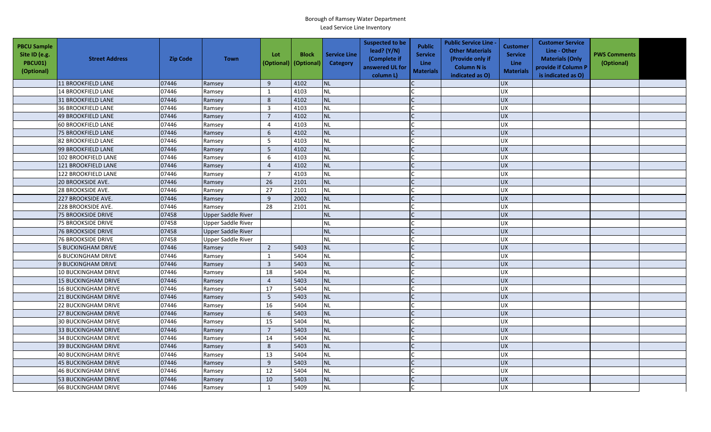| <b>PBCU Sample</b><br>Site ID (e.g.<br><b>PBCU01)</b><br>(Optional) | <b>Street Address</b>      | <b>Zip Code</b> | <b>Town</b>               | Lot<br>(Optional)       | <b>Block</b><br>(Optional) | <b>Service Line</b><br>Category | <b>Suspected to be</b><br>lead? (Y/N)<br>(Complete if<br>answered UL for<br>column L) | <b>Public</b><br><b>Service</b><br><b>Line</b><br><b>Materials</b> | <b>Public Service Line -</b><br><b>Other Materials</b><br>(Provide only if<br><b>Column N is</b><br>indicated as O) | Customer<br><b>Service</b><br>Line<br><b>Materials</b> | <b>Customer Service</b><br>Line - Other<br><b>Materials (Only</b><br>provide if Column P<br>is indicated as O) | <b>PWS Comments</b><br>(Optional) |  |
|---------------------------------------------------------------------|----------------------------|-----------------|---------------------------|-------------------------|----------------------------|---------------------------------|---------------------------------------------------------------------------------------|--------------------------------------------------------------------|---------------------------------------------------------------------------------------------------------------------|--------------------------------------------------------|----------------------------------------------------------------------------------------------------------------|-----------------------------------|--|
|                                                                     | <b>11 BROOKFIELD LANE</b>  | 07446           | Ramsey                    | 9                       | 4102                       | <b>NL</b>                       |                                                                                       |                                                                    |                                                                                                                     | <b>UX</b>                                              |                                                                                                                |                                   |  |
|                                                                     | <b>14 BROOKFIELD LANE</b>  | 07446           | Ramsey                    | $\mathbf{1}$            | 4103                       | <b>NL</b>                       |                                                                                       |                                                                    |                                                                                                                     | <b>UX</b>                                              |                                                                                                                |                                   |  |
|                                                                     | <b>31 BROOKFIELD LANE</b>  | 07446           | Ramsey                    | 8                       | 4102                       | NL                              |                                                                                       |                                                                    |                                                                                                                     | <b>UX</b>                                              |                                                                                                                |                                   |  |
|                                                                     | <b>36 BROOKFIELD LANE</b>  | 07446           | Ramsey                    | 3                       | 4103                       | <b>NL</b>                       |                                                                                       |                                                                    |                                                                                                                     | <b>UX</b>                                              |                                                                                                                |                                   |  |
|                                                                     | 49 BROOKFIELD LANE         | 07446           | Ramsey                    | $\overline{7}$          | 4102                       | <b>NL</b>                       |                                                                                       |                                                                    |                                                                                                                     | <b>UX</b>                                              |                                                                                                                |                                   |  |
|                                                                     | <b>60 BROOKFIELD LANE</b>  | 07446           | Ramsey                    | $\overline{4}$          | 4103                       | NL                              |                                                                                       |                                                                    |                                                                                                                     | <b>UX</b>                                              |                                                                                                                |                                   |  |
|                                                                     | <b>75 BROOKFIELD LANE</b>  | 07446           | Ramsey                    | 6                       | 4102                       | <b>NL</b>                       |                                                                                       |                                                                    |                                                                                                                     | <b>UX</b>                                              |                                                                                                                |                                   |  |
|                                                                     | 82 BROOKFIELD LANE         | 07446           | Ramsey                    | 5                       | 4103                       | NL                              |                                                                                       |                                                                    |                                                                                                                     | <b>UX</b>                                              |                                                                                                                |                                   |  |
|                                                                     | 99 BROOKFIELD LANE         | 07446           | Ramsey                    | 5                       | 4102                       | <b>NL</b>                       |                                                                                       |                                                                    |                                                                                                                     | <b>UX</b>                                              |                                                                                                                |                                   |  |
|                                                                     | 102 BROOKFIELD LANE        | 07446           | Ramsey                    | 6                       | 4103                       | NL                              |                                                                                       |                                                                    |                                                                                                                     | UX                                                     |                                                                                                                |                                   |  |
|                                                                     | 121 BROOKFIELD LANE        | 07446           | Ramsey                    | $\overline{4}$          | 4102                       | <b>NL</b>                       |                                                                                       |                                                                    |                                                                                                                     | <b>UX</b>                                              |                                                                                                                |                                   |  |
|                                                                     | 122 BROOKFIELD LANE        | 07446           | Ramsey                    | $\overline{7}$          | 4103                       | <b>NL</b>                       |                                                                                       |                                                                    |                                                                                                                     | UX                                                     |                                                                                                                |                                   |  |
|                                                                     | 20 BROOKSIDE AVE.          | 07446           | Ramsey                    | 26                      | 2101                       | NL                              |                                                                                       |                                                                    |                                                                                                                     | <b>UX</b>                                              |                                                                                                                |                                   |  |
|                                                                     | 28 BROOKSIDE AVE.          | 07446           | Ramsey                    | 27                      | 2101                       | <b>NL</b>                       |                                                                                       |                                                                    |                                                                                                                     | <b>UX</b>                                              |                                                                                                                |                                   |  |
|                                                                     | 227 BROOKSIDE AVE.         | 07446           | Ramsey                    | $\boldsymbol{9}$        | 2002                       | NL                              |                                                                                       |                                                                    |                                                                                                                     | UX                                                     |                                                                                                                |                                   |  |
|                                                                     | 228 BROOKSIDE AVE.         | 07446           | Ramsey                    | 28                      | 2101                       | <b>NL</b>                       |                                                                                       |                                                                    |                                                                                                                     | <b>UX</b>                                              |                                                                                                                |                                   |  |
|                                                                     | <b>75 BROOKSIDE DRIVE</b>  | 07458           | <b>Upper Saddle River</b> |                         |                            | <b>NL</b>                       |                                                                                       |                                                                    |                                                                                                                     | UX                                                     |                                                                                                                |                                   |  |
|                                                                     | <b>75 BROOKSIDE DRIVE</b>  | 07458           | Upper Saddle River        |                         |                            | <b>NL</b>                       |                                                                                       |                                                                    |                                                                                                                     | <b>UX</b>                                              |                                                                                                                |                                   |  |
|                                                                     | <b>76 BROOKSIDE DRIVE</b>  | 07458           | <b>Upper Saddle River</b> |                         |                            | <b>NL</b>                       |                                                                                       |                                                                    |                                                                                                                     | <b>UX</b>                                              |                                                                                                                |                                   |  |
|                                                                     | <b>76 BROOKSIDE DRIVE</b>  | 07458           | <b>Upper Saddle River</b> |                         |                            | <b>NL</b>                       |                                                                                       |                                                                    |                                                                                                                     | <b>UX</b>                                              |                                                                                                                |                                   |  |
|                                                                     | <b>5 BUCKINGHAM DRIVE</b>  | 07446           | Ramsey                    | $\overline{2}$          | 5403                       | <b>NL</b>                       |                                                                                       |                                                                    |                                                                                                                     | <b>UX</b>                                              |                                                                                                                |                                   |  |
|                                                                     | <b>6 BUCKINGHAM DRIVE</b>  | 07446           | Ramsey                    | $\mathbf{1}$            | 5404                       | NL                              |                                                                                       |                                                                    |                                                                                                                     | ΧŊ                                                     |                                                                                                                |                                   |  |
|                                                                     | 9 BUCKINGHAM DRIVE         | 07446           | Ramsey                    | $\overline{\mathbf{3}}$ | 5403                       | <b>NL</b>                       |                                                                                       |                                                                    |                                                                                                                     | UX                                                     |                                                                                                                |                                   |  |
|                                                                     | <b>10 BUCKINGHAM DRIVE</b> | 07446           | Ramsey                    | 18                      | 5404                       | <b>NL</b>                       |                                                                                       |                                                                    |                                                                                                                     | <b>UX</b>                                              |                                                                                                                |                                   |  |
|                                                                     | <b>15 BUCKINGHAM DRIVE</b> | 07446           | Ramsey                    | $\overline{4}$          | 5403                       | NL                              |                                                                                       |                                                                    |                                                                                                                     | UX                                                     |                                                                                                                |                                   |  |
|                                                                     | 16 BUCKINGHAM DRIVE        | 07446           | Ramsey                    | 17                      | 5404                       | <b>NL</b>                       |                                                                                       |                                                                    |                                                                                                                     | <b>UX</b>                                              |                                                                                                                |                                   |  |
|                                                                     | <b>21 BUCKINGHAM DRIVE</b> | 07446           | Ramsey                    | $5\phantom{.0}$         | 5403                       | <b>NL</b>                       |                                                                                       |                                                                    |                                                                                                                     | <b>UX</b>                                              |                                                                                                                |                                   |  |
|                                                                     | <b>22 BUCKINGHAM DRIVE</b> | 07446           | Ramsey                    | 16                      | 5404                       | NL                              |                                                                                       |                                                                    |                                                                                                                     | <b>UX</b>                                              |                                                                                                                |                                   |  |
|                                                                     | <b>27 BUCKINGHAM DRIVE</b> | 07446           | Ramsey                    | $6\phantom{1}$          | 5403                       | <b>NL</b>                       |                                                                                       |                                                                    |                                                                                                                     | <b>UX</b>                                              |                                                                                                                |                                   |  |
|                                                                     | <b>30 BUCKINGHAM DRIVE</b> | 07446           | Ramsey                    | 15                      | 5404                       | <b>NL</b>                       |                                                                                       |                                                                    |                                                                                                                     | UX                                                     |                                                                                                                |                                   |  |
|                                                                     | <b>33 BUCKINGHAM DRIVE</b> | 07446           | Ramsey                    | $\overline{7}$          | 5403                       | <b>NL</b>                       |                                                                                       |                                                                    |                                                                                                                     | <b>UX</b>                                              |                                                                                                                |                                   |  |
|                                                                     | <b>34 BUCKINGHAM DRIVE</b> | 07446           | Ramsey                    | 14                      | 5404                       | <b>NL</b>                       |                                                                                       |                                                                    |                                                                                                                     | UX                                                     |                                                                                                                |                                   |  |
|                                                                     | <b>39 BUCKINGHAM DRIVE</b> | 07446           | Ramsey                    | 8                       | 5403                       | <b>NL</b>                       |                                                                                       |                                                                    |                                                                                                                     | <b>UX</b>                                              |                                                                                                                |                                   |  |
|                                                                     | <b>40 BUCKINGHAM DRIVE</b> | 07446           | Ramsey                    | 13                      | 5404                       | <b>NL</b>                       |                                                                                       |                                                                    |                                                                                                                     | UX                                                     |                                                                                                                |                                   |  |
|                                                                     | <b>45 BUCKINGHAM DRIVE</b> | 07446           | Ramsey                    | 9                       | 5403                       | NL                              |                                                                                       |                                                                    |                                                                                                                     | <b>UX</b>                                              |                                                                                                                |                                   |  |
|                                                                     | <b>46 BUCKINGHAM DRIVE</b> | 07446           | Ramsey                    | 12                      | 5404                       | <b>NL</b>                       |                                                                                       |                                                                    |                                                                                                                     | <b>UX</b>                                              |                                                                                                                |                                   |  |
|                                                                     | <b>53 BUCKINGHAM DRIVE</b> | 07446           | Ramsey                    | 10                      | 5403                       | <b>NL</b>                       |                                                                                       |                                                                    |                                                                                                                     | <b>UX</b>                                              |                                                                                                                |                                   |  |
|                                                                     | <b>66 BUCKINGHAM DRIVE</b> | 07446           | Ramsey                    | $\mathbf{1}$            | 5409                       | <b>NL</b>                       |                                                                                       |                                                                    |                                                                                                                     | <b>UX</b>                                              |                                                                                                                |                                   |  |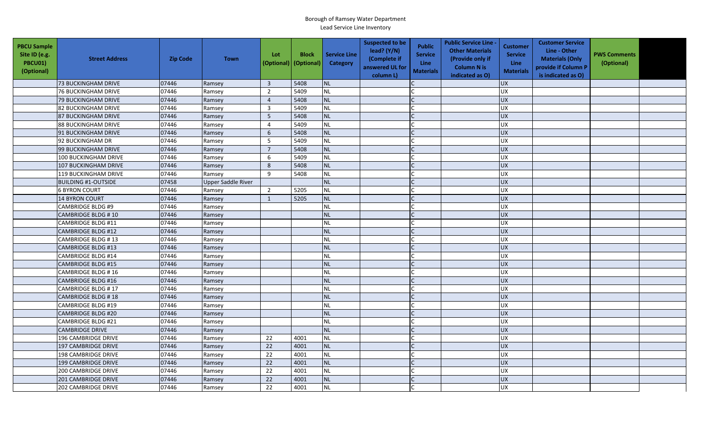| <b>PBCU Sample</b><br>Site ID (e.g.<br>PBCU01)<br>(Optional) | <b>Street Address</b>       | <b>Zip Code</b> | <b>Town</b>               | Lot<br>(Optional) | <b>Block</b><br>(Optional) | <b>Service Line</b><br>Category | <b>Suspected to be</b><br>lead? (Y/N)<br>(Complete if<br>answered UL for<br>column L) | <b>Public</b><br><b>Service</b><br><b>Line</b><br><b>Materials</b> | <b>Public Service Line -</b><br><b>Other Materials</b><br>(Provide only if<br><b>Column N is</b><br>indicated as O) | <b>Customer</b><br><b>Service</b><br><b>Line</b><br><b>Materials</b> | <b>Customer Service</b><br>Line - Other<br><b>Materials (Only</b><br>provide if Column P<br>is indicated as O) | <b>PWS Comments</b><br>(Optional) |  |
|--------------------------------------------------------------|-----------------------------|-----------------|---------------------------|-------------------|----------------------------|---------------------------------|---------------------------------------------------------------------------------------|--------------------------------------------------------------------|---------------------------------------------------------------------------------------------------------------------|----------------------------------------------------------------------|----------------------------------------------------------------------------------------------------------------|-----------------------------------|--|
|                                                              | <b>73 BUCKINGHAM DRIVE</b>  | 07446           | Ramsey                    | $\overline{3}$    | 5408                       | <b>NL</b>                       |                                                                                       |                                                                    |                                                                                                                     | <b>UX</b>                                                            |                                                                                                                |                                   |  |
|                                                              | <b>76 BUCKINGHAM DRIVE</b>  | 07446           | Ramsey                    | $\overline{2}$    | 5409                       | <b>NL</b>                       |                                                                                       |                                                                    |                                                                                                                     | UX                                                                   |                                                                                                                |                                   |  |
|                                                              | 79 BUCKINGHAM DRIVE         | 07446           | Ramsey                    | $\overline{4}$    | 5408                       | NL                              |                                                                                       |                                                                    |                                                                                                                     | <b>UX</b>                                                            |                                                                                                                |                                   |  |
|                                                              | 82 BUCKINGHAM DRIVE         | 07446           | Ramsey                    | $\overline{3}$    | 5409                       | <b>NL</b>                       |                                                                                       |                                                                    |                                                                                                                     | <b>UX</b>                                                            |                                                                                                                |                                   |  |
|                                                              | <b>87 BUCKINGHAM DRIVE</b>  | 07446           | Ramsey                    | 5                 | 5408                       | <b>NL</b>                       |                                                                                       |                                                                    |                                                                                                                     | <b>UX</b>                                                            |                                                                                                                |                                   |  |
|                                                              | <b>88 BUCKINGHAM DRIVE</b>  | 07446           | Ramsey                    | $\overline{4}$    | 5409                       | <b>NL</b>                       |                                                                                       |                                                                    |                                                                                                                     | UX                                                                   |                                                                                                                |                                   |  |
|                                                              | 91 BUCKINGHAM DRIVE         | 07446           | Ramsey                    | 6                 | 5408                       | <b>NL</b>                       |                                                                                       |                                                                    |                                                                                                                     | <b>UX</b>                                                            |                                                                                                                |                                   |  |
|                                                              | 92 BUCKINGHAM DR            | 07446           | Ramsey                    | 5                 | 5409                       | <b>NL</b>                       |                                                                                       |                                                                    |                                                                                                                     | <b>UX</b>                                                            |                                                                                                                |                                   |  |
|                                                              | 99 BUCKINGHAM DRIVE         | 07446           | Ramsey                    | $\overline{7}$    | 5408                       | <b>NL</b>                       |                                                                                       |                                                                    |                                                                                                                     | UX                                                                   |                                                                                                                |                                   |  |
|                                                              | 100 BUCKINGHAM DRIVE        | 07446           | Ramsey                    | 6                 | 5409                       | <b>NL</b>                       |                                                                                       |                                                                    |                                                                                                                     | <b>UX</b>                                                            |                                                                                                                |                                   |  |
|                                                              | 107 BUCKINGHAM DRIVE        | 07446           | Ramsey                    | 8                 | 5408                       | <b>NL</b>                       |                                                                                       |                                                                    |                                                                                                                     | <b>UX</b>                                                            |                                                                                                                |                                   |  |
|                                                              | <b>119 BUCKINGHAM DRIVE</b> | 07446           | Ramsey                    | 9                 | 5408                       | <b>NL</b>                       |                                                                                       |                                                                    |                                                                                                                     | UX                                                                   |                                                                                                                |                                   |  |
|                                                              | <b>BUILDING #1-OUTSIDE</b>  | 07458           | <b>Upper Saddle River</b> |                   |                            | <b>NL</b>                       |                                                                                       |                                                                    |                                                                                                                     | <b>UX</b>                                                            |                                                                                                                |                                   |  |
|                                                              | <b>6 BYRON COURT</b>        | 07446           | Ramsey                    | $\overline{2}$    | 5205                       | <b>NL</b>                       |                                                                                       |                                                                    |                                                                                                                     | UX                                                                   |                                                                                                                |                                   |  |
|                                                              | 14 BYRON COURT              | 07446           | Ramsey                    | $\mathbf{1}$      | 5205                       | <b>NL</b>                       |                                                                                       |                                                                    |                                                                                                                     | UX                                                                   |                                                                                                                |                                   |  |
|                                                              | <b>CAMBRIDGE BLDG #9</b>    | 07446           | Ramsey                    |                   |                            | <b>NL</b>                       |                                                                                       |                                                                    |                                                                                                                     | <b>UX</b>                                                            |                                                                                                                |                                   |  |
|                                                              | CAMBRIDGE BLDG #10          | 07446           | Ramsey                    |                   |                            | <b>NL</b>                       |                                                                                       |                                                                    |                                                                                                                     | <b>UX</b>                                                            |                                                                                                                |                                   |  |
|                                                              | CAMBRIDGE BLDG #11          | 07446           | Ramsey                    |                   |                            | <b>NL</b>                       |                                                                                       |                                                                    |                                                                                                                     | <b>UX</b>                                                            |                                                                                                                |                                   |  |
|                                                              | <b>CAMBRIDGE BLDG #12</b>   | 07446           | Ramsey                    |                   |                            | <b>NL</b>                       |                                                                                       |                                                                    |                                                                                                                     | <b>UX</b>                                                            |                                                                                                                |                                   |  |
|                                                              | CAMBRIDGE BLDG #13          | 07446           | Ramsey                    |                   |                            | <b>NL</b>                       |                                                                                       |                                                                    |                                                                                                                     | <b>UX</b>                                                            |                                                                                                                |                                   |  |
|                                                              | <b>CAMBRIDGE BLDG #13</b>   | 07446           | Ramsey                    |                   |                            | <b>NL</b>                       |                                                                                       |                                                                    |                                                                                                                     | <b>UX</b>                                                            |                                                                                                                |                                   |  |
|                                                              | <b>CAMBRIDGE BLDG #14</b>   | 07446           | Ramsey                    |                   |                            | <b>NL</b>                       |                                                                                       |                                                                    |                                                                                                                     | UX                                                                   |                                                                                                                |                                   |  |
|                                                              | <b>CAMBRIDGE BLDG #15</b>   | 07446           | Ramsey                    |                   |                            | <b>NL</b>                       |                                                                                       |                                                                    |                                                                                                                     | <b>UX</b>                                                            |                                                                                                                |                                   |  |
|                                                              | CAMBRIDGE BLDG #16          | 07446           | Ramsey                    |                   |                            | <b>NL</b>                       |                                                                                       |                                                                    |                                                                                                                     | UX                                                                   |                                                                                                                |                                   |  |
|                                                              | <b>CAMBRIDGE BLDG #16</b>   | 07446           | Ramsey                    |                   |                            | <b>NL</b>                       |                                                                                       | $\mathsf{C}$                                                       |                                                                                                                     | <b>UX</b>                                                            |                                                                                                                |                                   |  |
|                                                              | <b>CAMBRIDGE BLDG #17</b>   | 07446           | Ramsey                    |                   |                            | <b>NL</b>                       |                                                                                       |                                                                    |                                                                                                                     | <b>UX</b>                                                            |                                                                                                                |                                   |  |
|                                                              | CAMBRIDGE BLDG #18          | 07446           | Ramsey                    |                   |                            | <b>NL</b>                       |                                                                                       |                                                                    |                                                                                                                     | <b>UX</b>                                                            |                                                                                                                |                                   |  |
|                                                              | <b>CAMBRIDGE BLDG #19</b>   | 07446           | Ramsey                    |                   |                            | <b>NL</b>                       |                                                                                       |                                                                    |                                                                                                                     | <b>UX</b>                                                            |                                                                                                                |                                   |  |
|                                                              | <b>CAMBRIDGE BLDG #20</b>   | 07446           | Ramsey                    |                   |                            | <b>NL</b>                       |                                                                                       |                                                                    |                                                                                                                     | <b>UX</b>                                                            |                                                                                                                |                                   |  |
|                                                              | <b>CAMBRIDGE BLDG #21</b>   | 07446           | Ramsey                    |                   |                            | <b>NL</b>                       |                                                                                       |                                                                    |                                                                                                                     | <b>UX</b>                                                            |                                                                                                                |                                   |  |
|                                                              | <b>CAMBRIDGE DRIVE</b>      | 07446           | Ramsey                    |                   |                            | <b>NL</b>                       |                                                                                       |                                                                    |                                                                                                                     | <b>UX</b>                                                            |                                                                                                                |                                   |  |
|                                                              | 196 CAMBRIDGE DRIVE         | 07446           | Ramsey                    | 22                | 4001                       | <b>NL</b>                       |                                                                                       |                                                                    |                                                                                                                     | UX                                                                   |                                                                                                                |                                   |  |
|                                                              | 197 CAMBRIDGE DRIVE         | 07446           | Ramsey                    | 22                | 4001                       | <b>NL</b>                       |                                                                                       |                                                                    |                                                                                                                     | UX                                                                   |                                                                                                                |                                   |  |
|                                                              | 198 CAMBRIDGE DRIVE         | 07446           | Ramsey                    | 22                | 4001                       | <b>NL</b>                       |                                                                                       |                                                                    |                                                                                                                     | <b>UX</b>                                                            |                                                                                                                |                                   |  |
|                                                              | 199 CAMBRIDGE DRIVE         | 07446           | Ramsey                    | 22                | 4001                       | <b>NL</b>                       |                                                                                       |                                                                    |                                                                                                                     | UX                                                                   |                                                                                                                |                                   |  |
|                                                              | 200 CAMBRIDGE DRIVE         | 07446           | Ramsey                    | 22                | 4001                       | NL                              |                                                                                       |                                                                    |                                                                                                                     | <b>UX</b>                                                            |                                                                                                                |                                   |  |
|                                                              | <b>201 CAMBRIDGE DRIVE</b>  | 07446           | Ramsey                    | 22                | 4001                       | <b>NL</b>                       |                                                                                       |                                                                    |                                                                                                                     | <b>UX</b>                                                            |                                                                                                                |                                   |  |
|                                                              | 202 CAMBRIDGE DRIVE         | 07446           | Ramsey                    | $\overline{22}$   | 4001                       | <b>NL</b>                       |                                                                                       |                                                                    |                                                                                                                     | <b>UX</b>                                                            |                                                                                                                |                                   |  |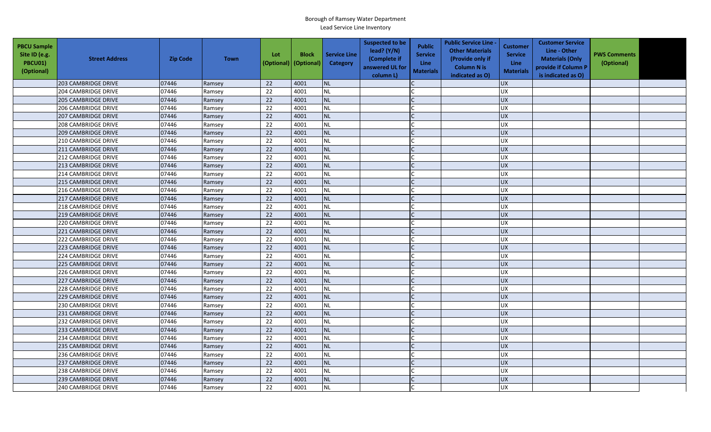| <b>PBCU Sample</b><br>Site ID (e.g.<br>PBCU01)<br>(Optional) | <b>Street Address</b>      | <b>Zip Code</b> | <b>Town</b> | Lot<br>(Optional) | <b>Block</b><br>(Optional) | <b>Service Line</b><br><b>Category</b> | <b>Suspected to be</b><br>lead? (Y/N)<br>(Complete if<br>answered UL for<br>column L) | <b>Public</b><br><b>Service</b><br><b>Line</b><br><b>Materials</b> | <b>Public Service Line -</b><br><b>Other Materials</b><br>(Provide only if<br><b>Column N is</b><br>indicated as O) | <b>Customer</b><br><b>Service</b><br><b>Line</b><br><b>Materials</b> | <b>Customer Service</b><br>Line - Other<br><b>Materials (Only</b><br>provide if Column P<br>is indicated as O) | <b>PWS Comments</b><br>(Optional) |  |
|--------------------------------------------------------------|----------------------------|-----------------|-------------|-------------------|----------------------------|----------------------------------------|---------------------------------------------------------------------------------------|--------------------------------------------------------------------|---------------------------------------------------------------------------------------------------------------------|----------------------------------------------------------------------|----------------------------------------------------------------------------------------------------------------|-----------------------------------|--|
|                                                              | 203 CAMBRIDGE DRIVE        | 07446           | Ramsey      | 22                | 4001                       | <b>NL</b>                              |                                                                                       |                                                                    |                                                                                                                     | <b>UX</b>                                                            |                                                                                                                |                                   |  |
|                                                              | 204 CAMBRIDGE DRIVE        | 07446           | Ramsey      | 22                | 4001                       | <b>NL</b>                              |                                                                                       |                                                                    |                                                                                                                     | UX                                                                   |                                                                                                                |                                   |  |
|                                                              | 205 CAMBRIDGE DRIVE        | 07446           | Ramsey      | 22                | 4001                       | NL                                     |                                                                                       |                                                                    |                                                                                                                     | <b>UX</b>                                                            |                                                                                                                |                                   |  |
|                                                              | 206 CAMBRIDGE DRIVE        | 07446           | Ramsey      | 22                | 4001                       | <b>NL</b>                              |                                                                                       |                                                                    |                                                                                                                     | <b>UX</b>                                                            |                                                                                                                |                                   |  |
|                                                              | <b>207 CAMBRIDGE DRIVE</b> | 07446           | Ramsey      | 22                | 4001                       | <b>NL</b>                              |                                                                                       |                                                                    |                                                                                                                     | <b>UX</b>                                                            |                                                                                                                |                                   |  |
|                                                              | 208 CAMBRIDGE DRIVE        | 07446           | Ramsey      | 22                | 4001                       | <b>NL</b>                              |                                                                                       |                                                                    |                                                                                                                     | <b>UX</b>                                                            |                                                                                                                |                                   |  |
|                                                              | 209 CAMBRIDGE DRIVE        | 07446           | Ramsey      | 22                | 4001                       | <b>NL</b>                              |                                                                                       |                                                                    |                                                                                                                     | <b>UX</b>                                                            |                                                                                                                |                                   |  |
|                                                              | 210 CAMBRIDGE DRIVE        | 07446           | Ramsey      | 22                | 4001                       | <b>NL</b>                              |                                                                                       |                                                                    |                                                                                                                     | UX                                                                   |                                                                                                                |                                   |  |
|                                                              | 211 CAMBRIDGE DRIVE        | 07446           | Ramsey      | 22                | 4001                       | <b>NL</b>                              |                                                                                       |                                                                    |                                                                                                                     | <b>UX</b>                                                            |                                                                                                                |                                   |  |
|                                                              | 212 CAMBRIDGE DRIVE        | 07446           | Ramsey      | 22                | 4001                       | <b>NL</b>                              |                                                                                       |                                                                    |                                                                                                                     | <b>UX</b>                                                            |                                                                                                                |                                   |  |
|                                                              | 213 CAMBRIDGE DRIVE        | 07446           | Ramsey      | 22                | 4001                       | <b>NL</b>                              |                                                                                       |                                                                    |                                                                                                                     | <b>UX</b>                                                            |                                                                                                                |                                   |  |
|                                                              | 214 CAMBRIDGE DRIVE        | 07446           | Ramsey      | $\overline{22}$   | 4001                       | <b>NL</b>                              |                                                                                       |                                                                    |                                                                                                                     | UX                                                                   |                                                                                                                |                                   |  |
|                                                              | <b>215 CAMBRIDGE DRIVE</b> | 07446           | Ramsey      | 22                | 4001                       | <b>NL</b>                              |                                                                                       |                                                                    |                                                                                                                     | <b>UX</b>                                                            |                                                                                                                |                                   |  |
|                                                              | 216 CAMBRIDGE DRIVE        | 07446           | Ramsey      | 22                | 4001                       | NL                                     |                                                                                       |                                                                    |                                                                                                                     | UX                                                                   |                                                                                                                |                                   |  |
|                                                              | <b>217 CAMBRIDGE DRIVE</b> | 07446           | Ramsey      | 22                | 4001                       | <b>NL</b>                              |                                                                                       |                                                                    |                                                                                                                     | <b>UX</b>                                                            |                                                                                                                |                                   |  |
|                                                              | 218 CAMBRIDGE DRIVE        | 07446           | Ramsey      | 22                | 4001                       | <b>NL</b>                              |                                                                                       |                                                                    |                                                                                                                     | <b>UX</b>                                                            |                                                                                                                |                                   |  |
|                                                              | <b>219 CAMBRIDGE DRIVE</b> | 07446           | Ramsey      | 22                | 4001                       | <b>NL</b>                              |                                                                                       |                                                                    |                                                                                                                     | <b>UX</b>                                                            |                                                                                                                |                                   |  |
|                                                              | 220 CAMBRIDGE DRIVE        | 07446           | Ramsey      | 22                | 4001                       | <b>NL</b>                              |                                                                                       |                                                                    |                                                                                                                     | <b>UX</b>                                                            |                                                                                                                |                                   |  |
|                                                              | 221 CAMBRIDGE DRIVE        | 07446           | Ramsey      | 22                | 4001                       | <b>NL</b>                              |                                                                                       |                                                                    |                                                                                                                     | <b>UX</b>                                                            |                                                                                                                |                                   |  |
|                                                              | 222 CAMBRIDGE DRIVE        | 07446           | Ramsey      | 22                | 4001                       | <b>NL</b>                              |                                                                                       |                                                                    |                                                                                                                     | <b>UX</b>                                                            |                                                                                                                |                                   |  |
|                                                              | 223 CAMBRIDGE DRIVE        | 07446           | Ramsey      | 22                | 4001                       | <b>NL</b>                              |                                                                                       |                                                                    |                                                                                                                     | <b>UX</b>                                                            |                                                                                                                |                                   |  |
|                                                              | 224 CAMBRIDGE DRIVE        | 07446           | Ramsey      | 22                | 4001                       | <b>NL</b>                              |                                                                                       |                                                                    |                                                                                                                     | <b>UX</b>                                                            |                                                                                                                |                                   |  |
|                                                              | 225 CAMBRIDGE DRIVE        | 07446           | Ramsey      | 22                | 4001                       | <b>NL</b>                              |                                                                                       |                                                                    |                                                                                                                     | <b>UX</b>                                                            |                                                                                                                |                                   |  |
|                                                              | 226 CAMBRIDGE DRIVE        | 07446           | Ramsey      | 22                | 4001                       | <b>NL</b>                              |                                                                                       |                                                                    |                                                                                                                     | UX                                                                   |                                                                                                                |                                   |  |
|                                                              | 227 CAMBRIDGE DRIVE        | 07446           | Ramsey      | 22                | 4001                       | <b>NL</b>                              |                                                                                       |                                                                    |                                                                                                                     | <b>UX</b>                                                            |                                                                                                                |                                   |  |
|                                                              | 228 CAMBRIDGE DRIVE        | 07446           | Ramsey      | 22                | 4001                       | <b>NL</b>                              |                                                                                       |                                                                    |                                                                                                                     | <b>UX</b>                                                            |                                                                                                                |                                   |  |
|                                                              | <b>229 CAMBRIDGE DRIVE</b> | 07446           | Ramsey      | 22                | 4001                       | <b>NL</b>                              |                                                                                       |                                                                    |                                                                                                                     | <b>UX</b>                                                            |                                                                                                                |                                   |  |
|                                                              | 230 CAMBRIDGE DRIVE        | 07446           | Ramsey      | 22                | 4001                       | <b>NL</b>                              |                                                                                       |                                                                    |                                                                                                                     | <b>UX</b>                                                            |                                                                                                                |                                   |  |
|                                                              | 231 CAMBRIDGE DRIVE        | 07446           | Ramsey      | 22                | 4001                       | <b>NL</b>                              |                                                                                       |                                                                    |                                                                                                                     | <b>UX</b>                                                            |                                                                                                                |                                   |  |
|                                                              | 232 CAMBRIDGE DRIVE        | 07446           | Ramsey      | 22                | 4001                       | <b>NL</b>                              |                                                                                       |                                                                    |                                                                                                                     | <b>UX</b>                                                            |                                                                                                                |                                   |  |
|                                                              | 233 CAMBRIDGE DRIVE        | 07446           | Ramsey      | 22                | 4001                       | <b>NL</b>                              |                                                                                       |                                                                    |                                                                                                                     | <b>UX</b>                                                            |                                                                                                                |                                   |  |
|                                                              | 234 CAMBRIDGE DRIVE        | 07446           | Ramsey      | 22                | 4001                       | <b>NL</b>                              |                                                                                       |                                                                    |                                                                                                                     | <b>UX</b>                                                            |                                                                                                                |                                   |  |
|                                                              | 235 CAMBRIDGE DRIVE        | 07446           | Ramsey      | 22                | 4001                       | <b>NL</b>                              |                                                                                       |                                                                    |                                                                                                                     | UX                                                                   |                                                                                                                |                                   |  |
|                                                              | 236 CAMBRIDGE DRIVE        | 07446           | Ramsey      | 22                | 4001                       | <b>NL</b>                              |                                                                                       |                                                                    |                                                                                                                     | <b>UX</b>                                                            |                                                                                                                |                                   |  |
|                                                              | 237 CAMBRIDGE DRIVE        | 07446           | Ramsey      | 22                | 4001                       | <b>NL</b>                              |                                                                                       |                                                                    |                                                                                                                     | UX                                                                   |                                                                                                                |                                   |  |
|                                                              | 238 CAMBRIDGE DRIVE        | 07446           | Ramsey      | 22                | 4001                       | <b>NL</b>                              |                                                                                       |                                                                    |                                                                                                                     | <b>UX</b>                                                            |                                                                                                                |                                   |  |
|                                                              | <b>239 CAMBRIDGE DRIVE</b> | 07446           | Ramsey      | 22                | 4001                       | <b>NL</b>                              |                                                                                       |                                                                    |                                                                                                                     | <b>UX</b>                                                            |                                                                                                                |                                   |  |
|                                                              | 240 CAMBRIDGE DRIVE        | 07446           | Ramsey      | 22                | 4001                       | <b>NL</b>                              |                                                                                       |                                                                    |                                                                                                                     | <b>UX</b>                                                            |                                                                                                                |                                   |  |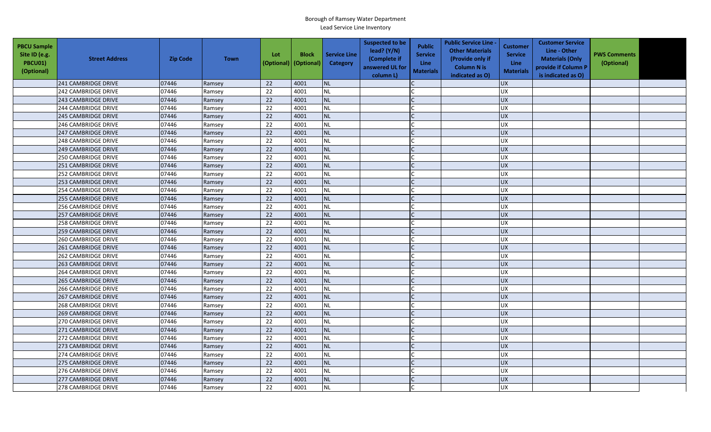| <b>PBCU Sample</b><br>Site ID (e.g.<br>PBCU01)<br>(Optional) | <b>Street Address</b>      | <b>Zip Code</b> | <b>Town</b> | Lot<br>(Optional) | <b>Block</b><br>(Optional) | <b>Service Line</b><br><b>Category</b> | <b>Suspected to be</b><br>lead? (Y/N)<br>(Complete if<br>answered UL for<br>column L) | <b>Public</b><br><b>Service</b><br><b>Line</b><br><b>Materials</b> | <b>Public Service Line -</b><br><b>Other Materials</b><br>(Provide only if<br><b>Column N is</b><br>indicated as O) | <b>Customer</b><br><b>Service</b><br><b>Line</b><br><b>Materials</b> | <b>Customer Service</b><br>Line - Other<br><b>Materials (Only</b><br>provide if Column P<br>is indicated as O) | <b>PWS Comments</b><br>(Optional) |  |
|--------------------------------------------------------------|----------------------------|-----------------|-------------|-------------------|----------------------------|----------------------------------------|---------------------------------------------------------------------------------------|--------------------------------------------------------------------|---------------------------------------------------------------------------------------------------------------------|----------------------------------------------------------------------|----------------------------------------------------------------------------------------------------------------|-----------------------------------|--|
|                                                              | 241 CAMBRIDGE DRIVE        | 07446           | Ramsey      | 22                | 4001                       | <b>NL</b>                              |                                                                                       |                                                                    |                                                                                                                     | <b>UX</b>                                                            |                                                                                                                |                                   |  |
|                                                              | 242 CAMBRIDGE DRIVE        | 07446           | Ramsey      | 22                | 4001                       | <b>NL</b>                              |                                                                                       |                                                                    |                                                                                                                     | UX                                                                   |                                                                                                                |                                   |  |
|                                                              | 243 CAMBRIDGE DRIVE        | 07446           | Ramsey      | 22                | 4001                       | NL                                     |                                                                                       |                                                                    |                                                                                                                     | <b>UX</b>                                                            |                                                                                                                |                                   |  |
|                                                              | 244 CAMBRIDGE DRIVE        | 07446           | Ramsey      | 22                | 4001                       | <b>NL</b>                              |                                                                                       |                                                                    |                                                                                                                     | <b>UX</b>                                                            |                                                                                                                |                                   |  |
|                                                              | <b>245 CAMBRIDGE DRIVE</b> | 07446           | Ramsey      | 22                | 4001                       | <b>NL</b>                              |                                                                                       |                                                                    |                                                                                                                     | <b>UX</b>                                                            |                                                                                                                |                                   |  |
|                                                              | <b>246 CAMBRIDGE DRIVE</b> | 07446           | Ramsey      | 22                | 4001                       | <b>NL</b>                              |                                                                                       |                                                                    |                                                                                                                     | <b>UX</b>                                                            |                                                                                                                |                                   |  |
|                                                              | 247 CAMBRIDGE DRIVE        | 07446           | Ramsey      | 22                | 4001                       | <b>NL</b>                              |                                                                                       |                                                                    |                                                                                                                     | <b>UX</b>                                                            |                                                                                                                |                                   |  |
|                                                              | 248 CAMBRIDGE DRIVE        | 07446           | Ramsey      | 22                | 4001                       | <b>NL</b>                              |                                                                                       |                                                                    |                                                                                                                     | <b>UX</b>                                                            |                                                                                                                |                                   |  |
|                                                              | 249 CAMBRIDGE DRIVE        | 07446           | Ramsey      | 22                | 4001                       | <b>NL</b>                              |                                                                                       |                                                                    |                                                                                                                     | <b>UX</b>                                                            |                                                                                                                |                                   |  |
|                                                              | 250 CAMBRIDGE DRIVE        | 07446           | Ramsey      | 22                | 4001                       | <b>NL</b>                              |                                                                                       |                                                                    |                                                                                                                     | <b>UX</b>                                                            |                                                                                                                |                                   |  |
|                                                              | 251 CAMBRIDGE DRIVE        | 07446           | Ramsey      | 22                | 4001                       | <b>NL</b>                              |                                                                                       |                                                                    |                                                                                                                     | <b>UX</b>                                                            |                                                                                                                |                                   |  |
|                                                              | 252 CAMBRIDGE DRIVE        | 07446           | Ramsey      | $\overline{22}$   | 4001                       | <b>NL</b>                              |                                                                                       |                                                                    |                                                                                                                     | UX                                                                   |                                                                                                                |                                   |  |
|                                                              | 253 CAMBRIDGE DRIVE        | 07446           | Ramsey      | 22                | 4001                       | <b>NL</b>                              |                                                                                       |                                                                    |                                                                                                                     | <b>UX</b>                                                            |                                                                                                                |                                   |  |
|                                                              | 254 CAMBRIDGE DRIVE        | 07446           | Ramsey      | 22                | 4001                       | NL                                     |                                                                                       |                                                                    |                                                                                                                     | UX                                                                   |                                                                                                                |                                   |  |
|                                                              | <b>255 CAMBRIDGE DRIVE</b> | 07446           | Ramsey      | 22                | 4001                       | <b>NL</b>                              |                                                                                       |                                                                    |                                                                                                                     | <b>UX</b>                                                            |                                                                                                                |                                   |  |
|                                                              | <b>256 CAMBRIDGE DRIVE</b> | 07446           | Ramsey      | 22                | 4001                       | <b>NL</b>                              |                                                                                       |                                                                    |                                                                                                                     | <b>UX</b>                                                            |                                                                                                                |                                   |  |
|                                                              | <b>257 CAMBRIDGE DRIVE</b> | 07446           | Ramsey      | 22                | 4001                       | <b>NL</b>                              |                                                                                       |                                                                    |                                                                                                                     | <b>UX</b>                                                            |                                                                                                                |                                   |  |
|                                                              | <b>258 CAMBRIDGE DRIVE</b> | 07446           | Ramsey      | 22                | 4001                       | <b>NL</b>                              |                                                                                       |                                                                    |                                                                                                                     | <b>UX</b>                                                            |                                                                                                                |                                   |  |
|                                                              | <b>259 CAMBRIDGE DRIVE</b> | 07446           | Ramsey      | 22                | 4001                       | <b>NL</b>                              |                                                                                       |                                                                    |                                                                                                                     | <b>UX</b>                                                            |                                                                                                                |                                   |  |
|                                                              | 260 CAMBRIDGE DRIVE        | 07446           | Ramsey      | 22                | 4001                       | <b>NL</b>                              |                                                                                       |                                                                    |                                                                                                                     | <b>UX</b>                                                            |                                                                                                                |                                   |  |
|                                                              | 261 CAMBRIDGE DRIVE        | 07446           | Ramsey      | 22                | 4001                       | <b>NL</b>                              |                                                                                       |                                                                    |                                                                                                                     | <b>UX</b>                                                            |                                                                                                                |                                   |  |
|                                                              | 262 CAMBRIDGE DRIVE        | 07446           | Ramsey      | 22                | 4001                       | <b>NL</b>                              |                                                                                       |                                                                    |                                                                                                                     | <b>UX</b>                                                            |                                                                                                                |                                   |  |
|                                                              | 263 CAMBRIDGE DRIVE        | 07446           | Ramsey      | 22                | 4001                       | <b>NL</b>                              |                                                                                       |                                                                    |                                                                                                                     | <b>UX</b>                                                            |                                                                                                                |                                   |  |
|                                                              | 264 CAMBRIDGE DRIVE        | 07446           | Ramsey      | 22                | 4001                       | <b>NL</b>                              |                                                                                       |                                                                    |                                                                                                                     | UX                                                                   |                                                                                                                |                                   |  |
|                                                              | <b>265 CAMBRIDGE DRIVE</b> | 07446           | Ramsey      | 22                | 4001                       | <b>NL</b>                              |                                                                                       |                                                                    |                                                                                                                     | <b>UX</b>                                                            |                                                                                                                |                                   |  |
|                                                              | 266 CAMBRIDGE DRIVE        | 07446           | Ramsey      | 22                | 4001                       | <b>NL</b>                              |                                                                                       |                                                                    |                                                                                                                     | <b>UX</b>                                                            |                                                                                                                |                                   |  |
|                                                              | <b>267 CAMBRIDGE DRIVE</b> | 07446           | Ramsey      | 22                | 4001                       | <b>NL</b>                              |                                                                                       |                                                                    |                                                                                                                     | <b>UX</b>                                                            |                                                                                                                |                                   |  |
|                                                              | 268 CAMBRIDGE DRIVE        | 07446           | Ramsey      | 22                | 4001                       | <b>NL</b>                              |                                                                                       |                                                                    |                                                                                                                     | <b>UX</b>                                                            |                                                                                                                |                                   |  |
|                                                              | <b>269 CAMBRIDGE DRIVE</b> | 07446           | Ramsey      | 22                | 4001                       | <b>NL</b>                              |                                                                                       |                                                                    |                                                                                                                     | <b>UX</b>                                                            |                                                                                                                |                                   |  |
|                                                              | 270 CAMBRIDGE DRIVE        | 07446           | Ramsey      | 22                | 4001                       | <b>NL</b>                              |                                                                                       |                                                                    |                                                                                                                     | <b>UX</b>                                                            |                                                                                                                |                                   |  |
|                                                              | 271 CAMBRIDGE DRIVE        | 07446           | Ramsey      | 22                | 4001                       | <b>NL</b>                              |                                                                                       |                                                                    |                                                                                                                     | <b>UX</b>                                                            |                                                                                                                |                                   |  |
|                                                              | 272 CAMBRIDGE DRIVE        | 07446           | Ramsey      | 22                | 4001                       | <b>NL</b>                              |                                                                                       |                                                                    |                                                                                                                     | <b>UX</b>                                                            |                                                                                                                |                                   |  |
|                                                              | 273 CAMBRIDGE DRIVE        | 07446           | Ramsey      | 22                | 4001                       | <b>NL</b>                              |                                                                                       |                                                                    |                                                                                                                     | UX                                                                   |                                                                                                                |                                   |  |
|                                                              | 274 CAMBRIDGE DRIVE        | 07446           | Ramsey      | 22                | 4001                       | <b>NL</b>                              |                                                                                       |                                                                    |                                                                                                                     | <b>UX</b>                                                            |                                                                                                                |                                   |  |
|                                                              | 275 CAMBRIDGE DRIVE        | 07446           | Ramsey      | 22                | 4001                       | <b>NL</b>                              |                                                                                       |                                                                    |                                                                                                                     | UX                                                                   |                                                                                                                |                                   |  |
|                                                              | 276 CAMBRIDGE DRIVE        | 07446           | Ramsey      | 22                | 4001                       | <b>NL</b>                              |                                                                                       |                                                                    |                                                                                                                     | <b>UX</b>                                                            |                                                                                                                |                                   |  |
|                                                              | <b>277 CAMBRIDGE DRIVE</b> | 07446           | Ramsey      | 22                | 4001                       | <b>NL</b>                              |                                                                                       |                                                                    |                                                                                                                     | <b>UX</b>                                                            |                                                                                                                |                                   |  |
|                                                              | 278 CAMBRIDGE DRIVE        | 07446           | Ramsey      | 22                | 4001                       | <b>NL</b>                              |                                                                                       |                                                                    |                                                                                                                     | <b>UX</b>                                                            |                                                                                                                |                                   |  |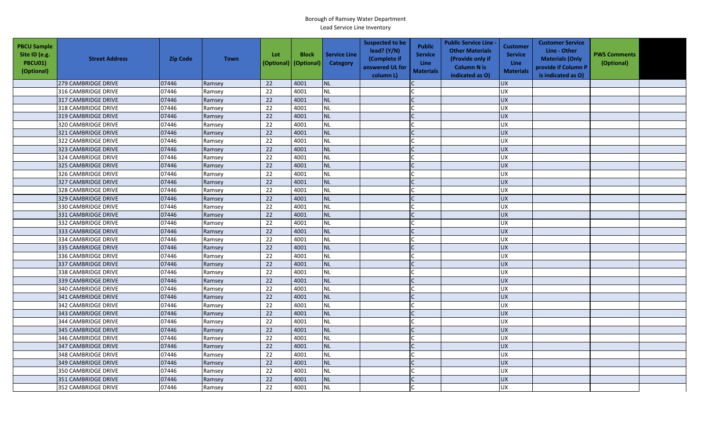| <b>PBCU Sample</b><br>Site ID (e.g.<br>PBCU01)<br>(Optional) | <b>Street Address</b> | <b>Zip Code</b> | <b>Town</b> | Lot<br>(Optional) | <b>Block</b><br>(Optional) | <b>Service Line</b><br><b>Category</b> | <b>Suspected to be</b><br>lead? (Y/N)<br>(Complete if<br>answered UL for<br>column L) | <b>Public</b><br><b>Service</b><br><b>Line</b><br><b>Materials</b> | <b>Public Service Line -</b><br><b>Other Materials</b><br>(Provide only if<br><b>Column N is</b><br>indicated as O) | <b>Customer</b><br><b>Service</b><br><b>Line</b><br><b>Materials</b> | <b>Customer Service</b><br>Line - Other<br><b>Materials (Only</b><br>provide if Column P<br>is indicated as O) | <b>PWS Comments</b><br>(Optional) |  |
|--------------------------------------------------------------|-----------------------|-----------------|-------------|-------------------|----------------------------|----------------------------------------|---------------------------------------------------------------------------------------|--------------------------------------------------------------------|---------------------------------------------------------------------------------------------------------------------|----------------------------------------------------------------------|----------------------------------------------------------------------------------------------------------------|-----------------------------------|--|
|                                                              | 279 CAMBRIDGE DRIVE   | 07446           | Ramsey      | 22                | 4001                       | <b>NL</b>                              |                                                                                       |                                                                    |                                                                                                                     | <b>UX</b>                                                            |                                                                                                                |                                   |  |
|                                                              | 316 CAMBRIDGE DRIVE   | 07446           | Ramsey      | 22                | 4001                       | <b>NL</b>                              |                                                                                       |                                                                    |                                                                                                                     | UX                                                                   |                                                                                                                |                                   |  |
|                                                              | 317 CAMBRIDGE DRIVE   | 07446           | Ramsey      | 22                | 4001                       | NL                                     |                                                                                       |                                                                    |                                                                                                                     | <b>UX</b>                                                            |                                                                                                                |                                   |  |
|                                                              | 318 CAMBRIDGE DRIVE   | 07446           | Ramsey      | 22                | 4001                       | <b>NL</b>                              |                                                                                       |                                                                    |                                                                                                                     | <b>UX</b>                                                            |                                                                                                                |                                   |  |
|                                                              | 319 CAMBRIDGE DRIVE   | 07446           | Ramsey      | 22                | 4001                       | <b>NL</b>                              |                                                                                       |                                                                    |                                                                                                                     | <b>UX</b>                                                            |                                                                                                                |                                   |  |
|                                                              | 320 CAMBRIDGE DRIVE   | 07446           | Ramsey      | 22                | 4001                       | <b>NL</b>                              |                                                                                       |                                                                    |                                                                                                                     | <b>UX</b>                                                            |                                                                                                                |                                   |  |
|                                                              | 321 CAMBRIDGE DRIVE   | 07446           | Ramsey      | 22                | 4001                       | <b>NL</b>                              |                                                                                       |                                                                    |                                                                                                                     | <b>UX</b>                                                            |                                                                                                                |                                   |  |
|                                                              | 322 CAMBRIDGE DRIVE   | 07446           | Ramsey      | 22                | 4001                       | <b>NL</b>                              |                                                                                       |                                                                    |                                                                                                                     | <b>UX</b>                                                            |                                                                                                                |                                   |  |
|                                                              | 323 CAMBRIDGE DRIVE   | 07446           | Ramsey      | 22                | 4001                       | <b>NL</b>                              |                                                                                       |                                                                    |                                                                                                                     | <b>UX</b>                                                            |                                                                                                                |                                   |  |
|                                                              | 324 CAMBRIDGE DRIVE   | 07446           | Ramsey      | 22                | 4001                       | <b>NL</b>                              |                                                                                       |                                                                    |                                                                                                                     | <b>UX</b>                                                            |                                                                                                                |                                   |  |
|                                                              | 325 CAMBRIDGE DRIVE   | 07446           | Ramsey      | 22                | 4001                       | <b>NL</b>                              |                                                                                       |                                                                    |                                                                                                                     | <b>UX</b>                                                            |                                                                                                                |                                   |  |
|                                                              | 326 CAMBRIDGE DRIVE   | 07446           | Ramsey      | $\overline{22}$   | 4001                       | <b>NL</b>                              |                                                                                       |                                                                    |                                                                                                                     | UX                                                                   |                                                                                                                |                                   |  |
|                                                              | 327 CAMBRIDGE DRIVE   | 07446           | Ramsey      | 22                | 4001                       | <b>NL</b>                              |                                                                                       |                                                                    |                                                                                                                     | <b>UX</b>                                                            |                                                                                                                |                                   |  |
|                                                              | 328 CAMBRIDGE DRIVE   | 07446           | Ramsey      | 22                | 4001                       | NL                                     |                                                                                       |                                                                    |                                                                                                                     | UX                                                                   |                                                                                                                |                                   |  |
|                                                              | 329 CAMBRIDGE DRIVE   | 07446           | Ramsey      | 22                | 4001                       | <b>NL</b>                              |                                                                                       |                                                                    |                                                                                                                     | <b>UX</b>                                                            |                                                                                                                |                                   |  |
|                                                              | 330 CAMBRIDGE DRIVE   | 07446           | Ramsey      | 22                | 4001                       | <b>NL</b>                              |                                                                                       |                                                                    |                                                                                                                     | <b>UX</b>                                                            |                                                                                                                |                                   |  |
|                                                              | 331 CAMBRIDGE DRIVE   | 07446           | Ramsey      | 22                | 4001                       | <b>NL</b>                              |                                                                                       |                                                                    |                                                                                                                     | <b>UX</b>                                                            |                                                                                                                |                                   |  |
|                                                              | 332 CAMBRIDGE DRIVE   | 07446           | Ramsey      | 22                | 4001                       | <b>NL</b>                              |                                                                                       |                                                                    |                                                                                                                     | <b>UX</b>                                                            |                                                                                                                |                                   |  |
|                                                              | 333 CAMBRIDGE DRIVE   | 07446           | Ramsey      | 22                | 4001                       | <b>NL</b>                              |                                                                                       |                                                                    |                                                                                                                     | UX                                                                   |                                                                                                                |                                   |  |
|                                                              | 334 CAMBRIDGE DRIVE   | 07446           | Ramsey      | 22                | 4001                       | <b>NL</b>                              |                                                                                       |                                                                    |                                                                                                                     | <b>UX</b>                                                            |                                                                                                                |                                   |  |
|                                                              | 335 CAMBRIDGE DRIVE   | 07446           | Ramsey      | 22                | 4001                       | <b>NL</b>                              |                                                                                       |                                                                    |                                                                                                                     | <b>UX</b>                                                            |                                                                                                                |                                   |  |
|                                                              | 336 CAMBRIDGE DRIVE   | 07446           | Ramsey      | 22                | 4001                       | <b>NL</b>                              |                                                                                       |                                                                    |                                                                                                                     | <b>UX</b>                                                            |                                                                                                                |                                   |  |
|                                                              | 337 CAMBRIDGE DRIVE   | 07446           | Ramsey      | 22                | 4001                       | <b>NL</b>                              |                                                                                       |                                                                    |                                                                                                                     | <b>UX</b>                                                            |                                                                                                                |                                   |  |
|                                                              | 338 CAMBRIDGE DRIVE   | 07446           | Ramsey      | 22                | 4001                       | <b>NL</b>                              |                                                                                       |                                                                    |                                                                                                                     | UX                                                                   |                                                                                                                |                                   |  |
|                                                              | 339 CAMBRIDGE DRIVE   | 07446           | Ramsey      | 22                | 4001                       | <b>NL</b>                              |                                                                                       |                                                                    |                                                                                                                     | <b>UX</b>                                                            |                                                                                                                |                                   |  |
|                                                              | 340 CAMBRIDGE DRIVE   | 07446           | Ramsey      | 22                | 4001                       | <b>NL</b>                              |                                                                                       |                                                                    |                                                                                                                     | <b>UX</b>                                                            |                                                                                                                |                                   |  |
|                                                              | 341 CAMBRIDGE DRIVE   | 07446           | Ramsey      | 22                | 4001                       | <b>NL</b>                              |                                                                                       |                                                                    |                                                                                                                     | <b>UX</b>                                                            |                                                                                                                |                                   |  |
|                                                              | 342 CAMBRIDGE DRIVE   | 07446           | Ramsey      | 22                | 4001                       | <b>NL</b>                              |                                                                                       |                                                                    |                                                                                                                     | <b>UX</b>                                                            |                                                                                                                |                                   |  |
|                                                              | 343 CAMBRIDGE DRIVE   | 07446           | Ramsey      | 22                | 4001                       | <b>NL</b>                              |                                                                                       |                                                                    |                                                                                                                     | <b>UX</b>                                                            |                                                                                                                |                                   |  |
|                                                              | 344 CAMBRIDGE DRIVE   | 07446           | Ramsey      | 22                | 4001                       | <b>NL</b>                              |                                                                                       |                                                                    |                                                                                                                     | <b>UX</b>                                                            |                                                                                                                |                                   |  |
|                                                              | 345 CAMBRIDGE DRIVE   | 07446           | Ramsey      | 22                | 4001                       | <b>NL</b>                              |                                                                                       |                                                                    |                                                                                                                     | <b>UX</b>                                                            |                                                                                                                |                                   |  |
|                                                              | 346 CAMBRIDGE DRIVE   | 07446           | Ramsey      | 22                | 4001                       | <b>NL</b>                              |                                                                                       |                                                                    |                                                                                                                     | UX                                                                   |                                                                                                                |                                   |  |
|                                                              | 347 CAMBRIDGE DRIVE   | 07446           | Ramsey      | 22                | 4001                       | <b>NL</b>                              |                                                                                       |                                                                    |                                                                                                                     | UX                                                                   |                                                                                                                |                                   |  |
|                                                              | 348 CAMBRIDGE DRIVE   | 07446           | Ramsey      | 22                | 4001                       | <b>NL</b>                              |                                                                                       |                                                                    |                                                                                                                     | <b>UX</b>                                                            |                                                                                                                |                                   |  |
|                                                              | 349 CAMBRIDGE DRIVE   | 07446           | Ramsey      | 22                | 4001                       | <b>NL</b>                              |                                                                                       |                                                                    |                                                                                                                     | UX                                                                   |                                                                                                                |                                   |  |
|                                                              | 350 CAMBRIDGE DRIVE   | 07446           | Ramsey      | 22                | 4001                       | <b>NL</b>                              |                                                                                       |                                                                    |                                                                                                                     | <b>UX</b>                                                            |                                                                                                                |                                   |  |
|                                                              | 351 CAMBRIDGE DRIVE   | 07446           | Ramsey      | 22                | 4001                       | <b>NL</b>                              |                                                                                       |                                                                    |                                                                                                                     | <b>UX</b>                                                            |                                                                                                                |                                   |  |
|                                                              | 352 CAMBRIDGE DRIVE   | 07446           | Ramsey      | 22                | 4001                       | <b>NL</b>                              |                                                                                       |                                                                    |                                                                                                                     | <b>UX</b>                                                            |                                                                                                                |                                   |  |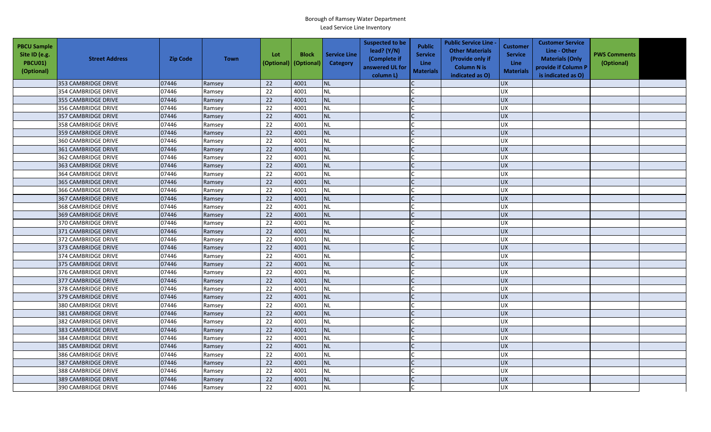| <b>PBCU Sample</b><br>Site ID (e.g.<br>PBCU01)<br>(Optional) | <b>Street Address</b>      | <b>Zip Code</b> | <b>Town</b> | Lot<br>(Optional) | <b>Block</b><br>(Optional) | <b>Service Line</b><br><b>Category</b> | <b>Suspected to be</b><br>lead? (Y/N)<br>(Complete if<br>answered UL for<br>column L) | <b>Public</b><br><b>Service</b><br><b>Line</b><br><b>Materials</b> | <b>Public Service Line -</b><br><b>Other Materials</b><br>(Provide only if<br><b>Column N is</b><br>indicated as O) | <b>Customer</b><br><b>Service</b><br><b>Line</b><br><b>Materials</b> | <b>Customer Service</b><br>Line - Other<br><b>Materials (Only</b><br>provide if Column P<br>is indicated as O) | <b>PWS Comments</b><br>(Optional) |  |
|--------------------------------------------------------------|----------------------------|-----------------|-------------|-------------------|----------------------------|----------------------------------------|---------------------------------------------------------------------------------------|--------------------------------------------------------------------|---------------------------------------------------------------------------------------------------------------------|----------------------------------------------------------------------|----------------------------------------------------------------------------------------------------------------|-----------------------------------|--|
|                                                              | 353 CAMBRIDGE DRIVE        | 07446           | Ramsey      | 22                | 4001                       | <b>NL</b>                              |                                                                                       |                                                                    |                                                                                                                     | <b>UX</b>                                                            |                                                                                                                |                                   |  |
|                                                              | 354 CAMBRIDGE DRIVE        | 07446           | Ramsey      | 22                | 4001                       | <b>NL</b>                              |                                                                                       |                                                                    |                                                                                                                     | UX                                                                   |                                                                                                                |                                   |  |
|                                                              | 355 CAMBRIDGE DRIVE        | 07446           | Ramsey      | 22                | 4001                       | NL                                     |                                                                                       |                                                                    |                                                                                                                     | <b>UX</b>                                                            |                                                                                                                |                                   |  |
|                                                              | 356 CAMBRIDGE DRIVE        | 07446           | Ramsey      | 22                | 4001                       | <b>NL</b>                              |                                                                                       |                                                                    |                                                                                                                     | <b>UX</b>                                                            |                                                                                                                |                                   |  |
|                                                              | 357 CAMBRIDGE DRIVE        | 07446           | Ramsey      | 22                | 4001                       | <b>NL</b>                              |                                                                                       |                                                                    |                                                                                                                     | <b>UX</b>                                                            |                                                                                                                |                                   |  |
|                                                              | 358 CAMBRIDGE DRIVE        | 07446           | Ramsey      | 22                | 4001                       | <b>NL</b>                              |                                                                                       |                                                                    |                                                                                                                     | <b>UX</b>                                                            |                                                                                                                |                                   |  |
|                                                              | 359 CAMBRIDGE DRIVE        | 07446           | Ramsey      | 22                | 4001                       | <b>NL</b>                              |                                                                                       |                                                                    |                                                                                                                     | <b>UX</b>                                                            |                                                                                                                |                                   |  |
|                                                              | 360 CAMBRIDGE DRIVE        | 07446           | Ramsey      | 22                | 4001                       | <b>NL</b>                              |                                                                                       |                                                                    |                                                                                                                     | <b>UX</b>                                                            |                                                                                                                |                                   |  |
|                                                              | 361 CAMBRIDGE DRIVE        | 07446           | Ramsey      | 22                | 4001                       | <b>NL</b>                              |                                                                                       |                                                                    |                                                                                                                     | <b>UX</b>                                                            |                                                                                                                |                                   |  |
|                                                              | 362 CAMBRIDGE DRIVE        | 07446           | Ramsey      | 22                | 4001                       | <b>NL</b>                              |                                                                                       |                                                                    |                                                                                                                     | <b>UX</b>                                                            |                                                                                                                |                                   |  |
|                                                              | 363 CAMBRIDGE DRIVE        | 07446           | Ramsey      | 22                | 4001                       | <b>NL</b>                              |                                                                                       |                                                                    |                                                                                                                     | <b>UX</b>                                                            |                                                                                                                |                                   |  |
|                                                              | 364 CAMBRIDGE DRIVE        | 07446           | Ramsey      | $\overline{22}$   | 4001                       | <b>NL</b>                              |                                                                                       |                                                                    |                                                                                                                     | UX                                                                   |                                                                                                                |                                   |  |
|                                                              | 365 CAMBRIDGE DRIVE        | 07446           | Ramsey      | 22                | 4001                       | <b>NL</b>                              |                                                                                       |                                                                    |                                                                                                                     | <b>UX</b>                                                            |                                                                                                                |                                   |  |
|                                                              | 366 CAMBRIDGE DRIVE        | 07446           | Ramsey      | 22                | 4001                       | NL                                     |                                                                                       |                                                                    |                                                                                                                     | UX                                                                   |                                                                                                                |                                   |  |
|                                                              | 367 CAMBRIDGE DRIVE        | 07446           | Ramsey      | 22                | 4001                       | <b>NL</b>                              |                                                                                       |                                                                    |                                                                                                                     | <b>UX</b>                                                            |                                                                                                                |                                   |  |
|                                                              | 368 CAMBRIDGE DRIVE        | 07446           | Ramsey      | 22                | 4001                       | <b>NL</b>                              |                                                                                       |                                                                    |                                                                                                                     | <b>UX</b>                                                            |                                                                                                                |                                   |  |
|                                                              | 369 CAMBRIDGE DRIVE        | 07446           | Ramsey      | 22                | 4001                       | <b>NL</b>                              |                                                                                       |                                                                    |                                                                                                                     | <b>UX</b>                                                            |                                                                                                                |                                   |  |
|                                                              | 370 CAMBRIDGE DRIVE        | 07446           | Ramsey      | 22                | 4001                       | <b>NL</b>                              |                                                                                       |                                                                    |                                                                                                                     | <b>UX</b>                                                            |                                                                                                                |                                   |  |
|                                                              | 371 CAMBRIDGE DRIVE        | 07446           | Ramsey      | 22                | 4001                       | <b>NL</b>                              |                                                                                       |                                                                    |                                                                                                                     | <b>UX</b>                                                            |                                                                                                                |                                   |  |
|                                                              | 372 CAMBRIDGE DRIVE        | 07446           | Ramsey      | 22                | 4001                       | <b>NL</b>                              |                                                                                       |                                                                    |                                                                                                                     | <b>UX</b>                                                            |                                                                                                                |                                   |  |
|                                                              | 373 CAMBRIDGE DRIVE        | 07446           | Ramsey      | 22                | 4001                       | <b>NL</b>                              |                                                                                       |                                                                    |                                                                                                                     | <b>UX</b>                                                            |                                                                                                                |                                   |  |
|                                                              | 374 CAMBRIDGE DRIVE        | 07446           | Ramsey      | 22                | 4001                       | <b>NL</b>                              |                                                                                       |                                                                    |                                                                                                                     | <b>UX</b>                                                            |                                                                                                                |                                   |  |
|                                                              | 375 CAMBRIDGE DRIVE        | 07446           | Ramsey      | 22                | 4001                       | <b>NL</b>                              |                                                                                       |                                                                    |                                                                                                                     | <b>UX</b>                                                            |                                                                                                                |                                   |  |
|                                                              | 376 CAMBRIDGE DRIVE        | 07446           | Ramsey      | 22                | 4001                       | <b>NL</b>                              |                                                                                       |                                                                    |                                                                                                                     | UX                                                                   |                                                                                                                |                                   |  |
|                                                              | 377 CAMBRIDGE DRIVE        | 07446           | Ramsey      | 22                | 4001                       | <b>NL</b>                              |                                                                                       |                                                                    |                                                                                                                     | <b>UX</b>                                                            |                                                                                                                |                                   |  |
|                                                              | 378 CAMBRIDGE DRIVE        | 07446           | Ramsey      | 22                | 4001                       | <b>NL</b>                              |                                                                                       |                                                                    |                                                                                                                     | <b>UX</b>                                                            |                                                                                                                |                                   |  |
|                                                              | 379 CAMBRIDGE DRIVE        | 07446           | Ramsey      | 22                | 4001                       | <b>NL</b>                              |                                                                                       |                                                                    |                                                                                                                     | <b>UX</b>                                                            |                                                                                                                |                                   |  |
|                                                              | 380 CAMBRIDGE DRIVE        | 07446           | Ramsey      | 22                | 4001                       | <b>NL</b>                              |                                                                                       |                                                                    |                                                                                                                     | <b>UX</b>                                                            |                                                                                                                |                                   |  |
|                                                              | 381 CAMBRIDGE DRIVE        | 07446           | Ramsey      | 22                | 4001                       | <b>NL</b>                              |                                                                                       |                                                                    |                                                                                                                     | <b>UX</b>                                                            |                                                                                                                |                                   |  |
|                                                              | 382 CAMBRIDGE DRIVE        | 07446           | Ramsey      | 22                | 4001                       | <b>NL</b>                              |                                                                                       |                                                                    |                                                                                                                     | <b>UX</b>                                                            |                                                                                                                |                                   |  |
|                                                              | 383 CAMBRIDGE DRIVE        | 07446           | Ramsey      | 22                | 4001                       | <b>NL</b>                              |                                                                                       |                                                                    |                                                                                                                     | <b>UX</b>                                                            |                                                                                                                |                                   |  |
|                                                              | 384 CAMBRIDGE DRIVE        | 07446           | Ramsey      | 22                | 4001                       | <b>NL</b>                              |                                                                                       |                                                                    |                                                                                                                     | <b>UX</b>                                                            |                                                                                                                |                                   |  |
|                                                              | 385 CAMBRIDGE DRIVE        | 07446           | Ramsey      | 22                | 4001                       | <b>NL</b>                              |                                                                                       |                                                                    |                                                                                                                     | UX                                                                   |                                                                                                                |                                   |  |
|                                                              | 386 CAMBRIDGE DRIVE        | 07446           | Ramsey      | 22                | 4001                       | <b>NL</b>                              |                                                                                       |                                                                    |                                                                                                                     | <b>UX</b>                                                            |                                                                                                                |                                   |  |
|                                                              | 387 CAMBRIDGE DRIVE        | 07446           | Ramsey      | 22                | 4001                       | <b>NL</b>                              |                                                                                       |                                                                    |                                                                                                                     | UX                                                                   |                                                                                                                |                                   |  |
|                                                              | 388 CAMBRIDGE DRIVE        | 07446           | Ramsey      | 22                | 4001                       | <b>NL</b>                              |                                                                                       |                                                                    |                                                                                                                     | <b>UX</b>                                                            |                                                                                                                |                                   |  |
|                                                              | 389 CAMBRIDGE DRIVE        | 07446           | Ramsey      | 22                | 4001                       | <b>NL</b>                              |                                                                                       |                                                                    |                                                                                                                     | <b>UX</b>                                                            |                                                                                                                |                                   |  |
|                                                              | <b>390 CAMBRIDGE DRIVE</b> | 07446           | Ramsey      | 22                | 4001                       | <b>NL</b>                              |                                                                                       |                                                                    |                                                                                                                     | <b>UX</b>                                                            |                                                                                                                |                                   |  |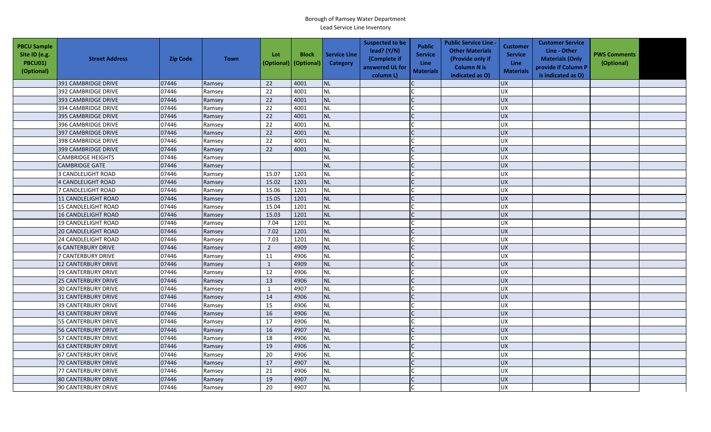| <b>PBCU Sample</b><br>Site ID (e.g.<br><b>PBCU01)</b><br>(Optional) | <b>Street Address</b>      | <b>Zip Code</b> | <b>Town</b> | Lot<br>(Optional) | <b>Block</b><br>(Optional) | <b>Service Line</b><br><b>Category</b> | <b>Suspected to be</b><br>lead? (Y/N)<br>(Complete if<br>answered UL for<br>column L) | <b>Public</b><br><b>Service</b><br><b>Line</b><br><b>Materials</b> | <b>Public Service Line -</b><br><b>Other Materials</b><br>(Provide only if<br><b>Column N is</b><br>indicated as O) | <b>Customer</b><br><b>Service</b><br><b>Line</b><br><b>Materials</b> | <b>Customer Service</b><br>Line - Other<br><b>Materials (Only</b><br>provide if Column P<br>is indicated as O) | <b>PWS Comments</b><br>(Optional) |  |
|---------------------------------------------------------------------|----------------------------|-----------------|-------------|-------------------|----------------------------|----------------------------------------|---------------------------------------------------------------------------------------|--------------------------------------------------------------------|---------------------------------------------------------------------------------------------------------------------|----------------------------------------------------------------------|----------------------------------------------------------------------------------------------------------------|-----------------------------------|--|
|                                                                     | 391 CAMBRIDGE DRIVE        | 07446           | Ramsey      | 22                | 4001                       | <b>NL</b>                              |                                                                                       |                                                                    |                                                                                                                     | <b>UX</b>                                                            |                                                                                                                |                                   |  |
|                                                                     | 392 CAMBRIDGE DRIVE        | 07446           | Ramsey      | 22                | 4001                       | <b>NL</b>                              |                                                                                       |                                                                    |                                                                                                                     | UX                                                                   |                                                                                                                |                                   |  |
|                                                                     | 393 CAMBRIDGE DRIVE        | 07446           | Ramsey      | 22                | 4001                       | NL                                     |                                                                                       |                                                                    |                                                                                                                     | <b>UX</b>                                                            |                                                                                                                |                                   |  |
|                                                                     | 394 CAMBRIDGE DRIVE        | 07446           | Ramsey      | 22                | 4001                       | <b>NL</b>                              |                                                                                       |                                                                    |                                                                                                                     | <b>UX</b>                                                            |                                                                                                                |                                   |  |
|                                                                     | 395 CAMBRIDGE DRIVE        | 07446           | Ramsey      | 22                | 4001                       | <b>NL</b>                              |                                                                                       |                                                                    |                                                                                                                     | <b>UX</b>                                                            |                                                                                                                |                                   |  |
|                                                                     | 396 CAMBRIDGE DRIVE        | 07446           | Ramsey      | 22                | 4001                       | <b>NL</b>                              |                                                                                       |                                                                    |                                                                                                                     | <b>UX</b>                                                            |                                                                                                                |                                   |  |
|                                                                     | 397 CAMBRIDGE DRIVE        | 07446           | Ramsey      | 22                | 4001                       | <b>NL</b>                              |                                                                                       |                                                                    |                                                                                                                     | <b>UX</b>                                                            |                                                                                                                |                                   |  |
|                                                                     | 398 CAMBRIDGE DRIVE        | 07446           | Ramsey      | 22                | 4001                       | <b>NL</b>                              |                                                                                       |                                                                    |                                                                                                                     | <b>UX</b>                                                            |                                                                                                                |                                   |  |
|                                                                     | 399 CAMBRIDGE DRIVE        | 07446           | Ramsey      | 22                | 4001                       | <b>NL</b>                              |                                                                                       |                                                                    |                                                                                                                     | UX                                                                   |                                                                                                                |                                   |  |
|                                                                     | <b>CAMBRIDGE HEIGHTS</b>   | 07446           | Ramsey      |                   |                            | <b>NL</b>                              |                                                                                       |                                                                    |                                                                                                                     | <b>UX</b>                                                            |                                                                                                                |                                   |  |
|                                                                     | <b>CAMBRIDGE GATE</b>      | 07446           | Ramsey      |                   |                            | <b>NL</b>                              |                                                                                       |                                                                    |                                                                                                                     | <b>UX</b>                                                            |                                                                                                                |                                   |  |
|                                                                     | 3 CANDLELIGHT ROAD         | 07446           | Ramsey      | 15.07             | 1201                       | <b>NL</b>                              |                                                                                       |                                                                    |                                                                                                                     | UX                                                                   |                                                                                                                |                                   |  |
|                                                                     | 4 CANDLELIGHT ROAD         | 07446           | Ramsey      | 15.02             | 1201                       | <b>NL</b>                              |                                                                                       |                                                                    |                                                                                                                     | <b>UX</b>                                                            |                                                                                                                |                                   |  |
|                                                                     | 7 CANDLELIGHT ROAD         | 07446           | Ramsey      | 15.06             | 1201                       | NL                                     |                                                                                       |                                                                    |                                                                                                                     | UX                                                                   |                                                                                                                |                                   |  |
|                                                                     | 11 CANDLELIGHT ROAD        | 07446           | Ramsey      | 15.05             | 1201                       | <b>NL</b>                              |                                                                                       |                                                                    |                                                                                                                     | <b>UX</b>                                                            |                                                                                                                |                                   |  |
|                                                                     | 15 CANDLELIGHT ROAD        | 07446           | Ramsey      | 15.04             | 1201                       | <b>NL</b>                              |                                                                                       |                                                                    |                                                                                                                     | <b>UX</b>                                                            |                                                                                                                |                                   |  |
|                                                                     | 16 CANDLELIGHT ROAD        | 07446           | Ramsey      | 15.03             | 1201                       | <b>NL</b>                              |                                                                                       |                                                                    |                                                                                                                     | <b>UX</b>                                                            |                                                                                                                |                                   |  |
|                                                                     | 19 CANDLELIGHT ROAD        | 07446           | Ramsey      | 7.04              | 1201                       | <b>NL</b>                              |                                                                                       |                                                                    |                                                                                                                     | <b>UX</b>                                                            |                                                                                                                |                                   |  |
|                                                                     | <b>20 CANDLELIGHT ROAD</b> | 07446           | Ramsey      | 7.02              | 1201                       | <b>NL</b>                              |                                                                                       |                                                                    |                                                                                                                     | UX                                                                   |                                                                                                                |                                   |  |
|                                                                     | 24 CANDLELIGHT ROAD        | 07446           | Ramsey      | 7.03              | 1201                       | <b>NL</b>                              |                                                                                       |                                                                    |                                                                                                                     | <b>UX</b>                                                            |                                                                                                                |                                   |  |
|                                                                     | <b>6 CANTERBURY DRIVE</b>  | 07446           | Ramsey      | $\overline{2}$    | 4909                       | <b>NL</b>                              |                                                                                       |                                                                    |                                                                                                                     | <b>UX</b>                                                            |                                                                                                                |                                   |  |
|                                                                     | 7 CANTERBURY DRIVE         | 07446           | Ramsey      | 11                | 4906                       | <b>NL</b>                              |                                                                                       |                                                                    |                                                                                                                     | <b>UX</b>                                                            |                                                                                                                |                                   |  |
|                                                                     | <b>12 CANTERBURY DRIVE</b> | 07446           | Ramsey      | $\mathbf{1}$      | 4909                       | <b>NL</b>                              |                                                                                       |                                                                    |                                                                                                                     | <b>UX</b>                                                            |                                                                                                                |                                   |  |
|                                                                     | 19 CANTERBURY DRIVE        | 07446           | Ramsey      | 12                | 4906                       | <b>NL</b>                              |                                                                                       |                                                                    |                                                                                                                     | UX                                                                   |                                                                                                                |                                   |  |
|                                                                     | <b>25 CANTERBURY DRIVE</b> | 07446           | Ramsey      | 13                | 4906                       | <b>NL</b>                              |                                                                                       |                                                                    |                                                                                                                     | <b>UX</b>                                                            |                                                                                                                |                                   |  |
|                                                                     | <b>30 CANTERBURY DRIVE</b> | 07446           | Ramsey      | $\mathbf{1}$      | 4907                       | <b>NL</b>                              |                                                                                       |                                                                    |                                                                                                                     | <b>UX</b>                                                            |                                                                                                                |                                   |  |
|                                                                     | 31 CANTERBURY DRIVE        | 07446           | Ramsey      | 14                | 4906                       | <b>NL</b>                              |                                                                                       |                                                                    |                                                                                                                     | <b>UX</b>                                                            |                                                                                                                |                                   |  |
|                                                                     | <b>39 CANTERBURY DRIVE</b> | 07446           | Ramsey      | 15                | 4906                       | <b>NL</b>                              |                                                                                       |                                                                    |                                                                                                                     | <b>UX</b>                                                            |                                                                                                                |                                   |  |
|                                                                     | 43 CANTERBURY DRIVE        | 07446           | Ramsey      | 16                | 4906                       | <b>NL</b>                              |                                                                                       |                                                                    |                                                                                                                     | <b>UX</b>                                                            |                                                                                                                |                                   |  |
|                                                                     | <b>55 CANTERBURY DRIVE</b> | 07446           | Ramsey      | 17                | 4906                       | <b>NL</b>                              |                                                                                       |                                                                    |                                                                                                                     | <b>UX</b>                                                            |                                                                                                                |                                   |  |
|                                                                     | 56 CANTERBURY DRIVE        | 07446           | Ramsey      | 16                | 4907                       | <b>NL</b>                              |                                                                                       |                                                                    |                                                                                                                     | <b>UX</b>                                                            |                                                                                                                |                                   |  |
|                                                                     | 57 CANTERBURY DRIVE        | 07446           | Ramsey      | 18                | 4906                       | <b>NL</b>                              |                                                                                       |                                                                    |                                                                                                                     | <b>UX</b>                                                            |                                                                                                                |                                   |  |
|                                                                     | <b>63 CANTERBURY DRIVE</b> | 07446           | Ramsey      | 19                | 4906                       | <b>NL</b>                              |                                                                                       |                                                                    |                                                                                                                     | UX                                                                   |                                                                                                                |                                   |  |
|                                                                     | 67 CANTERBURY DRIVE        | 07446           | Ramsey      | 20                | 4906                       | <b>NL</b>                              |                                                                                       |                                                                    |                                                                                                                     | <b>UX</b>                                                            |                                                                                                                |                                   |  |
|                                                                     | 70 CANTERBURY DRIVE        | 07446           | Ramsey      | 17                | 4907                       | <b>NL</b>                              |                                                                                       |                                                                    |                                                                                                                     | UX                                                                   |                                                                                                                |                                   |  |
|                                                                     | 77 CANTERBURY DRIVE        | 07446           | Ramsey      | 21                | 4906                       | <b>NL</b>                              |                                                                                       |                                                                    |                                                                                                                     | <b>UX</b>                                                            |                                                                                                                |                                   |  |
|                                                                     | <b>80 CANTERBURY DRIVE</b> | 07446           | Ramsey      | 19                | 4907                       | <b>NL</b>                              |                                                                                       |                                                                    |                                                                                                                     | <b>UX</b>                                                            |                                                                                                                |                                   |  |
|                                                                     | 90 CANTERBURY DRIVE        | 07446           | Ramsey      | 20                | 4907                       | <b>NL</b>                              |                                                                                       |                                                                    |                                                                                                                     | <b>UX</b>                                                            |                                                                                                                |                                   |  |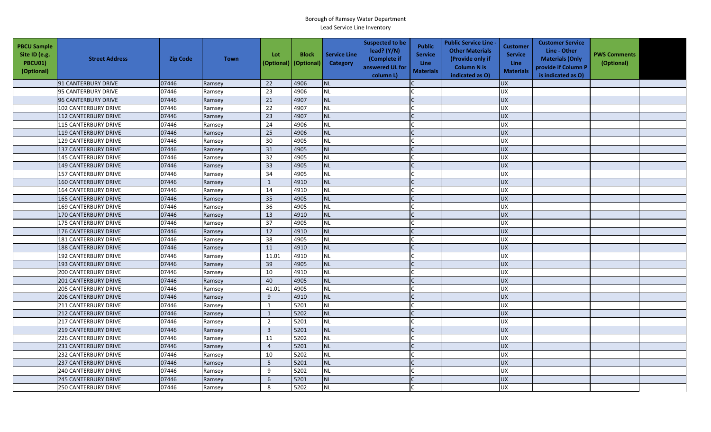| <b>PBCU Sample</b><br>Site ID (e.g.<br>PBCU01)<br>(Optional) | <b>Street Address</b>       | <b>Zip Code</b> | <b>Town</b> | Lot<br>(Optional) | <b>Block</b><br>(Optional) | <b>Service Line</b><br>Category | <b>Suspected to be</b><br>lead? (Y/N)<br>(Complete if<br>answered UL for<br>column L) | <b>Public</b><br><b>Service</b><br>Line<br><b>Materials</b> | <b>Public Service Line -</b><br><b>Other Materials</b><br>(Provide only if<br><b>Column N is</b><br>indicated as O) | <b>Customer</b><br><b>Service</b><br><b>Line</b><br><b>Materials</b> | <b>Customer Service</b><br>Line - Other<br><b>Materials (Only</b><br>provide if Column P<br>is indicated as O) | <b>PWS Comments</b><br>(Optional) |  |
|--------------------------------------------------------------|-----------------------------|-----------------|-------------|-------------------|----------------------------|---------------------------------|---------------------------------------------------------------------------------------|-------------------------------------------------------------|---------------------------------------------------------------------------------------------------------------------|----------------------------------------------------------------------|----------------------------------------------------------------------------------------------------------------|-----------------------------------|--|
|                                                              | 91 CANTERBURY DRIVE         | 07446           | Ramsey      | 22                | 4906                       | <b>NL</b>                       |                                                                                       |                                                             |                                                                                                                     | <b>UX</b>                                                            |                                                                                                                |                                   |  |
|                                                              | 95 CANTERBURY DRIVE         | 07446           | Ramsey      | 23                | 4906                       | <b>NL</b>                       |                                                                                       |                                                             |                                                                                                                     | <b>UX</b>                                                            |                                                                                                                |                                   |  |
|                                                              | 96 CANTERBURY DRIVE         | 07446           | Ramsey      | 21                | 4907                       | <b>NL</b>                       |                                                                                       |                                                             |                                                                                                                     | <b>UX</b>                                                            |                                                                                                                |                                   |  |
|                                                              | 102 CANTERBURY DRIVE        | 07446           | Ramsey      | 22                | 4907                       | <b>NL</b>                       |                                                                                       |                                                             |                                                                                                                     | UX                                                                   |                                                                                                                |                                   |  |
|                                                              | <b>112 CANTERBURY DRIVE</b> | 07446           | Ramsey      | 23                | 4907                       | <b>NL</b>                       |                                                                                       |                                                             |                                                                                                                     | <b>UX</b>                                                            |                                                                                                                |                                   |  |
|                                                              | <b>115 CANTERBURY DRIVE</b> | 07446           | Ramsey      | 24                | 4906                       | <b>NL</b>                       |                                                                                       |                                                             |                                                                                                                     | <b>UX</b>                                                            |                                                                                                                |                                   |  |
|                                                              | <b>119 CANTERBURY DRIVE</b> | 07446           | Ramsey      | 25                | 4906                       | <b>NL</b>                       |                                                                                       |                                                             |                                                                                                                     | <b>UX</b>                                                            |                                                                                                                |                                   |  |
|                                                              | <b>129 CANTERBURY DRIVE</b> | 07446           | Ramsey      | 30                | 4905                       | <b>NL</b>                       |                                                                                       |                                                             |                                                                                                                     | UX                                                                   |                                                                                                                |                                   |  |
|                                                              | 137 CANTERBURY DRIVE        | 07446           | Ramsey      | 31                | 4905                       | <b>NL</b>                       |                                                                                       | $\mathcal{C}$                                               |                                                                                                                     | <b>UX</b>                                                            |                                                                                                                |                                   |  |
|                                                              | <b>145 CANTERBURY DRIVE</b> | 07446           | Ramsey      | 32                | 4905                       | <b>NL</b>                       |                                                                                       |                                                             |                                                                                                                     | UX                                                                   |                                                                                                                |                                   |  |
|                                                              | <b>149 CANTERBURY DRIVE</b> | 07446           | Ramsey      | 33                | 4905                       | <b>NL</b>                       |                                                                                       |                                                             |                                                                                                                     | <b>UX</b>                                                            |                                                                                                                |                                   |  |
|                                                              | <b>157 CANTERBURY DRIVE</b> | 07446           | Ramsey      | 34                | 4905                       | <b>NL</b>                       |                                                                                       |                                                             |                                                                                                                     | <b>UX</b>                                                            |                                                                                                                |                                   |  |
|                                                              | <b>160 CANTERBURY DRIVE</b> | 07446           | Ramsey      | 1                 | 4910                       | <b>NL</b>                       |                                                                                       |                                                             |                                                                                                                     | <b>UX</b>                                                            |                                                                                                                |                                   |  |
|                                                              | 164 CANTERBURY DRIVE        | 07446           | Ramsey      | 14                | 4910                       | <b>NL</b>                       |                                                                                       |                                                             |                                                                                                                     | <b>UX</b>                                                            |                                                                                                                |                                   |  |
|                                                              | <b>165 CANTERBURY DRIVE</b> | 07446           | Ramsey      | 35                | 4905                       | <b>NL</b>                       |                                                                                       |                                                             |                                                                                                                     | <b>UX</b>                                                            |                                                                                                                |                                   |  |
|                                                              | <b>169 CANTERBURY DRIVE</b> | 07446           | Ramsey      | 36                | 4905                       | <b>NL</b>                       |                                                                                       |                                                             |                                                                                                                     | <b>UX</b>                                                            |                                                                                                                |                                   |  |
|                                                              | <b>170 CANTERBURY DRIVE</b> | 07446           | Ramsey      | 13                | 4910                       | <b>NL</b>                       |                                                                                       |                                                             |                                                                                                                     | UX                                                                   |                                                                                                                |                                   |  |
|                                                              | <b>175 CANTERBURY DRIVE</b> | 07446           | Ramsey      | 37                | 4905                       | <b>NL</b>                       |                                                                                       |                                                             |                                                                                                                     | <b>UX</b>                                                            |                                                                                                                |                                   |  |
|                                                              | <b>176 CANTERBURY DRIVE</b> | 07446           | Ramsey      | 12                | 4910                       | <b>NL</b>                       |                                                                                       |                                                             |                                                                                                                     | <b>UX</b>                                                            |                                                                                                                |                                   |  |
|                                                              | <b>181 CANTERBURY DRIVE</b> | 07446           | Ramsey      | 38                | 4905                       | <b>NL</b>                       |                                                                                       |                                                             |                                                                                                                     | <b>UX</b>                                                            |                                                                                                                |                                   |  |
|                                                              | <b>188 CANTERBURY DRIVE</b> | 07446           | Ramsey      | 11                | 4910                       | <b>NL</b>                       |                                                                                       |                                                             |                                                                                                                     | UX                                                                   |                                                                                                                |                                   |  |
|                                                              | 192 CANTERBURY DRIVE        | 07446           | Ramsey      | 11.01             | 4910                       | <b>NL</b>                       |                                                                                       |                                                             |                                                                                                                     | UX                                                                   |                                                                                                                |                                   |  |
|                                                              | <b>193 CANTERBURY DRIVE</b> | 07446           | Ramsey      | 39                | 4905                       | <b>NL</b>                       |                                                                                       |                                                             |                                                                                                                     | <b>UX</b>                                                            |                                                                                                                |                                   |  |
|                                                              | <b>200 CANTERBURY DRIVE</b> | 07446           | Ramsey      | 10                | 4910                       | <b>NL</b>                       |                                                                                       |                                                             |                                                                                                                     | <b>UX</b>                                                            |                                                                                                                |                                   |  |
|                                                              | <b>201 CANTERBURY DRIVE</b> | 07446           | Ramsey      | 40                | 4905                       | <b>NL</b>                       |                                                                                       | $\mathsf{C}$                                                |                                                                                                                     | <b>UX</b>                                                            |                                                                                                                |                                   |  |
|                                                              | <b>205 CANTERBURY DRIVE</b> | 07446           | Ramsey      | 41.01             | 4905                       | <b>NL</b>                       |                                                                                       |                                                             |                                                                                                                     | <b>UX</b>                                                            |                                                                                                                |                                   |  |
|                                                              | <b>206 CANTERBURY DRIVE</b> | 07446           | Ramsey      | 9                 | 4910                       | <b>NL</b>                       |                                                                                       |                                                             |                                                                                                                     | <b>UX</b>                                                            |                                                                                                                |                                   |  |
|                                                              | <b>211 CANTERBURY DRIVE</b> | 07446           | Ramsey      | 1                 | 5201                       | <b>NL</b>                       |                                                                                       |                                                             |                                                                                                                     | <b>UX</b>                                                            |                                                                                                                |                                   |  |
|                                                              | <b>212 CANTERBURY DRIVE</b> | 07446           | Ramsey      | $\mathbf{1}$      | 5202                       | <b>NL</b>                       |                                                                                       |                                                             |                                                                                                                     | <b>UX</b>                                                            |                                                                                                                |                                   |  |
|                                                              | <b>217 CANTERBURY DRIVE</b> | 07446           | Ramsey      | $\overline{2}$    | 5201                       | <b>NL</b>                       |                                                                                       |                                                             |                                                                                                                     | <b>UX</b>                                                            |                                                                                                                |                                   |  |
|                                                              | <b>219 CANTERBURY DRIVE</b> | 07446           | Ramsey      | $\overline{3}$    | 5201                       | <b>NL</b>                       |                                                                                       |                                                             |                                                                                                                     | <b>UX</b>                                                            |                                                                                                                |                                   |  |
|                                                              | 226 CANTERBURY DRIVE        | 07446           | Ramsey      | 11                | 5202                       | <b>NL</b>                       |                                                                                       |                                                             |                                                                                                                     | <b>UX</b>                                                            |                                                                                                                |                                   |  |
|                                                              | <b>231 CANTERBURY DRIVE</b> | 07446           | Ramsey      | $\overline{4}$    | 5201                       | NL                              |                                                                                       |                                                             |                                                                                                                     | UX                                                                   |                                                                                                                |                                   |  |
|                                                              | 232 CANTERBURY DRIVE        | 07446           | Ramsey      | 10                | 5202                       | <b>NL</b>                       |                                                                                       |                                                             |                                                                                                                     | <b>UX</b>                                                            |                                                                                                                |                                   |  |
|                                                              | <b>237 CANTERBURY DRIVE</b> | 07446           | Ramsey      | $5\phantom{.0}$   | 5201                       | <b>NL</b>                       |                                                                                       |                                                             |                                                                                                                     | <b>UX</b>                                                            |                                                                                                                |                                   |  |
|                                                              | <b>240 CANTERBURY DRIVE</b> | 07446           | Ramsey      | 9                 | 5202                       | <b>NL</b>                       |                                                                                       |                                                             |                                                                                                                     | <b>UX</b>                                                            |                                                                                                                |                                   |  |
|                                                              | <b>245 CANTERBURY DRIVE</b> | 07446           | Ramsey      | 6                 | 5201                       | <b>NL</b>                       |                                                                                       |                                                             |                                                                                                                     | <b>UX</b>                                                            |                                                                                                                |                                   |  |
|                                                              | 250 CANTERBURY DRIVE        | 07446           | Ramsey      | 8                 | 5202                       | <b>NL</b>                       |                                                                                       |                                                             |                                                                                                                     | <b>UX</b>                                                            |                                                                                                                |                                   |  |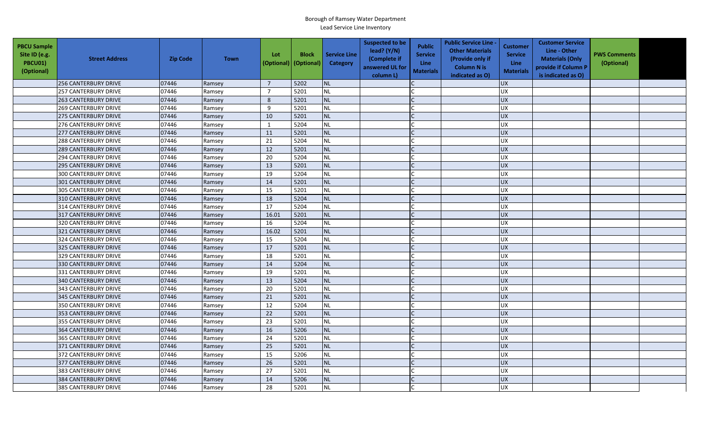| <b>PBCU Sample</b><br>Site ID (e.g.<br>PBCU01)<br>(Optional) | <b>Street Address</b>       | <b>Zip Code</b> | <b>Town</b> | Lot<br>(Optional) | <b>Block</b><br>(Optional) | <b>Service Line</b><br>Category | <b>Suspected to be</b><br>lead? (Y/N)<br>(Complete if<br>answered UL for<br>column L) | <b>Public</b><br><b>Service</b><br><b>Line</b><br><b>Materials</b> | <b>Public Service Line -</b><br><b>Other Materials</b><br>(Provide only if<br><b>Column N is</b><br>indicated as O) | <b>Customer</b><br><b>Service</b><br><b>Line</b><br><b>Materials</b> | <b>Customer Service</b><br>Line - Other<br><b>Materials (Only</b><br>provide if Column P<br>is indicated as O) | <b>PWS Comments</b><br>(Optional) |  |
|--------------------------------------------------------------|-----------------------------|-----------------|-------------|-------------------|----------------------------|---------------------------------|---------------------------------------------------------------------------------------|--------------------------------------------------------------------|---------------------------------------------------------------------------------------------------------------------|----------------------------------------------------------------------|----------------------------------------------------------------------------------------------------------------|-----------------------------------|--|
|                                                              | <b>256 CANTERBURY DRIVE</b> | 07446           | Ramsey      | $\overline{7}$    | 5202                       | <b>NL</b>                       |                                                                                       |                                                                    |                                                                                                                     | <b>UX</b>                                                            |                                                                                                                |                                   |  |
|                                                              | <b>257 CANTERBURY DRIVE</b> | 07446           | Ramsey      | $\overline{7}$    | 5201                       | <b>NL</b>                       |                                                                                       |                                                                    |                                                                                                                     | UX                                                                   |                                                                                                                |                                   |  |
|                                                              | <b>263 CANTERBURY DRIVE</b> | 07446           | Ramsey      | 8                 | 5201                       | <b>NL</b>                       |                                                                                       |                                                                    |                                                                                                                     | <b>UX</b>                                                            |                                                                                                                |                                   |  |
|                                                              | <b>269 CANTERBURY DRIVE</b> | 07446           | Ramsey      | 9                 | 5201                       | <b>NL</b>                       |                                                                                       |                                                                    |                                                                                                                     | <b>UX</b>                                                            |                                                                                                                |                                   |  |
|                                                              | <b>275 CANTERBURY DRIVE</b> | 07446           | Ramsey      | 10                | 5201                       | <b>NL</b>                       |                                                                                       |                                                                    |                                                                                                                     | <b>UX</b>                                                            |                                                                                                                |                                   |  |
|                                                              | <b>276 CANTERBURY DRIVE</b> | 07446           | Ramsey      | 1                 | 5204                       | <b>NL</b>                       |                                                                                       |                                                                    |                                                                                                                     | <b>UX</b>                                                            |                                                                                                                |                                   |  |
|                                                              | <b>277 CANTERBURY DRIVE</b> | 07446           | Ramsey      | 11                | 5201                       | <b>NL</b>                       |                                                                                       |                                                                    |                                                                                                                     | <b>UX</b>                                                            |                                                                                                                |                                   |  |
|                                                              | <b>288 CANTERBURY DRIVE</b> | 07446           | Ramsey      | 21                | 5204                       | <b>NL</b>                       |                                                                                       |                                                                    |                                                                                                                     | UX                                                                   |                                                                                                                |                                   |  |
|                                                              | <b>289 CANTERBURY DRIVE</b> | 07446           | Ramsey      | 12                | 5201                       | <b>NL</b>                       |                                                                                       |                                                                    |                                                                                                                     | <b>UX</b>                                                            |                                                                                                                |                                   |  |
|                                                              | 294 CANTERBURY DRIVE        | 07446           | Ramsey      | 20                | 5204                       | <b>NL</b>                       |                                                                                       |                                                                    |                                                                                                                     | <b>UX</b>                                                            |                                                                                                                |                                   |  |
|                                                              | <b>295 CANTERBURY DRIVE</b> | 07446           | Ramsey      | 13                | 5201                       | <b>NL</b>                       |                                                                                       |                                                                    |                                                                                                                     | <b>UX</b>                                                            |                                                                                                                |                                   |  |
|                                                              | <b>300 CANTERBURY DRIVE</b> | 07446           | Ramsey      | 19                | 5204                       | <b>NL</b>                       |                                                                                       |                                                                    |                                                                                                                     | UX                                                                   |                                                                                                                |                                   |  |
|                                                              | <b>301 CANTERBURY DRIVE</b> | 07446           | Ramsey      | 14                | 5201                       | <b>NL</b>                       |                                                                                       |                                                                    |                                                                                                                     | <b>UX</b>                                                            |                                                                                                                |                                   |  |
|                                                              | 305 CANTERBURY DRIVE        | 07446           | Ramsey      | 15                | 5201                       | NL                              |                                                                                       |                                                                    |                                                                                                                     | UX                                                                   |                                                                                                                |                                   |  |
|                                                              | <b>310 CANTERBURY DRIVE</b> | 07446           | Ramsey      | 18                | 5204                       | <b>NL</b>                       |                                                                                       |                                                                    |                                                                                                                     | <b>UX</b>                                                            |                                                                                                                |                                   |  |
|                                                              | 314 CANTERBURY DRIVE        | 07446           | Ramsey      | 17                | 5204                       | <b>NL</b>                       |                                                                                       |                                                                    |                                                                                                                     | <b>UX</b>                                                            |                                                                                                                |                                   |  |
|                                                              | 317 CANTERBURY DRIVE        | 07446           | Ramsey      | 16.01             | 5201                       | <b>NL</b>                       |                                                                                       |                                                                    |                                                                                                                     | <b>UX</b>                                                            |                                                                                                                |                                   |  |
|                                                              | <b>320 CANTERBURY DRIVE</b> | 07446           | Ramsey      | 16                | 5204                       | <b>NL</b>                       |                                                                                       |                                                                    |                                                                                                                     | <b>UX</b>                                                            |                                                                                                                |                                   |  |
|                                                              | 321 CANTERBURY DRIVE        | 07446           | Ramsey      | 16.02             | 5201                       | <b>NL</b>                       |                                                                                       |                                                                    |                                                                                                                     | <b>UX</b>                                                            |                                                                                                                |                                   |  |
|                                                              | <b>324 CANTERBURY DRIVE</b> | 07446           | Ramsey      | 15                | 5204                       | <b>NL</b>                       |                                                                                       |                                                                    |                                                                                                                     | <b>UX</b>                                                            |                                                                                                                |                                   |  |
|                                                              | 325 CANTERBURY DRIVE        | 07446           | Ramsey      | 17                | 5201                       | <b>NL</b>                       |                                                                                       |                                                                    |                                                                                                                     | <b>UX</b>                                                            |                                                                                                                |                                   |  |
|                                                              | 329 CANTERBURY DRIVE        | 07446           | Ramsey      | 18                | 5201                       | <b>NL</b>                       |                                                                                       |                                                                    |                                                                                                                     | <b>UX</b>                                                            |                                                                                                                |                                   |  |
|                                                              | <b>330 CANTERBURY DRIVE</b> | 07446           | Ramsey      | 14                | 5204                       | <b>NL</b>                       |                                                                                       |                                                                    |                                                                                                                     | <b>UX</b>                                                            |                                                                                                                |                                   |  |
|                                                              | 331 CANTERBURY DRIVE        | 07446           | Ramsey      | 19                | 5201                       | <b>NL</b>                       |                                                                                       |                                                                    |                                                                                                                     | UX                                                                   |                                                                                                                |                                   |  |
|                                                              | <b>340 CANTERBURY DRIVE</b> | 07446           | Ramsey      | 13                | 5204                       | <b>NL</b>                       |                                                                                       |                                                                    |                                                                                                                     | <b>UX</b>                                                            |                                                                                                                |                                   |  |
|                                                              | <b>343 CANTERBURY DRIVE</b> | 07446           | Ramsey      | 20                | 5201                       | <b>NL</b>                       |                                                                                       |                                                                    |                                                                                                                     | <b>UX</b>                                                            |                                                                                                                |                                   |  |
|                                                              | <b>345 CANTERBURY DRIVE</b> | 07446           | Ramsey      | 21                | 5201                       | <b>NL</b>                       |                                                                                       |                                                                    |                                                                                                                     | <b>UX</b>                                                            |                                                                                                                |                                   |  |
|                                                              | 350 CANTERBURY DRIVE        | 07446           | Ramsey      | 12                | 5204                       | <b>NL</b>                       |                                                                                       |                                                                    |                                                                                                                     | <b>UX</b>                                                            |                                                                                                                |                                   |  |
|                                                              | <b>353 CANTERBURY DRIVE</b> | 07446           | Ramsey      | 22                | 5201                       | NL                              |                                                                                       |                                                                    |                                                                                                                     | <b>UX</b>                                                            |                                                                                                                |                                   |  |
|                                                              | <b>355 CANTERBURY DRIVE</b> | 07446           | Ramsey      | 23                | 5201                       | <b>NL</b>                       |                                                                                       |                                                                    |                                                                                                                     | UX                                                                   |                                                                                                                |                                   |  |
|                                                              | <b>364 CANTERBURY DRIVE</b> | 07446           | Ramsey      | 16                | 5206                       | <b>NL</b>                       |                                                                                       |                                                                    |                                                                                                                     | <b>UX</b>                                                            |                                                                                                                |                                   |  |
|                                                              | <b>365 CANTERBURY DRIVE</b> | 07446           | Ramsey      | 24                | 5201                       | <b>NL</b>                       |                                                                                       |                                                                    |                                                                                                                     | <b>UX</b>                                                            |                                                                                                                |                                   |  |
|                                                              | 371 CANTERBURY DRIVE        | 07446           | Ramsey      | 25                | 5201                       | <b>NL</b>                       |                                                                                       |                                                                    |                                                                                                                     | UX                                                                   |                                                                                                                |                                   |  |
|                                                              | 372 CANTERBURY DRIVE        | 07446           | Ramsey      | 15                | 5206                       | <b>NL</b>                       |                                                                                       |                                                                    |                                                                                                                     | <b>UX</b>                                                            |                                                                                                                |                                   |  |
|                                                              | 377 CANTERBURY DRIVE        | 07446           | Ramsey      | 26                | 5201                       | <b>NL</b>                       |                                                                                       |                                                                    |                                                                                                                     | UX                                                                   |                                                                                                                |                                   |  |
|                                                              | 383 CANTERBURY DRIVE        | 07446           | Ramsey      | 27                | 5201                       | <b>NL</b>                       |                                                                                       |                                                                    |                                                                                                                     | <b>UX</b>                                                            |                                                                                                                |                                   |  |
|                                                              | <b>384 CANTERBURY DRIVE</b> | 07446           | Ramsey      | 14                | 5206                       | <b>NL</b>                       |                                                                                       |                                                                    |                                                                                                                     | <b>UX</b>                                                            |                                                                                                                |                                   |  |
|                                                              | 385 CANTERBURY DRIVE        | 07446           | Ramsey      | 28                | 5201                       | <b>NL</b>                       |                                                                                       |                                                                    |                                                                                                                     | <b>UX</b>                                                            |                                                                                                                |                                   |  |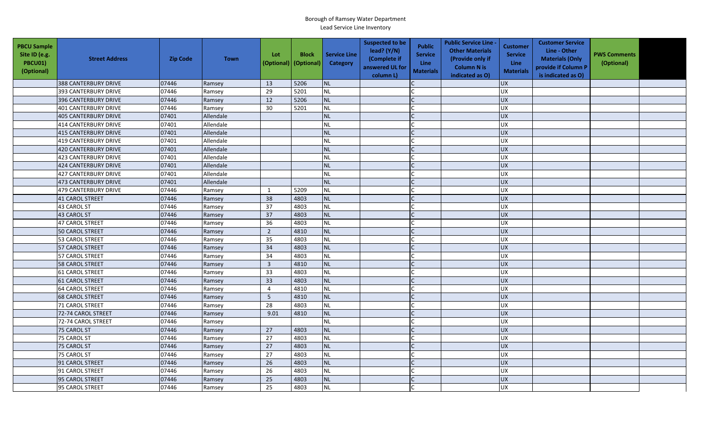| <b>PBCU Sample</b><br>Site ID (e.g.<br><b>PBCU01)</b><br>(Optional) | <b>Street Address</b>       | <b>Zip Code</b> | <b>Town</b> | Lot<br>(Optional) | <b>Block</b><br>(Optional) | <b>Service Line</b><br>Category | <b>Suspected to be</b><br>lead? $(Y/N)$<br>(Complete if<br>answered UL for<br>column L) | <b>Public</b><br><b>Service</b><br>Line<br><b>Materials</b> | <b>Public Service Line -</b><br><b>Other Materials</b><br>(Provide only if<br><b>Column N is</b><br>indicated as O) | <b>Customer</b><br><b>Service</b><br><b>Line</b><br><b>Materials</b> | <b>Customer Service</b><br>Line - Other<br><b>Materials (Only</b><br>provide if Column P<br>is indicated as O) | <b>PWS Comments</b><br>(Optional) |  |
|---------------------------------------------------------------------|-----------------------------|-----------------|-------------|-------------------|----------------------------|---------------------------------|-----------------------------------------------------------------------------------------|-------------------------------------------------------------|---------------------------------------------------------------------------------------------------------------------|----------------------------------------------------------------------|----------------------------------------------------------------------------------------------------------------|-----------------------------------|--|
|                                                                     | <b>388 CANTERBURY DRIVE</b> | 07446           | Ramsey      | 13                | 5206                       | <b>NL</b>                       |                                                                                         |                                                             |                                                                                                                     | <b>UX</b>                                                            |                                                                                                                |                                   |  |
|                                                                     | 393 CANTERBURY DRIVE        | 07446           | Ramsey      | 29                | 5201                       | NL                              |                                                                                         |                                                             |                                                                                                                     | <b>UX</b>                                                            |                                                                                                                |                                   |  |
|                                                                     | <b>396 CANTERBURY DRIVE</b> | 07446           | Ramsey      | 12                | 5206                       | NL                              |                                                                                         |                                                             |                                                                                                                     | UX                                                                   |                                                                                                                |                                   |  |
|                                                                     | <b>401 CANTERBURY DRIVE</b> | 07446           | Ramsey      | 30                | 5201                       | <b>NL</b>                       |                                                                                         |                                                             |                                                                                                                     | UX                                                                   |                                                                                                                |                                   |  |
|                                                                     | <b>405 CANTERBURY DRIVE</b> | 07401           | Allendale   |                   |                            | <b>NL</b>                       |                                                                                         |                                                             |                                                                                                                     | UX                                                                   |                                                                                                                |                                   |  |
|                                                                     | 414 CANTERBURY DRIVE        | 07401           | Allendale   |                   |                            | <b>NL</b>                       |                                                                                         |                                                             |                                                                                                                     | <b>UX</b>                                                            |                                                                                                                |                                   |  |
|                                                                     | <b>415 CANTERBURY DRIVE</b> | 07401           | Allendale   |                   |                            | <b>NL</b>                       |                                                                                         |                                                             |                                                                                                                     | <b>UX</b>                                                            |                                                                                                                |                                   |  |
|                                                                     | <b>419 CANTERBURY DRIVE</b> | 07401           | Allendale   |                   |                            | <b>NL</b>                       |                                                                                         |                                                             |                                                                                                                     | <b>UX</b>                                                            |                                                                                                                |                                   |  |
|                                                                     | <b>420 CANTERBURY DRIVE</b> | 07401           | Allendale   |                   |                            | <b>NL</b>                       |                                                                                         |                                                             |                                                                                                                     | <b>UX</b>                                                            |                                                                                                                |                                   |  |
|                                                                     | <b>423 CANTERBURY DRIVE</b> | 07401           | Allendale   |                   |                            | <b>NL</b>                       |                                                                                         | $\mathsf{C}$                                                |                                                                                                                     | <b>UX</b>                                                            |                                                                                                                |                                   |  |
|                                                                     | 424 CANTERBURY DRIVE        | 07401           | Allendale   |                   |                            | <b>NL</b>                       |                                                                                         |                                                             |                                                                                                                     | UX                                                                   |                                                                                                                |                                   |  |
|                                                                     | <b>427 CANTERBURY DRIVE</b> | 07401           | Allendale   |                   |                            | <b>NL</b>                       |                                                                                         |                                                             |                                                                                                                     | <b>UX</b>                                                            |                                                                                                                |                                   |  |
|                                                                     | 473 CANTERBURY DRIVE        | 07401           | Allendale   |                   |                            | <b>NL</b>                       |                                                                                         |                                                             |                                                                                                                     | UX                                                                   |                                                                                                                |                                   |  |
|                                                                     | 479 CANTERBURY DRIVE        | 07446           | Ramsey      | 1                 | 5209                       | <b>NL</b>                       |                                                                                         |                                                             |                                                                                                                     | <b>UX</b>                                                            |                                                                                                                |                                   |  |
|                                                                     | <b>41 CAROL STREET</b>      | 07446           | Ramsey      | 38                | 4803                       | <b>NL</b>                       |                                                                                         |                                                             |                                                                                                                     | UX                                                                   |                                                                                                                |                                   |  |
|                                                                     | 43 CAROL ST                 | 07446           | Ramsey      | 37                | 4803                       | NL                              |                                                                                         |                                                             |                                                                                                                     | <b>UX</b>                                                            |                                                                                                                |                                   |  |
|                                                                     | 43 CAROL ST                 | 07446           | Ramsey      | 37                | 4803                       | <b>NL</b>                       |                                                                                         |                                                             |                                                                                                                     | <b>UX</b>                                                            |                                                                                                                |                                   |  |
|                                                                     | 47 CAROL STREET             | 07446           | Ramsey      | 36                | 4803                       | NL                              |                                                                                         |                                                             |                                                                                                                     | <b>UX</b>                                                            |                                                                                                                |                                   |  |
|                                                                     | <b>50 CAROL STREET</b>      | 07446           | Ramsey      | $\overline{2}$    | 4810                       | <b>NL</b>                       |                                                                                         |                                                             |                                                                                                                     | <b>UX</b>                                                            |                                                                                                                |                                   |  |
|                                                                     | 53 CAROL STREET             | 07446           | Ramsey      | 35                | 4803                       | $\sf NL$                        |                                                                                         |                                                             |                                                                                                                     | <b>UX</b>                                                            |                                                                                                                |                                   |  |
|                                                                     | <b>57 CAROL STREET</b>      | 07446           | Ramsey      | 34                | 4803                       | <b>NL</b>                       |                                                                                         |                                                             |                                                                                                                     | <b>UX</b>                                                            |                                                                                                                |                                   |  |
|                                                                     | 57 CAROL STREET             | 07446           | Ramsey      | 34                | 4803                       | NL                              |                                                                                         |                                                             |                                                                                                                     | <b>UX</b>                                                            |                                                                                                                |                                   |  |
|                                                                     | <b>58 CAROL STREET</b>      | 07446           | Ramsey      | $\mathbf{3}$      | 4810                       | NL                              |                                                                                         |                                                             |                                                                                                                     | <b>UX</b>                                                            |                                                                                                                |                                   |  |
|                                                                     | <b>61 CAROL STREET</b>      | 07446           | Ramsey      | 33                | 4803                       | NL                              |                                                                                         |                                                             |                                                                                                                     | <b>UX</b>                                                            |                                                                                                                |                                   |  |
|                                                                     | <b>61 CAROL STREET</b>      | 07446           | Ramsey      | 33                | 4803                       | <b>NL</b>                       |                                                                                         |                                                             |                                                                                                                     | UX                                                                   |                                                                                                                |                                   |  |
|                                                                     | <b>64 CAROL STREET</b>      | 07446           | Ramsey      | $\overline{4}$    | 4810                       | <b>NL</b>                       |                                                                                         |                                                             |                                                                                                                     | UX                                                                   |                                                                                                                |                                   |  |
|                                                                     | <b>68 CAROL STREET</b>      | 07446           | Ramsey      | 5                 | 4810                       | <b>NL</b>                       |                                                                                         |                                                             |                                                                                                                     | <b>UX</b>                                                            |                                                                                                                |                                   |  |
|                                                                     | 71 CAROL STREET             | 07446           | Ramsey      | 28                | 4803                       | <b>NL</b>                       |                                                                                         |                                                             |                                                                                                                     | <b>UX</b>                                                            |                                                                                                                |                                   |  |
|                                                                     | 72-74 CAROL STREET          | 07446           | Ramsey      | 9.01              | 4810                       | <b>NL</b>                       |                                                                                         |                                                             |                                                                                                                     | <b>UX</b>                                                            |                                                                                                                |                                   |  |
|                                                                     | 72-74 CAROL STREET          | 07446           | Ramsey      |                   |                            | <b>NL</b>                       |                                                                                         |                                                             |                                                                                                                     | <b>UX</b>                                                            |                                                                                                                |                                   |  |
|                                                                     | 75 CAROL ST                 | 07446           | Ramsey      | 27                | 4803                       | <b>NL</b>                       |                                                                                         |                                                             |                                                                                                                     | UX                                                                   |                                                                                                                |                                   |  |
|                                                                     | 75 CAROL ST                 | 07446           | Ramsey      | 27                | 4803                       | <b>NL</b>                       |                                                                                         |                                                             |                                                                                                                     | UX                                                                   |                                                                                                                |                                   |  |
|                                                                     | 75 CAROL ST                 | 07446           | Ramsey      | 27                | 4803                       | <b>NL</b>                       |                                                                                         |                                                             |                                                                                                                     | $\overline{UX}$                                                      |                                                                                                                |                                   |  |
|                                                                     | 75 CAROL ST                 | 07446           | Ramsey      | 27                | 4803                       | <b>NL</b>                       |                                                                                         |                                                             |                                                                                                                     | UX                                                                   |                                                                                                                |                                   |  |
|                                                                     | 91 CAROL STREET             | 07446           | Ramsey      | 26                | 4803                       | <b>NL</b>                       |                                                                                         |                                                             |                                                                                                                     | UX                                                                   |                                                                                                                |                                   |  |
|                                                                     | 91 CAROL STREET             | 07446           | Ramsey      | 26                | 4803                       | NL                              |                                                                                         |                                                             |                                                                                                                     | <b>UX</b>                                                            |                                                                                                                |                                   |  |
|                                                                     | 95 CAROL STREET             | 07446           | Ramsey      | 25                | 4803                       | <b>NL</b>                       |                                                                                         |                                                             |                                                                                                                     | <b>UX</b>                                                            |                                                                                                                |                                   |  |
|                                                                     | 95 CAROL STREET             | 07446           | Ramsey      | 25                | 4803                       | <b>NL</b>                       |                                                                                         |                                                             |                                                                                                                     | UX                                                                   |                                                                                                                |                                   |  |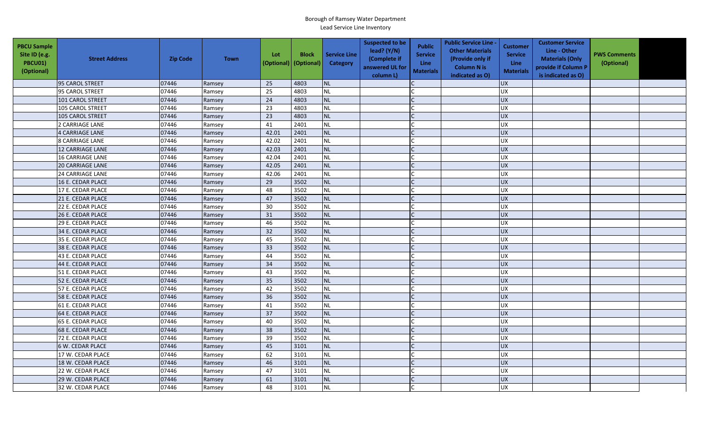| <b>PBCU Sample</b><br>Site ID (e.g.<br>PBCU01)<br>(Optional) | <b>Street Address</b>   | <b>Zip Code</b> | <b>Town</b> | Lot<br>(Optional) | <b>Block</b><br>(Optional) | <b>Service Line</b><br>Category | <b>Suspected to be</b><br>lead? (Y/N)<br>(Complete if<br>answered UL for<br>column L) | <b>Public</b><br><b>Service</b><br><b>Line</b><br><b>Materials</b> | <b>Public Service Line -</b><br><b>Other Materials</b><br>(Provide only if<br><b>Column N is</b><br>indicated as O) | <b>Customer</b><br><b>Service</b><br>Line<br><b>Materials</b> | <b>Customer Service</b><br>Line - Other<br><b>Materials (Only</b><br>provide if Column P<br>is indicated as O) | <b>PWS Comments</b><br>(Optional) |  |
|--------------------------------------------------------------|-------------------------|-----------------|-------------|-------------------|----------------------------|---------------------------------|---------------------------------------------------------------------------------------|--------------------------------------------------------------------|---------------------------------------------------------------------------------------------------------------------|---------------------------------------------------------------|----------------------------------------------------------------------------------------------------------------|-----------------------------------|--|
|                                                              | 95 CAROL STREET         | 07446           | Ramsey      | 25                | 4803                       | <b>NL</b>                       |                                                                                       |                                                                    |                                                                                                                     | <b>UX</b>                                                     |                                                                                                                |                                   |  |
|                                                              | 95 CAROL STREET         | 07446           | Ramsey      | 25                | 4803                       | <b>NL</b>                       |                                                                                       |                                                                    |                                                                                                                     | <b>UX</b>                                                     |                                                                                                                |                                   |  |
|                                                              | 101 CAROL STREET        | 07446           | Ramsey      | 24                | 4803                       | <b>NL</b>                       |                                                                                       |                                                                    |                                                                                                                     | <b>UX</b>                                                     |                                                                                                                |                                   |  |
|                                                              | 105 CAROL STREET        | 07446           | Ramsey      | 23                | 4803                       | <b>NL</b>                       |                                                                                       |                                                                    |                                                                                                                     | <b>UX</b>                                                     |                                                                                                                |                                   |  |
|                                                              | <b>105 CAROL STREET</b> | 07446           | Ramsey      | 23                | 4803                       | <b>NL</b>                       |                                                                                       |                                                                    |                                                                                                                     | <b>UX</b>                                                     |                                                                                                                |                                   |  |
|                                                              | 2 CARRIAGE LANE         | 07446           | Ramsey      | 41                | 2401                       | <b>NL</b>                       |                                                                                       |                                                                    |                                                                                                                     | <b>UX</b>                                                     |                                                                                                                |                                   |  |
|                                                              | <b>4 CARRIAGE LANE</b>  | 07446           | Ramsey      | 42.01             | 2401                       | <b>NL</b>                       |                                                                                       | $\mathsf{C}$                                                       |                                                                                                                     | <b>UX</b>                                                     |                                                                                                                |                                   |  |
|                                                              | <b>8 CARRIAGE LANE</b>  | 07446           | Ramsey      | 42.02             | 2401                       | <b>NL</b>                       |                                                                                       |                                                                    |                                                                                                                     | <b>UX</b>                                                     |                                                                                                                |                                   |  |
|                                                              | <b>12 CARRIAGE LANE</b> | 07446           | Ramsey      | 42.03             | 2401                       | <b>NL</b>                       |                                                                                       |                                                                    |                                                                                                                     | <b>UX</b>                                                     |                                                                                                                |                                   |  |
|                                                              | <b>16 CARRIAGE LANE</b> | 07446           | Ramsey      | 42.04             | 2401                       | NL                              |                                                                                       |                                                                    |                                                                                                                     | UX                                                            |                                                                                                                |                                   |  |
|                                                              | 20 CARRIAGE LANE        | 07446           | Ramsey      | 42.05             | 2401                       | <b>NL</b>                       |                                                                                       | C                                                                  |                                                                                                                     | <b>UX</b>                                                     |                                                                                                                |                                   |  |
|                                                              | <b>24 CARRIAGE LANE</b> | 07446           | Ramsey      | 42.06             | 2401                       | <b>NL</b>                       |                                                                                       |                                                                    |                                                                                                                     | <b>UX</b>                                                     |                                                                                                                |                                   |  |
|                                                              | 16 E. CEDAR PLACE       | 07446           | Ramsey      | 29                | 3502                       | <b>NL</b>                       |                                                                                       |                                                                    |                                                                                                                     | <b>UX</b>                                                     |                                                                                                                |                                   |  |
|                                                              | 17 E. CEDAR PLACE       | 07446           | Ramsey      | 48                | 3502                       | <b>NL</b>                       |                                                                                       |                                                                    |                                                                                                                     | <b>UX</b>                                                     |                                                                                                                |                                   |  |
|                                                              | 21 E. CEDAR PLACE       | 07446           | Ramsey      | 47                | 3502                       | <b>NL</b>                       |                                                                                       |                                                                    |                                                                                                                     | <b>UX</b>                                                     |                                                                                                                |                                   |  |
|                                                              | 22 E. CEDAR PLACE       | 07446           | Ramsey      | 30                | 3502                       | <b>NL</b>                       |                                                                                       |                                                                    |                                                                                                                     | UX                                                            |                                                                                                                |                                   |  |
|                                                              | 26 E. CEDAR PLACE       | 07446           | Ramsey      | 31                | 3502                       | <b>NL</b>                       |                                                                                       |                                                                    |                                                                                                                     | UX                                                            |                                                                                                                |                                   |  |
|                                                              | 29 E. CEDAR PLACE       | 07446           | Ramsey      | 46                | 3502                       | <b>NL</b>                       |                                                                                       |                                                                    |                                                                                                                     | UX                                                            |                                                                                                                |                                   |  |
|                                                              | 34 E. CEDAR PLACE       | 07446           | Ramsey      | 32                | 3502                       | <b>NL</b>                       |                                                                                       |                                                                    |                                                                                                                     | <b>UX</b>                                                     |                                                                                                                |                                   |  |
|                                                              | 35 E. CEDAR PLACE       | 07446           | Ramsey      | 45                | 3502                       | <b>NL</b>                       |                                                                                       |                                                                    |                                                                                                                     | <b>UX</b>                                                     |                                                                                                                |                                   |  |
|                                                              | 38 E. CEDAR PLACE       | 07446           | Ramsey      | 33                | 3502                       | <b>NL</b>                       |                                                                                       |                                                                    |                                                                                                                     | <b>UX</b>                                                     |                                                                                                                |                                   |  |
|                                                              | 43 E. CEDAR PLACE       | 07446           | Ramsey      | 44                | 3502                       | <b>NL</b>                       |                                                                                       |                                                                    |                                                                                                                     | <b>UX</b>                                                     |                                                                                                                |                                   |  |
|                                                              | 44 E. CEDAR PLACE       | 07446           | Ramsey      | 34                | 3502                       | <b>NL</b>                       |                                                                                       |                                                                    |                                                                                                                     | UX                                                            |                                                                                                                |                                   |  |
|                                                              | 51 E. CEDAR PLACE       | 07446           | Ramsey      | 43                | 3502                       | <b>NL</b>                       |                                                                                       |                                                                    |                                                                                                                     | UX                                                            |                                                                                                                |                                   |  |
|                                                              | 52 E. CEDAR PLACE       | 07446           | Ramsey      | 35                | 3502                       | <b>NL</b>                       |                                                                                       |                                                                    |                                                                                                                     | UX                                                            |                                                                                                                |                                   |  |
|                                                              | 57 E. CEDAR PLACE       | 07446           | Ramsey      | 42                | 3502                       | <b>NL</b>                       |                                                                                       |                                                                    |                                                                                                                     | <b>UX</b>                                                     |                                                                                                                |                                   |  |
|                                                              | 58 E. CEDAR PLACE       | 07446           | Ramsey      | 36                | 3502                       | <b>NL</b>                       |                                                                                       |                                                                    |                                                                                                                     | UX                                                            |                                                                                                                |                                   |  |
|                                                              | 61 E. CEDAR PLACE       | 07446           | Ramsey      | 41                | 3502                       | <b>NL</b>                       |                                                                                       |                                                                    |                                                                                                                     | <b>UX</b>                                                     |                                                                                                                |                                   |  |
|                                                              | 64 E. CEDAR PLACE       | 07446           | Ramsey      | 37                | 3502                       | <b>NL</b>                       |                                                                                       |                                                                    |                                                                                                                     | <b>UX</b>                                                     |                                                                                                                |                                   |  |
|                                                              | 65 E. CEDAR PLACE       | 07446           | Ramsey      | 40                | 3502                       | <b>NL</b>                       |                                                                                       |                                                                    |                                                                                                                     | <b>UX</b>                                                     |                                                                                                                |                                   |  |
|                                                              | 68 E. CEDAR PLACE       | 07446           | Ramsey      | 38                | 3502                       | <b>NL</b>                       |                                                                                       |                                                                    |                                                                                                                     | <b>UX</b>                                                     |                                                                                                                |                                   |  |
|                                                              | 72 E. CEDAR PLACE       | 07446           | Ramsey      | 39                | 3502                       | NL                              |                                                                                       |                                                                    |                                                                                                                     | UX                                                            |                                                                                                                |                                   |  |
|                                                              | 6 W. CEDAR PLACE        | 07446           | Ramsey      | 45                | 3101                       | <b>NL</b>                       |                                                                                       |                                                                    |                                                                                                                     | <b>UX</b>                                                     |                                                                                                                |                                   |  |
|                                                              | 17 W. CEDAR PLACE       | 07446           | Ramsey      | 62                | 3101                       | <b>NL</b>                       |                                                                                       |                                                                    |                                                                                                                     | <b>UX</b>                                                     |                                                                                                                |                                   |  |
|                                                              | 18 W. CEDAR PLACE       | 07446           | Ramsey      | 46                | 3101                       | NL                              |                                                                                       |                                                                    |                                                                                                                     | <b>UX</b>                                                     |                                                                                                                |                                   |  |
|                                                              | 22 W. CEDAR PLACE       | 07446           | Ramsey      | 47                | 3101                       | <b>NL</b>                       |                                                                                       |                                                                    |                                                                                                                     | <b>UX</b>                                                     |                                                                                                                |                                   |  |
|                                                              | 29 W. CEDAR PLACE       | 07446           | Ramsey      | 61                | 3101                       | <b>NL</b>                       |                                                                                       |                                                                    |                                                                                                                     | UX                                                            |                                                                                                                |                                   |  |
|                                                              | 32 W. CEDAR PLACE       | 07446           | Ramsey      | 48                | 3101                       | <b>NL</b>                       |                                                                                       |                                                                    |                                                                                                                     | <b>UX</b>                                                     |                                                                                                                |                                   |  |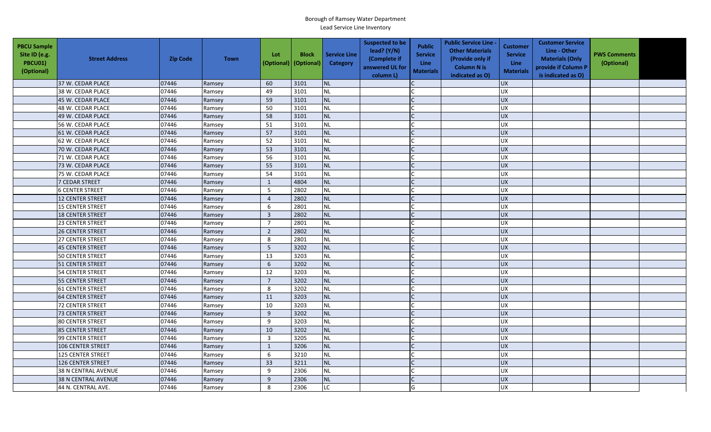| <b>PBCU Sample</b><br>Site ID (e.g.<br>PBCU01)<br>(Optional) | <b>Street Address</b>      | <b>Zip Code</b> | <b>Town</b> | Lot<br>(Optional)       | <b>Block</b><br>(Optional) | <b>Service Line</b><br><b>Category</b> | <b>Suspected to be</b><br>lead? (Y/N)<br>(Complete if<br>answered UL for<br>column L) | <b>Public</b><br><b>Service</b><br><b>Line</b><br><b>Materials</b> | <b>Public Service Line -</b><br><b>Other Materials</b><br>(Provide only if<br><b>Column N is</b><br>indicated as O) | <b>Customer</b><br><b>Service</b><br>Line<br><b>Materials</b> | <b>Customer Service</b><br>Line - Other<br><b>Materials (Only</b><br>provide if Column P<br>is indicated as O) | <b>PWS Comments</b><br>(Optional) |  |
|--------------------------------------------------------------|----------------------------|-----------------|-------------|-------------------------|----------------------------|----------------------------------------|---------------------------------------------------------------------------------------|--------------------------------------------------------------------|---------------------------------------------------------------------------------------------------------------------|---------------------------------------------------------------|----------------------------------------------------------------------------------------------------------------|-----------------------------------|--|
|                                                              | 37 W. CEDAR PLACE          | 07446           | Ramsey      | 60                      | 3101                       | <b>NL</b>                              |                                                                                       |                                                                    |                                                                                                                     | <b>UX</b>                                                     |                                                                                                                |                                   |  |
|                                                              | 38 W. CEDAR PLACE          | 07446           | Ramsey      | 49                      | 3101                       | <b>NL</b>                              |                                                                                       |                                                                    |                                                                                                                     | <b>UX</b>                                                     |                                                                                                                |                                   |  |
|                                                              | 45 W. CEDAR PLACE          | 07446           | Ramsey      | 59                      | 3101                       | <b>NL</b>                              |                                                                                       |                                                                    |                                                                                                                     | <b>UX</b>                                                     |                                                                                                                |                                   |  |
|                                                              | 48 W. CEDAR PLACE          | 07446           | Ramsey      | 50                      | 3101                       | <b>NL</b>                              |                                                                                       |                                                                    |                                                                                                                     | UX                                                            |                                                                                                                |                                   |  |
|                                                              | 49 W. CEDAR PLACE          | 07446           | Ramsey      | 58                      | 3101                       | <b>NL</b>                              |                                                                                       |                                                                    |                                                                                                                     | <b>UX</b>                                                     |                                                                                                                |                                   |  |
|                                                              | 56 W. CEDAR PLACE          | 07446           | Ramsey      | 51                      | 3101                       | <b>NL</b>                              |                                                                                       |                                                                    |                                                                                                                     | <b>UX</b>                                                     |                                                                                                                |                                   |  |
|                                                              | 61 W. CEDAR PLACE          | 07446           | Ramsey      | 57                      | 3101                       | <b>NL</b>                              |                                                                                       | $\mathsf{C}$                                                       |                                                                                                                     | <b>UX</b>                                                     |                                                                                                                |                                   |  |
|                                                              | 62 W. CEDAR PLACE          | 07446           | Ramsey      | 52                      | 3101                       | <b>NL</b>                              |                                                                                       |                                                                    |                                                                                                                     | <b>UX</b>                                                     |                                                                                                                |                                   |  |
|                                                              | 70 W. CEDAR PLACE          | 07446           | Ramsey      | 53                      | 3101                       | <b>NL</b>                              |                                                                                       |                                                                    |                                                                                                                     | <b>UX</b>                                                     |                                                                                                                |                                   |  |
|                                                              | 71 W. CEDAR PLACE          | 07446           | Ramsey      | 56                      | 3101                       | <b>NL</b>                              |                                                                                       |                                                                    |                                                                                                                     | UX                                                            |                                                                                                                |                                   |  |
|                                                              | 73 W. CEDAR PLACE          | 07446           | Ramsey      | 55                      | 3101                       | <b>NL</b>                              |                                                                                       | C                                                                  |                                                                                                                     | <b>UX</b>                                                     |                                                                                                                |                                   |  |
|                                                              | 75 W. CEDAR PLACE          | 07446           | Ramsey      | 54                      | 3101                       | <b>NL</b>                              |                                                                                       |                                                                    |                                                                                                                     | <b>UX</b>                                                     |                                                                                                                |                                   |  |
|                                                              | 7 CEDAR STREET             | 07446           | Ramsey      | $\mathbf{1}$            | 4804                       | <b>NL</b>                              |                                                                                       |                                                                    |                                                                                                                     | <b>UX</b>                                                     |                                                                                                                |                                   |  |
|                                                              | <b>6 CENTER STREET</b>     | 07446           | Ramsey      | 5                       | 2802                       | <b>NL</b>                              |                                                                                       |                                                                    |                                                                                                                     | <b>UX</b>                                                     |                                                                                                                |                                   |  |
|                                                              | 12 CENTER STREET           | 07446           | Ramsey      | $\overline{4}$          | 2802                       | <b>NL</b>                              |                                                                                       |                                                                    |                                                                                                                     | <b>UX</b>                                                     |                                                                                                                |                                   |  |
|                                                              | 15 CENTER STREET           | 07446           | Ramsey      | 6                       | 2801                       | <b>NL</b>                              |                                                                                       |                                                                    |                                                                                                                     | <b>UX</b>                                                     |                                                                                                                |                                   |  |
|                                                              | <b>18 CENTER STREET</b>    | 07446           | Ramsey      | $\overline{3}$          | 2802                       | <b>NL</b>                              |                                                                                       |                                                                    |                                                                                                                     | UX                                                            |                                                                                                                |                                   |  |
|                                                              | <b>23 CENTER STREET</b>    | 07446           | Ramsey      | $\overline{7}$          | 2801                       | <b>NL</b>                              |                                                                                       |                                                                    |                                                                                                                     | UX                                                            |                                                                                                                |                                   |  |
|                                                              | 26 CENTER STREET           | 07446           | Ramsey      | $\overline{2}$          | 2802                       | <b>NL</b>                              |                                                                                       |                                                                    |                                                                                                                     | <b>UX</b>                                                     |                                                                                                                |                                   |  |
|                                                              | <b>27 CENTER STREET</b>    | 07446           | Ramsey      | 8                       | 2801                       | <b>NL</b>                              |                                                                                       |                                                                    |                                                                                                                     | <b>UX</b>                                                     |                                                                                                                |                                   |  |
|                                                              | 45 CENTER STREET           | 07446           | Ramsey      | 5                       | 3202                       | <b>NL</b>                              |                                                                                       |                                                                    |                                                                                                                     | <b>UX</b>                                                     |                                                                                                                |                                   |  |
|                                                              | <b>50 CENTER STREET</b>    | 07446           | Ramsey      | 13                      | 3203                       | <b>NL</b>                              |                                                                                       |                                                                    |                                                                                                                     | <b>UX</b>                                                     |                                                                                                                |                                   |  |
|                                                              | 51 CENTER STREET           | 07446           | Ramsey      | 6                       | 3202                       | <b>NL</b>                              |                                                                                       |                                                                    |                                                                                                                     | UX                                                            |                                                                                                                |                                   |  |
|                                                              | 54 CENTER STREET           | 07446           | Ramsey      | 12                      | 3203                       | <b>NL</b>                              |                                                                                       |                                                                    |                                                                                                                     | UX                                                            |                                                                                                                |                                   |  |
|                                                              | 55 CENTER STREET           | 07446           | Ramsey      | $\overline{7}$          | 3202                       | <b>NL</b>                              |                                                                                       |                                                                    |                                                                                                                     | UX                                                            |                                                                                                                |                                   |  |
|                                                              | 61 CENTER STREET           | 07446           | Ramsey      | 8                       | 3202                       | <b>NL</b>                              |                                                                                       |                                                                    |                                                                                                                     | <b>UX</b>                                                     |                                                                                                                |                                   |  |
|                                                              | <b>64 CENTER STREET</b>    | 07446           | Ramsey      | 11                      | 3203                       | <b>NL</b>                              |                                                                                       |                                                                    |                                                                                                                     | UX                                                            |                                                                                                                |                                   |  |
|                                                              | 72 CENTER STREET           | 07446           | Ramsey      | 10                      | 3203                       | <b>NL</b>                              |                                                                                       |                                                                    |                                                                                                                     | <b>UX</b>                                                     |                                                                                                                |                                   |  |
|                                                              | <b>73 CENTER STREET</b>    | 07446           | Ramsey      | 9                       | 3202                       | <b>NL</b>                              |                                                                                       |                                                                    |                                                                                                                     | <b>UX</b>                                                     |                                                                                                                |                                   |  |
|                                                              | <b>80 CENTER STREET</b>    | 07446           | Ramsey      | 9                       | 3203                       | <b>NL</b>                              |                                                                                       |                                                                    |                                                                                                                     | UX                                                            |                                                                                                                |                                   |  |
|                                                              | 85 CENTER STREET           | 07446           | Ramsey      | 10                      | 3202                       | <b>NL</b>                              |                                                                                       |                                                                    |                                                                                                                     | <b>UX</b>                                                     |                                                                                                                |                                   |  |
|                                                              | 99 CENTER STREET           | 07446           | Ramsey      | $\overline{\mathbf{3}}$ | 3205                       | NL                                     |                                                                                       |                                                                    |                                                                                                                     | UX                                                            |                                                                                                                |                                   |  |
|                                                              | <b>106 CENTER STREET</b>   | 07446           | Ramsey      | $\mathbf{1}$            | 3206                       | <b>NL</b>                              |                                                                                       |                                                                    |                                                                                                                     | <b>UX</b>                                                     |                                                                                                                |                                   |  |
|                                                              | 125 CENTER STREET          | 07446           | Ramsey      | 6                       | 3210                       | <b>NL</b>                              |                                                                                       |                                                                    |                                                                                                                     | <b>UX</b>                                                     |                                                                                                                |                                   |  |
|                                                              | <b>126 CENTER STREET</b>   | 07446           | Ramsey      | 33                      | 3211                       | NL                                     |                                                                                       |                                                                    |                                                                                                                     | <b>UX</b>                                                     |                                                                                                                |                                   |  |
|                                                              | <b>38 N CENTRAL AVENUE</b> | 07446           | Ramsey      | 9                       | 2306                       | <b>NL</b>                              |                                                                                       |                                                                    |                                                                                                                     | <b>UX</b>                                                     |                                                                                                                |                                   |  |
|                                                              | <b>38 N CENTRAL AVENUE</b> | 07446           | Ramsey      | $\boldsymbol{9}$        | 2306                       | <b>NL</b>                              |                                                                                       |                                                                    |                                                                                                                     | UX                                                            |                                                                                                                |                                   |  |
|                                                              | 44 N. CENTRAL AVE.         | 07446           | Ramsey      | 8                       | 2306                       | LC.                                    |                                                                                       | G                                                                  |                                                                                                                     | <b>UX</b>                                                     |                                                                                                                |                                   |  |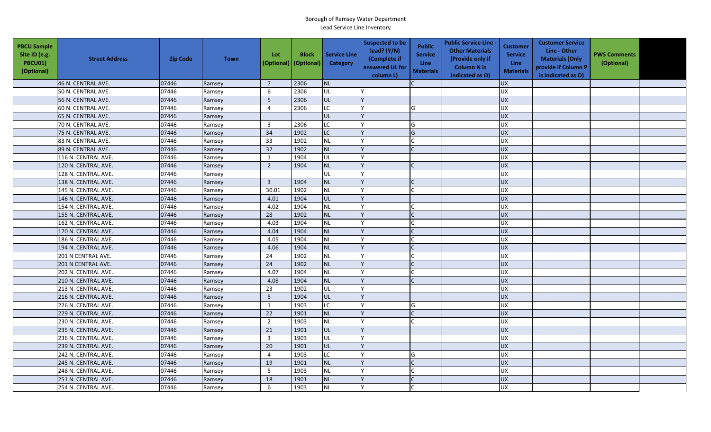| <b>PBCU Sample</b><br>Site ID (e.g.<br><b>PBCU01)</b><br>(Optional) | <b>Street Address</b> | <b>Zip Code</b> | <b>Town</b> | Lot<br>(Optional)       | <b>Block</b><br>(Optional) | <b>Service Line</b><br><b>Category</b> | <b>Suspected to be</b><br>lead? $(Y/N)$<br>(Complete if<br>answered UL for<br>column L) | <b>Public</b><br><b>Service</b><br><b>Line</b><br><b>Materials</b> | <b>Public Service Line -</b><br><b>Other Materials</b><br>(Provide only if<br><b>Column N is</b><br>indicated as O) | <b>Customer</b><br><b>Service</b><br><b>Line</b><br><b>Materials</b> | <b>Customer Service</b><br>Line - Other<br><b>Materials (Only</b><br>provide if Column P<br>is indicated as O) | <b>PWS Comments</b><br>(Optional) |  |
|---------------------------------------------------------------------|-----------------------|-----------------|-------------|-------------------------|----------------------------|----------------------------------------|-----------------------------------------------------------------------------------------|--------------------------------------------------------------------|---------------------------------------------------------------------------------------------------------------------|----------------------------------------------------------------------|----------------------------------------------------------------------------------------------------------------|-----------------------------------|--|
|                                                                     | 46 N. CENTRAL AVE.    | 07446           | Ramsey      | $\overline{7}$          | 2306                       | <b>NL</b>                              |                                                                                         |                                                                    |                                                                                                                     | <b>UX</b>                                                            |                                                                                                                |                                   |  |
|                                                                     | 50 N. CENTRAL AVE.    | 07446           | Ramsey      | 6                       | 2306                       | UL                                     |                                                                                         |                                                                    |                                                                                                                     | <b>UX</b>                                                            |                                                                                                                |                                   |  |
|                                                                     | 56 N. CENTRAL AVE.    | 07446           | Ramsey      | 5                       | 2306                       | UL                                     |                                                                                         |                                                                    |                                                                                                                     | <b>UX</b>                                                            |                                                                                                                |                                   |  |
|                                                                     | 60 N. CENTRAL AVE.    | 07446           | Ramsey      | $\overline{4}$          | 2306                       | LC                                     |                                                                                         | G                                                                  |                                                                                                                     | UX                                                                   |                                                                                                                |                                   |  |
|                                                                     | 65 N. CENTRAL AVE.    | 07446           | Ramsey      |                         |                            | UL                                     |                                                                                         |                                                                    |                                                                                                                     | <b>UX</b>                                                            |                                                                                                                |                                   |  |
|                                                                     | 70 N. CENTRAL AVE.    | 07446           | Ramsey      | $\overline{\mathbf{3}}$ | 2306                       | LC                                     |                                                                                         | G                                                                  |                                                                                                                     | <b>UX</b>                                                            |                                                                                                                |                                   |  |
|                                                                     | 75 N. CENTRAL AVE.    | 07446           | Ramsey      | 34                      | 1902                       | LC                                     |                                                                                         | G                                                                  |                                                                                                                     | <b>UX</b>                                                            |                                                                                                                |                                   |  |
|                                                                     | 83 N. CENTRAL AVE.    | 07446           | Ramsey      | 33                      | 1902                       | <b>NL</b>                              |                                                                                         |                                                                    |                                                                                                                     | <b>UX</b>                                                            |                                                                                                                |                                   |  |
|                                                                     | 89 N. CENTRAL AVE.    | 07446           | Ramsey      | 32                      | 1902                       | <b>NL</b>                              |                                                                                         | $\mathsf{C}$                                                       |                                                                                                                     | UX                                                                   |                                                                                                                |                                   |  |
|                                                                     | 116 N. CENTRAL AVE.   | 07446           | Ramsey      | 1                       | 1904                       | UL                                     |                                                                                         |                                                                    |                                                                                                                     | <b>UX</b>                                                            |                                                                                                                |                                   |  |
|                                                                     | 120 N. CENTRAL AVE.   | 07446           | Ramsey      | $\overline{2}$          | 1904                       | <b>NL</b>                              |                                                                                         | $\mathcal{C}$                                                      |                                                                                                                     | <b>UX</b>                                                            |                                                                                                                |                                   |  |
|                                                                     | 128 N. CENTRAL AVE.   | 07446           | Ramsey      |                         |                            | UL                                     |                                                                                         |                                                                    |                                                                                                                     | <b>UX</b>                                                            |                                                                                                                |                                   |  |
|                                                                     | 138 N. CENTRAL AVE.   | 07446           | Ramsey      | $\overline{3}$          | 1904                       | <b>NL</b>                              |                                                                                         |                                                                    |                                                                                                                     | <b>UX</b>                                                            |                                                                                                                |                                   |  |
|                                                                     | 145 N. CENTRAL AVE.   | 07446           | Ramsey      | 30.01                   | 1902                       | NL                                     |                                                                                         |                                                                    |                                                                                                                     | <b>UX</b>                                                            |                                                                                                                |                                   |  |
|                                                                     | 146 N. CENTRAL AVE.   | 07446           | Ramsey      | 4.01                    | 1904                       | UL                                     |                                                                                         |                                                                    |                                                                                                                     | UX                                                                   |                                                                                                                |                                   |  |
|                                                                     | 154 N. CENTRAL AVE.   | 07446           | Ramsey      | 4.02                    | 1904                       | <b>NL</b>                              |                                                                                         |                                                                    |                                                                                                                     | <b>UX</b>                                                            |                                                                                                                |                                   |  |
|                                                                     | 155 N. CENTRAL AVE.   | 07446           | Ramsey      | 28                      | 1902                       | <b>NL</b>                              |                                                                                         |                                                                    |                                                                                                                     | <b>UX</b>                                                            |                                                                                                                |                                   |  |
|                                                                     | 162 N. CENTRAL AVE.   | 07446           | Ramsey      | 4.03                    | 1904                       | <b>NL</b>                              |                                                                                         |                                                                    |                                                                                                                     | UX                                                                   |                                                                                                                |                                   |  |
|                                                                     | 170 N. CENTRAL AVE.   | 07446           | Ramsey      | 4.04                    | 1904                       | <b>NL</b>                              |                                                                                         |                                                                    |                                                                                                                     | <b>UX</b>                                                            |                                                                                                                |                                   |  |
|                                                                     | 186 N. CENTRAL AVE.   | 07446           | Ramsey      | 4.05                    | 1904                       | <b>NL</b>                              |                                                                                         |                                                                    |                                                                                                                     | <b>UX</b>                                                            |                                                                                                                |                                   |  |
|                                                                     | 194 N. CENTRAL AVE.   | 07446           | Ramsey      | 4.06                    | 1904                       | <b>NL</b>                              |                                                                                         |                                                                    |                                                                                                                     | <b>UX</b>                                                            |                                                                                                                |                                   |  |
|                                                                     | 201 N CENTRAL AVE.    | 07446           | Ramsey      | 24                      | 1902                       | <b>NL</b>                              |                                                                                         |                                                                    |                                                                                                                     | <b>UX</b>                                                            |                                                                                                                |                                   |  |
|                                                                     | 201 N CENTRAL AVE.    | 07446           | Ramsey      | 24                      | 1902                       | <b>NL</b>                              |                                                                                         |                                                                    |                                                                                                                     | UX                                                                   |                                                                                                                |                                   |  |
|                                                                     | 202 N. CENTRAL AVE.   | 07446           | Ramsey      | 4.07                    | 1904                       | NL                                     |                                                                                         |                                                                    |                                                                                                                     | <b>UX</b>                                                            |                                                                                                                |                                   |  |
|                                                                     | 210 N. CENTRAL AVE.   | 07446           | Ramsey      | 4.08                    | 1904                       | <b>NL</b>                              |                                                                                         |                                                                    |                                                                                                                     | <b>UX</b>                                                            |                                                                                                                |                                   |  |
|                                                                     | 213 N. CENTRAL AVE.   | 07446           | Ramsey      | 23                      | 1902                       | UL                                     |                                                                                         |                                                                    |                                                                                                                     | UX                                                                   |                                                                                                                |                                   |  |
|                                                                     | 216 N. CENTRAL AVE.   | 07446           | Ramsey      | 5                       | 1904                       | UL                                     |                                                                                         |                                                                    |                                                                                                                     | <b>UX</b>                                                            |                                                                                                                |                                   |  |
|                                                                     | 226 N. CENTRAL AVE.   | 07446           | Ramsey      | 1                       | 1903                       | LC                                     |                                                                                         | G                                                                  |                                                                                                                     | <b>UX</b>                                                            |                                                                                                                |                                   |  |
|                                                                     | 229 N. CENTRAL AVE.   | 07446           | Ramsey      | 22                      | 1901                       | <b>NL</b>                              |                                                                                         |                                                                    |                                                                                                                     | <b>UX</b>                                                            |                                                                                                                |                                   |  |
|                                                                     | 230 N. CENTRAL AVE.   | 07446           | Ramsey      | $\overline{2}$          | 1903                       | <b>NL</b>                              |                                                                                         |                                                                    |                                                                                                                     | <b>UX</b>                                                            |                                                                                                                |                                   |  |
|                                                                     | 235 N. CENTRAL AVE.   | 07446           | Ramsey      | 21                      | 1901                       | UL                                     |                                                                                         |                                                                    |                                                                                                                     | UX                                                                   |                                                                                                                |                                   |  |
|                                                                     | 236 N. CENTRAL AVE.   | 07446           | Ramsey      | $\overline{\mathbf{3}}$ | 1903                       | UL                                     |                                                                                         |                                                                    |                                                                                                                     | <b>UX</b>                                                            |                                                                                                                |                                   |  |
|                                                                     | 239 N. CENTRAL AVE.   | 07446           | Ramsey      | 20                      | 1901                       | UL                                     |                                                                                         |                                                                    |                                                                                                                     | $\overline{UX}$                                                      |                                                                                                                |                                   |  |
|                                                                     | 242 N. CENTRAL AVE.   | 07446           | Ramsey      | $\overline{4}$          | 1903                       | <b>LC</b>                              |                                                                                         | G                                                                  |                                                                                                                     | UX                                                                   |                                                                                                                |                                   |  |
|                                                                     | 245 N. CENTRAL AVE.   | 07446           | Ramsey      | 19                      | 1901                       | <b>NL</b>                              |                                                                                         |                                                                    |                                                                                                                     | UX                                                                   |                                                                                                                |                                   |  |
|                                                                     | 248 N. CENTRAL AVE.   | 07446           | Ramsey      | 5                       | 1903                       | NL                                     |                                                                                         |                                                                    |                                                                                                                     | <b>UX</b>                                                            |                                                                                                                |                                   |  |
|                                                                     | 251 N. CENTRAL AVE.   | 07446           | Ramsey      | 18                      | 1901                       | <b>NL</b>                              |                                                                                         |                                                                    |                                                                                                                     | <b>UX</b>                                                            |                                                                                                                |                                   |  |
|                                                                     | 254 N. CENTRAL AVE.   | 07446           | Ramsey      | 6                       | 1903                       | NL                                     |                                                                                         |                                                                    |                                                                                                                     | UX                                                                   |                                                                                                                |                                   |  |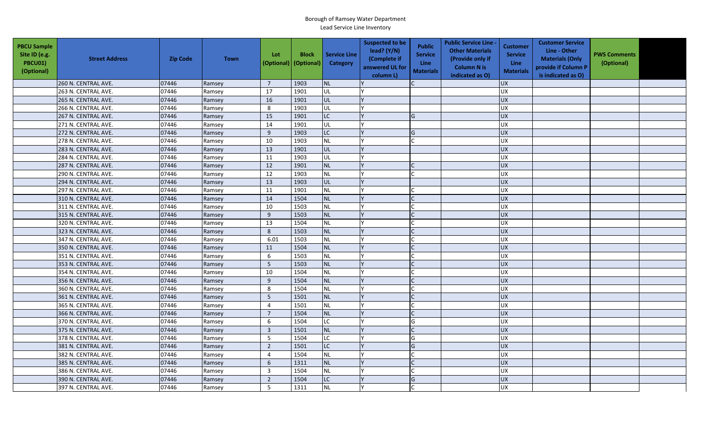| <b>PBCU Sample</b><br>Site ID (e.g.<br>PBCU01)<br>(Optional) | <b>Street Address</b> | <b>Zip Code</b> | <b>Town</b> | Lot<br>(Optional)       | <b>Block</b><br>(Optional) | <b>Service Line</b><br><b>Category</b> | <b>Suspected to be</b><br>lead? $(Y/N)$<br>(Complete if<br>answered UL for<br>column L) | <b>Public</b><br><b>Service</b><br>Line<br><b>Materials</b> | <b>Public Service Line -</b><br><b>Other Materials</b><br>(Provide only if<br><b>Column N is</b><br>indicated as O) | <b>Customer</b><br><b>Service</b><br><b>Line</b><br><b>Materials</b> | <b>Customer Service</b><br>Line - Other<br><b>Materials (Only</b><br>provide if Column P<br>is indicated as O) | <b>PWS Comments</b><br>(Optional) |  |
|--------------------------------------------------------------|-----------------------|-----------------|-------------|-------------------------|----------------------------|----------------------------------------|-----------------------------------------------------------------------------------------|-------------------------------------------------------------|---------------------------------------------------------------------------------------------------------------------|----------------------------------------------------------------------|----------------------------------------------------------------------------------------------------------------|-----------------------------------|--|
|                                                              | 260 N. CENTRAL AVE.   | 07446           | Ramsey      | $\overline{7}$          | 1903                       | <b>NL</b>                              |                                                                                         |                                                             |                                                                                                                     | <b>UX</b>                                                            |                                                                                                                |                                   |  |
|                                                              | 263 N. CENTRAL AVE.   | 07446           | Ramsey      | 17                      | 1901                       | UL                                     |                                                                                         |                                                             |                                                                                                                     | <b>UX</b>                                                            |                                                                                                                |                                   |  |
|                                                              | 265 N. CENTRAL AVE.   | 07446           | Ramsey      | 16                      | 1901                       | UL                                     |                                                                                         |                                                             |                                                                                                                     | <b>UX</b>                                                            |                                                                                                                |                                   |  |
|                                                              | 266 N. CENTRAL AVE.   | 07446           | Ramsey      | 8                       | 1903                       | <b>UL</b>                              |                                                                                         |                                                             |                                                                                                                     | UX                                                                   |                                                                                                                |                                   |  |
|                                                              | 267 N. CENTRAL AVE.   | 07446           | Ramsey      | 15                      | 1901                       | LC.                                    |                                                                                         | G                                                           |                                                                                                                     | <b>UX</b>                                                            |                                                                                                                |                                   |  |
|                                                              | 271 N. CENTRAL AVE.   | 07446           | Ramsey      | 14                      | 1901                       | UL                                     |                                                                                         |                                                             |                                                                                                                     | <b>UX</b>                                                            |                                                                                                                |                                   |  |
|                                                              | 272 N. CENTRAL AVE.   | 07446           | Ramsey      | 9                       | 1903                       | LC                                     |                                                                                         | G                                                           |                                                                                                                     | <b>UX</b>                                                            |                                                                                                                |                                   |  |
|                                                              | 278 N. CENTRAL AVE.   | 07446           | Ramsey      | 10                      | 1903                       | <b>NL</b>                              |                                                                                         |                                                             |                                                                                                                     | <b>UX</b>                                                            |                                                                                                                |                                   |  |
|                                                              | 283 N. CENTRAL AVE.   | 07446           | Ramsey      | 13                      | 1901                       | <b>JUL</b>                             |                                                                                         |                                                             |                                                                                                                     | <b>UX</b>                                                            |                                                                                                                |                                   |  |
|                                                              | 284 N. CENTRAL AVE.   | 07446           | Ramsey      | 11                      | 1903                       | UL                                     |                                                                                         |                                                             |                                                                                                                     | UX                                                                   |                                                                                                                |                                   |  |
|                                                              | 287 N. CENTRAL AVE.   | 07446           | Ramsey      | 12                      | 1901                       | <b>NL</b>                              |                                                                                         |                                                             |                                                                                                                     | <b>UX</b>                                                            |                                                                                                                |                                   |  |
|                                                              | 290 N. CENTRAL AVE.   | 07446           | Ramsey      | 12                      | 1903                       | <b>NL</b>                              |                                                                                         |                                                             |                                                                                                                     | <b>UX</b>                                                            |                                                                                                                |                                   |  |
|                                                              | 294 N. CENTRAL AVE.   | 07446           | Ramsey      | 13                      | 1903                       | <b>UL</b>                              |                                                                                         |                                                             |                                                                                                                     | <b>UX</b>                                                            |                                                                                                                |                                   |  |
|                                                              | 297 N. CENTRAL AVE.   | 07446           | Ramsey      | 11                      | 1901                       | <b>NL</b>                              |                                                                                         |                                                             |                                                                                                                     | UX                                                                   |                                                                                                                |                                   |  |
|                                                              | 310 N. CENTRAL AVE.   | 07446           | Ramsey      | 14                      | 1504                       | <b>NL</b>                              |                                                                                         |                                                             |                                                                                                                     | <b>UX</b>                                                            |                                                                                                                |                                   |  |
|                                                              | 311 N. CENTRAL AVE.   | 07446           | Ramsey      | 10                      | 1503                       | <b>NL</b>                              |                                                                                         |                                                             |                                                                                                                     | <b>UX</b>                                                            |                                                                                                                |                                   |  |
|                                                              | 315 N. CENTRAL AVE.   | 07446           | Ramsey      | 9                       | 1503                       | <b>NL</b>                              |                                                                                         |                                                             |                                                                                                                     | UX                                                                   |                                                                                                                |                                   |  |
|                                                              | 320 N. CENTRAL AVE.   | 07446           | Ramsey      | 13                      | 1504                       | <b>NL</b>                              |                                                                                         |                                                             |                                                                                                                     | UX                                                                   |                                                                                                                |                                   |  |
|                                                              | 323 N. CENTRAL AVE.   | 07446           | Ramsey      | $\bf 8$                 | 1503                       | <b>NL</b>                              |                                                                                         |                                                             |                                                                                                                     | <b>UX</b>                                                            |                                                                                                                |                                   |  |
|                                                              | 347 N. CENTRAL AVE.   | 07446           | Ramsey      | 6.01                    | 1503                       | <b>NL</b>                              |                                                                                         |                                                             |                                                                                                                     | UX                                                                   |                                                                                                                |                                   |  |
|                                                              | 350 N. CENTRAL AVE.   | 07446           | Ramsey      | 11                      | 1504                       | <b>NL</b>                              |                                                                                         |                                                             |                                                                                                                     | UX                                                                   |                                                                                                                |                                   |  |
|                                                              | 351 N. CENTRAL AVE.   | 07446           | Ramsey      | 6                       | 1503                       | <b>NL</b>                              |                                                                                         |                                                             |                                                                                                                     | UX                                                                   |                                                                                                                |                                   |  |
|                                                              | 353 N. CENTRAL AVE.   | 07446           | Ramsey      | 5                       | 1503                       | <b>NL</b>                              |                                                                                         |                                                             |                                                                                                                     | <b>UX</b>                                                            |                                                                                                                |                                   |  |
|                                                              | 354 N. CENTRAL AVE.   | 07446           | Ramsey      | 10                      | 1504                       | <b>NL</b>                              |                                                                                         |                                                             |                                                                                                                     | <b>UX</b>                                                            |                                                                                                                |                                   |  |
|                                                              | 356 N. CENTRAL AVE.   | 07446           | Ramsey      | 9                       | 1504                       | <b>NL</b>                              |                                                                                         | $\mathsf{C}$                                                |                                                                                                                     | <b>UX</b>                                                            |                                                                                                                |                                   |  |
|                                                              | 360 N. CENTRAL AVE.   | 07446           | Ramsey      | 8                       | 1504                       | <b>NL</b>                              |                                                                                         |                                                             |                                                                                                                     | <b>UX</b>                                                            |                                                                                                                |                                   |  |
|                                                              | 361 N. CENTRAL AVE.   | 07446           | Ramsey      | 5                       | 1501                       | <b>NL</b>                              |                                                                                         |                                                             |                                                                                                                     | <b>UX</b>                                                            |                                                                                                                |                                   |  |
|                                                              | 365 N. CENTRAL AVE.   | 07446           | Ramsey      | $\overline{4}$          | 1501                       | <b>NL</b>                              |                                                                                         |                                                             |                                                                                                                     | <b>UX</b>                                                            |                                                                                                                |                                   |  |
|                                                              | 366 N. CENTRAL AVE.   | 07446           | Ramsey      | $\overline{7}$          | 1504                       | <b>NL</b>                              |                                                                                         |                                                             |                                                                                                                     | <b>UX</b>                                                            |                                                                                                                |                                   |  |
|                                                              | 370 N. CENTRAL AVE.   | 07446           | Ramsey      | 6                       | 1504                       | <b>LC</b>                              |                                                                                         | G                                                           |                                                                                                                     | UX                                                                   |                                                                                                                |                                   |  |
|                                                              | 375 N. CENTRAL AVE.   | 07446           | Ramsey      | $\overline{\mathbf{3}}$ | 1501                       | <b>NL</b>                              |                                                                                         | $\mathcal{C}$                                               |                                                                                                                     | <b>UX</b>                                                            |                                                                                                                |                                   |  |
|                                                              | 378 N. CENTRAL AVE.   | 07446           | Ramsey      | 5                       | 1504                       | <b>LC</b>                              |                                                                                         | G                                                           |                                                                                                                     | <b>UX</b>                                                            |                                                                                                                |                                   |  |
|                                                              | 381 N. CENTRAL AVE.   | 07446           | Ramsey      | $\overline{2}$          | 1501                       | LC                                     |                                                                                         | G                                                           |                                                                                                                     | UX                                                                   |                                                                                                                |                                   |  |
|                                                              | 382 N. CENTRAL AVE.   | 07446           | Ramsey      | $\overline{4}$          | 1504                       | <b>NL</b>                              |                                                                                         |                                                             |                                                                                                                     | <b>UX</b>                                                            |                                                                                                                |                                   |  |
|                                                              | 385 N. CENTRAL AVE.   | 07446           | Ramsey      | 6                       | 1311                       | <b>NL</b>                              |                                                                                         |                                                             |                                                                                                                     | <b>UX</b>                                                            |                                                                                                                |                                   |  |
|                                                              | 386 N. CENTRAL AVE.   | 07446           | Ramsey      | $\overline{3}$          | 1504                       | <b>NL</b>                              |                                                                                         |                                                             |                                                                                                                     | <b>UX</b>                                                            |                                                                                                                |                                   |  |
|                                                              | 390 N. CENTRAL AVE.   | 07446           | Ramsey      | $\overline{2}$          | 1504                       | <b>LC</b>                              |                                                                                         | G                                                           |                                                                                                                     | <b>UX</b>                                                            |                                                                                                                |                                   |  |
|                                                              | 397 N. CENTRAL AVE.   | 07446           | Ramsey      | 5                       | 1311                       | <b>NL</b>                              |                                                                                         |                                                             |                                                                                                                     | <b>UX</b>                                                            |                                                                                                                |                                   |  |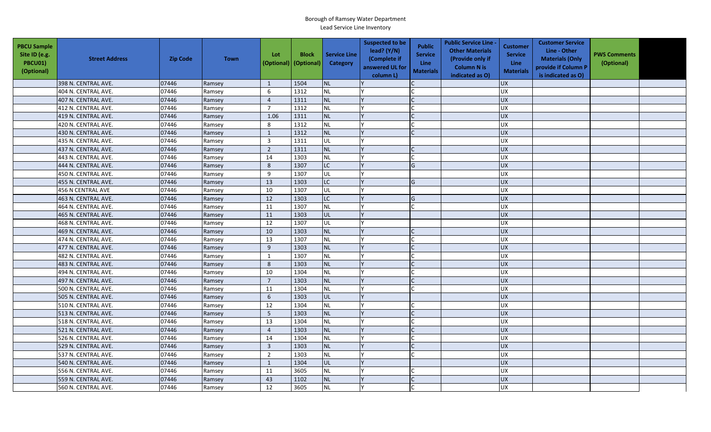| <b>PBCU Sample</b><br>Site ID (e.g.<br><b>PBCU01)</b><br>(Optional) | <b>Street Address</b> | <b>Zip Code</b> | <b>Town</b> | Lot<br>(Optional) | <b>Block</b><br>(Optional) | <b>Service Line</b><br><b>Category</b> | <b>Suspected to be</b><br>lead? $(Y/N)$<br>(Complete if<br>answered UL for<br>column L) | <b>Public</b><br><b>Service</b><br><b>Line</b><br><b>Materials</b> | <b>Public Service Line -</b><br><b>Other Materials</b><br>(Provide only if<br><b>Column N is</b><br>indicated as O) | <b>Customer</b><br><b>Service</b><br><b>Line</b><br><b>Materials</b> | <b>Customer Service</b><br>Line - Other<br><b>Materials (Only</b><br>provide if Column P<br>is indicated as O) | <b>PWS Comments</b><br>(Optional) |  |
|---------------------------------------------------------------------|-----------------------|-----------------|-------------|-------------------|----------------------------|----------------------------------------|-----------------------------------------------------------------------------------------|--------------------------------------------------------------------|---------------------------------------------------------------------------------------------------------------------|----------------------------------------------------------------------|----------------------------------------------------------------------------------------------------------------|-----------------------------------|--|
|                                                                     | 398 N. CENTRAL AVE.   | 07446           | Ramsey      | 1                 | 1504                       | <b>NL</b>                              |                                                                                         |                                                                    |                                                                                                                     | <b>UX</b>                                                            |                                                                                                                |                                   |  |
|                                                                     | 404 N. CENTRAL AVE.   | 07446           | Ramsey      | 6                 | 1312                       | $\sf NL$                               |                                                                                         |                                                                    |                                                                                                                     | <b>UX</b>                                                            |                                                                                                                |                                   |  |
|                                                                     | 407 N. CENTRAL AVE.   | 07446           | Ramsey      | $\overline{4}$    | 1311                       | <b>NL</b>                              |                                                                                         |                                                                    |                                                                                                                     | <b>UX</b>                                                            |                                                                                                                |                                   |  |
|                                                                     | 412 N. CENTRAL AVE.   | 07446           | Ramsey      | $\overline{7}$    | 1312                       | <b>NL</b>                              |                                                                                         |                                                                    |                                                                                                                     | UX                                                                   |                                                                                                                |                                   |  |
|                                                                     | 419 N. CENTRAL AVE.   | 07446           | Ramsey      | 1.06              | 1311                       | NL                                     |                                                                                         |                                                                    |                                                                                                                     | <b>UX</b>                                                            |                                                                                                                |                                   |  |
|                                                                     | 420 N. CENTRAL AVE.   | 07446           | Ramsey      | 8                 | 1312                       | <b>NL</b>                              |                                                                                         |                                                                    |                                                                                                                     | <b>UX</b>                                                            |                                                                                                                |                                   |  |
|                                                                     | 430 N. CENTRAL AVE.   | 07446           | Ramsey      | 1                 | 1312                       | <b>NL</b>                              |                                                                                         |                                                                    |                                                                                                                     | <b>UX</b>                                                            |                                                                                                                |                                   |  |
|                                                                     | 435 N. CENTRAL AVE.   | 07446           | Ramsey      | $\overline{3}$    | 1311                       | UL                                     |                                                                                         |                                                                    |                                                                                                                     | <b>UX</b>                                                            |                                                                                                                |                                   |  |
|                                                                     | 437 N. CENTRAL AVE.   | 07446           | Ramsey      | $\overline{2}$    | 1311                       | <b>NL</b>                              |                                                                                         |                                                                    |                                                                                                                     | UX                                                                   |                                                                                                                |                                   |  |
|                                                                     | 443 N. CENTRAL AVE.   | 07446           | Ramsey      | 14                | 1303                       | <b>NL</b>                              |                                                                                         |                                                                    |                                                                                                                     | <b>UX</b>                                                            |                                                                                                                |                                   |  |
|                                                                     | 444 N. CENTRAL AVE.   | 07446           | Ramsey      | 8                 | 1307                       | <b>LC</b>                              |                                                                                         | G                                                                  |                                                                                                                     | <b>UX</b>                                                            |                                                                                                                |                                   |  |
|                                                                     | 450 N. CENTRAL AVE.   | 07446           | Ramsey      | 9                 | 1307                       | UL                                     |                                                                                         |                                                                    |                                                                                                                     | <b>UX</b>                                                            |                                                                                                                |                                   |  |
|                                                                     | 455 N. CENTRAL AVE.   | 07446           | Ramsey      | 13                | 1303                       | <b>LC</b>                              |                                                                                         | G                                                                  |                                                                                                                     | UX                                                                   |                                                                                                                |                                   |  |
|                                                                     | 456 N CENTRAL AVE     | 07446           | Ramsey      | 10                | 1307                       | UL                                     |                                                                                         |                                                                    |                                                                                                                     | UX                                                                   |                                                                                                                |                                   |  |
|                                                                     | 463 N. CENTRAL AVE.   | 07446           | Ramsey      | 12                | 1303                       | LC                                     |                                                                                         | G                                                                  |                                                                                                                     | UX                                                                   |                                                                                                                |                                   |  |
|                                                                     | 464 N. CENTRAL AVE.   | 07446           | Ramsey      | 11                | 1307                       | <b>NL</b>                              |                                                                                         |                                                                    |                                                                                                                     | <b>UX</b>                                                            |                                                                                                                |                                   |  |
|                                                                     | 465 N. CENTRAL AVE.   | 07446           | Ramsey      | 11                | 1303                       | UL                                     |                                                                                         |                                                                    |                                                                                                                     | <b>UX</b>                                                            |                                                                                                                |                                   |  |
|                                                                     | 468 N. CENTRAL AVE.   | 07446           | Ramsey      | 12                | 1307                       | UL                                     |                                                                                         |                                                                    |                                                                                                                     | UX                                                                   |                                                                                                                |                                   |  |
|                                                                     | 469 N. CENTRAL AVE.   | 07446           | Ramsey      | 10                | 1303                       | <b>NL</b>                              |                                                                                         |                                                                    |                                                                                                                     | UX                                                                   |                                                                                                                |                                   |  |
|                                                                     | 474 N. CENTRAL AVE.   | 07446           | Ramsey      | 13                | 1307                       | <b>NL</b>                              |                                                                                         |                                                                    |                                                                                                                     | <b>UX</b>                                                            |                                                                                                                |                                   |  |
|                                                                     | 477 N. CENTRAL AVE.   | 07446           | Ramsey      | 9                 | 1303                       | <b>NL</b>                              |                                                                                         |                                                                    |                                                                                                                     | <b>UX</b>                                                            |                                                                                                                |                                   |  |
|                                                                     | 482 N. CENTRAL AVE.   | 07446           | Ramsey      | 1                 | 1307                       | <b>NL</b>                              |                                                                                         |                                                                    |                                                                                                                     | <b>UX</b>                                                            |                                                                                                                |                                   |  |
|                                                                     | 483 N. CENTRAL AVE.   | 07446           | Ramsey      | 8                 | 1303                       | <b>NL</b>                              |                                                                                         |                                                                    |                                                                                                                     | UX                                                                   |                                                                                                                |                                   |  |
|                                                                     | 494 N. CENTRAL AVE.   | 07446           | Ramsey      | 10                | 1304                       | NL                                     |                                                                                         |                                                                    |                                                                                                                     | <b>UX</b>                                                            |                                                                                                                |                                   |  |
|                                                                     | 497 N. CENTRAL AVE.   | 07446           | Ramsey      | $\overline{7}$    | 1303                       | <b>NL</b>                              |                                                                                         | $\mathsf{C}$                                                       |                                                                                                                     | <b>UX</b>                                                            |                                                                                                                |                                   |  |
|                                                                     | 500 N. CENTRAL AVE.   | 07446           | Ramsey      | 11                | 1304                       | <b>NL</b>                              |                                                                                         |                                                                    |                                                                                                                     | UX                                                                   |                                                                                                                |                                   |  |
|                                                                     | 505 N. CENTRAL AVE.   | 07446           | Ramsey      | 6                 | 1303                       | UL                                     |                                                                                         |                                                                    |                                                                                                                     | <b>UX</b>                                                            |                                                                                                                |                                   |  |
|                                                                     | 510 N. CENTRAL AVE.   | 07446           | Ramsey      | 12                | 1304                       | <b>NL</b>                              |                                                                                         |                                                                    |                                                                                                                     | <b>UX</b>                                                            |                                                                                                                |                                   |  |
|                                                                     | 513 N. CENTRAL AVE.   | 07446           | Ramsey      | 5                 | 1303                       | <b>NL</b>                              |                                                                                         |                                                                    |                                                                                                                     | <b>UX</b>                                                            |                                                                                                                |                                   |  |
|                                                                     | 518 N. CENTRAL AVE.   | 07446           | Ramsey      | 13                | 1304                       | <b>NL</b>                              |                                                                                         |                                                                    |                                                                                                                     | <b>UX</b>                                                            |                                                                                                                |                                   |  |
|                                                                     | 521 N. CENTRAL AVE.   | 07446           | Ramsey      | $\overline{4}$    | 1303                       | <b>NL</b>                              |                                                                                         |                                                                    |                                                                                                                     | UX                                                                   |                                                                                                                |                                   |  |
|                                                                     | 526 N. CENTRAL AVE.   | 07446           | Ramsey      | 14                | 1304                       | <b>NL</b>                              |                                                                                         |                                                                    |                                                                                                                     | <b>UX</b>                                                            |                                                                                                                |                                   |  |
|                                                                     | 529 N. CENTRAL AVE.   | 07446           | Ramsey      | $\overline{3}$    | 1303                       | <b>NL</b>                              |                                                                                         |                                                                    |                                                                                                                     | $\overline{UX}$                                                      |                                                                                                                |                                   |  |
|                                                                     | 537 N. CENTRAL AVE.   | 07446           | Ramsey      | $\overline{2}$    | 1303                       | NL                                     |                                                                                         |                                                                    |                                                                                                                     | UX                                                                   |                                                                                                                |                                   |  |
|                                                                     | 540 N. CENTRAL AVE.   | 07446           | Ramsey      | 1                 | 1304                       | UL                                     |                                                                                         |                                                                    |                                                                                                                     | <b>UX</b>                                                            |                                                                                                                |                                   |  |
|                                                                     | 556 N. CENTRAL AVE.   | 07446           | Ramsey      | 11                | 3605                       | NL                                     |                                                                                         |                                                                    |                                                                                                                     | <b>UX</b>                                                            |                                                                                                                |                                   |  |
|                                                                     | 559 N. CENTRAL AVE.   | 07446           | Ramsey      | 43                | 1102                       | <b>NL</b>                              |                                                                                         |                                                                    |                                                                                                                     | <b>UX</b>                                                            |                                                                                                                |                                   |  |
|                                                                     | 560 N. CENTRAL AVE.   | 07446           | Ramsey      | 12                | 3605                       | <b>NL</b>                              |                                                                                         |                                                                    |                                                                                                                     | UX                                                                   |                                                                                                                |                                   |  |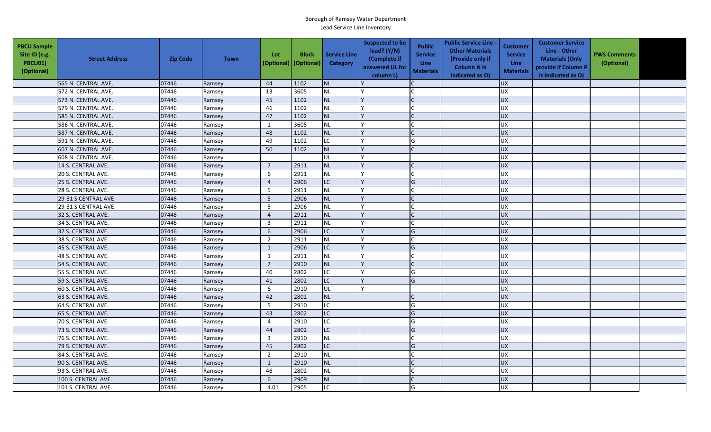| <b>PBCU Sample</b><br>Site ID (e.g.<br>PBCU01)<br>(Optional) | <b>Street Address</b> | <b>Zip Code</b> | <b>Town</b> | Lot<br>(Optional) (Optional) | <b>Block</b> | <b>Service Line</b><br><b>Category</b> | <b>Suspected to be</b><br>lead? $(Y/N)$<br>(Complete if<br>answered UL for<br>column L) | <b>Public</b><br><b>Service</b><br><b>Line</b><br><b>Materials</b> | <b>Public Service Line -</b><br><b>Other Materials</b><br>(Provide only if<br><b>Column N is</b><br>indicated as O) | <b>Customer</b><br><b>Service</b><br>Line<br><b>Materials</b> | <b>Customer Service</b><br>Line - Other<br><b>Materials (Only</b><br>provide if Column P<br>is indicated as O) | <b>PWS Comments</b><br>(Optional) |  |
|--------------------------------------------------------------|-----------------------|-----------------|-------------|------------------------------|--------------|----------------------------------------|-----------------------------------------------------------------------------------------|--------------------------------------------------------------------|---------------------------------------------------------------------------------------------------------------------|---------------------------------------------------------------|----------------------------------------------------------------------------------------------------------------|-----------------------------------|--|
|                                                              | 565 N. CENTRAL AVE.   | 07446           | Ramsey      | 44                           | 1102         | <b>NL</b>                              |                                                                                         |                                                                    |                                                                                                                     | <b>UX</b>                                                     |                                                                                                                |                                   |  |
|                                                              | 572 N. CENTRAL AVE.   | 07446           | Ramsey      | 13                           | 3605         | <b>NL</b>                              |                                                                                         |                                                                    |                                                                                                                     | <b>UX</b>                                                     |                                                                                                                |                                   |  |
|                                                              | 573 N. CENTRAL AVE.   | 07446           | Ramsey      | 45                           | 1102         | <b>NL</b>                              |                                                                                         |                                                                    |                                                                                                                     | <b>UX</b>                                                     |                                                                                                                |                                   |  |
|                                                              | 579 N. CENTRAL AVE.   | 07446           | Ramsey      | 46                           | 1102         | <b>NL</b>                              |                                                                                         |                                                                    |                                                                                                                     | UX                                                            |                                                                                                                |                                   |  |
|                                                              | 585 N. CENTRAL AVE.   | 07446           | Ramsey      | 47                           | 1102         | <b>NL</b>                              |                                                                                         |                                                                    |                                                                                                                     | <b>UX</b>                                                     |                                                                                                                |                                   |  |
|                                                              | 586 N. CENTRAL AVE.   | 07446           | Ramsey      | $\mathbf{1}$                 | 3605         | <b>NL</b>                              |                                                                                         |                                                                    |                                                                                                                     | <b>UX</b>                                                     |                                                                                                                |                                   |  |
|                                                              | 587 N. CENTRAL AVE.   | 07446           | Ramsey      | 48                           | 1102         | <b>NL</b>                              |                                                                                         |                                                                    |                                                                                                                     | <b>UX</b>                                                     |                                                                                                                |                                   |  |
|                                                              | 591 N. CENTRAL AVE.   | 07446           | Ramsey      | 49                           | 1102         | LC                                     |                                                                                         | G                                                                  |                                                                                                                     | <b>UX</b>                                                     |                                                                                                                |                                   |  |
|                                                              | 607 N. CENTRAL AVE.   | 07446           | Ramsey      | 50                           | 1102         | <b>NL</b>                              |                                                                                         |                                                                    |                                                                                                                     | <b>UX</b>                                                     |                                                                                                                |                                   |  |
|                                                              | 608 N. CENTRAL AVE.   | 07446           | Ramsey      |                              |              | UL                                     |                                                                                         |                                                                    |                                                                                                                     | UX                                                            |                                                                                                                |                                   |  |
|                                                              | 14 S. CENTRAL AVE.    | 07446           | Ramsey      | $\overline{7}$               | 2911         | <b>NL</b>                              |                                                                                         | $\mathsf{C}$                                                       |                                                                                                                     | <b>UX</b>                                                     |                                                                                                                |                                   |  |
|                                                              | 20 S. CENTRAL AVE.    | 07446           | Ramsey      | 6                            | 2911         | <b>NL</b>                              |                                                                                         |                                                                    |                                                                                                                     | <b>UX</b>                                                     |                                                                                                                |                                   |  |
|                                                              | 25 S. CENTRAL AVE.    | 07446           | Ramsey      | $\overline{4}$               | 2906         | LC                                     |                                                                                         | G                                                                  |                                                                                                                     | <b>UX</b>                                                     |                                                                                                                |                                   |  |
|                                                              | 28 S. CENTRAL AVE.    | 07446           | Ramsey      | 5                            | 2911         | <b>NL</b>                              |                                                                                         |                                                                    |                                                                                                                     | <b>UX</b>                                                     |                                                                                                                |                                   |  |
|                                                              | 29-31 S CENTRAL AVE   | 07446           | Ramsey      | $\sqrt{5}$                   | 2906         | <b>NL</b>                              |                                                                                         |                                                                    |                                                                                                                     | <b>UX</b>                                                     |                                                                                                                |                                   |  |
|                                                              | 29-31 S CENTRAL AVE   | 07446           | Ramsey      | 5                            | 2906         | <b>NL</b>                              |                                                                                         |                                                                    |                                                                                                                     | UX                                                            |                                                                                                                |                                   |  |
|                                                              | 32 S. CENTRAL AVE.    | 07446           | Ramsey      | $\overline{4}$               | 2911         | <b>NL</b>                              |                                                                                         |                                                                    |                                                                                                                     | UX                                                            |                                                                                                                |                                   |  |
|                                                              | 34 S. CENTRAL AVE.    | 07446           | Ramsey      | $\overline{3}$               | 2911         | <b>NL</b>                              |                                                                                         |                                                                    |                                                                                                                     | UX                                                            |                                                                                                                |                                   |  |
|                                                              | 37 S. CENTRAL AVE.    | 07446           | Ramsey      | 6                            | 2906         | LC.                                    |                                                                                         | G                                                                  |                                                                                                                     | <b>UX</b>                                                     |                                                                                                                |                                   |  |
|                                                              | 38 S. CENTRAL AVE.    | 07446           | Ramsey      | $\overline{2}$               | 2911         | <b>NL</b>                              |                                                                                         |                                                                    |                                                                                                                     | <b>UX</b>                                                     |                                                                                                                |                                   |  |
|                                                              | 45 S. CENTRAL AVE.    | 07446           | Ramsey      | 1                            | 2906         | LC                                     |                                                                                         | G                                                                  |                                                                                                                     | <b>UX</b>                                                     |                                                                                                                |                                   |  |
|                                                              | 48 S. CENTRAL AVE.    | 07446           | Ramsey      | $\mathbf{1}$                 | 2911         | <b>NL</b>                              |                                                                                         |                                                                    |                                                                                                                     | <b>UX</b>                                                     |                                                                                                                |                                   |  |
|                                                              | 54 S. CENTRAL AVE.    | 07446           | Ramsey      | $\overline{7}$               | 2910         | <b>NL</b>                              |                                                                                         |                                                                    |                                                                                                                     | UX                                                            |                                                                                                                |                                   |  |
|                                                              | 55 S. CENTRAL AVE.    | 07446           | Ramsey      | 40                           | 2802         | LC.                                    |                                                                                         | G                                                                  |                                                                                                                     | UX                                                            |                                                                                                                |                                   |  |
|                                                              | 59 S. CENTRAL AVE.    | 07446           | Ramsey      | 41                           | 2802         | LC.                                    |                                                                                         | G                                                                  |                                                                                                                     | UX                                                            |                                                                                                                |                                   |  |
|                                                              | 60 S. CENTRAL AVE.    | 07446           | Ramsey      | 6                            | 2910         | UL                                     |                                                                                         |                                                                    |                                                                                                                     | <b>UX</b>                                                     |                                                                                                                |                                   |  |
|                                                              | 63 S. CENTRAL AVE.    | 07446           | Ramsey      | 42                           | 2802         | <b>NL</b>                              |                                                                                         |                                                                    |                                                                                                                     | UX                                                            |                                                                                                                |                                   |  |
|                                                              | 64 S. CENTRAL AVE.    | 07446           | Ramsey      | 5                            | 2910         | LC                                     |                                                                                         | G                                                                  |                                                                                                                     | <b>UX</b>                                                     |                                                                                                                |                                   |  |
|                                                              | 65 S. CENTRAL AVE.    | 07446           | Ramsey      | 43                           | 2802         | LC                                     |                                                                                         | G                                                                  |                                                                                                                     | <b>UX</b>                                                     |                                                                                                                |                                   |  |
|                                                              | 70 S. CENTRAL AVE.    | 07446           | Ramsey      | $\overline{4}$               | 2910         | <b>LC</b>                              |                                                                                         | G                                                                  |                                                                                                                     | UX                                                            |                                                                                                                |                                   |  |
|                                                              | 73 S. CENTRAL AVE.    | 07446           | Ramsey      | 44                           | 2802         | LC                                     |                                                                                         | G                                                                  |                                                                                                                     | <b>UX</b>                                                     |                                                                                                                |                                   |  |
|                                                              | 76 S. CENTRAL AVE.    | 07446           | Ramsey      | $\overline{3}$               | 2910         | <b>NL</b>                              |                                                                                         | $\mathsf{C}$                                                       |                                                                                                                     | UX                                                            |                                                                                                                |                                   |  |
|                                                              | 79 S. CENTRAL AVE.    | 07446           | Ramsey      | 45                           | 2802         | LC                                     |                                                                                         | G                                                                  |                                                                                                                     | <b>UX</b>                                                     |                                                                                                                |                                   |  |
|                                                              | 84 S. CENTRAL AVE.    | 07446           | Ramsey      | $\overline{2}$               | 2910         | <b>NL</b>                              |                                                                                         |                                                                    |                                                                                                                     | <b>UX</b>                                                     |                                                                                                                |                                   |  |
|                                                              | 90 S. CENTRAL AVE.    | 07446           | Ramsey      | $\mathbf{1}$                 | 2910         | NL                                     |                                                                                         |                                                                    |                                                                                                                     | <b>UX</b>                                                     |                                                                                                                |                                   |  |
|                                                              | 93 S. CENTRAL AVE.    | 07446           | Ramsey      | 46                           | 2802         | <b>NL</b>                              |                                                                                         | $\mathsf{C}$                                                       |                                                                                                                     | <b>UX</b>                                                     |                                                                                                                |                                   |  |
|                                                              | 100 S. CENTRAL AVE.   | 07446           | Ramsey      | 6                            | 2909         | <b>NL</b>                              |                                                                                         |                                                                    |                                                                                                                     | UX                                                            |                                                                                                                |                                   |  |
|                                                              | 101 S. CENTRAL AVE.   | 07446           | Ramsey      | 4.01                         | 2905         | LC.                                    |                                                                                         | G                                                                  |                                                                                                                     | <b>UX</b>                                                     |                                                                                                                |                                   |  |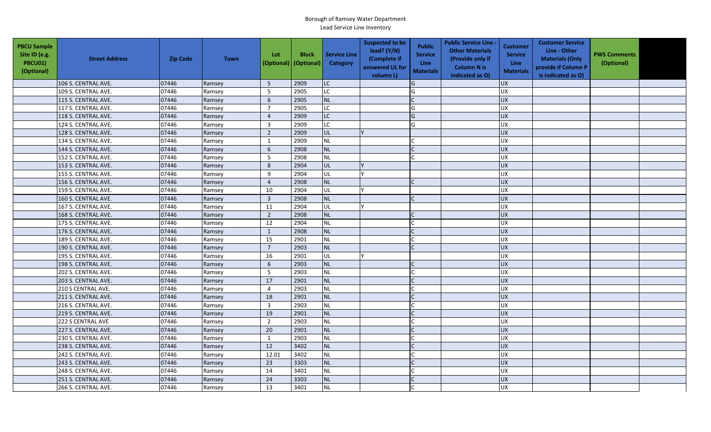| <b>PBCU Sample</b><br>Site ID (e.g.<br>PBCU01)<br>(Optional) | <b>Street Address</b> | <b>Zip Code</b> | <b>Town</b> | Lot<br>(Optional) (Optional) | <b>Block</b> | <b>Service Line</b><br><b>Category</b> | <b>Suspected to be</b><br>lead? $(Y/N)$<br>(Complete if<br>answered UL for<br>column L) | <b>Public</b><br><b>Service</b><br><b>Line</b><br><b>Materials</b> | <b>Public Service Line -</b><br><b>Other Materials</b><br>(Provide only if<br><b>Column N is</b><br>indicated as O) | <b>Customer</b><br><b>Service</b><br>Line<br><b>Materials</b> | <b>Customer Service</b><br>Line - Other<br><b>Materials (Only</b><br>provide if Column P<br>is indicated as O) | <b>PWS Comments</b><br>(Optional) |  |
|--------------------------------------------------------------|-----------------------|-----------------|-------------|------------------------------|--------------|----------------------------------------|-----------------------------------------------------------------------------------------|--------------------------------------------------------------------|---------------------------------------------------------------------------------------------------------------------|---------------------------------------------------------------|----------------------------------------------------------------------------------------------------------------|-----------------------------------|--|
|                                                              | 106 S. CENTRAL AVE.   | 07446           | Ramsey      | 5                            | 2909         | LC                                     |                                                                                         | G                                                                  |                                                                                                                     | <b>UX</b>                                                     |                                                                                                                |                                   |  |
|                                                              | 109 S. CENTRAL AVE.   | 07446           | Ramsey      | 5                            | 2905         | LC.                                    |                                                                                         | G                                                                  |                                                                                                                     | <b>UX</b>                                                     |                                                                                                                |                                   |  |
|                                                              | 115 S. CENTRAL AVE.   | 07446           | Ramsey      | 6                            | 2905         | <b>NL</b>                              |                                                                                         |                                                                    |                                                                                                                     | <b>UX</b>                                                     |                                                                                                                |                                   |  |
|                                                              | 117 S. CENTRAL AVE.   | 07446           | Ramsey      | $\overline{7}$               | 2905         | LC.                                    |                                                                                         | G                                                                  |                                                                                                                     | UX                                                            |                                                                                                                |                                   |  |
|                                                              | 118 S. CENTRAL AVE.   | 07446           | Ramsey      | $\sqrt{4}$                   | 2909         | LC                                     |                                                                                         | G                                                                  |                                                                                                                     | <b>UX</b>                                                     |                                                                                                                |                                   |  |
|                                                              | 124 S. CENTRAL AVE.   | 07446           | Ramsey      | $\mathbf{3}$                 | 2909         | LC.                                    |                                                                                         | G                                                                  |                                                                                                                     | <b>UX</b>                                                     |                                                                                                                |                                   |  |
|                                                              | 128 S. CENTRAL AVE.   | 07446           | Ramsey      | $\overline{2}$               | 2909         | <b>UL</b>                              |                                                                                         |                                                                    |                                                                                                                     | UX                                                            |                                                                                                                |                                   |  |
|                                                              | 134 S. CENTRAL AVE.   | 07446           | Ramsey      | $\mathbf{1}$                 | 2909         | <b>NL</b>                              |                                                                                         |                                                                    |                                                                                                                     | <b>UX</b>                                                     |                                                                                                                |                                   |  |
|                                                              | 144 S. CENTRAL AVE.   | 07446           | Ramsey      | 6                            | 2908         | NL                                     |                                                                                         |                                                                    |                                                                                                                     | <b>UX</b>                                                     |                                                                                                                |                                   |  |
|                                                              | 152 S. CENTRAL AVE.   | 07446           | Ramsey      | - 5                          | 2908         | NL                                     |                                                                                         |                                                                    |                                                                                                                     | UX                                                            |                                                                                                                |                                   |  |
|                                                              | 153 S. CENTRAL AVE.   | 07446           | Ramsey      | 8                            | 2904         | UL                                     |                                                                                         |                                                                    |                                                                                                                     | <b>UX</b>                                                     |                                                                                                                |                                   |  |
|                                                              | 155 S. CENTRAL AVE.   | 07446           | Ramsey      | 9                            | 2904         | UL                                     |                                                                                         |                                                                    |                                                                                                                     | <b>UX</b>                                                     |                                                                                                                |                                   |  |
|                                                              | 156 S. CENTRAL AVE.   | 07446           | Ramsey      | $\overline{4}$               | 2908         | <b>NL</b>                              |                                                                                         |                                                                    |                                                                                                                     | <b>UX</b>                                                     |                                                                                                                |                                   |  |
|                                                              | 159 S. CENTRAL AVE.   | 07446           | Ramsey      | 10                           | 2904         | UL                                     |                                                                                         |                                                                    |                                                                                                                     | <b>UX</b>                                                     |                                                                                                                |                                   |  |
|                                                              | 160 S. CENTRAL AVE.   | 07446           | Ramsey      | $\mathbf{3}$                 | 2908         | <b>NL</b>                              |                                                                                         |                                                                    |                                                                                                                     | <b>UX</b>                                                     |                                                                                                                |                                   |  |
|                                                              | 167 S. CENTRAL AVE.   | 07446           | Ramsey      | 11                           | 2904         | UL                                     |                                                                                         |                                                                    |                                                                                                                     | UX                                                            |                                                                                                                |                                   |  |
|                                                              | 168 S. CENTRAL AVE.   | 07446           | Ramsey      | $\overline{2}$               | 2908         | <b>NL</b>                              |                                                                                         |                                                                    |                                                                                                                     | UX                                                            |                                                                                                                |                                   |  |
|                                                              | 175 S. CENTRAL AVE.   | 07446           | Ramsey      | 12                           | 2904         | <b>NL</b>                              |                                                                                         |                                                                    |                                                                                                                     | UX                                                            |                                                                                                                |                                   |  |
|                                                              | 176 S. CENTRAL AVE.   | 07446           | Ramsey      | $\mathbf{1}$                 | 2908         | NL                                     |                                                                                         |                                                                    |                                                                                                                     | <b>UX</b>                                                     |                                                                                                                |                                   |  |
|                                                              | 189 S. CENTRAL AVE.   | 07446           | Ramsey      | 15                           | 2901         | <b>NL</b>                              |                                                                                         |                                                                    |                                                                                                                     | <b>UX</b>                                                     |                                                                                                                |                                   |  |
|                                                              | 190 S. CENTRAL AVE.   | 07446           | Ramsey      | $7\overline{ }$              | 2903         | <b>NL</b>                              |                                                                                         |                                                                    |                                                                                                                     | <b>UX</b>                                                     |                                                                                                                |                                   |  |
|                                                              | 195 S. CENTRAL AVE.   | 07446           | Ramsey      | 16                           | 2901         | UL                                     |                                                                                         |                                                                    |                                                                                                                     | <b>UX</b>                                                     |                                                                                                                |                                   |  |
|                                                              | 198 S. CENTRAL AVE.   | 07446           | Ramsey      | 6                            | 2903         | <b>NL</b>                              |                                                                                         |                                                                    |                                                                                                                     | UX                                                            |                                                                                                                |                                   |  |
|                                                              | 202 S. CENTRAL AVE.   | 07446           | Ramsey      | 5                            | 2903         | <b>NL</b>                              |                                                                                         |                                                                    |                                                                                                                     | UX                                                            |                                                                                                                |                                   |  |
|                                                              | 203 S. CENTRAL AVE.   | 07446           | Ramsey      | 17                           | 2901         | <b>NL</b>                              |                                                                                         |                                                                    |                                                                                                                     | UX                                                            |                                                                                                                |                                   |  |
|                                                              | 210 S CENTRAL AVE.    | 07446           | Ramsey      | $\overline{4}$               | 2903         | <b>NL</b>                              |                                                                                         |                                                                    |                                                                                                                     | <b>UX</b>                                                     |                                                                                                                |                                   |  |
|                                                              | 211 S. CENTRAL AVE.   | 07446           | Ramsey      | 18                           | 2901         | <b>NL</b>                              |                                                                                         |                                                                    |                                                                                                                     | UX                                                            |                                                                                                                |                                   |  |
|                                                              | 216 S. CENTRAL AVE.   | 07446           | Ramsey      | $\overline{\mathbf{3}}$      | 2903         | <b>NL</b>                              |                                                                                         |                                                                    |                                                                                                                     | <b>UX</b>                                                     |                                                                                                                |                                   |  |
|                                                              | 219 S. CENTRAL AVE.   | 07446           | Ramsey      | 19                           | 2901         | <b>NL</b>                              |                                                                                         |                                                                    |                                                                                                                     | UX                                                            |                                                                                                                |                                   |  |
|                                                              | 222 S CENTRAL AVE     | 07446           | Ramsey      | $\overline{2}$               | 2903         | <b>NL</b>                              |                                                                                         |                                                                    |                                                                                                                     | UX                                                            |                                                                                                                |                                   |  |
|                                                              | 227 S. CENTRAL AVE.   | 07446           | Ramsey      | 20                           | 2901         | <b>NL</b>                              |                                                                                         |                                                                    |                                                                                                                     | <b>UX</b>                                                     |                                                                                                                |                                   |  |
|                                                              | 230 S. CENTRAL AVE.   | 07446           | Ramsey      | 1                            | 2903         | NL                                     |                                                                                         |                                                                    |                                                                                                                     | UX                                                            |                                                                                                                |                                   |  |
|                                                              | 238 S. CENTRAL AVE.   | 07446           | Ramsey      | 12                           | 3402         | <b>NL</b>                              |                                                                                         |                                                                    |                                                                                                                     | <b>UX</b>                                                     |                                                                                                                |                                   |  |
|                                                              | 242 S. CENTRAL AVE.   | 07446           | Ramsey      | 12.01                        | 3402         | <b>NL</b>                              |                                                                                         |                                                                    |                                                                                                                     | <b>UX</b>                                                     |                                                                                                                |                                   |  |
|                                                              | 243 S. CENTRAL AVE.   | 07446           | Ramsey      | 23                           | 3303         | NL                                     |                                                                                         |                                                                    |                                                                                                                     | <b>UX</b>                                                     |                                                                                                                |                                   |  |
|                                                              | 248 S. CENTRAL AVE.   | 07446           | Ramsey      | 14                           | 3401         | <b>NL</b>                              |                                                                                         |                                                                    |                                                                                                                     | <b>UX</b>                                                     |                                                                                                                |                                   |  |
|                                                              | 251 S. CENTRAL AVE.   | 07446           | Ramsey      | 24                           | 3303         | <b>NL</b>                              |                                                                                         |                                                                    |                                                                                                                     | UX                                                            |                                                                                                                |                                   |  |
|                                                              | 266 S. CENTRAL AVE.   | 07446           | Ramsey      | 13                           | 3401         | <b>NL</b>                              |                                                                                         |                                                                    |                                                                                                                     | <b>UX</b>                                                     |                                                                                                                |                                   |  |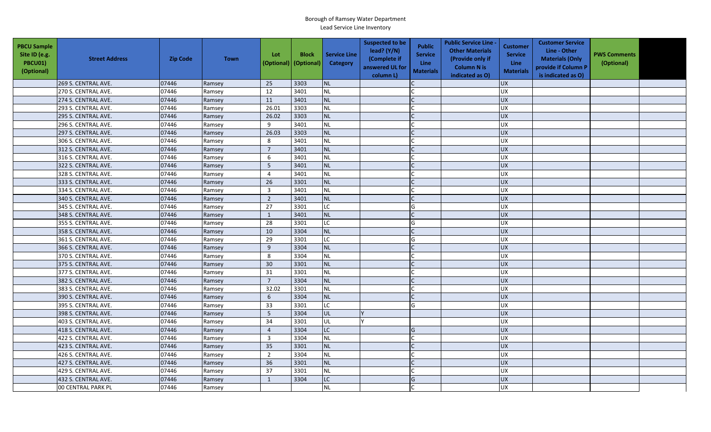| <b>PBCU Sample</b><br>Site ID (e.g.<br>PBCU01)<br>(Optional) | <b>Street Address</b> | <b>Zip Code</b> | <b>Town</b> | Lot<br>(Optional) (Optional) | <b>Block</b> | <b>Service Line</b><br><b>Category</b> | <b>Suspected to be</b><br>lead? $(Y/N)$<br>(Complete if<br>answered UL for<br>column L) | <b>Public</b><br><b>Service</b><br><b>Line</b><br><b>Materials</b> | <b>Public Service Line -</b><br><b>Other Materials</b><br>(Provide only if<br><b>Column N is</b><br>indicated as O) | <b>Customer</b><br><b>Service</b><br><b>Line</b><br><b>Materials</b> | <b>Customer Service</b><br>Line - Other<br><b>Materials (Only</b><br>provide if Column P<br>is indicated as O) | <b>PWS Comments</b><br>(Optional) |  |
|--------------------------------------------------------------|-----------------------|-----------------|-------------|------------------------------|--------------|----------------------------------------|-----------------------------------------------------------------------------------------|--------------------------------------------------------------------|---------------------------------------------------------------------------------------------------------------------|----------------------------------------------------------------------|----------------------------------------------------------------------------------------------------------------|-----------------------------------|--|
|                                                              | 269 S. CENTRAL AVE.   | 07446           | Ramsey      | 25                           | 3303         | <b>NL</b>                              |                                                                                         |                                                                    |                                                                                                                     | <b>UX</b>                                                            |                                                                                                                |                                   |  |
|                                                              | 270 S. CENTRAL AVE.   | 07446           | Ramsey      | 12                           | 3401         | <b>NL</b>                              |                                                                                         |                                                                    |                                                                                                                     | <b>UX</b>                                                            |                                                                                                                |                                   |  |
|                                                              | 274 S. CENTRAL AVE.   | 07446           | Ramsey      | 11                           | 3401         | <b>NL</b>                              |                                                                                         |                                                                    |                                                                                                                     | <b>UX</b>                                                            |                                                                                                                |                                   |  |
|                                                              | 293 S. CENTRAL AVE.   | 07446           | Ramsey      | 26.01                        | 3303         | <b>NL</b>                              |                                                                                         |                                                                    |                                                                                                                     | UX                                                                   |                                                                                                                |                                   |  |
|                                                              | 295 S. CENTRAL AVE.   | 07446           | Ramsey      | 26.02                        | 3303         | <b>NL</b>                              |                                                                                         |                                                                    |                                                                                                                     | <b>UX</b>                                                            |                                                                                                                |                                   |  |
|                                                              | 296 S. CENTRAL AVE.   | 07446           | Ramsey      | 9                            | 3401         | <b>NL</b>                              |                                                                                         |                                                                    |                                                                                                                     | <b>UX</b>                                                            |                                                                                                                |                                   |  |
|                                                              | 297 S. CENTRAL AVE.   | 07446           | Ramsey      | 26.03                        | 3303         | <b>NL</b>                              |                                                                                         | $\mathsf{C}$                                                       |                                                                                                                     | UX                                                                   |                                                                                                                |                                   |  |
|                                                              | 306 S. CENTRAL AVE.   | 07446           | Ramsey      | 8                            | 3401         | <b>NL</b>                              |                                                                                         |                                                                    |                                                                                                                     | <b>UX</b>                                                            |                                                                                                                |                                   |  |
|                                                              | 312 S. CENTRAL AVE.   | 07446           | Ramsey      | $\overline{7}$               | 3401         | <b>NL</b>                              |                                                                                         |                                                                    |                                                                                                                     | <b>UX</b>                                                            |                                                                                                                |                                   |  |
|                                                              | 316 S. CENTRAL AVE.   | 07446           | Ramsey      | 6                            | 3401         | NL                                     |                                                                                         |                                                                    |                                                                                                                     | UX                                                                   |                                                                                                                |                                   |  |
|                                                              | 322 S. CENTRAL AVE.   | 07446           | Ramsey      | 5                            | 3401         | <b>NL</b>                              |                                                                                         | C                                                                  |                                                                                                                     | <b>UX</b>                                                            |                                                                                                                |                                   |  |
|                                                              | 328 S. CENTRAL AVE.   | 07446           | Ramsey      | $\overline{4}$               | 3401         | <b>NL</b>                              |                                                                                         |                                                                    |                                                                                                                     | <b>UX</b>                                                            |                                                                                                                |                                   |  |
|                                                              | 333 S. CENTRAL AVE.   | 07446           | Ramsey      | 26                           | 3301         | <b>NL</b>                              |                                                                                         |                                                                    |                                                                                                                     | <b>UX</b>                                                            |                                                                                                                |                                   |  |
|                                                              | 334 S. CENTRAL AVE.   | 07446           | Ramsey      | $\overline{3}$               | 3401         | <b>NL</b>                              |                                                                                         |                                                                    |                                                                                                                     | <b>UX</b>                                                            |                                                                                                                |                                   |  |
|                                                              | 340 S. CENTRAL AVE.   | 07446           | Ramsey      | $\overline{2}$               | 3401         | <b>NL</b>                              |                                                                                         |                                                                    |                                                                                                                     | <b>UX</b>                                                            |                                                                                                                |                                   |  |
|                                                              | 345 S. CENTRAL AVE.   | 07446           | Ramsey      | 27                           | 3301         | LC.                                    |                                                                                         | G                                                                  |                                                                                                                     | UX                                                                   |                                                                                                                |                                   |  |
|                                                              | 348 S. CENTRAL AVE.   | 07446           | Ramsey      | $\mathbf{1}$                 | 3401         | <b>NL</b>                              |                                                                                         |                                                                    |                                                                                                                     | UX                                                                   |                                                                                                                |                                   |  |
|                                                              | 355 S. CENTRAL AVE.   | 07446           | Ramsey      | 28                           | 3301         | $\overline{C}$                         |                                                                                         | G                                                                  |                                                                                                                     | UX                                                                   |                                                                                                                |                                   |  |
|                                                              | 358 S. CENTRAL AVE.   | 07446           | Ramsey      | 10                           | 3304         | <b>NL</b>                              |                                                                                         |                                                                    |                                                                                                                     | <b>UX</b>                                                            |                                                                                                                |                                   |  |
|                                                              | 361 S. CENTRAL AVE.   | 07446           | Ramsey      | 29                           | 3301         | LC                                     |                                                                                         | G                                                                  |                                                                                                                     | <b>UX</b>                                                            |                                                                                                                |                                   |  |
|                                                              | 366 S. CENTRAL AVE.   | 07446           | Ramsey      | 9                            | 3304         | <b>NL</b>                              |                                                                                         |                                                                    |                                                                                                                     | <b>UX</b>                                                            |                                                                                                                |                                   |  |
|                                                              | 370 S. CENTRAL AVE.   | 07446           | Ramsey      | 8                            | 3304         | <b>NL</b>                              |                                                                                         |                                                                    |                                                                                                                     | <b>UX</b>                                                            |                                                                                                                |                                   |  |
|                                                              | 375 S. CENTRAL AVE.   | 07446           | Ramsey      | 30                           | 3301         | <b>NL</b>                              |                                                                                         |                                                                    |                                                                                                                     | UX                                                                   |                                                                                                                |                                   |  |
|                                                              | 377 S. CENTRAL AVE.   | 07446           | Ramsey      | 31                           | 3301         | <b>NL</b>                              |                                                                                         |                                                                    |                                                                                                                     | UX                                                                   |                                                                                                                |                                   |  |
|                                                              | 382 S. CENTRAL AVE.   | 07446           | Ramsey      | $\overline{7}$               | 3304         | <b>NL</b>                              |                                                                                         |                                                                    |                                                                                                                     | UX                                                                   |                                                                                                                |                                   |  |
|                                                              | 383 S. CENTRAL AVE.   | 07446           | Ramsey      | 32.02                        | 3301         | <b>NL</b>                              |                                                                                         |                                                                    |                                                                                                                     | <b>UX</b>                                                            |                                                                                                                |                                   |  |
|                                                              | 390 S. CENTRAL AVE.   | 07446           | Ramsey      | $6\,$                        | 3304         | <b>NL</b>                              |                                                                                         |                                                                    |                                                                                                                     | UX                                                                   |                                                                                                                |                                   |  |
|                                                              | 395 S. CENTRAL AVE.   | 07446           | Ramsey      | 33                           | 3301         | LC                                     |                                                                                         | G                                                                  |                                                                                                                     | <b>UX</b>                                                            |                                                                                                                |                                   |  |
|                                                              | 398 S. CENTRAL AVE.   | 07446           | Ramsey      | 5                            | 3304         | lul.                                   |                                                                                         |                                                                    |                                                                                                                     | UX                                                                   |                                                                                                                |                                   |  |
|                                                              | 403 S. CENTRAL AVE.   | 07446           | Ramsey      | 34                           | 3301         | UL                                     |                                                                                         |                                                                    |                                                                                                                     | UX                                                                   |                                                                                                                |                                   |  |
|                                                              | 418 S. CENTRAL AVE.   | 07446           | Ramsey      | $\overline{4}$               | 3304         | LC                                     |                                                                                         | G                                                                  |                                                                                                                     | <b>UX</b>                                                            |                                                                                                                |                                   |  |
|                                                              | 422 S. CENTRAL AVE.   | 07446           | Ramsey      | $\overline{3}$               | 3304         | <b>NL</b>                              |                                                                                         | $\mathsf{C}$                                                       |                                                                                                                     | UX                                                                   |                                                                                                                |                                   |  |
|                                                              | 423 S. CENTRAL AVE.   | 07446           | Ramsey      | 35                           | 3301         | <b>NL</b>                              |                                                                                         |                                                                    |                                                                                                                     | <b>UX</b>                                                            |                                                                                                                |                                   |  |
|                                                              | 426 S. CENTRAL AVE.   | 07446           | Ramsey      | $\overline{2}$               | 3304         | <b>NL</b>                              |                                                                                         |                                                                    |                                                                                                                     | <b>UX</b>                                                            |                                                                                                                |                                   |  |
|                                                              | 427 S. CENTRAL AVE.   | 07446           | Ramsey      | 36                           | 3301         | NL                                     |                                                                                         |                                                                    |                                                                                                                     | <b>UX</b>                                                            |                                                                                                                |                                   |  |
|                                                              | 429 S. CENTRAL AVE.   | 07446           | Ramsey      | 37                           | 3301         | <b>NL</b>                              |                                                                                         |                                                                    |                                                                                                                     | <b>UX</b>                                                            |                                                                                                                |                                   |  |
|                                                              | 432 S. CENTRAL AVE.   | 07446           | Ramsey      | $\mathbf{1}$                 | 3304         | <b>LC</b>                              |                                                                                         | G                                                                  |                                                                                                                     | UX                                                                   |                                                                                                                |                                   |  |
|                                                              | 00 CENTRAL PARK PL    | 07446           | Ramsey      |                              |              | <b>NL</b>                              |                                                                                         |                                                                    |                                                                                                                     | <b>UX</b>                                                            |                                                                                                                |                                   |  |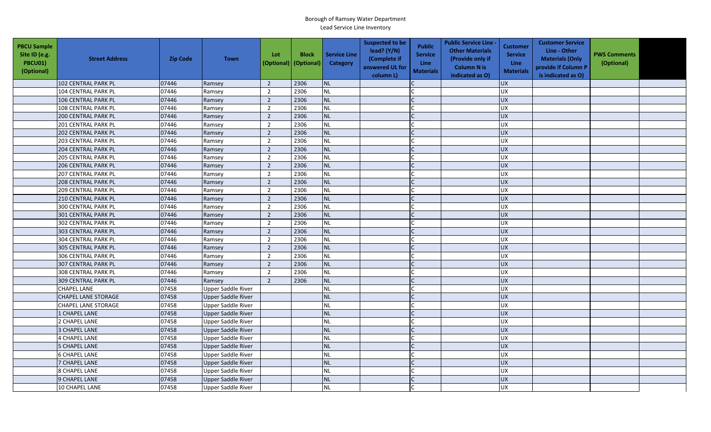| <b>PBCU Sample</b><br>Site ID (e.g.<br><b>PBCU01)</b><br>(Optional) | <b>Street Address</b>      | <b>Zip Code</b> | <b>Town</b>               | Lot<br>(Optional) | <b>Block</b><br>(Optional) | <b>Service Line</b><br><b>Category</b> | <b>Suspected to be</b><br>lead? $(Y/N)$<br>(Complete if<br>answered UL for<br>column L) | <b>Public</b><br><b>Service</b><br><b>Line</b><br><b>Materials</b> | <b>Public Service Line -</b><br><b>Other Materials</b><br>(Provide only if<br><b>Column N is</b><br>indicated as O) | <b>Customer</b><br><b>Service</b><br><b>Line</b><br><b>Materials</b> | <b>Customer Service</b><br>Line - Other<br><b>Materials (Only</b><br>provide if Column P<br>is indicated as O) | <b>PWS Comments</b><br>(Optional) |  |
|---------------------------------------------------------------------|----------------------------|-----------------|---------------------------|-------------------|----------------------------|----------------------------------------|-----------------------------------------------------------------------------------------|--------------------------------------------------------------------|---------------------------------------------------------------------------------------------------------------------|----------------------------------------------------------------------|----------------------------------------------------------------------------------------------------------------|-----------------------------------|--|
|                                                                     | 102 CENTRAL PARK PL        | 07446           | Ramsey                    | $\overline{2}$    | 2306                       | <b>NL</b>                              |                                                                                         |                                                                    |                                                                                                                     | <b>UX</b>                                                            |                                                                                                                |                                   |  |
|                                                                     | 104 CENTRAL PARK PL        | 07446           | Ramsey                    | $\overline{2}$    | 2306                       | <b>NL</b>                              |                                                                                         |                                                                    |                                                                                                                     | <b>UX</b>                                                            |                                                                                                                |                                   |  |
|                                                                     | 106 CENTRAL PARK PL        | 07446           | Ramsey                    | $\overline{2}$    | 2306                       | <b>NL</b>                              |                                                                                         |                                                                    |                                                                                                                     | <b>UX</b>                                                            |                                                                                                                |                                   |  |
|                                                                     | 108 CENTRAL PARK PL        | 07446           | Ramsey                    | $\overline{2}$    | 2306                       | <b>NL</b>                              |                                                                                         |                                                                    |                                                                                                                     | <b>UX</b>                                                            |                                                                                                                |                                   |  |
|                                                                     | 200 CENTRAL PARK PL        | 07446           | Ramsey                    | $\overline{2}$    | 2306                       | <b>NL</b>                              |                                                                                         |                                                                    |                                                                                                                     | <b>UX</b>                                                            |                                                                                                                |                                   |  |
|                                                                     | 201 CENTRAL PARK PL        | 07446           | Ramsey                    | $\overline{2}$    | 2306                       | <b>NL</b>                              |                                                                                         |                                                                    |                                                                                                                     | <b>UX</b>                                                            |                                                                                                                |                                   |  |
|                                                                     | <b>202 CENTRAL PARK PL</b> | 07446           | Ramsey                    | $\overline{2}$    | 2306                       | <b>NL</b>                              |                                                                                         |                                                                    |                                                                                                                     | <b>UX</b>                                                            |                                                                                                                |                                   |  |
|                                                                     | 203 CENTRAL PARK PL        | 07446           | Ramsey                    | $\overline{2}$    | 2306                       | <b>NL</b>                              |                                                                                         |                                                                    |                                                                                                                     | <b>UX</b>                                                            |                                                                                                                |                                   |  |
|                                                                     | <b>204 CENTRAL PARK PL</b> | 07446           | Ramsey                    | $\overline{2}$    | 2306                       | <b>NL</b>                              |                                                                                         | $\mathsf{C}$                                                       |                                                                                                                     | <b>UX</b>                                                            |                                                                                                                |                                   |  |
|                                                                     | 205 CENTRAL PARK PL        | 07446           | Ramsey                    | $\overline{2}$    | 2306                       | <b>NL</b>                              |                                                                                         | $\mathsf{C}$                                                       |                                                                                                                     | UX                                                                   |                                                                                                                |                                   |  |
|                                                                     | <b>206 CENTRAL PARK PL</b> | 07446           | Ramsey                    | $\overline{2}$    | 2306                       | <b>NL</b>                              |                                                                                         |                                                                    |                                                                                                                     | <b>UX</b>                                                            |                                                                                                                |                                   |  |
|                                                                     | <b>207 CENTRAL PARK PL</b> | 07446           | Ramsey                    | $\overline{2}$    | 2306                       | <b>NL</b>                              |                                                                                         |                                                                    |                                                                                                                     | <b>UX</b>                                                            |                                                                                                                |                                   |  |
|                                                                     | <b>208 CENTRAL PARK PL</b> | 07446           | Ramsey                    | $\overline{2}$    | 2306                       | <b>NL</b>                              |                                                                                         |                                                                    |                                                                                                                     | <b>UX</b>                                                            |                                                                                                                |                                   |  |
|                                                                     | 209 CENTRAL PARK PL        | 07446           | Ramsey                    | $\overline{2}$    | 2306                       | <b>NL</b>                              |                                                                                         |                                                                    |                                                                                                                     | <b>UX</b>                                                            |                                                                                                                |                                   |  |
|                                                                     | 210 CENTRAL PARK PL        | 07446           | Ramsey                    | $\overline{2}$    | 2306                       | <b>NL</b>                              |                                                                                         |                                                                    |                                                                                                                     | UX                                                                   |                                                                                                                |                                   |  |
|                                                                     | 300 CENTRAL PARK PL        | 07446           | Ramsey                    | $\overline{2}$    | 2306                       | <b>NL</b>                              |                                                                                         |                                                                    |                                                                                                                     | <b>UX</b>                                                            |                                                                                                                |                                   |  |
|                                                                     | 301 CENTRAL PARK PL        | 07446           | Ramsey                    | $\overline{2}$    | 2306                       | <b>NL</b>                              |                                                                                         |                                                                    |                                                                                                                     | <b>UX</b>                                                            |                                                                                                                |                                   |  |
|                                                                     | 302 CENTRAL PARK PL        | 07446           | Ramsey                    | 2                 | 2306                       | <b>NL</b>                              |                                                                                         |                                                                    |                                                                                                                     | <b>UX</b>                                                            |                                                                                                                |                                   |  |
|                                                                     | 303 CENTRAL PARK PL        | 07446           | Ramsey                    | $\overline{2}$    | 2306                       | <b>NL</b>                              |                                                                                         |                                                                    |                                                                                                                     | <b>UX</b>                                                            |                                                                                                                |                                   |  |
|                                                                     | 304 CENTRAL PARK PL        | 07446           | Ramsey                    | $\overline{2}$    | 2306                       | <b>NL</b>                              |                                                                                         |                                                                    |                                                                                                                     | <b>UX</b>                                                            |                                                                                                                |                                   |  |
|                                                                     | 305 CENTRAL PARK PL        | 07446           | Ramsey                    | $\overline{2}$    | 2306                       | <b>NL</b>                              |                                                                                         |                                                                    |                                                                                                                     | <b>UX</b>                                                            |                                                                                                                |                                   |  |
|                                                                     | <b>306 CENTRAL PARK PL</b> | 07446           | Ramsey                    | $\overline{2}$    | 2306                       | <b>NL</b>                              |                                                                                         |                                                                    |                                                                                                                     | <b>UX</b>                                                            |                                                                                                                |                                   |  |
|                                                                     | 307 CENTRAL PARK PL        | 07446           | Ramsey                    | $\overline{2}$    | 2306                       | <b>NL</b>                              |                                                                                         |                                                                    |                                                                                                                     | <b>UX</b>                                                            |                                                                                                                |                                   |  |
|                                                                     | 308 CENTRAL PARK PL        | 07446           | Ramsey                    | $\overline{2}$    | 2306                       | <b>NL</b>                              |                                                                                         |                                                                    |                                                                                                                     | <b>UX</b>                                                            |                                                                                                                |                                   |  |
|                                                                     | 309 CENTRAL PARK PL        | 07446           | Ramsey                    | $\overline{2}$    | 2306                       | <b>NL</b>                              |                                                                                         |                                                                    |                                                                                                                     | UX                                                                   |                                                                                                                |                                   |  |
|                                                                     | <b>CHAPEL LANE</b>         | 07458           | <b>Upper Saddle River</b> |                   |                            | <b>NL</b>                              |                                                                                         |                                                                    |                                                                                                                     | <b>UX</b>                                                            |                                                                                                                |                                   |  |
|                                                                     | <b>CHAPEL LANE STORAGE</b> | 07458           | <b>Upper Saddle River</b> |                   |                            | <b>NL</b>                              |                                                                                         |                                                                    |                                                                                                                     | <b>UX</b>                                                            |                                                                                                                |                                   |  |
|                                                                     | <b>CHAPEL LANE STORAGE</b> | 07458           | Upper Saddle River        |                   |                            | <b>NL</b>                              |                                                                                         |                                                                    |                                                                                                                     | <b>UX</b>                                                            |                                                                                                                |                                   |  |
|                                                                     | 1 CHAPEL LANE              | 07458           | Upper Saddle River        |                   |                            | <b>NL</b>                              |                                                                                         |                                                                    |                                                                                                                     | <b>UX</b>                                                            |                                                                                                                |                                   |  |
|                                                                     | 2 CHAPEL LANE              | 07458           | Upper Saddle River        |                   |                            | <b>NL</b>                              |                                                                                         |                                                                    |                                                                                                                     | <b>UX</b>                                                            |                                                                                                                |                                   |  |
|                                                                     | 3 CHAPEL LANE              | 07458           | <b>Upper Saddle River</b> |                   |                            | <b>NL</b>                              |                                                                                         |                                                                    |                                                                                                                     | <b>UX</b>                                                            |                                                                                                                |                                   |  |
|                                                                     | <b>4 CHAPEL LANE</b>       | 07458           | Upper Saddle River        |                   |                            | <b>NL</b>                              |                                                                                         | $\mathsf{C}$                                                       |                                                                                                                     | <b>UX</b>                                                            |                                                                                                                |                                   |  |
|                                                                     | <b>5 CHAPEL LANE</b>       | 07458           | <b>Upper Saddle River</b> |                   |                            | <b>NL</b>                              |                                                                                         |                                                                    |                                                                                                                     | <b>UX</b>                                                            |                                                                                                                |                                   |  |
|                                                                     | <b>6 CHAPEL LANE</b>       | 07458           | Upper Saddle River        |                   |                            | <b>NL</b>                              |                                                                                         |                                                                    |                                                                                                                     | <b>UX</b>                                                            |                                                                                                                |                                   |  |
|                                                                     | 7 CHAPEL LANE              | 07458           | <b>Upper Saddle River</b> |                   |                            | <b>NL</b>                              |                                                                                         |                                                                    |                                                                                                                     | <b>UX</b>                                                            |                                                                                                                |                                   |  |
|                                                                     | 8 CHAPEL LANE              | 07458           | <b>Upper Saddle River</b> |                   |                            | <b>NL</b>                              |                                                                                         |                                                                    |                                                                                                                     | <b>UX</b>                                                            |                                                                                                                |                                   |  |
|                                                                     | 9 CHAPEL LANE              | 07458           | <b>Upper Saddle River</b> |                   |                            | <b>NL</b>                              |                                                                                         |                                                                    |                                                                                                                     | <b>ND</b>                                                            |                                                                                                                |                                   |  |
|                                                                     | 10 CHAPEL LANE             | 07458           | <b>Upper Saddle River</b> |                   |                            | <b>NL</b>                              |                                                                                         |                                                                    |                                                                                                                     | <b>UX</b>                                                            |                                                                                                                |                                   |  |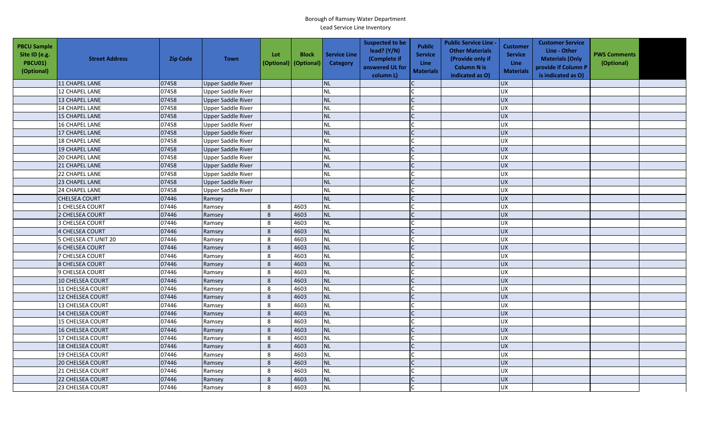| <b>PBCU Sample</b><br>Site ID (e.g.<br>PBCU01)<br>(Optional) | <b>Street Address</b>   | <b>Zip Code</b> | <b>Town</b>               | Lot<br>(Optional) (Optional) | <b>Block</b> | <b>Service Line</b><br><b>Category</b> | <b>Suspected to be</b><br>lead? $(Y/N)$<br>(Complete if<br>answered UL for<br>column L) | <b>Public</b><br><b>Service</b><br><b>Line</b><br><b>Materials</b> | <b>Public Service Line -</b><br><b>Other Materials</b><br>(Provide only if<br><b>Column N is</b><br>indicated as O) | <b>Customer</b><br><b>Service</b><br><b>Line</b><br><b>Materials</b> | <b>Customer Service</b><br>Line - Other<br><b>Materials (Only</b><br>provide if Column P<br>is indicated as O) | <b>PWS Comments</b><br>(Optional) |  |
|--------------------------------------------------------------|-------------------------|-----------------|---------------------------|------------------------------|--------------|----------------------------------------|-----------------------------------------------------------------------------------------|--------------------------------------------------------------------|---------------------------------------------------------------------------------------------------------------------|----------------------------------------------------------------------|----------------------------------------------------------------------------------------------------------------|-----------------------------------|--|
|                                                              | 11 CHAPEL LANE          | 07458           | <b>Upper Saddle River</b> |                              |              | <b>NL</b>                              |                                                                                         |                                                                    |                                                                                                                     | <b>UX</b>                                                            |                                                                                                                |                                   |  |
|                                                              | 12 CHAPEL LANE          | 07458           | <b>Upper Saddle River</b> |                              |              | <b>NL</b>                              |                                                                                         |                                                                    |                                                                                                                     | UX                                                                   |                                                                                                                |                                   |  |
|                                                              | <b>13 CHAPEL LANE</b>   | 07458           | Upper Saddle River        |                              |              | <b>NL</b>                              |                                                                                         |                                                                    |                                                                                                                     | <b>UX</b>                                                            |                                                                                                                |                                   |  |
|                                                              | 14 CHAPEL LANE          | 07458           | <b>Upper Saddle River</b> |                              |              | <b>NL</b>                              |                                                                                         |                                                                    |                                                                                                                     | UX                                                                   |                                                                                                                |                                   |  |
|                                                              | 15 CHAPEL LANE          | 07458           | <b>Upper Saddle River</b> |                              |              | <b>NL</b>                              |                                                                                         |                                                                    |                                                                                                                     | <b>UX</b>                                                            |                                                                                                                |                                   |  |
|                                                              | <b>16 CHAPEL LANE</b>   | 07458           | <b>Upper Saddle River</b> |                              |              | <b>NL</b>                              |                                                                                         |                                                                    |                                                                                                                     | <b>UX</b>                                                            |                                                                                                                |                                   |  |
|                                                              | 17 CHAPEL LANE          | 07458           | Upper Saddle River        |                              |              | <b>NL</b>                              |                                                                                         | $\mathsf{C}$                                                       |                                                                                                                     | UX                                                                   |                                                                                                                |                                   |  |
|                                                              | 18 CHAPEL LANE          | 07458           | Upper Saddle River        |                              |              | <b>NL</b>                              |                                                                                         |                                                                    |                                                                                                                     | <b>UX</b>                                                            |                                                                                                                |                                   |  |
|                                                              | 19 CHAPEL LANE          | 07458           | <b>Upper Saddle River</b> |                              |              | <b>NL</b>                              |                                                                                         |                                                                    |                                                                                                                     | <b>UX</b>                                                            |                                                                                                                |                                   |  |
|                                                              | <b>20 CHAPEL LANE</b>   | 07458           | Upper Saddle River        |                              |              | <b>NL</b>                              |                                                                                         |                                                                    |                                                                                                                     | UX                                                                   |                                                                                                                |                                   |  |
|                                                              | 21 CHAPEL LANE          | 07458           | <b>Upper Saddle River</b> |                              |              | <b>NL</b>                              |                                                                                         | $\mathsf{C}$                                                       |                                                                                                                     | <b>UX</b>                                                            |                                                                                                                |                                   |  |
|                                                              | 22 CHAPEL LANE          | 07458           | <b>Upper Saddle River</b> |                              |              | <b>NL</b>                              |                                                                                         |                                                                    |                                                                                                                     | <b>UX</b>                                                            |                                                                                                                |                                   |  |
|                                                              | 23 CHAPEL LANE          | 07458           | <b>Upper Saddle River</b> |                              |              | <b>NL</b>                              |                                                                                         |                                                                    |                                                                                                                     | UX                                                                   |                                                                                                                |                                   |  |
|                                                              | 24 CHAPEL LANE          | 07458           | <b>Upper Saddle River</b> |                              |              | <b>NL</b>                              |                                                                                         |                                                                    |                                                                                                                     | UX                                                                   |                                                                                                                |                                   |  |
|                                                              | CHELSEA COURT           | 07446           | Ramsey                    |                              |              | <b>NL</b>                              |                                                                                         |                                                                    |                                                                                                                     | UX                                                                   |                                                                                                                |                                   |  |
|                                                              | 1 CHELSEA COURT         | 07446           | Ramsey                    | 8                            | 4603         | <b>NL</b>                              |                                                                                         |                                                                    |                                                                                                                     | UX                                                                   |                                                                                                                |                                   |  |
|                                                              | 2 CHELSEA COURT         | 07446           | Ramsey                    | 8                            | 4603         | <b>NL</b>                              |                                                                                         |                                                                    |                                                                                                                     | UX                                                                   |                                                                                                                |                                   |  |
|                                                              | 3 CHELSEA COURT         | 07446           | Ramsey                    | 8                            | 4603         | <b>NL</b>                              |                                                                                         |                                                                    |                                                                                                                     | UX                                                                   |                                                                                                                |                                   |  |
|                                                              | <b>4 CHELSEA COURT</b>  | 07446           | Ramsey                    | 8                            | 4603         | <b>NL</b>                              |                                                                                         |                                                                    |                                                                                                                     | UX                                                                   |                                                                                                                |                                   |  |
|                                                              | 5 CHELSEA CT.UNIT 20    | 07446           | Ramsey                    | $\,8\,$                      | 4603         | <b>NL</b>                              |                                                                                         |                                                                    |                                                                                                                     | UX                                                                   |                                                                                                                |                                   |  |
|                                                              | <b>6 CHELSEA COURT</b>  | 07446           | Ramsey                    | 8                            | 4603         | <b>NL</b>                              |                                                                                         |                                                                    |                                                                                                                     | <b>UX</b>                                                            |                                                                                                                |                                   |  |
|                                                              | 7 CHELSEA COURT         | 07446           | Ramsey                    | $\,8\,$                      | 4603         | <b>NL</b>                              |                                                                                         |                                                                    |                                                                                                                     | UX                                                                   |                                                                                                                |                                   |  |
|                                                              | <b>8 CHELSEA COURT</b>  | 07446           | Ramsey                    | 8                            | 4603         | <b>NL</b>                              |                                                                                         |                                                                    |                                                                                                                     | UX                                                                   |                                                                                                                |                                   |  |
|                                                              | 9 CHELSEA COURT         | 07446           | Ramsey                    | 8                            | 4603         | <b>NL</b>                              |                                                                                         |                                                                    |                                                                                                                     | UX                                                                   |                                                                                                                |                                   |  |
|                                                              | 10 CHELSEA COURT        | 07446           | Ramsey                    | $\,8\,$                      | 4603         | <b>NL</b>                              |                                                                                         |                                                                    |                                                                                                                     | UX                                                                   |                                                                                                                |                                   |  |
|                                                              | 11 CHELSEA COURT        | 07446           | Ramsey                    | 8                            | 4603         | <b>NL</b>                              |                                                                                         |                                                                    |                                                                                                                     | <b>UX</b>                                                            |                                                                                                                |                                   |  |
|                                                              | 12 CHELSEA COURT        | 07446           | Ramsey                    | $\,8\,$                      | 4603         | <b>NL</b>                              |                                                                                         |                                                                    |                                                                                                                     | UX                                                                   |                                                                                                                |                                   |  |
|                                                              | 13 CHELSEA COURT        | 07446           | Ramsey                    | 8                            | 4603         | <b>NL</b>                              |                                                                                         |                                                                    |                                                                                                                     | UX                                                                   |                                                                                                                |                                   |  |
|                                                              | 14 CHELSEA COURT        | 07446           | Ramsey                    | 8                            | 4603         | <b>NL</b>                              |                                                                                         |                                                                    |                                                                                                                     | UX                                                                   |                                                                                                                |                                   |  |
|                                                              | <b>15 CHELSEA COURT</b> | 07446           | Ramsey                    | 8                            | 4603         | <b>NL</b>                              |                                                                                         |                                                                    |                                                                                                                     | UX                                                                   |                                                                                                                |                                   |  |
|                                                              | 16 CHELSEA COURT        | 07446           | Ramsey                    | 8                            | 4603         | <b>NL</b>                              |                                                                                         |                                                                    |                                                                                                                     | <b>UX</b>                                                            |                                                                                                                |                                   |  |
|                                                              | 17 CHELSEA COURT        | 07446           | Ramsey                    | 8                            | 4603         | <b>NL</b>                              |                                                                                         |                                                                    |                                                                                                                     | UX                                                                   |                                                                                                                |                                   |  |
|                                                              | <b>18 CHELSEA COURT</b> | 07446           | Ramsey                    | 8                            | 4603         | <b>NL</b>                              |                                                                                         |                                                                    |                                                                                                                     | <b>UX</b>                                                            |                                                                                                                |                                   |  |
|                                                              | 19 CHELSEA COURT        | 07446           | Ramsey                    | $\,8\,$                      | 4603         | <b>NL</b>                              |                                                                                         |                                                                    |                                                                                                                     | UX                                                                   |                                                                                                                |                                   |  |
|                                                              | <b>20 CHELSEA COURT</b> | 07446           | Ramsey                    | 8                            | 4603         | <b>NL</b>                              |                                                                                         |                                                                    |                                                                                                                     | <b>UX</b>                                                            |                                                                                                                |                                   |  |
|                                                              | 21 CHELSEA COURT        | 07446           | Ramsey                    | 8                            | 4603         | <b>NL</b>                              |                                                                                         |                                                                    |                                                                                                                     | UX                                                                   |                                                                                                                |                                   |  |
|                                                              | <b>22 CHELSEA COURT</b> | 07446           | Ramsey                    | $\,8\,$                      | 4603         | <b>NL</b>                              |                                                                                         |                                                                    |                                                                                                                     | UX                                                                   |                                                                                                                |                                   |  |
|                                                              | 23 CHELSEA COURT        | 07446           | Ramsey                    | 8                            | 4603         | NL                                     |                                                                                         |                                                                    |                                                                                                                     | <b>UX</b>                                                            |                                                                                                                |                                   |  |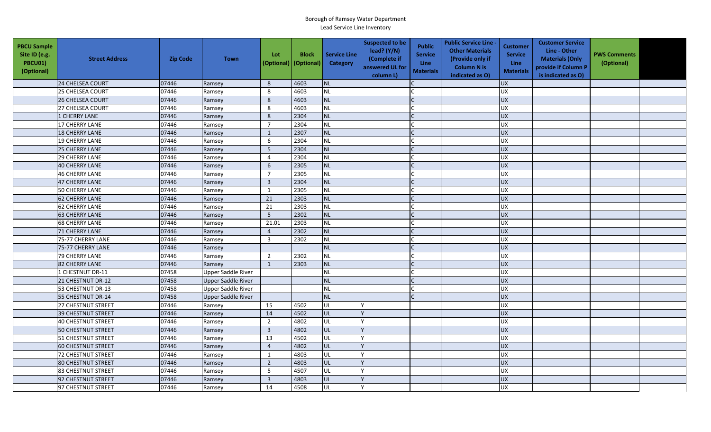| <b>PBCU Sample</b><br>Site ID (e.g.<br><b>PBCU01)</b><br>(Optional) | <b>Street Address</b>     | <b>Zip Code</b> | <b>Town</b>               | Lot            | <b>Block</b><br>(Optional)   (Optional) | <b>Service Line</b><br>Category | <b>Suspected to be</b><br>lead? (Y/N)<br>(Complete if<br>answered UL for<br>column L) | <b>Public</b><br><b>Service</b><br><b>Line</b><br><b>Materials</b> | <b>Public Service Line -</b><br><b>Other Materials</b><br>(Provide only if<br><b>Column N is</b><br>indicated as O) | Customer<br><b>Service</b><br>Line<br><b>Materials</b> | <b>Customer Service</b><br>Line - Other<br><b>Materials (Only</b><br>provide if Column P<br>is indicated as O) | <b>PWS Comments</b><br>(Optional) |  |
|---------------------------------------------------------------------|---------------------------|-----------------|---------------------------|----------------|-----------------------------------------|---------------------------------|---------------------------------------------------------------------------------------|--------------------------------------------------------------------|---------------------------------------------------------------------------------------------------------------------|--------------------------------------------------------|----------------------------------------------------------------------------------------------------------------|-----------------------------------|--|
|                                                                     | 24 CHELSEA COURT          | 07446           | Ramsey                    | 8              | 4603                                    | <b>NL</b>                       |                                                                                       |                                                                    |                                                                                                                     | UX                                                     |                                                                                                                |                                   |  |
|                                                                     | 25 CHELSEA COURT          | 07446           | Ramsey                    | 8              | 4603                                    | <b>NL</b>                       |                                                                                       |                                                                    |                                                                                                                     | <b>UX</b>                                              |                                                                                                                |                                   |  |
|                                                                     | 26 CHELSEA COURT          | 07446           | Ramsey                    | 8              | 4603                                    | NL                              |                                                                                       |                                                                    |                                                                                                                     | <b>UX</b>                                              |                                                                                                                |                                   |  |
|                                                                     | 27 CHELSEA COURT          | 07446           | Ramsey                    | 8              | 4603                                    | <b>NL</b>                       |                                                                                       |                                                                    |                                                                                                                     | UX                                                     |                                                                                                                |                                   |  |
|                                                                     | 1 CHERRY LANE             | 07446           | Ramsey                    | $\,$ 8 $\,$    | 2304                                    | <b>NL</b>                       |                                                                                       |                                                                    |                                                                                                                     | <b>UX</b>                                              |                                                                                                                |                                   |  |
|                                                                     | 17 CHERRY LANE            | 07446           | Ramsey                    | $\overline{7}$ | 2304                                    | NL                              |                                                                                       |                                                                    |                                                                                                                     | UX                                                     |                                                                                                                |                                   |  |
|                                                                     | <b>18 CHERRY LANE</b>     | 07446           | Ramsey                    | $\mathbf{1}$   | 2307                                    | <b>NL</b>                       |                                                                                       |                                                                    |                                                                                                                     | UX                                                     |                                                                                                                |                                   |  |
|                                                                     | <b>19 CHERRY LANE</b>     | 07446           | Ramsey                    | 6              | 2304                                    | <b>NL</b>                       |                                                                                       |                                                                    |                                                                                                                     | <b>UX</b>                                              |                                                                                                                |                                   |  |
|                                                                     | <b>25 CHERRY LANE</b>     | 07446           | Ramsey                    | 5              | 2304                                    | <b>NL</b>                       |                                                                                       |                                                                    |                                                                                                                     | <b>UX</b>                                              |                                                                                                                |                                   |  |
|                                                                     | <b>29 CHERRY LANE</b>     | 07446           | Ramsey                    | 4              | 2304                                    | NL                              |                                                                                       |                                                                    |                                                                                                                     | UX                                                     |                                                                                                                |                                   |  |
|                                                                     | <b>40 CHERRY LANE</b>     | 07446           | Ramsey                    | 6              | 2305                                    | <b>NL</b>                       |                                                                                       |                                                                    |                                                                                                                     | <b>UX</b>                                              |                                                                                                                |                                   |  |
|                                                                     | <b>46 CHERRY LANE</b>     | 07446           | Ramsey                    | $\overline{7}$ | 2305                                    | <b>NL</b>                       |                                                                                       |                                                                    |                                                                                                                     | UX                                                     |                                                                                                                |                                   |  |
|                                                                     | <b>47 CHERRY LANE</b>     | 07446           | Ramsey                    | $\mathbf{3}$   | 2304                                    | NL                              |                                                                                       |                                                                    |                                                                                                                     | UX                                                     |                                                                                                                |                                   |  |
|                                                                     | 50 CHERRY LANE            | 07446           | Ramsey                    | 1              | 2305                                    | <b>NL</b>                       |                                                                                       |                                                                    |                                                                                                                     | UX                                                     |                                                                                                                |                                   |  |
|                                                                     | <b>62 CHERRY LANE</b>     | 07446           | Ramsey                    | 21             | 2303                                    | NL                              |                                                                                       |                                                                    |                                                                                                                     | <b>UX</b>                                              |                                                                                                                |                                   |  |
|                                                                     | <b>62 CHERRY LANE</b>     | 07446           | Ramsey                    | 21             | 2303                                    | <b>NL</b>                       |                                                                                       |                                                                    |                                                                                                                     | UX                                                     |                                                                                                                |                                   |  |
|                                                                     | <b>63 CHERRY LANE</b>     | 07446           | Ramsey                    | 5              | 2302                                    | NL                              |                                                                                       |                                                                    |                                                                                                                     | <b>UX</b>                                              |                                                                                                                |                                   |  |
|                                                                     | <b>68 CHERRY LANE</b>     | 07446           | Ramsey                    | 21.01          | 2303                                    | NL                              |                                                                                       |                                                                    |                                                                                                                     | UX                                                     |                                                                                                                |                                   |  |
|                                                                     | 71 CHERRY LANE            | 07446           | Ramsey                    | $\overline{4}$ | 2302                                    | NL                              |                                                                                       |                                                                    |                                                                                                                     | UX                                                     |                                                                                                                |                                   |  |
|                                                                     | 75-77 CHERRY LANE         | 07446           | Ramsey                    | $\mathbf{3}$   | 2302                                    | <b>NL</b>                       |                                                                                       |                                                                    |                                                                                                                     | UX                                                     |                                                                                                                |                                   |  |
|                                                                     | 75-77 CHERRY LANE         | 07446           | Ramsey                    |                |                                         | <b>NL</b>                       |                                                                                       |                                                                    |                                                                                                                     | <b>UX</b>                                              |                                                                                                                |                                   |  |
|                                                                     | 79 CHERRY LANE            | 07446           | Ramsey                    | $\overline{2}$ | 2302                                    | NL                              |                                                                                       |                                                                    |                                                                                                                     | UX                                                     |                                                                                                                |                                   |  |
|                                                                     | 82 CHERRY LANE            | 07446           | Ramsey                    | $\mathbf{1}$   | 2303                                    | <b>NL</b>                       |                                                                                       |                                                                    |                                                                                                                     | UX                                                     |                                                                                                                |                                   |  |
|                                                                     | 1 CHESTNUT DR-11          | 07458           | <b>Upper Saddle River</b> |                |                                         | <b>NL</b>                       |                                                                                       |                                                                    |                                                                                                                     | <b>UX</b>                                              |                                                                                                                |                                   |  |
|                                                                     | 21 CHESTNUT DR-12         | 07458           | Upper Saddle River        |                |                                         | <b>NL</b>                       |                                                                                       | $\mathsf{C}$                                                       |                                                                                                                     | UX                                                     |                                                                                                                |                                   |  |
|                                                                     | 53 CHESTNUT DR-13         | 07458           | <b>Upper Saddle River</b> |                |                                         | <b>NL</b>                       |                                                                                       |                                                                    |                                                                                                                     | <b>UX</b>                                              |                                                                                                                |                                   |  |
|                                                                     | 55 CHESTNUT DR-14         | 07458           | <b>Upper Saddle River</b> |                |                                         | <b>NL</b>                       |                                                                                       |                                                                    |                                                                                                                     | <b>UX</b>                                              |                                                                                                                |                                   |  |
|                                                                     | 27 CHESTNUT STREET        | 07446           | Ramsey                    | 15             | 4502                                    | UL                              |                                                                                       |                                                                    |                                                                                                                     | <b>UX</b>                                              |                                                                                                                |                                   |  |
|                                                                     | <b>39 CHESTNUT STREET</b> | 07446           | Ramsey                    | 14             | 4502                                    | UL                              |                                                                                       |                                                                    |                                                                                                                     | <b>UX</b>                                              |                                                                                                                |                                   |  |
|                                                                     | <b>40 CHESTNUT STREET</b> | 07446           | Ramsey                    | $\overline{2}$ | 4802                                    | UL                              |                                                                                       |                                                                    |                                                                                                                     | <b>UX</b>                                              |                                                                                                                |                                   |  |
|                                                                     | <b>50 CHESTNUT STREET</b> | 07446           | Ramsey                    | $\overline{3}$ | 4802                                    | UL                              |                                                                                       |                                                                    |                                                                                                                     | <b>UX</b>                                              |                                                                                                                |                                   |  |
|                                                                     | 51 CHESTNUT STREET        | 07446           | Ramsey                    | 13             | 4502                                    | UL                              |                                                                                       |                                                                    |                                                                                                                     | UX                                                     |                                                                                                                |                                   |  |
|                                                                     | <b>60 CHESTNUT STREET</b> | 07446           | Ramsey                    | $\overline{4}$ | 4802                                    | UL                              |                                                                                       |                                                                    |                                                                                                                     | <b>UX</b>                                              |                                                                                                                |                                   |  |
|                                                                     | <b>72 CHESTNUT STREET</b> | 07446           | Ramsey                    | $\mathbf{1}$   | 4803                                    | UL                              |                                                                                       |                                                                    |                                                                                                                     | UX                                                     |                                                                                                                |                                   |  |
|                                                                     | <b>80 CHESTNUT STREET</b> | 07446           | Ramsey                    | $\overline{2}$ | 4803                                    | UL                              |                                                                                       |                                                                    |                                                                                                                     | <b>UX</b>                                              |                                                                                                                |                                   |  |
|                                                                     | 83 CHESTNUT STREET        | 07446           | Ramsey                    | 5              | 4507                                    | UL                              |                                                                                       |                                                                    |                                                                                                                     | UX                                                     |                                                                                                                |                                   |  |
|                                                                     | 92 CHESTNUT STREET        | 07446           | Ramsey                    | $\mathbf{3}$   | 4803                                    | UL                              |                                                                                       |                                                                    |                                                                                                                     | <b>UX</b>                                              |                                                                                                                |                                   |  |
|                                                                     | 97 CHESTNUT STREET        | 07446           | Ramsey                    | 14             | 4508                                    | UL                              |                                                                                       |                                                                    |                                                                                                                     | <b>UX</b>                                              |                                                                                                                |                                   |  |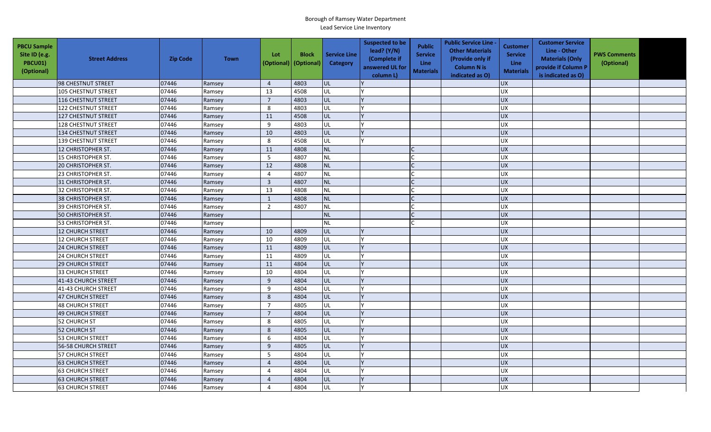| <b>PBCU Sample</b><br>Site ID (e.g.<br>PBCU01)<br>(Optional) | <b>Street Address</b>      | <b>Zip Code</b> | <b>Town</b> | Lot<br>(Optional) | <b>Block</b><br>(Optional) | <b>Service Line</b><br>Category | <b>Suspected to be</b><br>lead? (Y/N)<br>(Complete if<br>answered UL for<br>column L) | <b>Public</b><br><b>Service</b><br><b>Line</b><br><b>Materials</b> | <b>Public Service Line -</b><br><b>Other Materials</b><br>(Provide only if<br><b>Column N is</b><br>indicated as O) | Customer<br><b>Service</b><br>Line<br><b>Materials</b> | <b>Customer Service</b><br>Line - Other<br><b>Materials (Only</b><br>provide if Column P<br>is indicated as O) | <b>PWS Comments</b><br>(Optional) |  |
|--------------------------------------------------------------|----------------------------|-----------------|-------------|-------------------|----------------------------|---------------------------------|---------------------------------------------------------------------------------------|--------------------------------------------------------------------|---------------------------------------------------------------------------------------------------------------------|--------------------------------------------------------|----------------------------------------------------------------------------------------------------------------|-----------------------------------|--|
|                                                              | 98 CHESTNUT STREET         | 07446           | Ramsey      | $\overline{4}$    | 4803                       | UL                              |                                                                                       |                                                                    |                                                                                                                     | <b>UX</b>                                              |                                                                                                                |                                   |  |
|                                                              | <b>105 CHESTNUT STREET</b> | 07446           | Ramsey      | 13                | 4508                       | UL                              |                                                                                       |                                                                    |                                                                                                                     | <b>UX</b>                                              |                                                                                                                |                                   |  |
|                                                              | <b>116 CHESTNUT STREET</b> | 07446           | Ramsey      | $\overline{7}$    | 4803                       | lul.                            |                                                                                       |                                                                    |                                                                                                                     | <b>UX</b>                                              |                                                                                                                |                                   |  |
|                                                              | <b>122 CHESTNUT STREET</b> | 07446           | Ramsey      | 8                 | 4803                       | UL                              |                                                                                       |                                                                    |                                                                                                                     | <b>UX</b>                                              |                                                                                                                |                                   |  |
|                                                              | 127 CHESTNUT STREET        | 07446           | Ramsey      | 11                | 4508                       | <b>UL</b>                       |                                                                                       |                                                                    |                                                                                                                     | <b>UX</b>                                              |                                                                                                                |                                   |  |
|                                                              | 128 CHESTNUT STREET        | 07446           | Ramsey      | 9                 | 4803                       | UL                              |                                                                                       |                                                                    |                                                                                                                     | UX                                                     |                                                                                                                |                                   |  |
|                                                              | <b>134 CHESTNUT STREET</b> | 07446           | Ramsey      | 10                | 4803                       | UL                              |                                                                                       |                                                                    |                                                                                                                     | <b>UX</b>                                              |                                                                                                                |                                   |  |
|                                                              | <b>139 CHESTNUT STREET</b> | 07446           | Ramsey      | 8                 | 4508                       | UL                              |                                                                                       |                                                                    |                                                                                                                     | <b>UX</b>                                              |                                                                                                                |                                   |  |
|                                                              | 12 CHRISTOPHER ST.         | 07446           | Ramsey      | 11                | 4808                       | <b>NL</b>                       |                                                                                       |                                                                    |                                                                                                                     | <b>UX</b>                                              |                                                                                                                |                                   |  |
|                                                              | 15 CHRISTOPHER ST.         | 07446           | Ramsey      | 5                 | 4807                       | <b>NL</b>                       |                                                                                       |                                                                    |                                                                                                                     | UX                                                     |                                                                                                                |                                   |  |
|                                                              | 20 CHRISTOPHER ST.         | 07446           | Ramsey      | 12                | 4808                       | NL                              |                                                                                       |                                                                    |                                                                                                                     | <b>UX</b>                                              |                                                                                                                |                                   |  |
|                                                              | 23 CHRISTOPHER ST.         | 07446           | Ramsey      | $\overline{4}$    | 4807                       | <b>NL</b>                       |                                                                                       |                                                                    |                                                                                                                     | UX                                                     |                                                                                                                |                                   |  |
|                                                              | 31 CHRISTOPHER ST.         | 07446           | Ramsey      | $\mathbf{3}$      | 4807                       | NL                              |                                                                                       |                                                                    |                                                                                                                     | UX                                                     |                                                                                                                |                                   |  |
|                                                              | 32 CHRISTOPHER ST.         | 07446           | Ramsey      | 13                | 4808                       | NL                              |                                                                                       |                                                                    |                                                                                                                     | UX                                                     |                                                                                                                |                                   |  |
|                                                              | 38 CHRISTOPHER ST.         | 07446           | Ramsey      | $\mathbf{1}$      | 4808                       | NL                              |                                                                                       |                                                                    |                                                                                                                     | <b>UX</b>                                              |                                                                                                                |                                   |  |
|                                                              | 39 CHRISTOPHER ST.         | 07446           | Ramsey      | $\overline{2}$    | 4807                       | NL                              |                                                                                       |                                                                    |                                                                                                                     | <b>UX</b>                                              |                                                                                                                |                                   |  |
|                                                              | 50 CHRISTOPHER ST.         | 07446           | Ramsey      |                   |                            | <b>NL</b>                       |                                                                                       |                                                                    |                                                                                                                     | <b>UX</b>                                              |                                                                                                                |                                   |  |
|                                                              | 53 CHRISTOPHER ST.         | 07446           | Ramsey      |                   |                            | <b>NL</b>                       |                                                                                       |                                                                    |                                                                                                                     | UX                                                     |                                                                                                                |                                   |  |
|                                                              | 12 CHURCH STREET           | 07446           | Ramsey      | 10                | 4809                       | UL                              |                                                                                       |                                                                    |                                                                                                                     | <b>UX</b>                                              |                                                                                                                |                                   |  |
|                                                              | 12 CHURCH STREET           | 07446           | Ramsey      | 10                | 4809                       | UL                              |                                                                                       |                                                                    |                                                                                                                     | UX                                                     |                                                                                                                |                                   |  |
|                                                              | <b>24 CHURCH STREET</b>    | 07446           | Ramsey      | 11                | 4809                       | UL                              |                                                                                       |                                                                    |                                                                                                                     | <b>UX</b>                                              |                                                                                                                |                                   |  |
|                                                              | 24 CHURCH STREET           | 07446           | Ramsey      | 11                | 4809                       | UL                              |                                                                                       |                                                                    |                                                                                                                     | UX                                                     |                                                                                                                |                                   |  |
|                                                              | <b>29 CHURCH STREET</b>    | 07446           | Ramsey      | 11                | 4804                       | UL                              |                                                                                       |                                                                    |                                                                                                                     | <b>UX</b>                                              |                                                                                                                |                                   |  |
|                                                              | <b>33 CHURCH STREET</b>    | 07446           | Ramsey      | 10                | 4804                       | UL                              |                                                                                       |                                                                    |                                                                                                                     | <b>UX</b>                                              |                                                                                                                |                                   |  |
|                                                              | 41-43 CHURCH STREET        | 07446           | Ramsey      | 9                 | 4804                       | <b>UL</b>                       |                                                                                       |                                                                    |                                                                                                                     | UX                                                     |                                                                                                                |                                   |  |
|                                                              | 41-43 CHURCH STREET        | 07446           | Ramsey      | 9                 | 4804                       | UL                              |                                                                                       |                                                                    |                                                                                                                     | <b>UX</b>                                              |                                                                                                                |                                   |  |
|                                                              | 47 CHURCH STREET           | 07446           | Ramsey      | $8\phantom{1}$    | 4804                       | <b>UL</b>                       |                                                                                       |                                                                    |                                                                                                                     | <b>UX</b>                                              |                                                                                                                |                                   |  |
|                                                              | <b>48 CHURCH STREET</b>    | 07446           | Ramsey      | $\overline{7}$    | 4805                       | UL                              |                                                                                       |                                                                    |                                                                                                                     | <b>UX</b>                                              |                                                                                                                |                                   |  |
|                                                              | <b>49 CHURCH STREET</b>    | 07446           | Ramsey      | $\overline{7}$    | 4804                       | <b>UL</b>                       |                                                                                       |                                                                    |                                                                                                                     | <b>UX</b>                                              |                                                                                                                |                                   |  |
|                                                              | 52 CHURCH ST               | 07446           | Ramsey      | 8                 | 4805                       | UL                              |                                                                                       |                                                                    |                                                                                                                     | UX                                                     |                                                                                                                |                                   |  |
|                                                              | 52 CHURCH ST               | 07446           | Ramsey      | 8                 | 4805                       | UL                              |                                                                                       |                                                                    |                                                                                                                     | <b>UX</b>                                              |                                                                                                                |                                   |  |
|                                                              | <b>53 CHURCH STREET</b>    | 07446           | Ramsey      | 6                 | 4804                       | UL                              |                                                                                       |                                                                    |                                                                                                                     | UX                                                     |                                                                                                                |                                   |  |
|                                                              | 56-58 CHURCH STREET        | 07446           | Ramsey      | 9                 | 4805                       | UL                              |                                                                                       |                                                                    |                                                                                                                     | UX                                                     |                                                                                                                |                                   |  |
|                                                              | 57 CHURCH STREET           | 07446           | Ramsey      | 5                 | 4804                       | UL                              |                                                                                       |                                                                    |                                                                                                                     | <b>UX</b>                                              |                                                                                                                |                                   |  |
|                                                              | <b>63 CHURCH STREET</b>    | 07446           | Ramsey      | $\overline{4}$    | 4804                       | UL                              |                                                                                       |                                                                    |                                                                                                                     | UX                                                     |                                                                                                                |                                   |  |
|                                                              | <b>63 CHURCH STREET</b>    | 07446           | Ramsey      | $\overline{4}$    | 4804                       | UL                              |                                                                                       |                                                                    |                                                                                                                     | <b>UX</b>                                              |                                                                                                                |                                   |  |
|                                                              | <b>63 CHURCH STREET</b>    | 07446           | Ramsey      | $\overline{4}$    | 4804                       | UL                              |                                                                                       |                                                                    |                                                                                                                     | <b>UX</b>                                              |                                                                                                                |                                   |  |
|                                                              | <b>63 CHURCH STREET</b>    | 07446           | Ramsey      | $\overline{4}$    | 4804                       | UL                              |                                                                                       |                                                                    |                                                                                                                     | <b>UX</b>                                              |                                                                                                                |                                   |  |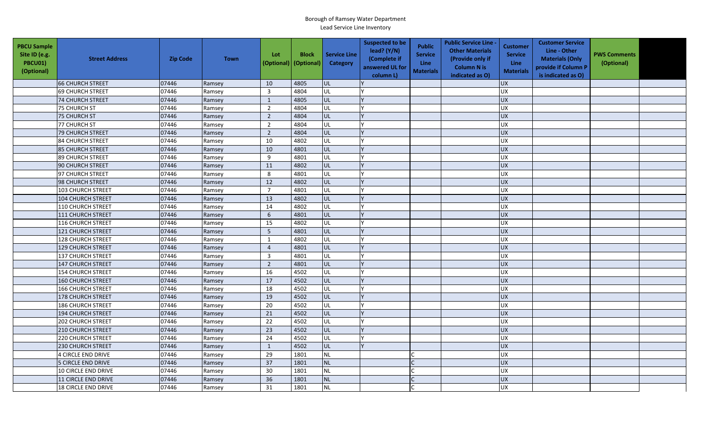| <b>PBCU Sample</b><br>Site ID (e.g.<br>PBCU01)<br>(Optional) | <b>Street Address</b>      | <b>Zip Code</b> | <b>Town</b> | Lot<br>(Optional) | <b>Block</b><br>(Optional) | <b>Service Line</b><br><b>Category</b> | <b>Suspected to be</b><br>lead? (Y/N)<br>(Complete if<br>answered UL for<br>column L) | <b>Public</b><br><b>Service</b><br><b>Line</b><br><b>Materials</b> | <b>Public Service Line -</b><br><b>Other Materials</b><br>(Provide only if<br><b>Column N is</b><br>indicated as O) | <b>Customer</b><br><b>Service</b><br>Line<br><b>Materials</b> | <b>Customer Service</b><br>Line - Other<br><b>Materials (Only</b><br>provide if Column P<br>is indicated as O) | <b>PWS Comments</b><br>(Optional) |  |
|--------------------------------------------------------------|----------------------------|-----------------|-------------|-------------------|----------------------------|----------------------------------------|---------------------------------------------------------------------------------------|--------------------------------------------------------------------|---------------------------------------------------------------------------------------------------------------------|---------------------------------------------------------------|----------------------------------------------------------------------------------------------------------------|-----------------------------------|--|
|                                                              | <b>66 CHURCH STREET</b>    | 07446           | Ramsey      | 10                | 4805                       | UL                                     |                                                                                       |                                                                    |                                                                                                                     | <b>UX</b>                                                     |                                                                                                                |                                   |  |
|                                                              | <b>69 CHURCH STREET</b>    | 07446           | Ramsey      | $\overline{3}$    | 4804                       | UL                                     |                                                                                       |                                                                    |                                                                                                                     | <b>UX</b>                                                     |                                                                                                                |                                   |  |
|                                                              | <b>74 CHURCH STREET</b>    | 07446           | Ramsey      | $\mathbf{1}$      | 4805                       | UL                                     |                                                                                       |                                                                    |                                                                                                                     | <b>UX</b>                                                     |                                                                                                                |                                   |  |
|                                                              | 75 CHURCH ST               | 07446           | Ramsey      | $\overline{2}$    | 4804                       | UL                                     |                                                                                       |                                                                    |                                                                                                                     | <b>UX</b>                                                     |                                                                                                                |                                   |  |
|                                                              | <b>75 CHURCH ST</b>        | 07446           | Ramsey      | $\overline{2}$    | 4804                       | UL                                     |                                                                                       |                                                                    |                                                                                                                     | <b>UX</b>                                                     |                                                                                                                |                                   |  |
|                                                              | 77 CHURCH ST               | 07446           | Ramsey      | $\overline{2}$    | 4804                       | UL                                     |                                                                                       |                                                                    |                                                                                                                     | <b>UX</b>                                                     |                                                                                                                |                                   |  |
|                                                              | 79 CHURCH STREET           | 07446           | Ramsey      | $\overline{2}$    | 4804                       | <b>UL</b>                              |                                                                                       |                                                                    |                                                                                                                     | <b>UX</b>                                                     |                                                                                                                |                                   |  |
|                                                              | 84 CHURCH STREET           | 07446           | Ramsey      | 10                | 4802                       | UL                                     |                                                                                       |                                                                    |                                                                                                                     | <b>UX</b>                                                     |                                                                                                                |                                   |  |
|                                                              | 85 CHURCH STREET           | 07446           | Ramsey      | 10                | 4801                       | UL                                     |                                                                                       |                                                                    |                                                                                                                     | <b>UX</b>                                                     |                                                                                                                |                                   |  |
|                                                              | 89 CHURCH STREET           | 07446           | Ramsey      | 9                 | 4801                       | UL                                     |                                                                                       |                                                                    |                                                                                                                     | UX                                                            |                                                                                                                |                                   |  |
|                                                              | 90 CHURCH STREET           | 07446           | Ramsey      | 11                | 4802                       | UL                                     |                                                                                       |                                                                    |                                                                                                                     | <b>UX</b>                                                     |                                                                                                                |                                   |  |
|                                                              | 97 CHURCH STREET           | 07446           | Ramsey      | 8                 | 4801                       | UL                                     |                                                                                       |                                                                    |                                                                                                                     | <b>UX</b>                                                     |                                                                                                                |                                   |  |
|                                                              | 98 CHURCH STREET           | 07446           | Ramsey      | 12                | 4802                       | UL                                     |                                                                                       |                                                                    |                                                                                                                     | <b>UX</b>                                                     |                                                                                                                |                                   |  |
|                                                              | <b>103 CHURCH STREET</b>   | 07446           | Ramsey      | $\overline{7}$    | 4801                       | UL                                     |                                                                                       |                                                                    |                                                                                                                     | <b>UX</b>                                                     |                                                                                                                |                                   |  |
|                                                              | 104 CHURCH STREET          | 07446           | Ramsey      | 13                | 4802                       | UL                                     |                                                                                       |                                                                    |                                                                                                                     | <b>UX</b>                                                     |                                                                                                                |                                   |  |
|                                                              | 110 CHURCH STREET          | 07446           | Ramsey      | 14                | 4802                       | UL                                     |                                                                                       |                                                                    |                                                                                                                     | <b>UX</b>                                                     |                                                                                                                |                                   |  |
|                                                              | 111 CHURCH STREET          | 07446           | Ramsey      | 6                 | 4801                       | UL                                     |                                                                                       |                                                                    |                                                                                                                     | UX                                                            |                                                                                                                |                                   |  |
|                                                              | 116 CHURCH STREET          | 07446           | Ramsey      | 15                | 4802                       | UL                                     |                                                                                       |                                                                    |                                                                                                                     | UX                                                            |                                                                                                                |                                   |  |
|                                                              | 121 CHURCH STREET          | 07446           | Ramsey      | 5                 | 4801                       | UL                                     |                                                                                       |                                                                    |                                                                                                                     | <b>UX</b>                                                     |                                                                                                                |                                   |  |
|                                                              | <b>128 CHURCH STREET</b>   | 07446           | Ramsey      | $\mathbf{1}$      | 4802                       | UL                                     |                                                                                       |                                                                    |                                                                                                                     | <b>UX</b>                                                     |                                                                                                                |                                   |  |
|                                                              | 129 CHURCH STREET          | 07446           | Ramsey      | $\overline{4}$    | 4801                       | UL                                     |                                                                                       |                                                                    |                                                                                                                     | <b>UX</b>                                                     |                                                                                                                |                                   |  |
|                                                              | 137 CHURCH STREET          | 07446           | Ramsey      | $\mathbf{3}$      | 4801                       | UL                                     |                                                                                       |                                                                    |                                                                                                                     | <b>UX</b>                                                     |                                                                                                                |                                   |  |
|                                                              | 147 CHURCH STREET          | 07446           | Ramsey      | $\overline{2}$    | 4801                       | UL                                     |                                                                                       |                                                                    |                                                                                                                     | UX                                                            |                                                                                                                |                                   |  |
|                                                              | <b>154 CHURCH STREET</b>   | 07446           | Ramsey      | 16                | 4502                       | UL                                     |                                                                                       |                                                                    |                                                                                                                     | <b>UX</b>                                                     |                                                                                                                |                                   |  |
|                                                              | 160 CHURCH STREET          | 07446           | Ramsey      | 17                | 4502                       | UL                                     |                                                                                       |                                                                    |                                                                                                                     | <b>UX</b>                                                     |                                                                                                                |                                   |  |
|                                                              | 166 CHURCH STREET          | 07446           | Ramsey      | 18                | 4502                       | UL                                     |                                                                                       |                                                                    |                                                                                                                     | <b>UX</b>                                                     |                                                                                                                |                                   |  |
|                                                              | <b>178 CHURCH STREET</b>   | 07446           | Ramsey      | 19                | 4502                       | UL                                     |                                                                                       |                                                                    |                                                                                                                     | UX                                                            |                                                                                                                |                                   |  |
|                                                              | <b>186 CHURCH STREET</b>   | 07446           | Ramsey      | 20                | 4502                       | UL                                     |                                                                                       |                                                                    |                                                                                                                     | <b>UX</b>                                                     |                                                                                                                |                                   |  |
|                                                              | 194 CHURCH STREET          | 07446           | Ramsey      | 21                | 4502                       | UL                                     |                                                                                       |                                                                    |                                                                                                                     | <b>UX</b>                                                     |                                                                                                                |                                   |  |
|                                                              | <b>202 CHURCH STREET</b>   | 07446           | Ramsey      | 22                | 4502                       | UL                                     |                                                                                       |                                                                    |                                                                                                                     | UX                                                            |                                                                                                                |                                   |  |
|                                                              | <b>210 CHURCH STREET</b>   | 07446           | Ramsey      | 23                | 4502                       | UL                                     |                                                                                       |                                                                    |                                                                                                                     | <b>UX</b>                                                     |                                                                                                                |                                   |  |
|                                                              | <b>220 CHURCH STREET</b>   | 07446           | Ramsey      | 24                | 4502                       | UL                                     |                                                                                       |                                                                    |                                                                                                                     | UX                                                            |                                                                                                                |                                   |  |
|                                                              | <b>230 CHURCH STREET</b>   | 07446           | Ramsey      | $\mathbf{1}$      | 4502                       | UL                                     |                                                                                       |                                                                    |                                                                                                                     | <b>UX</b>                                                     |                                                                                                                |                                   |  |
|                                                              | <b>4 CIRCLE END DRIVE</b>  | 07446           | Ramsey      | 29                | 1801                       | <b>NL</b>                              |                                                                                       |                                                                    |                                                                                                                     | <b>UX</b>                                                     |                                                                                                                |                                   |  |
|                                                              | <b>5 CIRCLE END DRIVE</b>  | 07446           | Ramsey      | 37                | 1801                       | NL                                     |                                                                                       |                                                                    |                                                                                                                     | <b>UX</b>                                                     |                                                                                                                |                                   |  |
|                                                              | <b>10 CIRCLE END DRIVE</b> | 07446           | Ramsey      | 30                | 1801                       | <b>NL</b>                              |                                                                                       |                                                                    |                                                                                                                     | <b>UX</b>                                                     |                                                                                                                |                                   |  |
|                                                              | <b>11 CIRCLE END DRIVE</b> | 07446           | Ramsey      | 36                | 1801                       | <b>NL</b>                              |                                                                                       |                                                                    |                                                                                                                     | <b>UX</b>                                                     |                                                                                                                |                                   |  |
|                                                              | <b>18 CIRCLE END DRIVE</b> | 07446           | Ramsey      | 31                | 1801                       | NL                                     |                                                                                       |                                                                    |                                                                                                                     | <b>UX</b>                                                     |                                                                                                                |                                   |  |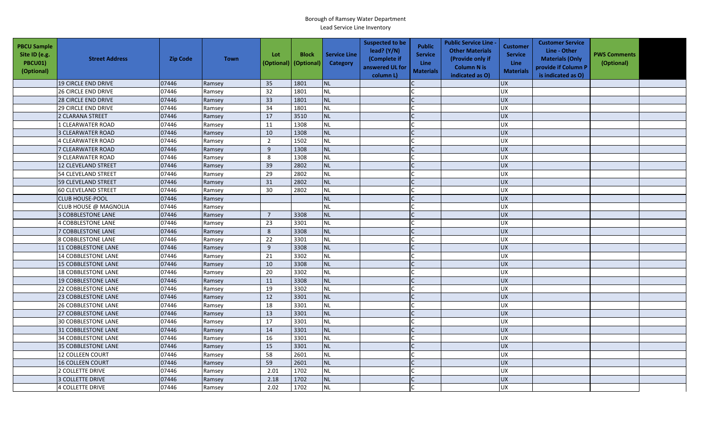| <b>PBCU Sample</b><br>Site ID (e.g.<br>PBCU01)<br>(Optional) | <b>Street Address</b>      | <b>Zip Code</b> | <b>Town</b> | Lot<br>(Optional) | <b>Block</b><br>(Optional) | <b>Service Line</b><br>Category | <b>Suspected to be</b><br>lead? (Y/N)<br>(Complete if<br>answered UL for<br>column L) | <b>Public</b><br><b>Service</b><br>Line<br><b>Materials</b> | <b>Public Service Line -</b><br><b>Other Materials</b><br>(Provide only if<br><b>Column N is</b><br>indicated as O) | <b>Customer</b><br><b>Service</b><br><b>Line</b><br><b>Materials</b> | <b>Customer Service</b><br>Line - Other<br><b>Materials (Only</b><br>provide if Column P<br>is indicated as O) | <b>PWS Comments</b><br>(Optional) |  |
|--------------------------------------------------------------|----------------------------|-----------------|-------------|-------------------|----------------------------|---------------------------------|---------------------------------------------------------------------------------------|-------------------------------------------------------------|---------------------------------------------------------------------------------------------------------------------|----------------------------------------------------------------------|----------------------------------------------------------------------------------------------------------------|-----------------------------------|--|
|                                                              | <b>19 CIRCLE END DRIVE</b> | 07446           | Ramsey      | 35                | 1801                       | <b>NL</b>                       |                                                                                       |                                                             |                                                                                                                     | <b>UX</b>                                                            |                                                                                                                |                                   |  |
|                                                              | <b>26 CIRCLE END DRIVE</b> | 07446           | Ramsey      | 32                | 1801                       | <b>NL</b>                       |                                                                                       |                                                             |                                                                                                                     | <b>UX</b>                                                            |                                                                                                                |                                   |  |
|                                                              | <b>28 CIRCLE END DRIVE</b> | 07446           | Ramsey      | 33                | 1801                       | <b>NL</b>                       |                                                                                       |                                                             |                                                                                                                     | <b>UX</b>                                                            |                                                                                                                |                                   |  |
|                                                              | <b>29 CIRCLE END DRIVE</b> | 07446           | Ramsey      | 34                | 1801                       | <b>NL</b>                       |                                                                                       |                                                             |                                                                                                                     | <b>UX</b>                                                            |                                                                                                                |                                   |  |
|                                                              | 2 CLARANA STREET           | 07446           | Ramsey      | 17                | 3510                       | <b>NL</b>                       |                                                                                       |                                                             |                                                                                                                     | <b>UX</b>                                                            |                                                                                                                |                                   |  |
|                                                              | 1 CLEARWATER ROAD          | 07446           | Ramsey      | 11                | 1308                       | <b>NL</b>                       |                                                                                       |                                                             |                                                                                                                     | <b>UX</b>                                                            |                                                                                                                |                                   |  |
|                                                              | 3 CLEARWATER ROAD          | 07446           | Ramsey      | 10                | 1308                       | <b>NL</b>                       |                                                                                       |                                                             |                                                                                                                     | <b>UX</b>                                                            |                                                                                                                |                                   |  |
|                                                              | <b>4 CLEARWATER ROAD</b>   | 07446           | Ramsey      | $\overline{2}$    | 1502                       | <b>NL</b>                       |                                                                                       |                                                             |                                                                                                                     | UX                                                                   |                                                                                                                |                                   |  |
|                                                              | <b>7 CLEARWATER ROAD</b>   | 07446           | Ramsey      | 9                 | 1308                       | <b>NL</b>                       |                                                                                       | $\mathcal{C}$                                               |                                                                                                                     | <b>UX</b>                                                            |                                                                                                                |                                   |  |
|                                                              | 9 CLEARWATER ROAD          | 07446           | Ramsey      | 8                 | 1308                       | <b>NL</b>                       |                                                                                       |                                                             |                                                                                                                     | UX                                                                   |                                                                                                                |                                   |  |
|                                                              | 12 CLEVELAND STREET        | 07446           | Ramsey      | 39                | 2802                       | <b>NL</b>                       |                                                                                       |                                                             |                                                                                                                     | <b>UX</b>                                                            |                                                                                                                |                                   |  |
|                                                              | 54 CLEVELAND STREET        | 07446           | Ramsey      | 29                | 2802                       | <b>NL</b>                       |                                                                                       |                                                             |                                                                                                                     | <b>UX</b>                                                            |                                                                                                                |                                   |  |
|                                                              | 59 CLEVELAND STREET        | 07446           | Ramsey      | 31                | 2802                       | <b>NL</b>                       |                                                                                       |                                                             |                                                                                                                     | <b>UX</b>                                                            |                                                                                                                |                                   |  |
|                                                              | <b>60 CLEVELAND STREET</b> | 07446           | Ramsey      | 30                | 2802                       | <b>NL</b>                       |                                                                                       |                                                             |                                                                                                                     | UX                                                                   |                                                                                                                |                                   |  |
|                                                              | <b>CLUB HOUSE-POOL</b>     | 07446           | Ramsey      |                   |                            | <b>NL</b>                       |                                                                                       |                                                             |                                                                                                                     | <b>UX</b>                                                            |                                                                                                                |                                   |  |
|                                                              | CLUB HOUSE @ MAGNOLIA      | 07446           | Ramsey      |                   |                            | <b>NL</b>                       |                                                                                       |                                                             |                                                                                                                     | <b>UX</b>                                                            |                                                                                                                |                                   |  |
|                                                              | <b>3 COBBLESTONE LANE</b>  | 07446           | Ramsey      | $\overline{7}$    | 3308                       | <b>NL</b>                       |                                                                                       |                                                             |                                                                                                                     | UX                                                                   |                                                                                                                |                                   |  |
|                                                              | <b>4 COBBLESTONE LANE</b>  | 07446           | Ramsey      | 23                | 3301                       | <b>NL</b>                       |                                                                                       |                                                             |                                                                                                                     | <b>UX</b>                                                            |                                                                                                                |                                   |  |
|                                                              | <b>7 COBBLESTONE LANE</b>  | 07446           | Ramsey      | 8                 | 3308                       | <b>NL</b>                       |                                                                                       |                                                             |                                                                                                                     | <b>UX</b>                                                            |                                                                                                                |                                   |  |
|                                                              | <b>8 COBBLESTONE LANE</b>  | 07446           | Ramsey      | 22                | 3301                       | <b>NL</b>                       |                                                                                       |                                                             |                                                                                                                     | <b>UX</b>                                                            |                                                                                                                |                                   |  |
|                                                              | 11 COBBLESTONE LANE        | 07446           | Ramsey      | 9                 | 3308                       | <b>NL</b>                       |                                                                                       |                                                             |                                                                                                                     | UX                                                                   |                                                                                                                |                                   |  |
|                                                              | <b>14 COBBLESTONE LANE</b> | 07446           | Ramsey      | 21                | 3302                       | <b>NL</b>                       |                                                                                       |                                                             |                                                                                                                     | UX                                                                   |                                                                                                                |                                   |  |
|                                                              | <b>15 COBBLESTONE LANE</b> | 07446           | Ramsey      | 10                | 3308                       | <b>NL</b>                       |                                                                                       |                                                             |                                                                                                                     | <b>UX</b>                                                            |                                                                                                                |                                   |  |
|                                                              | <b>18 COBBLESTONE LANE</b> | 07446           | Ramsey      | 20                | 3302                       | <b>NL</b>                       |                                                                                       |                                                             |                                                                                                                     | <b>UX</b>                                                            |                                                                                                                |                                   |  |
|                                                              | 19 COBBLESTONE LANE        | 07446           | Ramsey      | 11                | 3308                       | <b>NL</b>                       |                                                                                       | $\mathsf{C}$                                                |                                                                                                                     | <b>UX</b>                                                            |                                                                                                                |                                   |  |
|                                                              | <b>22 COBBLESTONE LANE</b> | 07446           | Ramsey      | 19                | 3302                       | <b>NL</b>                       |                                                                                       |                                                             |                                                                                                                     | <b>UX</b>                                                            |                                                                                                                |                                   |  |
|                                                              | <b>23 COBBLESTONE LANE</b> | 07446           | Ramsey      | 12                | 3301                       | <b>NL</b>                       |                                                                                       |                                                             |                                                                                                                     | <b>UX</b>                                                            |                                                                                                                |                                   |  |
|                                                              | <b>26 COBBLESTONE LANE</b> | 07446           | Ramsey      | 18                | 3301                       | <b>NL</b>                       |                                                                                       |                                                             |                                                                                                                     | <b>UX</b>                                                            |                                                                                                                |                                   |  |
|                                                              | <b>27 COBBLESTONE LANE</b> | 07446           | Ramsey      | 13                | 3301                       | <b>NL</b>                       |                                                                                       |                                                             |                                                                                                                     | <b>UX</b>                                                            |                                                                                                                |                                   |  |
|                                                              | <b>30 COBBLESTONE LANE</b> | 07446           | Ramsey      | 17                | 3301                       | <b>NL</b>                       |                                                                                       |                                                             |                                                                                                                     | UX                                                                   |                                                                                                                |                                   |  |
|                                                              | 31 COBBLESTONE LANE        | 07446           | Ramsey      | 14                | 3301                       | <b>NL</b>                       |                                                                                       |                                                             |                                                                                                                     | <b>UX</b>                                                            |                                                                                                                |                                   |  |
|                                                              | <b>34 COBBLESTONE LANE</b> | 07446           | Ramsey      | 16                | 3301                       | <b>NL</b>                       |                                                                                       | $\mathsf{C}$                                                |                                                                                                                     | <b>UX</b>                                                            |                                                                                                                |                                   |  |
|                                                              | <b>35 COBBLESTONE LANE</b> | 07446           | Ramsey      | 15                | 3301                       | <b>NL</b>                       |                                                                                       |                                                             |                                                                                                                     | <b>UX</b>                                                            |                                                                                                                |                                   |  |
|                                                              | <b>12 COLLEEN COURT</b>    | 07446           | Ramsey      | 58                | 2601                       | <b>NL</b>                       |                                                                                       |                                                             |                                                                                                                     | <b>UX</b>                                                            |                                                                                                                |                                   |  |
|                                                              | <b>16 COLLEEN COURT</b>    | 07446           | Ramsey      | 59                | 2601                       | <b>NL</b>                       |                                                                                       |                                                             |                                                                                                                     | <b>UX</b>                                                            |                                                                                                                |                                   |  |
|                                                              | 2 COLLETTE DRIVE           | 07446           | Ramsey      | 2.01              | 1702                       | <b>NL</b>                       |                                                                                       |                                                             |                                                                                                                     | <b>UX</b>                                                            |                                                                                                                |                                   |  |
|                                                              | <b>3 COLLETTE DRIVE</b>    | 07446           | Ramsey      | 2.18              | 1702                       | <b>NL</b>                       |                                                                                       |                                                             |                                                                                                                     | <b>UX</b>                                                            |                                                                                                                |                                   |  |
|                                                              | <b>4 COLLETTE DRIVE</b>    | 07446           | Ramsey      | 2.02              | 1702                       | <b>NL</b>                       |                                                                                       |                                                             |                                                                                                                     | <b>UX</b>                                                            |                                                                                                                |                                   |  |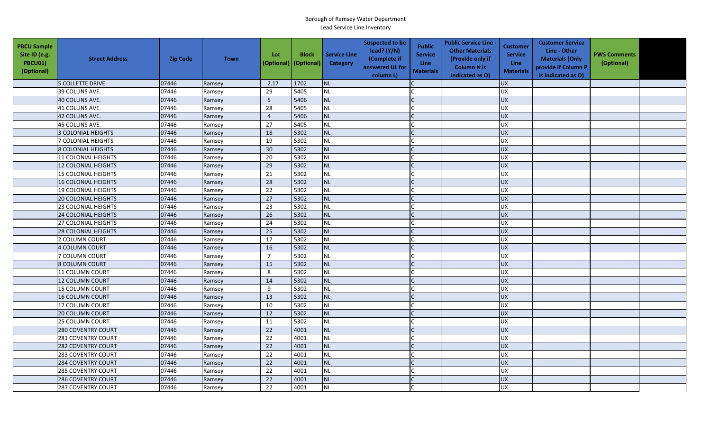| <b>PBCU Sample</b><br>Site ID (e.g.<br>PBCU01)<br>(Optional) | <b>Street Address</b>      | <b>Zip Code</b> | <b>Town</b> | Lot<br>(Optional) | <b>Block</b><br>(Optional) | <b>Service Line</b><br>Category | <b>Suspected to be</b><br>lead? (Y/N)<br>(Complete if<br>answered UL for<br>column L) | <b>Public</b><br><b>Service</b><br>Line<br><b>Materials</b> | <b>Public Service Line -</b><br><b>Other Materials</b><br>(Provide only if<br><b>Column N is</b><br>indicated as O) | <b>Customer</b><br><b>Service</b><br><b>Line</b><br><b>Materials</b> | <b>Customer Service</b><br>Line - Other<br><b>Materials (Only</b><br>provide if Column P<br>is indicated as O) | <b>PWS Comments</b><br>(Optional) |  |
|--------------------------------------------------------------|----------------------------|-----------------|-------------|-------------------|----------------------------|---------------------------------|---------------------------------------------------------------------------------------|-------------------------------------------------------------|---------------------------------------------------------------------------------------------------------------------|----------------------------------------------------------------------|----------------------------------------------------------------------------------------------------------------|-----------------------------------|--|
|                                                              | <b>5 COLLETTE DRIVE</b>    | 07446           | Ramsey      | 2.17              | 1702                       | <b>NL</b>                       |                                                                                       |                                                             |                                                                                                                     | <b>UX</b>                                                            |                                                                                                                |                                   |  |
|                                                              | 39 COLLINS AVE.            | 07446           | Ramsey      | 29                | 5405                       | <b>NL</b>                       |                                                                                       |                                                             |                                                                                                                     | <b>UX</b>                                                            |                                                                                                                |                                   |  |
|                                                              | 40 COLLINS AVE.            | 07446           | Ramsey      | 5                 | 5406                       | <b>NL</b>                       |                                                                                       |                                                             |                                                                                                                     | <b>UX</b>                                                            |                                                                                                                |                                   |  |
|                                                              | 41 COLLINS AVE.            | 07446           | Ramsey      | 28                | 5405                       | <b>NL</b>                       |                                                                                       |                                                             |                                                                                                                     | <b>UX</b>                                                            |                                                                                                                |                                   |  |
|                                                              | 42 COLLINS AVE.            | 07446           | Ramsey      | $\overline{4}$    | 5406                       | <b>NL</b>                       |                                                                                       |                                                             |                                                                                                                     | <b>UX</b>                                                            |                                                                                                                |                                   |  |
|                                                              | 45 COLLINS AVE.            | 07446           | Ramsey      | 27                | 5405                       | <b>NL</b>                       |                                                                                       |                                                             |                                                                                                                     | <b>UX</b>                                                            |                                                                                                                |                                   |  |
|                                                              | 3 COLONIAL HEIGHTS         | 07446           | Ramsey      | 18                | 5302                       | <b>NL</b>                       |                                                                                       |                                                             |                                                                                                                     | <b>UX</b>                                                            |                                                                                                                |                                   |  |
|                                                              | 7 COLONIAL HEIGHTS         | 07446           | Ramsey      | 19                | 5302                       | <b>NL</b>                       |                                                                                       |                                                             |                                                                                                                     | UX                                                                   |                                                                                                                |                                   |  |
|                                                              | 8 COLONIAL HEIGHTS         | 07446           | Ramsey      | 30                | 5302                       | <b>NL</b>                       |                                                                                       | $\mathcal{C}$                                               |                                                                                                                     | <b>UX</b>                                                            |                                                                                                                |                                   |  |
|                                                              | 11 COLONIAL HEIGHTS        | 07446           | Ramsey      | 20                | 5302                       | <b>NL</b>                       |                                                                                       |                                                             |                                                                                                                     | UX                                                                   |                                                                                                                |                                   |  |
|                                                              | 12 COLONIAL HEIGHTS        | 07446           | Ramsey      | 29                | 5302                       | <b>NL</b>                       |                                                                                       |                                                             |                                                                                                                     | <b>UX</b>                                                            |                                                                                                                |                                   |  |
|                                                              | <b>15 COLONIAL HEIGHTS</b> | 07446           | Ramsey      | 21                | 5302                       | <b>NL</b>                       |                                                                                       |                                                             |                                                                                                                     | <b>UX</b>                                                            |                                                                                                                |                                   |  |
|                                                              | <b>16 COLONIAL HEIGHTS</b> | 07446           | Ramsey      | 28                | 5302                       | <b>NL</b>                       |                                                                                       |                                                             |                                                                                                                     | <b>UX</b>                                                            |                                                                                                                |                                   |  |
|                                                              | 19 COLONIAL HEIGHTS        | 07446           | Ramsey      | 22                | 5302                       | <b>NL</b>                       |                                                                                       |                                                             |                                                                                                                     | UX                                                                   |                                                                                                                |                                   |  |
|                                                              | <b>20 COLONIAL HEIGHTS</b> | 07446           | Ramsey      | 27                | 5302                       | <b>NL</b>                       |                                                                                       |                                                             |                                                                                                                     | <b>UX</b>                                                            |                                                                                                                |                                   |  |
|                                                              | <b>23 COLONIAL HEIGHTS</b> | 07446           | Ramsey      | 23                | 5302                       | <b>NL</b>                       |                                                                                       |                                                             |                                                                                                                     | <b>UX</b>                                                            |                                                                                                                |                                   |  |
|                                                              | <b>24 COLONIAL HEIGHTS</b> | 07446           | Ramsey      | 26                | 5302                       | <b>NL</b>                       |                                                                                       | $\Gamma$                                                    |                                                                                                                     | UX                                                                   |                                                                                                                |                                   |  |
|                                                              | <b>27 COLONIAL HEIGHTS</b> | 07446           | Ramsey      | 24                | 5302                       | <b>NL</b>                       |                                                                                       |                                                             |                                                                                                                     | <b>UX</b>                                                            |                                                                                                                |                                   |  |
|                                                              | <b>28 COLONIAL HEIGHTS</b> | 07446           | Ramsey      | 25                | 5302                       | <b>NL</b>                       |                                                                                       |                                                             |                                                                                                                     | <b>UX</b>                                                            |                                                                                                                |                                   |  |
|                                                              | 2 COLUMN COURT             | 07446           | Ramsey      | 17                | 5302                       | <b>NL</b>                       |                                                                                       |                                                             |                                                                                                                     | <b>UX</b>                                                            |                                                                                                                |                                   |  |
|                                                              | 4 COLUMN COURT             | 07446           | Ramsey      | 16                | 5302                       | <b>NL</b>                       |                                                                                       | $\mathsf{C}$                                                |                                                                                                                     | UX                                                                   |                                                                                                                |                                   |  |
|                                                              | 7 COLUMN COURT             | 07446           | Ramsey      | $\overline{7}$    | 5302                       | <b>NL</b>                       |                                                                                       |                                                             |                                                                                                                     | UX                                                                   |                                                                                                                |                                   |  |
|                                                              | <b>8 COLUMN COURT</b>      | 07446           | Ramsey      | 15                | 5302                       | <b>NL</b>                       |                                                                                       |                                                             |                                                                                                                     | <b>UX</b>                                                            |                                                                                                                |                                   |  |
|                                                              | 11 COLUMN COURT            | 07446           | Ramsey      | 8                 | 5302                       | <b>NL</b>                       |                                                                                       |                                                             |                                                                                                                     | <b>UX</b>                                                            |                                                                                                                |                                   |  |
|                                                              | 12 COLUMN COURT            | 07446           | Ramsey      | 14                | 5302                       | <b>NL</b>                       |                                                                                       | $\mathsf{C}$                                                |                                                                                                                     | <b>UX</b>                                                            |                                                                                                                |                                   |  |
|                                                              | 15 COLUMN COURT            | 07446           | Ramsey      | 9                 | 5302                       | <b>NL</b>                       |                                                                                       |                                                             |                                                                                                                     | <b>UX</b>                                                            |                                                                                                                |                                   |  |
|                                                              | 16 COLUMN COURT            | 07446           | Ramsey      | 13                | 5302                       | <b>NL</b>                       |                                                                                       |                                                             |                                                                                                                     | <b>UX</b>                                                            |                                                                                                                |                                   |  |
|                                                              | 17 COLUMN COURT            | 07446           | Ramsey      | 10                | 5302                       | <b>NL</b>                       |                                                                                       |                                                             |                                                                                                                     | <b>UX</b>                                                            |                                                                                                                |                                   |  |
|                                                              | <b>20 COLUMN COURT</b>     | 07446           | Ramsey      | 12                | 5302                       | <b>NL</b>                       |                                                                                       |                                                             |                                                                                                                     | <b>UX</b>                                                            |                                                                                                                |                                   |  |
|                                                              | <b>25 COLUMN COURT</b>     | 07446           | Ramsey      | 11                | 5302                       | <b>NL</b>                       |                                                                                       |                                                             |                                                                                                                     | <b>UX</b>                                                            |                                                                                                                |                                   |  |
|                                                              | <b>280 COVENTRY COURT</b>  | 07446           | Ramsey      | 22                | 4001                       | <b>NL</b>                       |                                                                                       |                                                             |                                                                                                                     | <b>UX</b>                                                            |                                                                                                                |                                   |  |
|                                                              | 281 COVENTRY COURT         | 07446           | Ramsey      | 22                | 4001                       | <b>NL</b>                       |                                                                                       | $\mathsf{C}$                                                |                                                                                                                     | <b>UX</b>                                                            |                                                                                                                |                                   |  |
|                                                              | 282 COVENTRY COURT         | 07446           | Ramsey      | 22                | 4001                       | <b>NL</b>                       |                                                                                       |                                                             |                                                                                                                     | UX                                                                   |                                                                                                                |                                   |  |
|                                                              | 283 COVENTRY COURT         | 07446           | Ramsey      | 22                | 4001                       | <b>NL</b>                       |                                                                                       |                                                             |                                                                                                                     | <b>UX</b>                                                            |                                                                                                                |                                   |  |
|                                                              | 284 COVENTRY COURT         | 07446           | Ramsey      | 22                | 4001                       | <b>NL</b>                       |                                                                                       |                                                             |                                                                                                                     | <b>UX</b>                                                            |                                                                                                                |                                   |  |
|                                                              | <b>285 COVENTRY COURT</b>  | 07446           | Ramsey      | 22                | 4001                       | <b>NL</b>                       |                                                                                       |                                                             |                                                                                                                     | <b>UX</b>                                                            |                                                                                                                |                                   |  |
|                                                              | <b>286 COVENTRY COURT</b>  | 07446           | Ramsey      | 22                | 4001                       | <b>NL</b>                       |                                                                                       |                                                             |                                                                                                                     | <b>UX</b>                                                            |                                                                                                                |                                   |  |
|                                                              | <b>287 COVENTRY COURT</b>  | 07446           | Ramsey      | 22                | 4001                       | <b>NL</b>                       |                                                                                       |                                                             |                                                                                                                     | <b>UX</b>                                                            |                                                                                                                |                                   |  |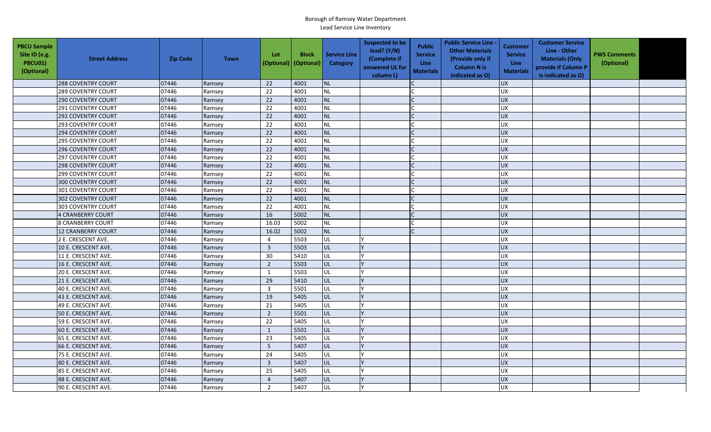| <b>PBCU Sample</b><br>Site ID (e.g.<br>PBCU01)<br>(Optional) | <b>Street Address</b>     | <b>Zip Code</b> | <b>Town</b> | Lot<br>(Optional) | <b>Block</b><br>(Optional) | <b>Service Line</b><br>Category | <b>Suspected to be</b><br>lead? (Y/N)<br>(Complete if<br>answered UL for<br>column L) | <b>Public</b><br><b>Service</b><br>Line<br><b>Materials</b> | <b>Public Service Line -</b><br><b>Other Materials</b><br>(Provide only if<br><b>Column N is</b><br>indicated as O) | <b>Customer</b><br><b>Service</b><br><b>Line</b><br><b>Materials</b> | <b>Customer Service</b><br>Line - Other<br><b>Materials (Only</b><br>provide if Column P<br>is indicated as O) | <b>PWS Comments</b><br>(Optional) |  |
|--------------------------------------------------------------|---------------------------|-----------------|-------------|-------------------|----------------------------|---------------------------------|---------------------------------------------------------------------------------------|-------------------------------------------------------------|---------------------------------------------------------------------------------------------------------------------|----------------------------------------------------------------------|----------------------------------------------------------------------------------------------------------------|-----------------------------------|--|
|                                                              | <b>288 COVENTRY COURT</b> | 07446           | Ramsey      | 22                | 4001                       | <b>NL</b>                       |                                                                                       |                                                             |                                                                                                                     | <b>UX</b>                                                            |                                                                                                                |                                   |  |
|                                                              | <b>289 COVENTRY COURT</b> | 07446           | Ramsey      | 22                | 4001                       | <b>NL</b>                       |                                                                                       |                                                             |                                                                                                                     | <b>UX</b>                                                            |                                                                                                                |                                   |  |
|                                                              | <b>290 COVENTRY COURT</b> | 07446           | Ramsey      | 22                | 4001                       | <b>NL</b>                       |                                                                                       |                                                             |                                                                                                                     | <b>UX</b>                                                            |                                                                                                                |                                   |  |
|                                                              | 291 COVENTRY COURT        | 07446           | Ramsey      | 22                | 4001                       | <b>NL</b>                       |                                                                                       |                                                             |                                                                                                                     | <b>UX</b>                                                            |                                                                                                                |                                   |  |
|                                                              | <b>292 COVENTRY COURT</b> | 07446           | Ramsey      | 22                | 4001                       | <b>NL</b>                       |                                                                                       |                                                             |                                                                                                                     | <b>UX</b>                                                            |                                                                                                                |                                   |  |
|                                                              | <b>293 COVENTRY COURT</b> | 07446           | Ramsey      | 22                | 4001                       | <b>NL</b>                       |                                                                                       |                                                             |                                                                                                                     | <b>UX</b>                                                            |                                                                                                                |                                   |  |
|                                                              | <b>294 COVENTRY COURT</b> | 07446           | Ramsey      | 22                | 4001                       | <b>NL</b>                       |                                                                                       |                                                             |                                                                                                                     | <b>UX</b>                                                            |                                                                                                                |                                   |  |
|                                                              | <b>295 COVENTRY COURT</b> | 07446           | Ramsey      | 22                | 4001                       | <b>NL</b>                       |                                                                                       |                                                             |                                                                                                                     | UX                                                                   |                                                                                                                |                                   |  |
|                                                              | 296 COVENTRY COURT        | 07446           | Ramsey      | 22                | 4001                       | <b>NL</b>                       |                                                                                       | $\mathcal{C}$                                               |                                                                                                                     | <b>UX</b>                                                            |                                                                                                                |                                   |  |
|                                                              | <b>297 COVENTRY COURT</b> | 07446           | Ramsey      | 22                | 4001                       | <b>NL</b>                       |                                                                                       |                                                             |                                                                                                                     | UX                                                                   |                                                                                                                |                                   |  |
|                                                              | <b>298 COVENTRY COURT</b> | 07446           | Ramsey      | 22                | 4001                       | <b>NL</b>                       |                                                                                       |                                                             |                                                                                                                     | <b>UX</b>                                                            |                                                                                                                |                                   |  |
|                                                              | 299 COVENTRY COURT        | 07446           | Ramsey      | 22                | 4001                       | <b>NL</b>                       |                                                                                       |                                                             |                                                                                                                     | <b>UX</b>                                                            |                                                                                                                |                                   |  |
|                                                              | 300 COVENTRY COURT        | 07446           | Ramsey      | 22                | 4001                       | <b>NL</b>                       |                                                                                       |                                                             |                                                                                                                     | <b>UX</b>                                                            |                                                                                                                |                                   |  |
|                                                              | 301 COVENTRY COURT        | 07446           | Ramsey      | 22                | 4001                       | <b>NL</b>                       |                                                                                       |                                                             |                                                                                                                     | UX                                                                   |                                                                                                                |                                   |  |
|                                                              | <b>302 COVENTRY COURT</b> | 07446           | Ramsey      | 22                | 4001                       | <b>NL</b>                       |                                                                                       |                                                             |                                                                                                                     | <b>UX</b>                                                            |                                                                                                                |                                   |  |
|                                                              | <b>303 COVENTRY COURT</b> | 07446           | Ramsey      | 22                | 4001                       | <b>NL</b>                       |                                                                                       |                                                             |                                                                                                                     | <b>UX</b>                                                            |                                                                                                                |                                   |  |
|                                                              | 4 CRANBERRY COURT         | 07446           | Ramsey      | 16                | 5002                       | <b>NL</b>                       |                                                                                       | $\Gamma$                                                    |                                                                                                                     | UX                                                                   |                                                                                                                |                                   |  |
|                                                              | <b>8 CRANBERRY COURT</b>  | 07446           | Ramsey      | 16.03             | 5002                       | <b>NL</b>                       |                                                                                       |                                                             |                                                                                                                     | <b>UX</b>                                                            |                                                                                                                |                                   |  |
|                                                              | 12 CRANBERRY COURT        | 07446           | Ramsey      | 16.02             | 5002                       | <b>NL</b>                       |                                                                                       |                                                             |                                                                                                                     | <b>UX</b>                                                            |                                                                                                                |                                   |  |
|                                                              | 2 E. CRESCENT AVE.        | 07446           | Ramsey      | $\overline{4}$    | 5503                       | UL                              |                                                                                       |                                                             |                                                                                                                     | <b>UX</b>                                                            |                                                                                                                |                                   |  |
|                                                              | 10 E. CRESCENT AVE.       | 07446           | Ramsey      | $\overline{3}$    | 5503                       | <b>UL</b>                       |                                                                                       |                                                             |                                                                                                                     | UX                                                                   |                                                                                                                |                                   |  |
|                                                              | 11 E. CRESCENT AVE.       | 07446           | Ramsey      | 30                | 5410                       | UL                              |                                                                                       |                                                             |                                                                                                                     | UX                                                                   |                                                                                                                |                                   |  |
|                                                              | 16 E. CRESCENT AVE.       | 07446           | Ramsey      | $\overline{2}$    | 5503                       | UL                              |                                                                                       |                                                             |                                                                                                                     | <b>UX</b>                                                            |                                                                                                                |                                   |  |
|                                                              | 20 E. CRESCENT AVE.       | 07446           | Ramsey      | $\mathbf{1}$      | 5503                       | UL                              |                                                                                       |                                                             |                                                                                                                     | <b>UX</b>                                                            |                                                                                                                |                                   |  |
|                                                              | 21 E. CRESCENT AVE.       | 07446           | Ramsey      | 29                | 5410                       | UL                              |                                                                                       |                                                             |                                                                                                                     | <b>UX</b>                                                            |                                                                                                                |                                   |  |
|                                                              | 40 E. CRESCENT AVE.       | 07446           | Ramsey      | $\overline{3}$    | 5501                       | UL                              |                                                                                       |                                                             |                                                                                                                     | <b>UX</b>                                                            |                                                                                                                |                                   |  |
|                                                              | 43 E. CRESCENT AVE.       | 07446           | Ramsey      | 19                | 5405                       | UL                              |                                                                                       |                                                             |                                                                                                                     | <b>UX</b>                                                            |                                                                                                                |                                   |  |
|                                                              | 49 E. CRESCENT AVE.       | 07446           | Ramsey      | 21                | 5405                       | UL                              |                                                                                       |                                                             |                                                                                                                     | <b>UX</b>                                                            |                                                                                                                |                                   |  |
|                                                              | 50 E. CRESCENT AVE.       | 07446           | Ramsey      | $\overline{2}$    | 5501                       | UL                              |                                                                                       |                                                             |                                                                                                                     | <b>UX</b>                                                            |                                                                                                                |                                   |  |
|                                                              | 59 E. CRESCENT AVE.       | 07446           | Ramsey      | 22                | 5405                       | UL                              |                                                                                       |                                                             |                                                                                                                     | UX                                                                   |                                                                                                                |                                   |  |
|                                                              | 60 E. CRESCENT AVE.       | 07446           | Ramsey      | $\mathbf{1}$      | 5501                       | UL                              |                                                                                       |                                                             |                                                                                                                     | <b>UX</b>                                                            |                                                                                                                |                                   |  |
|                                                              | 65 E. CRESCENT AVE.       | 07446           | Ramsey      | 23                | 5405                       | UL                              |                                                                                       |                                                             |                                                                                                                     | <b>UX</b>                                                            |                                                                                                                |                                   |  |
|                                                              | 66 E. CRESCENT AVE.       | 07446           | Ramsey      | $5\phantom{.0}$   | 5407                       | UL                              |                                                                                       |                                                             |                                                                                                                     | <b>UX</b>                                                            |                                                                                                                |                                   |  |
|                                                              | 75 E. CRESCENT AVE.       | 07446           | Ramsey      | 24                | 5405                       | UL                              |                                                                                       |                                                             |                                                                                                                     | <b>UX</b>                                                            |                                                                                                                |                                   |  |
|                                                              | 80 E. CRESCENT AVE.       | 07446           | Ramsey      | $\overline{3}$    | 5407                       | UL                              |                                                                                       |                                                             |                                                                                                                     | <b>UX</b>                                                            |                                                                                                                |                                   |  |
|                                                              | 85 E. CRESCENT AVE.       | 07446           | Ramsey      | 25                | 5405                       | UL                              |                                                                                       |                                                             |                                                                                                                     | <b>UX</b>                                                            |                                                                                                                |                                   |  |
|                                                              | 88 E. CRESCENT AVE.       | 07446           | Ramsey      | $\overline{4}$    | 5407                       | UL                              |                                                                                       |                                                             |                                                                                                                     | <b>UX</b>                                                            |                                                                                                                |                                   |  |
|                                                              | 90 E. CRESCENT AVE.       | 07446           | Ramsey      | $\overline{2}$    | 5407                       | UL                              |                                                                                       |                                                             |                                                                                                                     | <b>UX</b>                                                            |                                                                                                                |                                   |  |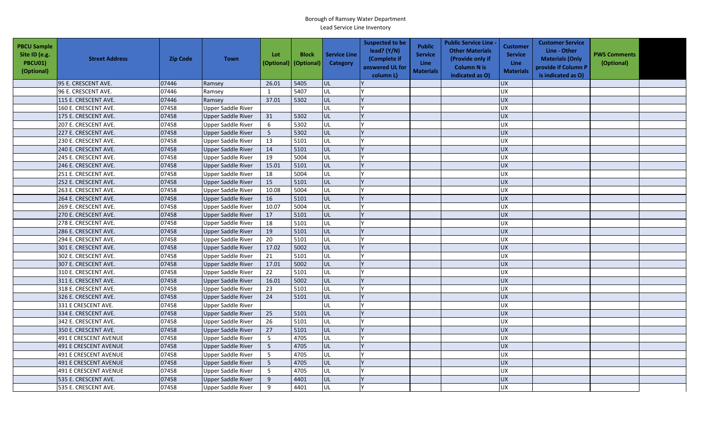| <b>PBCU Sample</b><br>Site ID (e.g.<br>PBCU01)<br>(Optional) | <b>Street Address</b>        | <b>Zip Code</b> | <b>Town</b>               | Lot<br>(Optional) | <b>Block</b><br>(Optional) | <b>Service Line</b><br><b>Category</b> | <b>Suspected to be</b><br>lead? (Y/N)<br>(Complete if<br>answered UL for<br>column L) | <b>Public</b><br><b>Service</b><br><b>Line</b><br><b>Materials</b> | <b>Public Service Line -</b><br><b>Other Materials</b><br>(Provide only if<br><b>Column N is</b><br>indicated as O) | Customer<br><b>Service</b><br><b>Line</b><br><b>Materials</b> | <b>Customer Service</b><br>Line - Other<br><b>Materials (Only</b><br>provide if Column P<br>is indicated as O) | <b>PWS Comments</b><br>(Optional) |  |
|--------------------------------------------------------------|------------------------------|-----------------|---------------------------|-------------------|----------------------------|----------------------------------------|---------------------------------------------------------------------------------------|--------------------------------------------------------------------|---------------------------------------------------------------------------------------------------------------------|---------------------------------------------------------------|----------------------------------------------------------------------------------------------------------------|-----------------------------------|--|
|                                                              | 95 E. CRESCENT AVE.          | 07446           | Ramsey                    | 26.01             | 5405                       | lul                                    |                                                                                       |                                                                    |                                                                                                                     | <b>UX</b>                                                     |                                                                                                                |                                   |  |
|                                                              | 96 E. CRESCENT AVE.          | 07446           | Ramsey                    | 1                 | 5407                       | UL                                     |                                                                                       |                                                                    |                                                                                                                     | <b>UX</b>                                                     |                                                                                                                |                                   |  |
|                                                              | 115 E. CRESCENT AVE.         | 07446           | Ramsey                    | 37.01             | 5302                       | UL                                     |                                                                                       |                                                                    |                                                                                                                     | <b>UX</b>                                                     |                                                                                                                |                                   |  |
|                                                              | 160 E. CRESCENT AVE.         | 07458           | <b>Upper Saddle River</b> |                   |                            | UL                                     |                                                                                       |                                                                    |                                                                                                                     | <b>UX</b>                                                     |                                                                                                                |                                   |  |
|                                                              | 175 E. CRESCENT AVE.         | 07458           | Upper Saddle River        | 31                | 5302                       | UL                                     |                                                                                       |                                                                    |                                                                                                                     | <b>UX</b>                                                     |                                                                                                                |                                   |  |
|                                                              | 207 E. CRESCENT AVE.         | 07458           | Upper Saddle River        | 6                 | 5302                       | UL                                     |                                                                                       |                                                                    |                                                                                                                     | <b>UX</b>                                                     |                                                                                                                |                                   |  |
|                                                              | 227 E. CRESCENT AVE.         | 07458           | Upper Saddle River        | 5                 | 5302                       | lul                                    |                                                                                       |                                                                    |                                                                                                                     | <b>UX</b>                                                     |                                                                                                                |                                   |  |
|                                                              | 230 E. CRESCENT AVE.         | 07458           | Upper Saddle River        | 13                | 5101                       | UL                                     |                                                                                       |                                                                    |                                                                                                                     | <b>UX</b>                                                     |                                                                                                                |                                   |  |
|                                                              | 240 E. CRESCENT AVE.         | 07458           | <b>Upper Saddle River</b> | 14                | 5101                       | <b>UL</b>                              |                                                                                       |                                                                    |                                                                                                                     | <b>UX</b>                                                     |                                                                                                                |                                   |  |
|                                                              | 245 E. CRESCENT AVE.         | 07458           | Upper Saddle River        | 19                | 5004                       | UL                                     |                                                                                       |                                                                    |                                                                                                                     | UX                                                            |                                                                                                                |                                   |  |
|                                                              | 246 E. CRESCENT AVE.         | 07458           | Upper Saddle River        | 15.01             | 5101                       | <b>UL</b>                              |                                                                                       |                                                                    |                                                                                                                     | <b>UX</b>                                                     |                                                                                                                |                                   |  |
|                                                              | 251 E. CRESCENT AVE.         | 07458           | <b>Upper Saddle River</b> | 18                | 5004                       | <b>UL</b>                              |                                                                                       |                                                                    |                                                                                                                     | <b>UX</b>                                                     |                                                                                                                |                                   |  |
|                                                              | 252 E. CRESCENT AVE.         | 07458           | <b>Upper Saddle River</b> | 15                | 5101                       | UL                                     |                                                                                       |                                                                    |                                                                                                                     | <b>UX</b>                                                     |                                                                                                                |                                   |  |
|                                                              | 263 E. CRESCENT AVE.         | 07458           | Upper Saddle River        | 10.08             | 5004                       | <b>UL</b>                              |                                                                                       |                                                                    |                                                                                                                     | <b>UX</b>                                                     |                                                                                                                |                                   |  |
|                                                              | 264 E. CRESCENT AVE.         | 07458           | Upper Saddle River        | 16                | 5101                       | UL                                     |                                                                                       |                                                                    |                                                                                                                     | <b>UX</b>                                                     |                                                                                                                |                                   |  |
|                                                              | 269 E. CRESCENT AVE.         | 07458           | <b>Upper Saddle River</b> | 10.07             | 5004                       | UL                                     |                                                                                       |                                                                    |                                                                                                                     | <b>UX</b>                                                     |                                                                                                                |                                   |  |
|                                                              | 270 E. CRESCENT AVE.         | 07458           | Upper Saddle River        | 17                | 5101                       | <b>UL</b>                              |                                                                                       |                                                                    |                                                                                                                     | UX                                                            |                                                                                                                |                                   |  |
|                                                              | 278 E. CRESCENT AVE.         | 07458           | Upper Saddle River        | 18                | 5101                       | UL                                     |                                                                                       |                                                                    |                                                                                                                     | <b>UX</b>                                                     |                                                                                                                |                                   |  |
|                                                              | 286 E. CRESCENT AVE.         | 07458           | Upper Saddle River        | 19                | 5101                       | UL                                     |                                                                                       |                                                                    |                                                                                                                     | <b>UX</b>                                                     |                                                                                                                |                                   |  |
|                                                              | 294 E. CRESCENT AVE.         | 07458           | Upper Saddle River        | 20                | 5101                       | UL                                     |                                                                                       |                                                                    |                                                                                                                     | UX                                                            |                                                                                                                |                                   |  |
|                                                              | 301 E. CRESCENT AVE.         | 07458           | Upper Saddle River        | 17.02             | 5002                       | UL                                     |                                                                                       |                                                                    |                                                                                                                     | UX                                                            |                                                                                                                |                                   |  |
|                                                              | 302 E. CRESCENT AVE.         | 07458           | <b>Upper Saddle River</b> | 21                | 5101                       | UL                                     |                                                                                       |                                                                    |                                                                                                                     | UX                                                            |                                                                                                                |                                   |  |
|                                                              | 307 E. CRESCENT AVE.         | 07458           | Upper Saddle River        | 17.01             | 5002                       | <b>UL</b>                              |                                                                                       |                                                                    |                                                                                                                     | <b>UX</b>                                                     |                                                                                                                |                                   |  |
|                                                              | 310 E. CRESCENT AVE.         | 07458           | Upper Saddle River        | 22                | 5101                       | <b>UL</b>                              |                                                                                       |                                                                    |                                                                                                                     | <b>UX</b>                                                     |                                                                                                                |                                   |  |
|                                                              | 311 E. CRESCENT AVE.         | 07458           | Upper Saddle River        | 16.01             | 5002                       | UL                                     |                                                                                       |                                                                    |                                                                                                                     | <b>UX</b>                                                     |                                                                                                                |                                   |  |
|                                                              | 318 E. CRESCENT AVE.         | 07458           | Upper Saddle River        | 23                | 5101                       | UL                                     |                                                                                       |                                                                    |                                                                                                                     | <b>UX</b>                                                     |                                                                                                                |                                   |  |
|                                                              | 326 E. CRESCENT AVE.         | 07458           | Upper Saddle River        | 24                | 5101                       | UL                                     |                                                                                       |                                                                    |                                                                                                                     | <b>UX</b>                                                     |                                                                                                                |                                   |  |
|                                                              | 331 E CRESCENT AVE.          | 07458           | Upper Saddle River        |                   |                            | UL                                     |                                                                                       |                                                                    |                                                                                                                     | <b>UX</b>                                                     |                                                                                                                |                                   |  |
|                                                              | 334 E. CRESCENT AVE.         | 07458           | <b>Upper Saddle River</b> | 25                | 5101                       | UL                                     |                                                                                       |                                                                    |                                                                                                                     | <b>UX</b>                                                     |                                                                                                                |                                   |  |
|                                                              | 342 E. CRESCENT AVE.         | 07458           | <b>Upper Saddle River</b> | 26                | 5101                       | UL                                     |                                                                                       |                                                                    |                                                                                                                     | UX                                                            |                                                                                                                |                                   |  |
|                                                              | 350 E. CRESCENT AVE.         | 07458           | <b>Upper Saddle River</b> | 27                | 5101                       | UL                                     |                                                                                       |                                                                    |                                                                                                                     | <b>UX</b>                                                     |                                                                                                                |                                   |  |
|                                                              | <b>491 E CRESCENT AVENUE</b> | 07458           | <b>Upper Saddle River</b> | 5                 | 4705                       | UL                                     |                                                                                       |                                                                    |                                                                                                                     | <b>UX</b>                                                     |                                                                                                                |                                   |  |
|                                                              | 491 E CRESCENT AVENUE        | 07458           | <b>Upper Saddle River</b> | 5                 | 4705                       | UL                                     |                                                                                       |                                                                    |                                                                                                                     | <b>UX</b>                                                     |                                                                                                                |                                   |  |
|                                                              | <b>491 E CRESCENT AVENUE</b> | 07458           | <b>Upper Saddle River</b> | 5                 | 4705                       | <b>UL</b>                              |                                                                                       |                                                                    |                                                                                                                     | <b>UX</b>                                                     |                                                                                                                |                                   |  |
|                                                              | 491 E CRESCENT AVENUE        | 07458           | Upper Saddle River        | $5\phantom{.0}$   | 4705                       | UL                                     |                                                                                       |                                                                    |                                                                                                                     | <b>UX</b>                                                     |                                                                                                                |                                   |  |
|                                                              | 491 E CRESCENT AVENUE        | 07458           | Upper Saddle River        | 5                 | 4705                       | UL                                     |                                                                                       |                                                                    |                                                                                                                     | <b>UX</b>                                                     |                                                                                                                |                                   |  |
|                                                              | 535 E. CRESCENT AVE.         | 07458           | Upper Saddle River        | 9                 | 4401                       | UL                                     |                                                                                       |                                                                    |                                                                                                                     | <b>UX</b>                                                     |                                                                                                                |                                   |  |
|                                                              | 535 E. CRESCENT AVE.         | 07458           | Upper Saddle River        | 9                 | 4401                       | UL                                     |                                                                                       |                                                                    |                                                                                                                     | <b>UX</b>                                                     |                                                                                                                |                                   |  |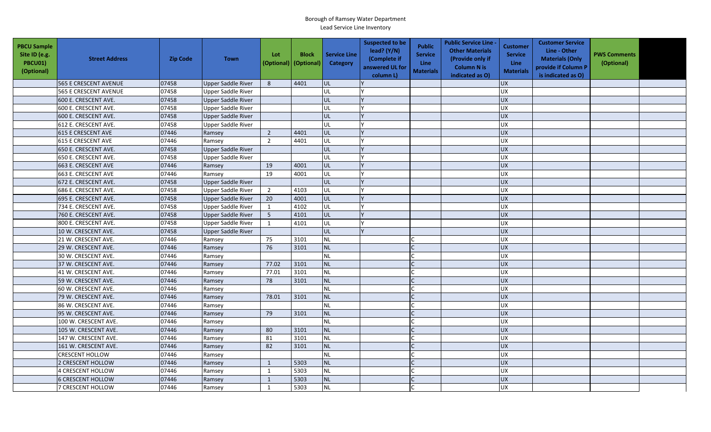| <b>PBCU Sample</b><br>Site ID (e.g.<br>PBCU01)<br>(Optional) | <b>Street Address</b>        | <b>Zip Code</b> | <b>Town</b>               | Lot<br>(Optional) (Optional) | <b>Block</b> | <b>Service Line</b><br>Category | <b>Suspected to be</b><br>lead? $(Y/N)$<br>(Complete if<br>answered UL for<br>column L) | <b>Public</b><br><b>Service</b><br>Line<br><b>Materials</b> | <b>Public Service Line -</b><br><b>Other Materials</b><br>(Provide only if<br><b>Column N is</b><br>indicated as O) | <b>Customer</b><br><b>Service</b><br><b>Line</b><br><b>Materials</b> | <b>Customer Service</b><br>Line - Other<br><b>Materials (Only</b><br>provide if Column P<br>is indicated as O) | <b>PWS Comments</b><br>(Optional) |  |
|--------------------------------------------------------------|------------------------------|-----------------|---------------------------|------------------------------|--------------|---------------------------------|-----------------------------------------------------------------------------------------|-------------------------------------------------------------|---------------------------------------------------------------------------------------------------------------------|----------------------------------------------------------------------|----------------------------------------------------------------------------------------------------------------|-----------------------------------|--|
|                                                              | <b>565 E CRESCENT AVENUE</b> | 07458           | <b>Upper Saddle River</b> | 8                            | 4401         | UL                              |                                                                                         |                                                             |                                                                                                                     | <b>UX</b>                                                            |                                                                                                                |                                   |  |
|                                                              | <b>565 E CRESCENT AVENUE</b> | 07458           | <b>Upper Saddle River</b> |                              |              | <b>UL</b>                       |                                                                                         |                                                             |                                                                                                                     | <b>UX</b>                                                            |                                                                                                                |                                   |  |
|                                                              | 600 E. CRESCENT AVE.         | 07458           | Upper Saddle River        |                              |              | <b>UL</b>                       |                                                                                         |                                                             |                                                                                                                     | <b>UX</b>                                                            |                                                                                                                |                                   |  |
|                                                              | 600 E. CRESCENT AVE.         | 07458           | <b>Upper Saddle River</b> |                              |              | UL                              |                                                                                         |                                                             |                                                                                                                     | <b>UX</b>                                                            |                                                                                                                |                                   |  |
|                                                              | 600 E. CRESCENT AVE.         | 07458           | <b>Upper Saddle River</b> |                              |              | UL                              |                                                                                         |                                                             |                                                                                                                     | <b>UX</b>                                                            |                                                                                                                |                                   |  |
|                                                              | 612 E. CRESCENT AVE.         | 07458           | <b>Upper Saddle River</b> |                              |              | lul.                            |                                                                                         |                                                             |                                                                                                                     | <b>UX</b>                                                            |                                                                                                                |                                   |  |
|                                                              | <b>615 E CRESCENT AVE</b>    | 07446           | Ramsey                    | $\overline{2}$               | 4401         | lul.                            |                                                                                         |                                                             |                                                                                                                     | UX                                                                   |                                                                                                                |                                   |  |
|                                                              | 615 E CRESCENT AVE           | 07446           | Ramsey                    | $\overline{2}$               | 4401         | UL                              |                                                                                         |                                                             |                                                                                                                     | <b>UX</b>                                                            |                                                                                                                |                                   |  |
|                                                              | 650 E. CRESCENT AVE.         | 07458           | <b>Upper Saddle River</b> |                              |              | UL                              |                                                                                         |                                                             |                                                                                                                     | <b>UX</b>                                                            |                                                                                                                |                                   |  |
|                                                              | 650 E. CRESCENT AVE.         | 07458           | Upper Saddle River        |                              |              | UL                              |                                                                                         |                                                             |                                                                                                                     | <b>UX</b>                                                            |                                                                                                                |                                   |  |
|                                                              | 663 E. CRESCENT AVE          | 07446           | Ramsey                    | 19                           | 4001         | UL                              |                                                                                         |                                                             |                                                                                                                     | <b>UX</b>                                                            |                                                                                                                |                                   |  |
|                                                              | 663 E. CRESCENT AVE          | 07446           | Ramsey                    | 19                           | 4001         | UL                              |                                                                                         |                                                             |                                                                                                                     | UX                                                                   |                                                                                                                |                                   |  |
|                                                              | 672 E. CRESCENT AVE.         | 07458           | <b>Upper Saddle River</b> |                              |              | UL                              |                                                                                         |                                                             |                                                                                                                     | <b>UX</b>                                                            |                                                                                                                |                                   |  |
|                                                              | 686 E. CRESCENT AVE.         | 07458           | <b>Upper Saddle River</b> | $\overline{2}$               | 4103         | UL                              |                                                                                         |                                                             |                                                                                                                     | UX                                                                   |                                                                                                                |                                   |  |
|                                                              | 695 E. CRESCENT AVE.         | 07458           | <b>Upper Saddle River</b> | 20                           | 4001         | UL                              |                                                                                         |                                                             |                                                                                                                     | UX                                                                   |                                                                                                                |                                   |  |
|                                                              | 734 E. CRESCENT AVE.         | 07458           | <b>Upper Saddle River</b> | $\mathbf{1}$                 | 4102         | UL                              |                                                                                         |                                                             |                                                                                                                     | UX                                                                   |                                                                                                                |                                   |  |
|                                                              | 760 E. CRESCENT AVE.         | 07458           | Upper Saddle River        | 5                            | 4101         | UL                              |                                                                                         |                                                             |                                                                                                                     | UX                                                                   |                                                                                                                |                                   |  |
|                                                              | 800 E. CRESCENT AVE.         | 07458           | Upper Saddle River        | $\mathbf{1}$                 | 4101         | UL                              |                                                                                         |                                                             |                                                                                                                     | UX                                                                   |                                                                                                                |                                   |  |
|                                                              | 10 W. CRESCENT AVE.          | 07458           | <b>Upper Saddle River</b> |                              |              | UL                              |                                                                                         |                                                             |                                                                                                                     | UX                                                                   |                                                                                                                |                                   |  |
|                                                              | 21 W. CRESCENT AVE.          | 07446           | Ramsey                    | 75                           | 3101         | <b>NL</b>                       |                                                                                         |                                                             |                                                                                                                     | <b>UX</b>                                                            |                                                                                                                |                                   |  |
|                                                              | 29 W. CRESCENT AVE.          | 07446           | Ramsey                    | 76                           | 3101         | <b>NL</b>                       |                                                                                         |                                                             |                                                                                                                     | UX                                                                   |                                                                                                                |                                   |  |
|                                                              | 30 W. CRESCENT AVE.          | 07446           | Ramsey                    |                              |              | <b>NL</b>                       |                                                                                         |                                                             |                                                                                                                     | UX                                                                   |                                                                                                                |                                   |  |
|                                                              | 37 W. CRESCENT AVE.          | 07446           | Ramsey                    | 77.02                        | 3101         | <b>NL</b>                       |                                                                                         |                                                             |                                                                                                                     | <b>UX</b>                                                            |                                                                                                                |                                   |  |
|                                                              | 41 W. CRESCENT AVE.          | 07446           | Ramsey                    | 77.01                        | 3101         | <b>NL</b>                       |                                                                                         |                                                             |                                                                                                                     | UX                                                                   |                                                                                                                |                                   |  |
|                                                              | 59 W. CRESCENT AVE.          | 07446           | Ramsey                    | 78                           | 3101         | <b>NL</b>                       |                                                                                         |                                                             |                                                                                                                     | <b>UX</b>                                                            |                                                                                                                |                                   |  |
|                                                              | 60 W. CRESCENT AVE.          | 07446           | Ramsey                    |                              |              | <b>NL</b>                       |                                                                                         |                                                             |                                                                                                                     | UX                                                                   |                                                                                                                |                                   |  |
|                                                              | 79 W. CRESCENT AVE.          | 07446           | Ramsey                    | 78.01                        | 3101         | <b>NL</b>                       |                                                                                         |                                                             |                                                                                                                     | <b>UX</b>                                                            |                                                                                                                |                                   |  |
|                                                              | 86 W. CRESCENT AVE.          | 07446           | Ramsey                    |                              |              | <b>NL</b>                       |                                                                                         |                                                             |                                                                                                                     | UX                                                                   |                                                                                                                |                                   |  |
|                                                              | 95 W. CRESCENT AVE.          | 07446           | Ramsey                    | 79                           | 3101         | <b>NL</b>                       |                                                                                         |                                                             |                                                                                                                     | <b>UX</b>                                                            |                                                                                                                |                                   |  |
|                                                              | 100 W. CRESCENT AVE.         | 07446           | Ramsey                    |                              |              | <b>NL</b>                       |                                                                                         |                                                             |                                                                                                                     | UX                                                                   |                                                                                                                |                                   |  |
|                                                              | 105 W. CRESCENT AVE.         | 07446           | Ramsey                    | 80                           | 3101         | <b>NL</b>                       |                                                                                         |                                                             |                                                                                                                     | <b>UX</b>                                                            |                                                                                                                |                                   |  |
|                                                              | 147 W. CRESCENT AVE.         | 07446           | Ramsey                    | 81                           | 3101         | <b>NL</b>                       |                                                                                         |                                                             |                                                                                                                     | <b>UX</b>                                                            |                                                                                                                |                                   |  |
|                                                              | 161 W. CRESCENT AVE.         | 07446           | Ramsey                    | 82                           | 3101         | <b>NL</b>                       |                                                                                         |                                                             |                                                                                                                     | <b>UX</b>                                                            |                                                                                                                |                                   |  |
|                                                              | <b>CRESCENT HOLLOW</b>       | 07446           | Ramsey                    |                              |              | <b>NL</b>                       |                                                                                         |                                                             |                                                                                                                     | <b>UX</b>                                                            |                                                                                                                |                                   |  |
|                                                              | 2 CRESCENT HOLLOW            | 07446           | Ramsey                    | $\mathbf{1}$                 | 5303         | <b>NL</b>                       |                                                                                         |                                                             |                                                                                                                     | UX                                                                   |                                                                                                                |                                   |  |
|                                                              | 4 CRESCENT HOLLOW            | 07446           | Ramsey                    | $\mathbf{1}$                 | 5303         | NL                              |                                                                                         |                                                             |                                                                                                                     | UX                                                                   |                                                                                                                |                                   |  |
|                                                              | <b>6 CRESCENT HOLLOW</b>     | 07446           | Ramsey                    | $\mathbf{1}$                 | 5303         | <b>NL</b>                       |                                                                                         |                                                             |                                                                                                                     | UX                                                                   |                                                                                                                |                                   |  |
|                                                              | 7 CRESCENT HOLLOW            | 07446           | Ramsey                    | $\mathbf{1}$                 | 5303         | <b>NL</b>                       |                                                                                         |                                                             |                                                                                                                     | <b>UX</b>                                                            |                                                                                                                |                                   |  |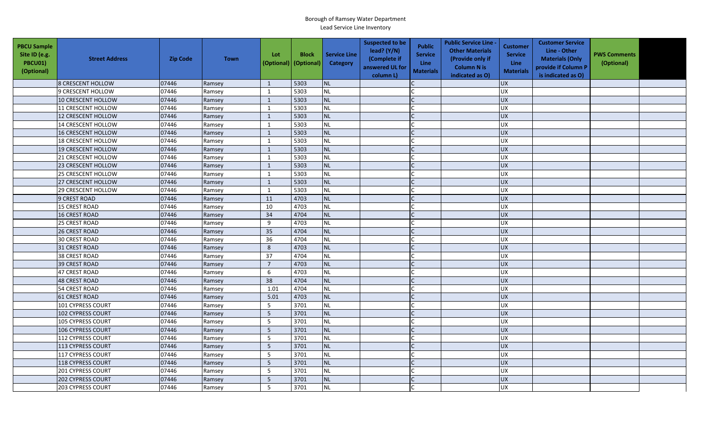| <b>PBCU Sample</b><br>Site ID (e.g.<br><b>PBCU01)</b><br>(Optional) | <b>Street Address</b>     | <b>Zip Code</b> | <b>Town</b> | Lot<br>(Optional) | <b>Block</b><br>(Optional) | <b>Service Line</b><br>Category | <b>Suspected to be</b><br>lead? $(Y/N)$<br>(Complete if<br>answered UL for<br>column L) | <b>Public</b><br><b>Service</b><br>Line<br><b>Materials</b> | <b>Public Service Line -</b><br><b>Other Materials</b><br>(Provide only if<br><b>Column N is</b><br>indicated as O) | <b>Customer</b><br><b>Service</b><br><b>Line</b><br><b>Materials</b> | <b>Customer Service</b><br>Line - Other<br><b>Materials (Only</b><br>provide if Column P<br>is indicated as O) | <b>PWS Comments</b><br>(Optional) |  |
|---------------------------------------------------------------------|---------------------------|-----------------|-------------|-------------------|----------------------------|---------------------------------|-----------------------------------------------------------------------------------------|-------------------------------------------------------------|---------------------------------------------------------------------------------------------------------------------|----------------------------------------------------------------------|----------------------------------------------------------------------------------------------------------------|-----------------------------------|--|
|                                                                     | 8 CRESCENT HOLLOW         | 07446           | Ramsey      | 1                 | 5303                       | NL                              |                                                                                         |                                                             |                                                                                                                     | <b>UX</b>                                                            |                                                                                                                |                                   |  |
|                                                                     | 9 CRESCENT HOLLOW         | 07446           | Ramsey      | $\mathbf{1}$      | 5303                       | NL                              |                                                                                         |                                                             |                                                                                                                     | UX                                                                   |                                                                                                                |                                   |  |
|                                                                     | <b>10 CRESCENT HOLLOW</b> | 07446           | Ramsey      | 1                 | 5303                       | NL                              |                                                                                         |                                                             |                                                                                                                     | <b>UX</b>                                                            |                                                                                                                |                                   |  |
|                                                                     | 11 CRESCENT HOLLOW        | 07446           | Ramsey      | 1                 | 5303                       | NL                              |                                                                                         |                                                             |                                                                                                                     | UX                                                                   |                                                                                                                |                                   |  |
|                                                                     | 12 CRESCENT HOLLOW        | 07446           | Ramsey      | 1                 | 5303                       | NL                              |                                                                                         |                                                             |                                                                                                                     | <b>UX</b>                                                            |                                                                                                                |                                   |  |
|                                                                     | 14 CRESCENT HOLLOW        | 07446           | Ramsey      | 1                 | 5303                       | <b>NL</b>                       |                                                                                         |                                                             |                                                                                                                     | <b>UX</b>                                                            |                                                                                                                |                                   |  |
|                                                                     | 16 CRESCENT HOLLOW        | 07446           | Ramsey      | $\mathbf{1}$      | 5303                       | <b>NL</b>                       |                                                                                         |                                                             |                                                                                                                     | <b>UX</b>                                                            |                                                                                                                |                                   |  |
|                                                                     | <b>18 CRESCENT HOLLOW</b> | 07446           | Ramsey      | 1                 | 5303                       | <b>NL</b>                       |                                                                                         |                                                             |                                                                                                                     | <b>UX</b>                                                            |                                                                                                                |                                   |  |
|                                                                     | 19 CRESCENT HOLLOW        | 07446           | Ramsey      | $\mathbf{1}$      | 5303                       | NL                              |                                                                                         |                                                             |                                                                                                                     | <b>UX</b>                                                            |                                                                                                                |                                   |  |
|                                                                     | 21 CRESCENT HOLLOW        | 07446           | Ramsey      | $\mathbf{1}$      | 5303                       | <b>NL</b>                       |                                                                                         | $\mathsf{C}$                                                |                                                                                                                     | <b>UX</b>                                                            |                                                                                                                |                                   |  |
|                                                                     | 23 CRESCENT HOLLOW        | 07446           | Ramsey      | $\mathbf{1}$      | 5303                       | NL                              |                                                                                         |                                                             |                                                                                                                     | UX                                                                   |                                                                                                                |                                   |  |
|                                                                     | 25 CRESCENT HOLLOW        | 07446           | Ramsey      | $\mathbf{1}$      | 5303                       | NL                              |                                                                                         |                                                             |                                                                                                                     | <b>UX</b>                                                            |                                                                                                                |                                   |  |
|                                                                     | 27 CRESCENT HOLLOW        | 07446           | Ramsey      | $\mathbf{1}$      | 5303                       | <b>NL</b>                       |                                                                                         |                                                             |                                                                                                                     | UX                                                                   |                                                                                                                |                                   |  |
|                                                                     | 29 CRESCENT HOLLOW        | 07446           | Ramsey      | $\mathbf{1}$      | 5303                       | NL                              |                                                                                         |                                                             |                                                                                                                     | <b>UX</b>                                                            |                                                                                                                |                                   |  |
|                                                                     | 9 CREST ROAD              | 07446           | Ramsey      | 11                | 4703                       | <b>NL</b>                       |                                                                                         |                                                             |                                                                                                                     | <b>UX</b>                                                            |                                                                                                                |                                   |  |
|                                                                     | 15 CREST ROAD             | 07446           | Ramsey      | 10                | 4703                       | NL                              |                                                                                         |                                                             |                                                                                                                     | <b>UX</b>                                                            |                                                                                                                |                                   |  |
|                                                                     | <b>16 CREST ROAD</b>      | 07446           | Ramsey      | 34                | 4704                       | <b>NL</b>                       |                                                                                         |                                                             |                                                                                                                     | <b>UX</b>                                                            |                                                                                                                |                                   |  |
|                                                                     | 25 CREST ROAD             | 07446           | Ramsey      | 9                 | 4703                       | NL                              |                                                                                         |                                                             |                                                                                                                     | <b>UX</b>                                                            |                                                                                                                |                                   |  |
|                                                                     | <b>26 CREST ROAD</b>      | 07446           | Ramsey      | 35                | 4704                       | <b>NL</b>                       |                                                                                         |                                                             |                                                                                                                     | <b>UX</b>                                                            |                                                                                                                |                                   |  |
|                                                                     | 30 CREST ROAD             | 07446           | Ramsey      | 36                | 4704                       | $\sf NL$                        |                                                                                         |                                                             |                                                                                                                     | <b>UX</b>                                                            |                                                                                                                |                                   |  |
|                                                                     | 31 CREST ROAD             | 07446           | Ramsey      | 8                 | 4703                       | <b>NL</b>                       |                                                                                         |                                                             |                                                                                                                     | <b>UX</b>                                                            |                                                                                                                |                                   |  |
|                                                                     | 38 CREST ROAD             | 07446           | Ramsey      | 37                | 4704                       | NL                              |                                                                                         |                                                             |                                                                                                                     | <b>UX</b>                                                            |                                                                                                                |                                   |  |
|                                                                     | <b>39 CREST ROAD</b>      | 07446           | Ramsey      | $\overline{7}$    | 4703                       | NL                              |                                                                                         |                                                             |                                                                                                                     | <b>UX</b>                                                            |                                                                                                                |                                   |  |
|                                                                     | 47 CREST ROAD             | 07446           | Ramsey      | 6                 | 4703                       | NL                              |                                                                                         |                                                             |                                                                                                                     | <b>UX</b>                                                            |                                                                                                                |                                   |  |
|                                                                     | <b>48 CREST ROAD</b>      | 07446           | Ramsey      | 38                | 4704                       | <b>NL</b>                       |                                                                                         |                                                             |                                                                                                                     | UX                                                                   |                                                                                                                |                                   |  |
|                                                                     | 54 CREST ROAD             | 07446           | Ramsey      | 1.01              | 4704                       | <b>NL</b>                       |                                                                                         |                                                             |                                                                                                                     | UX                                                                   |                                                                                                                |                                   |  |
|                                                                     | <b>61 CREST ROAD</b>      | 07446           | Ramsey      | 5.01              | 4703                       | <b>NL</b>                       |                                                                                         |                                                             |                                                                                                                     | <b>UX</b>                                                            |                                                                                                                |                                   |  |
|                                                                     | 101 CYPRESS COURT         | 07446           | Ramsey      | 5                 | 3701                       | <b>NL</b>                       |                                                                                         |                                                             |                                                                                                                     | <b>UX</b>                                                            |                                                                                                                |                                   |  |
|                                                                     | 102 CYPRESS COURT         | 07446           | Ramsey      | 5                 | 3701                       | <b>NL</b>                       |                                                                                         |                                                             |                                                                                                                     | <b>UX</b>                                                            |                                                                                                                |                                   |  |
|                                                                     | <b>105 CYPRESS COURT</b>  | 07446           | Ramsey      | 5                 | 3701                       | <b>NL</b>                       |                                                                                         |                                                             |                                                                                                                     | <b>UX</b>                                                            |                                                                                                                |                                   |  |
|                                                                     | 106 CYPRESS COURT         | 07446           | Ramsey      | 5                 | 3701                       | <b>NL</b>                       |                                                                                         |                                                             |                                                                                                                     | UX                                                                   |                                                                                                                |                                   |  |
|                                                                     | 112 CYPRESS COURT         | 07446           | Ramsey      | 5                 | 3701                       | <b>NL</b>                       |                                                                                         |                                                             |                                                                                                                     | UX                                                                   |                                                                                                                |                                   |  |
|                                                                     | 113 CYPRESS COURT         | 07446           | Ramsey      | $5\phantom{.0}$   | 3701                       | <b>NL</b>                       |                                                                                         |                                                             |                                                                                                                     | $\overline{UX}$                                                      |                                                                                                                |                                   |  |
|                                                                     | 117 CYPRESS COURT         | 07446           | Ramsey      | 5                 | 3701                       | <b>NL</b>                       |                                                                                         |                                                             |                                                                                                                     | UX                                                                   |                                                                                                                |                                   |  |
|                                                                     | 118 CYPRESS COURT         | 07446           | Ramsey      | $5\phantom{.0}$   | 3701                       | <b>NL</b>                       |                                                                                         |                                                             |                                                                                                                     | UX                                                                   |                                                                                                                |                                   |  |
|                                                                     | 201 CYPRESS COURT         | 07446           | Ramsey      | 5                 | 3701                       | <b>NL</b>                       |                                                                                         |                                                             |                                                                                                                     | <b>UX</b>                                                            |                                                                                                                |                                   |  |
|                                                                     | 202 CYPRESS COURT         | 07446           | Ramsey      | 5                 | 3701                       | <b>NL</b>                       |                                                                                         |                                                             |                                                                                                                     | <b>UX</b>                                                            |                                                                                                                |                                   |  |
|                                                                     | <b>203 CYPRESS COURT</b>  | 07446           | Ramsey      | 5                 | 3701                       | <b>NL</b>                       |                                                                                         |                                                             |                                                                                                                     | UX                                                                   |                                                                                                                |                                   |  |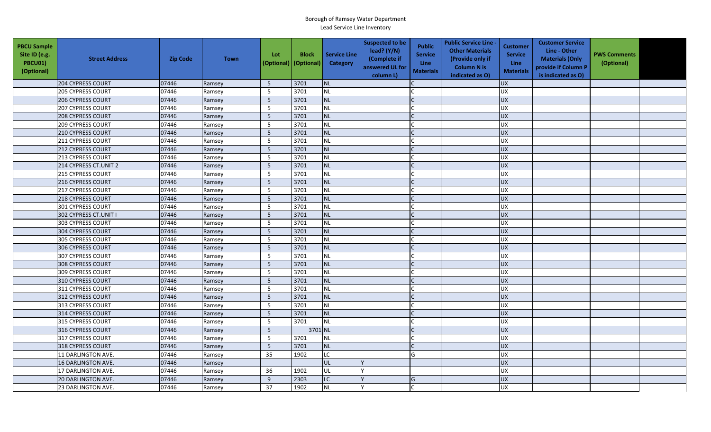| <b>PBCU Sample</b><br>Site ID (e.g.<br>PBCU01)<br>(Optional) | <b>Street Address</b>     | <b>Zip Code</b> | <b>Town</b> | Lot<br>(Optional) | <b>Block</b><br>(Optional) | <b>Service Line</b><br>Category | <b>Suspected to be</b><br>lead? (Y/N)<br>(Complete if<br>answered UL for<br>column L) | <b>Public</b><br><b>Service</b><br><b>Line</b><br><b>Materials</b> | <b>Public Service Line -</b><br><b>Other Materials</b><br>(Provide only if<br><b>Column N is</b><br>indicated as O) | <b>Customer</b><br><b>Service</b><br><b>Line</b><br><b>Materials</b> | <b>Customer Service</b><br>Line - Other<br><b>Materials (Only</b><br>provide if Column P<br>is indicated as O) | <b>PWS Comments</b><br>(Optional) |  |
|--------------------------------------------------------------|---------------------------|-----------------|-------------|-------------------|----------------------------|---------------------------------|---------------------------------------------------------------------------------------|--------------------------------------------------------------------|---------------------------------------------------------------------------------------------------------------------|----------------------------------------------------------------------|----------------------------------------------------------------------------------------------------------------|-----------------------------------|--|
|                                                              | 204 CYPRESS COURT         | 07446           | Ramsey      | 5                 | 3701                       | <b>NL</b>                       |                                                                                       |                                                                    |                                                                                                                     | <b>UX</b>                                                            |                                                                                                                |                                   |  |
|                                                              | <b>205 CYPRESS COURT</b>  | 07446           | Ramsey      | 5                 | 3701                       | <b>NL</b>                       |                                                                                       |                                                                    |                                                                                                                     | UX                                                                   |                                                                                                                |                                   |  |
|                                                              | <b>206 CYPRESS COURT</b>  | 07446           | Ramsey      | 5                 | 3701                       | NL                              |                                                                                       |                                                                    |                                                                                                                     | <b>UX</b>                                                            |                                                                                                                |                                   |  |
|                                                              | <b>207 CYPRESS COURT</b>  | 07446           | Ramsey      | 5                 | 3701                       | <b>NL</b>                       |                                                                                       |                                                                    |                                                                                                                     | <b>UX</b>                                                            |                                                                                                                |                                   |  |
|                                                              | <b>208 CYPRESS COURT</b>  | 07446           | Ramsey      | 5                 | 3701                       | <b>NL</b>                       |                                                                                       |                                                                    |                                                                                                                     | <b>UX</b>                                                            |                                                                                                                |                                   |  |
|                                                              | <b>209 CYPRESS COURT</b>  | 07446           | Ramsey      | 5                 | 3701                       | <b>NL</b>                       |                                                                                       |                                                                    |                                                                                                                     | <b>UX</b>                                                            |                                                                                                                |                                   |  |
|                                                              | 210 CYPRESS COURT         | 07446           | Ramsey      | 5                 | 3701                       | <b>NL</b>                       |                                                                                       |                                                                    |                                                                                                                     | <b>UX</b>                                                            |                                                                                                                |                                   |  |
|                                                              | 211 CYPRESS COURT         | 07446           | Ramsey      | 5                 | 3701                       | <b>NL</b>                       |                                                                                       |                                                                    |                                                                                                                     | UX                                                                   |                                                                                                                |                                   |  |
|                                                              | 212 CYPRESS COURT         | 07446           | Ramsey      | 5                 | 3701                       | <b>NL</b>                       |                                                                                       |                                                                    |                                                                                                                     | <b>UX</b>                                                            |                                                                                                                |                                   |  |
|                                                              | 213 CYPRESS COURT         | 07446           | Ramsey      | 5                 | 3701                       | <b>NL</b>                       |                                                                                       |                                                                    |                                                                                                                     | <b>UX</b>                                                            |                                                                                                                |                                   |  |
|                                                              | 214 CYPRESS CT.UNIT 2     | 07446           | Ramsey      | 5                 | 3701                       | <b>NL</b>                       |                                                                                       | $\mathsf{C}$                                                       |                                                                                                                     | <b>UX</b>                                                            |                                                                                                                |                                   |  |
|                                                              | 215 CYPRESS COURT         | 07446           | Ramsey      | 5                 | 3701                       | <b>NL</b>                       |                                                                                       |                                                                    |                                                                                                                     | UX                                                                   |                                                                                                                |                                   |  |
|                                                              | 216 CYPRESS COURT         | 07446           | Ramsey      | 5                 | 3701                       | <b>NL</b>                       |                                                                                       |                                                                    |                                                                                                                     | <b>UX</b>                                                            |                                                                                                                |                                   |  |
|                                                              | 217 CYPRESS COURT         | 07446           | Ramsey      | 5                 | 3701                       | NL                              |                                                                                       |                                                                    |                                                                                                                     | UX                                                                   |                                                                                                                |                                   |  |
|                                                              | 218 CYPRESS COURT         | 07446           | Ramsey      | $\sqrt{5}$        | 3701                       | <b>NL</b>                       |                                                                                       |                                                                    |                                                                                                                     | <b>UX</b>                                                            |                                                                                                                |                                   |  |
|                                                              | 301 CYPRESS COURT         | 07446           | Ramsey      | 5                 | 3701                       | <b>NL</b>                       |                                                                                       |                                                                    |                                                                                                                     | <b>UX</b>                                                            |                                                                                                                |                                   |  |
|                                                              | 302 CYPRESS CT.UNIT I     | 07446           | Ramsey      | 5                 | 3701                       | <b>NL</b>                       |                                                                                       |                                                                    |                                                                                                                     | UX                                                                   |                                                                                                                |                                   |  |
|                                                              | <b>303 CYPRESS COURT</b>  | 07446           | Ramsey      | 5                 | 3701                       | <b>NL</b>                       |                                                                                       |                                                                    |                                                                                                                     | <b>UX</b>                                                            |                                                                                                                |                                   |  |
|                                                              | 304 CYPRESS COURT         | 07446           | Ramsey      | $\overline{5}$    | 3701                       | <b>NL</b>                       |                                                                                       |                                                                    |                                                                                                                     | UX                                                                   |                                                                                                                |                                   |  |
|                                                              | 305 CYPRESS COURT         | 07446           | Ramsey      | 5                 | 3701                       | <b>NL</b>                       |                                                                                       |                                                                    |                                                                                                                     | <b>UX</b>                                                            |                                                                                                                |                                   |  |
|                                                              | 306 CYPRESS COURT         | 07446           | Ramsey      | $\overline{5}$    | 3701                       | <b>NL</b>                       |                                                                                       |                                                                    |                                                                                                                     | <b>UX</b>                                                            |                                                                                                                |                                   |  |
|                                                              | 307 CYPRESS COURT         | 07446           | Ramsey      | 5                 | 3701                       | <b>NL</b>                       |                                                                                       |                                                                    |                                                                                                                     | UX                                                                   |                                                                                                                |                                   |  |
|                                                              | 308 CYPRESS COURT         | 07446           | Ramsey      | 5                 | 3701                       | <b>NL</b>                       |                                                                                       |                                                                    |                                                                                                                     | <b>UX</b>                                                            |                                                                                                                |                                   |  |
|                                                              | 309 CYPRESS COURT         | 07446           | Ramsey      | 5                 | 3701                       | <b>NL</b>                       |                                                                                       |                                                                    |                                                                                                                     | UX                                                                   |                                                                                                                |                                   |  |
|                                                              | 310 CYPRESS COURT         | 07446           | Ramsey      | 5                 | 3701                       | <b>NL</b>                       |                                                                                       | $\mathsf{C}$                                                       |                                                                                                                     | <b>UX</b>                                                            |                                                                                                                |                                   |  |
|                                                              | 311 CYPRESS COURT         | 07446           | Ramsey      | 5                 | 3701                       | <b>NL</b>                       |                                                                                       |                                                                    |                                                                                                                     | <b>UX</b>                                                            |                                                                                                                |                                   |  |
|                                                              | 312 CYPRESS COURT         | 07446           | Ramsey      | 5                 | 3701                       | <b>NL</b>                       |                                                                                       |                                                                    |                                                                                                                     | <b>UX</b>                                                            |                                                                                                                |                                   |  |
|                                                              | 313 CYPRESS COURT         | 07446           | Ramsey      | 5                 | 3701                       | <b>NL</b>                       |                                                                                       |                                                                    |                                                                                                                     | <b>UX</b>                                                            |                                                                                                                |                                   |  |
|                                                              | 314 CYPRESS COURT         | 07446           | Ramsey      | 5                 | 3701                       | <b>NL</b>                       |                                                                                       |                                                                    |                                                                                                                     | <b>UX</b>                                                            |                                                                                                                |                                   |  |
|                                                              | 315 CYPRESS COURT         | 07446           | Ramsey      | 5                 | 3701                       | <b>NL</b>                       |                                                                                       |                                                                    |                                                                                                                     | UX                                                                   |                                                                                                                |                                   |  |
|                                                              | 316 CYPRESS COURT         | 07446           | Ramsey      | 5                 | 3701 NL                    |                                 |                                                                                       |                                                                    |                                                                                                                     | <b>UX</b>                                                            |                                                                                                                |                                   |  |
|                                                              | 317 CYPRESS COURT         | 07446           | Ramsey      | 5                 | 3701                       | <b>NL</b>                       |                                                                                       |                                                                    |                                                                                                                     | UX                                                                   |                                                                                                                |                                   |  |
|                                                              | 318 CYPRESS COURT         | 07446           | Ramsey      | $\overline{5}$    | 3701                       | <b>NL</b>                       |                                                                                       |                                                                    |                                                                                                                     | UX                                                                   |                                                                                                                |                                   |  |
|                                                              | 11 DARLINGTON AVE.        | 07446           | Ramsey      | 35                | 1902                       | <b>LC</b>                       |                                                                                       | G                                                                  |                                                                                                                     | <b>UX</b>                                                            |                                                                                                                |                                   |  |
|                                                              | 16 DARLINGTON AVE.        | 07446           | Ramsey      |                   |                            | <b>UL</b>                       |                                                                                       |                                                                    |                                                                                                                     | UX                                                                   |                                                                                                                |                                   |  |
|                                                              | 17 DARLINGTON AVE.        | 07446           | Ramsey      | 36                | 1902                       | UL                              |                                                                                       |                                                                    |                                                                                                                     | <b>UX</b>                                                            |                                                                                                                |                                   |  |
|                                                              | <b>20 DARLINGTON AVE.</b> | 07446           | Ramsey      | 9                 | 2303                       | LC                              |                                                                                       | G                                                                  |                                                                                                                     | <b>UX</b>                                                            |                                                                                                                |                                   |  |
|                                                              | 23 DARLINGTON AVE.        | 07446           | Ramsey      | 37                | 1902                       | <b>NL</b>                       |                                                                                       |                                                                    |                                                                                                                     | <b>UX</b>                                                            |                                                                                                                |                                   |  |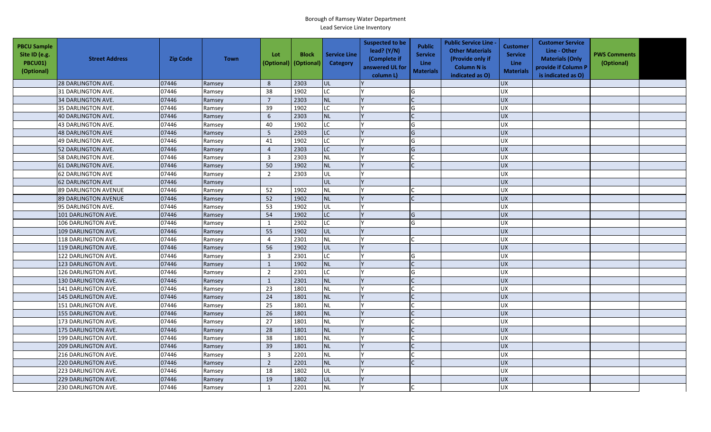| <b>PBCU Sample</b><br>Site ID (e.g.<br><b>PBCU01)</b><br>(Optional) | <b>Street Address</b>       | <b>Zip Code</b> | <b>Town</b> | Lot<br>(Optional)       | <b>Block</b><br>(Optional) | <b>Service Line</b><br>Category | <b>Suspected to be</b><br>lead? (Y/N)<br>(Complete if<br>answered UL for<br>column L) | <b>Public</b><br><b>Service</b><br>Line<br><b>Materials</b> | <b>Public Service Line -</b><br><b>Other Materials</b><br>(Provide only if<br><b>Column N is</b><br>indicated as O) | <b>Customer</b><br><b>Service</b><br><b>Line</b><br><b>Materials</b> | <b>Customer Service</b><br>Line - Other<br><b>Materials (Only</b><br>provide if Column P<br>is indicated as O) | <b>PWS Comments</b><br>(Optional) |  |
|---------------------------------------------------------------------|-----------------------------|-----------------|-------------|-------------------------|----------------------------|---------------------------------|---------------------------------------------------------------------------------------|-------------------------------------------------------------|---------------------------------------------------------------------------------------------------------------------|----------------------------------------------------------------------|----------------------------------------------------------------------------------------------------------------|-----------------------------------|--|
|                                                                     | 28 DARLINGTON AVE.          | 07446           | Ramsey      | 8                       | 2303                       | UL                              |                                                                                       |                                                             |                                                                                                                     | <b>UX</b>                                                            |                                                                                                                |                                   |  |
|                                                                     | 31 DARLINGTON AVE.          | 07446           | Ramsey      | 38                      | 1902                       | LC                              |                                                                                       | G                                                           |                                                                                                                     | <b>UX</b>                                                            |                                                                                                                |                                   |  |
|                                                                     | 34 DARLINGTON AVE.          | 07446           | Ramsey      | $\overline{7}$          | 2303                       | <b>NL</b>                       |                                                                                       |                                                             |                                                                                                                     | <b>UX</b>                                                            |                                                                                                                |                                   |  |
|                                                                     | 35 DARLINGTON AVE.          | 07446           | Ramsey      | 39                      | 1902                       | LC                              |                                                                                       | G                                                           |                                                                                                                     | UX                                                                   |                                                                                                                |                                   |  |
|                                                                     | 40 DARLINGTON AVE.          | 07446           | Ramsey      | 6                       | 2303                       | NL                              |                                                                                       |                                                             |                                                                                                                     | <b>UX</b>                                                            |                                                                                                                |                                   |  |
|                                                                     | 43 DARLINGTON AVE.          | 07446           | Ramsey      | 40                      | 1902                       | LC                              |                                                                                       | G                                                           |                                                                                                                     | <b>UX</b>                                                            |                                                                                                                |                                   |  |
|                                                                     | <b>48 DARLINGTON AVE</b>    | 07446           | Ramsey      | 5                       | 2303                       | LC                              |                                                                                       | G                                                           |                                                                                                                     | <b>UX</b>                                                            |                                                                                                                |                                   |  |
|                                                                     | 49 DARLINGTON AVE.          | 07446           | Ramsey      | 41                      | 1902                       | LC                              |                                                                                       | G                                                           |                                                                                                                     | <b>UX</b>                                                            |                                                                                                                |                                   |  |
|                                                                     | 52 DARLINGTON AVE.          | 07446           | Ramsey      | $\overline{4}$          | 2303                       | <b>LC</b>                       |                                                                                       | G                                                           |                                                                                                                     | UX                                                                   |                                                                                                                |                                   |  |
|                                                                     | 58 DARLINGTON AVE.          | 07446           | Ramsey      | $\overline{\mathbf{3}}$ | 2303                       | <b>NL</b>                       |                                                                                       |                                                             |                                                                                                                     | <b>UX</b>                                                            |                                                                                                                |                                   |  |
|                                                                     | 61 DARLINGTON AVE.          | 07446           | Ramsey      | 50                      | 1902                       | <b>NL</b>                       |                                                                                       | $\mathcal{C}$                                               |                                                                                                                     | <b>UX</b>                                                            |                                                                                                                |                                   |  |
|                                                                     | <b>62 DARLINGTON AVE</b>    | 07446           | Ramsey      | $\overline{2}$          | 2303                       | UL                              |                                                                                       |                                                             |                                                                                                                     | <b>UX</b>                                                            |                                                                                                                |                                   |  |
|                                                                     | <b>62 DARLINGTON AVE</b>    | 07446           | Ramsey      |                         |                            | UL                              |                                                                                       |                                                             |                                                                                                                     | <b>UX</b>                                                            |                                                                                                                |                                   |  |
|                                                                     | 89 DARLINGTON AVENUE        | 07446           | Ramsey      | 52                      | 1902                       | <b>NL</b>                       |                                                                                       |                                                             |                                                                                                                     | UX                                                                   |                                                                                                                |                                   |  |
|                                                                     | <b>89 DARLINGTON AVENUE</b> | 07446           | Ramsey      | 52                      | 1902                       | <b>NL</b>                       |                                                                                       |                                                             |                                                                                                                     | <b>UX</b>                                                            |                                                                                                                |                                   |  |
|                                                                     | 95 DARLINGTON AVE.          | 07446           | Ramsey      | 53                      | 1902                       | UL                              |                                                                                       |                                                             |                                                                                                                     | <b>UX</b>                                                            |                                                                                                                |                                   |  |
|                                                                     | 101 DARLINGTON AVE.         | 07446           | Ramsey      | 54                      | 1902                       | <b>LC</b>                       |                                                                                       | G                                                           |                                                                                                                     | <b>UX</b>                                                            |                                                                                                                |                                   |  |
|                                                                     | 106 DARLINGTON AVE.         | 07446           | Ramsey      | 1                       | 2302                       | <b>LC</b>                       |                                                                                       | G                                                           |                                                                                                                     | UX                                                                   |                                                                                                                |                                   |  |
|                                                                     | 109 DARLINGTON AVE.         | 07446           | Ramsey      | 55                      | 1902                       | UL                              |                                                                                       |                                                             |                                                                                                                     | <b>UX</b>                                                            |                                                                                                                |                                   |  |
|                                                                     | 118 DARLINGTON AVE.         | 07446           | Ramsey      | $\overline{4}$          | 2301                       | <b>NL</b>                       |                                                                                       |                                                             |                                                                                                                     | <b>UX</b>                                                            |                                                                                                                |                                   |  |
|                                                                     | 119 DARLINGTON AVE.         | 07446           | Ramsey      | 56                      | 1902                       | UL                              |                                                                                       |                                                             |                                                                                                                     | <b>UX</b>                                                            |                                                                                                                |                                   |  |
|                                                                     | 122 DARLINGTON AVE.         | 07446           | Ramsey      | $\overline{3}$          | 2301                       | <b>LC</b>                       |                                                                                       | G                                                           |                                                                                                                     | <b>UX</b>                                                            |                                                                                                                |                                   |  |
|                                                                     | 123 DARLINGTON AVE.         | 07446           | Ramsey      | $\mathbf{1}$            | 1902                       | <b>NL</b>                       |                                                                                       |                                                             |                                                                                                                     | <b>UX</b>                                                            |                                                                                                                |                                   |  |
|                                                                     | 126 DARLINGTON AVE.         | 07446           | Ramsey      | $\overline{2}$          | 2301                       | LC                              |                                                                                       | G                                                           |                                                                                                                     | <b>UX</b>                                                            |                                                                                                                |                                   |  |
|                                                                     | 130 DARLINGTON AVE.         | 07446           | Ramsey      | $\mathbf{1}$            | 2301                       | <b>NL</b>                       |                                                                                       | $\mathsf{C}$                                                |                                                                                                                     | <b>UX</b>                                                            |                                                                                                                |                                   |  |
|                                                                     | 141 DARLINGTON AVE.         | 07446           | Ramsey      | 23                      | 1801                       | <b>NL</b>                       |                                                                                       |                                                             |                                                                                                                     | UX                                                                   |                                                                                                                |                                   |  |
|                                                                     | 145 DARLINGTON AVE.         | 07446           | Ramsey      | 24                      | 1801                       | <b>NL</b>                       |                                                                                       |                                                             |                                                                                                                     | <b>UX</b>                                                            |                                                                                                                |                                   |  |
|                                                                     | 151 DARLINGTON AVE.         | 07446           | Ramsey      | 25                      | 1801                       | <b>NL</b>                       |                                                                                       |                                                             |                                                                                                                     | <b>UX</b>                                                            |                                                                                                                |                                   |  |
|                                                                     | 155 DARLINGTON AVE.         | 07446           | Ramsey      | 26                      | 1801                       | <b>NL</b>                       |                                                                                       |                                                             |                                                                                                                     | <b>UX</b>                                                            |                                                                                                                |                                   |  |
|                                                                     | 173 DARLINGTON AVE.         | 07446           | Ramsey      | 27                      | 1801                       | <b>NL</b>                       |                                                                                       |                                                             |                                                                                                                     | <b>UX</b>                                                            |                                                                                                                |                                   |  |
|                                                                     | 175 DARLINGTON AVE.         | 07446           | Ramsey      | 28                      | 1801                       | <b>NL</b>                       |                                                                                       |                                                             |                                                                                                                     | <b>UX</b>                                                            |                                                                                                                |                                   |  |
|                                                                     | 199 DARLINGTON AVE.         | 07446           | Ramsey      | 38                      | 1801                       | <b>NL</b>                       |                                                                                       |                                                             |                                                                                                                     | <b>UX</b>                                                            |                                                                                                                |                                   |  |
|                                                                     | 209 DARLINGTON AVE.         | 07446           | Ramsey      | 39                      | 1801                       | <b>NL</b>                       |                                                                                       |                                                             |                                                                                                                     | $\overline{UX}$                                                      |                                                                                                                |                                   |  |
|                                                                     | 216 DARLINGTON AVE.         | 07446           | Ramsey      | $\overline{3}$          | 2201                       | NL                              |                                                                                       |                                                             |                                                                                                                     | UX                                                                   |                                                                                                                |                                   |  |
|                                                                     | 220 DARLINGTON AVE.         | 07446           | Ramsey      | $\overline{2}$          | 2201                       | <b>NL</b>                       |                                                                                       |                                                             |                                                                                                                     | UX                                                                   |                                                                                                                |                                   |  |
|                                                                     | 223 DARLINGTON AVE.         | 07446           | Ramsey      | 18                      | 1802                       | UL                              |                                                                                       |                                                             |                                                                                                                     | <b>UX</b>                                                            |                                                                                                                |                                   |  |
|                                                                     | 229 DARLINGTON AVE.         | 07446           | Ramsey      | 19                      | 1802                       | UL                              |                                                                                       |                                                             |                                                                                                                     | <b>UX</b>                                                            |                                                                                                                |                                   |  |
|                                                                     | 230 DARLINGTON AVE.         | 07446           | Ramsey      | 1                       | 2201                       | <b>NL</b>                       |                                                                                       |                                                             |                                                                                                                     | UX                                                                   |                                                                                                                |                                   |  |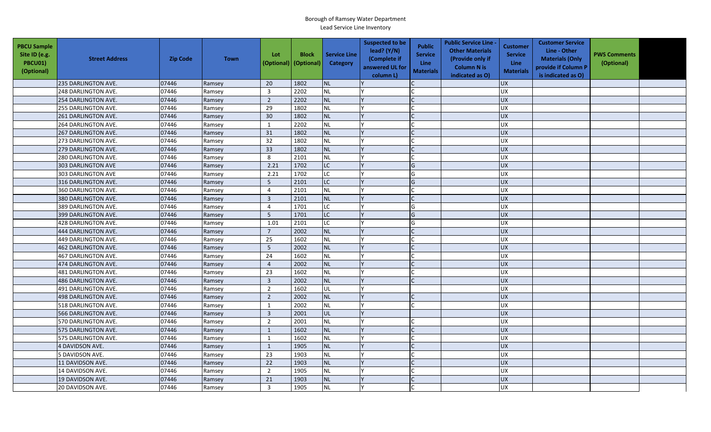| <b>PBCU Sample</b><br>Site ID (e.g.<br>PBCU01)<br>(Optional) | <b>Street Address</b> | <b>Zip Code</b> | <b>Town</b> | Lot<br>(Optional) | <b>Block</b><br>(Optional) | <b>Service Line</b><br>Category | <b>Suspected to be</b><br>lead? (Y/N)<br>(Complete if<br>answered UL for<br>column L) | <b>Public</b><br><b>Service</b><br>Line<br><b>Materials</b> | <b>Public Service Line -</b><br><b>Other Materials</b><br>(Provide only if<br><b>Column N is</b><br>indicated as O) | <b>Customer</b><br><b>Service</b><br><b>Line</b><br><b>Materials</b> | <b>Customer Service</b><br>Line - Other<br><b>Materials (Only</b><br>provide if Column P<br>is indicated as O) | <b>PWS Comments</b><br>(Optional) |  |
|--------------------------------------------------------------|-----------------------|-----------------|-------------|-------------------|----------------------------|---------------------------------|---------------------------------------------------------------------------------------|-------------------------------------------------------------|---------------------------------------------------------------------------------------------------------------------|----------------------------------------------------------------------|----------------------------------------------------------------------------------------------------------------|-----------------------------------|--|
|                                                              | 235 DARLINGTON AVE.   | 07446           | Ramsey      | 20                | 1802                       | <b>NL</b>                       |                                                                                       |                                                             |                                                                                                                     | <b>UX</b>                                                            |                                                                                                                |                                   |  |
|                                                              | 248 DARLINGTON AVE.   | 07446           | Ramsey      | $\overline{3}$    | 2202                       | <b>NL</b>                       |                                                                                       |                                                             |                                                                                                                     | <b>UX</b>                                                            |                                                                                                                |                                   |  |
|                                                              | 254 DARLINGTON AVE.   | 07446           | Ramsey      | $\overline{2}$    | 2202                       | <b>NL</b>                       |                                                                                       |                                                             |                                                                                                                     | <b>UX</b>                                                            |                                                                                                                |                                   |  |
|                                                              | 255 DARLINGTON AVE.   | 07446           | Ramsey      | 29                | 1802                       | <b>NL</b>                       |                                                                                       |                                                             |                                                                                                                     | <b>UX</b>                                                            |                                                                                                                |                                   |  |
|                                                              | 261 DARLINGTON AVE.   | 07446           | Ramsey      | 30                | 1802                       | <b>NL</b>                       |                                                                                       |                                                             |                                                                                                                     | <b>UX</b>                                                            |                                                                                                                |                                   |  |
|                                                              | 264 DARLINGTON AVE.   | 07446           | Ramsey      | 1                 | 2202                       | <b>NL</b>                       |                                                                                       |                                                             |                                                                                                                     | <b>UX</b>                                                            |                                                                                                                |                                   |  |
|                                                              | 267 DARLINGTON AVE.   | 07446           | Ramsey      | 31                | 1802                       | <b>NL</b>                       |                                                                                       |                                                             |                                                                                                                     | <b>UX</b>                                                            |                                                                                                                |                                   |  |
|                                                              | 273 DARLINGTON AVE.   | 07446           | Ramsey      | 32                | 1802                       | <b>NL</b>                       |                                                                                       |                                                             |                                                                                                                     | UX                                                                   |                                                                                                                |                                   |  |
|                                                              | 279 DARLINGTON AVE.   | 07446           | Ramsey      | 33                | 1802                       | <b>NL</b>                       |                                                                                       | $\mathsf{C}$                                                |                                                                                                                     | <b>UX</b>                                                            |                                                                                                                |                                   |  |
|                                                              | 280 DARLINGTON AVE.   | 07446           | Ramsey      | 8                 | 2101                       | <b>NL</b>                       |                                                                                       |                                                             |                                                                                                                     | UX                                                                   |                                                                                                                |                                   |  |
|                                                              | 303 DARLINGTON AVE    | 07446           | Ramsey      | 2.21              | 1702                       | LC                              |                                                                                       | G                                                           |                                                                                                                     | <b>UX</b>                                                            |                                                                                                                |                                   |  |
|                                                              | 303 DARLINGTON AVE    | 07446           | Ramsey      | 2.21              | 1702                       | <b>LC</b>                       |                                                                                       | G                                                           |                                                                                                                     | <b>UX</b>                                                            |                                                                                                                |                                   |  |
|                                                              | 316 DARLINGTON AVE.   | 07446           | Ramsey      | 5                 | 2101                       | <b>LC</b>                       |                                                                                       | G                                                           |                                                                                                                     | <b>UX</b>                                                            |                                                                                                                |                                   |  |
|                                                              | 360 DARLINGTON AVE.   | 07446           | Ramsey      | $\overline{4}$    | 2101                       | <b>NL</b>                       |                                                                                       |                                                             |                                                                                                                     | UX                                                                   |                                                                                                                |                                   |  |
|                                                              | 380 DARLINGTON AVE.   | 07446           | Ramsey      | $\overline{3}$    | 2101                       | <b>NL</b>                       |                                                                                       |                                                             |                                                                                                                     | <b>UX</b>                                                            |                                                                                                                |                                   |  |
|                                                              | 389 DARLINGTON AVE.   | 07446           | Ramsey      | $\overline{4}$    | 1701                       | <b>LC</b>                       |                                                                                       | G                                                           |                                                                                                                     | <b>UX</b>                                                            |                                                                                                                |                                   |  |
|                                                              | 399 DARLINGTON AVE.   | 07446           | Ramsey      | 5                 | 1701                       | <b>LC</b>                       |                                                                                       | G                                                           |                                                                                                                     | UX                                                                   |                                                                                                                |                                   |  |
|                                                              | 428 DARLINGTON AVE.   | 07446           | Ramsey      | 1.01              | 2101                       | <b>LC</b>                       |                                                                                       | G                                                           |                                                                                                                     | <b>UX</b>                                                            |                                                                                                                |                                   |  |
|                                                              | 444 DARLINGTON AVE.   | 07446           | Ramsey      | $\overline{7}$    | 2002                       | <b>NL</b>                       |                                                                                       |                                                             |                                                                                                                     | <b>UX</b>                                                            |                                                                                                                |                                   |  |
|                                                              | 449 DARLINGTON AVE.   | 07446           | Ramsey      | 25                | 1602                       | <b>NL</b>                       |                                                                                       |                                                             |                                                                                                                     | UX                                                                   |                                                                                                                |                                   |  |
|                                                              | 462 DARLINGTON AVE.   | 07446           | Ramsey      | $5\phantom{.0}$   | 2002                       | <b>NL</b>                       |                                                                                       |                                                             |                                                                                                                     | UX                                                                   |                                                                                                                |                                   |  |
|                                                              | 467 DARLINGTON AVE.   | 07446           | Ramsey      | 24                | 1602                       | <b>NL</b>                       |                                                                                       |                                                             |                                                                                                                     | UX                                                                   |                                                                                                                |                                   |  |
|                                                              | 474 DARLINGTON AVE.   | 07446           | Ramsey      | $\overline{4}$    | 2002                       | <b>NL</b>                       |                                                                                       |                                                             |                                                                                                                     | <b>UX</b>                                                            |                                                                                                                |                                   |  |
|                                                              | 481 DARLINGTON AVE.   | 07446           | Ramsey      | 23                | 1602                       | <b>NL</b>                       |                                                                                       |                                                             |                                                                                                                     | <b>UX</b>                                                            |                                                                                                                |                                   |  |
|                                                              | 486 DARLINGTON AVE.   | 07446           | Ramsey      | $\overline{3}$    | 2002                       | <b>NL</b>                       |                                                                                       | $\mathsf{C}$                                                |                                                                                                                     | <b>UX</b>                                                            |                                                                                                                |                                   |  |
|                                                              | 491 DARLINGTON AVE.   | 07446           | Ramsey      | $\overline{2}$    | 1602                       | UL                              |                                                                                       |                                                             |                                                                                                                     | <b>UX</b>                                                            |                                                                                                                |                                   |  |
|                                                              | 498 DARLINGTON AVE.   | 07446           | Ramsey      | $\overline{2}$    | 2002                       | <b>NL</b>                       |                                                                                       |                                                             |                                                                                                                     | <b>UX</b>                                                            |                                                                                                                |                                   |  |
|                                                              | 518 DARLINGTON AVE.   | 07446           | Ramsey      | 1                 | 2002                       | <b>NL</b>                       |                                                                                       |                                                             |                                                                                                                     | <b>UX</b>                                                            |                                                                                                                |                                   |  |
|                                                              | 566 DARLINGTON AVE.   | 07446           | Ramsey      | $\overline{3}$    | 2001                       | UL                              |                                                                                       |                                                             |                                                                                                                     | <b>UX</b>                                                            |                                                                                                                |                                   |  |
|                                                              | 570 DARLINGTON AVE.   | 07446           | Ramsey      | $\overline{2}$    | 2001                       | <b>NL</b>                       |                                                                                       |                                                             |                                                                                                                     | UX                                                                   |                                                                                                                |                                   |  |
|                                                              | 575 DARLINGTON AVE.   | 07446           | Ramsey      | $\mathbf{1}$      | 1602                       | <b>NL</b>                       |                                                                                       |                                                             |                                                                                                                     | <b>UX</b>                                                            |                                                                                                                |                                   |  |
|                                                              | 575 DARLINGTON AVE.   | 07446           | Ramsey      | $\mathbf{1}$      | 1602                       | <b>NL</b>                       |                                                                                       |                                                             |                                                                                                                     | <b>UX</b>                                                            |                                                                                                                |                                   |  |
|                                                              | 4 DAVIDSON AVE.       | 07446           | Ramsey      | $\mathbf{1}$      | 1905                       | <b>NL</b>                       |                                                                                       |                                                             |                                                                                                                     | <b>UX</b>                                                            |                                                                                                                |                                   |  |
|                                                              | 5 DAVIDSON AVE.       | 07446           | Ramsey      | 23                | 1903                       | <b>NL</b>                       |                                                                                       |                                                             |                                                                                                                     | <b>UX</b>                                                            |                                                                                                                |                                   |  |
|                                                              | 11 DAVIDSON AVE.      | 07446           | Ramsey      | 22                | 1903                       | <b>NL</b>                       |                                                                                       |                                                             |                                                                                                                     | <b>UX</b>                                                            |                                                                                                                |                                   |  |
|                                                              | 14 DAVIDSON AVE.      | 07446           | Ramsey      | $\overline{2}$    | 1905                       | <b>NL</b>                       |                                                                                       |                                                             |                                                                                                                     | <b>UX</b>                                                            |                                                                                                                |                                   |  |
|                                                              | 19 DAVIDSON AVE.      | 07446           | Ramsey      | 21                | 1903                       | <b>NL</b>                       |                                                                                       |                                                             |                                                                                                                     | <b>UX</b>                                                            |                                                                                                                |                                   |  |
|                                                              | 20 DAVIDSON AVE.      | 07446           | Ramsey      | $\overline{3}$    | 1905                       | <b>NL</b>                       |                                                                                       |                                                             |                                                                                                                     | <b>UX</b>                                                            |                                                                                                                |                                   |  |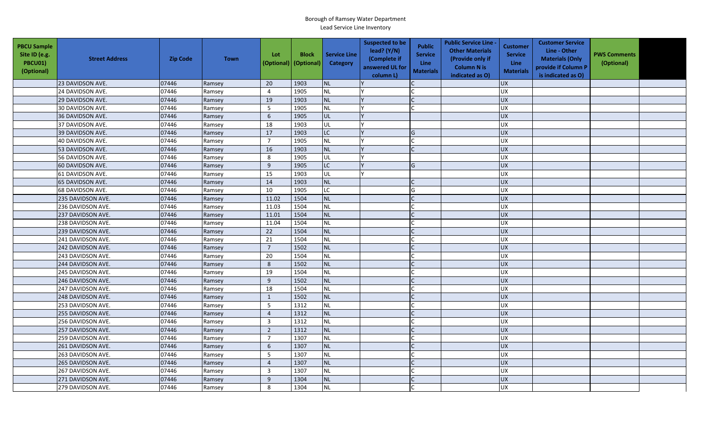| <b>PBCU Sample</b><br>Site ID (e.g.<br>PBCU01)<br>(Optional) | <b>Street Address</b> | <b>Zip Code</b> | <b>Town</b> | Lot<br>(Optional) | <b>Block</b><br>(Optional) | <b>Service Line</b><br>Category | <b>Suspected to be</b><br>lead? (Y/N)<br>(Complete if<br>answered UL for<br>column L) | <b>Public</b><br><b>Service</b><br><b>Line</b><br><b>Materials</b> | <b>Public Service Line -</b><br><b>Other Materials</b><br>(Provide only if<br><b>Column N is</b><br>indicated as O) | <b>Customer</b><br><b>Service</b><br><b>Line</b><br><b>Materials</b> | <b>Customer Service</b><br>Line - Other<br><b>Materials (Only</b><br>provide if Column P<br>is indicated as O) | <b>PWS Comments</b><br>(Optional) |  |
|--------------------------------------------------------------|-----------------------|-----------------|-------------|-------------------|----------------------------|---------------------------------|---------------------------------------------------------------------------------------|--------------------------------------------------------------------|---------------------------------------------------------------------------------------------------------------------|----------------------------------------------------------------------|----------------------------------------------------------------------------------------------------------------|-----------------------------------|--|
|                                                              | 23 DAVIDSON AVE.      | 07446           | Ramsey      | 20                | 1903                       | <b>NL</b>                       |                                                                                       |                                                                    |                                                                                                                     | <b>UX</b>                                                            |                                                                                                                |                                   |  |
|                                                              | 24 DAVIDSON AVE.      | 07446           | Ramsey      | $\overline{4}$    | 1905                       | NL                              |                                                                                       |                                                                    |                                                                                                                     | UX                                                                   |                                                                                                                |                                   |  |
|                                                              | 29 DAVIDSON AVE.      | 07446           | Ramsey      | 19                | 1903                       | <b>NL</b>                       |                                                                                       |                                                                    |                                                                                                                     | <b>UX</b>                                                            |                                                                                                                |                                   |  |
|                                                              | 30 DAVIDSON AVE.      | 07446           | Ramsey      | 5                 | 1905                       | <b>NL</b>                       |                                                                                       |                                                                    |                                                                                                                     | <b>UX</b>                                                            |                                                                                                                |                                   |  |
|                                                              | 36 DAVIDSON AVE.      | 07446           | Ramsey      | 6                 | 1905                       | UL                              |                                                                                       |                                                                    |                                                                                                                     | <b>UX</b>                                                            |                                                                                                                |                                   |  |
|                                                              | 37 DAVIDSON AVE.      | 07446           | Ramsey      | 18                | 1903                       | UL                              |                                                                                       |                                                                    |                                                                                                                     | <b>UX</b>                                                            |                                                                                                                |                                   |  |
|                                                              | 39 DAVIDSON AVE.      | 07446           | Ramsey      | $17\,$            | 1903                       | LC.                             |                                                                                       | G                                                                  |                                                                                                                     | <b>UX</b>                                                            |                                                                                                                |                                   |  |
|                                                              | 40 DAVIDSON AVE.      | 07446           | Ramsey      | $\overline{7}$    | 1905                       | <b>NL</b>                       |                                                                                       |                                                                    |                                                                                                                     | <b>UX</b>                                                            |                                                                                                                |                                   |  |
|                                                              | 53 DAVIDSON AVE.      | 07446           | Ramsey      | 16                | 1903                       | <b>NL</b>                       |                                                                                       | $\mathsf{C}$                                                       |                                                                                                                     | UX                                                                   |                                                                                                                |                                   |  |
|                                                              | 56 DAVIDSON AVE.      | 07446           | Ramsey      | 8                 | 1905                       | UL                              |                                                                                       |                                                                    |                                                                                                                     | <b>UX</b>                                                            |                                                                                                                |                                   |  |
|                                                              | 60 DAVIDSON AVE.      | 07446           | Ramsey      | 9                 | 1905                       | LC.                             |                                                                                       | G                                                                  |                                                                                                                     | <b>UX</b>                                                            |                                                                                                                |                                   |  |
|                                                              | 61 DAVIDSON AVE.      | 07446           | Ramsey      | 15                | 1903                       | UL                              |                                                                                       |                                                                    |                                                                                                                     | UX                                                                   |                                                                                                                |                                   |  |
|                                                              | 65 DAVIDSON AVE.      | 07446           | Ramsey      | 14                | 1903                       | <b>NL</b>                       |                                                                                       |                                                                    |                                                                                                                     | <b>UX</b>                                                            |                                                                                                                |                                   |  |
|                                                              | 68 DAVIDSON AVE.      | 07446           | Ramsey      | 10                | 1905                       | LC.                             |                                                                                       | G                                                                  |                                                                                                                     | UX                                                                   |                                                                                                                |                                   |  |
|                                                              | 235 DAVIDSON AVE.     | 07446           | Ramsey      | 11.02             | 1504                       | <b>NL</b>                       |                                                                                       |                                                                    |                                                                                                                     | <b>UX</b>                                                            |                                                                                                                |                                   |  |
|                                                              | 236 DAVIDSON AVE.     | 07446           | Ramsey      | 11.03             | 1504                       | <b>NL</b>                       |                                                                                       |                                                                    |                                                                                                                     | <b>UX</b>                                                            |                                                                                                                |                                   |  |
|                                                              | 237 DAVIDSON AVE.     | 07446           | Ramsey      | 11.01             | 1504                       | <b>NL</b>                       |                                                                                       |                                                                    |                                                                                                                     | UX                                                                   |                                                                                                                |                                   |  |
|                                                              | 238 DAVIDSON AVE.     | 07446           | Ramsey      | 11.04             | 1504                       | <b>NL</b>                       |                                                                                       |                                                                    |                                                                                                                     | <b>UX</b>                                                            |                                                                                                                |                                   |  |
|                                                              | 239 DAVIDSON AVE.     | 07446           | Ramsey      | 22                | 1504                       | <b>NL</b>                       |                                                                                       |                                                                    |                                                                                                                     | UX                                                                   |                                                                                                                |                                   |  |
|                                                              | 241 DAVIDSON AVE.     | 07446           | Ramsey      | 21                | 1504                       | <b>NL</b>                       |                                                                                       |                                                                    |                                                                                                                     | <b>UX</b>                                                            |                                                                                                                |                                   |  |
|                                                              | 242 DAVIDSON AVE.     | 07446           | Ramsey      | $\overline{7}$    | 1502                       | <b>NL</b>                       |                                                                                       |                                                                    |                                                                                                                     | <b>UX</b>                                                            |                                                                                                                |                                   |  |
|                                                              | 243 DAVIDSON AVE.     | 07446           | Ramsey      | 20                | 1504                       | <b>NL</b>                       |                                                                                       |                                                                    |                                                                                                                     | <b>UX</b>                                                            |                                                                                                                |                                   |  |
|                                                              | 244 DAVIDSON AVE.     | 07446           | Ramsey      | 8                 | 1502                       | <b>NL</b>                       |                                                                                       |                                                                    |                                                                                                                     | <b>UX</b>                                                            |                                                                                                                |                                   |  |
|                                                              | 245 DAVIDSON AVE.     | 07446           | Ramsey      | 19                | 1504                       | <b>NL</b>                       |                                                                                       |                                                                    |                                                                                                                     | UX                                                                   |                                                                                                                |                                   |  |
|                                                              | 246 DAVIDSON AVE.     | 07446           | Ramsey      | 9                 | 1502                       | <b>NL</b>                       |                                                                                       | $\mathsf{C}$                                                       |                                                                                                                     | <b>UX</b>                                                            |                                                                                                                |                                   |  |
|                                                              | 247 DAVIDSON AVE.     | 07446           | Ramsey      | 18                | 1504                       | <b>NL</b>                       |                                                                                       |                                                                    |                                                                                                                     | <b>UX</b>                                                            |                                                                                                                |                                   |  |
|                                                              | 248 DAVIDSON AVE.     | 07446           | Ramsey      | $\mathbf{1}$      | 1502                       | <b>NL</b>                       |                                                                                       |                                                                    |                                                                                                                     | <b>UX</b>                                                            |                                                                                                                |                                   |  |
|                                                              | 253 DAVIDSON AVE.     | 07446           | Ramsey      | 5                 | 1312                       | <b>NL</b>                       |                                                                                       |                                                                    |                                                                                                                     | <b>UX</b>                                                            |                                                                                                                |                                   |  |
|                                                              | 255 DAVIDSON AVE.     | 07446           | Ramsey      | $\overline{4}$    | 1312                       | NL                              |                                                                                       |                                                                    |                                                                                                                     | <b>UX</b>                                                            |                                                                                                                |                                   |  |
|                                                              | 256 DAVIDSON AVE.     | 07446           | Ramsey      | $\overline{3}$    | 1312                       | <b>NL</b>                       |                                                                                       |                                                                    |                                                                                                                     | <b>UX</b>                                                            |                                                                                                                |                                   |  |
|                                                              | 257 DAVIDSON AVE.     | 07446           | Ramsey      | $\overline{2}$    | 1312                       | <b>NL</b>                       |                                                                                       |                                                                    |                                                                                                                     | <b>UX</b>                                                            |                                                                                                                |                                   |  |
|                                                              | 259 DAVIDSON AVE.     | 07446           | Ramsey      | $\overline{7}$    | 1307                       | <b>NL</b>                       |                                                                                       |                                                                    |                                                                                                                     | UX                                                                   |                                                                                                                |                                   |  |
|                                                              | 261 DAVIDSON AVE.     | 07446           | Ramsey      | 6                 | 1307                       | <b>NL</b>                       |                                                                                       |                                                                    |                                                                                                                     | UX                                                                   |                                                                                                                |                                   |  |
|                                                              | 263 DAVIDSON AVE.     | 07446           | Ramsey      | 5                 | 1307                       | <b>NL</b>                       |                                                                                       |                                                                    |                                                                                                                     | <b>UX</b>                                                            |                                                                                                                |                                   |  |
|                                                              | 265 DAVIDSON AVE.     | 07446           | Ramsey      | $\overline{4}$    | 1307                       | <b>NL</b>                       |                                                                                       |                                                                    |                                                                                                                     | UX                                                                   |                                                                                                                |                                   |  |
|                                                              | 267 DAVIDSON AVE.     | 07446           | Ramsey      | $\overline{3}$    | 1307                       | <b>NL</b>                       |                                                                                       |                                                                    |                                                                                                                     | <b>UX</b>                                                            |                                                                                                                |                                   |  |
|                                                              | 271 DAVIDSON AVE.     | 07446           | Ramsey      | 9                 | 1304                       | <b>NL</b>                       |                                                                                       |                                                                    |                                                                                                                     | <b>UX</b>                                                            |                                                                                                                |                                   |  |
|                                                              | 279 DAVIDSON AVE.     | 07446           | Ramsey      | 8                 | 1304                       | <b>NL</b>                       |                                                                                       |                                                                    |                                                                                                                     | <b>UX</b>                                                            |                                                                                                                |                                   |  |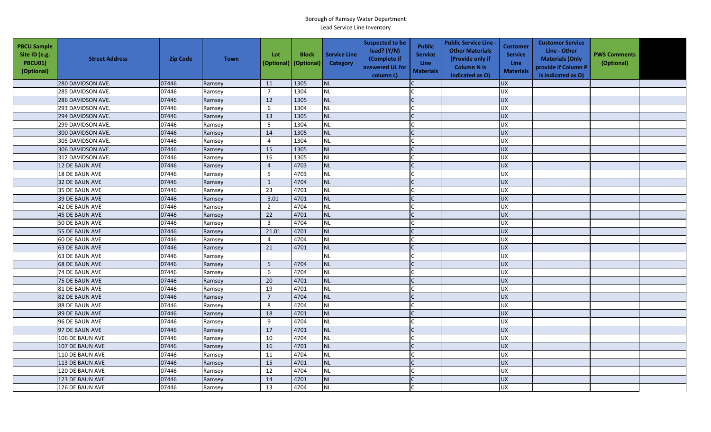| <b>PBCU Sample</b><br>Site ID (e.g.<br>PBCU01)<br>(Optional) | <b>Street Address</b> | <b>Zip Code</b> | <b>Town</b> | Lot             | <b>Block</b><br>(Optional) (Optional) | <b>Service Line</b><br>Category | <b>Suspected to be</b><br>lead? $(Y/N)$<br>(Complete if<br>answered UL for<br>column L) | <b>Public</b><br><b>Service</b><br><b>Line</b><br><b>Materials</b> | <b>Public Service Line -</b><br><b>Other Materials</b><br>(Provide only if<br><b>Column N is</b><br>indicated as O) | <b>Customer</b><br><b>Service</b><br><b>Line</b><br><b>Materials</b> | <b>Customer Service</b><br>Line - Other<br><b>Materials (Only</b><br>provide if Column P<br>is indicated as O) | <b>PWS Comments</b><br>(Optional) |  |
|--------------------------------------------------------------|-----------------------|-----------------|-------------|-----------------|---------------------------------------|---------------------------------|-----------------------------------------------------------------------------------------|--------------------------------------------------------------------|---------------------------------------------------------------------------------------------------------------------|----------------------------------------------------------------------|----------------------------------------------------------------------------------------------------------------|-----------------------------------|--|
|                                                              | 280 DAVIDSON AVE.     | 07446           | Ramsey      | 11              | 1305                                  | <b>NL</b>                       |                                                                                         |                                                                    |                                                                                                                     | <b>UX</b>                                                            |                                                                                                                |                                   |  |
|                                                              | 285 DAVIDSON AVE.     | 07446           | Ramsey      | $\overline{7}$  | 1304                                  | <b>NL</b>                       |                                                                                         |                                                                    |                                                                                                                     | UX                                                                   |                                                                                                                |                                   |  |
|                                                              | 286 DAVIDSON AVE.     | 07446           | Ramsey      | 12              | 1305                                  | <b>NL</b>                       |                                                                                         |                                                                    |                                                                                                                     | <b>UX</b>                                                            |                                                                                                                |                                   |  |
|                                                              | 293 DAVIDSON AVE.     | 07446           | Ramsey      | 6               | 1304                                  | <b>NL</b>                       |                                                                                         |                                                                    |                                                                                                                     | UX                                                                   |                                                                                                                |                                   |  |
|                                                              | 294 DAVIDSON AVE.     | 07446           | Ramsey      | 13              | 1305                                  | <b>NL</b>                       |                                                                                         |                                                                    |                                                                                                                     | <b>UX</b>                                                            |                                                                                                                |                                   |  |
|                                                              | 299 DAVIDSON AVE.     | 07446           | Ramsey      | $5\phantom{.0}$ | 1304                                  | <b>NL</b>                       |                                                                                         |                                                                    |                                                                                                                     | <b>UX</b>                                                            |                                                                                                                |                                   |  |
|                                                              | 300 DAVIDSON AVE.     | 07446           | Ramsey      | 14              | 1305                                  | <b>NL</b>                       |                                                                                         | $\mathsf{C}$                                                       |                                                                                                                     | UX                                                                   |                                                                                                                |                                   |  |
|                                                              | 305 DAVIDSON AVE.     | 07446           | Ramsey      | $\overline{4}$  | 1304                                  | <b>NL</b>                       |                                                                                         |                                                                    |                                                                                                                     | <b>UX</b>                                                            |                                                                                                                |                                   |  |
|                                                              | 306 DAVIDSON AVE.     | 07446           | Ramsey      | 15              | 1305                                  | <b>NL</b>                       |                                                                                         |                                                                    |                                                                                                                     | <b>UX</b>                                                            |                                                                                                                |                                   |  |
|                                                              | 312 DAVIDSON AVE.     | 07446           | Ramsey      | 16              | 1305                                  | NL                              |                                                                                         |                                                                    |                                                                                                                     | UX                                                                   |                                                                                                                |                                   |  |
|                                                              | 12 DE BAUN AVE        | 07446           | Ramsey      | $\overline{4}$  | 4703                                  | <b>NL</b>                       |                                                                                         | C                                                                  |                                                                                                                     | UX                                                                   |                                                                                                                |                                   |  |
|                                                              | 18 DE BAUN AVE        | 07446           | Ramsey      | 5               | 4703                                  | <b>NL</b>                       |                                                                                         |                                                                    |                                                                                                                     | <b>UX</b>                                                            |                                                                                                                |                                   |  |
|                                                              | 32 DE BAUN AVE        | 07446           | Ramsey      | $\mathbf{1}$    | 4704                                  | <b>NL</b>                       |                                                                                         |                                                                    |                                                                                                                     | <b>UX</b>                                                            |                                                                                                                |                                   |  |
|                                                              | 35 DE BAUN AVE        | 07446           | Ramsey      | 23              | 4701                                  | <b>NL</b>                       |                                                                                         |                                                                    |                                                                                                                     | <b>UX</b>                                                            |                                                                                                                |                                   |  |
|                                                              | 39 DE BAUN AVE        | 07446           | Ramsey      | 3.01            | 4701                                  | <b>NL</b>                       |                                                                                         |                                                                    |                                                                                                                     | UX                                                                   |                                                                                                                |                                   |  |
|                                                              | 42 DE BAUN AVE        | 07446           | Ramsey      | $\overline{2}$  | 4704                                  | <b>NL</b>                       |                                                                                         |                                                                    |                                                                                                                     | UX                                                                   |                                                                                                                |                                   |  |
|                                                              | <b>45 DE BAUN AVE</b> | 07446           | Ramsey      | 22              | 4701                                  | <b>NL</b>                       |                                                                                         |                                                                    |                                                                                                                     | UX                                                                   |                                                                                                                |                                   |  |
|                                                              | 50 DE BAUN AVE        | 07446           | Ramsey      | $\overline{3}$  | 4704                                  | NL                              |                                                                                         |                                                                    |                                                                                                                     | UX                                                                   |                                                                                                                |                                   |  |
|                                                              | <b>55 DE BAUN AVE</b> | 07446           | Ramsey      | 21.01           | 4701                                  | <b>NL</b>                       |                                                                                         |                                                                    |                                                                                                                     | <b>UX</b>                                                            |                                                                                                                |                                   |  |
|                                                              | 60 DE BAUN AVE        | 07446           | Ramsey      | $\overline{4}$  | 4704                                  | <b>NL</b>                       |                                                                                         |                                                                    |                                                                                                                     | UX                                                                   |                                                                                                                |                                   |  |
|                                                              | 63 DE BAUN AVE        | 07446           | Ramsey      | 21              | 4701                                  | <b>NL</b>                       |                                                                                         |                                                                    |                                                                                                                     | <b>UX</b>                                                            |                                                                                                                |                                   |  |
|                                                              | 63 DE BAUN AVE        | 07446           | Ramsey      |                 |                                       | <b>NL</b>                       |                                                                                         |                                                                    |                                                                                                                     | <b>UX</b>                                                            |                                                                                                                |                                   |  |
|                                                              | <b>68 DE BAUN AVE</b> | 07446           | Ramsey      | 5               | 4704                                  | <b>NL</b>                       |                                                                                         |                                                                    |                                                                                                                     | UX                                                                   |                                                                                                                |                                   |  |
|                                                              | 74 DE BAUN AVE        | 07446           | Ramsey      | 6               | 4704                                  | <b>NL</b>                       |                                                                                         |                                                                    |                                                                                                                     | UX                                                                   |                                                                                                                |                                   |  |
|                                                              | 75 DE BAUN AVE        | 07446           | Ramsey      | 20              | 4701                                  | <b>NL</b>                       |                                                                                         |                                                                    |                                                                                                                     | UX                                                                   |                                                                                                                |                                   |  |
|                                                              | 81 DE BAUN AVE        | 07446           | Ramsey      | 19              | 4701                                  | <b>NL</b>                       |                                                                                         |                                                                    |                                                                                                                     | <b>UX</b>                                                            |                                                                                                                |                                   |  |
|                                                              | 82 DE BAUN AVE        | 07446           | Ramsey      | $\overline{7}$  | 4704                                  | <b>NL</b>                       |                                                                                         |                                                                    |                                                                                                                     | UX                                                                   |                                                                                                                |                                   |  |
|                                                              | 88 DE BAUN AVE        | 07446           | Ramsey      | 8               | 4704                                  | <b>NL</b>                       |                                                                                         |                                                                    |                                                                                                                     | UX                                                                   |                                                                                                                |                                   |  |
|                                                              | <b>89 DE BAUN AVE</b> | 07446           | Ramsey      | 18              | 4701                                  | <b>NL</b>                       |                                                                                         |                                                                    |                                                                                                                     | <b>UX</b>                                                            |                                                                                                                |                                   |  |
|                                                              | 96 DE BAUN AVE        | 07446           | Ramsey      | 9               | 4704                                  | <b>NL</b>                       |                                                                                         |                                                                    |                                                                                                                     | UX                                                                   |                                                                                                                |                                   |  |
|                                                              | 97 DE BAUN AVE        | 07446           | Ramsey      | 17              | 4701                                  | <b>NL</b>                       |                                                                                         |                                                                    |                                                                                                                     | <b>UX</b>                                                            |                                                                                                                |                                   |  |
|                                                              | 106 DE BAUN AVE       | 07446           | Ramsey      | 10              | 4704                                  | <b>NL</b>                       |                                                                                         |                                                                    |                                                                                                                     | UX                                                                   |                                                                                                                |                                   |  |
|                                                              | 107 DE BAUN AVE       | 07446           | Ramsey      | 16              | 4701                                  | <b>NL</b>                       |                                                                                         |                                                                    |                                                                                                                     | <b>UX</b>                                                            |                                                                                                                |                                   |  |
|                                                              | 110 DE BAUN AVE       | 07446           | Ramsey      | 11              | 4704                                  | <b>NL</b>                       |                                                                                         |                                                                    |                                                                                                                     | <b>UX</b>                                                            |                                                                                                                |                                   |  |
|                                                              | 113 DE BAUN AVE       | 07446           | Ramsey      | 15              | 4701                                  | <b>NL</b>                       |                                                                                         |                                                                    |                                                                                                                     | <b>UX</b>                                                            |                                                                                                                |                                   |  |
|                                                              | 120 DE BAUN AVE       | 07446           | Ramsey      | 12              | 4704                                  | <b>NL</b>                       |                                                                                         |                                                                    |                                                                                                                     | <b>UX</b>                                                            |                                                                                                                |                                   |  |
|                                                              | 123 DE BAUN AVE       | 07446           | Ramsey      | 14              | 4701                                  | <b>NL</b>                       |                                                                                         |                                                                    |                                                                                                                     | UX                                                                   |                                                                                                                |                                   |  |
|                                                              | 126 DE BAUN AVE       | 07446           | Ramsey      | 13              | 4704                                  | NL                              |                                                                                         |                                                                    |                                                                                                                     | <b>UX</b>                                                            |                                                                                                                |                                   |  |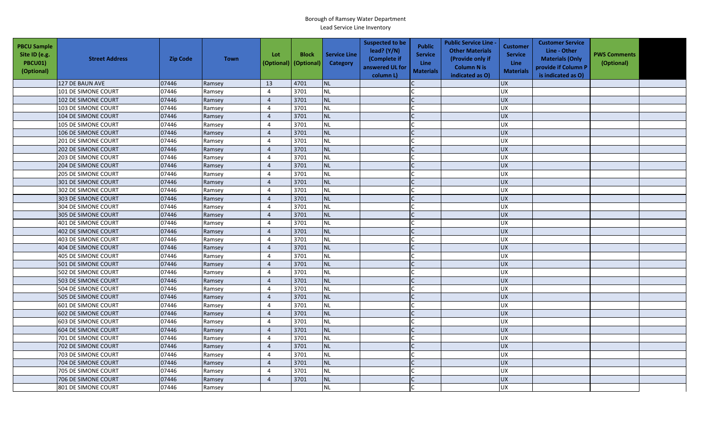| <b>PBCU Sample</b><br>Site ID (e.g.<br>PBCU01)<br>(Optional) | <b>Street Address</b>      | <b>Zip Code</b> | <b>Town</b> | Lot<br>(Optional) | <b>Block</b><br>(Optional) | <b>Service Line</b><br>Category | <b>Suspected to be</b><br>lead? (Y/N)<br>(Complete if<br>answered UL for<br>column L) | <b>Public</b><br><b>Service</b><br>Line<br><b>Materials</b> | <b>Public Service Line -</b><br><b>Other Materials</b><br>(Provide only if<br><b>Column N is</b><br>indicated as O) | <b>Customer</b><br><b>Service</b><br><b>Line</b><br><b>Materials</b> | <b>Customer Service</b><br>Line - Other<br><b>Materials (Only</b><br>provide if Column P<br>is indicated as O) | <b>PWS Comments</b><br>(Optional) |  |
|--------------------------------------------------------------|----------------------------|-----------------|-------------|-------------------|----------------------------|---------------------------------|---------------------------------------------------------------------------------------|-------------------------------------------------------------|---------------------------------------------------------------------------------------------------------------------|----------------------------------------------------------------------|----------------------------------------------------------------------------------------------------------------|-----------------------------------|--|
|                                                              | 127 DE BAUN AVE            | 07446           | Ramsey      | 13                | 4701                       | <b>NL</b>                       |                                                                                       |                                                             |                                                                                                                     | <b>UX</b>                                                            |                                                                                                                |                                   |  |
|                                                              | 101 DE SIMONE COURT        | 07446           | Ramsey      | $\overline{4}$    | 3701                       | <b>NL</b>                       |                                                                                       |                                                             |                                                                                                                     | <b>UX</b>                                                            |                                                                                                                |                                   |  |
|                                                              | 102 DE SIMONE COURT        | 07446           | Ramsey      | $\overline{4}$    | 3701                       | <b>NL</b>                       |                                                                                       |                                                             |                                                                                                                     | <b>UX</b>                                                            |                                                                                                                |                                   |  |
|                                                              | 103 DE SIMONE COURT        | 07446           | Ramsey      | $\overline{4}$    | 3701                       | <b>NL</b>                       |                                                                                       |                                                             |                                                                                                                     | UX                                                                   |                                                                                                                |                                   |  |
|                                                              | 104 DE SIMONE COURT        | 07446           | Ramsey      | $\overline{4}$    | 3701                       | <b>NL</b>                       |                                                                                       |                                                             |                                                                                                                     | <b>UX</b>                                                            |                                                                                                                |                                   |  |
|                                                              | 105 DE SIMONE COURT        | 07446           | Ramsey      | $\overline{4}$    | 3701                       | <b>NL</b>                       |                                                                                       |                                                             |                                                                                                                     | <b>UX</b>                                                            |                                                                                                                |                                   |  |
|                                                              | 106 DE SIMONE COURT        | 07446           | Ramsey      | $\overline{4}$    | 3701                       | <b>NL</b>                       |                                                                                       |                                                             |                                                                                                                     | <b>UX</b>                                                            |                                                                                                                |                                   |  |
|                                                              | 201 DE SIMONE COURT        | 07446           | Ramsey      | 4                 | 3701                       | <b>NL</b>                       |                                                                                       |                                                             |                                                                                                                     | UX                                                                   |                                                                                                                |                                   |  |
|                                                              | 202 DE SIMONE COURT        | 07446           | Ramsey      | $\overline{4}$    | 3701                       | <b>NL</b>                       |                                                                                       | $\mathsf{C}$                                                |                                                                                                                     | <b>UX</b>                                                            |                                                                                                                |                                   |  |
|                                                              | <b>203 DE SIMONE COURT</b> | 07446           | Ramsey      | $\overline{4}$    | 3701                       | <b>NL</b>                       |                                                                                       |                                                             |                                                                                                                     | UX                                                                   |                                                                                                                |                                   |  |
|                                                              | <b>204 DE SIMONE COURT</b> | 07446           | Ramsey      | $\overline{4}$    | 3701                       | <b>NL</b>                       |                                                                                       |                                                             |                                                                                                                     | <b>UX</b>                                                            |                                                                                                                |                                   |  |
|                                                              | <b>205 DE SIMONE COURT</b> | 07446           | Ramsey      | $\overline{4}$    | 3701                       | <b>NL</b>                       |                                                                                       |                                                             |                                                                                                                     | <b>UX</b>                                                            |                                                                                                                |                                   |  |
|                                                              | 301 DE SIMONE COURT        | 07446           | Ramsey      | $\overline{4}$    | 3701                       | <b>NL</b>                       |                                                                                       |                                                             |                                                                                                                     | <b>UX</b>                                                            |                                                                                                                |                                   |  |
|                                                              | 302 DE SIMONE COURT        | 07446           | Ramsey      | $\overline{4}$    | 3701                       | <b>NL</b>                       |                                                                                       |                                                             |                                                                                                                     | <b>UX</b>                                                            |                                                                                                                |                                   |  |
|                                                              | 303 DE SIMONE COURT        | 07446           | Ramsey      | $\overline{4}$    | 3701                       | <b>NL</b>                       |                                                                                       |                                                             |                                                                                                                     | <b>UX</b>                                                            |                                                                                                                |                                   |  |
|                                                              | 304 DE SIMONE COURT        | 07446           | Ramsey      | $\overline{4}$    | 3701                       | <b>NL</b>                       |                                                                                       |                                                             |                                                                                                                     | <b>UX</b>                                                            |                                                                                                                |                                   |  |
|                                                              | 305 DE SIMONE COURT        | 07446           | Ramsey      | $\overline{4}$    | 3701                       | <b>NL</b>                       |                                                                                       | $\Gamma$                                                    |                                                                                                                     | UX                                                                   |                                                                                                                |                                   |  |
|                                                              | <b>401 DE SIMONE COURT</b> | 07446           | Ramsey      | $\overline{4}$    | 3701                       | <b>NL</b>                       |                                                                                       |                                                             |                                                                                                                     | <b>UX</b>                                                            |                                                                                                                |                                   |  |
|                                                              | 402 DE SIMONE COURT        | 07446           | Ramsey      | $\overline{4}$    | 3701                       | <b>NL</b>                       |                                                                                       |                                                             |                                                                                                                     | <b>UX</b>                                                            |                                                                                                                |                                   |  |
|                                                              | 403 DE SIMONE COURT        | 07446           | Ramsey      | $\overline{4}$    | 3701                       | <b>NL</b>                       |                                                                                       |                                                             |                                                                                                                     | UX                                                                   |                                                                                                                |                                   |  |
|                                                              | 404 DE SIMONE COURT        | 07446           | Ramsey      | $\overline{4}$    | 3701                       | <b>NL</b>                       |                                                                                       |                                                             |                                                                                                                     | UX                                                                   |                                                                                                                |                                   |  |
|                                                              | <b>405 DE SIMONE COURT</b> | 07446           | Ramsey      | 4                 | 3701                       | <b>NL</b>                       |                                                                                       |                                                             |                                                                                                                     | UX                                                                   |                                                                                                                |                                   |  |
|                                                              | 501 DE SIMONE COURT        | 07446           | Ramsey      | $\overline{4}$    | 3701                       | <b>NL</b>                       |                                                                                       |                                                             |                                                                                                                     | <b>UX</b>                                                            |                                                                                                                |                                   |  |
|                                                              | 502 DE SIMONE COURT        | 07446           | Ramsey      | 4                 | 3701                       | <b>NL</b>                       |                                                                                       |                                                             |                                                                                                                     | <b>UX</b>                                                            |                                                                                                                |                                   |  |
|                                                              | 503 DE SIMONE COURT        | 07446           | Ramsey      | $\overline{4}$    | 3701                       | <b>NL</b>                       |                                                                                       | $\mathsf{C}$                                                |                                                                                                                     | <b>UX</b>                                                            |                                                                                                                |                                   |  |
|                                                              | 504 DE SIMONE COURT        | 07446           | Ramsey      | 4                 | 3701                       | <b>NL</b>                       |                                                                                       |                                                             |                                                                                                                     | <b>UX</b>                                                            |                                                                                                                |                                   |  |
|                                                              | 505 DE SIMONE COURT        | 07446           | Ramsey      | $\overline{4}$    | 3701                       | <b>NL</b>                       |                                                                                       |                                                             |                                                                                                                     | <b>UX</b>                                                            |                                                                                                                |                                   |  |
|                                                              | 601 DE SIMONE COURT        | 07446           | Ramsey      | $\overline{4}$    | 3701                       | <b>NL</b>                       |                                                                                       |                                                             |                                                                                                                     | <b>UX</b>                                                            |                                                                                                                |                                   |  |
|                                                              | 602 DE SIMONE COURT        | 07446           | Ramsey      | $\overline{4}$    | 3701                       | <b>NL</b>                       |                                                                                       |                                                             |                                                                                                                     | <b>UX</b>                                                            |                                                                                                                |                                   |  |
|                                                              | <b>603 DE SIMONE COURT</b> | 07446           | Ramsey      | $\overline{4}$    | 3701                       | <b>NL</b>                       |                                                                                       |                                                             |                                                                                                                     | UX                                                                   |                                                                                                                |                                   |  |
|                                                              | 604 DE SIMONE COURT        | 07446           | Ramsey      | $\overline{4}$    | 3701                       | <b>NL</b>                       |                                                                                       |                                                             |                                                                                                                     | <b>UX</b>                                                            |                                                                                                                |                                   |  |
|                                                              | 701 DE SIMONE COURT        | 07446           | Ramsey      | $\overline{4}$    | 3701                       | <b>NL</b>                       |                                                                                       | $\mathsf{C}$                                                |                                                                                                                     | <b>UX</b>                                                            |                                                                                                                |                                   |  |
|                                                              | 702 DE SIMONE COURT        | 07446           | Ramsey      | $\overline{4}$    | 3701                       | <b>NL</b>                       |                                                                                       |                                                             |                                                                                                                     | <b>UX</b>                                                            |                                                                                                                |                                   |  |
|                                                              | 703 DE SIMONE COURT        | 07446           | Ramsey      | $\overline{4}$    | 3701                       | <b>NL</b>                       |                                                                                       |                                                             |                                                                                                                     | <b>UX</b>                                                            |                                                                                                                |                                   |  |
|                                                              | 704 DE SIMONE COURT        | 07446           | Ramsey      | $\overline{4}$    | 3701                       | <b>NL</b>                       |                                                                                       |                                                             |                                                                                                                     | <b>UX</b>                                                            |                                                                                                                |                                   |  |
|                                                              | 705 DE SIMONE COURT        | 07446           | Ramsey      | 4                 | 3701                       | <b>NL</b>                       |                                                                                       |                                                             |                                                                                                                     | <b>UX</b>                                                            |                                                                                                                |                                   |  |
|                                                              | 706 DE SIMONE COURT        | 07446           | Ramsey      | $\overline{4}$    | 3701                       | <b>NL</b>                       |                                                                                       |                                                             |                                                                                                                     | <b>UX</b>                                                            |                                                                                                                |                                   |  |
|                                                              | 801 DE SIMONE COURT        | 07446           | Ramsey      |                   |                            | <b>NL</b>                       |                                                                                       |                                                             |                                                                                                                     | <b>UX</b>                                                            |                                                                                                                |                                   |  |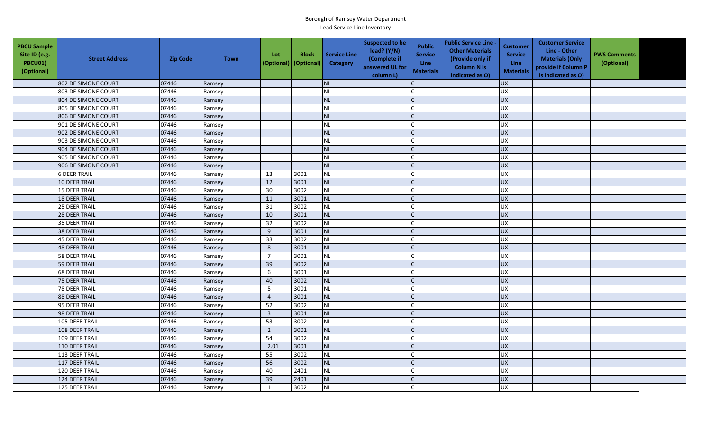| <b>PBCU Sample</b><br>Site ID (e.g.<br><b>PBCU01)</b><br>(Optional) | <b>Street Address</b> | <b>Zip Code</b> | <b>Town</b> | Lot<br>(Optional) | <b>Block</b><br>(Optional) | <b>Service Line</b><br>Category | <b>Suspected to be</b><br>lead? (Y/N)<br>(Complete if<br>answered UL for<br>column L) | <b>Public</b><br><b>Service</b><br>Line<br><b>Materials</b> | <b>Public Service Line -</b><br><b>Other Materials</b><br>(Provide only if<br><b>Column N is</b><br>indicated as O) | Customer<br><b>Service</b><br><b>Line</b><br><b>Materials</b> | <b>Customer Service</b><br>Line - Other<br><b>Materials (Only</b><br>provide if Column P<br>is indicated as O) | <b>PWS Comments</b><br>(Optional) |  |
|---------------------------------------------------------------------|-----------------------|-----------------|-------------|-------------------|----------------------------|---------------------------------|---------------------------------------------------------------------------------------|-------------------------------------------------------------|---------------------------------------------------------------------------------------------------------------------|---------------------------------------------------------------|----------------------------------------------------------------------------------------------------------------|-----------------------------------|--|
|                                                                     | 802 DE SIMONE COURT   | 07446           | Ramsey      |                   |                            | <b>NL</b>                       |                                                                                       |                                                             |                                                                                                                     | <b>UX</b>                                                     |                                                                                                                |                                   |  |
|                                                                     | 803 DE SIMONE COURT   | 07446           | Ramsey      |                   |                            | <b>NL</b>                       |                                                                                       |                                                             |                                                                                                                     | <b>UX</b>                                                     |                                                                                                                |                                   |  |
|                                                                     | 804 DE SIMONE COURT   | 07446           | Ramsey      |                   |                            | NL                              |                                                                                       |                                                             |                                                                                                                     | <b>UX</b>                                                     |                                                                                                                |                                   |  |
|                                                                     | 805 DE SIMONE COURT   | 07446           | Ramsey      |                   |                            | <b>NL</b>                       |                                                                                       |                                                             |                                                                                                                     | <b>UX</b>                                                     |                                                                                                                |                                   |  |
|                                                                     | 806 DE SIMONE COURT   | 07446           | Ramsey      |                   |                            | <b>NL</b>                       |                                                                                       |                                                             |                                                                                                                     | <b>UX</b>                                                     |                                                                                                                |                                   |  |
|                                                                     | 901 DE SIMONE COURT   | 07446           | Ramsey      |                   |                            | <b>NL</b>                       |                                                                                       |                                                             |                                                                                                                     | UX                                                            |                                                                                                                |                                   |  |
|                                                                     | 902 DE SIMONE COURT   | 07446           | Ramsey      |                   |                            | <b>NL</b>                       |                                                                                       |                                                             |                                                                                                                     | <b>UX</b>                                                     |                                                                                                                |                                   |  |
|                                                                     | 903 DE SIMONE COURT   | 07446           | Ramsey      |                   |                            | <b>NL</b>                       |                                                                                       |                                                             |                                                                                                                     | UX                                                            |                                                                                                                |                                   |  |
|                                                                     | 904 DE SIMONE COURT   | 07446           | Ramsey      |                   |                            | <b>NL</b>                       |                                                                                       |                                                             |                                                                                                                     | <b>UX</b>                                                     |                                                                                                                |                                   |  |
|                                                                     | 905 DE SIMONE COURT   | 07446           | Ramsey      |                   |                            | <b>NL</b>                       |                                                                                       |                                                             |                                                                                                                     | UX                                                            |                                                                                                                |                                   |  |
|                                                                     | 906 DE SIMONE COURT   | 07446           | Ramsey      |                   |                            | <b>NL</b>                       |                                                                                       |                                                             |                                                                                                                     | <b>UX</b>                                                     |                                                                                                                |                                   |  |
|                                                                     | <b>6 DEER TRAIL</b>   | 07446           | Ramsey      | 13                | 3001                       | <b>NL</b>                       |                                                                                       |                                                             |                                                                                                                     | <b>UX</b>                                                     |                                                                                                                |                                   |  |
|                                                                     | 10 DEER TRAIL         | 07446           | Ramsey      | 12                | 3001                       | <b>NL</b>                       |                                                                                       |                                                             |                                                                                                                     | UX                                                            |                                                                                                                |                                   |  |
|                                                                     | 15 DEER TRAIL         | 07446           | Ramsey      | 30                | 3002                       | <b>NL</b>                       |                                                                                       |                                                             |                                                                                                                     | UX                                                            |                                                                                                                |                                   |  |
|                                                                     | <b>18 DEER TRAIL</b>  | 07446           | Ramsey      | 11                | 3001                       | NL                              |                                                                                       |                                                             |                                                                                                                     | <b>UX</b>                                                     |                                                                                                                |                                   |  |
|                                                                     | 25 DEER TRAIL         | 07446           | Ramsey      | 31                | 3002                       | <b>NL</b>                       |                                                                                       |                                                             |                                                                                                                     | UX                                                            |                                                                                                                |                                   |  |
|                                                                     | 28 DEER TRAIL         | 07446           | Ramsey      | 10                | 3001                       | NL                              |                                                                                       |                                                             |                                                                                                                     | UX                                                            |                                                                                                                |                                   |  |
|                                                                     | 35 DEER TRAIL         | 07446           | Ramsey      | 32                | 3002                       | <b>NL</b>                       |                                                                                       |                                                             |                                                                                                                     | UX                                                            |                                                                                                                |                                   |  |
|                                                                     | 38 DEER TRAIL         | 07446           | Ramsey      | 9                 | 3001                       | NL                              |                                                                                       |                                                             |                                                                                                                     | <b>UX</b>                                                     |                                                                                                                |                                   |  |
|                                                                     | 45 DEER TRAIL         | 07446           | Ramsey      | 33                | 3002                       | <b>NL</b>                       |                                                                                       |                                                             |                                                                                                                     | <b>UX</b>                                                     |                                                                                                                |                                   |  |
|                                                                     | <b>48 DEER TRAIL</b>  | 07446           | Ramsey      | 8                 | 3001                       | <b>NL</b>                       |                                                                                       |                                                             |                                                                                                                     | UX                                                            |                                                                                                                |                                   |  |
|                                                                     | 58 DEER TRAIL         | 07446           | Ramsey      | $\overline{7}$    | 3001                       | <b>NL</b>                       |                                                                                       |                                                             |                                                                                                                     | UX                                                            |                                                                                                                |                                   |  |
|                                                                     | 59 DEER TRAIL         | 07446           | Ramsey      | 39                | 3002                       | <b>NL</b>                       |                                                                                       |                                                             |                                                                                                                     | UX                                                            |                                                                                                                |                                   |  |
|                                                                     | 68 DEER TRAIL         | 07446           | Ramsey      | $\boldsymbol{6}$  | 3001                       | NL                              |                                                                                       |                                                             |                                                                                                                     | UX                                                            |                                                                                                                |                                   |  |
|                                                                     | <b>75 DEER TRAIL</b>  | 07446           | Ramsey      | 40                | 3002                       | NL                              |                                                                                       |                                                             |                                                                                                                     | UX                                                            |                                                                                                                |                                   |  |
|                                                                     | 78 DEER TRAIL         | 07446           | Ramsey      | 5                 | 3001                       | <b>NL</b>                       |                                                                                       |                                                             |                                                                                                                     | <b>UX</b>                                                     |                                                                                                                |                                   |  |
|                                                                     | 88 DEER TRAIL         | 07446           | Ramsey      | $\overline{4}$    | 3001                       | NL                              |                                                                                       |                                                             |                                                                                                                     | <b>UX</b>                                                     |                                                                                                                |                                   |  |
|                                                                     | 95 DEER TRAIL         | 07446           | Ramsey      | 52                | 3002                       | <b>NL</b>                       |                                                                                       |                                                             |                                                                                                                     | <b>UX</b>                                                     |                                                                                                                |                                   |  |
|                                                                     | 98 DEER TRAIL         | 07446           | Ramsey      | $\mathbf{3}$      | 3001                       | NL                              |                                                                                       |                                                             |                                                                                                                     | <b>UX</b>                                                     |                                                                                                                |                                   |  |
|                                                                     | 105 DEER TRAIL        | 07446           | Ramsey      | 53                | 3002                       | <b>NL</b>                       |                                                                                       |                                                             |                                                                                                                     | UX                                                            |                                                                                                                |                                   |  |
|                                                                     | 108 DEER TRAIL        | 07446           | Ramsey      | $\overline{2}$    | 3001                       | <b>NL</b>                       |                                                                                       |                                                             |                                                                                                                     | <b>UX</b>                                                     |                                                                                                                |                                   |  |
|                                                                     | 109 DEER TRAIL        | 07446           | Ramsey      | 54                | 3002                       | <b>NL</b>                       |                                                                                       |                                                             |                                                                                                                     | UX                                                            |                                                                                                                |                                   |  |
|                                                                     | 110 DEER TRAIL        | 07446           | Ramsey      | 2.01              | 3001                       | <b>NL</b>                       |                                                                                       |                                                             |                                                                                                                     | <b>UX</b>                                                     |                                                                                                                |                                   |  |
|                                                                     | 113 DEER TRAIL        | 07446           | Ramsey      | 55                | 3002                       | NL                              |                                                                                       |                                                             |                                                                                                                     | UX                                                            |                                                                                                                |                                   |  |
|                                                                     | 117 DEER TRAIL        | 07446           | Ramsey      | 56                | 3002                       | NL                              |                                                                                       |                                                             |                                                                                                                     | <b>UX</b>                                                     |                                                                                                                |                                   |  |
|                                                                     | 120 DEER TRAIL        | 07446           | Ramsey      | 40                | 2401                       | <b>NL</b>                       |                                                                                       |                                                             |                                                                                                                     | UX                                                            |                                                                                                                |                                   |  |
|                                                                     | 124 DEER TRAIL        | 07446           | Ramsey      | 39                | 2401                       | NL                              |                                                                                       |                                                             |                                                                                                                     | <b>UX</b>                                                     |                                                                                                                |                                   |  |
|                                                                     | 125 DEER TRAIL        | 07446           | Ramsey      | $\mathbf{1}$      | 3002                       | NL                              |                                                                                       |                                                             |                                                                                                                     | <b>UX</b>                                                     |                                                                                                                |                                   |  |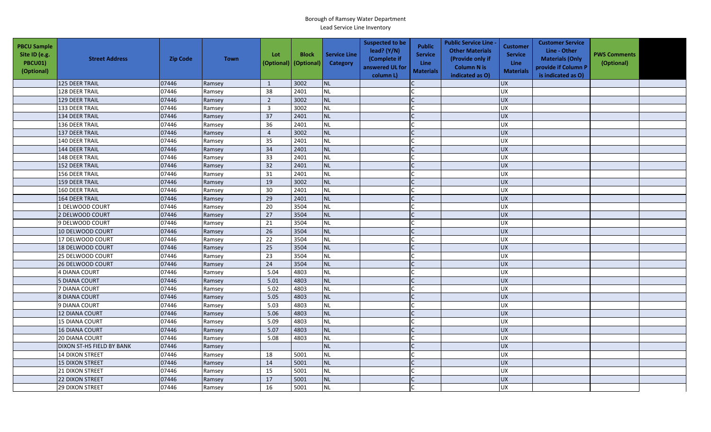| <b>PBCU Sample</b><br>Site ID (e.g.<br><b>PBCU01)</b><br>(Optional) | <b>Street Address</b>     | <b>Zip Code</b> | <b>Town</b> | Lot<br>(Optional) | <b>Block</b><br>(Optional) | <b>Service Line</b><br>Category | <b>Suspected to be</b><br>lead? (Y/N)<br>(Complete if<br>answered UL for<br>column L) | <b>Public</b><br><b>Service</b><br>Line<br><b>Materials</b> | <b>Public Service Line -</b><br><b>Other Materials</b><br>(Provide only if<br><b>Column N is</b><br>indicated as O) | <b>Customer</b><br><b>Service</b><br><b>Line</b><br><b>Materials</b> | <b>Customer Service</b><br>Line - Other<br><b>Materials (Only</b><br>provide if Column P<br>is indicated as O) | <b>PWS Comments</b><br>(Optional) |  |
|---------------------------------------------------------------------|---------------------------|-----------------|-------------|-------------------|----------------------------|---------------------------------|---------------------------------------------------------------------------------------|-------------------------------------------------------------|---------------------------------------------------------------------------------------------------------------------|----------------------------------------------------------------------|----------------------------------------------------------------------------------------------------------------|-----------------------------------|--|
|                                                                     | 125 DEER TRAIL            | 07446           | Ramsey      | $\mathbf{1}$      | 3002                       | <b>NL</b>                       |                                                                                       |                                                             |                                                                                                                     | <b>UX</b>                                                            |                                                                                                                |                                   |  |
|                                                                     | 128 DEER TRAIL            | 07446           | Ramsey      | 38                | 2401                       | <b>NL</b>                       |                                                                                       |                                                             |                                                                                                                     | <b>UX</b>                                                            |                                                                                                                |                                   |  |
|                                                                     | 129 DEER TRAIL            | 07446           | Ramsey      | $\overline{2}$    | 3002                       | NL                              |                                                                                       |                                                             |                                                                                                                     | <b>UX</b>                                                            |                                                                                                                |                                   |  |
|                                                                     | 133 DEER TRAIL            | 07446           | Ramsey      | $\overline{3}$    | 3002                       | <b>NL</b>                       |                                                                                       |                                                             |                                                                                                                     | UX                                                                   |                                                                                                                |                                   |  |
|                                                                     | 134 DEER TRAIL            | 07446           | Ramsey      | 37                | 2401                       | NL                              |                                                                                       |                                                             |                                                                                                                     | <b>UX</b>                                                            |                                                                                                                |                                   |  |
|                                                                     | 136 DEER TRAIL            | 07446           | Ramsey      | 36                | 2401                       | <b>NL</b>                       |                                                                                       |                                                             |                                                                                                                     | <b>UX</b>                                                            |                                                                                                                |                                   |  |
|                                                                     | 137 DEER TRAIL            | 07446           | Ramsey      | $\overline{4}$    | 3002                       | <b>NL</b>                       |                                                                                       |                                                             |                                                                                                                     | <b>UX</b>                                                            |                                                                                                                |                                   |  |
|                                                                     | 140 DEER TRAIL            | 07446           | Ramsey      | 35                | 2401                       | <b>NL</b>                       |                                                                                       |                                                             |                                                                                                                     | <b>UX</b>                                                            |                                                                                                                |                                   |  |
|                                                                     | 144 DEER TRAIL            | 07446           | Ramsey      | 34                | 2401                       | <b>NL</b>                       |                                                                                       | $\mathsf{C}$                                                |                                                                                                                     | UX                                                                   |                                                                                                                |                                   |  |
|                                                                     | 148 DEER TRAIL            | 07446           | Ramsey      | 33                | 2401                       | <b>NL</b>                       |                                                                                       |                                                             |                                                                                                                     | <b>UX</b>                                                            |                                                                                                                |                                   |  |
|                                                                     | 152 DEER TRAIL            | 07446           | Ramsey      | 32                | 2401                       | <b>NL</b>                       |                                                                                       | $\mathsf{C}$                                                |                                                                                                                     | <b>UX</b>                                                            |                                                                                                                |                                   |  |
|                                                                     | 156 DEER TRAIL            | 07446           | Ramsey      | 31                | 2401                       | <b>NL</b>                       |                                                                                       |                                                             |                                                                                                                     | <b>UX</b>                                                            |                                                                                                                |                                   |  |
|                                                                     | <b>159 DEER TRAIL</b>     | 07446           | Ramsey      | 19                | 3002                       | <b>NL</b>                       |                                                                                       |                                                             |                                                                                                                     | <b>UX</b>                                                            |                                                                                                                |                                   |  |
|                                                                     | 160 DEER TRAIL            | 07446           | Ramsey      | 30                | 2401                       | <b>NL</b>                       |                                                                                       |                                                             |                                                                                                                     | UX                                                                   |                                                                                                                |                                   |  |
|                                                                     | 164 DEER TRAIL            | 07446           | Ramsey      | 29                | 2401                       | <b>NL</b>                       |                                                                                       |                                                             |                                                                                                                     | UX                                                                   |                                                                                                                |                                   |  |
|                                                                     | 1 DELWOOD COURT           | 07446           | Ramsey      | 20                | 3504                       | <b>NL</b>                       |                                                                                       |                                                             |                                                                                                                     | <b>UX</b>                                                            |                                                                                                                |                                   |  |
|                                                                     | 2 DELWOOD COURT           | 07446           | Ramsey      | 27                | 3504                       | <b>NL</b>                       |                                                                                       | $\mathsf{C}$                                                |                                                                                                                     | <b>UX</b>                                                            |                                                                                                                |                                   |  |
|                                                                     | 9 DELWOOD COURT           | 07446           | Ramsey      | 21                | 3504                       | <b>NL</b>                       |                                                                                       |                                                             |                                                                                                                     | UX                                                                   |                                                                                                                |                                   |  |
|                                                                     | 10 DELWOOD COURT          | 07446           | Ramsey      | 26                | 3504                       | <b>NL</b>                       |                                                                                       |                                                             |                                                                                                                     | UX                                                                   |                                                                                                                |                                   |  |
|                                                                     | 17 DELWOOD COURT          | 07446           | Ramsey      | 22                | 3504                       | <b>NL</b>                       |                                                                                       |                                                             |                                                                                                                     | <b>UX</b>                                                            |                                                                                                                |                                   |  |
|                                                                     | 18 DELWOOD COURT          | 07446           | Ramsey      | 25                | 3504                       | <b>NL</b>                       |                                                                                       |                                                             |                                                                                                                     | <b>UX</b>                                                            |                                                                                                                |                                   |  |
|                                                                     | 25 DELWOOD COURT          | 07446           | Ramsey      | 23                | 3504                       | <b>NL</b>                       |                                                                                       |                                                             |                                                                                                                     | <b>UX</b>                                                            |                                                                                                                |                                   |  |
|                                                                     | 26 DELWOOD COURT          | 07446           | Ramsey      | 24                | 3504                       | <b>NL</b>                       |                                                                                       |                                                             |                                                                                                                     | <b>UX</b>                                                            |                                                                                                                |                                   |  |
|                                                                     | 4 DIANA COURT             | 07446           | Ramsey      | 5.04              | 4803                       | <b>NL</b>                       |                                                                                       |                                                             |                                                                                                                     | <b>UX</b>                                                            |                                                                                                                |                                   |  |
|                                                                     | <b>5 DIANA COURT</b>      | 07446           | Ramsey      | 5.01              | 4803                       | NL                              |                                                                                       | $\mathsf{C}$                                                |                                                                                                                     | <b>UX</b>                                                            |                                                                                                                |                                   |  |
|                                                                     | 7 DIANA COURT             | 07446           | Ramsey      | 5.02              | 4803                       | <b>NL</b>                       |                                                                                       |                                                             |                                                                                                                     | UX                                                                   |                                                                                                                |                                   |  |
|                                                                     | 8 DIANA COURT             | 07446           | Ramsey      | 5.05              | 4803                       | <b>NL</b>                       |                                                                                       |                                                             |                                                                                                                     | <b>UX</b>                                                            |                                                                                                                |                                   |  |
|                                                                     | 9 DIANA COURT             | 07446           | Ramsey      | 5.03              | 4803                       | <b>NL</b>                       |                                                                                       |                                                             |                                                                                                                     | <b>UX</b>                                                            |                                                                                                                |                                   |  |
|                                                                     | 12 DIANA COURT            | 07446           | Ramsey      | 5.06              | 4803                       | <b>NL</b>                       |                                                                                       |                                                             |                                                                                                                     | <b>UX</b>                                                            |                                                                                                                |                                   |  |
|                                                                     | 15 DIANA COURT            | 07446           | Ramsey      | 5.09              | 4803                       | <b>NL</b>                       |                                                                                       |                                                             |                                                                                                                     | <b>UX</b>                                                            |                                                                                                                |                                   |  |
|                                                                     | <b>16 DIANA COURT</b>     | 07446           | Ramsey      | 5.07              | 4803                       | <b>NL</b>                       |                                                                                       | $\Gamma$                                                    |                                                                                                                     | UX                                                                   |                                                                                                                |                                   |  |
|                                                                     | 20 DIANA COURT            | 07446           | Ramsey      | 5.08              | 4803                       | <b>NL</b>                       |                                                                                       |                                                             |                                                                                                                     | <b>UX</b>                                                            |                                                                                                                |                                   |  |
|                                                                     | DIXON ST-HS FIELD BY BANK | 07446           | Ramsey      |                   |                            | <b>NL</b>                       |                                                                                       |                                                             |                                                                                                                     | $\overline{UX}$                                                      |                                                                                                                |                                   |  |
|                                                                     | <b>14 DIXON STREET</b>    | 07446           | Ramsey      | 18                | 5001                       | <b>NL</b>                       |                                                                                       |                                                             |                                                                                                                     | UX                                                                   |                                                                                                                |                                   |  |
|                                                                     | <b>15 DIXON STREET</b>    | 07446           | Ramsey      | 14                | 5001                       | <b>NL</b>                       |                                                                                       |                                                             |                                                                                                                     | UX                                                                   |                                                                                                                |                                   |  |
|                                                                     | 21 DIXON STREET           | 07446           | Ramsey      | 15                | 5001                       | <b>NL</b>                       |                                                                                       |                                                             |                                                                                                                     | <b>UX</b>                                                            |                                                                                                                |                                   |  |
|                                                                     | 22 DIXON STREET           | 07446           | Ramsey      | 17                | 5001                       | <b>NL</b>                       |                                                                                       |                                                             |                                                                                                                     | <b>UX</b>                                                            |                                                                                                                |                                   |  |
|                                                                     | <b>29 DIXON STREET</b>    | 07446           | Ramsey      | 16                | 5001                       | NL                              |                                                                                       |                                                             |                                                                                                                     | UX                                                                   |                                                                                                                |                                   |  |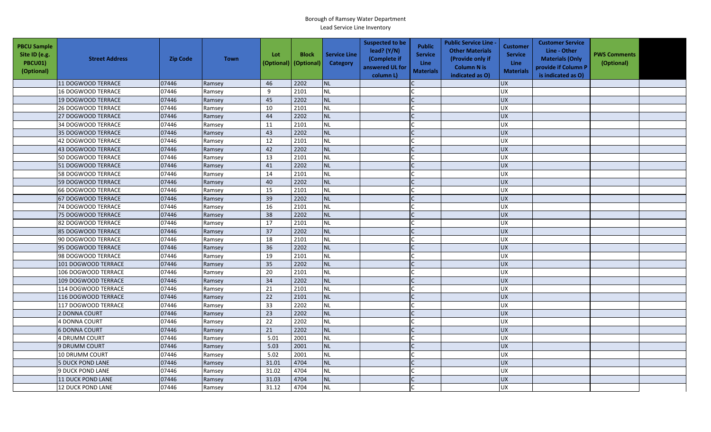| <b>PBCU Sample</b><br>Site ID (e.g.<br>PBCU01)<br>(Optional) | <b>Street Address</b>    | <b>Zip Code</b> | <b>Town</b> | Lot<br>(Optional) | <b>Block</b><br>(Optional) | <b>Service Line</b><br>Category | <b>Suspected to be</b><br>lead? (Y/N)<br>(Complete if<br>answered UL for<br>column L) | <b>Public</b><br><b>Service</b><br>Line<br><b>Materials</b> | <b>Public Service Line -</b><br><b>Other Materials</b><br>(Provide only if<br><b>Column N is</b><br>indicated as O) | <b>Customer</b><br><b>Service</b><br><b>Line</b><br><b>Materials</b> | <b>Customer Service</b><br>Line - Other<br><b>Materials (Only</b><br>provide if Column P<br>is indicated as O) | <b>PWS Comments</b><br>(Optional) |  |
|--------------------------------------------------------------|--------------------------|-----------------|-------------|-------------------|----------------------------|---------------------------------|---------------------------------------------------------------------------------------|-------------------------------------------------------------|---------------------------------------------------------------------------------------------------------------------|----------------------------------------------------------------------|----------------------------------------------------------------------------------------------------------------|-----------------------------------|--|
|                                                              | 11 DOGWOOD TERRACE       | 07446           | Ramsey      | 46                | 2202                       | <b>NL</b>                       |                                                                                       |                                                             |                                                                                                                     | <b>UX</b>                                                            |                                                                                                                |                                   |  |
|                                                              | 16 DOGWOOD TERRACE       | 07446           | Ramsey      | 9                 | 2101                       | <b>NL</b>                       |                                                                                       |                                                             |                                                                                                                     | <b>UX</b>                                                            |                                                                                                                |                                   |  |
|                                                              | 19 DOGWOOD TERRACE       | 07446           | Ramsey      | 45                | 2202                       | <b>NL</b>                       |                                                                                       |                                                             |                                                                                                                     | <b>UX</b>                                                            |                                                                                                                |                                   |  |
|                                                              | 26 DOGWOOD TERRACE       | 07446           | Ramsey      | 10                | 2101                       | <b>NL</b>                       |                                                                                       |                                                             |                                                                                                                     | UX                                                                   |                                                                                                                |                                   |  |
|                                                              | 27 DOGWOOD TERRACE       | 07446           | Ramsey      | 44                | 2202                       | <b>NL</b>                       |                                                                                       |                                                             |                                                                                                                     | <b>UX</b>                                                            |                                                                                                                |                                   |  |
|                                                              | 34 DOGWOOD TERRACE       | 07446           | Ramsey      | 11                | 2101                       | <b>NL</b>                       |                                                                                       |                                                             |                                                                                                                     | <b>UX</b>                                                            |                                                                                                                |                                   |  |
|                                                              | 35 DOGWOOD TERRACE       | 07446           | Ramsey      | 43                | 2202                       | <b>NL</b>                       |                                                                                       |                                                             |                                                                                                                     | <b>UX</b>                                                            |                                                                                                                |                                   |  |
|                                                              | 42 DOGWOOD TERRACE       | 07446           | Ramsey      | 12                | 2101                       | <b>NL</b>                       |                                                                                       |                                                             |                                                                                                                     | UX                                                                   |                                                                                                                |                                   |  |
|                                                              | 43 DOGWOOD TERRACE       | 07446           | Ramsey      | 42                | 2202                       | <b>NL</b>                       |                                                                                       | $\mathsf{C}$                                                |                                                                                                                     | <b>UX</b>                                                            |                                                                                                                |                                   |  |
|                                                              | 50 DOGWOOD TERRACE       | 07446           | Ramsey      | 13                | 2101                       | <b>NL</b>                       |                                                                                       |                                                             |                                                                                                                     | UX                                                                   |                                                                                                                |                                   |  |
|                                                              | 51 DOGWOOD TERRACE       | 07446           | Ramsey      | 41                | 2202                       | <b>NL</b>                       |                                                                                       |                                                             |                                                                                                                     | <b>UX</b>                                                            |                                                                                                                |                                   |  |
|                                                              | 58 DOGWOOD TERRACE       | 07446           | Ramsey      | 14                | 2101                       | <b>NL</b>                       |                                                                                       |                                                             |                                                                                                                     | <b>UX</b>                                                            |                                                                                                                |                                   |  |
|                                                              | 59 DOGWOOD TERRACE       | 07446           | Ramsey      | 40                | 2202                       | <b>NL</b>                       |                                                                                       |                                                             |                                                                                                                     | <b>UX</b>                                                            |                                                                                                                |                                   |  |
|                                                              | 66 DOGWOOD TERRACE       | 07446           | Ramsey      | 15                | 2101                       | <b>NL</b>                       |                                                                                       |                                                             |                                                                                                                     | <b>UX</b>                                                            |                                                                                                                |                                   |  |
|                                                              | 67 DOGWOOD TERRACE       | 07446           | Ramsey      | 39                | 2202                       | <b>NL</b>                       |                                                                                       |                                                             |                                                                                                                     | <b>UX</b>                                                            |                                                                                                                |                                   |  |
|                                                              | 74 DOGWOOD TERRACE       | 07446           | Ramsey      | 16                | 2101                       | <b>NL</b>                       |                                                                                       |                                                             |                                                                                                                     | <b>UX</b>                                                            |                                                                                                                |                                   |  |
|                                                              | 75 DOGWOOD TERRACE       | 07446           | Ramsey      | 38                | 2202                       | <b>NL</b>                       |                                                                                       |                                                             |                                                                                                                     | UX                                                                   |                                                                                                                |                                   |  |
|                                                              | 82 DOGWOOD TERRACE       | 07446           | Ramsey      | 17                | 2101                       | <b>NL</b>                       |                                                                                       |                                                             |                                                                                                                     | <b>UX</b>                                                            |                                                                                                                |                                   |  |
|                                                              | 85 DOGWOOD TERRACE       | 07446           | Ramsey      | 37                | 2202                       | <b>NL</b>                       |                                                                                       |                                                             |                                                                                                                     | <b>UX</b>                                                            |                                                                                                                |                                   |  |
|                                                              | 90 DOGWOOD TERRACE       | 07446           | Ramsey      | 18                | 2101                       | <b>NL</b>                       |                                                                                       |                                                             |                                                                                                                     | UX                                                                   |                                                                                                                |                                   |  |
|                                                              | 95 DOGWOOD TERRACE       | 07446           | Ramsey      | 36                | 2202                       | <b>NL</b>                       |                                                                                       |                                                             |                                                                                                                     | UX                                                                   |                                                                                                                |                                   |  |
|                                                              | 98 DOGWOOD TERRACE       | 07446           | Ramsey      | 19                | 2101                       | <b>NL</b>                       |                                                                                       |                                                             |                                                                                                                     | UX                                                                   |                                                                                                                |                                   |  |
|                                                              | 101 DOGWOOD TERRACE      | 07446           | Ramsey      | 35                | 2202                       | <b>NL</b>                       |                                                                                       |                                                             |                                                                                                                     | <b>UX</b>                                                            |                                                                                                                |                                   |  |
|                                                              | 106 DOGWOOD TERRACE      | 07446           | Ramsey      | 20                | 2101                       | <b>NL</b>                       |                                                                                       |                                                             |                                                                                                                     | <b>UX</b>                                                            |                                                                                                                |                                   |  |
|                                                              | 109 DOGWOOD TERRACE      | 07446           | Ramsey      | 34                | 2202                       | <b>NL</b>                       |                                                                                       | $\mathsf{C}$                                                |                                                                                                                     | <b>UX</b>                                                            |                                                                                                                |                                   |  |
|                                                              | 114 DOGWOOD TERRACE      | 07446           | Ramsey      | 21                | 2101                       | <b>NL</b>                       |                                                                                       |                                                             |                                                                                                                     | <b>UX</b>                                                            |                                                                                                                |                                   |  |
|                                                              | 116 DOGWOOD TERRACE      | 07446           | Ramsey      | 22                | 2101                       | <b>NL</b>                       |                                                                                       |                                                             |                                                                                                                     | <b>UX</b>                                                            |                                                                                                                |                                   |  |
|                                                              | 117 DOGWOOD TERRACE      | 07446           | Ramsey      | 33                | 2202                       | <b>NL</b>                       |                                                                                       |                                                             |                                                                                                                     | <b>UX</b>                                                            |                                                                                                                |                                   |  |
|                                                              | 2 DONNA COURT            | 07446           | Ramsey      | 23                | 2202                       | <b>NL</b>                       |                                                                                       |                                                             |                                                                                                                     | <b>UX</b>                                                            |                                                                                                                |                                   |  |
|                                                              | 4 DONNA COURT            | 07446           | Ramsey      | 22                | 2202                       | <b>NL</b>                       |                                                                                       |                                                             |                                                                                                                     | UX                                                                   |                                                                                                                |                                   |  |
|                                                              | <b>6 DONNA COURT</b>     | 07446           | Ramsey      | 21                | 2202                       | <b>NL</b>                       |                                                                                       |                                                             |                                                                                                                     | <b>UX</b>                                                            |                                                                                                                |                                   |  |
|                                                              | 4 DRUMM COURT            | 07446           | Ramsey      | 5.01              | 2001                       | <b>NL</b>                       |                                                                                       |                                                             |                                                                                                                     | <b>UX</b>                                                            |                                                                                                                |                                   |  |
|                                                              | 9 DRUMM COURT            | 07446           | Ramsey      | 5.03              | 2001                       | <b>NL</b>                       |                                                                                       |                                                             |                                                                                                                     | <b>UX</b>                                                            |                                                                                                                |                                   |  |
|                                                              | 10 DRUMM COURT           | 07446           | Ramsey      | 5.02              | 2001                       | <b>NL</b>                       |                                                                                       |                                                             |                                                                                                                     | <b>UX</b>                                                            |                                                                                                                |                                   |  |
|                                                              | <b>5 DUCK POND LANE</b>  | 07446           | Ramsey      | 31.01             | 4704                       | <b>NL</b>                       |                                                                                       |                                                             |                                                                                                                     | <b>UX</b>                                                            |                                                                                                                |                                   |  |
|                                                              | 9 DUCK POND LANE         | 07446           | Ramsey      | 31.02             | 4704                       | <b>NL</b>                       |                                                                                       |                                                             |                                                                                                                     | <b>UX</b>                                                            |                                                                                                                |                                   |  |
|                                                              | <b>11 DUCK POND LANE</b> | 07446           | Ramsey      | 31.03             | 4704                       | <b>NL</b>                       |                                                                                       |                                                             |                                                                                                                     | <b>UX</b>                                                            |                                                                                                                |                                   |  |
|                                                              | <b>12 DUCK POND LANE</b> | 07446           | Ramsey      | 31.12             | 4704                       | <b>NL</b>                       |                                                                                       |                                                             |                                                                                                                     | <b>UX</b>                                                            |                                                                                                                |                                   |  |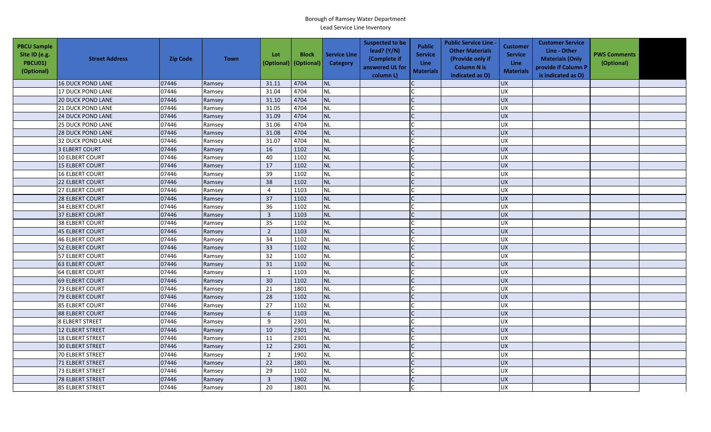| <b>PBCU Sample</b><br>Site ID (e.g.<br><b>PBCU01)</b><br>(Optional) | <b>Street Address</b>    | <b>Zip Code</b> | <b>Town</b> | Lot<br>(Optional) | <b>Block</b><br>(Optional) | <b>Service Line</b><br>Category | <b>Suspected to be</b><br>lead? (Y/N)<br>(Complete if<br>answered UL for<br>column L) | <b>Public</b><br><b>Service</b><br><b>Line</b><br><b>Materials</b> | <b>Public Service Line -</b><br><b>Other Materials</b><br>(Provide only if<br><b>Column N is</b><br>indicated as O) | <b>Customer</b><br><b>Service</b><br>Line<br><b>Materials</b> | <b>Customer Service</b><br>Line - Other<br><b>Materials (Only</b><br>provide if Column P<br>is indicated as O) | <b>PWS Comments</b><br>(Optional) |  |
|---------------------------------------------------------------------|--------------------------|-----------------|-------------|-------------------|----------------------------|---------------------------------|---------------------------------------------------------------------------------------|--------------------------------------------------------------------|---------------------------------------------------------------------------------------------------------------------|---------------------------------------------------------------|----------------------------------------------------------------------------------------------------------------|-----------------------------------|--|
|                                                                     | <b>16 DUCK POND LANE</b> | 07446           | Ramsey      | 31.11             | 4704                       | <b>NL</b>                       |                                                                                       |                                                                    |                                                                                                                     | <b>UX</b>                                                     |                                                                                                                |                                   |  |
|                                                                     | <b>17 DUCK POND LANE</b> | 07446           | Ramsey      | 31.04             | 4704                       | <b>NL</b>                       |                                                                                       |                                                                    |                                                                                                                     | <b>UX</b>                                                     |                                                                                                                |                                   |  |
|                                                                     | <b>20 DUCK POND LANE</b> | 07446           | Ramsey      | 31.10             | 4704                       | <b>NL</b>                       |                                                                                       |                                                                    |                                                                                                                     | <b>UX</b>                                                     |                                                                                                                |                                   |  |
|                                                                     | <b>21 DUCK POND LANE</b> | 07446           | Ramsey      | 31.05             | 4704                       | <b>NL</b>                       |                                                                                       |                                                                    |                                                                                                                     | UX                                                            |                                                                                                                |                                   |  |
|                                                                     | <b>24 DUCK POND LANE</b> | 07446           | Ramsey      | 31.09             | 4704                       | <b>NL</b>                       |                                                                                       |                                                                    |                                                                                                                     | <b>UX</b>                                                     |                                                                                                                |                                   |  |
|                                                                     | <b>25 DUCK POND LANE</b> | 07446           | Ramsey      | 31.06             | 4704                       | <b>NL</b>                       |                                                                                       |                                                                    |                                                                                                                     | <b>UX</b>                                                     |                                                                                                                |                                   |  |
|                                                                     | <b>28 DUCK POND LANE</b> | 07446           | Ramsey      | 31.08             | 4704                       | <b>NL</b>                       |                                                                                       | $\mathsf{C}$                                                       |                                                                                                                     | <b>UX</b>                                                     |                                                                                                                |                                   |  |
|                                                                     | <b>32 DUCK POND LANE</b> | 07446           | Ramsey      | 31.07             | 4704                       | <b>NL</b>                       |                                                                                       |                                                                    |                                                                                                                     | <b>UX</b>                                                     |                                                                                                                |                                   |  |
|                                                                     | 3 ELBERT COURT           | 07446           | Ramsey      | 16                | 1102                       | <b>NL</b>                       |                                                                                       |                                                                    |                                                                                                                     | <b>UX</b>                                                     |                                                                                                                |                                   |  |
|                                                                     | 10 ELBERT COURT          | 07446           | Ramsey      | 40                | 1102                       | NL                              |                                                                                       |                                                                    |                                                                                                                     | UX                                                            |                                                                                                                |                                   |  |
|                                                                     | 15 ELBERT COURT          | 07446           | Ramsey      | 17                | 1102                       | <b>NL</b>                       |                                                                                       | C                                                                  |                                                                                                                     | <b>UX</b>                                                     |                                                                                                                |                                   |  |
|                                                                     | 16 ELBERT COURT          | 07446           | Ramsey      | 39                | 1102                       | <b>NL</b>                       |                                                                                       |                                                                    |                                                                                                                     | <b>UX</b>                                                     |                                                                                                                |                                   |  |
|                                                                     | 22 ELBERT COURT          | 07446           | Ramsey      | 38                | 1102                       | <b>NL</b>                       |                                                                                       |                                                                    |                                                                                                                     | <b>UX</b>                                                     |                                                                                                                |                                   |  |
|                                                                     | 27 ELBERT COURT          | 07446           | Ramsey      | $\overline{4}$    | 1103                       | <b>NL</b>                       |                                                                                       |                                                                    |                                                                                                                     | <b>UX</b>                                                     |                                                                                                                |                                   |  |
|                                                                     | <b>28 ELBERT COURT</b>   | 07446           | Ramsey      | 37                | 1102                       | <b>NL</b>                       |                                                                                       |                                                                    |                                                                                                                     | <b>UX</b>                                                     |                                                                                                                |                                   |  |
|                                                                     | 34 ELBERT COURT          | 07446           | Ramsey      | 36                | 1102                       | <b>NL</b>                       |                                                                                       |                                                                    |                                                                                                                     | UX                                                            |                                                                                                                |                                   |  |
|                                                                     | 37 ELBERT COURT          | 07446           | Ramsey      | $\mathbf{3}$      | 1103                       | <b>NL</b>                       |                                                                                       |                                                                    |                                                                                                                     | UX                                                            |                                                                                                                |                                   |  |
|                                                                     | <b>38 ELBERT COURT</b>   | 07446           | Ramsey      | 35                | 1102                       | NL                              |                                                                                       |                                                                    |                                                                                                                     | UX                                                            |                                                                                                                |                                   |  |
|                                                                     | 45 ELBERT COURT          | 07446           | Ramsey      | $\overline{2}$    | 1103                       | <b>NL</b>                       |                                                                                       |                                                                    |                                                                                                                     | <b>UX</b>                                                     |                                                                                                                |                                   |  |
|                                                                     | <b>46 ELBERT COURT</b>   | 07446           | Ramsey      | 34                | 1102                       | <b>NL</b>                       |                                                                                       |                                                                    |                                                                                                                     | <b>UX</b>                                                     |                                                                                                                |                                   |  |
|                                                                     | <b>52 ELBERT COURT</b>   | 07446           | Ramsey      | 33                | 1102                       | <b>NL</b>                       |                                                                                       |                                                                    |                                                                                                                     | <b>UX</b>                                                     |                                                                                                                |                                   |  |
|                                                                     | 57 ELBERT COURT          | 07446           | Ramsey      | 32                | 1102                       | <b>NL</b>                       |                                                                                       |                                                                    |                                                                                                                     | <b>UX</b>                                                     |                                                                                                                |                                   |  |
|                                                                     | 63 ELBERT COURT          | 07446           | Ramsey      | 31                | 1102                       | <b>NL</b>                       |                                                                                       |                                                                    |                                                                                                                     | UX                                                            |                                                                                                                |                                   |  |
|                                                                     | 64 ELBERT COURT          | 07446           | Ramsey      | $\mathbf{1}$      | 1103                       | <b>NL</b>                       |                                                                                       |                                                                    |                                                                                                                     | UX                                                            |                                                                                                                |                                   |  |
|                                                                     | 69 ELBERT COURT          | 07446           | Ramsey      | 30                | 1102                       | <b>NL</b>                       |                                                                                       |                                                                    |                                                                                                                     | UX                                                            |                                                                                                                |                                   |  |
|                                                                     | 73 ELBERT COURT          | 07446           | Ramsey      | 21                | 1801                       | <b>NL</b>                       |                                                                                       |                                                                    |                                                                                                                     | <b>UX</b>                                                     |                                                                                                                |                                   |  |
|                                                                     | 79 ELBERT COURT          | 07446           | Ramsey      | 28                | 1102                       | <b>NL</b>                       |                                                                                       |                                                                    |                                                                                                                     | UX                                                            |                                                                                                                |                                   |  |
|                                                                     | 85 ELBERT COURT          | 07446           | Ramsey      | 27                | 1102                       | <b>NL</b>                       |                                                                                       |                                                                    |                                                                                                                     | <b>UX</b>                                                     |                                                                                                                |                                   |  |
|                                                                     | <b>88 ELBERT COURT</b>   | 07446           | Ramsey      | 6                 | 1103                       | <b>NL</b>                       |                                                                                       |                                                                    |                                                                                                                     | <b>UX</b>                                                     |                                                                                                                |                                   |  |
|                                                                     | <b>8 ELBERT STREET</b>   | 07446           | Ramsey      | 9                 | 2301                       | <b>NL</b>                       |                                                                                       |                                                                    |                                                                                                                     | <b>UX</b>                                                     |                                                                                                                |                                   |  |
|                                                                     | 12 ELBERT STREET         | 07446           | Ramsey      | 10                | 2301                       | <b>NL</b>                       |                                                                                       |                                                                    |                                                                                                                     | <b>UX</b>                                                     |                                                                                                                |                                   |  |
|                                                                     | <b>18 ELBERT STREET</b>  | 07446           | Ramsey      | 11                | 2301                       | NL                              |                                                                                       |                                                                    |                                                                                                                     | UX                                                            |                                                                                                                |                                   |  |
|                                                                     | <b>30 ELBERT STREET</b>  | 07446           | Ramsey      | 12                | 2301                       | <b>NL</b>                       |                                                                                       |                                                                    |                                                                                                                     | <b>UX</b>                                                     |                                                                                                                |                                   |  |
|                                                                     | 70 ELBERT STREET         | 07446           | Ramsey      | $\overline{2}$    | 1902                       | <b>NL</b>                       |                                                                                       |                                                                    |                                                                                                                     | <b>UX</b>                                                     |                                                                                                                |                                   |  |
|                                                                     | 71 ELBERT STREET         | 07446           | Ramsey      | $\overline{22}$   | 1801                       | NL                              |                                                                                       |                                                                    |                                                                                                                     | <b>UX</b>                                                     |                                                                                                                |                                   |  |
|                                                                     | 73 ELBERT STREET         | 07446           | Ramsey      | 29                | 1102                       | <b>NL</b>                       |                                                                                       |                                                                    |                                                                                                                     | <b>UX</b>                                                     |                                                                                                                |                                   |  |
|                                                                     | <b>78 ELBERT STREET</b>  | 07446           | Ramsey      | $\mathbf{3}$      | 1902                       | <b>NL</b>                       |                                                                                       |                                                                    |                                                                                                                     | UX                                                            |                                                                                                                |                                   |  |
|                                                                     | 85 ELBERT STREET         | 07446           | Ramsey      | 20                | 1801                       | NL                              |                                                                                       |                                                                    |                                                                                                                     | <b>UX</b>                                                     |                                                                                                                |                                   |  |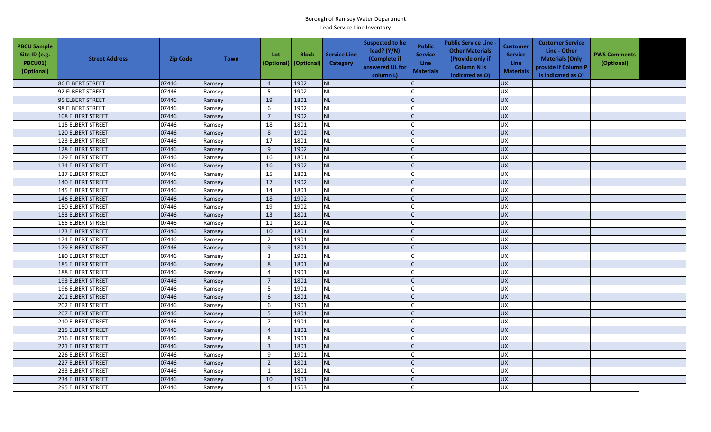| <b>PBCU Sample</b><br>Site ID (e.g.<br>PBCU01)<br>(Optional) | <b>Street Address</b>    | <b>Zip Code</b> | <b>Town</b> | Lot<br>(Optional) | <b>Block</b><br>(Optional) | <b>Service Line</b><br><b>Category</b> | <b>Suspected to be</b><br>lead? (Y/N)<br>(Complete if<br>answered UL for<br>column L) | <b>Public</b><br><b>Service</b><br><b>Line</b><br><b>Materials</b> | <b>Public Service Line -</b><br><b>Other Materials</b><br>(Provide only if<br><b>Column N is</b><br>indicated as O) | <b>Customer</b><br><b>Service</b><br>Line<br><b>Materials</b> | <b>Customer Service</b><br>Line - Other<br><b>Materials (Only</b><br>provide if Column P<br>is indicated as O) | <b>PWS Comments</b><br>(Optional) |  |
|--------------------------------------------------------------|--------------------------|-----------------|-------------|-------------------|----------------------------|----------------------------------------|---------------------------------------------------------------------------------------|--------------------------------------------------------------------|---------------------------------------------------------------------------------------------------------------------|---------------------------------------------------------------|----------------------------------------------------------------------------------------------------------------|-----------------------------------|--|
|                                                              | 86 ELBERT STREET         | 07446           | Ramsey      | $\overline{4}$    | 1902                       | <b>NL</b>                              |                                                                                       |                                                                    |                                                                                                                     | <b>UX</b>                                                     |                                                                                                                |                                   |  |
|                                                              | 92 ELBERT STREET         | 07446           | Ramsey      | 5                 | 1902                       | <b>NL</b>                              |                                                                                       |                                                                    |                                                                                                                     | <b>UX</b>                                                     |                                                                                                                |                                   |  |
|                                                              | 95 ELBERT STREET         | 07446           | Ramsey      | 19                | 1801                       | <b>NL</b>                              |                                                                                       |                                                                    |                                                                                                                     | <b>UX</b>                                                     |                                                                                                                |                                   |  |
|                                                              | 98 ELBERT STREET         | 07446           | Ramsey      | 6                 | 1902                       | <b>NL</b>                              |                                                                                       |                                                                    |                                                                                                                     | <b>UX</b>                                                     |                                                                                                                |                                   |  |
|                                                              | 108 ELBERT STREET        | 07446           | Ramsey      | $\overline{7}$    | 1902                       | <b>NL</b>                              |                                                                                       |                                                                    |                                                                                                                     | <b>UX</b>                                                     |                                                                                                                |                                   |  |
|                                                              | 115 ELBERT STREET        | 07446           | Ramsey      | 18                | 1801                       | <b>NL</b>                              |                                                                                       |                                                                    |                                                                                                                     | <b>UX</b>                                                     |                                                                                                                |                                   |  |
|                                                              | 120 ELBERT STREET        | 07446           | Ramsey      | $8\phantom{1}$    | 1902                       | <b>NL</b>                              |                                                                                       | $\mathsf{C}$                                                       |                                                                                                                     | <b>UX</b>                                                     |                                                                                                                |                                   |  |
|                                                              | 123 ELBERT STREET        | 07446           | Ramsey      | 17                | 1801                       | <b>NL</b>                              |                                                                                       |                                                                    |                                                                                                                     | <b>UX</b>                                                     |                                                                                                                |                                   |  |
|                                                              | 128 ELBERT STREET        | 07446           | Ramsey      | 9                 | 1902                       | <b>NL</b>                              |                                                                                       |                                                                    |                                                                                                                     | <b>UX</b>                                                     |                                                                                                                |                                   |  |
|                                                              | 129 ELBERT STREET        | 07446           | Ramsey      | 16                | 1801                       | NL                                     |                                                                                       |                                                                    |                                                                                                                     | UX                                                            |                                                                                                                |                                   |  |
|                                                              | 134 ELBERT STREET        | 07446           | Ramsey      | 16                | 1902                       | <b>NL</b>                              |                                                                                       | C                                                                  |                                                                                                                     | <b>UX</b>                                                     |                                                                                                                |                                   |  |
|                                                              | <b>137 ELBERT STREET</b> | 07446           | Ramsey      | 15                | 1801                       | <b>NL</b>                              |                                                                                       |                                                                    |                                                                                                                     | <b>UX</b>                                                     |                                                                                                                |                                   |  |
|                                                              | 140 ELBERT STREET        | 07446           | Ramsey      | 17                | 1902                       | <b>NL</b>                              |                                                                                       |                                                                    |                                                                                                                     | <b>UX</b>                                                     |                                                                                                                |                                   |  |
|                                                              | 145 ELBERT STREET        | 07446           | Ramsey      | 14                | 1801                       | <b>NL</b>                              |                                                                                       |                                                                    |                                                                                                                     | <b>UX</b>                                                     |                                                                                                                |                                   |  |
|                                                              | 146 ELBERT STREET        | 07446           | Ramsey      | 18                | 1902                       | <b>NL</b>                              |                                                                                       |                                                                    |                                                                                                                     | <b>UX</b>                                                     |                                                                                                                |                                   |  |
|                                                              | 150 ELBERT STREET        | 07446           | Ramsey      | 19                | 1902                       | <b>NL</b>                              |                                                                                       |                                                                    |                                                                                                                     | <b>UX</b>                                                     |                                                                                                                |                                   |  |
|                                                              | 153 ELBERT STREET        | 07446           | Ramsey      | 13                | 1801                       | <b>NL</b>                              |                                                                                       |                                                                    |                                                                                                                     | UX                                                            |                                                                                                                |                                   |  |
|                                                              | <b>165 ELBERT STREET</b> | 07446           | Ramsey      | 11                | 1801                       | <b>NL</b>                              |                                                                                       |                                                                    |                                                                                                                     | UX                                                            |                                                                                                                |                                   |  |
|                                                              | 173 ELBERT STREET        | 07446           | Ramsey      | 10                | 1801                       | <b>NL</b>                              |                                                                                       |                                                                    |                                                                                                                     | <b>UX</b>                                                     |                                                                                                                |                                   |  |
|                                                              | 174 ELBERT STREET        | 07446           | Ramsey      | $\overline{2}$    | 1901                       | <b>NL</b>                              |                                                                                       |                                                                    |                                                                                                                     | <b>UX</b>                                                     |                                                                                                                |                                   |  |
|                                                              | 179 ELBERT STREET        | 07446           | Ramsey      | 9                 | 1801                       | <b>NL</b>                              |                                                                                       |                                                                    |                                                                                                                     | <b>UX</b>                                                     |                                                                                                                |                                   |  |
|                                                              | 180 ELBERT STREET        | 07446           | Ramsey      | $\mathbf{3}$      | 1901                       | <b>NL</b>                              |                                                                                       |                                                                    |                                                                                                                     | <b>UX</b>                                                     |                                                                                                                |                                   |  |
|                                                              | <b>185 ELBERT STREET</b> | 07446           | Ramsey      | 8                 | 1801                       | <b>NL</b>                              |                                                                                       |                                                                    |                                                                                                                     | UX                                                            |                                                                                                                |                                   |  |
|                                                              | <b>188 ELBERT STREET</b> | 07446           | Ramsey      | $\overline{4}$    | 1901                       | NL                                     |                                                                                       |                                                                    |                                                                                                                     | <b>UX</b>                                                     |                                                                                                                |                                   |  |
|                                                              | 193 ELBERT STREET        | 07446           | Ramsey      | $\overline{7}$    | 1801                       | <b>NL</b>                              |                                                                                       |                                                                    |                                                                                                                     | UX                                                            |                                                                                                                |                                   |  |
|                                                              | 196 ELBERT STREET        | 07446           | Ramsey      | 5                 | 1901                       | <b>NL</b>                              |                                                                                       |                                                                    |                                                                                                                     | <b>UX</b>                                                     |                                                                                                                |                                   |  |
|                                                              | 201 ELBERT STREET        | 07446           | Ramsey      | $\boldsymbol{6}$  | 1801                       | <b>NL</b>                              |                                                                                       |                                                                    |                                                                                                                     | UX                                                            |                                                                                                                |                                   |  |
|                                                              | 202 ELBERT STREET        | 07446           | Ramsey      | 6                 | 1901                       | <b>NL</b>                              |                                                                                       |                                                                    |                                                                                                                     | <b>UX</b>                                                     |                                                                                                                |                                   |  |
|                                                              | 207 ELBERT STREET        | 07446           | Ramsey      | 5                 | 1801                       | <b>NL</b>                              |                                                                                       |                                                                    |                                                                                                                     | <b>UX</b>                                                     |                                                                                                                |                                   |  |
|                                                              | <b>210 ELBERT STREET</b> | 07446           | Ramsey      | $\overline{7}$    | 1901                       | <b>NL</b>                              |                                                                                       |                                                                    |                                                                                                                     | UX                                                            |                                                                                                                |                                   |  |
|                                                              | 215 ELBERT STREET        | 07446           | Ramsey      | $\overline{4}$    | 1801                       | <b>NL</b>                              |                                                                                       |                                                                    |                                                                                                                     | <b>UX</b>                                                     |                                                                                                                |                                   |  |
|                                                              | 216 ELBERT STREET        | 07446           | Ramsey      | 8                 | 1901                       | <b>NL</b>                              |                                                                                       |                                                                    |                                                                                                                     | UX                                                            |                                                                                                                |                                   |  |
|                                                              | 221 ELBERT STREET        | 07446           | Ramsey      | $\overline{3}$    | 1801                       | <b>NL</b>                              |                                                                                       |                                                                    |                                                                                                                     | <b>UX</b>                                                     |                                                                                                                |                                   |  |
|                                                              | 226 ELBERT STREET        | 07446           | Ramsey      | 9                 | 1901                       | <b>NL</b>                              |                                                                                       |                                                                    |                                                                                                                     | <b>UX</b>                                                     |                                                                                                                |                                   |  |
|                                                              | <b>227 ELBERT STREET</b> | 07446           | Ramsey      | $\overline{2}$    | 1801                       | NL                                     |                                                                                       |                                                                    |                                                                                                                     | <b>UX</b>                                                     |                                                                                                                |                                   |  |
|                                                              | 233 ELBERT STREET        | 07446           | Ramsey      | $\mathbf{1}$      | 1801                       | <b>NL</b>                              |                                                                                       |                                                                    |                                                                                                                     | <b>UX</b>                                                     |                                                                                                                |                                   |  |
|                                                              | 234 ELBERT STREET        | 07446           | Ramsey      | 10                | 1901                       | <b>NL</b>                              |                                                                                       |                                                                    |                                                                                                                     | UX                                                            |                                                                                                                |                                   |  |
|                                                              | <b>295 ELBERT STREET</b> | 07446           | Ramsey      | $\overline{4}$    | 1503                       | NL                                     |                                                                                       |                                                                    |                                                                                                                     | <b>UX</b>                                                     |                                                                                                                |                                   |  |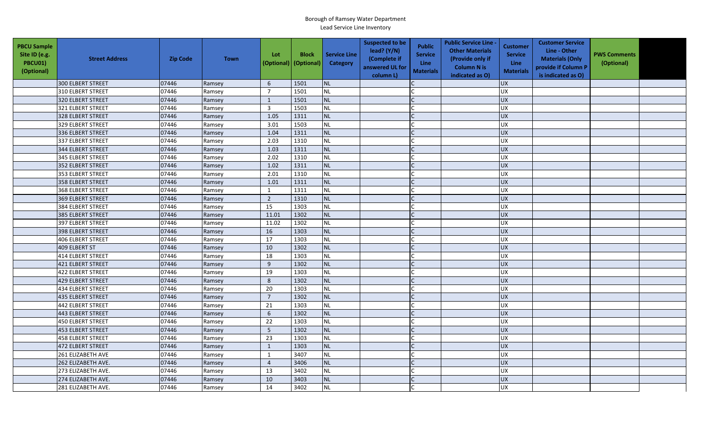| <b>PBCU Sample</b><br>Site ID (e.g.<br>PBCU01)<br>(Optional) | <b>Street Address</b>    | <b>Zip Code</b> | <b>Town</b> | Lot<br>(Optional) | <b>Block</b><br>(Optional) | <b>Service Line</b><br>Category | <b>Suspected to be</b><br>lead? (Y/N)<br>(Complete if<br>answered UL for<br>column L) | <b>Public</b><br><b>Service</b><br><b>Line</b><br><b>Materials</b> | <b>Public Service Line -</b><br><b>Other Materials</b><br>(Provide only if<br><b>Column N is</b><br>indicated as O) | <b>Customer</b><br><b>Service</b><br><b>Line</b><br><b>Materials</b> | <b>Customer Service</b><br>Line - Other<br><b>Materials (Only</b><br>provide if Column P<br>is indicated as O) | <b>PWS Comments</b><br>(Optional) |  |
|--------------------------------------------------------------|--------------------------|-----------------|-------------|-------------------|----------------------------|---------------------------------|---------------------------------------------------------------------------------------|--------------------------------------------------------------------|---------------------------------------------------------------------------------------------------------------------|----------------------------------------------------------------------|----------------------------------------------------------------------------------------------------------------|-----------------------------------|--|
|                                                              | 300 ELBERT STREET        | 07446           | Ramsey      | 6                 | 1501                       | <b>NL</b>                       |                                                                                       |                                                                    |                                                                                                                     | <b>UX</b>                                                            |                                                                                                                |                                   |  |
|                                                              | 310 ELBERT STREET        | 07446           | Ramsey      | $\overline{7}$    | 1501                       | <b>NL</b>                       |                                                                                       |                                                                    |                                                                                                                     | UX                                                                   |                                                                                                                |                                   |  |
|                                                              | 320 ELBERT STREET        | 07446           | Ramsey      | 1                 | 1501                       | NL                              |                                                                                       |                                                                    |                                                                                                                     | <b>UX</b>                                                            |                                                                                                                |                                   |  |
|                                                              | 321 ELBERT STREET        | 07446           | Ramsey      | $\overline{3}$    | 1503                       | <b>NL</b>                       |                                                                                       |                                                                    |                                                                                                                     | <b>UX</b>                                                            |                                                                                                                |                                   |  |
|                                                              | 328 ELBERT STREET        | 07446           | Ramsey      | 1.05              | 1311                       | <b>NL</b>                       |                                                                                       |                                                                    |                                                                                                                     | <b>UX</b>                                                            |                                                                                                                |                                   |  |
|                                                              | 329 ELBERT STREET        | 07446           | Ramsey      | 3.01              | 1503                       | <b>NL</b>                       |                                                                                       |                                                                    |                                                                                                                     | UX                                                                   |                                                                                                                |                                   |  |
|                                                              | 336 ELBERT STREET        | 07446           | Ramsey      | 1.04              | 1311                       | <b>NL</b>                       |                                                                                       |                                                                    |                                                                                                                     | <b>UX</b>                                                            |                                                                                                                |                                   |  |
|                                                              | 337 ELBERT STREET        | 07446           | Ramsey      | 2.03              | 1310                       | <b>NL</b>                       |                                                                                       |                                                                    |                                                                                                                     | <b>UX</b>                                                            |                                                                                                                |                                   |  |
|                                                              | 344 ELBERT STREET        | 07446           | Ramsey      | 1.03              | 1311                       | <b>NL</b>                       |                                                                                       |                                                                    |                                                                                                                     | <b>UX</b>                                                            |                                                                                                                |                                   |  |
|                                                              | 345 ELBERT STREET        | 07446           | Ramsey      | 2.02              | 1310                       | <b>NL</b>                       |                                                                                       |                                                                    |                                                                                                                     | <b>UX</b>                                                            |                                                                                                                |                                   |  |
|                                                              | 352 ELBERT STREET        | 07446           | Ramsey      | 1.02              | 1311                       | <b>NL</b>                       |                                                                                       |                                                                    |                                                                                                                     | <b>UX</b>                                                            |                                                                                                                |                                   |  |
|                                                              | 353 ELBERT STREET        | 07446           | Ramsey      | 2.01              | 1310                       | <b>NL</b>                       |                                                                                       |                                                                    |                                                                                                                     | UX                                                                   |                                                                                                                |                                   |  |
|                                                              | 358 ELBERT STREET        | 07446           | Ramsey      | 1.01              | 1311                       | <b>NL</b>                       |                                                                                       |                                                                    |                                                                                                                     | <b>UX</b>                                                            |                                                                                                                |                                   |  |
|                                                              | 368 ELBERT STREET        | 07446           | Ramsey      | $\mathbf{1}$      | 1311                       | NL                              |                                                                                       |                                                                    |                                                                                                                     | UX                                                                   |                                                                                                                |                                   |  |
|                                                              | 369 ELBERT STREET        | 07446           | Ramsey      | $\overline{2}$    | 1310                       | NL                              |                                                                                       |                                                                    |                                                                                                                     | <b>UX</b>                                                            |                                                                                                                |                                   |  |
|                                                              | <b>384 ELBERT STREET</b> | 07446           | Ramsey      | 15                | 1303                       | <b>NL</b>                       |                                                                                       |                                                                    |                                                                                                                     | <b>UX</b>                                                            |                                                                                                                |                                   |  |
|                                                              | 385 ELBERT STREET        | 07446           | Ramsey      | 11.01             | 1302                       | <b>NL</b>                       |                                                                                       |                                                                    |                                                                                                                     | <b>UX</b>                                                            |                                                                                                                |                                   |  |
|                                                              | 397 ELBERT STREET        | 07446           | Ramsey      | 11.02             | 1302                       | <b>NL</b>                       |                                                                                       |                                                                    |                                                                                                                     | <b>UX</b>                                                            |                                                                                                                |                                   |  |
|                                                              | 398 ELBERT STREET        | 07446           | Ramsey      | 16                | 1303                       | <b>NL</b>                       |                                                                                       |                                                                    |                                                                                                                     | <b>UX</b>                                                            |                                                                                                                |                                   |  |
|                                                              | 406 ELBERT STREET        | 07446           | Ramsey      | 17                | 1303                       | <b>NL</b>                       |                                                                                       |                                                                    |                                                                                                                     | <b>UX</b>                                                            |                                                                                                                |                                   |  |
|                                                              | 409 ELBERT ST            | 07446           | Ramsey      | 10                | 1302                       | <b>NL</b>                       |                                                                                       |                                                                    |                                                                                                                     | <b>UX</b>                                                            |                                                                                                                |                                   |  |
|                                                              | <b>414 ELBERT STREET</b> | 07446           | Ramsey      | 18                | 1303                       | <b>NL</b>                       |                                                                                       |                                                                    |                                                                                                                     | <b>UX</b>                                                            |                                                                                                                |                                   |  |
|                                                              | 421 ELBERT STREET        | 07446           | Ramsey      | 9                 | 1302                       | <b>NL</b>                       |                                                                                       |                                                                    |                                                                                                                     | <b>UX</b>                                                            |                                                                                                                |                                   |  |
|                                                              | 422 ELBERT STREET        | 07446           | Ramsey      | 19                | 1303                       | <b>NL</b>                       |                                                                                       |                                                                    |                                                                                                                     | UX                                                                   |                                                                                                                |                                   |  |
|                                                              | 429 ELBERT STREET        | 07446           | Ramsey      | 8                 | 1302                       | <b>NL</b>                       |                                                                                       | $\mathsf{C}$                                                       |                                                                                                                     | <b>UX</b>                                                            |                                                                                                                |                                   |  |
|                                                              | 434 ELBERT STREET        | 07446           | Ramsey      | 20                | 1303                       | <b>NL</b>                       |                                                                                       |                                                                    |                                                                                                                     | <b>UX</b>                                                            |                                                                                                                |                                   |  |
|                                                              | 435 ELBERT STREET        | 07446           | Ramsey      | $\overline{7}$    | 1302                       | <b>NL</b>                       |                                                                                       |                                                                    |                                                                                                                     | <b>UX</b>                                                            |                                                                                                                |                                   |  |
|                                                              | 442 ELBERT STREET        | 07446           | Ramsey      | 21                | 1303                       | <b>NL</b>                       |                                                                                       |                                                                    |                                                                                                                     | <b>UX</b>                                                            |                                                                                                                |                                   |  |
|                                                              | 443 ELBERT STREET        | 07446           | Ramsey      | 6                 | 1302                       | NL                              |                                                                                       |                                                                    |                                                                                                                     | <b>UX</b>                                                            |                                                                                                                |                                   |  |
|                                                              | 450 ELBERT STREET        | 07446           | Ramsey      | 22                | 1303                       | <b>NL</b>                       |                                                                                       |                                                                    |                                                                                                                     | <b>UX</b>                                                            |                                                                                                                |                                   |  |
|                                                              | 453 ELBERT STREET        | 07446           | Ramsey      | 5                 | 1302                       | <b>NL</b>                       |                                                                                       |                                                                    |                                                                                                                     | <b>UX</b>                                                            |                                                                                                                |                                   |  |
|                                                              | <b>458 ELBERT STREET</b> | 07446           | Ramsey      | 23                | 1303                       | <b>NL</b>                       |                                                                                       |                                                                    |                                                                                                                     | <b>UX</b>                                                            |                                                                                                                |                                   |  |
|                                                              | 472 ELBERT STREET        | 07446           | Ramsey      | $\mathbf{1}$      | 1303                       | <b>NL</b>                       |                                                                                       |                                                                    |                                                                                                                     | UX                                                                   |                                                                                                                |                                   |  |
|                                                              | 261 ELIZABETH AVE        | 07446           | Ramsey      | $\mathbf{1}$      | 3407                       | <b>NL</b>                       |                                                                                       |                                                                    |                                                                                                                     | <b>UX</b>                                                            |                                                                                                                |                                   |  |
|                                                              | 262 ELIZABETH AVE.       | 07446           | Ramsey      | $\overline{4}$    | 3406                       | <b>NL</b>                       |                                                                                       |                                                                    |                                                                                                                     | UX                                                                   |                                                                                                                |                                   |  |
|                                                              | 273 ELIZABETH AVE.       | 07446           | Ramsey      | 13                | 3402                       | <b>NL</b>                       |                                                                                       |                                                                    |                                                                                                                     | <b>UX</b>                                                            |                                                                                                                |                                   |  |
|                                                              | 274 ELIZABETH AVE.       | 07446           | Ramsey      | 10                | 3403                       | <b>NL</b>                       |                                                                                       |                                                                    |                                                                                                                     | <b>UX</b>                                                            |                                                                                                                |                                   |  |
|                                                              | 281 ELIZABETH AVE.       | 07446           | Ramsey      | 14                | 3402                       | <b>NL</b>                       |                                                                                       |                                                                    |                                                                                                                     | <b>UX</b>                                                            |                                                                                                                |                                   |  |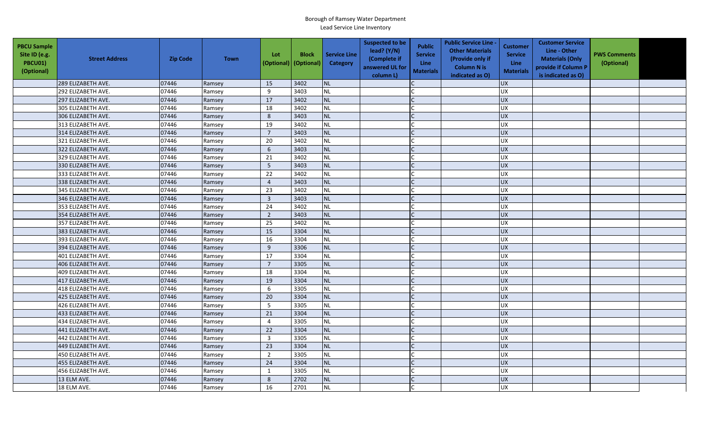| <b>PBCU Sample</b><br>Site ID (e.g.<br><b>PBCU01)</b><br>(Optional) | <b>Street Address</b> | <b>Zip Code</b> | <b>Town</b> | Lot<br>(Optional)       | <b>Block</b><br>(Optional) | <b>Service Line</b><br>Category | <b>Suspected to be</b><br>lead? $(Y/N)$<br>(Complete if<br>answered UL for<br>column L) | <b>Public</b><br><b>Service</b><br><b>Line</b><br><b>Materials</b> | <b>Public Service Line -</b><br><b>Other Materials</b><br>(Provide only if<br><b>Column N is</b><br>indicated as O) | <b>Customer</b><br><b>Service</b><br><b>Line</b><br><b>Materials</b> | <b>Customer Service</b><br>Line - Other<br><b>Materials (Only</b><br>provide if Column P<br>is indicated as O) | <b>PWS Comments</b><br>(Optional) |  |
|---------------------------------------------------------------------|-----------------------|-----------------|-------------|-------------------------|----------------------------|---------------------------------|-----------------------------------------------------------------------------------------|--------------------------------------------------------------------|---------------------------------------------------------------------------------------------------------------------|----------------------------------------------------------------------|----------------------------------------------------------------------------------------------------------------|-----------------------------------|--|
|                                                                     | 289 ELIZABETH AVE.    | 07446           | Ramsey      | 15                      | 3402                       | <b>NL</b>                       |                                                                                         |                                                                    |                                                                                                                     | <b>UX</b>                                                            |                                                                                                                |                                   |  |
|                                                                     | 292 ELIZABETH AVE.    | 07446           | Ramsey      | 9                       | 3403                       | <b>NL</b>                       |                                                                                         |                                                                    |                                                                                                                     | <b>UX</b>                                                            |                                                                                                                |                                   |  |
|                                                                     | 297 ELIZABETH AVE.    | 07446           | Ramsey      | 17                      | 3402                       | NL                              |                                                                                         |                                                                    |                                                                                                                     | <b>UX</b>                                                            |                                                                                                                |                                   |  |
|                                                                     | 305 ELIZABETH AVE.    | 07446           | Ramsey      | 18                      | 3402                       | <b>NL</b>                       |                                                                                         |                                                                    |                                                                                                                     | UX                                                                   |                                                                                                                |                                   |  |
|                                                                     | 306 ELIZABETH AVE.    | 07446           | Ramsey      | 8                       | 3403                       | <b>NL</b>                       |                                                                                         |                                                                    |                                                                                                                     | <b>UX</b>                                                            |                                                                                                                |                                   |  |
|                                                                     | 313 ELIZABETH AVE.    | 07446           | Ramsey      | 19                      | 3402                       | <b>NL</b>                       |                                                                                         |                                                                    |                                                                                                                     | <b>UX</b>                                                            |                                                                                                                |                                   |  |
|                                                                     | 314 ELIZABETH AVE.    | 07446           | Ramsey      | $\overline{7}$          | 3403                       | <b>NL</b>                       |                                                                                         |                                                                    |                                                                                                                     | <b>UX</b>                                                            |                                                                                                                |                                   |  |
|                                                                     | 321 ELIZABETH AVE.    | 07446           | Ramsey      | 20                      | 3402                       | <b>NL</b>                       |                                                                                         |                                                                    |                                                                                                                     | <b>UX</b>                                                            |                                                                                                                |                                   |  |
|                                                                     | 322 ELIZABETH AVE.    | 07446           | Ramsey      | 6                       | 3403                       | <b>NL</b>                       |                                                                                         | $\mathsf{C}$                                                       |                                                                                                                     | UX                                                                   |                                                                                                                |                                   |  |
|                                                                     | 329 ELIZABETH AVE.    | 07446           | Ramsey      | 21                      | 3402                       | <b>NL</b>                       |                                                                                         |                                                                    |                                                                                                                     | <b>UX</b>                                                            |                                                                                                                |                                   |  |
|                                                                     | 330 ELIZABETH AVE.    | 07446           | Ramsey      | 5                       | 3403                       | <b>NL</b>                       |                                                                                         | $\mathsf{C}$                                                       |                                                                                                                     | <b>UX</b>                                                            |                                                                                                                |                                   |  |
|                                                                     | 333 ELIZABETH AVE.    | 07446           | Ramsey      | 22                      | 3402                       | NL                              |                                                                                         |                                                                    |                                                                                                                     | <b>UX</b>                                                            |                                                                                                                |                                   |  |
|                                                                     | 338 ELIZABETH AVE.    | 07446           | Ramsey      | $\overline{4}$          | 3403                       | <b>NL</b>                       |                                                                                         |                                                                    |                                                                                                                     | UX                                                                   |                                                                                                                |                                   |  |
|                                                                     | 345 ELIZABETH AVE.    | 07446           | Ramsey      | 23                      | 3402                       | <b>NL</b>                       |                                                                                         |                                                                    |                                                                                                                     | UX                                                                   |                                                                                                                |                                   |  |
|                                                                     | 346 ELIZABETH AVE.    | 07446           | Ramsey      | $\overline{\mathbf{3}}$ | 3403                       | <b>NL</b>                       |                                                                                         |                                                                    |                                                                                                                     | UX                                                                   |                                                                                                                |                                   |  |
|                                                                     | 353 ELIZABETH AVE.    | 07446           | Ramsey      | 24                      | 3402                       | <b>NL</b>                       |                                                                                         |                                                                    |                                                                                                                     | <b>UX</b>                                                            |                                                                                                                |                                   |  |
|                                                                     | 354 ELIZABETH AVE.    | 07446           | Ramsey      | $\overline{2}$          | 3403                       | <b>NL</b>                       |                                                                                         |                                                                    |                                                                                                                     | <b>UX</b>                                                            |                                                                                                                |                                   |  |
|                                                                     | 357 ELIZABETH AVE.    | 07446           | Ramsey      | 25                      | 3402                       | <b>NL</b>                       |                                                                                         |                                                                    |                                                                                                                     | UX                                                                   |                                                                                                                |                                   |  |
|                                                                     | 383 ELIZABETH AVE.    | 07446           | Ramsey      | 15                      | 3304                       | <b>NL</b>                       |                                                                                         |                                                                    |                                                                                                                     | UX                                                                   |                                                                                                                |                                   |  |
|                                                                     | 393 ELIZABETH AVE.    | 07446           | Ramsey      | 16                      | 3304                       | <b>NL</b>                       |                                                                                         |                                                                    |                                                                                                                     | <b>UX</b>                                                            |                                                                                                                |                                   |  |
|                                                                     | 394 ELIZABETH AVE.    | 07446           | Ramsey      | 9                       | 3306                       | <b>NL</b>                       |                                                                                         |                                                                    |                                                                                                                     | <b>UX</b>                                                            |                                                                                                                |                                   |  |
|                                                                     | 401 ELIZABETH AVE.    | 07446           | Ramsey      | 17                      | 3304                       | <b>NL</b>                       |                                                                                         |                                                                    |                                                                                                                     | <b>UX</b>                                                            |                                                                                                                |                                   |  |
|                                                                     | 406 ELIZABETH AVE.    | 07446           | Ramsey      | $\overline{7}$          | 3305                       | <b>NL</b>                       |                                                                                         |                                                                    |                                                                                                                     | <b>UX</b>                                                            |                                                                                                                |                                   |  |
|                                                                     | 409 ELIZABETH AVE.    | 07446           | Ramsey      | 18                      | 3304                       | <b>NL</b>                       |                                                                                         |                                                                    |                                                                                                                     | <b>UX</b>                                                            |                                                                                                                |                                   |  |
|                                                                     | 417 ELIZABETH AVE.    | 07446           | Ramsey      | 19                      | 3304                       | <b>NL</b>                       |                                                                                         | $\mathsf{C}$                                                       |                                                                                                                     | <b>UX</b>                                                            |                                                                                                                |                                   |  |
|                                                                     | 418 ELIZABETH AVE.    | 07446           | Ramsey      | 6                       | 3305                       | <b>NL</b>                       |                                                                                         |                                                                    |                                                                                                                     | UX                                                                   |                                                                                                                |                                   |  |
|                                                                     | 425 ELIZABETH AVE.    | 07446           | Ramsey      | 20                      | 3304                       | <b>NL</b>                       |                                                                                         |                                                                    |                                                                                                                     | <b>UX</b>                                                            |                                                                                                                |                                   |  |
|                                                                     | 426 ELIZABETH AVE.    | 07446           | Ramsey      | 5                       | 3305                       | <b>NL</b>                       |                                                                                         |                                                                    |                                                                                                                     | <b>UX</b>                                                            |                                                                                                                |                                   |  |
|                                                                     | 433 ELIZABETH AVE.    | 07446           | Ramsey      | 21                      | 3304                       | <b>NL</b>                       |                                                                                         |                                                                    |                                                                                                                     | <b>UX</b>                                                            |                                                                                                                |                                   |  |
|                                                                     | 434 ELIZABETH AVE.    | 07446           | Ramsey      | $\overline{4}$          | 3305                       | <b>NL</b>                       |                                                                                         |                                                                    |                                                                                                                     | <b>UX</b>                                                            |                                                                                                                |                                   |  |
|                                                                     | 441 ELIZABETH AVE.    | 07446           | Ramsey      | 22                      | 3304                       | <b>NL</b>                       |                                                                                         |                                                                    |                                                                                                                     | UX                                                                   |                                                                                                                |                                   |  |
|                                                                     | 442 ELIZABETH AVE.    | 07446           | Ramsey      | $\overline{3}$          | 3305                       | <b>NL</b>                       |                                                                                         |                                                                    |                                                                                                                     | <b>UX</b>                                                            |                                                                                                                |                                   |  |
|                                                                     | 449 ELIZABETH AVE.    | 07446           | Ramsey      | 23                      | 3304                       | <b>NL</b>                       |                                                                                         |                                                                    |                                                                                                                     | $\overline{UX}$                                                      |                                                                                                                |                                   |  |
|                                                                     | 450 ELIZABETH AVE.    | 07446           | Ramsey      | $\overline{2}$          | 3305                       | <b>NL</b>                       |                                                                                         |                                                                    |                                                                                                                     | UX                                                                   |                                                                                                                |                                   |  |
|                                                                     | 455 ELIZABETH AVE.    | 07446           | Ramsey      | 24                      | 3304                       | <b>NL</b>                       |                                                                                         |                                                                    |                                                                                                                     | UX                                                                   |                                                                                                                |                                   |  |
|                                                                     | 456 ELIZABETH AVE.    | 07446           | Ramsey      | 1                       | 3305                       | NL                              |                                                                                         |                                                                    |                                                                                                                     | <b>UX</b>                                                            |                                                                                                                |                                   |  |
|                                                                     | 13 ELM AVE.           | 07446           | Ramsey      | 8                       | 2702                       | <b>NL</b>                       |                                                                                         |                                                                    |                                                                                                                     | <b>UX</b>                                                            |                                                                                                                |                                   |  |
|                                                                     | 18 ELM AVE.           | 07446           | Ramsey      | 16                      | 2701                       | NL                              |                                                                                         |                                                                    |                                                                                                                     | UX                                                                   |                                                                                                                |                                   |  |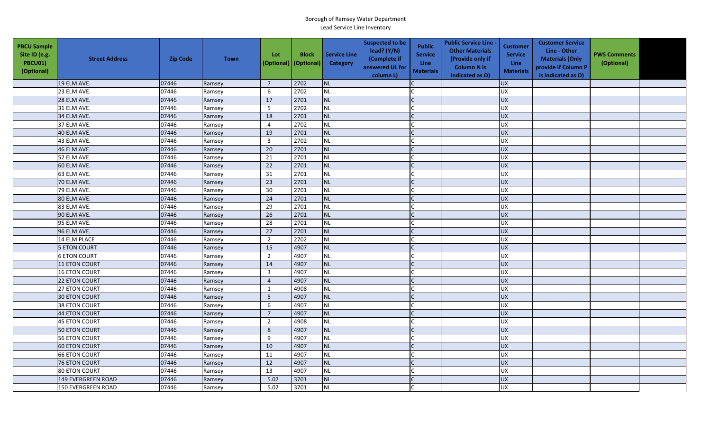| <b>PBCU Sample</b><br>Site ID (e.g.<br><b>PBCU01)</b><br>(Optional) | <b>Street Address</b>     | <b>Zip Code</b> | <b>Town</b> | Lot<br>(Optional) | <b>Block</b><br>(Optional) | <b>Service Line</b><br>Category | <b>Suspected to be</b><br>lead? (Y/N)<br>(Complete if<br>answered UL for<br>column L) | <b>Public</b><br><b>Service</b><br><b>Line</b><br><b>Materials</b> | <b>Public Service Line -</b><br><b>Other Materials</b><br>(Provide only if<br><b>Column N is</b><br>indicated as O) | Customer<br><b>Service</b><br><b>Line</b><br><b>Materials</b> | <b>Customer Service</b><br>Line - Other<br><b>Materials (Only</b><br>provide if Column P<br>is indicated as O) | <b>PWS Comments</b><br>(Optional) |  |
|---------------------------------------------------------------------|---------------------------|-----------------|-------------|-------------------|----------------------------|---------------------------------|---------------------------------------------------------------------------------------|--------------------------------------------------------------------|---------------------------------------------------------------------------------------------------------------------|---------------------------------------------------------------|----------------------------------------------------------------------------------------------------------------|-----------------------------------|--|
|                                                                     | 19 ELM AVE.               | 07446           | Ramsey      | $\overline{7}$    | 2702                       | <b>NL</b>                       |                                                                                       |                                                                    |                                                                                                                     | <b>UX</b>                                                     |                                                                                                                |                                   |  |
|                                                                     | 23 ELM AVE.               | 07446           | Ramsey      | 6                 | 2702                       | NL                              |                                                                                       |                                                                    |                                                                                                                     | UX                                                            |                                                                                                                |                                   |  |
|                                                                     | 28 ELM AVE.               | 07446           | Ramsey      | 17                | 2701                       | <b>NL</b>                       |                                                                                       |                                                                    |                                                                                                                     | <b>UX</b>                                                     |                                                                                                                |                                   |  |
|                                                                     | 31 ELM AVE.               | 07446           | Ramsey      | 5                 | 2702                       | <b>NL</b>                       |                                                                                       |                                                                    |                                                                                                                     | UX                                                            |                                                                                                                |                                   |  |
|                                                                     | 34 ELM AVE.               | 07446           | Ramsey      | 18                | 2701                       | <b>NL</b>                       |                                                                                       |                                                                    |                                                                                                                     | <b>UX</b>                                                     |                                                                                                                |                                   |  |
|                                                                     | 37 ELM AVE.               | 07446           | Ramsey      | $\overline{4}$    | 2702                       | <b>NL</b>                       |                                                                                       |                                                                    |                                                                                                                     | <b>UX</b>                                                     |                                                                                                                |                                   |  |
|                                                                     | 40 ELM AVE.               | 07446           | Ramsey      | 19                | 2701                       | <b>NL</b>                       |                                                                                       | $\mathsf{C}$                                                       |                                                                                                                     | UX                                                            |                                                                                                                |                                   |  |
|                                                                     | 43 ELM AVE.               | 07446           | Ramsey      | $\overline{3}$    | 2702                       | <b>NL</b>                       |                                                                                       |                                                                    |                                                                                                                     | <b>UX</b>                                                     |                                                                                                                |                                   |  |
|                                                                     | 46 ELM AVE.               | 07446           | Ramsey      | 20                | 2701                       | <b>NL</b>                       |                                                                                       |                                                                    |                                                                                                                     | <b>UX</b>                                                     |                                                                                                                |                                   |  |
|                                                                     | 52 ELM AVE.               | 07446           | Ramsey      | 21                | 2701                       | NL                              |                                                                                       |                                                                    |                                                                                                                     | UX                                                            |                                                                                                                |                                   |  |
|                                                                     | 60 ELM AVE.               | 07446           | Ramsey      | 22                | 2701                       | NL                              |                                                                                       | $\mathsf{C}$                                                       |                                                                                                                     | UX                                                            |                                                                                                                |                                   |  |
|                                                                     | 63 ELM AVE.               | 07446           | Ramsey      | 31                | 2701                       | <b>NL</b>                       |                                                                                       |                                                                    |                                                                                                                     | <b>UX</b>                                                     |                                                                                                                |                                   |  |
|                                                                     | 70 ELM AVE.               | 07446           | Ramsey      | 23                | 2701                       | <b>NL</b>                       |                                                                                       |                                                                    |                                                                                                                     | <b>UX</b>                                                     |                                                                                                                |                                   |  |
|                                                                     | 79 ELM AVE.               | 07446           | Ramsey      | 30                | 2701                       | <b>NL</b>                       |                                                                                       | $\mathsf{C}$                                                       |                                                                                                                     | <b>UX</b>                                                     |                                                                                                                |                                   |  |
|                                                                     | 80 ELM AVE.               | 07446           | Ramsey      | 24                | 2701                       | <b>NL</b>                       |                                                                                       | $\mathsf{C}$                                                       |                                                                                                                     | UX                                                            |                                                                                                                |                                   |  |
|                                                                     | 83 ELM AVE.               | 07446           | Ramsey      | 29                | 2701                       | <b>NL</b>                       |                                                                                       |                                                                    |                                                                                                                     | UX                                                            |                                                                                                                |                                   |  |
|                                                                     | 90 ELM AVE.               | 07446           | Ramsey      | 26                | 2701                       | <b>NL</b>                       |                                                                                       |                                                                    |                                                                                                                     | UX                                                            |                                                                                                                |                                   |  |
|                                                                     | 95 ELM AVE.               | 07446           | Ramsey      | 28                | 2701                       | NL                              |                                                                                       |                                                                    |                                                                                                                     | UX                                                            |                                                                                                                |                                   |  |
|                                                                     | 96 ELM AVE.               | 07446           | Ramsey      | 27                | 2701                       | <b>NL</b>                       |                                                                                       |                                                                    |                                                                                                                     | UX                                                            |                                                                                                                |                                   |  |
|                                                                     | 14 ELM PLACE              | 07446           | Ramsey      | $\overline{2}$    | 2702                       | <b>NL</b>                       |                                                                                       |                                                                    |                                                                                                                     | UX                                                            |                                                                                                                |                                   |  |
|                                                                     | <b>5 ETON COURT</b>       | 07446           | Ramsey      | 15                | 4907                       | <b>NL</b>                       |                                                                                       |                                                                    |                                                                                                                     | UX                                                            |                                                                                                                |                                   |  |
|                                                                     | <b>6 ETON COURT</b>       | 07446           | Ramsey      | $\overline{2}$    | 4907                       | NL                              |                                                                                       |                                                                    |                                                                                                                     | UX                                                            |                                                                                                                |                                   |  |
|                                                                     | 11 ETON COURT             | 07446           | Ramsey      | 14                | 4907                       | <b>NL</b>                       |                                                                                       |                                                                    |                                                                                                                     | UX                                                            |                                                                                                                |                                   |  |
|                                                                     | 16 ETON COURT             | 07446           | Ramsey      | $\overline{3}$    | 4907                       | <b>NL</b>                       |                                                                                       |                                                                    |                                                                                                                     | UX                                                            |                                                                                                                |                                   |  |
|                                                                     | 22 ETON COURT             | 07446           | Ramsey      | $\overline{a}$    | 4907                       | <b>NL</b>                       |                                                                                       |                                                                    |                                                                                                                     | UX                                                            |                                                                                                                |                                   |  |
|                                                                     | 27 ETON COURT             | 07446           | Ramsey      | $\mathbf{1}$      | 4908                       | <b>NL</b>                       |                                                                                       |                                                                    |                                                                                                                     | <b>UX</b>                                                     |                                                                                                                |                                   |  |
|                                                                     | 30 ETON COURT             | 07446           | Ramsey      | $\overline{5}$    | 4907                       | <b>NL</b>                       |                                                                                       |                                                                    |                                                                                                                     | UX                                                            |                                                                                                                |                                   |  |
|                                                                     | 38 ETON COURT             | 07446           | Ramsey      | 6                 | 4907                       | <b>NL</b>                       |                                                                                       |                                                                    |                                                                                                                     | UX                                                            |                                                                                                                |                                   |  |
|                                                                     | 44 ETON COURT             | 07446           | Ramsey      | $\overline{7}$    | 4907                       | <b>NL</b>                       |                                                                                       |                                                                    |                                                                                                                     | UX                                                            |                                                                                                                |                                   |  |
|                                                                     | <b>45 ETON COURT</b>      | 07446           | Ramsey      | $\overline{2}$    | 4908                       | <b>NL</b>                       |                                                                                       |                                                                    |                                                                                                                     | UX                                                            |                                                                                                                |                                   |  |
|                                                                     | 50 ETON COURT             | 07446           | Ramsey      | 8                 | 4907                       | <b>NL</b>                       |                                                                                       |                                                                    |                                                                                                                     | <b>UX</b>                                                     |                                                                                                                |                                   |  |
|                                                                     | <b>56 ETON COURT</b>      | 07446           | Ramsey      | $9$               | 4907                       | NL                              |                                                                                       | $\sqrt{ }$                                                         |                                                                                                                     | UX                                                            |                                                                                                                |                                   |  |
|                                                                     | 60 ETON COURT             | 07446           | Ramsey      | 10                | 4907                       | <b>NL</b>                       |                                                                                       |                                                                    |                                                                                                                     | <b>UX</b>                                                     |                                                                                                                |                                   |  |
|                                                                     | <b>66 ETON COURT</b>      | 07446           | Ramsey      | 11                | 4907                       | <b>NL</b>                       |                                                                                       |                                                                    |                                                                                                                     | UX                                                            |                                                                                                                |                                   |  |
|                                                                     | <b>76 ETON COURT</b>      | 07446           | Ramsey      | 12                | 4907                       | NL                              |                                                                                       |                                                                    |                                                                                                                     | <b>UX</b>                                                     |                                                                                                                |                                   |  |
|                                                                     | <b>80 ETON COURT</b>      | 07446           | Ramsey      | 13                | 4907                       | <b>NL</b>                       |                                                                                       |                                                                    |                                                                                                                     | <b>UX</b>                                                     |                                                                                                                |                                   |  |
|                                                                     | <b>149 EVERGREEN ROAD</b> | 07446           | Ramsey      | 5.02              | 3701                       | <b>NL</b>                       |                                                                                       |                                                                    |                                                                                                                     | UX                                                            |                                                                                                                |                                   |  |
|                                                                     | <b>150 EVERGREEN ROAD</b> | 07446           | Ramsey      | 5.02              | 3701                       | NL                              |                                                                                       |                                                                    |                                                                                                                     | <b>UX</b>                                                     |                                                                                                                |                                   |  |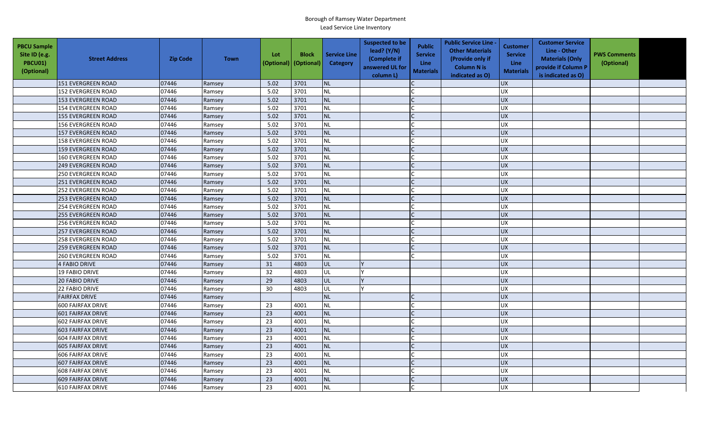| <b>PBCU Sample</b><br>Site ID (e.g.<br><b>PBCU01)</b><br>(Optional) | <b>Street Address</b>     | <b>Zip Code</b> | <b>Town</b> | Lot<br>(Optional) | <b>Block</b><br>(Optional) | <b>Service Line</b><br><b>Category</b> | <b>Suspected to be</b><br>lead? (Y/N)<br>(Complete if<br>answered UL for<br>column L) | <b>Public</b><br><b>Service</b><br><b>Line</b><br><b>Materials</b> | <b>Public Service Line -</b><br><b>Other Materials</b><br>(Provide only if<br><b>Column N is</b><br>indicated as O) | Customer<br><b>Service</b><br>Line<br><b>Materials</b> | <b>Customer Service</b><br>Line - Other<br><b>Materials (Only</b><br>provide if Column P<br>is indicated as O) | <b>PWS Comments</b><br>(Optional) |  |
|---------------------------------------------------------------------|---------------------------|-----------------|-------------|-------------------|----------------------------|----------------------------------------|---------------------------------------------------------------------------------------|--------------------------------------------------------------------|---------------------------------------------------------------------------------------------------------------------|--------------------------------------------------------|----------------------------------------------------------------------------------------------------------------|-----------------------------------|--|
|                                                                     | 151 EVERGREEN ROAD        | 07446           | Ramsey      | 5.02              | 3701                       | NL                                     |                                                                                       |                                                                    |                                                                                                                     | <b>UX</b>                                              |                                                                                                                |                                   |  |
|                                                                     | <b>152 EVERGREEN ROAD</b> | 07446           | Ramsey      | 5.02              | 3701                       | <b>NL</b>                              |                                                                                       |                                                                    |                                                                                                                     | <b>UX</b>                                              |                                                                                                                |                                   |  |
|                                                                     | <b>153 EVERGREEN ROAD</b> | 07446           | Ramsey      | 5.02              | 3701                       | NL                                     |                                                                                       |                                                                    |                                                                                                                     | <b>UX</b>                                              |                                                                                                                |                                   |  |
|                                                                     | <b>154 EVERGREEN ROAD</b> | 07446           | Ramsey      | 5.02              | 3701                       | <b>NL</b>                              |                                                                                       |                                                                    |                                                                                                                     | <b>UX</b>                                              |                                                                                                                |                                   |  |
|                                                                     | <b>155 EVERGREEN ROAD</b> | 07446           | Ramsey      | 5.02              | 3701                       | <b>NL</b>                              |                                                                                       |                                                                    |                                                                                                                     | <b>UX</b>                                              |                                                                                                                |                                   |  |
|                                                                     | 156 EVERGREEN ROAD        | 07446           | Ramsey      | 5.02              | 3701                       | NL                                     |                                                                                       |                                                                    |                                                                                                                     | <b>UX</b>                                              |                                                                                                                |                                   |  |
|                                                                     | 157 EVERGREEN ROAD        | 07446           | Ramsey      | 5.02              | 3701                       | <b>NL</b>                              |                                                                                       |                                                                    |                                                                                                                     | <b>UX</b>                                              |                                                                                                                |                                   |  |
|                                                                     | <b>158 EVERGREEN ROAD</b> | 07446           | Ramsey      | 5.02              | 3701                       | NL                                     |                                                                                       |                                                                    |                                                                                                                     | <b>UX</b>                                              |                                                                                                                |                                   |  |
|                                                                     | 159 EVERGREEN ROAD        | 07446           | Ramsey      | 5.02              | 3701                       | <b>NL</b>                              |                                                                                       |                                                                    |                                                                                                                     | <b>UX</b>                                              |                                                                                                                |                                   |  |
|                                                                     | 160 EVERGREEN ROAD        | 07446           | Ramsey      | 5.02              | 3701                       | NL                                     |                                                                                       |                                                                    |                                                                                                                     | <b>UX</b>                                              |                                                                                                                |                                   |  |
|                                                                     | <b>249 EVERGREEN ROAD</b> | 07446           | Ramsey      | 5.02              | 3701                       | NL                                     |                                                                                       |                                                                    |                                                                                                                     | <b>UX</b>                                              |                                                                                                                |                                   |  |
|                                                                     | <b>250 EVERGREEN ROAD</b> | 07446           | Ramsey      | 5.02              | 3701                       | <b>NL</b>                              |                                                                                       |                                                                    |                                                                                                                     | <b>UX</b>                                              |                                                                                                                |                                   |  |
|                                                                     | 251 EVERGREEN ROAD        | 07446           | Ramsey      | 5.02              | 3701                       | NL                                     |                                                                                       |                                                                    |                                                                                                                     | <b>UX</b>                                              |                                                                                                                |                                   |  |
|                                                                     | 252 EVERGREEN ROAD        | 07446           | Ramsey      | 5.02              | 3701                       | <b>NL</b>                              |                                                                                       |                                                                    |                                                                                                                     | <b>UX</b>                                              |                                                                                                                |                                   |  |
|                                                                     | <b>253 EVERGREEN ROAD</b> | 07446           | Ramsey      | 5.02              | 3701                       | NL                                     |                                                                                       |                                                                    |                                                                                                                     | <b>UX</b>                                              |                                                                                                                |                                   |  |
|                                                                     | 254 EVERGREEN ROAD        | 07446           | Ramsey      | 5.02              | 3701                       | NL                                     |                                                                                       |                                                                    |                                                                                                                     | <b>UX</b>                                              |                                                                                                                |                                   |  |
|                                                                     | <b>255 EVERGREEN ROAD</b> | 07446           | Ramsey      | 5.02              | 3701                       | $\sf NL$                               |                                                                                       |                                                                    |                                                                                                                     | <b>UX</b>                                              |                                                                                                                |                                   |  |
|                                                                     | <b>256 EVERGREEN ROAD</b> | 07446           | Ramsey      | 5.02              | 3701                       | NL                                     |                                                                                       |                                                                    |                                                                                                                     | UX                                                     |                                                                                                                |                                   |  |
|                                                                     | <b>257 EVERGREEN ROAD</b> | 07446           | Ramsey      | 5.02              | 3701                       | <b>NL</b>                              |                                                                                       |                                                                    |                                                                                                                     | <b>UX</b>                                              |                                                                                                                |                                   |  |
|                                                                     | <b>258 EVERGREEN ROAD</b> | 07446           | Ramsey      | 5.02              | 3701                       | NL                                     |                                                                                       |                                                                    |                                                                                                                     | <b>UX</b>                                              |                                                                                                                |                                   |  |
|                                                                     | <b>259 EVERGREEN ROAD</b> | 07446           | Ramsey      | 5.02              | 3701                       | NL                                     |                                                                                       |                                                                    |                                                                                                                     | <b>UX</b>                                              |                                                                                                                |                                   |  |
|                                                                     | 260 EVERGREEN ROAD        | 07446           | Ramsey      | 5.02              | 3701                       | NL                                     |                                                                                       |                                                                    |                                                                                                                     | UX                                                     |                                                                                                                |                                   |  |
|                                                                     | <b>4 FABIO DRIVE</b>      | 07446           | Ramsey      | 31                | 4803                       | UL                                     |                                                                                       |                                                                    |                                                                                                                     | <b>UX</b>                                              |                                                                                                                |                                   |  |
|                                                                     | <b>19 FABIO DRIVE</b>     | 07446           | Ramsey      | 32                | 4803                       | UL                                     |                                                                                       |                                                                    |                                                                                                                     | <b>UX</b>                                              |                                                                                                                |                                   |  |
|                                                                     | <b>20 FABIO DRIVE</b>     | 07446           | Ramsey      | 29                | 4803                       | UL                                     |                                                                                       |                                                                    |                                                                                                                     | <b>UX</b>                                              |                                                                                                                |                                   |  |
|                                                                     | 22 FABIO DRIVE            | 07446           | Ramsey      | 30                | 4803                       | UL                                     |                                                                                       |                                                                    |                                                                                                                     | <b>UX</b>                                              |                                                                                                                |                                   |  |
|                                                                     | <b>FAIRFAX DRIVE</b>      | 07446           | Ramsey      |                   |                            | <b>NL</b>                              |                                                                                       |                                                                    |                                                                                                                     | <b>UX</b>                                              |                                                                                                                |                                   |  |
|                                                                     | 600 FAIRFAX DRIVE         | 07446           | Ramsey      | 23                | 4001                       | NL                                     |                                                                                       |                                                                    |                                                                                                                     | <b>UX</b>                                              |                                                                                                                |                                   |  |
|                                                                     | <b>601 FAIRFAX DRIVE</b>  | 07446           | Ramsey      | 23                | 4001                       | <b>NL</b>                              |                                                                                       |                                                                    |                                                                                                                     | <b>UX</b>                                              |                                                                                                                |                                   |  |
|                                                                     | <b>602 FAIRFAX DRIVE</b>  | 07446           | Ramsey      | 23                | 4001                       | NL                                     |                                                                                       |                                                                    |                                                                                                                     | <b>UX</b>                                              |                                                                                                                |                                   |  |
|                                                                     | 603 FAIRFAX DRIVE         | 07446           | Ramsey      | 23                | 4001                       | <b>NL</b>                              |                                                                                       |                                                                    |                                                                                                                     | <b>UX</b>                                              |                                                                                                                |                                   |  |
|                                                                     | 604 FAIRFAX DRIVE         | 07446           | Ramsey      | 23                | 4001                       | NL                                     |                                                                                       |                                                                    |                                                                                                                     | UX                                                     |                                                                                                                |                                   |  |
|                                                                     | <b>605 FAIRFAX DRIVE</b>  | 07446           | Ramsey      | 23                | 4001                       | <b>NL</b>                              |                                                                                       |                                                                    |                                                                                                                     | <b>UX</b>                                              |                                                                                                                |                                   |  |
|                                                                     | <b>606 FAIRFAX DRIVE</b>  | 07446           | Ramsey      | 23                | 4001                       | <b>NL</b>                              |                                                                                       |                                                                    |                                                                                                                     | <b>UX</b>                                              |                                                                                                                |                                   |  |
|                                                                     | 607 FAIRFAX DRIVE         | 07446           | Ramsey      | 23                | 4001                       | NL                                     |                                                                                       |                                                                    |                                                                                                                     | <b>UX</b>                                              |                                                                                                                |                                   |  |
|                                                                     | <b>608 FAIRFAX DRIVE</b>  | 07446           | Ramsey      | 23                | 4001                       | <b>NL</b>                              |                                                                                       |                                                                    |                                                                                                                     | <b>UX</b>                                              |                                                                                                                |                                   |  |
|                                                                     | <b>609 FAIRFAX DRIVE</b>  | 07446           | Ramsey      | 23                | 4001                       | NL                                     |                                                                                       |                                                                    |                                                                                                                     | <b>UX</b>                                              |                                                                                                                |                                   |  |
|                                                                     | <b>610 FAIRFAX DRIVE</b>  | 07446           | Ramsey      | 23                | 4001                       | <b>NL</b>                              |                                                                                       |                                                                    |                                                                                                                     | <b>UX</b>                                              |                                                                                                                |                                   |  |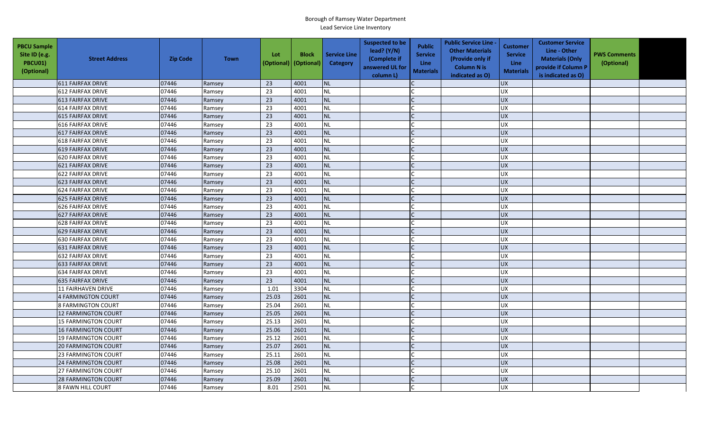| <b>PBCU Sample</b><br>Site ID (e.g.<br>PBCU01)<br>(Optional) | <b>Street Address</b>      | <b>Zip Code</b> | <b>Town</b> | Lot<br>(Optional) | <b>Block</b><br>(Optional) | <b>Service Line</b><br>Category | <b>Suspected to be</b><br>lead? (Y/N)<br>(Complete if<br>answered UL for<br>column L) | <b>Public</b><br><b>Service</b><br>Line<br><b>Materials</b> | <b>Public Service Line -</b><br><b>Other Materials</b><br>(Provide only if<br><b>Column N is</b><br>indicated as O) | Customer<br><b>Service</b><br><b>Line</b><br><b>Materials</b> | <b>Customer Service</b><br>Line - Other<br><b>Materials (Only</b><br>provide if Column P<br>is indicated as O) | <b>PWS Comments</b><br>(Optional) |  |
|--------------------------------------------------------------|----------------------------|-----------------|-------------|-------------------|----------------------------|---------------------------------|---------------------------------------------------------------------------------------|-------------------------------------------------------------|---------------------------------------------------------------------------------------------------------------------|---------------------------------------------------------------|----------------------------------------------------------------------------------------------------------------|-----------------------------------|--|
|                                                              | 611 FAIRFAX DRIVE          | 07446           | Ramsey      | 23                | 4001                       | <b>NL</b>                       |                                                                                       |                                                             |                                                                                                                     | <b>UX</b>                                                     |                                                                                                                |                                   |  |
|                                                              | <b>612 FAIRFAX DRIVE</b>   | 07446           | Ramsey      | 23                | 4001                       | <b>NL</b>                       |                                                                                       |                                                             |                                                                                                                     | <b>UX</b>                                                     |                                                                                                                |                                   |  |
|                                                              | <b>613 FAIRFAX DRIVE</b>   | 07446           | Ramsey      | 23                | 4001                       | <b>NL</b>                       |                                                                                       |                                                             |                                                                                                                     | <b>UX</b>                                                     |                                                                                                                |                                   |  |
|                                                              | <b>614 FAIRFAX DRIVE</b>   | 07446           | Ramsey      | 23                | 4001                       | <b>NL</b>                       |                                                                                       |                                                             |                                                                                                                     | <b>UX</b>                                                     |                                                                                                                |                                   |  |
|                                                              | 615 FAIRFAX DRIVE          | 07446           | Ramsey      | 23                | 4001                       | <b>NL</b>                       |                                                                                       |                                                             |                                                                                                                     | <b>UX</b>                                                     |                                                                                                                |                                   |  |
|                                                              | <b>616 FAIRFAX DRIVE</b>   | 07446           | Ramsey      | 23                | 4001                       | <b>NL</b>                       |                                                                                       |                                                             |                                                                                                                     | <b>UX</b>                                                     |                                                                                                                |                                   |  |
|                                                              | 617 FAIRFAX DRIVE          | 07446           | Ramsey      | 23                | 4001                       | <b>NL</b>                       |                                                                                       |                                                             |                                                                                                                     | <b>UX</b>                                                     |                                                                                                                |                                   |  |
|                                                              | <b>618 FAIRFAX DRIVE</b>   | 07446           | Ramsey      | 23                | 4001                       | <b>NL</b>                       |                                                                                       |                                                             |                                                                                                                     | UX                                                            |                                                                                                                |                                   |  |
|                                                              | 619 FAIRFAX DRIVE          | 07446           | Ramsey      | 23                | 4001                       | <b>NL</b>                       |                                                                                       | $\mathsf{C}$                                                |                                                                                                                     | <b>UX</b>                                                     |                                                                                                                |                                   |  |
|                                                              | <b>620 FAIRFAX DRIVE</b>   | 07446           | Ramsey      | 23                | 4001                       | <b>NL</b>                       |                                                                                       |                                                             |                                                                                                                     | UX                                                            |                                                                                                                |                                   |  |
|                                                              | <b>621 FAIRFAX DRIVE</b>   | 07446           | Ramsey      | 23                | 4001                       | <b>NL</b>                       |                                                                                       |                                                             |                                                                                                                     | <b>UX</b>                                                     |                                                                                                                |                                   |  |
|                                                              | 622 FAIRFAX DRIVE          | 07446           | Ramsey      | 23                | 4001                       | <b>NL</b>                       |                                                                                       |                                                             |                                                                                                                     | <b>UX</b>                                                     |                                                                                                                |                                   |  |
|                                                              | 623 FAIRFAX DRIVE          | 07446           | Ramsey      | 23                | 4001                       | <b>NL</b>                       |                                                                                       |                                                             |                                                                                                                     | <b>UX</b>                                                     |                                                                                                                |                                   |  |
|                                                              | 624 FAIRFAX DRIVE          | 07446           | Ramsey      | 23                | 4001                       | <b>NL</b>                       |                                                                                       |                                                             |                                                                                                                     | UX                                                            |                                                                                                                |                                   |  |
|                                                              | 625 FAIRFAX DRIVE          | 07446           | Ramsey      | 23                | 4001                       | <b>NL</b>                       |                                                                                       |                                                             |                                                                                                                     | <b>UX</b>                                                     |                                                                                                                |                                   |  |
|                                                              | <b>626 FAIRFAX DRIVE</b>   | 07446           | Ramsey      | 23                | 4001                       | <b>NL</b>                       |                                                                                       |                                                             |                                                                                                                     | <b>UX</b>                                                     |                                                                                                                |                                   |  |
|                                                              | 627 FAIRFAX DRIVE          | 07446           | Ramsey      | 23                | 4001                       | <b>NL</b>                       |                                                                                       |                                                             |                                                                                                                     | UX                                                            |                                                                                                                |                                   |  |
|                                                              | <b>628 FAIRFAX DRIVE</b>   | 07446           | Ramsey      | 23                | 4001                       | <b>NL</b>                       |                                                                                       |                                                             |                                                                                                                     | <b>UX</b>                                                     |                                                                                                                |                                   |  |
|                                                              | 629 FAIRFAX DRIVE          | 07446           | Ramsey      | 23                | 4001                       | <b>NL</b>                       |                                                                                       |                                                             |                                                                                                                     | <b>UX</b>                                                     |                                                                                                                |                                   |  |
|                                                              | 630 FAIRFAX DRIVE          | 07446           | Ramsey      | 23                | 4001                       | <b>NL</b>                       |                                                                                       |                                                             |                                                                                                                     | UX                                                            |                                                                                                                |                                   |  |
|                                                              | 631 FAIRFAX DRIVE          | 07446           | Ramsey      | 23                | 4001                       | <b>NL</b>                       |                                                                                       |                                                             |                                                                                                                     | UX                                                            |                                                                                                                |                                   |  |
|                                                              | 632 FAIRFAX DRIVE          | 07446           | Ramsey      | 23                | 4001                       | <b>NL</b>                       |                                                                                       |                                                             |                                                                                                                     | UX                                                            |                                                                                                                |                                   |  |
|                                                              | <b>633 FAIRFAX DRIVE</b>   | 07446           | Ramsey      | 23                | 4001                       | <b>NL</b>                       |                                                                                       |                                                             |                                                                                                                     | <b>UX</b>                                                     |                                                                                                                |                                   |  |
|                                                              | 634 FAIRFAX DRIVE          | 07446           | Ramsey      | 23                | 4001                       | <b>NL</b>                       |                                                                                       |                                                             |                                                                                                                     | <b>UX</b>                                                     |                                                                                                                |                                   |  |
|                                                              | <b>635 FAIRFAX DRIVE</b>   | 07446           | Ramsey      | 23                | 4001                       | <b>NL</b>                       |                                                                                       | $\mathsf{C}$                                                |                                                                                                                     | <b>UX</b>                                                     |                                                                                                                |                                   |  |
|                                                              | <b>11 FAIRHAVEN DRIVE</b>  | 07446           | Ramsey      | 1.01              | 3304                       | <b>NL</b>                       |                                                                                       |                                                             |                                                                                                                     | <b>UX</b>                                                     |                                                                                                                |                                   |  |
|                                                              | 4 FARMINGTON COURT         | 07446           | Ramsey      | 25.03             | 2601                       | <b>NL</b>                       |                                                                                       |                                                             |                                                                                                                     | <b>UX</b>                                                     |                                                                                                                |                                   |  |
|                                                              | <b>8 FARMINGTON COURT</b>  | 07446           | Ramsey      | 25.04             | 2601                       | <b>NL</b>                       |                                                                                       |                                                             |                                                                                                                     | <b>UX</b>                                                     |                                                                                                                |                                   |  |
|                                                              | <b>12 FARMINGTON COURT</b> | 07446           | Ramsey      | 25.05             | 2601                       | <b>NL</b>                       |                                                                                       |                                                             |                                                                                                                     | <b>UX</b>                                                     |                                                                                                                |                                   |  |
|                                                              | 15 FARMINGTON COURT        | 07446           | Ramsey      | 25.13             | 2601                       | <b>NL</b>                       |                                                                                       |                                                             |                                                                                                                     | UX                                                            |                                                                                                                |                                   |  |
|                                                              | 16 FARMINGTON COURT        | 07446           | Ramsey      | 25.06             | 2601                       | <b>NL</b>                       |                                                                                       |                                                             |                                                                                                                     | <b>UX</b>                                                     |                                                                                                                |                                   |  |
|                                                              | <b>19 FARMINGTON COURT</b> | 07446           | Ramsey      | 25.12             | 2601                       | <b>NL</b>                       |                                                                                       | $\Gamma$                                                    |                                                                                                                     | <b>UX</b>                                                     |                                                                                                                |                                   |  |
|                                                              | <b>20 FARMINGTON COURT</b> | 07446           | Ramsey      | 25.07             | 2601                       | <b>NL</b>                       |                                                                                       |                                                             |                                                                                                                     | UX                                                            |                                                                                                                |                                   |  |
|                                                              | 23 FARMINGTON COURT        | 07446           | Ramsey      | 25.11             | 2601                       | <b>NL</b>                       |                                                                                       |                                                             |                                                                                                                     | <b>UX</b>                                                     |                                                                                                                |                                   |  |
|                                                              | <b>24 FARMINGTON COURT</b> | 07446           | Ramsey      | 25.08             | 2601                       | <b>NL</b>                       |                                                                                       |                                                             |                                                                                                                     | <b>UX</b>                                                     |                                                                                                                |                                   |  |
|                                                              | <b>27 FARMINGTON COURT</b> | 07446           | Ramsey      | 25.10             | 2601                       | <b>NL</b>                       |                                                                                       |                                                             |                                                                                                                     | <b>UX</b>                                                     |                                                                                                                |                                   |  |
|                                                              | <b>28 FARMINGTON COURT</b> | 07446           | Ramsey      | 25.09             | 2601                       | <b>NL</b>                       |                                                                                       |                                                             |                                                                                                                     | <b>UX</b>                                                     |                                                                                                                |                                   |  |
|                                                              | <b>8 FAWN HILL COURT</b>   | 07446           | Ramsey      | 8.01              | 2501                       | <b>NL</b>                       |                                                                                       |                                                             |                                                                                                                     | <b>UX</b>                                                     |                                                                                                                |                                   |  |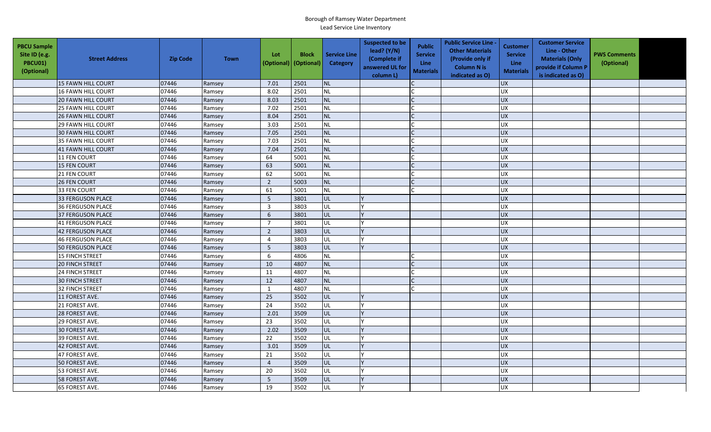| <b>PBCU Sample</b><br>Site ID (e.g.<br>PBCU01)<br>(Optional) | <b>Street Address</b>     | <b>Zip Code</b> | <b>Town</b> | Lot<br>(Optional) | <b>Block</b><br>(Optional) | <b>Service Line</b><br>Category | <b>Suspected to be</b><br>lead? $(Y/N)$<br>(Complete if<br>answered UL for<br>column L) | <b>Public</b><br><b>Service</b><br><b>Line</b><br><b>Materials</b> | <b>Public Service Line -</b><br><b>Other Materials</b><br>(Provide only if<br><b>Column N is</b><br>indicated as O) | <b>Customer</b><br><b>Service</b><br><b>Line</b><br><b>Materials</b> | <b>Customer Service</b><br>Line - Other<br><b>Materials (Only</b><br>provide if Column P<br>is indicated as O) | <b>PWS Comments</b><br>(Optional) |  |
|--------------------------------------------------------------|---------------------------|-----------------|-------------|-------------------|----------------------------|---------------------------------|-----------------------------------------------------------------------------------------|--------------------------------------------------------------------|---------------------------------------------------------------------------------------------------------------------|----------------------------------------------------------------------|----------------------------------------------------------------------------------------------------------------|-----------------------------------|--|
|                                                              | 15 FAWN HILL COURT        | 07446           | Ramsey      | 7.01              | 2501                       | <b>NL</b>                       |                                                                                         |                                                                    |                                                                                                                     | <b>UX</b>                                                            |                                                                                                                |                                   |  |
|                                                              | <b>16 FAWN HILL COURT</b> | 07446           | Ramsey      | 8.02              | 2501                       | <b>NL</b>                       |                                                                                         |                                                                    |                                                                                                                     | <b>UX</b>                                                            |                                                                                                                |                                   |  |
|                                                              | <b>20 FAWN HILL COURT</b> | 07446           | Ramsey      | 8.03              | 2501                       | <b>NL</b>                       |                                                                                         |                                                                    |                                                                                                                     | <b>UX</b>                                                            |                                                                                                                |                                   |  |
|                                                              | <b>25 FAWN HILL COURT</b> | 07446           | Ramsey      | 7.02              | 2501                       | <b>NL</b>                       |                                                                                         |                                                                    |                                                                                                                     | UX                                                                   |                                                                                                                |                                   |  |
|                                                              | <b>26 FAWN HILL COURT</b> | 07446           | Ramsey      | 8.04              | 2501                       | <b>NL</b>                       |                                                                                         |                                                                    |                                                                                                                     | <b>UX</b>                                                            |                                                                                                                |                                   |  |
|                                                              | <b>29 FAWN HILL COURT</b> | 07446           | Ramsey      | 3.03              | 2501                       | <b>NL</b>                       |                                                                                         |                                                                    |                                                                                                                     | <b>UX</b>                                                            |                                                                                                                |                                   |  |
|                                                              | 30 FAWN HILL COURT        | 07446           | Ramsey      | 7.05              | 2501                       | <b>NL</b>                       |                                                                                         | $\mathsf{C}$                                                       |                                                                                                                     | <b>UX</b>                                                            |                                                                                                                |                                   |  |
|                                                              | <b>35 FAWN HILL COURT</b> | 07446           | Ramsey      | 7.03              | 2501                       | <b>NL</b>                       |                                                                                         |                                                                    |                                                                                                                     | <b>UX</b>                                                            |                                                                                                                |                                   |  |
|                                                              | 41 FAWN HILL COURT        | 07446           | Ramsey      | 7.04              | 2501                       | NL                              |                                                                                         |                                                                    |                                                                                                                     | <b>UX</b>                                                            |                                                                                                                |                                   |  |
|                                                              | 11 FEN COURT              | 07446           | Ramsey      | 64                | 5001                       | NL                              |                                                                                         |                                                                    |                                                                                                                     | UX                                                                   |                                                                                                                |                                   |  |
|                                                              | 15 FEN COURT              | 07446           | Ramsey      | 63                | 5001                       | <b>NL</b>                       |                                                                                         | C                                                                  |                                                                                                                     | <b>UX</b>                                                            |                                                                                                                |                                   |  |
|                                                              | 21 FEN COURT              | 07446           | Ramsey      | 62                | 5001                       | <b>NL</b>                       |                                                                                         |                                                                    |                                                                                                                     | <b>UX</b>                                                            |                                                                                                                |                                   |  |
|                                                              | 26 FEN COURT              | 07446           | Ramsey      | $\overline{2}$    | 5003                       | <b>NL</b>                       |                                                                                         |                                                                    |                                                                                                                     | <b>UX</b>                                                            |                                                                                                                |                                   |  |
|                                                              | 33 FEN COURT              | 07446           | Ramsey      | 61                | 5001                       | <b>NL</b>                       |                                                                                         |                                                                    |                                                                                                                     | <b>UX</b>                                                            |                                                                                                                |                                   |  |
|                                                              | <b>33 FERGUSON PLACE</b>  | 07446           | Ramsey      | $\overline{5}$    | 3801                       | UL                              |                                                                                         |                                                                    |                                                                                                                     | <b>UX</b>                                                            |                                                                                                                |                                   |  |
|                                                              | 36 FERGUSON PLACE         | 07446           | Ramsey      | $\overline{3}$    | 3803                       | UL                              |                                                                                         |                                                                    |                                                                                                                     | <b>UX</b>                                                            |                                                                                                                |                                   |  |
|                                                              | 37 FERGUSON PLACE         | 07446           | Ramsey      | 6                 | 3801                       | UL                              |                                                                                         |                                                                    |                                                                                                                     | UX                                                                   |                                                                                                                |                                   |  |
|                                                              | <b>41 FERGUSON PLACE</b>  | 07446           | Ramsey      | $\overline{7}$    | 3801                       | UL                              |                                                                                         |                                                                    |                                                                                                                     | UX                                                                   |                                                                                                                |                                   |  |
|                                                              | 42 FERGUSON PLACE         | 07446           | Ramsey      | $\overline{2}$    | 3803                       | UL                              |                                                                                         |                                                                    |                                                                                                                     | <b>UX</b>                                                            |                                                                                                                |                                   |  |
|                                                              | <b>46 FERGUSON PLACE</b>  | 07446           | Ramsey      | $\overline{4}$    | 3803                       | UL                              |                                                                                         |                                                                    |                                                                                                                     | <b>UX</b>                                                            |                                                                                                                |                                   |  |
|                                                              | <b>50 FERGUSON PLACE</b>  | 07446           | Ramsey      | 5                 | 3803                       | UL                              |                                                                                         |                                                                    |                                                                                                                     | <b>UX</b>                                                            |                                                                                                                |                                   |  |
|                                                              | 15 FINCH STREET           | 07446           | Ramsey      | 6                 | 4806                       | <b>NL</b>                       |                                                                                         |                                                                    |                                                                                                                     | <b>UX</b>                                                            |                                                                                                                |                                   |  |
|                                                              | 20 FINCH STREET           | 07446           | Ramsey      | 10                | 4807                       | <b>NL</b>                       |                                                                                         |                                                                    |                                                                                                                     | UX                                                                   |                                                                                                                |                                   |  |
|                                                              | 24 FINCH STREET           | 07446           | Ramsey      | 11                | 4807                       | <b>NL</b>                       |                                                                                         |                                                                    |                                                                                                                     | UX                                                                   |                                                                                                                |                                   |  |
|                                                              | <b>30 FINCH STREET</b>    | 07446           | Ramsey      | 12                | 4807                       | <b>NL</b>                       |                                                                                         |                                                                    |                                                                                                                     | UX                                                                   |                                                                                                                |                                   |  |
|                                                              | 32 FINCH STREET           | 07446           | Ramsey      | $\mathbf{1}$      | 4807                       | <b>NL</b>                       |                                                                                         |                                                                    |                                                                                                                     | <b>UX</b>                                                            |                                                                                                                |                                   |  |
|                                                              | 11 FOREST AVE.            | 07446           | Ramsey      | 25                | 3502                       | UL                              |                                                                                         |                                                                    |                                                                                                                     | UX                                                                   |                                                                                                                |                                   |  |
|                                                              | 21 FOREST AVE.            | 07446           | Ramsey      | 24                | 3502                       | UL                              |                                                                                         |                                                                    |                                                                                                                     | <b>UX</b>                                                            |                                                                                                                |                                   |  |
|                                                              | 28 FOREST AVE.            | 07446           | Ramsey      | 2.01              | 3509                       | <b>UL</b>                       |                                                                                         |                                                                    |                                                                                                                     | <b>UX</b>                                                            |                                                                                                                |                                   |  |
|                                                              | 29 FOREST AVE.            | 07446           | Ramsey      | 23                | 3502                       | UL                              |                                                                                         |                                                                    |                                                                                                                     | UX                                                                   |                                                                                                                |                                   |  |
|                                                              | 30 FOREST AVE.            | 07446           | Ramsey      | 2.02              | 3509                       | UL                              |                                                                                         |                                                                    |                                                                                                                     | <b>UX</b>                                                            |                                                                                                                |                                   |  |
|                                                              | 39 FOREST AVE.            | 07446           | Ramsey      | 22                | 3502                       | UL                              |                                                                                         |                                                                    |                                                                                                                     | UX                                                                   |                                                                                                                |                                   |  |
|                                                              | 42 FOREST AVE.            | 07446           | Ramsey      | 3.01              | 3509                       | UL                              |                                                                                         |                                                                    |                                                                                                                     | <b>UX</b>                                                            |                                                                                                                |                                   |  |
|                                                              | 47 FOREST AVE.            | 07446           | Ramsey      | 21                | 3502                       | UL                              |                                                                                         |                                                                    |                                                                                                                     | <b>UX</b>                                                            |                                                                                                                |                                   |  |
|                                                              | 50 FOREST AVE.            | 07446           | Ramsey      | $\overline{4}$    | 3509                       | UL                              |                                                                                         |                                                                    |                                                                                                                     | <b>UX</b>                                                            |                                                                                                                |                                   |  |
|                                                              | 53 FOREST AVE.            | 07446           | Ramsey      | 20                | 3502                       | UL                              |                                                                                         |                                                                    |                                                                                                                     | <b>UX</b>                                                            |                                                                                                                |                                   |  |
|                                                              | 58 FOREST AVE.            | 07446           | Ramsey      | $\sqrt{5}$        | 3509                       | UL                              |                                                                                         |                                                                    |                                                                                                                     | UX                                                                   |                                                                                                                |                                   |  |
|                                                              | 65 FOREST AVE.            | 07446           | Ramsey      | 19                | 3502                       | UL                              |                                                                                         |                                                                    |                                                                                                                     | <b>UX</b>                                                            |                                                                                                                |                                   |  |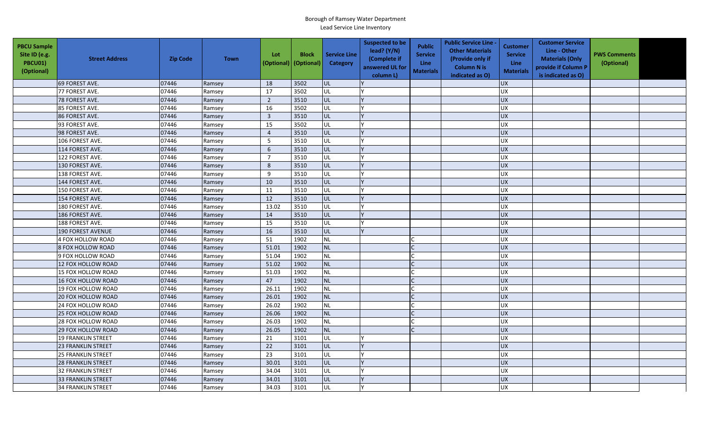| <b>PBCU Sample</b><br>Site ID (e.g.<br><b>PBCU01)</b><br>(Optional) | <b>Street Address</b>     | <b>Zip Code</b> | <b>Town</b> | Lot<br>(Optional) | <b>Block</b><br>(Optional) | <b>Service Line</b><br>Category | <b>Suspected to be</b><br>lead? (Y/N)<br>(Complete if<br>answered UL for<br>column L) | <b>Public</b><br><b>Service</b><br>Line<br><b>Materials</b> | <b>Public Service Line -</b><br><b>Other Materials</b><br>(Provide only if<br><b>Column N is</b><br>indicated as O) | Customer<br><b>Service</b><br><b>Line</b><br><b>Materials</b> | <b>Customer Service</b><br>Line - Other<br><b>Materials (Only</b><br>provide if Column P<br>is indicated as O) | <b>PWS Comments</b><br>(Optional) |  |
|---------------------------------------------------------------------|---------------------------|-----------------|-------------|-------------------|----------------------------|---------------------------------|---------------------------------------------------------------------------------------|-------------------------------------------------------------|---------------------------------------------------------------------------------------------------------------------|---------------------------------------------------------------|----------------------------------------------------------------------------------------------------------------|-----------------------------------|--|
|                                                                     | 69 FOREST AVE.            | 07446           | Ramsey      | 18                | 3502                       | lul                             |                                                                                       |                                                             |                                                                                                                     | <b>UX</b>                                                     |                                                                                                                |                                   |  |
|                                                                     | 77 FOREST AVE.            | 07446           | Ramsey      | 17                | 3502                       | UL                              |                                                                                       |                                                             |                                                                                                                     | <b>UX</b>                                                     |                                                                                                                |                                   |  |
|                                                                     | 78 FOREST AVE.            | 07446           | Ramsey      | $\overline{2}$    | 3510                       | UL                              |                                                                                       |                                                             |                                                                                                                     | <b>UX</b>                                                     |                                                                                                                |                                   |  |
|                                                                     | 85 FOREST AVE.            | 07446           | Ramsey      | 16                | 3502                       | UL                              |                                                                                       |                                                             |                                                                                                                     | <b>UX</b>                                                     |                                                                                                                |                                   |  |
|                                                                     | 86 FOREST AVE.            | 07446           | Ramsey      | $\overline{3}$    | 3510                       | UL                              |                                                                                       |                                                             |                                                                                                                     | <b>UX</b>                                                     |                                                                                                                |                                   |  |
|                                                                     | 93 FOREST AVE.            | 07446           | Ramsey      | 15                | 3502                       | <b>UL</b>                       |                                                                                       |                                                             |                                                                                                                     | <b>UX</b>                                                     |                                                                                                                |                                   |  |
|                                                                     | 98 FOREST AVE.            | 07446           | Ramsey      | $\overline{4}$    | 3510                       | UL                              |                                                                                       |                                                             |                                                                                                                     | <b>UX</b>                                                     |                                                                                                                |                                   |  |
|                                                                     | 106 FOREST AVE.           | 07446           | Ramsey      | 5                 | 3510                       | UL                              |                                                                                       |                                                             |                                                                                                                     | UX                                                            |                                                                                                                |                                   |  |
|                                                                     | 114 FOREST AVE.           | 07446           | Ramsey      | 6                 | 3510                       | UL                              |                                                                                       |                                                             |                                                                                                                     | <b>UX</b>                                                     |                                                                                                                |                                   |  |
|                                                                     | 122 FOREST AVE.           | 07446           | Ramsey      | $\overline{7}$    | 3510                       | UL                              |                                                                                       |                                                             |                                                                                                                     | UX                                                            |                                                                                                                |                                   |  |
|                                                                     | 130 FOREST AVE.           | 07446           | Ramsey      | 8                 | 3510                       | UL                              |                                                                                       |                                                             |                                                                                                                     | <b>UX</b>                                                     |                                                                                                                |                                   |  |
|                                                                     | 138 FOREST AVE.           | 07446           | Ramsey      | 9                 | 3510                       | UL                              |                                                                                       |                                                             |                                                                                                                     | <b>UX</b>                                                     |                                                                                                                |                                   |  |
|                                                                     | 144 FOREST AVE.           | 07446           | Ramsey      | 10                | 3510                       | <b>UL</b>                       |                                                                                       |                                                             |                                                                                                                     | <b>UX</b>                                                     |                                                                                                                |                                   |  |
|                                                                     | 150 FOREST AVE.           | 07446           | Ramsey      | 11                | 3510                       | UL                              |                                                                                       |                                                             |                                                                                                                     | UX                                                            |                                                                                                                |                                   |  |
|                                                                     | 154 FOREST AVE.           | 07446           | Ramsey      | 12                | 3510                       | UL                              |                                                                                       |                                                             |                                                                                                                     | <b>UX</b>                                                     |                                                                                                                |                                   |  |
|                                                                     | 180 FOREST AVE.           | 07446           | Ramsey      | 13.02             | 3510                       | UL                              |                                                                                       |                                                             |                                                                                                                     | <b>UX</b>                                                     |                                                                                                                |                                   |  |
|                                                                     | 186 FOREST AVE.           | 07446           | Ramsey      | 14                | 3510                       | UL                              |                                                                                       |                                                             |                                                                                                                     | UX                                                            |                                                                                                                |                                   |  |
|                                                                     | 188 FOREST AVE.           | 07446           | Ramsey      | 15                | 3510                       | UL                              |                                                                                       |                                                             |                                                                                                                     | <b>UX</b>                                                     |                                                                                                                |                                   |  |
|                                                                     | 190 FOREST AVENUE         | 07446           | Ramsey      | 16                | 3510                       | UL                              |                                                                                       |                                                             |                                                                                                                     | <b>UX</b>                                                     |                                                                                                                |                                   |  |
|                                                                     | 4 FOX HOLLOW ROAD         | 07446           | Ramsey      | 51                | 1902                       | <b>NL</b>                       |                                                                                       |                                                             |                                                                                                                     | <b>UX</b>                                                     |                                                                                                                |                                   |  |
|                                                                     | <b>8 FOX HOLLOW ROAD</b>  | 07446           | Ramsey      | 51.01             | 1902                       | <b>NL</b>                       |                                                                                       |                                                             |                                                                                                                     | UX                                                            |                                                                                                                |                                   |  |
|                                                                     | 9 FOX HOLLOW ROAD         | 07446           | Ramsey      | 51.04             | 1902                       | <b>NL</b>                       |                                                                                       |                                                             |                                                                                                                     | UX                                                            |                                                                                                                |                                   |  |
|                                                                     | 12 FOX HOLLOW ROAD        | 07446           | Ramsey      | 51.02             | 1902                       | <b>NL</b>                       |                                                                                       |                                                             |                                                                                                                     | <b>UX</b>                                                     |                                                                                                                |                                   |  |
|                                                                     | 15 FOX HOLLOW ROAD        | 07446           | Ramsey      | 51.03             | 1902                       | <b>NL</b>                       |                                                                                       |                                                             |                                                                                                                     | <b>UX</b>                                                     |                                                                                                                |                                   |  |
|                                                                     | 16 FOX HOLLOW ROAD        | 07446           | Ramsey      | 47                | 1902                       | <b>NL</b>                       |                                                                                       | $\mathsf{C}$                                                |                                                                                                                     | <b>UX</b>                                                     |                                                                                                                |                                   |  |
|                                                                     | 19 FOX HOLLOW ROAD        | 07446           | Ramsey      | 26.11             | 1902                       | <b>NL</b>                       |                                                                                       |                                                             |                                                                                                                     | <b>UX</b>                                                     |                                                                                                                |                                   |  |
|                                                                     | 20 FOX HOLLOW ROAD        | 07446           | Ramsey      | 26.01             | 1902                       | <b>NL</b>                       |                                                                                       |                                                             |                                                                                                                     | <b>UX</b>                                                     |                                                                                                                |                                   |  |
|                                                                     | 24 FOX HOLLOW ROAD        | 07446           | Ramsey      | 26.02             | 1902                       | <b>NL</b>                       |                                                                                       |                                                             |                                                                                                                     | <b>UX</b>                                                     |                                                                                                                |                                   |  |
|                                                                     | 25 FOX HOLLOW ROAD        | 07446           | Ramsey      | 26.06             | 1902                       | <b>NL</b>                       |                                                                                       |                                                             |                                                                                                                     | <b>UX</b>                                                     |                                                                                                                |                                   |  |
|                                                                     | 28 FOX HOLLOW ROAD        | 07446           | Ramsey      | 26.03             | 1902                       | <b>NL</b>                       |                                                                                       |                                                             |                                                                                                                     | UX                                                            |                                                                                                                |                                   |  |
|                                                                     | <b>29 FOX HOLLOW ROAD</b> | 07446           | Ramsey      | 26.05             | 1902                       | <b>NL</b>                       |                                                                                       | $\mathcal{C}$                                               |                                                                                                                     | <b>UX</b>                                                     |                                                                                                                |                                   |  |
|                                                                     | <b>19 FRANKLIN STREET</b> | 07446           | Ramsey      | 21                | 3101                       | UL                              |                                                                                       |                                                             |                                                                                                                     | <b>UX</b>                                                     |                                                                                                                |                                   |  |
|                                                                     | <b>23 FRANKLIN STREET</b> | 07446           | Ramsey      | 22                | 3101                       | UL                              |                                                                                       |                                                             |                                                                                                                     | <b>UX</b>                                                     |                                                                                                                |                                   |  |
|                                                                     | 25 FRANKLIN STREET        | 07446           | Ramsey      | 23                | 3101                       | UL                              |                                                                                       |                                                             |                                                                                                                     | <b>UX</b>                                                     |                                                                                                                |                                   |  |
|                                                                     | <b>28 FRANKLIN STREET</b> | 07446           | Ramsey      | 30.01             | 3101                       | <b>UL</b>                       |                                                                                       |                                                             |                                                                                                                     | <b>UX</b>                                                     |                                                                                                                |                                   |  |
|                                                                     | <b>32 FRANKLIN STREET</b> | 07446           | Ramsey      | 34.04             | 3101                       | UL                              |                                                                                       |                                                             |                                                                                                                     | <b>UX</b>                                                     |                                                                                                                |                                   |  |
|                                                                     | <b>33 FRANKLIN STREET</b> | 07446           | Ramsey      | 34.01             | 3101                       | UL                              |                                                                                       |                                                             |                                                                                                                     | <b>UX</b>                                                     |                                                                                                                |                                   |  |
|                                                                     | <b>34 FRANKLIN STREET</b> | 07446           | Ramsey      | 34.03             | 3101                       | UL                              |                                                                                       |                                                             |                                                                                                                     | <b>UX</b>                                                     |                                                                                                                |                                   |  |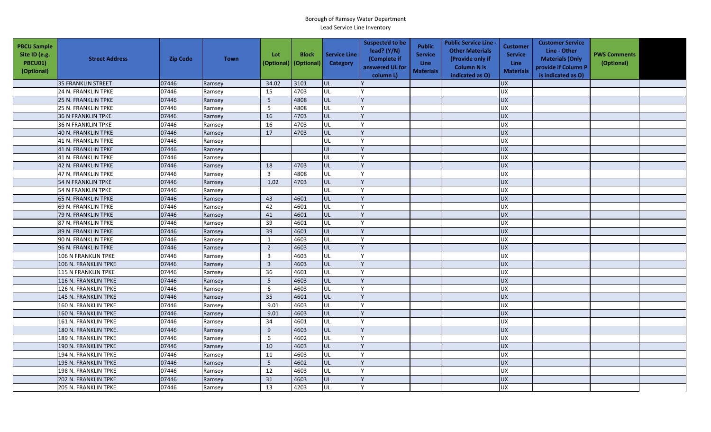| <b>PBCU Sample</b><br>Site ID (e.g.<br><b>PBCU01)</b><br>(Optional) | <b>Street Address</b>       | <b>Zip Code</b> | <b>Town</b> | Lot<br>(Optional) | <b>Block</b><br>(Optional) | <b>Service Line</b><br>Category | <b>Suspected to be</b><br>lead? $(Y/N)$<br>(Complete if<br>answered UL for<br>column L) | <b>Public</b><br><b>Service</b><br>Line<br><b>Materials</b> | <b>Public Service Line -</b><br><b>Other Materials</b><br>(Provide only if<br><b>Column N is</b><br>indicated as O) | <b>Customer</b><br><b>Service</b><br><b>Line</b><br><b>Materials</b> | <b>Customer Service</b><br>Line - Other<br><b>Materials (Only</b><br>provide if Column P<br>is indicated as O) | <b>PWS Comments</b><br>(Optional) |  |
|---------------------------------------------------------------------|-----------------------------|-----------------|-------------|-------------------|----------------------------|---------------------------------|-----------------------------------------------------------------------------------------|-------------------------------------------------------------|---------------------------------------------------------------------------------------------------------------------|----------------------------------------------------------------------|----------------------------------------------------------------------------------------------------------------|-----------------------------------|--|
|                                                                     | 35 FRANKLIN STREET          | 07446           | Ramsey      | 34.02             | 3101                       | lul                             |                                                                                         |                                                             |                                                                                                                     | <b>UX</b>                                                            |                                                                                                                |                                   |  |
|                                                                     | 24 N. FRANKLIN TPKE         | 07446           | Ramsey      | 15                | 4703                       | UL                              |                                                                                         |                                                             |                                                                                                                     | <b>UX</b>                                                            |                                                                                                                |                                   |  |
|                                                                     | <b>25 N. FRANKLIN TPKE</b>  | 07446           | Ramsey      | 5                 | 4808                       | UL                              |                                                                                         |                                                             |                                                                                                                     | <b>UX</b>                                                            |                                                                                                                |                                   |  |
|                                                                     | 25 N. FRANKLIN TPKE         | 07446           | Ramsey      | 5                 | 4808                       | UL                              |                                                                                         |                                                             |                                                                                                                     | <b>UX</b>                                                            |                                                                                                                |                                   |  |
|                                                                     | <b>36 N FRANKLIN TPKE</b>   | 07446           | Ramsey      | 16                | 4703                       | UL                              |                                                                                         |                                                             |                                                                                                                     | <b>UX</b>                                                            |                                                                                                                |                                   |  |
|                                                                     | <b>36 N FRANKLIN TPKE</b>   | 07446           | Ramsey      | 16                | 4703                       | <b>UL</b>                       |                                                                                         |                                                             |                                                                                                                     | <b>UX</b>                                                            |                                                                                                                |                                   |  |
|                                                                     | 40 N. FRANKLIN TPKE         | 07446           | Ramsey      | 17                | 4703                       | UL                              |                                                                                         |                                                             |                                                                                                                     | <b>UX</b>                                                            |                                                                                                                |                                   |  |
|                                                                     | 41 N. FRANKLIN TPKE         | 07446           | Ramsey      |                   |                            | <b>UL</b>                       |                                                                                         |                                                             |                                                                                                                     | UX                                                                   |                                                                                                                |                                   |  |
|                                                                     | 41 N. FRANKLIN TPKE         | 07446           | Ramsey      |                   |                            | UL                              |                                                                                         |                                                             |                                                                                                                     | <b>UX</b>                                                            |                                                                                                                |                                   |  |
|                                                                     | 41 N. FRANKLIN TPKE         | 07446           | Ramsey      |                   |                            | UL                              |                                                                                         |                                                             |                                                                                                                     | UX                                                                   |                                                                                                                |                                   |  |
|                                                                     | <b>42 N. FRANKLIN TPKE</b>  | 07446           | Ramsey      | 18                | 4703                       | <b>UL</b>                       |                                                                                         |                                                             |                                                                                                                     | <b>UX</b>                                                            |                                                                                                                |                                   |  |
|                                                                     | 47 N. FRANKLIN TPKE         | 07446           | Ramsey      | $\overline{3}$    | 4808                       | UL                              |                                                                                         |                                                             |                                                                                                                     | <b>UX</b>                                                            |                                                                                                                |                                   |  |
|                                                                     | 54 N FRANKLIN TPKE          | 07446           | Ramsey      | 1.02              | 4703                       | <b>UL</b>                       |                                                                                         |                                                             |                                                                                                                     | <b>UX</b>                                                            |                                                                                                                |                                   |  |
|                                                                     | 54 N FRANKLIN TPKE          | 07446           | Ramsey      |                   |                            | UL                              |                                                                                         |                                                             |                                                                                                                     | UX                                                                   |                                                                                                                |                                   |  |
|                                                                     | 65 N. FRANKLIN TPKE         | 07446           | Ramsey      | 43                | 4601                       | UL                              |                                                                                         |                                                             |                                                                                                                     | <b>UX</b>                                                            |                                                                                                                |                                   |  |
|                                                                     | <b>69 N. FRANKLIN TPKE</b>  | 07446           | Ramsey      | 42                | 4601                       | UL                              |                                                                                         |                                                             |                                                                                                                     | <b>UX</b>                                                            |                                                                                                                |                                   |  |
|                                                                     | 79 N. FRANKLIN TPKE         | 07446           | Ramsey      | 41                | 4601                       | <b>UL</b>                       |                                                                                         |                                                             |                                                                                                                     | UX                                                                   |                                                                                                                |                                   |  |
|                                                                     | 87 N. FRANKLIN TPKE         | 07446           | Ramsey      | 39                | 4601                       | UL                              |                                                                                         |                                                             |                                                                                                                     | UX                                                                   |                                                                                                                |                                   |  |
|                                                                     | 89 N. FRANKLIN TPKE         | 07446           | Ramsey      | 39                | 4601                       | <b>UL</b>                       |                                                                                         |                                                             |                                                                                                                     | <b>UX</b>                                                            |                                                                                                                |                                   |  |
|                                                                     | 90 N. FRANKLIN TPKE         | 07446           | Ramsey      | $\mathbf{1}$      | 4603                       | UL                              |                                                                                         |                                                             |                                                                                                                     | UX                                                                   |                                                                                                                |                                   |  |
|                                                                     | 96 N. FRANKLIN TPKE         | 07446           | Ramsey      | $\overline{2}$    | 4603                       | UL                              |                                                                                         |                                                             |                                                                                                                     | UX                                                                   |                                                                                                                |                                   |  |
|                                                                     | 106 N FRANKLIN TPKE         | 07446           | Ramsey      | $\overline{3}$    | 4603                       | UL                              |                                                                                         |                                                             |                                                                                                                     | UX                                                                   |                                                                                                                |                                   |  |
|                                                                     | 106 N. FRANKLIN TPKE        | 07446           | Ramsey      | $\overline{3}$    | 4603                       | <b>UL</b>                       |                                                                                         |                                                             |                                                                                                                     | <b>UX</b>                                                            |                                                                                                                |                                   |  |
|                                                                     | 115 N FRANKLIN TPKE         | 07446           | Ramsey      | 36                | 4601                       | <b>UL</b>                       |                                                                                         |                                                             |                                                                                                                     | <b>UX</b>                                                            |                                                                                                                |                                   |  |
|                                                                     | 116 N. FRANKLIN TPKE        | 07446           | Ramsey      | 5                 | 4603                       | UL                              |                                                                                         |                                                             |                                                                                                                     | <b>UX</b>                                                            |                                                                                                                |                                   |  |
|                                                                     | 126 N. FRANKLIN TPKE        | 07446           | Ramsey      | 6                 | 4603                       | <b>UL</b>                       |                                                                                         |                                                             |                                                                                                                     | <b>UX</b>                                                            |                                                                                                                |                                   |  |
|                                                                     | 145 N. FRANKLIN TPKE        | 07446           | Ramsey      | 35                | 4601                       | UL                              |                                                                                         |                                                             |                                                                                                                     | <b>UX</b>                                                            |                                                                                                                |                                   |  |
|                                                                     | 160 N. FRANKLIN TPKE        | 07446           | Ramsey      | 9.01              | 4603                       | UL                              |                                                                                         |                                                             |                                                                                                                     | <b>UX</b>                                                            |                                                                                                                |                                   |  |
|                                                                     | 160 N. FRANKLIN TPKE        | 07446           | Ramsey      | 9.01              | 4603                       | UL                              |                                                                                         |                                                             |                                                                                                                     | <b>UX</b>                                                            |                                                                                                                |                                   |  |
|                                                                     | 161 N. FRANKLIN TPKE        | 07446           | Ramsey      | 34                | 4601                       | UL                              |                                                                                         |                                                             |                                                                                                                     | UX                                                                   |                                                                                                                |                                   |  |
|                                                                     | 180 N. FRANKLIN TPKE.       | 07446           | Ramsey      | 9                 | 4603                       | <b>UL</b>                       |                                                                                         |                                                             |                                                                                                                     | <b>UX</b>                                                            |                                                                                                                |                                   |  |
|                                                                     | 189 N. FRANKLIN TPKE        | 07446           | Ramsey      | 6                 | 4602                       | UL                              |                                                                                         |                                                             |                                                                                                                     | <b>UX</b>                                                            |                                                                                                                |                                   |  |
|                                                                     | 190 N. FRANKLIN TPKE        | 07446           | Ramsey      | 10                | 4603                       | UL                              |                                                                                         |                                                             |                                                                                                                     | <b>UX</b>                                                            |                                                                                                                |                                   |  |
|                                                                     | 194 N. FRANKLIN TPKE        | 07446           | Ramsey      | 11                | 4603                       | UL                              |                                                                                         |                                                             |                                                                                                                     | <b>UX</b>                                                            |                                                                                                                |                                   |  |
|                                                                     | 195 N. FRANKLIN TPKE        | 07446           | Ramsey      | $5\phantom{.0}$   | 4602                       | <b>UL</b>                       |                                                                                         |                                                             |                                                                                                                     | <b>UX</b>                                                            |                                                                                                                |                                   |  |
|                                                                     | 198 N. FRANKLIN TPKE        | 07446           | Ramsey      | 12                | 4603                       | <b>UL</b>                       |                                                                                         |                                                             |                                                                                                                     | <b>UX</b>                                                            |                                                                                                                |                                   |  |
|                                                                     | <b>202 N. FRANKLIN TPKE</b> | 07446           | Ramsey      | 31                | 4603                       | <b>UL</b>                       |                                                                                         |                                                             |                                                                                                                     | <b>UX</b>                                                            |                                                                                                                |                                   |  |
|                                                                     | 205 N. FRANKLIN TPKE        | 07446           | Ramsey      | 13                | 4203                       | UL                              |                                                                                         |                                                             |                                                                                                                     | <b>UX</b>                                                            |                                                                                                                |                                   |  |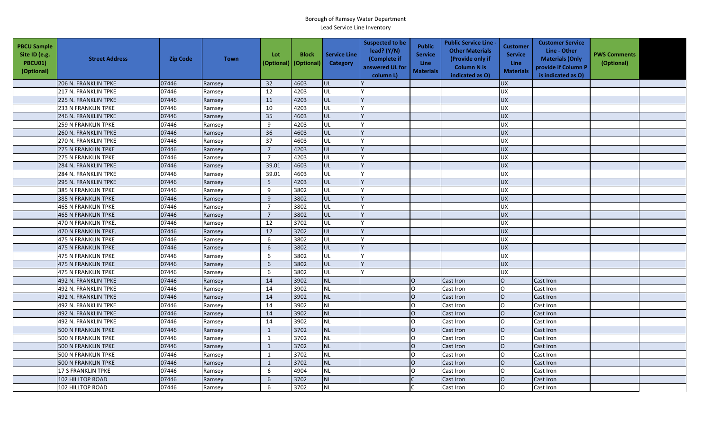| <b>PBCU Sample</b><br>Site ID (e.g.<br><b>PBCU01)</b><br>(Optional) | <b>Street Address</b>      | <b>Zip Code</b> | <b>Town</b> | Lot            | <b>Block</b><br>(Optional) (Optional) | <b>Service Line</b><br>Category | <b>Suspected to be</b><br>lead? (Y/N)<br>(Complete if<br>answered UL for<br>column L) | Public<br><b>Service</b><br><b>Line</b><br>Materials | <b>Public Service Line</b><br><b>Other Materials</b><br>(Provide only if<br><b>Column N is</b><br>indicated as O) | <b>Customer</b><br><b>Service</b><br><b>Line</b><br><b>Materials</b> | <b>Customer Service</b><br>Line - Other<br><b>Materials (Only</b><br>provide if Column P<br>is indicated as O) | <b>PWS Comments</b><br>(Optional) |  |
|---------------------------------------------------------------------|----------------------------|-----------------|-------------|----------------|---------------------------------------|---------------------------------|---------------------------------------------------------------------------------------|------------------------------------------------------|-------------------------------------------------------------------------------------------------------------------|----------------------------------------------------------------------|----------------------------------------------------------------------------------------------------------------|-----------------------------------|--|
|                                                                     | 206 N. FRANKLIN TPKE       | 07446           | Ramsey      | 32             | 4603                                  | UL                              |                                                                                       |                                                      |                                                                                                                   | <b>UX</b>                                                            |                                                                                                                |                                   |  |
|                                                                     | 217 N. FRANKLIN TPKE       | 07446           | Ramsey      | 12             | 4203                                  | UL                              |                                                                                       |                                                      |                                                                                                                   | <b>UX</b>                                                            |                                                                                                                |                                   |  |
|                                                                     | 225 N. FRANKLIN TPKE       | 07446           | Ramsey      | 11             | 4203                                  | UL                              |                                                                                       |                                                      |                                                                                                                   | <b>UX</b>                                                            |                                                                                                                |                                   |  |
|                                                                     | 233 N FRANKLIN TPKE        | 07446           | Ramsey      | 10             | 4203                                  | UL                              |                                                                                       |                                                      |                                                                                                                   | UX                                                                   |                                                                                                                |                                   |  |
|                                                                     | 246 N. FRANKLIN TPKE       | 07446           | Ramsey      | 35             | 4603                                  | UL                              |                                                                                       |                                                      |                                                                                                                   | <b>UX</b>                                                            |                                                                                                                |                                   |  |
|                                                                     | 259 N FRANKLIN TPKE        | 07446           | Ramsey      | 9              | 4203                                  | UL                              |                                                                                       |                                                      |                                                                                                                   | <b>UX</b>                                                            |                                                                                                                |                                   |  |
|                                                                     | 260 N. FRANKLIN TPKE       | 07446           | Ramsey      | 36             | 4603                                  | UL                              |                                                                                       |                                                      |                                                                                                                   | <b>UX</b>                                                            |                                                                                                                |                                   |  |
|                                                                     | 270 N. FRANKLIN TPKE       | 07446           | Ramsey      | 37             | 4603                                  | UL                              |                                                                                       |                                                      |                                                                                                                   | <b>UX</b>                                                            |                                                                                                                |                                   |  |
|                                                                     | <b>275 N FRANKLIN TPKE</b> | 07446           | Ramsey      | $\overline{7}$ | 4203                                  | UL                              |                                                                                       |                                                      |                                                                                                                   | <b>UX</b>                                                            |                                                                                                                |                                   |  |
|                                                                     | 275 N FRANKLIN TPKE        | 07446           | Ramsey      | $\overline{7}$ | 4203                                  | UL                              |                                                                                       |                                                      |                                                                                                                   | <b>UX</b>                                                            |                                                                                                                |                                   |  |
|                                                                     | 284 N. FRANKLIN TPKE       | 07446           | Ramsey      | 39.01          | 4603                                  | UL                              |                                                                                       |                                                      |                                                                                                                   | <b>UX</b>                                                            |                                                                                                                |                                   |  |
|                                                                     | 284 N. FRANKLIN TPKE       | 07446           | Ramsey      | 39.01          | 4603                                  | UL                              |                                                                                       |                                                      |                                                                                                                   | <b>UX</b>                                                            |                                                                                                                |                                   |  |
|                                                                     | 295 N. FRANKLIN TPKE       | 07446           | Ramsey      | 5              | 4203                                  | UL                              |                                                                                       |                                                      |                                                                                                                   | <b>UX</b>                                                            |                                                                                                                |                                   |  |
|                                                                     | 385 N FRANKLIN TPKE        | 07446           | Ramsey      | 9              | 3802                                  | UL                              |                                                                                       |                                                      |                                                                                                                   | <b>UX</b>                                                            |                                                                                                                |                                   |  |
|                                                                     | <b>385 N FRANKLIN TPKE</b> | 07446           | Ramsey      | 9              | 3802                                  | UL                              |                                                                                       |                                                      |                                                                                                                   | <b>UX</b>                                                            |                                                                                                                |                                   |  |
|                                                                     | 465 N FRANKLIN TPKE        | 07446           | Ramsey      | $\overline{7}$ | 3802                                  | UL                              |                                                                                       |                                                      |                                                                                                                   | <b>UX</b>                                                            |                                                                                                                |                                   |  |
|                                                                     | <b>465 N FRANKLIN TPKE</b> | 07446           | Ramsey      | $\overline{7}$ | 3802                                  | UL                              |                                                                                       |                                                      |                                                                                                                   | <b>UX</b>                                                            |                                                                                                                |                                   |  |
|                                                                     | 470 N FRANKLIN TPKE.       | 07446           | Ramsey      | 12             | 3702                                  | UL                              |                                                                                       |                                                      |                                                                                                                   | <b>UX</b>                                                            |                                                                                                                |                                   |  |
|                                                                     | 470 N FRANKLIN TPKE.       | 07446           | Ramsey      | 12             | 3702                                  | UL                              |                                                                                       |                                                      |                                                                                                                   | <b>UX</b>                                                            |                                                                                                                |                                   |  |
|                                                                     | 475 N FRANKLIN TPKE        | 07446           | Ramsey      | 6              | 3802                                  | UL                              |                                                                                       |                                                      |                                                                                                                   | <b>UX</b>                                                            |                                                                                                                |                                   |  |
|                                                                     | 475 N FRANKLIN TPKE        | 07446           | Ramsey      | 6              | 3802                                  | UL                              |                                                                                       |                                                      |                                                                                                                   | <b>UX</b>                                                            |                                                                                                                |                                   |  |
|                                                                     | 475 N FRANKLIN TPKE        | 07446           | Ramsey      | 6              | 3802                                  | UL                              |                                                                                       |                                                      |                                                                                                                   | <b>UX</b>                                                            |                                                                                                                |                                   |  |
|                                                                     | 475 N FRANKLIN TPKE        | 07446           | Ramsey      | 6              | 3802                                  | UL                              |                                                                                       |                                                      |                                                                                                                   | <b>UX</b>                                                            |                                                                                                                |                                   |  |
|                                                                     | 475 N FRANKLIN TPKE        | 07446           | Ramsey      | 6              | 3802                                  | UL                              |                                                                                       |                                                      |                                                                                                                   | <b>UX</b>                                                            |                                                                                                                |                                   |  |
|                                                                     | 492 N. FRANKLIN TPKE       | 07446           | Ramsey      | 14             | 3902                                  | <b>NL</b>                       |                                                                                       | lo                                                   | <b>Cast Iron</b>                                                                                                  | lo                                                                   | Cast Iron                                                                                                      |                                   |  |
|                                                                     | 492 N. FRANKLIN TPKE       | 07446           | Ramsey      | 14             | 3902                                  | NL                              |                                                                                       | l O                                                  | Cast Iron                                                                                                         | IO.                                                                  | Cast Iron                                                                                                      |                                   |  |
|                                                                     | 492 N. FRANKLIN TPKE       | 07446           | Ramsey      | 14             | 3902                                  | <b>NL</b>                       |                                                                                       | lo                                                   | <b>Cast Iron</b>                                                                                                  | lo                                                                   | Cast Iron                                                                                                      |                                   |  |
|                                                                     | 492 N. FRANKLIN TPKE       | 07446           | Ramsey      | 14             | 3902                                  | <b>NL</b>                       |                                                                                       | lo                                                   | Cast Iron                                                                                                         | lo.                                                                  | Cast Iron                                                                                                      |                                   |  |
|                                                                     | 492 N. FRANKLIN TPKE       | 07446           | Ramsey      | 14             | 3902                                  | <b>NL</b>                       |                                                                                       | $\overline{O}$                                       | Cast Iron                                                                                                         | $\overline{O}$                                                       | Cast Iron                                                                                                      |                                   |  |
|                                                                     | 492 N. FRANKLIN TPKE       | 07446           | Ramsey      | 14             | 3902                                  | <b>NL</b>                       |                                                                                       | <b>O</b>                                             | Cast Iron                                                                                                         |                                                                      | Cast Iron                                                                                                      |                                   |  |
|                                                                     | <b>500 N FRANKLIN TPKE</b> | 07446           | Ramsey      | $\mathbf{1}$   | 3702                                  | <b>NL</b>                       |                                                                                       | lo                                                   | Cast Iron                                                                                                         | lo                                                                   | Cast Iron                                                                                                      |                                   |  |
|                                                                     | 500 N FRANKLIN TPKE        | 07446           | Ramsey      | $\mathbf{1}$   | 3702                                  | <b>NL</b>                       |                                                                                       | lo                                                   | Cast Iron                                                                                                         | lO.                                                                  | Cast Iron                                                                                                      |                                   |  |
|                                                                     | <b>500 N FRANKLIN TPKE</b> | 07446           | Ramsey      | $\mathbf{1}$   | 3702                                  | NL                              |                                                                                       | lo                                                   | Cast Iron                                                                                                         | lO.                                                                  | Cast Iron                                                                                                      |                                   |  |
|                                                                     | 500 N FRANKLIN TPKE        | 07446           | Ramsey      | $\mathbf{1}$   | 3702                                  | <b>NL</b>                       |                                                                                       | l O                                                  | Cast Iron                                                                                                         | l0.                                                                  | Cast Iron                                                                                                      |                                   |  |
|                                                                     | 500 N FRANKLIN TPKE        | 07446           | Ramsey      | $\mathbf{1}$   | 3702                                  | <b>NL</b>                       |                                                                                       | lo                                                   | Cast Iron                                                                                                         | lo                                                                   | Cast Iron                                                                                                      |                                   |  |
|                                                                     | 17 S FRANKLIN TPKE         | 07446           | Ramsey      | 6              | 4904                                  | <b>NL</b>                       |                                                                                       | lo                                                   | Cast Iron                                                                                                         | IO.                                                                  | Cast Iron                                                                                                      |                                   |  |
|                                                                     | 102 HILLTOP ROAD           | 07446           | Ramsey      | 6              | 3702                                  | <b>NL</b>                       |                                                                                       |                                                      | Cast Iron                                                                                                         | lO                                                                   | Cast Iron                                                                                                      |                                   |  |
|                                                                     | 102 HILLTOP ROAD           | 07446           | Ramsey      | 6              | 3702                                  | <b>NL</b>                       |                                                                                       |                                                      | Cast Iron                                                                                                         | $\Omega$                                                             | Cast Iron                                                                                                      |                                   |  |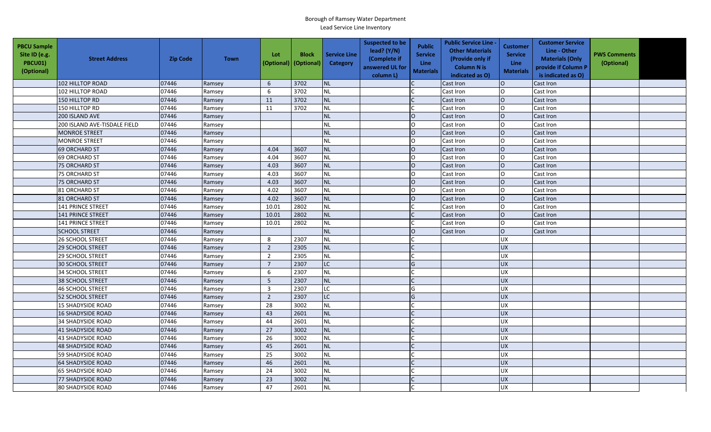| <b>PBCU Sample</b><br>Site ID (e.g.<br><b>PBCU01)</b><br>(Optional) | <b>Street Address</b>        | <b>Zip Code</b> | <b>Town</b> | Lot<br>(Optional) | <b>Block</b><br>(Optional) | <b>Service Line</b><br>Category | <b>Suspected to be</b><br>lead? (Y/N)<br>(Complete if<br>answered UL for<br>column L) | <b>Public</b><br><b>Service</b><br>Line<br><b>Materials</b> | <b>Public Service Line -</b><br><b>Other Materials</b><br>(Provide only if<br><b>Column N is</b><br>indicated as O) | Customer<br><b>Service</b><br>Line<br><b>Materials</b> | <b>Customer Service</b><br>Line - Other<br><b>Materials (Only</b><br>provide if Column P<br>is indicated as O) | <b>PWS Comments</b><br>(Optional) |  |
|---------------------------------------------------------------------|------------------------------|-----------------|-------------|-------------------|----------------------------|---------------------------------|---------------------------------------------------------------------------------------|-------------------------------------------------------------|---------------------------------------------------------------------------------------------------------------------|--------------------------------------------------------|----------------------------------------------------------------------------------------------------------------|-----------------------------------|--|
|                                                                     | <b>102 HILLTOP ROAD</b>      | 07446           | Ramsey      | 6                 | 3702                       | <b>NL</b>                       |                                                                                       |                                                             | Cast Iron                                                                                                           | lO.                                                    | Cast Iron                                                                                                      |                                   |  |
|                                                                     | 102 HILLTOP ROAD             | 07446           | Ramsey      | 6                 | 3702                       | <b>NL</b>                       |                                                                                       |                                                             | Cast Iron                                                                                                           | O                                                      | Cast Iron                                                                                                      |                                   |  |
|                                                                     | 150 HILLTOP RD               | 07446           | Ramsey      | 11                | 3702                       | <b>NL</b>                       |                                                                                       |                                                             | Cast Iron                                                                                                           | $\overline{O}$                                         | Cast Iron                                                                                                      |                                   |  |
|                                                                     | 150 HILLTOP RD               | 07446           | Ramsey      | 11                | 3702                       | <b>NL</b>                       |                                                                                       |                                                             | Cast Iron                                                                                                           | $\mathsf O$                                            | Cast Iron                                                                                                      |                                   |  |
|                                                                     | 200 ISLAND AVE               | 07446           | Ramsey      |                   |                            | <b>NL</b>                       |                                                                                       | $\Omega$                                                    | Cast Iron                                                                                                           | $\overline{O}$                                         | Cast Iron                                                                                                      |                                   |  |
|                                                                     | 200 ISLAND AVE-TISDALE FIELD | 07446           | Ramsey      |                   |                            | NL                              |                                                                                       | $\Omega$                                                    | Cast Iron                                                                                                           | O                                                      | Cast Iron                                                                                                      |                                   |  |
|                                                                     | <b>MONROE STREET</b>         | 07446           | Ramsey      |                   |                            | <b>NL</b>                       |                                                                                       | $\overline{O}$                                              | Cast Iron                                                                                                           | $\overline{O}$                                         | Cast Iron                                                                                                      |                                   |  |
|                                                                     | <b>MONROE STREET</b>         | 07446           | Ramsey      |                   |                            | <b>NL</b>                       |                                                                                       | $\circ$                                                     | Cast Iron                                                                                                           | lo                                                     | Cast Iron                                                                                                      |                                   |  |
|                                                                     | <b>69 ORCHARD ST</b>         | 07446           | Ramsey      | 4.04              | 3607                       | <b>NL</b>                       |                                                                                       | $\overline{O}$                                              | Cast Iron                                                                                                           | $\circ$                                                | Cast Iron                                                                                                      |                                   |  |
|                                                                     | <b>69 ORCHARD ST</b>         | 07446           | Ramsey      | 4.04              | 3607                       | <b>NL</b>                       |                                                                                       | l O                                                         | Cast Iron                                                                                                           | O                                                      | Cast Iron                                                                                                      |                                   |  |
|                                                                     | <b>75 ORCHARD ST</b>         | 07446           | Ramsey      | 4.03              | 3607                       | NL                              |                                                                                       | $\overline{O}$                                              | Cast Iron                                                                                                           | $\overline{O}$                                         | Cast Iron                                                                                                      |                                   |  |
|                                                                     | <b>75 ORCHARD ST</b>         | 07446           | Ramsey      | 4.03              | 3607                       | <b>NL</b>                       |                                                                                       | $\circ$                                                     | Cast Iron                                                                                                           | O                                                      | Cast Iron                                                                                                      |                                   |  |
|                                                                     | <b>75 ORCHARD ST</b>         | 07446           | Ramsey      | 4.03              | 3607                       | <b>NL</b>                       |                                                                                       | $\overline{O}$                                              | Cast Iron                                                                                                           | $\circ$                                                | Cast Iron                                                                                                      |                                   |  |
|                                                                     | <b>81 ORCHARD ST</b>         | 07446           | Ramsey      | 4.02              | 3607                       | <b>NL</b>                       |                                                                                       | $\circ$                                                     | Cast Iron                                                                                                           | O                                                      | Cast Iron                                                                                                      |                                   |  |
|                                                                     | 81 ORCHARD ST                | 07446           | Ramsey      | 4.02              | 3607                       | NL                              |                                                                                       | $\overline{O}$                                              | Cast Iron                                                                                                           | $\circ$                                                | Cast Iron                                                                                                      |                                   |  |
|                                                                     | 141 PRINCE STREET            | 07446           | Ramsey      | 10.01             | 2802                       | <b>NL</b>                       |                                                                                       |                                                             | Cast Iron                                                                                                           | lo                                                     | Cast Iron                                                                                                      |                                   |  |
|                                                                     | <b>141 PRINCE STREET</b>     | 07446           | Ramsey      | 10.01             | 2802                       | <b>NL</b>                       |                                                                                       |                                                             | Cast Iron                                                                                                           | $\overline{O}$                                         | Cast Iron                                                                                                      |                                   |  |
|                                                                     | 141 PRINCE STREET            | 07446           | Ramsey      | 10.01             | 2802                       | <b>NL</b>                       |                                                                                       |                                                             | Cast Iron                                                                                                           | O                                                      | Cast Iron                                                                                                      |                                   |  |
|                                                                     | <b>SCHOOL STREET</b>         | 07446           | Ramsey      |                   |                            | <b>NL</b>                       |                                                                                       | $\Omega$                                                    | Cast Iron                                                                                                           | $\circ$                                                | Cast Iron                                                                                                      |                                   |  |
|                                                                     | <b>26 SCHOOL STREET</b>      | 07446           | Ramsey      | 8                 | 2307                       | <b>NL</b>                       |                                                                                       |                                                             |                                                                                                                     | ΧŊ                                                     |                                                                                                                |                                   |  |
|                                                                     | <b>29 SCHOOL STREET</b>      | 07446           | Ramsey      | $\overline{2}$    | 2305                       | <b>NL</b>                       |                                                                                       |                                                             |                                                                                                                     | <b>UX</b>                                              |                                                                                                                |                                   |  |
|                                                                     | <b>29 SCHOOL STREET</b>      | 07446           | Ramsey      | $\overline{2}$    | 2305                       | NL                              |                                                                                       |                                                             |                                                                                                                     | ΧŊ                                                     |                                                                                                                |                                   |  |
|                                                                     | <b>30 SCHOOL STREET</b>      | 07446           | Ramsey      | $\overline{7}$    | 2307                       | <b>LC</b>                       |                                                                                       | G                                                           |                                                                                                                     | <b>UX</b>                                              |                                                                                                                |                                   |  |
|                                                                     | 34 SCHOOL STREET             | 07446           | Ramsey      | 6                 | 2307                       | $\sf NL$                        |                                                                                       |                                                             |                                                                                                                     | UX                                                     |                                                                                                                |                                   |  |
|                                                                     | <b>38 SCHOOL STREET</b>      | 07446           | Ramsey      | 5                 | 2307                       | NL                              |                                                                                       |                                                             |                                                                                                                     | UX                                                     |                                                                                                                |                                   |  |
|                                                                     | <b>46 SCHOOL STREET</b>      | 07446           | Ramsey      | $\overline{3}$    | 2307                       | LC                              |                                                                                       | G                                                           |                                                                                                                     | <b>UX</b>                                              |                                                                                                                |                                   |  |
|                                                                     | <b>52 SCHOOL STREET</b>      | 07446           | Ramsey      | $\overline{2}$    | 2307                       | LC                              |                                                                                       | G                                                           |                                                                                                                     | <b>UX</b>                                              |                                                                                                                |                                   |  |
|                                                                     | <b>15 SHADYSIDE ROAD</b>     | 07446           | Ramsey      | 28                | 3002                       | <b>NL</b>                       |                                                                                       |                                                             |                                                                                                                     | UX                                                     |                                                                                                                |                                   |  |
|                                                                     | <b>16 SHADYSIDE ROAD</b>     | 07446           | Ramsey      | 43                | 2601                       | <b>NL</b>                       |                                                                                       |                                                             |                                                                                                                     | <b>XD</b>                                              |                                                                                                                |                                   |  |
|                                                                     | <b>34 SHADYSIDE ROAD</b>     | 07446           | Ramsey      | 44                | 2601                       | <b>NL</b>                       |                                                                                       |                                                             |                                                                                                                     | <b>UX</b>                                              |                                                                                                                |                                   |  |
|                                                                     | <b>41 SHADYSIDE ROAD</b>     | 07446           | Ramsey      | 27                | 3002                       | <b>NL</b>                       |                                                                                       |                                                             |                                                                                                                     | <b>UX</b>                                              |                                                                                                                |                                   |  |
|                                                                     | <b>43 SHADYSIDE ROAD</b>     | 07446           | Ramsey      | 26                | 3002                       | NL                              |                                                                                       |                                                             |                                                                                                                     | UX                                                     |                                                                                                                |                                   |  |
|                                                                     | <b>48 SHADYSIDE ROAD</b>     | 07446           | Ramsey      | 45                | 2601                       | <b>NL</b>                       |                                                                                       |                                                             |                                                                                                                     | <b>UX</b>                                              |                                                                                                                |                                   |  |
|                                                                     | 59 SHADYSIDE ROAD            | 07446           | Ramsey      | 25                | 3002                       | NL                              |                                                                                       |                                                             |                                                                                                                     | <b>UX</b>                                              |                                                                                                                |                                   |  |
|                                                                     | <b>64 SHADYSIDE ROAD</b>     | 07446           | Ramsey      | 46                | 2601                       | NL                              |                                                                                       |                                                             |                                                                                                                     | <b>UX</b>                                              |                                                                                                                |                                   |  |
|                                                                     | <b>65 SHADYSIDE ROAD</b>     | 07446           | Ramsey      | 24                | 3002                       | <b>NL</b>                       |                                                                                       |                                                             |                                                                                                                     | <b>UX</b>                                              |                                                                                                                |                                   |  |
|                                                                     | <b>77 SHADYSIDE ROAD</b>     | 07446           | Ramsey      | 23                | 3002                       | <b>NL</b>                       |                                                                                       |                                                             |                                                                                                                     | <b>UX</b>                                              |                                                                                                                |                                   |  |
|                                                                     | <b>80 SHADYSIDE ROAD</b>     | 07446           | Ramsey      | 47                | 2601                       | <b>NL</b>                       |                                                                                       |                                                             |                                                                                                                     | <b>UX</b>                                              |                                                                                                                |                                   |  |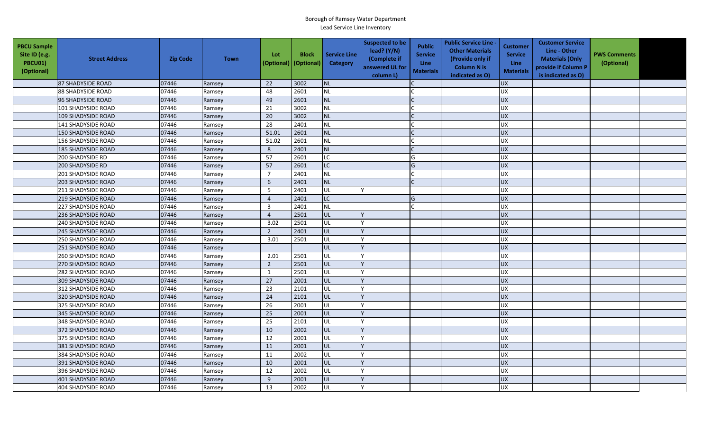| <b>PBCU Sample</b><br>Site ID (e.g.<br><b>PBCU01)</b><br>(Optional) | <b>Street Address</b>     | <b>Zip Code</b> | <b>Town</b> | Lot<br>(Optional) | <b>Block</b><br>(Optional) | <b>Service Line</b><br>Category | <b>Suspected to be</b><br>lead? (Y/N)<br>(Complete if<br>answered UL for<br>column L) | <b>Public</b><br><b>Service</b><br>Line<br><b>Materials</b> | <b>Public Service Line -</b><br><b>Other Materials</b><br>(Provide only if<br><b>Column N is</b><br>indicated as O) | <b>Customer</b><br><b>Service</b><br><b>Line</b><br><b>Materials</b> | <b>Customer Service</b><br>Line - Other<br><b>Materials (Only</b><br>provide if Column P<br>is indicated as O) | <b>PWS Comments</b><br>(Optional) |  |
|---------------------------------------------------------------------|---------------------------|-----------------|-------------|-------------------|----------------------------|---------------------------------|---------------------------------------------------------------------------------------|-------------------------------------------------------------|---------------------------------------------------------------------------------------------------------------------|----------------------------------------------------------------------|----------------------------------------------------------------------------------------------------------------|-----------------------------------|--|
|                                                                     | 87 SHADYSIDE ROAD         | 07446           | Ramsey      | 22                | 3002                       | <b>NL</b>                       |                                                                                       |                                                             |                                                                                                                     | <b>UX</b>                                                            |                                                                                                                |                                   |  |
|                                                                     | <b>88 SHADYSIDE ROAD</b>  | 07446           | Ramsey      | 48                | 2601                       | <b>NL</b>                       |                                                                                       |                                                             |                                                                                                                     | <b>UX</b>                                                            |                                                                                                                |                                   |  |
|                                                                     | 96 SHADYSIDE ROAD         | 07446           | Ramsey      | 49                | 2601                       | <b>NL</b>                       |                                                                                       |                                                             |                                                                                                                     | <b>UX</b>                                                            |                                                                                                                |                                   |  |
|                                                                     | 101 SHADYSIDE ROAD        | 07446           | Ramsey      | 21                | 3002                       | <b>NL</b>                       |                                                                                       |                                                             |                                                                                                                     | <b>UX</b>                                                            |                                                                                                                |                                   |  |
|                                                                     | <b>109 SHADYSIDE ROAD</b> | 07446           | Ramsey      | 20                | 3002                       | <b>NL</b>                       |                                                                                       |                                                             |                                                                                                                     | <b>UX</b>                                                            |                                                                                                                |                                   |  |
|                                                                     | 141 SHADYSIDE ROAD        | 07446           | Ramsey      | 28                | 2401                       | <b>NL</b>                       |                                                                                       |                                                             |                                                                                                                     | <b>UX</b>                                                            |                                                                                                                |                                   |  |
|                                                                     | <b>150 SHADYSIDE ROAD</b> | 07446           | Ramsey      | 51.01             | 2601                       | <b>NL</b>                       |                                                                                       |                                                             |                                                                                                                     | <b>UX</b>                                                            |                                                                                                                |                                   |  |
|                                                                     | <b>156 SHADYSIDE ROAD</b> | 07446           | Ramsey      | 51.02             | 2601                       | <b>NL</b>                       |                                                                                       |                                                             |                                                                                                                     | UX                                                                   |                                                                                                                |                                   |  |
|                                                                     | <b>185 SHADYSIDE ROAD</b> | 07446           | Ramsey      | 8                 | 2401                       | <b>NL</b>                       |                                                                                       | $\mathsf{C}$                                                |                                                                                                                     | <b>UX</b>                                                            |                                                                                                                |                                   |  |
|                                                                     | 200 SHADYSIDE RD          | 07446           | Ramsey      | 57                | 2601                       | LC                              |                                                                                       | G                                                           |                                                                                                                     | UX                                                                   |                                                                                                                |                                   |  |
|                                                                     | <b>200 SHADYSIDE RD</b>   | 07446           | Ramsey      | 57                | 2601                       | <b>LC</b>                       |                                                                                       | G                                                           |                                                                                                                     | <b>UX</b>                                                            |                                                                                                                |                                   |  |
|                                                                     | <b>201 SHADYSIDE ROAD</b> | 07446           | Ramsey      | $\overline{7}$    | 2401                       | <b>NL</b>                       |                                                                                       |                                                             |                                                                                                                     | <b>UX</b>                                                            |                                                                                                                |                                   |  |
|                                                                     | <b>203 SHADYSIDE ROAD</b> | 07446           | Ramsey      | 6                 | 2401                       | <b>NL</b>                       |                                                                                       | $\Gamma$                                                    |                                                                                                                     | <b>UX</b>                                                            |                                                                                                                |                                   |  |
|                                                                     | 211 SHADYSIDE ROAD        | 07446           | Ramsey      | 5                 | 2401                       | UL                              |                                                                                       |                                                             |                                                                                                                     | UX                                                                   |                                                                                                                |                                   |  |
|                                                                     | <b>219 SHADYSIDE ROAD</b> | 07446           | Ramsey      | $\overline{4}$    | 2401                       | <b>LC</b>                       |                                                                                       | G                                                           |                                                                                                                     | <b>UX</b>                                                            |                                                                                                                |                                   |  |
|                                                                     | <b>227 SHADYSIDE ROAD</b> | 07446           | Ramsey      | $\overline{3}$    | 2401                       | <b>NL</b>                       |                                                                                       |                                                             |                                                                                                                     | <b>UX</b>                                                            |                                                                                                                |                                   |  |
|                                                                     | <b>236 SHADYSIDE ROAD</b> | 07446           | Ramsey      | $\overline{4}$    | 2501                       | <b>UL</b>                       |                                                                                       |                                                             |                                                                                                                     | UX                                                                   |                                                                                                                |                                   |  |
|                                                                     | <b>240 SHADYSIDE ROAD</b> | 07446           | Ramsey      | 3.02              | 2501                       | UL                              |                                                                                       |                                                             |                                                                                                                     | UX                                                                   |                                                                                                                |                                   |  |
|                                                                     | <b>245 SHADYSIDE ROAD</b> | 07446           | Ramsey      | $\overline{2}$    | 2401                       | UL                              |                                                                                       |                                                             |                                                                                                                     | <b>UX</b>                                                            |                                                                                                                |                                   |  |
|                                                                     | <b>250 SHADYSIDE ROAD</b> | 07446           | Ramsey      | 3.01              | 2501                       | UL                              |                                                                                       |                                                             |                                                                                                                     | UX                                                                   |                                                                                                                |                                   |  |
|                                                                     | <b>251 SHADYSIDE ROAD</b> | 07446           | Ramsey      |                   |                            | UL                              |                                                                                       |                                                             |                                                                                                                     | UX                                                                   |                                                                                                                |                                   |  |
|                                                                     | <b>260 SHADYSIDE ROAD</b> | 07446           | Ramsey      | 2.01              | 2501                       | UL                              |                                                                                       |                                                             |                                                                                                                     | UX                                                                   |                                                                                                                |                                   |  |
|                                                                     | 270 SHADYSIDE ROAD        | 07446           | Ramsey      | $\overline{2}$    | 2501                       | UL                              |                                                                                       |                                                             |                                                                                                                     | <b>UX</b>                                                            |                                                                                                                |                                   |  |
|                                                                     | 282 SHADYSIDE ROAD        | 07446           | Ramsey      | 1                 | 2501                       | UL                              |                                                                                       |                                                             |                                                                                                                     | <b>UX</b>                                                            |                                                                                                                |                                   |  |
|                                                                     | <b>309 SHADYSIDE ROAD</b> | 07446           | Ramsey      | 27                | 2001                       | UL                              |                                                                                       |                                                             |                                                                                                                     | <b>UX</b>                                                            |                                                                                                                |                                   |  |
|                                                                     | 312 SHADYSIDE ROAD        | 07446           | Ramsey      | 23                | 2101                       | <b>UL</b>                       |                                                                                       |                                                             |                                                                                                                     | <b>UX</b>                                                            |                                                                                                                |                                   |  |
|                                                                     | <b>320 SHADYSIDE ROAD</b> | 07446           | Ramsey      | 24                | 2101                       | UL                              |                                                                                       |                                                             |                                                                                                                     | <b>UX</b>                                                            |                                                                                                                |                                   |  |
|                                                                     | 325 SHADYSIDE ROAD        | 07446           | Ramsey      | 26                | 2001                       | UL                              |                                                                                       |                                                             |                                                                                                                     | <b>UX</b>                                                            |                                                                                                                |                                   |  |
|                                                                     | 345 SHADYSIDE ROAD        | 07446           | Ramsey      | 25                | 2001                       | UL                              |                                                                                       |                                                             |                                                                                                                     | <b>UX</b>                                                            |                                                                                                                |                                   |  |
|                                                                     | 348 SHADYSIDE ROAD        | 07446           | Ramsey      | 25                | 2101                       | UL                              |                                                                                       |                                                             |                                                                                                                     | UX                                                                   |                                                                                                                |                                   |  |
|                                                                     | 372 SHADYSIDE ROAD        | 07446           | Ramsey      | 10                | 2002                       | UL                              |                                                                                       |                                                             |                                                                                                                     | <b>UX</b>                                                            |                                                                                                                |                                   |  |
|                                                                     | 375 SHADYSIDE ROAD        | 07446           | Ramsey      | 12                | 2001                       | UL                              |                                                                                       |                                                             |                                                                                                                     | <b>UX</b>                                                            |                                                                                                                |                                   |  |
|                                                                     | 381 SHADYSIDE ROAD        | 07446           | Ramsey      | 11                | 2001                       | UL                              |                                                                                       |                                                             |                                                                                                                     | <b>UX</b>                                                            |                                                                                                                |                                   |  |
|                                                                     | 384 SHADYSIDE ROAD        | 07446           | Ramsey      | 11                | 2002                       | UL                              |                                                                                       |                                                             |                                                                                                                     | <b>UX</b>                                                            |                                                                                                                |                                   |  |
|                                                                     | 391 SHADYSIDE ROAD        | 07446           | Ramsey      | 10                | 2001                       | <b>UL</b>                       |                                                                                       |                                                             |                                                                                                                     | <b>UX</b>                                                            |                                                                                                                |                                   |  |
|                                                                     | 396 SHADYSIDE ROAD        | 07446           | Ramsey      | 12                | 2002                       | <b>UL</b>                       |                                                                                       |                                                             |                                                                                                                     | <b>UX</b>                                                            |                                                                                                                |                                   |  |
|                                                                     | 401 SHADYSIDE ROAD        | 07446           | Ramsey      | 9                 | 2001                       | UL                              |                                                                                       |                                                             |                                                                                                                     | <b>UX</b>                                                            |                                                                                                                |                                   |  |
|                                                                     | <b>404 SHADYSIDE ROAD</b> | 07446           | Ramsey      | 13                | 2002                       | UL                              |                                                                                       |                                                             |                                                                                                                     | <b>UX</b>                                                            |                                                                                                                |                                   |  |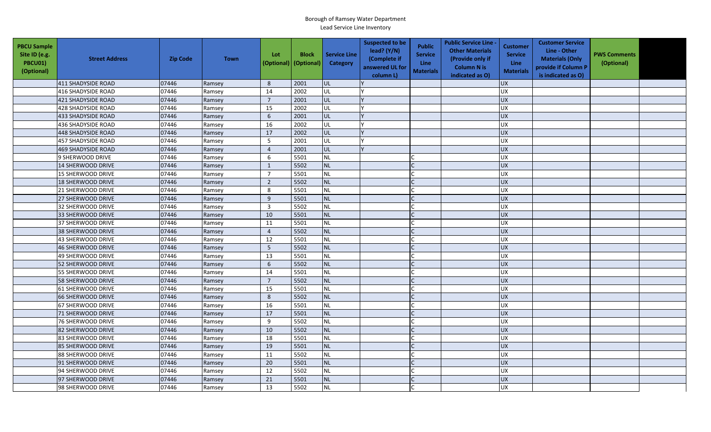| <b>PBCU Sample</b><br>Site ID (e.g.<br>PBCU01)<br>(Optional) | <b>Street Address</b>     | <b>Zip Code</b> | <b>Town</b> | Lot<br>(Optional) | <b>Block</b><br>(Optional) | <b>Service Line</b><br>Category | <b>Suspected to be</b><br>lead? (Y/N)<br>(Complete if<br>answered UL for<br>column L) | <b>Public</b><br><b>Service</b><br>Line<br><b>Materials</b> | <b>Public Service Line -</b><br><b>Other Materials</b><br>(Provide only if<br><b>Column N is</b><br>indicated as O) | Customer<br><b>Service</b><br><b>Line</b><br><b>Materials</b> | <b>Customer Service</b><br>Line - Other<br><b>Materials (Only</b><br>provide if Column P<br>is indicated as O) | <b>PWS Comments</b><br>(Optional) |  |
|--------------------------------------------------------------|---------------------------|-----------------|-------------|-------------------|----------------------------|---------------------------------|---------------------------------------------------------------------------------------|-------------------------------------------------------------|---------------------------------------------------------------------------------------------------------------------|---------------------------------------------------------------|----------------------------------------------------------------------------------------------------------------|-----------------------------------|--|
|                                                              | 411 SHADYSIDE ROAD        | 07446           | Ramsey      | 8                 | 2001                       | lul                             |                                                                                       |                                                             |                                                                                                                     | <b>UX</b>                                                     |                                                                                                                |                                   |  |
|                                                              | <b>416 SHADYSIDE ROAD</b> | 07446           | Ramsey      | 14                | 2002                       | <b>UL</b>                       |                                                                                       |                                                             |                                                                                                                     | <b>UX</b>                                                     |                                                                                                                |                                   |  |
|                                                              | 421 SHADYSIDE ROAD        | 07446           | Ramsey      | $\overline{7}$    | 2001                       | UL                              |                                                                                       |                                                             |                                                                                                                     | <b>UX</b>                                                     |                                                                                                                |                                   |  |
|                                                              | <b>428 SHADYSIDE ROAD</b> | 07446           | Ramsey      | 15                | 2002                       | UL                              |                                                                                       |                                                             |                                                                                                                     | UX                                                            |                                                                                                                |                                   |  |
|                                                              | 433 SHADYSIDE ROAD        | 07446           | Ramsey      | 6                 | 2001                       | UL                              |                                                                                       |                                                             |                                                                                                                     | <b>UX</b>                                                     |                                                                                                                |                                   |  |
|                                                              | <b>436 SHADYSIDE ROAD</b> | 07446           | Ramsey      | 16                | 2002                       | <b>UL</b>                       |                                                                                       |                                                             |                                                                                                                     | <b>UX</b>                                                     |                                                                                                                |                                   |  |
|                                                              | 448 SHADYSIDE ROAD        | 07446           | Ramsey      | 17                | 2002                       | UL                              |                                                                                       |                                                             |                                                                                                                     | <b>UX</b>                                                     |                                                                                                                |                                   |  |
|                                                              | 457 SHADYSIDE ROAD        | 07446           | Ramsey      | 5                 | 2001                       | UL                              |                                                                                       |                                                             |                                                                                                                     | <b>UX</b>                                                     |                                                                                                                |                                   |  |
|                                                              | <b>469 SHADYSIDE ROAD</b> | 07446           | Ramsey      | $\overline{4}$    | 2001                       | <b>UL</b>                       |                                                                                       |                                                             |                                                                                                                     | <b>UX</b>                                                     |                                                                                                                |                                   |  |
|                                                              | 9 SHERWOOD DRIVE          | 07446           | Ramsey      | 6                 | 5501                       | <b>NL</b>                       |                                                                                       |                                                             |                                                                                                                     | UX                                                            |                                                                                                                |                                   |  |
|                                                              | 14 SHERWOOD DRIVE         | 07446           | Ramsey      | $\mathbf{1}$      | 5502                       | <b>NL</b>                       |                                                                                       |                                                             |                                                                                                                     | <b>UX</b>                                                     |                                                                                                                |                                   |  |
|                                                              | 15 SHERWOOD DRIVE         | 07446           | Ramsey      | $\overline{7}$    | 5501                       | <b>NL</b>                       |                                                                                       |                                                             |                                                                                                                     | <b>UX</b>                                                     |                                                                                                                |                                   |  |
|                                                              | 18 SHERWOOD DRIVE         | 07446           | Ramsey      | $\overline{2}$    | 5502                       | <b>NL</b>                       |                                                                                       |                                                             |                                                                                                                     | <b>UX</b>                                                     |                                                                                                                |                                   |  |
|                                                              | 21 SHERWOOD DRIVE         | 07446           | Ramsey      | 8                 | 5501                       | <b>NL</b>                       |                                                                                       |                                                             |                                                                                                                     | UX                                                            |                                                                                                                |                                   |  |
|                                                              | 27 SHERWOOD DRIVE         | 07446           | Ramsey      | 9                 | 5501                       | <b>NL</b>                       |                                                                                       |                                                             |                                                                                                                     | <b>UX</b>                                                     |                                                                                                                |                                   |  |
|                                                              | 32 SHERWOOD DRIVE         | 07446           | Ramsey      | $\overline{3}$    | 5502                       | <b>NL</b>                       |                                                                                       |                                                             |                                                                                                                     | <b>UX</b>                                                     |                                                                                                                |                                   |  |
|                                                              | 33 SHERWOOD DRIVE         | 07446           | Ramsey      | 10                | 5501                       | <b>NL</b>                       |                                                                                       |                                                             |                                                                                                                     | UX                                                            |                                                                                                                |                                   |  |
|                                                              | 37 SHERWOOD DRIVE         | 07446           | Ramsey      | 11                | 5501                       | <b>NL</b>                       |                                                                                       |                                                             |                                                                                                                     | UX                                                            |                                                                                                                |                                   |  |
|                                                              | 38 SHERWOOD DRIVE         | 07446           | Ramsey      | $\overline{4}$    | 5502                       | <b>NL</b>                       |                                                                                       |                                                             |                                                                                                                     | <b>UX</b>                                                     |                                                                                                                |                                   |  |
|                                                              | 43 SHERWOOD DRIVE         | 07446           | Ramsey      | 12                | 5501                       | <b>NL</b>                       |                                                                                       |                                                             |                                                                                                                     | UX                                                            |                                                                                                                |                                   |  |
|                                                              | 46 SHERWOOD DRIVE         | 07446           | Ramsey      | $5\phantom{.0}$   | 5502                       | <b>NL</b>                       |                                                                                       |                                                             |                                                                                                                     | UX                                                            |                                                                                                                |                                   |  |
|                                                              | 49 SHERWOOD DRIVE         | 07446           | Ramsey      | 13                | 5501                       | <b>NL</b>                       |                                                                                       |                                                             |                                                                                                                     | UX                                                            |                                                                                                                |                                   |  |
|                                                              | 52 SHERWOOD DRIVE         | 07446           | Ramsey      | 6                 | 5502                       | <b>NL</b>                       |                                                                                       |                                                             |                                                                                                                     | <b>UX</b>                                                     |                                                                                                                |                                   |  |
|                                                              | 55 SHERWOOD DRIVE         | 07446           | Ramsey      | 14                | 5501                       | <b>NL</b>                       |                                                                                       |                                                             |                                                                                                                     | <b>UX</b>                                                     |                                                                                                                |                                   |  |
|                                                              | <b>58 SHERWOOD DRIVE</b>  | 07446           | Ramsey      | $\overline{7}$    | 5502                       | <b>NL</b>                       |                                                                                       | $\mathsf{C}$                                                |                                                                                                                     | <b>UX</b>                                                     |                                                                                                                |                                   |  |
|                                                              | 61 SHERWOOD DRIVE         | 07446           | Ramsey      | 15                | 5501                       | <b>NL</b>                       |                                                                                       |                                                             |                                                                                                                     | <b>UX</b>                                                     |                                                                                                                |                                   |  |
|                                                              | 66 SHERWOOD DRIVE         | 07446           | Ramsey      | 8                 | 5502                       | <b>NL</b>                       |                                                                                       |                                                             |                                                                                                                     | <b>UX</b>                                                     |                                                                                                                |                                   |  |
|                                                              | 67 SHERWOOD DRIVE         | 07446           | Ramsey      | 16                | 5501                       | <b>NL</b>                       |                                                                                       |                                                             |                                                                                                                     | <b>UX</b>                                                     |                                                                                                                |                                   |  |
|                                                              | <b>71 SHERWOOD DRIVE</b>  | 07446           | Ramsey      | 17                | 5501                       | <b>NL</b>                       |                                                                                       |                                                             |                                                                                                                     | <b>UX</b>                                                     |                                                                                                                |                                   |  |
|                                                              | <b>76 SHERWOOD DRIVE</b>  | 07446           | Ramsey      | 9                 | 5502                       | <b>NL</b>                       |                                                                                       |                                                             |                                                                                                                     | UX                                                            |                                                                                                                |                                   |  |
|                                                              | 82 SHERWOOD DRIVE         | 07446           | Ramsey      | 10                | 5502                       | <b>NL</b>                       |                                                                                       |                                                             |                                                                                                                     | <b>UX</b>                                                     |                                                                                                                |                                   |  |
|                                                              | 83 SHERWOOD DRIVE         | 07446           | Ramsey      | 18                | 5501                       | <b>NL</b>                       |                                                                                       | $\mathsf{C}$                                                |                                                                                                                     | <b>UX</b>                                                     |                                                                                                                |                                   |  |
|                                                              | <b>85 SHERWOOD DRIVE</b>  | 07446           | Ramsey      | 19                | 5501                       | <b>NL</b>                       |                                                                                       |                                                             |                                                                                                                     | UX                                                            |                                                                                                                |                                   |  |
|                                                              | 88 SHERWOOD DRIVE         | 07446           | Ramsey      | 11                | 5502                       | <b>NL</b>                       |                                                                                       |                                                             |                                                                                                                     | <b>UX</b>                                                     |                                                                                                                |                                   |  |
|                                                              | 91 SHERWOOD DRIVE         | 07446           | Ramsey      | 20                | 5501                       | <b>NL</b>                       |                                                                                       |                                                             |                                                                                                                     | <b>UX</b>                                                     |                                                                                                                |                                   |  |
|                                                              | 94 SHERWOOD DRIVE         | 07446           | Ramsey      | 12                | 5502                       | <b>NL</b>                       |                                                                                       |                                                             |                                                                                                                     | <b>UX</b>                                                     |                                                                                                                |                                   |  |
|                                                              | 97 SHERWOOD DRIVE         | 07446           | Ramsey      | 21                | 5501                       | <b>NL</b>                       |                                                                                       |                                                             |                                                                                                                     | <b>UX</b>                                                     |                                                                                                                |                                   |  |
|                                                              | 98 SHERWOOD DRIVE         | 07446           | Ramsey      | 13                | 5502                       | <b>NL</b>                       |                                                                                       |                                                             |                                                                                                                     | <b>UX</b>                                                     |                                                                                                                |                                   |  |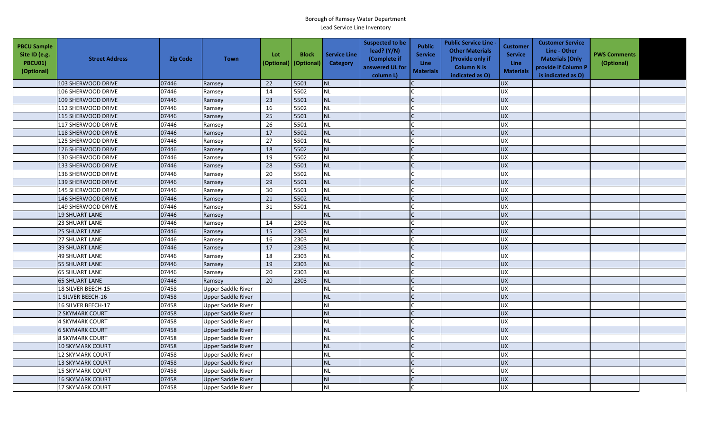| <b>PBCU Sample</b><br>Site ID (e.g.<br><b>PBCU01)</b><br>(Optional) | <b>Street Address</b>   | <b>Zip Code</b> | <b>Town</b>               | Lot<br>(Optional) | <b>Block</b><br>(Optional) | <b>Service Line</b><br>Category | <b>Suspected to be</b><br>lead? $(Y/N)$<br>(Complete if<br>answered UL for<br>column L) | <b>Public</b><br><b>Service</b><br><b>Line</b><br><b>Materials</b> | <b>Public Service Line -</b><br><b>Other Materials</b><br>(Provide only if<br><b>Column N is</b><br>indicated as O) | <b>Customer</b><br><b>Service</b><br><b>Line</b><br><b>Materials</b> | <b>Customer Service</b><br>Line - Other<br><b>Materials (Only</b><br>provide if Column P<br>is indicated as O) | <b>PWS Comments</b><br>(Optional) |  |
|---------------------------------------------------------------------|-------------------------|-----------------|---------------------------|-------------------|----------------------------|---------------------------------|-----------------------------------------------------------------------------------------|--------------------------------------------------------------------|---------------------------------------------------------------------------------------------------------------------|----------------------------------------------------------------------|----------------------------------------------------------------------------------------------------------------|-----------------------------------|--|
|                                                                     | 103 SHERWOOD DRIVE      | 07446           | Ramsey                    | 22                | 5501                       | <b>NL</b>                       |                                                                                         |                                                                    |                                                                                                                     | <b>UX</b>                                                            |                                                                                                                |                                   |  |
|                                                                     | 106 SHERWOOD DRIVE      | 07446           | Ramsey                    | 14                | 5502                       | <b>NL</b>                       |                                                                                         |                                                                    |                                                                                                                     | UX                                                                   |                                                                                                                |                                   |  |
|                                                                     | 109 SHERWOOD DRIVE      | 07446           | Ramsey                    | 23                | 5501                       | NL                              |                                                                                         |                                                                    |                                                                                                                     | <b>UX</b>                                                            |                                                                                                                |                                   |  |
|                                                                     | 112 SHERWOOD DRIVE      | 07446           | Ramsey                    | 16                | 5502                       | <b>NL</b>                       |                                                                                         |                                                                    |                                                                                                                     | <b>UX</b>                                                            |                                                                                                                |                                   |  |
|                                                                     | 115 SHERWOOD DRIVE      | 07446           | Ramsey                    | 25                | 5501                       | NL                              |                                                                                         |                                                                    |                                                                                                                     | <b>UX</b>                                                            |                                                                                                                |                                   |  |
|                                                                     | 117 SHERWOOD DRIVE      | 07446           | Ramsey                    | 26                | 5501                       | <b>NL</b>                       |                                                                                         |                                                                    |                                                                                                                     | <b>UX</b>                                                            |                                                                                                                |                                   |  |
|                                                                     | 118 SHERWOOD DRIVE      | 07446           | Ramsey                    | 17                | 5502                       | <b>NL</b>                       |                                                                                         |                                                                    |                                                                                                                     | <b>UX</b>                                                            |                                                                                                                |                                   |  |
|                                                                     | 125 SHERWOOD DRIVE      | 07446           | Ramsey                    | 27                | 5501                       | <b>NL</b>                       |                                                                                         |                                                                    |                                                                                                                     | UX                                                                   |                                                                                                                |                                   |  |
|                                                                     | 126 SHERWOOD DRIVE      | 07446           | Ramsey                    | 18                | 5502                       | <b>NL</b>                       |                                                                                         |                                                                    |                                                                                                                     | <b>UX</b>                                                            |                                                                                                                |                                   |  |
|                                                                     | 130 SHERWOOD DRIVE      | 07446           | Ramsey                    | 19                | 5502                       | <b>NL</b>                       |                                                                                         |                                                                    |                                                                                                                     | UX                                                                   |                                                                                                                |                                   |  |
|                                                                     | 133 SHERWOOD DRIVE      | 07446           | Ramsey                    | 28                | 5501                       | <b>NL</b>                       |                                                                                         |                                                                    |                                                                                                                     | <b>UX</b>                                                            |                                                                                                                |                                   |  |
|                                                                     | 136 SHERWOOD DRIVE      | 07446           | Ramsey                    | 20                | 5502                       | <b>NL</b>                       |                                                                                         |                                                                    |                                                                                                                     | UX                                                                   |                                                                                                                |                                   |  |
|                                                                     | 139 SHERWOOD DRIVE      | 07446           | Ramsey                    | 29                | 5501                       | <b>NL</b>                       |                                                                                         |                                                                    |                                                                                                                     | UX                                                                   |                                                                                                                |                                   |  |
|                                                                     | 145 SHERWOOD DRIVE      | 07446           | Ramsey                    | 30                | 5501                       | <b>NL</b>                       |                                                                                         |                                                                    |                                                                                                                     | UX                                                                   |                                                                                                                |                                   |  |
|                                                                     | 146 SHERWOOD DRIVE      | 07446           | Ramsey                    | 21                | 5502                       | <b>NL</b>                       |                                                                                         |                                                                    |                                                                                                                     | <b>UX</b>                                                            |                                                                                                                |                                   |  |
|                                                                     | 149 SHERWOOD DRIVE      | 07446           | Ramsey                    | 31                | 5501                       | <b>NL</b>                       |                                                                                         |                                                                    |                                                                                                                     | UX                                                                   |                                                                                                                |                                   |  |
|                                                                     | <b>19 SHUART LANE</b>   | 07446           | Ramsey                    |                   |                            | NL                              |                                                                                         |                                                                    |                                                                                                                     | <b>UX</b>                                                            |                                                                                                                |                                   |  |
|                                                                     | 23 SHUART LANE          | 07446           | Ramsey                    | 14                | 2303                       | <b>NL</b>                       |                                                                                         |                                                                    |                                                                                                                     | UX                                                                   |                                                                                                                |                                   |  |
|                                                                     | <b>25 SHUART LANE</b>   | 07446           | Ramsey                    | 15                | 2303                       | <b>NL</b>                       |                                                                                         |                                                                    |                                                                                                                     | <b>UX</b>                                                            |                                                                                                                |                                   |  |
|                                                                     | <b>27 SHUART LANE</b>   | 07446           | Ramsey                    | 16                | 2303                       | <b>NL</b>                       |                                                                                         |                                                                    |                                                                                                                     | UX                                                                   |                                                                                                                |                                   |  |
|                                                                     | <b>39 SHUART LANE</b>   | 07446           | Ramsey                    | 17                | 2303                       | <b>NL</b>                       |                                                                                         |                                                                    |                                                                                                                     | <b>UX</b>                                                            |                                                                                                                |                                   |  |
|                                                                     | <b>49 SHUART LANE</b>   | 07446           | Ramsey                    | 18                | 2303                       | <b>NL</b>                       |                                                                                         |                                                                    |                                                                                                                     | UX                                                                   |                                                                                                                |                                   |  |
|                                                                     | 55 SHUART LANE          | 07446           | Ramsey                    | 19                | 2303                       | <b>NL</b>                       |                                                                                         |                                                                    |                                                                                                                     | <b>UX</b>                                                            |                                                                                                                |                                   |  |
|                                                                     | <b>65 SHUART LANE</b>   | 07446           | Ramsey                    | 20                | 2303                       | <b>NL</b>                       |                                                                                         |                                                                    |                                                                                                                     | <b>UX</b>                                                            |                                                                                                                |                                   |  |
|                                                                     | <b>65 SHUART LANE</b>   | 07446           | Ramsey                    | 20                | 2303                       | <b>NL</b>                       |                                                                                         |                                                                    |                                                                                                                     | <b>UX</b>                                                            |                                                                                                                |                                   |  |
|                                                                     | 18 SILVER BEECH-15      | 07458           | <b>Upper Saddle River</b> |                   |                            | <b>NL</b>                       |                                                                                         |                                                                    |                                                                                                                     | <b>UX</b>                                                            |                                                                                                                |                                   |  |
|                                                                     | 1 SILVER BEECH-16       | 07458           | <b>Upper Saddle River</b> |                   |                            | <b>NL</b>                       |                                                                                         |                                                                    |                                                                                                                     | <b>UX</b>                                                            |                                                                                                                |                                   |  |
|                                                                     | 16 SILVER BEECH-17      | 07458           | Upper Saddle River        |                   |                            | <b>NL</b>                       |                                                                                         |                                                                    |                                                                                                                     | <b>UX</b>                                                            |                                                                                                                |                                   |  |
|                                                                     | 2 SKYMARK COURT         | 07458           | Upper Saddle River        |                   |                            | <b>NL</b>                       |                                                                                         |                                                                    |                                                                                                                     | <b>UX</b>                                                            |                                                                                                                |                                   |  |
|                                                                     | <b>4 SKYMARK COURT</b>  | 07458           | Upper Saddle River        |                   |                            | <b>NL</b>                       |                                                                                         |                                                                    |                                                                                                                     | UX                                                                   |                                                                                                                |                                   |  |
|                                                                     | <b>6 SKYMARK COURT</b>  | 07458           | <b>Upper Saddle River</b> |                   |                            | <b>NL</b>                       |                                                                                         |                                                                    |                                                                                                                     | <b>UX</b>                                                            |                                                                                                                |                                   |  |
|                                                                     | <b>8 SKYMARK COURT</b>  | 07458           | Upper Saddle River        |                   |                            | <b>NL</b>                       |                                                                                         |                                                                    |                                                                                                                     | <b>UX</b>                                                            |                                                                                                                |                                   |  |
|                                                                     | 10 SKYMARK COURT        | 07458           | <b>Upper Saddle River</b> |                   |                            | <b>NL</b>                       |                                                                                         |                                                                    |                                                                                                                     | UX                                                                   |                                                                                                                |                                   |  |
|                                                                     | <b>12 SKYMARK COURT</b> | 07458           | Upper Saddle River        |                   |                            | <b>NL</b>                       |                                                                                         |                                                                    |                                                                                                                     | <b>UX</b>                                                            |                                                                                                                |                                   |  |
|                                                                     | <b>13 SKYMARK COURT</b> | 07458           | <b>Upper Saddle River</b> |                   |                            | <b>NL</b>                       |                                                                                         |                                                                    |                                                                                                                     | UX                                                                   |                                                                                                                |                                   |  |
|                                                                     | <b>15 SKYMARK COURT</b> | 07458           | <b>Upper Saddle River</b> |                   |                            | <b>NL</b>                       |                                                                                         |                                                                    |                                                                                                                     | UX                                                                   |                                                                                                                |                                   |  |
|                                                                     | <b>16 SKYMARK COURT</b> | 07458           | <b>Upper Saddle River</b> |                   |                            | <b>NL</b>                       |                                                                                         |                                                                    |                                                                                                                     | UX                                                                   |                                                                                                                |                                   |  |
|                                                                     | <b>17 SKYMARK COURT</b> | 07458           | <b>Upper Saddle River</b> |                   |                            | <b>NL</b>                       |                                                                                         |                                                                    |                                                                                                                     | <b>UX</b>                                                            |                                                                                                                |                                   |  |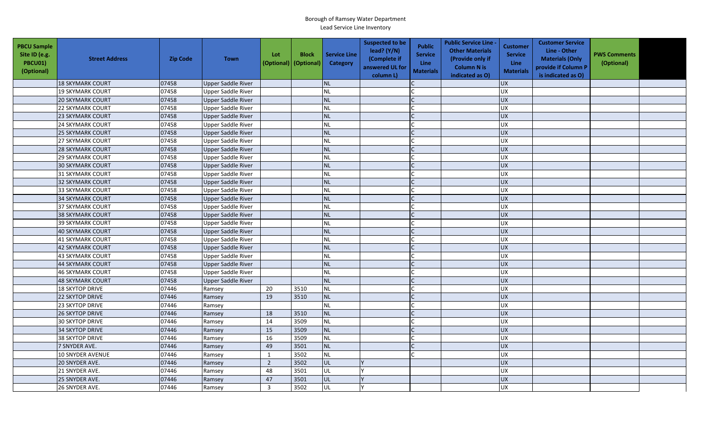| <b>PBCU Sample</b><br>Site ID (e.g.<br>PBCU01)<br>(Optional) | <b>Street Address</b>   | <b>Zip Code</b> | <b>Town</b>               | Lot<br>(Optional) (Optional) | <b>Block</b> | <b>Service Line</b><br><b>Category</b> | <b>Suspected to be</b><br>lead? $(Y/N)$<br>(Complete if<br>answered UL for<br>column L) | <b>Public</b><br><b>Service</b><br><b>Line</b><br><b>Materials</b> | <b>Public Service Line -</b><br><b>Other Materials</b><br>(Provide only if<br><b>Column N is</b><br>indicated as O) | <b>Customer</b><br><b>Service</b><br><b>Line</b><br><b>Materials</b> | <b>Customer Service</b><br>Line - Other<br><b>Materials (Only</b><br>provide if Column P<br>is indicated as O) | <b>PWS Comments</b><br>(Optional) |  |
|--------------------------------------------------------------|-------------------------|-----------------|---------------------------|------------------------------|--------------|----------------------------------------|-----------------------------------------------------------------------------------------|--------------------------------------------------------------------|---------------------------------------------------------------------------------------------------------------------|----------------------------------------------------------------------|----------------------------------------------------------------------------------------------------------------|-----------------------------------|--|
|                                                              | <b>18 SKYMARK COURT</b> | 07458           | <b>Upper Saddle River</b> |                              |              | <b>NL</b>                              |                                                                                         |                                                                    |                                                                                                                     | <b>UX</b>                                                            |                                                                                                                |                                   |  |
|                                                              | <b>19 SKYMARK COURT</b> | 07458           | <b>Upper Saddle River</b> |                              |              | <b>NL</b>                              |                                                                                         |                                                                    |                                                                                                                     | UX                                                                   |                                                                                                                |                                   |  |
|                                                              | <b>20 SKYMARK COURT</b> | 07458           | Upper Saddle River        |                              |              | <b>NL</b>                              |                                                                                         |                                                                    |                                                                                                                     | <b>UX</b>                                                            |                                                                                                                |                                   |  |
|                                                              | 22 SKYMARK COURT        | 07458           | <b>Upper Saddle River</b> |                              |              | <b>NL</b>                              |                                                                                         |                                                                    |                                                                                                                     | UX                                                                   |                                                                                                                |                                   |  |
|                                                              | <b>23 SKYMARK COURT</b> | 07458           | <b>Upper Saddle River</b> |                              |              | <b>NL</b>                              |                                                                                         |                                                                    |                                                                                                                     | UX                                                                   |                                                                                                                |                                   |  |
|                                                              | 24 SKYMARK COURT        | 07458           | <b>Upper Saddle River</b> |                              |              | <b>NL</b>                              |                                                                                         |                                                                    |                                                                                                                     | <b>UX</b>                                                            |                                                                                                                |                                   |  |
|                                                              | <b>25 SKYMARK COURT</b> | 07458           | Upper Saddle River        |                              |              | <b>NL</b>                              |                                                                                         | $\mathsf{C}$                                                       |                                                                                                                     | UX                                                                   |                                                                                                                |                                   |  |
|                                                              | 27 SKYMARK COURT        | 07458           | Upper Saddle River        |                              |              | <b>NL</b>                              |                                                                                         |                                                                    |                                                                                                                     | <b>UX</b>                                                            |                                                                                                                |                                   |  |
|                                                              | <b>28 SKYMARK COURT</b> | 07458           | <b>Upper Saddle River</b> |                              |              | <b>NL</b>                              |                                                                                         |                                                                    |                                                                                                                     | <b>UX</b>                                                            |                                                                                                                |                                   |  |
|                                                              | <b>29 SKYMARK COURT</b> | 07458           | Upper Saddle River        |                              |              | <b>NL</b>                              |                                                                                         |                                                                    |                                                                                                                     | UX                                                                   |                                                                                                                |                                   |  |
|                                                              | <b>30 SKYMARK COURT</b> | 07458           | <b>Upper Saddle River</b> |                              |              | <b>NL</b>                              |                                                                                         | C                                                                  |                                                                                                                     | <b>UX</b>                                                            |                                                                                                                |                                   |  |
|                                                              | <b>31 SKYMARK COURT</b> | 07458           | <b>Upper Saddle River</b> |                              |              | <b>NL</b>                              |                                                                                         |                                                                    |                                                                                                                     | UX                                                                   |                                                                                                                |                                   |  |
|                                                              | 32 SKYMARK COURT        | 07458           | <b>Upper Saddle River</b> |                              |              | <b>NL</b>                              |                                                                                         |                                                                    |                                                                                                                     | UX                                                                   |                                                                                                                |                                   |  |
|                                                              | 33 SKYMARK COURT        | 07458           | <b>Upper Saddle River</b> |                              |              | <b>NL</b>                              |                                                                                         |                                                                    |                                                                                                                     | UX                                                                   |                                                                                                                |                                   |  |
|                                                              | <b>34 SKYMARK COURT</b> | 07458           | <b>Upper Saddle River</b> |                              |              | <b>NL</b>                              |                                                                                         |                                                                    |                                                                                                                     | UX                                                                   |                                                                                                                |                                   |  |
|                                                              | 37 SKYMARK COURT        | 07458           | Upper Saddle River        |                              |              | <b>NL</b>                              |                                                                                         |                                                                    |                                                                                                                     | UX                                                                   |                                                                                                                |                                   |  |
|                                                              | <b>38 SKYMARK COURT</b> | 07458           | <b>Upper Saddle River</b> |                              |              | <b>NL</b>                              |                                                                                         |                                                                    |                                                                                                                     | UX                                                                   |                                                                                                                |                                   |  |
|                                                              | <b>39 SKYMARK COURT</b> | 07458           | <b>Upper Saddle River</b> |                              |              | <b>NL</b>                              |                                                                                         |                                                                    |                                                                                                                     | UX                                                                   |                                                                                                                |                                   |  |
|                                                              | <b>40 SKYMARK COURT</b> | 07458           | <b>Upper Saddle River</b> |                              |              | <b>NL</b>                              |                                                                                         |                                                                    |                                                                                                                     | UX                                                                   |                                                                                                                |                                   |  |
|                                                              | <b>41 SKYMARK COURT</b> | 07458           | <b>Upper Saddle River</b> |                              |              | <b>NL</b>                              |                                                                                         |                                                                    |                                                                                                                     | UX                                                                   |                                                                                                                |                                   |  |
|                                                              | 42 SKYMARK COURT        | 07458           | Upper Saddle River        |                              |              | <b>NL</b>                              |                                                                                         |                                                                    |                                                                                                                     | <b>UX</b>                                                            |                                                                                                                |                                   |  |
|                                                              | 43 SKYMARK COURT        | 07458           | Upper Saddle River        |                              |              | <b>NL</b>                              |                                                                                         |                                                                    |                                                                                                                     | UX                                                                   |                                                                                                                |                                   |  |
|                                                              | 44 SKYMARK COURT        | 07458           | <b>Upper Saddle River</b> |                              |              | <b>NL</b>                              |                                                                                         |                                                                    |                                                                                                                     | UX                                                                   |                                                                                                                |                                   |  |
|                                                              | <b>46 SKYMARK COURT</b> | 07458           | <b>Upper Saddle River</b> |                              |              | <b>NL</b>                              |                                                                                         |                                                                    |                                                                                                                     | UX                                                                   |                                                                                                                |                                   |  |
|                                                              | <b>48 SKYMARK COURT</b> | 07458           | Upper Saddle River        |                              |              | <b>NL</b>                              |                                                                                         |                                                                    |                                                                                                                     | UX                                                                   |                                                                                                                |                                   |  |
|                                                              | <b>18 SKYTOP DRIVE</b>  | 07446           | Ramsey                    | 20                           | 3510         | <b>NL</b>                              |                                                                                         |                                                                    |                                                                                                                     | <b>UX</b>                                                            |                                                                                                                |                                   |  |
|                                                              | <b>22 SKYTOP DRIVE</b>  | 07446           | Ramsey                    | 19                           | 3510         | <b>NL</b>                              |                                                                                         |                                                                    |                                                                                                                     | UX                                                                   |                                                                                                                |                                   |  |
|                                                              | 23 SKYTOP DRIVE         | 07446           | Ramsey                    |                              |              | <b>NL</b>                              |                                                                                         |                                                                    |                                                                                                                     | <b>UX</b>                                                            |                                                                                                                |                                   |  |
|                                                              | <b>26 SKYTOP DRIVE</b>  | 07446           | Ramsey                    | 18                           | 3510         | <b>NL</b>                              |                                                                                         |                                                                    |                                                                                                                     | UX                                                                   |                                                                                                                |                                   |  |
|                                                              | 30 SKYTOP DRIVE         | 07446           | Ramsey                    | 14                           | 3509         | <b>NL</b>                              |                                                                                         |                                                                    |                                                                                                                     | UX                                                                   |                                                                                                                |                                   |  |
|                                                              | 34 SKYTOP DRIVE         | 07446           | Ramsey                    | 15                           | 3509         | <b>NL</b>                              |                                                                                         |                                                                    |                                                                                                                     | <b>UX</b>                                                            |                                                                                                                |                                   |  |
|                                                              | <b>38 SKYTOP DRIVE</b>  | 07446           | Ramsey                    | 16                           | 3509         | <b>NL</b>                              |                                                                                         |                                                                    |                                                                                                                     | UX                                                                   |                                                                                                                |                                   |  |
|                                                              | 7 SNYDER AVE.           | 07446           | Ramsey                    | 49                           | 3501         | <b>NL</b>                              |                                                                                         |                                                                    |                                                                                                                     | <b>UX</b>                                                            |                                                                                                                |                                   |  |
|                                                              | <b>10 SNYDER AVENUE</b> | 07446           | Ramsey                    | $\mathbf{1}$                 | 3502         | <b>NL</b>                              |                                                                                         |                                                                    |                                                                                                                     | <b>UX</b>                                                            |                                                                                                                |                                   |  |
|                                                              | 20 SNYDER AVE.          | 07446           | Ramsey                    | $\overline{2}$               | 3502         | UL                                     |                                                                                         |                                                                    |                                                                                                                     | <b>UX</b>                                                            |                                                                                                                |                                   |  |
|                                                              | 21 SNYDER AVE.          | 07446           | Ramsey                    | 48                           | 3501         | UL                                     |                                                                                         |                                                                    |                                                                                                                     | UX                                                                   |                                                                                                                |                                   |  |
|                                                              | 25 SNYDER AVE.          | 07446           | Ramsey                    | 47                           | 3501         | UL                                     |                                                                                         |                                                                    |                                                                                                                     | UX                                                                   |                                                                                                                |                                   |  |
|                                                              | 26 SNYDER AVE.          | 07446           | Ramsey                    | $\overline{3}$               | 3502         | UL                                     |                                                                                         |                                                                    |                                                                                                                     | <b>UX</b>                                                            |                                                                                                                |                                   |  |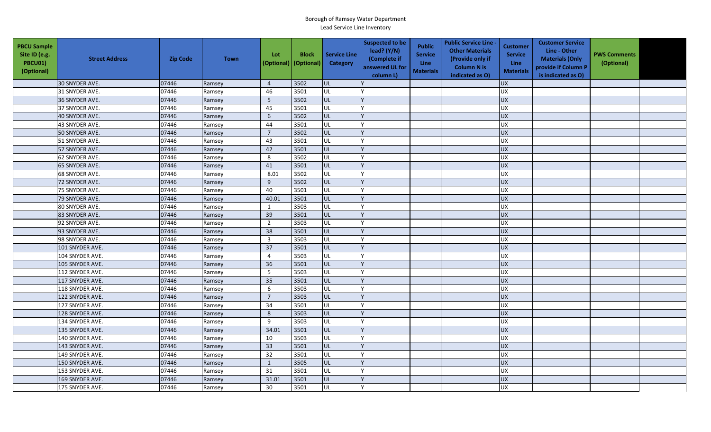| <b>PBCU Sample</b><br>Site ID (e.g.<br><b>PBCU01)</b><br>(Optional) | <b>Street Address</b> | <b>Zip Code</b> | <b>Town</b> | Lot<br>(Optional) | <b>Block</b><br>(Optional) | <b>Service Line</b><br>Category | <b>Suspected to be</b><br>lead? $(Y/N)$<br>(Complete if<br>answered UL for<br>column L) | <b>Public</b><br><b>Service</b><br><b>Line</b><br><b>Materials</b> | <b>Public Service Line -</b><br><b>Other Materials</b><br>(Provide only if<br><b>Column N is</b><br>indicated as O) | <b>Customer</b><br><b>Service</b><br><b>Line</b><br><b>Materials</b> | <b>Customer Service</b><br>Line - Other<br><b>Materials (Only</b><br>provide if Column P<br>is indicated as O) | <b>PWS Comments</b><br>(Optional) |  |
|---------------------------------------------------------------------|-----------------------|-----------------|-------------|-------------------|----------------------------|---------------------------------|-----------------------------------------------------------------------------------------|--------------------------------------------------------------------|---------------------------------------------------------------------------------------------------------------------|----------------------------------------------------------------------|----------------------------------------------------------------------------------------------------------------|-----------------------------------|--|
|                                                                     | 30 SNYDER AVE.        | 07446           | Ramsey      | $\overline{4}$    | 3502                       | UL                              |                                                                                         |                                                                    |                                                                                                                     | <b>UX</b>                                                            |                                                                                                                |                                   |  |
|                                                                     | 31 SNYDER AVE.        | 07446           | Ramsey      | 46                | 3501                       | UL                              |                                                                                         |                                                                    |                                                                                                                     | <b>UX</b>                                                            |                                                                                                                |                                   |  |
|                                                                     | 36 SNYDER AVE.        | 07446           | Ramsey      | $5\phantom{.0}$   | 3502                       | UL                              |                                                                                         |                                                                    |                                                                                                                     | <b>UX</b>                                                            |                                                                                                                |                                   |  |
|                                                                     | 37 SNYDER AVE.        | 07446           | Ramsey      | 45                | 3501                       | UL                              |                                                                                         |                                                                    |                                                                                                                     | UX                                                                   |                                                                                                                |                                   |  |
|                                                                     | 40 SNYDER AVE.        | 07446           | Ramsey      | 6                 | 3502                       | UL                              |                                                                                         |                                                                    |                                                                                                                     | <b>UX</b>                                                            |                                                                                                                |                                   |  |
|                                                                     | 43 SNYDER AVE.        | 07446           | Ramsey      | 44                | 3501                       | UL                              |                                                                                         |                                                                    |                                                                                                                     | <b>UX</b>                                                            |                                                                                                                |                                   |  |
|                                                                     | 50 SNYDER AVE.        | 07446           | Ramsey      | $\overline{7}$    | 3502                       | UL                              |                                                                                         |                                                                    |                                                                                                                     | UX                                                                   |                                                                                                                |                                   |  |
|                                                                     | 51 SNYDER AVE.        | 07446           | Ramsey      | 43                | 3501                       | UL                              |                                                                                         |                                                                    |                                                                                                                     | <b>UX</b>                                                            |                                                                                                                |                                   |  |
|                                                                     | 57 SNYDER AVE.        | 07446           | Ramsey      | 42                | 3501                       | UL                              |                                                                                         |                                                                    |                                                                                                                     | UX                                                                   |                                                                                                                |                                   |  |
|                                                                     | 62 SNYDER AVE.        | 07446           | Ramsey      | 8                 | 3502                       | UL                              |                                                                                         |                                                                    |                                                                                                                     | <b>UX</b>                                                            |                                                                                                                |                                   |  |
|                                                                     | 65 SNYDER AVE.        | 07446           | Ramsey      | 41                | 3501                       | UL                              |                                                                                         |                                                                    |                                                                                                                     | <b>UX</b>                                                            |                                                                                                                |                                   |  |
|                                                                     | 68 SNYDER AVE.        | 07446           | Ramsey      | 8.01              | 3502                       | UL                              |                                                                                         |                                                                    |                                                                                                                     | <b>UX</b>                                                            |                                                                                                                |                                   |  |
|                                                                     | 72 SNYDER AVE.        | 07446           | Ramsey      | 9                 | 3502                       | UL                              |                                                                                         |                                                                    |                                                                                                                     | UX                                                                   |                                                                                                                |                                   |  |
|                                                                     | 75 SNYDER AVE.        | 07446           | Ramsey      | 40                | 3501                       | UL                              |                                                                                         |                                                                    |                                                                                                                     | UX                                                                   |                                                                                                                |                                   |  |
|                                                                     | 79 SNYDER AVE.        | 07446           | Ramsey      | 40.01             | 3501                       | UL                              |                                                                                         |                                                                    |                                                                                                                     | UX                                                                   |                                                                                                                |                                   |  |
|                                                                     | 80 SNYDER AVE.        | 07446           | Ramsey      | 1                 | 3503                       | UL                              |                                                                                         |                                                                    |                                                                                                                     | <b>UX</b>                                                            |                                                                                                                |                                   |  |
|                                                                     | 83 SNYDER AVE.        | 07446           | Ramsey      | 39                | 3501                       | UL                              |                                                                                         |                                                                    |                                                                                                                     | <b>UX</b>                                                            |                                                                                                                |                                   |  |
|                                                                     | 92 SNYDER AVE.        | 07446           | Ramsey      | $\overline{2}$    | 3503                       | UL                              |                                                                                         |                                                                    |                                                                                                                     | UX                                                                   |                                                                                                                |                                   |  |
|                                                                     | 93 SNYDER AVE.        | 07446           | Ramsey      | 38                | 3501                       | UL                              |                                                                                         |                                                                    |                                                                                                                     | UX                                                                   |                                                                                                                |                                   |  |
|                                                                     | 98 SNYDER AVE.        | 07446           | Ramsey      | $\overline{3}$    | 3503                       | UL                              |                                                                                         |                                                                    |                                                                                                                     | <b>UX</b>                                                            |                                                                                                                |                                   |  |
|                                                                     | 101 SNYDER AVE.       | 07446           | Ramsey      | 37                | 3501                       | UL                              |                                                                                         |                                                                    |                                                                                                                     | <b>UX</b>                                                            |                                                                                                                |                                   |  |
|                                                                     | 104 SNYDER AVE.       | 07446           | Ramsey      | $\overline{4}$    | 3503                       | UL                              |                                                                                         |                                                                    |                                                                                                                     | <b>UX</b>                                                            |                                                                                                                |                                   |  |
|                                                                     | 105 SNYDER AVE.       | 07446           | Ramsey      | 36                | 3501                       | UL                              |                                                                                         |                                                                    |                                                                                                                     | <b>UX</b>                                                            |                                                                                                                |                                   |  |
|                                                                     | 112 SNYDER AVE.       | 07446           | Ramsey      | 5                 | 3503                       | UL                              |                                                                                         |                                                                    |                                                                                                                     | <b>UX</b>                                                            |                                                                                                                |                                   |  |
|                                                                     | 117 SNYDER AVE.       | 07446           | Ramsey      | 35                | 3501                       | UL                              |                                                                                         |                                                                    |                                                                                                                     | <b>UX</b>                                                            |                                                                                                                |                                   |  |
|                                                                     | 118 SNYDER AVE.       | 07446           | Ramsey      | 6                 | 3503                       | UL                              |                                                                                         |                                                                    |                                                                                                                     | UX                                                                   |                                                                                                                |                                   |  |
|                                                                     | 122 SNYDER AVE.       | 07446           | Ramsey      | $\overline{7}$    | 3503                       | UL                              |                                                                                         |                                                                    |                                                                                                                     | <b>UX</b>                                                            |                                                                                                                |                                   |  |
|                                                                     | 127 SNYDER AVE.       | 07446           | Ramsey      | 34                | 3501                       | UL                              |                                                                                         |                                                                    |                                                                                                                     | <b>UX</b>                                                            |                                                                                                                |                                   |  |
|                                                                     | 128 SNYDER AVE.       | 07446           | Ramsey      | 8                 | 3503                       | UL                              |                                                                                         |                                                                    |                                                                                                                     | <b>UX</b>                                                            |                                                                                                                |                                   |  |
|                                                                     | 134 SNYDER AVE.       | 07446           | Ramsey      | 9                 | 3503                       | UL                              |                                                                                         |                                                                    |                                                                                                                     | <b>UX</b>                                                            |                                                                                                                |                                   |  |
|                                                                     | 135 SNYDER AVE.       | 07446           | Ramsey      | 34.01             | 3501                       | UL                              |                                                                                         |                                                                    |                                                                                                                     | UX                                                                   |                                                                                                                |                                   |  |
|                                                                     | 140 SNYDER AVE.       | 07446           | Ramsey      | 10                | 3503                       | UL                              |                                                                                         |                                                                    |                                                                                                                     | <b>UX</b>                                                            |                                                                                                                |                                   |  |
|                                                                     | 143 SNYDER AVE.       | 07446           | Ramsey      | 33                | 3501                       | UL                              |                                                                                         |                                                                    |                                                                                                                     | $\overline{UX}$                                                      |                                                                                                                |                                   |  |
|                                                                     | 149 SNYDER AVE.       | 07446           | Ramsey      | 32                | 3501                       | UL                              |                                                                                         |                                                                    |                                                                                                                     | UX                                                                   |                                                                                                                |                                   |  |
|                                                                     | 150 SNYDER AVE.       | 07446           | Ramsey      | $\mathbf{1}$      | 3505                       | UL                              |                                                                                         |                                                                    |                                                                                                                     | UX                                                                   |                                                                                                                |                                   |  |
|                                                                     | 153 SNYDER AVE.       | 07446           | Ramsey      | 31                | 3501                       | UL                              |                                                                                         |                                                                    |                                                                                                                     | <b>UX</b>                                                            |                                                                                                                |                                   |  |
|                                                                     | 169 SNYDER AVE.       | 07446           | Ramsey      | 31.01             | 3501                       | UL                              |                                                                                         |                                                                    |                                                                                                                     | <b>UX</b>                                                            |                                                                                                                |                                   |  |
|                                                                     | 175 SNYDER AVE.       | 07446           | Ramsey      | 30                | 3501                       | UL                              |                                                                                         |                                                                    |                                                                                                                     | UX                                                                   |                                                                                                                |                                   |  |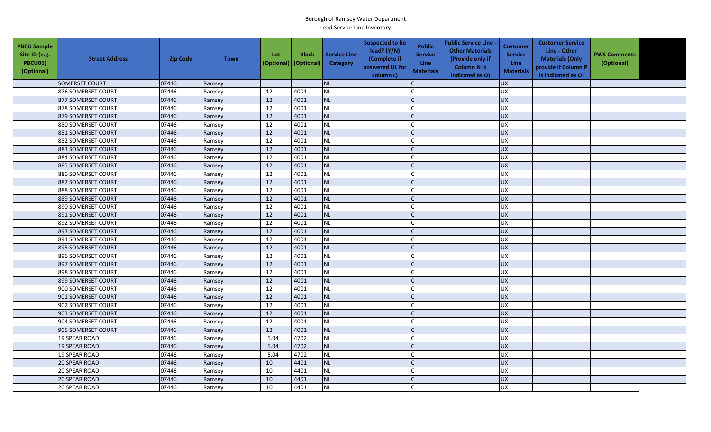| <b>PBCU Sample</b><br>Site ID (e.g.<br>PBCU01)<br>(Optional) | <b>Street Address</b> | <b>Zip Code</b> | <b>Town</b> | Lot<br>(Optional) | <b>Block</b><br>(Optional) | <b>Service Line</b><br>Category | <b>Suspected to be</b><br>lead? (Y/N)<br>(Complete if<br>answered UL for<br>column L) | <b>Public</b><br><b>Service</b><br><b>Line</b><br><b>Materials</b> | <b>Public Service Line -</b><br><b>Other Materials</b><br>(Provide only if<br><b>Column N is</b><br>indicated as O) | <b>Customer</b><br><b>Service</b><br>Line<br><b>Materials</b> | <b>Customer Service</b><br>Line - Other<br><b>Materials (Only</b><br>provide if Column P<br>is indicated as O) | <b>PWS Comments</b><br>(Optional) |  |
|--------------------------------------------------------------|-----------------------|-----------------|-------------|-------------------|----------------------------|---------------------------------|---------------------------------------------------------------------------------------|--------------------------------------------------------------------|---------------------------------------------------------------------------------------------------------------------|---------------------------------------------------------------|----------------------------------------------------------------------------------------------------------------|-----------------------------------|--|
|                                                              | <b>SOMERSET COURT</b> | 07446           | Ramsey      |                   |                            | <b>NL</b>                       |                                                                                       |                                                                    |                                                                                                                     | <b>UX</b>                                                     |                                                                                                                |                                   |  |
|                                                              | 876 SOMERSET COURT    | 07446           | Ramsey      | 12                | 4001                       | <b>NL</b>                       |                                                                                       |                                                                    |                                                                                                                     | <b>UX</b>                                                     |                                                                                                                |                                   |  |
|                                                              | 877 SOMERSET COURT    | 07446           | Ramsey      | 12                | 4001                       | <b>NL</b>                       |                                                                                       |                                                                    |                                                                                                                     | <b>UX</b>                                                     |                                                                                                                |                                   |  |
|                                                              | 878 SOMERSET COURT    | 07446           | Ramsey      | 12                | 4001                       | <b>NL</b>                       |                                                                                       |                                                                    |                                                                                                                     | UX                                                            |                                                                                                                |                                   |  |
|                                                              | 879 SOMERSET COURT    | 07446           | Ramsey      | 12                | 4001                       | <b>NL</b>                       |                                                                                       |                                                                    |                                                                                                                     | <b>UX</b>                                                     |                                                                                                                |                                   |  |
|                                                              | 880 SOMERSET COURT    | 07446           | Ramsey      | 12                | 4001                       | <b>NL</b>                       |                                                                                       |                                                                    |                                                                                                                     | <b>UX</b>                                                     |                                                                                                                |                                   |  |
|                                                              | 881 SOMERSET COURT    | 07446           | Ramsey      | 12                | 4001                       | <b>NL</b>                       |                                                                                       | $\mathsf{C}$                                                       |                                                                                                                     | <b>UX</b>                                                     |                                                                                                                |                                   |  |
|                                                              | 882 SOMERSET COURT    | 07446           | Ramsey      | 12                | 4001                       | <b>NL</b>                       |                                                                                       |                                                                    |                                                                                                                     | <b>UX</b>                                                     |                                                                                                                |                                   |  |
|                                                              | 883 SOMERSET COURT    | 07446           | Ramsey      | 12                | 4001                       | <b>NL</b>                       |                                                                                       |                                                                    |                                                                                                                     | <b>UX</b>                                                     |                                                                                                                |                                   |  |
|                                                              | 884 SOMERSET COURT    | 07446           | Ramsey      | 12                | 4001                       | <b>NL</b>                       |                                                                                       |                                                                    |                                                                                                                     | UX                                                            |                                                                                                                |                                   |  |
|                                                              | 885 SOMERSET COURT    | 07446           | Ramsey      | 12                | 4001                       | <b>NL</b>                       |                                                                                       | C                                                                  |                                                                                                                     | <b>UX</b>                                                     |                                                                                                                |                                   |  |
|                                                              | 886 SOMERSET COURT    | 07446           | Ramsey      | 12                | 4001                       | <b>NL</b>                       |                                                                                       |                                                                    |                                                                                                                     | <b>UX</b>                                                     |                                                                                                                |                                   |  |
|                                                              | 887 SOMERSET COURT    | 07446           | Ramsey      | 12                | 4001                       | <b>NL</b>                       |                                                                                       |                                                                    |                                                                                                                     | <b>UX</b>                                                     |                                                                                                                |                                   |  |
|                                                              | 888 SOMERSET COURT    | 07446           | Ramsey      | 12                | 4001                       | <b>NL</b>                       |                                                                                       |                                                                    |                                                                                                                     | <b>UX</b>                                                     |                                                                                                                |                                   |  |
|                                                              | 889 SOMERSET COURT    | 07446           | Ramsey      | 12                | 4001                       | <b>NL</b>                       |                                                                                       |                                                                    |                                                                                                                     | <b>UX</b>                                                     |                                                                                                                |                                   |  |
|                                                              | 890 SOMERSET COURT    | 07446           | Ramsey      | 12                | 4001                       | <b>NL</b>                       |                                                                                       |                                                                    |                                                                                                                     | <b>UX</b>                                                     |                                                                                                                |                                   |  |
|                                                              | 891 SOMERSET COURT    | 07446           | Ramsey      | 12                | 4001                       | <b>NL</b>                       |                                                                                       |                                                                    |                                                                                                                     | UX                                                            |                                                                                                                |                                   |  |
|                                                              | 892 SOMERSET COURT    | 07446           | Ramsey      | 12                | 4001                       | <b>NL</b>                       |                                                                                       |                                                                    |                                                                                                                     | UX                                                            |                                                                                                                |                                   |  |
|                                                              | 893 SOMERSET COURT    | 07446           | Ramsey      | 12                | 4001                       | <b>NL</b>                       |                                                                                       |                                                                    |                                                                                                                     | <b>UX</b>                                                     |                                                                                                                |                                   |  |
|                                                              | 894 SOMERSET COURT    | 07446           | Ramsey      | 12                | 4001                       | <b>NL</b>                       |                                                                                       |                                                                    |                                                                                                                     | <b>UX</b>                                                     |                                                                                                                |                                   |  |
|                                                              | 895 SOMERSET COURT    | 07446           | Ramsey      | 12                | 4001                       | <b>NL</b>                       |                                                                                       |                                                                    |                                                                                                                     | <b>UX</b>                                                     |                                                                                                                |                                   |  |
|                                                              | 896 SOMERSET COURT    | 07446           | Ramsey      | 12                | 4001                       | NL                              |                                                                                       |                                                                    |                                                                                                                     | <b>UX</b>                                                     |                                                                                                                |                                   |  |
|                                                              | 897 SOMERSET COURT    | 07446           | Ramsey      | 12                | 4001                       | NL                              |                                                                                       |                                                                    |                                                                                                                     | <b>UX</b>                                                     |                                                                                                                |                                   |  |
|                                                              | 898 SOMERSET COURT    | 07446           | Ramsey      | 12                | 4001                       | NL                              |                                                                                       |                                                                    |                                                                                                                     | <b>UX</b>                                                     |                                                                                                                |                                   |  |
|                                                              | 899 SOMERSET COURT    | 07446           | Ramsey      | 12                | 4001                       | <b>NL</b>                       |                                                                                       |                                                                    |                                                                                                                     | <b>UX</b>                                                     |                                                                                                                |                                   |  |
|                                                              | 900 SOMERSET COURT    | 07446           | Ramsey      | 12                | 4001                       | <b>NL</b>                       |                                                                                       |                                                                    |                                                                                                                     | <b>UX</b>                                                     |                                                                                                                |                                   |  |
|                                                              | 901 SOMERSET COURT    | 07446           | Ramsey      | 12                | 4001                       | <b>NL</b>                       |                                                                                       |                                                                    |                                                                                                                     | <b>UX</b>                                                     |                                                                                                                |                                   |  |
|                                                              | 902 SOMERSET COURT    | 07446           | Ramsey      | 12                | 4001                       | <b>NL</b>                       |                                                                                       |                                                                    |                                                                                                                     | <b>UX</b>                                                     |                                                                                                                |                                   |  |
|                                                              | 903 SOMERSET COURT    | 07446           | Ramsey      | 12                | 4001                       | <b>NL</b>                       |                                                                                       |                                                                    |                                                                                                                     | <b>UX</b>                                                     |                                                                                                                |                                   |  |
|                                                              | 904 SOMERSET COURT    | 07446           | Ramsey      | 12                | 4001                       | <b>NL</b>                       |                                                                                       |                                                                    |                                                                                                                     | UX                                                            |                                                                                                                |                                   |  |
|                                                              | 905 SOMERSET COURT    | 07446           | Ramsey      | 12                | 4001                       | <b>NL</b>                       |                                                                                       |                                                                    |                                                                                                                     | <b>UX</b>                                                     |                                                                                                                |                                   |  |
|                                                              | <b>19 SPEAR ROAD</b>  | 07446           | Ramsey      | 5.04              | 4702                       | <b>NL</b>                       |                                                                                       |                                                                    |                                                                                                                     | UX                                                            |                                                                                                                |                                   |  |
|                                                              | <b>19 SPEAR ROAD</b>  | 07446           | Ramsey      | 5.04              | 4702                       | <b>NL</b>                       |                                                                                       |                                                                    |                                                                                                                     | <b>UX</b>                                                     |                                                                                                                |                                   |  |
|                                                              | <b>19 SPEAR ROAD</b>  | 07446           | Ramsey      | 5.04              | 4702                       | <b>NL</b>                       |                                                                                       |                                                                    |                                                                                                                     | <b>UX</b>                                                     |                                                                                                                |                                   |  |
|                                                              | <b>20 SPEAR ROAD</b>  | 07446           | Ramsey      | 10                | 4401                       | <b>NL</b>                       |                                                                                       |                                                                    |                                                                                                                     | <b>UX</b>                                                     |                                                                                                                |                                   |  |
|                                                              | 20 SPEAR ROAD         | 07446           | Ramsey      | 10                | 4401                       | <b>NL</b>                       |                                                                                       |                                                                    |                                                                                                                     | <b>UX</b>                                                     |                                                                                                                |                                   |  |
|                                                              | <b>20 SPEAR ROAD</b>  | 07446           | Ramsey      | 10                | 4401                       | <b>NL</b>                       |                                                                                       |                                                                    |                                                                                                                     | UX                                                            |                                                                                                                |                                   |  |
|                                                              | <b>20 SPEAR ROAD</b>  | 07446           | Ramsey      | 10                | 4401                       | <b>NL</b>                       |                                                                                       |                                                                    |                                                                                                                     | <b>UX</b>                                                     |                                                                                                                |                                   |  |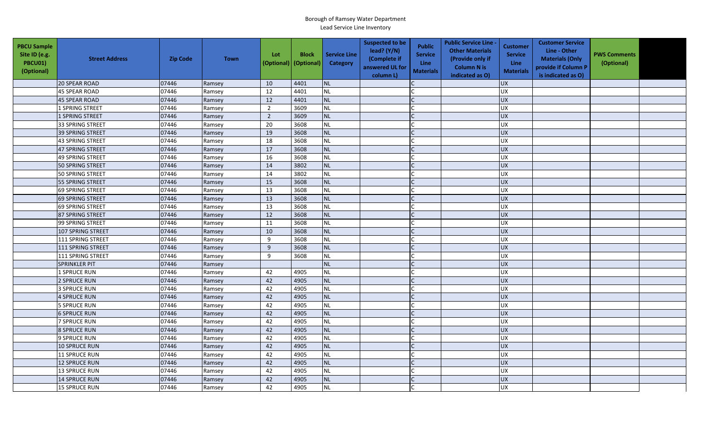| <b>PBCU Sample</b><br>Site ID (e.g.<br><b>PBCU01)</b><br>(Optional) | <b>Street Address</b>   | <b>Zip Code</b> | <b>Town</b> | Lot<br>(Optional) | <b>Block</b><br>(Optional) | <b>Service Line</b><br>Category | <b>Suspected to be</b><br>lead? (Y/N)<br>(Complete if<br>answered UL for<br>column L) | <b>Public</b><br><b>Service</b><br><b>Line</b><br><b>Materials</b> | <b>Public Service Line -</b><br><b>Other Materials</b><br>(Provide only if<br><b>Column N is</b><br>indicated as O) | <b>Customer</b><br><b>Service</b><br><b>Line</b><br><b>Materials</b> | <b>Customer Service</b><br>Line - Other<br><b>Materials (Only</b><br>provide if Column P<br>is indicated as O) | <b>PWS Comments</b><br>(Optional) |  |
|---------------------------------------------------------------------|-------------------------|-----------------|-------------|-------------------|----------------------------|---------------------------------|---------------------------------------------------------------------------------------|--------------------------------------------------------------------|---------------------------------------------------------------------------------------------------------------------|----------------------------------------------------------------------|----------------------------------------------------------------------------------------------------------------|-----------------------------------|--|
|                                                                     | <b>20 SPEAR ROAD</b>    | 07446           | Ramsey      | 10                | 4401                       | <b>NL</b>                       |                                                                                       |                                                                    |                                                                                                                     | <b>UX</b>                                                            |                                                                                                                |                                   |  |
|                                                                     | <b>45 SPEAR ROAD</b>    | 07446           | Ramsey      | 12                | 4401                       | <b>NL</b>                       |                                                                                       |                                                                    |                                                                                                                     | UX                                                                   |                                                                                                                |                                   |  |
|                                                                     | <b>45 SPEAR ROAD</b>    | 07446           | Ramsey      | 12                | 4401                       | <b>NL</b>                       |                                                                                       |                                                                    |                                                                                                                     | <b>UX</b>                                                            |                                                                                                                |                                   |  |
|                                                                     | 1 SPRING STREET         | 07446           | Ramsey      | $\overline{2}$    | 3609                       | <b>NL</b>                       |                                                                                       |                                                                    |                                                                                                                     | UX                                                                   |                                                                                                                |                                   |  |
|                                                                     | 1 SPRING STREET         | 07446           | Ramsey      | $\overline{2}$    | 3609                       | <b>NL</b>                       |                                                                                       |                                                                    |                                                                                                                     | <b>UX</b>                                                            |                                                                                                                |                                   |  |
|                                                                     | 33 SPRING STREET        | 07446           | Ramsey      | 20                | 3608                       | <b>NL</b>                       |                                                                                       |                                                                    |                                                                                                                     | <b>UX</b>                                                            |                                                                                                                |                                   |  |
|                                                                     | 39 SPRING STREET        | 07446           | Ramsey      | 19                | 3608                       | <b>NL</b>                       |                                                                                       | $\mathsf{C}$                                                       |                                                                                                                     | <b>UX</b>                                                            |                                                                                                                |                                   |  |
|                                                                     | 43 SPRING STREET        | 07446           | Ramsey      | 18                | 3608                       | <b>NL</b>                       |                                                                                       |                                                                    |                                                                                                                     | <b>UX</b>                                                            |                                                                                                                |                                   |  |
|                                                                     | 47 SPRING STREET        | 07446           | Ramsey      | 17                | 3608                       | <b>NL</b>                       |                                                                                       |                                                                    |                                                                                                                     | <b>UX</b>                                                            |                                                                                                                |                                   |  |
|                                                                     | <b>49 SPRING STREET</b> | 07446           | Ramsey      | 16                | 3608                       | NL                              |                                                                                       |                                                                    |                                                                                                                     | UX                                                                   |                                                                                                                |                                   |  |
|                                                                     | <b>50 SPRING STREET</b> | 07446           | Ramsey      | 14                | 3802                       | NL                              |                                                                                       | C                                                                  |                                                                                                                     | UX                                                                   |                                                                                                                |                                   |  |
|                                                                     | <b>50 SPRING STREET</b> | 07446           | Ramsey      | 14                | 3802                       | <b>NL</b>                       |                                                                                       |                                                                    |                                                                                                                     | <b>UX</b>                                                            |                                                                                                                |                                   |  |
|                                                                     | 55 SPRING STREET        | 07446           | Ramsey      | 15                | 3608                       | <b>NL</b>                       |                                                                                       |                                                                    |                                                                                                                     | <b>UX</b>                                                            |                                                                                                                |                                   |  |
|                                                                     | <b>69 SPRING STREET</b> | 07446           | Ramsey      | 13                | 3608                       | <b>NL</b>                       |                                                                                       |                                                                    |                                                                                                                     | <b>UX</b>                                                            |                                                                                                                |                                   |  |
|                                                                     | 69 SPRING STREET        | 07446           | Ramsey      | 13                | 3608                       | <b>NL</b>                       |                                                                                       |                                                                    |                                                                                                                     | UX                                                                   |                                                                                                                |                                   |  |
|                                                                     | 69 SPRING STREET        | 07446           | Ramsey      | 13                | 3608                       | <b>NL</b>                       |                                                                                       |                                                                    |                                                                                                                     | UX                                                                   |                                                                                                                |                                   |  |
|                                                                     | 87 SPRING STREET        | 07446           | Ramsey      | 12                | 3608                       | <b>NL</b>                       |                                                                                       |                                                                    |                                                                                                                     | UX                                                                   |                                                                                                                |                                   |  |
|                                                                     | 99 SPRING STREET        | 07446           | Ramsey      | 11                | 3608                       | NL                              |                                                                                       |                                                                    |                                                                                                                     | UX                                                                   |                                                                                                                |                                   |  |
|                                                                     | 107 SPRING STREET       | 07446           | Ramsey      | 10                | 3608                       | <b>NL</b>                       |                                                                                       |                                                                    |                                                                                                                     | <b>UX</b>                                                            |                                                                                                                |                                   |  |
|                                                                     | 111 SPRING STREET       | 07446           | Ramsey      | 9                 | 3608                       | <b>NL</b>                       |                                                                                       |                                                                    |                                                                                                                     | <b>UX</b>                                                            |                                                                                                                |                                   |  |
|                                                                     | 111 SPRING STREET       | 07446           | Ramsey      | 9                 | 3608                       | <b>NL</b>                       |                                                                                       |                                                                    |                                                                                                                     | <b>UX</b>                                                            |                                                                                                                |                                   |  |
|                                                                     | 111 SPRING STREET       | 07446           | Ramsey      | 9                 | 3608                       | <b>NL</b>                       |                                                                                       |                                                                    |                                                                                                                     | <b>UX</b>                                                            |                                                                                                                |                                   |  |
|                                                                     | <b>SPRINKLER PIT</b>    | 07446           | Ramsey      |                   |                            | <b>NL</b>                       |                                                                                       |                                                                    |                                                                                                                     | UX                                                                   |                                                                                                                |                                   |  |
|                                                                     | 1 SPRUCE RUN            | 07446           | Ramsey      | 42                | 4905                       | <b>NL</b>                       |                                                                                       |                                                                    |                                                                                                                     | UX                                                                   |                                                                                                                |                                   |  |
|                                                                     | 2 SPRUCE RUN            | 07446           | Ramsey      | 42                | 4905                       | <b>NL</b>                       |                                                                                       |                                                                    |                                                                                                                     | UX                                                                   |                                                                                                                |                                   |  |
|                                                                     | 3 SPRUCE RUN            | 07446           | Ramsey      | 42                | 4905                       | <b>NL</b>                       |                                                                                       |                                                                    |                                                                                                                     | <b>UX</b>                                                            |                                                                                                                |                                   |  |
|                                                                     | 4 SPRUCE RUN            | 07446           | Ramsey      | 42                | 4905                       | <b>NL</b>                       |                                                                                       |                                                                    |                                                                                                                     | UX                                                                   |                                                                                                                |                                   |  |
|                                                                     | <b>5 SPRUCE RUN</b>     | 07446           | Ramsey      | 42                | 4905                       | <b>NL</b>                       |                                                                                       |                                                                    |                                                                                                                     | UX                                                                   |                                                                                                                |                                   |  |
|                                                                     | <b>6 SPRUCE RUN</b>     | 07446           | Ramsey      | 42                | 4905                       | <b>NL</b>                       |                                                                                       |                                                                    |                                                                                                                     | <b>UX</b>                                                            |                                                                                                                |                                   |  |
|                                                                     | <b>7 SPRUCE RUN</b>     | 07446           | Ramsey      | 42                | 4905                       | <b>NL</b>                       |                                                                                       |                                                                    |                                                                                                                     | UX                                                                   |                                                                                                                |                                   |  |
|                                                                     | 8 SPRUCE RUN            | 07446           | Ramsey      | 42                | 4905                       | <b>NL</b>                       |                                                                                       |                                                                    |                                                                                                                     | <b>UX</b>                                                            |                                                                                                                |                                   |  |
|                                                                     | 9 SPRUCE RUN            | 07446           | Ramsey      | 42                | 4905                       | NL                              |                                                                                       |                                                                    |                                                                                                                     | UX                                                                   |                                                                                                                |                                   |  |
|                                                                     | <b>10 SPRUCE RUN</b>    | 07446           | Ramsey      | 42                | 4905                       | <b>NL</b>                       |                                                                                       |                                                                    |                                                                                                                     | <b>UX</b>                                                            |                                                                                                                |                                   |  |
|                                                                     | <b>11 SPRUCE RUN</b>    | 07446           | Ramsey      | 42                | 4905                       | <b>NL</b>                       |                                                                                       |                                                                    |                                                                                                                     | <b>UX</b>                                                            |                                                                                                                |                                   |  |
|                                                                     | 12 SPRUCE RUN           | 07446           | Ramsey      | 42                | 4905                       | <b>NL</b>                       |                                                                                       |                                                                    |                                                                                                                     | <b>UX</b>                                                            |                                                                                                                |                                   |  |
|                                                                     | <b>13 SPRUCE RUN</b>    | 07446           | Ramsey      | 42                | 4905                       | <b>NL</b>                       |                                                                                       |                                                                    |                                                                                                                     | <b>UX</b>                                                            |                                                                                                                |                                   |  |
|                                                                     | <b>14 SPRUCE RUN</b>    | 07446           | Ramsey      | 42                | 4905                       | <b>NL</b>                       |                                                                                       |                                                                    |                                                                                                                     | UX                                                                   |                                                                                                                |                                   |  |
|                                                                     | <b>15 SPRUCE RUN</b>    | 07446           | Ramsey      | 42                | 4905                       | NL                              |                                                                                       |                                                                    |                                                                                                                     | <b>UX</b>                                                            |                                                                                                                |                                   |  |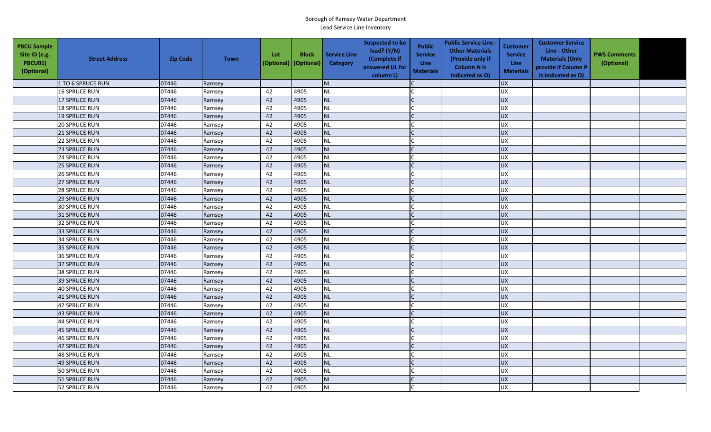| <b>PBCU Sample</b><br>Site ID (e.g.<br><b>PBCU01)</b><br>(Optional) | <b>Street Address</b> | <b>Zip Code</b> | <b>Town</b> | Lot | <b>Block</b><br>(Optional) (Optional) | <b>Service Line</b><br>Category | <b>Suspected to be</b><br>lead? (Y/N)<br>(Complete if<br>answered UL for<br>column L) | <b>Public</b><br><b>Service</b><br><b>Line</b><br><b>Materials</b> | <b>Public Service Line -</b><br><b>Other Materials</b><br>(Provide only if<br><b>Column N is</b><br>indicated as O) | <b>Customer</b><br><b>Service</b><br><b>Line</b><br><b>Materials</b> | <b>Customer Service</b><br>Line - Other<br><b>Materials (Only</b><br>provide if Column P<br>is indicated as O) | <b>PWS Comments</b><br>(Optional) |  |
|---------------------------------------------------------------------|-----------------------|-----------------|-------------|-----|---------------------------------------|---------------------------------|---------------------------------------------------------------------------------------|--------------------------------------------------------------------|---------------------------------------------------------------------------------------------------------------------|----------------------------------------------------------------------|----------------------------------------------------------------------------------------------------------------|-----------------------------------|--|
|                                                                     | 1 TO 6 SPRUCE RUN     | 07446           | Ramsey      |     |                                       | <b>NL</b>                       |                                                                                       |                                                                    |                                                                                                                     | <b>UX</b>                                                            |                                                                                                                |                                   |  |
|                                                                     | <b>16 SPRUCE RUN</b>  | 07446           | Ramsey      | 42  | 4905                                  | <b>NL</b>                       |                                                                                       |                                                                    |                                                                                                                     | UX                                                                   |                                                                                                                |                                   |  |
|                                                                     | 17 SPRUCE RUN         | 07446           | Ramsey      | 42  | 4905                                  | <b>NL</b>                       |                                                                                       |                                                                    |                                                                                                                     | <b>UX</b>                                                            |                                                                                                                |                                   |  |
|                                                                     | <b>18 SPRUCE RUN</b>  | 07446           | Ramsey      | 42  | 4905                                  | <b>NL</b>                       |                                                                                       |                                                                    |                                                                                                                     | UX                                                                   |                                                                                                                |                                   |  |
|                                                                     | 19 SPRUCE RUN         | 07446           | Ramsey      | 42  | 4905                                  | <b>NL</b>                       |                                                                                       |                                                                    |                                                                                                                     | <b>UX</b>                                                            |                                                                                                                |                                   |  |
|                                                                     | <b>20 SPRUCE RUN</b>  | 07446           | Ramsey      | 42  | 4905                                  | <b>NL</b>                       |                                                                                       |                                                                    |                                                                                                                     | <b>UX</b>                                                            |                                                                                                                |                                   |  |
|                                                                     | 21 SPRUCE RUN         | 07446           | Ramsey      | 42  | 4905                                  | <b>NL</b>                       |                                                                                       | $\mathsf{C}$                                                       |                                                                                                                     | UX                                                                   |                                                                                                                |                                   |  |
|                                                                     | 22 SPRUCE RUN         | 07446           | Ramsey      | 42  | 4905                                  | <b>NL</b>                       |                                                                                       |                                                                    |                                                                                                                     | <b>UX</b>                                                            |                                                                                                                |                                   |  |
|                                                                     | 23 SPRUCE RUN         | 07446           | Ramsey      | 42  | 4905                                  | <b>NL</b>                       |                                                                                       |                                                                    |                                                                                                                     | <b>UX</b>                                                            |                                                                                                                |                                   |  |
|                                                                     | <b>24 SPRUCE RUN</b>  | 07446           | Ramsey      | 42  | 4905                                  | NL                              |                                                                                       |                                                                    |                                                                                                                     | UX                                                                   |                                                                                                                |                                   |  |
|                                                                     | <b>25 SPRUCE RUN</b>  | 07446           | Ramsey      | 42  | 4905                                  | <b>NL</b>                       |                                                                                       | C                                                                  |                                                                                                                     | UX                                                                   |                                                                                                                |                                   |  |
|                                                                     | <b>26 SPRUCE RUN</b>  | 07446           | Ramsey      | 42  | 4905                                  | <b>NL</b>                       |                                                                                       |                                                                    |                                                                                                                     | <b>UX</b>                                                            |                                                                                                                |                                   |  |
|                                                                     | 27 SPRUCE RUN         | 07446           | Ramsey      | 42  | 4905                                  | <b>NL</b>                       |                                                                                       |                                                                    |                                                                                                                     | <b>UX</b>                                                            |                                                                                                                |                                   |  |
|                                                                     | <b>28 SPRUCE RUN</b>  | 07446           | Ramsey      | 42  | 4905                                  | <b>NL</b>                       |                                                                                       |                                                                    |                                                                                                                     | <b>UX</b>                                                            |                                                                                                                |                                   |  |
|                                                                     | 29 SPRUCE RUN         | 07446           | Ramsey      | 42  | 4905                                  | <b>NL</b>                       |                                                                                       |                                                                    |                                                                                                                     | UX                                                                   |                                                                                                                |                                   |  |
|                                                                     | 30 SPRUCE RUN         | 07446           | Ramsey      | 42  | 4905                                  | <b>NL</b>                       |                                                                                       |                                                                    |                                                                                                                     | UX                                                                   |                                                                                                                |                                   |  |
|                                                                     | 31 SPRUCE RUN         | 07446           | Ramsey      | 42  | 4905                                  | <b>NL</b>                       |                                                                                       |                                                                    |                                                                                                                     | UX                                                                   |                                                                                                                |                                   |  |
|                                                                     | <b>32 SPRUCE RUN</b>  | 07446           | Ramsey      | 42  | 4905                                  | <b>NL</b>                       |                                                                                       |                                                                    |                                                                                                                     | UX                                                                   |                                                                                                                |                                   |  |
|                                                                     | 33 SPRUCE RUN         | 07446           | Ramsey      | 42  | 4905                                  | <b>NL</b>                       |                                                                                       |                                                                    |                                                                                                                     | UX                                                                   |                                                                                                                |                                   |  |
|                                                                     | 34 SPRUCE RUN         | 07446           | Ramsey      | 42  | 4905                                  | <b>NL</b>                       |                                                                                       |                                                                    |                                                                                                                     | <b>UX</b>                                                            |                                                                                                                |                                   |  |
|                                                                     | 35 SPRUCE RUN         | 07446           | Ramsey      | 42  | 4905                                  | <b>NL</b>                       |                                                                                       |                                                                    |                                                                                                                     | <b>UX</b>                                                            |                                                                                                                |                                   |  |
|                                                                     | 36 SPRUCE RUN         | 07446           | Ramsey      | 42  | 4905                                  | <b>NL</b>                       |                                                                                       |                                                                    |                                                                                                                     | UX                                                                   |                                                                                                                |                                   |  |
|                                                                     | 37 SPRUCE RUN         | 07446           | Ramsey      | 42  | 4905                                  | <b>NL</b>                       |                                                                                       |                                                                    |                                                                                                                     | UX                                                                   |                                                                                                                |                                   |  |
|                                                                     | 38 SPRUCE RUN         | 07446           | Ramsey      | 42  | 4905                                  | <b>NL</b>                       |                                                                                       |                                                                    |                                                                                                                     | UX                                                                   |                                                                                                                |                                   |  |
|                                                                     | 39 SPRUCE RUN         | 07446           | Ramsey      | 42  | 4905                                  | <b>NL</b>                       |                                                                                       |                                                                    |                                                                                                                     | UX                                                                   |                                                                                                                |                                   |  |
|                                                                     | <b>40 SPRUCE RUN</b>  | 07446           | Ramsey      | 42  | 4905                                  | <b>NL</b>                       |                                                                                       |                                                                    |                                                                                                                     | <b>UX</b>                                                            |                                                                                                                |                                   |  |
|                                                                     | 41 SPRUCE RUN         | 07446           | Ramsey      | 42  | 4905                                  | <b>NL</b>                       |                                                                                       |                                                                    |                                                                                                                     | UX                                                                   |                                                                                                                |                                   |  |
|                                                                     | 42 SPRUCE RUN         | 07446           | Ramsey      | 42  | 4905                                  | <b>NL</b>                       |                                                                                       |                                                                    |                                                                                                                     | UX                                                                   |                                                                                                                |                                   |  |
|                                                                     | 43 SPRUCE RUN         | 07446           | Ramsey      | 42  | 4905                                  | <b>NL</b>                       |                                                                                       |                                                                    |                                                                                                                     | <b>UX</b>                                                            |                                                                                                                |                                   |  |
|                                                                     | <b>44 SPRUCE RUN</b>  | 07446           | Ramsey      | 42  | 4905                                  | <b>NL</b>                       |                                                                                       |                                                                    |                                                                                                                     | UX                                                                   |                                                                                                                |                                   |  |
|                                                                     | 45 SPRUCE RUN         | 07446           | Ramsey      | 42  | 4905                                  | <b>NL</b>                       |                                                                                       |                                                                    |                                                                                                                     | <b>UX</b>                                                            |                                                                                                                |                                   |  |
|                                                                     | 46 SPRUCE RUN         | 07446           | Ramsey      | 42  | 4905                                  | NL                              |                                                                                       |                                                                    |                                                                                                                     | UX                                                                   |                                                                                                                |                                   |  |
|                                                                     | <b>47 SPRUCE RUN</b>  | 07446           | Ramsey      | 42  | 4905                                  | <b>NL</b>                       |                                                                                       |                                                                    |                                                                                                                     | <b>UX</b>                                                            |                                                                                                                |                                   |  |
|                                                                     | 48 SPRUCE RUN         | 07446           | Ramsey      | 42  | 4905                                  | <b>NL</b>                       |                                                                                       |                                                                    |                                                                                                                     | <b>UX</b>                                                            |                                                                                                                |                                   |  |
|                                                                     | <b>49 SPRUCE RUN</b>  | 07446           | Ramsey      | 42  | 4905                                  | <b>NL</b>                       |                                                                                       |                                                                    |                                                                                                                     | <b>UX</b>                                                            |                                                                                                                |                                   |  |
|                                                                     | <b>50 SPRUCE RUN</b>  | 07446           | Ramsey      | 42  | 4905                                  | <b>NL</b>                       |                                                                                       |                                                                    |                                                                                                                     | <b>UX</b>                                                            |                                                                                                                |                                   |  |
|                                                                     | 51 SPRUCE RUN         | 07446           | Ramsey      | 42  | 4905                                  | <b>NL</b>                       |                                                                                       |                                                                    |                                                                                                                     | UX                                                                   |                                                                                                                |                                   |  |
|                                                                     | <b>52 SPRUCE RUN</b>  | 07446           | Ramsey      | 42  | 4905                                  | NL                              |                                                                                       |                                                                    |                                                                                                                     | <b>UX</b>                                                            |                                                                                                                |                                   |  |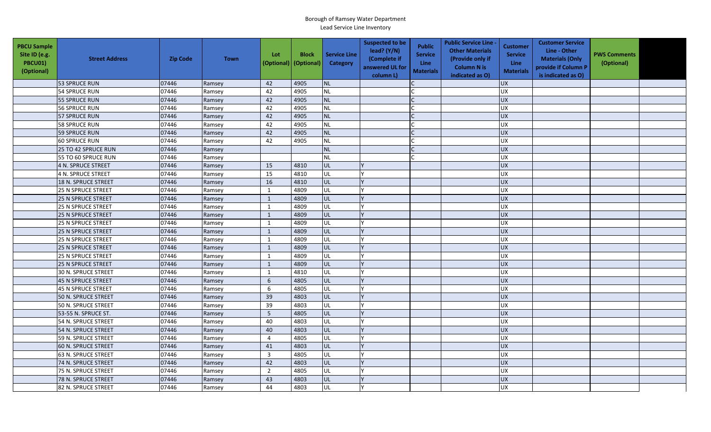| <b>PBCU Sample</b><br>Site ID (e.g.<br>PBCU01)<br>(Optional) | <b>Street Address</b>      | <b>Zip Code</b> | <b>Town</b> | Lot<br>(Optional) | <b>Block</b><br>(Optional) | <b>Service Line</b><br><b>Category</b> | <b>Suspected to be</b><br>lead? (Y/N)<br>(Complete if<br>answered UL for<br>column L) | <b>Public</b><br><b>Service</b><br><b>Line</b><br><b>Materials</b> | <b>Public Service Line -</b><br><b>Other Materials</b><br>(Provide only if<br><b>Column N is</b><br>indicated as O) | <b>Customer</b><br><b>Service</b><br>Line<br><b>Materials</b> | <b>Customer Service</b><br>Line - Other<br><b>Materials (Only</b><br>provide if Column P<br>is indicated as O) | <b>PWS Comments</b><br>(Optional) |  |
|--------------------------------------------------------------|----------------------------|-----------------|-------------|-------------------|----------------------------|----------------------------------------|---------------------------------------------------------------------------------------|--------------------------------------------------------------------|---------------------------------------------------------------------------------------------------------------------|---------------------------------------------------------------|----------------------------------------------------------------------------------------------------------------|-----------------------------------|--|
|                                                              | 53 SPRUCE RUN              | 07446           | Ramsey      | 42                | 4905                       | <b>NL</b>                              |                                                                                       |                                                                    |                                                                                                                     | <b>UX</b>                                                     |                                                                                                                |                                   |  |
|                                                              | <b>54 SPRUCE RUN</b>       | 07446           | Ramsey      | 42                | 4905                       | <b>NL</b>                              |                                                                                       |                                                                    |                                                                                                                     | <b>UX</b>                                                     |                                                                                                                |                                   |  |
|                                                              | 55 SPRUCE RUN              | 07446           | Ramsey      | 42                | 4905                       | <b>NL</b>                              |                                                                                       |                                                                    |                                                                                                                     | <b>UX</b>                                                     |                                                                                                                |                                   |  |
|                                                              | <b>56 SPRUCE RUN</b>       | 07446           | Ramsey      | 42                | 4905                       | <b>NL</b>                              |                                                                                       |                                                                    |                                                                                                                     | <b>UX</b>                                                     |                                                                                                                |                                   |  |
|                                                              | <b>57 SPRUCE RUN</b>       | 07446           | Ramsey      | 42                | 4905                       | <b>NL</b>                              |                                                                                       |                                                                    |                                                                                                                     | <b>UX</b>                                                     |                                                                                                                |                                   |  |
|                                                              | 58 SPRUCE RUN              | 07446           | Ramsey      | 42                | 4905                       | <b>NL</b>                              |                                                                                       |                                                                    |                                                                                                                     | <b>UX</b>                                                     |                                                                                                                |                                   |  |
|                                                              | 59 SPRUCE RUN              | 07446           | Ramsey      | 42                | 4905                       | <b>NL</b>                              |                                                                                       | $\mathsf{C}$                                                       |                                                                                                                     | <b>UX</b>                                                     |                                                                                                                |                                   |  |
|                                                              | <b>60 SPRUCE RUN</b>       | 07446           | Ramsey      | 42                | 4905                       | <b>NL</b>                              |                                                                                       |                                                                    |                                                                                                                     | <b>UX</b>                                                     |                                                                                                                |                                   |  |
|                                                              | 25 TO 42 SPRUCE RUN        | 07446           | Ramsey      |                   |                            | <b>NL</b>                              |                                                                                       |                                                                    |                                                                                                                     | <b>UX</b>                                                     |                                                                                                                |                                   |  |
|                                                              | 55 TO 60 SPRUCE RUN        | 07446           | Ramsey      |                   |                            | <b>NL</b>                              |                                                                                       |                                                                    |                                                                                                                     | UX                                                            |                                                                                                                |                                   |  |
|                                                              | 4 N. SPRUCE STREET         | 07446           | Ramsey      | 15                | 4810                       | UL                                     |                                                                                       |                                                                    |                                                                                                                     | <b>UX</b>                                                     |                                                                                                                |                                   |  |
|                                                              | <b>4 N. SPRUCE STREET</b>  | 07446           | Ramsey      | 15                | 4810                       | UL                                     |                                                                                       |                                                                    |                                                                                                                     | <b>UX</b>                                                     |                                                                                                                |                                   |  |
|                                                              | 18 N. SPRUCE STREET        | 07446           | Ramsey      | 16                | 4810                       | UL                                     |                                                                                       |                                                                    |                                                                                                                     | <b>UX</b>                                                     |                                                                                                                |                                   |  |
|                                                              | <b>25 N SPRUCE STREET</b>  | 07446           | Ramsey      | $\mathbf{1}$      | 4809                       | UL                                     |                                                                                       |                                                                    |                                                                                                                     | <b>UX</b>                                                     |                                                                                                                |                                   |  |
|                                                              | <b>25 N SPRUCE STREET</b>  | 07446           | Ramsey      | $\mathbf 1$       | 4809                       | UL                                     |                                                                                       |                                                                    |                                                                                                                     | <b>UX</b>                                                     |                                                                                                                |                                   |  |
|                                                              | 25 N SPRUCE STREET         | 07446           | Ramsey      | $\mathbf{1}$      | 4809                       | UL                                     |                                                                                       |                                                                    |                                                                                                                     | UX                                                            |                                                                                                                |                                   |  |
|                                                              | 25 N SPRUCE STREET         | 07446           | Ramsey      | $\mathbf{1}$      | 4809                       | UL                                     |                                                                                       |                                                                    |                                                                                                                     | UX                                                            |                                                                                                                |                                   |  |
|                                                              | <b>25 N SPRUCE STREET</b>  | 07446           | Ramsey      | $\mathbf{1}$      | 4809                       | UL                                     |                                                                                       |                                                                    |                                                                                                                     | UX                                                            |                                                                                                                |                                   |  |
|                                                              | 25 N SPRUCE STREET         | 07446           | Ramsey      | $\mathbf{1}$      | 4809                       | UL                                     |                                                                                       |                                                                    |                                                                                                                     | <b>UX</b>                                                     |                                                                                                                |                                   |  |
|                                                              | <b>25 N SPRUCE STREET</b>  | 07446           | Ramsey      | $\mathbf{1}$      | 4809                       | UL                                     |                                                                                       |                                                                    |                                                                                                                     | <b>UX</b>                                                     |                                                                                                                |                                   |  |
|                                                              | <b>25 N SPRUCE STREET</b>  | 07446           | Ramsey      | $\mathbf{1}$      | 4809                       | <b>UL</b>                              |                                                                                       |                                                                    |                                                                                                                     | <b>UX</b>                                                     |                                                                                                                |                                   |  |
|                                                              | 25 N SPRUCE STREET         | 07446           | Ramsey      | 1                 | 4809                       | UL                                     |                                                                                       |                                                                    |                                                                                                                     | <b>UX</b>                                                     |                                                                                                                |                                   |  |
|                                                              | <b>25 N SPRUCE STREET</b>  | 07446           | Ramsey      | $\mathbf{1}$      | 4809                       | UL                                     |                                                                                       |                                                                    |                                                                                                                     | UX                                                            |                                                                                                                |                                   |  |
|                                                              | <b>30 N. SPRUCE STREET</b> | 07446           | Ramsey      | $\mathbf{1}$      | 4810                       | UL                                     |                                                                                       |                                                                    |                                                                                                                     | UX                                                            |                                                                                                                |                                   |  |
|                                                              | 45 N SPRUCE STREET         | 07446           | Ramsey      | 6                 | 4805                       | UL                                     |                                                                                       |                                                                    |                                                                                                                     | UX                                                            |                                                                                                                |                                   |  |
|                                                              | 45 N SPRUCE STREET         | 07446           | Ramsey      | 6                 | 4805                       | UL                                     |                                                                                       |                                                                    |                                                                                                                     | <b>UX</b>                                                     |                                                                                                                |                                   |  |
|                                                              | 50 N. SPRUCE STREET        | 07446           | Ramsey      | 39                | 4803                       | UL                                     |                                                                                       |                                                                    |                                                                                                                     | UX                                                            |                                                                                                                |                                   |  |
|                                                              | 50 N. SPRUCE STREET        | 07446           | Ramsey      | 39                | 4803                       | UL                                     |                                                                                       |                                                                    |                                                                                                                     | <b>UX</b>                                                     |                                                                                                                |                                   |  |
|                                                              | 53-55 N. SPRUCE ST.        | 07446           | Ramsey      | 5                 | 4805                       | UL                                     |                                                                                       |                                                                    |                                                                                                                     | <b>UX</b>                                                     |                                                                                                                |                                   |  |
|                                                              | 54 N. SPRUCE STREET        | 07446           | Ramsey      | 40                | 4803                       | UL                                     |                                                                                       |                                                                    |                                                                                                                     | UX                                                            |                                                                                                                |                                   |  |
|                                                              | 54 N. SPRUCE STREET        | 07446           | Ramsey      | 40                | 4803                       | UL                                     |                                                                                       |                                                                    |                                                                                                                     | <b>UX</b>                                                     |                                                                                                                |                                   |  |
|                                                              | 59 N. SPRUCE STREET        | 07446           | Ramsey      | 4                 | 4805                       | UL                                     |                                                                                       |                                                                    |                                                                                                                     | UX                                                            |                                                                                                                |                                   |  |
|                                                              | 60 N. SPRUCE STREET        | 07446           | Ramsey      | 41                | 4803                       | UL                                     |                                                                                       |                                                                    |                                                                                                                     | <b>UX</b>                                                     |                                                                                                                |                                   |  |
|                                                              | 63 N. SPRUCE STREET        | 07446           | Ramsey      | $\overline{3}$    | 4805                       | UL                                     |                                                                                       |                                                                    |                                                                                                                     | <b>UX</b>                                                     |                                                                                                                |                                   |  |
|                                                              | 74 N. SPRUCE STREET        | 07446           | Ramsey      | 42                | 4803                       | UL                                     |                                                                                       |                                                                    |                                                                                                                     | <b>UX</b>                                                     |                                                                                                                |                                   |  |
|                                                              | 75 N. SPRUCE STREET        | 07446           | Ramsey      | $\overline{2}$    | 4805                       | UL                                     |                                                                                       |                                                                    |                                                                                                                     | <b>UX</b>                                                     |                                                                                                                |                                   |  |
|                                                              | 78 N. SPRUCE STREET        | 07446           | Ramsey      | 43                | 4803                       | UL                                     |                                                                                       |                                                                    |                                                                                                                     | UX                                                            |                                                                                                                |                                   |  |
|                                                              | 82 N. SPRUCE STREET        | 07446           | Ramsey      | 44                | 4803                       | UL                                     |                                                                                       |                                                                    |                                                                                                                     | <b>UX</b>                                                     |                                                                                                                |                                   |  |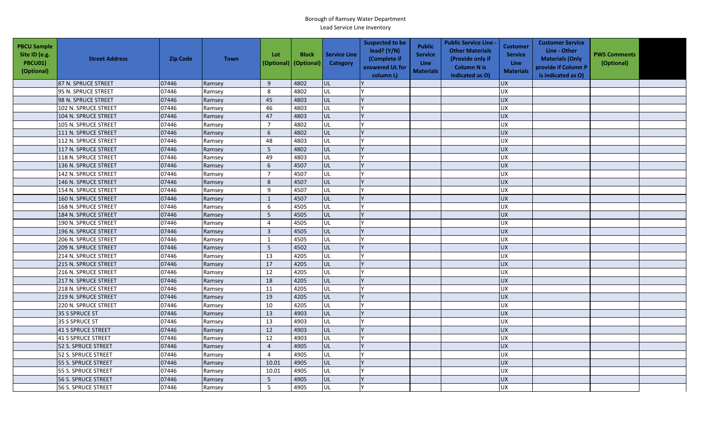| <b>PBCU Sample</b><br>Site ID (e.g.<br>PBCU01)<br>(Optional) | <b>Street Address</b> | <b>Zip Code</b> | <b>Town</b> | Lot<br>(Optional) | <b>Block</b><br>(Optional) | <b>Service Line</b><br>Category | <b>Suspected to be</b><br>lead? $(Y/N)$<br>(Complete if<br>answered UL for<br>column L) | <b>Public</b><br><b>Service</b><br><b>Line</b><br><b>Materials</b> | <b>Public Service Line -</b><br><b>Other Materials</b><br>(Provide only if<br><b>Column N is</b><br>indicated as O) | <b>Customer</b><br><b>Service</b><br><b>Line</b><br><b>Materials</b> | <b>Customer Service</b><br>Line - Other<br><b>Materials (Only</b><br>provide if Column P<br>is indicated as O) | <b>PWS Comments</b><br>(Optional) |  |
|--------------------------------------------------------------|-----------------------|-----------------|-------------|-------------------|----------------------------|---------------------------------|-----------------------------------------------------------------------------------------|--------------------------------------------------------------------|---------------------------------------------------------------------------------------------------------------------|----------------------------------------------------------------------|----------------------------------------------------------------------------------------------------------------|-----------------------------------|--|
|                                                              | 87 N. SPRUCE STREET   | 07446           | Ramsey      | 9                 | 4802                       | lul                             |                                                                                         |                                                                    |                                                                                                                     | <b>UX</b>                                                            |                                                                                                                |                                   |  |
|                                                              | 95 N. SPRUCE STREET   | 07446           | Ramsey      | 8                 | 4802                       | UL                              |                                                                                         |                                                                    |                                                                                                                     | <b>UX</b>                                                            |                                                                                                                |                                   |  |
|                                                              | 98 N. SPRUCE STREET   | 07446           | Ramsey      | 45                | 4803                       | UL                              |                                                                                         |                                                                    |                                                                                                                     | <b>UX</b>                                                            |                                                                                                                |                                   |  |
|                                                              | 102 N. SPRUCE STREET  | 07446           | Ramsey      | 46                | 4803                       | UL                              |                                                                                         |                                                                    |                                                                                                                     | <b>UX</b>                                                            |                                                                                                                |                                   |  |
|                                                              | 104 N. SPRUCE STREET  | 07446           | Ramsey      | 47                | 4803                       | <b>UL</b>                       |                                                                                         |                                                                    |                                                                                                                     | <b>UX</b>                                                            |                                                                                                                |                                   |  |
|                                                              | 105 N. SPRUCE STREET  | 07446           | Ramsey      | $\overline{7}$    | 4802                       | UL                              |                                                                                         |                                                                    |                                                                                                                     | <b>UX</b>                                                            |                                                                                                                |                                   |  |
|                                                              | 111 N. SPRUCE STREET  | 07446           | Ramsey      | 6                 | 4802                       | UL                              |                                                                                         |                                                                    |                                                                                                                     | <b>UX</b>                                                            |                                                                                                                |                                   |  |
|                                                              | 112 N. SPRUCE STREET  | 07446           | Ramsey      | 48                | 4803                       | UL                              |                                                                                         |                                                                    |                                                                                                                     | <b>UX</b>                                                            |                                                                                                                |                                   |  |
|                                                              | 117 N. SPRUCE STREET  | 07446           | Ramsey      | $5\overline{5}$   | 4802                       | UL                              |                                                                                         |                                                                    |                                                                                                                     | <b>UX</b>                                                            |                                                                                                                |                                   |  |
|                                                              | 118 N. SPRUCE STREET  | 07446           | Ramsey      | 49                | 4803                       | UL                              |                                                                                         |                                                                    |                                                                                                                     | UX                                                                   |                                                                                                                |                                   |  |
|                                                              | 136 N. SPRUCE STREET  | 07446           | Ramsey      | 6                 | 4507                       | UL                              |                                                                                         |                                                                    |                                                                                                                     | <b>UX</b>                                                            |                                                                                                                |                                   |  |
|                                                              | 142 N. SPRUCE STREET  | 07446           | Ramsey      | $\overline{7}$    | 4507                       | UL                              |                                                                                         |                                                                    |                                                                                                                     | <b>UX</b>                                                            |                                                                                                                |                                   |  |
|                                                              | 146 N. SPRUCE STREET  | 07446           | Ramsey      | 8                 | 4507                       | UL                              |                                                                                         |                                                                    |                                                                                                                     | <b>UX</b>                                                            |                                                                                                                |                                   |  |
|                                                              | 154 N. SPRUCE STREET  | 07446           | Ramsey      | 9                 | 4507                       | UL                              |                                                                                         |                                                                    |                                                                                                                     | <b>UX</b>                                                            |                                                                                                                |                                   |  |
|                                                              | 160 N. SPRUCE STREET  | 07446           | Ramsey      | $\mathbf{1}$      | 4507                       | UL                              |                                                                                         |                                                                    |                                                                                                                     | <b>UX</b>                                                            |                                                                                                                |                                   |  |
|                                                              | 168 N. SPRUCE STREET  | 07446           | Ramsey      | 6                 | 4505                       | UL                              |                                                                                         |                                                                    |                                                                                                                     | <b>UX</b>                                                            |                                                                                                                |                                   |  |
|                                                              | 184 N. SPRUCE STREET  | 07446           | Ramsey      | 5                 | 4505                       | UL                              |                                                                                         |                                                                    |                                                                                                                     | UX                                                                   |                                                                                                                |                                   |  |
|                                                              | 190 N. SPRUCE STREET  | 07446           | Ramsey      | $\overline{4}$    | 4505                       | UL                              |                                                                                         |                                                                    |                                                                                                                     | <b>UX</b>                                                            |                                                                                                                |                                   |  |
|                                                              | 196 N. SPRUCE STREET  | 07446           | Ramsey      | $\overline{3}$    | 4505                       | UL                              |                                                                                         |                                                                    |                                                                                                                     | <b>UX</b>                                                            |                                                                                                                |                                   |  |
|                                                              | 206 N. SPRUCE STREET  | 07446           | Ramsey      | $\mathbf{1}$      | 4505                       | UL                              |                                                                                         |                                                                    |                                                                                                                     | UX                                                                   |                                                                                                                |                                   |  |
|                                                              | 209 N. SPRUCE STREET  | 07446           | Ramsey      | $5\phantom{.0}$   | 4502                       | <b>UL</b>                       |                                                                                         |                                                                    |                                                                                                                     | UX                                                                   |                                                                                                                |                                   |  |
|                                                              | 214 N. SPRUCE STREET  | 07446           | Ramsey      | 13                | 4205                       | UL                              |                                                                                         |                                                                    |                                                                                                                     | UX                                                                   |                                                                                                                |                                   |  |
|                                                              | 215 N. SPRUCE STREET  | 07446           | Ramsey      | 17                | 4205                       | UL                              |                                                                                         |                                                                    |                                                                                                                     | <b>UX</b>                                                            |                                                                                                                |                                   |  |
|                                                              | 216 N. SPRUCE STREET  | 07446           | Ramsey      | 12                | 4205                       | <b>UL</b>                       |                                                                                         |                                                                    |                                                                                                                     | <b>UX</b>                                                            |                                                                                                                |                                   |  |
|                                                              | 217 N. SPRUCE STREET  | 07446           | Ramsey      | 18                | 4205                       | UL                              |                                                                                         |                                                                    |                                                                                                                     | <b>UX</b>                                                            |                                                                                                                |                                   |  |
|                                                              | 218 N. SPRUCE STREET  | 07446           | Ramsey      | 11                | 4205                       | <b>UL</b>                       |                                                                                         |                                                                    |                                                                                                                     | <b>UX</b>                                                            |                                                                                                                |                                   |  |
|                                                              | 219 N. SPRUCE STREET  | 07446           | Ramsey      | 19                | 4205                       | <b>JUL</b>                      |                                                                                         |                                                                    |                                                                                                                     | <b>UX</b>                                                            |                                                                                                                |                                   |  |
|                                                              | 220 N. SPRUCE STREET  | 07446           | Ramsey      | 10                | 4205                       | UL                              |                                                                                         |                                                                    |                                                                                                                     | <b>UX</b>                                                            |                                                                                                                |                                   |  |
|                                                              | 35 S SPRUCE ST        | 07446           | Ramsey      | 13                | 4903                       | UL                              |                                                                                         |                                                                    |                                                                                                                     | <b>UX</b>                                                            |                                                                                                                |                                   |  |
|                                                              | 35 S SPRUCE ST        | 07446           | Ramsey      | 13                | 4903                       | UL                              |                                                                                         |                                                                    |                                                                                                                     | UX                                                                   |                                                                                                                |                                   |  |
|                                                              | 41 S SPRUCE STREET    | 07446           | Ramsey      | 12                | 4903                       | <b>UL</b>                       |                                                                                         |                                                                    |                                                                                                                     | <b>UX</b>                                                            |                                                                                                                |                                   |  |
|                                                              | 41 S SPRUCE STREET    | 07446           | Ramsey      | 12                | 4903                       | UL                              |                                                                                         |                                                                    |                                                                                                                     | <b>UX</b>                                                            |                                                                                                                |                                   |  |
|                                                              | 52 S. SPRUCE STREET   | 07446           | Ramsey      | $\overline{4}$    | 4905                       | UL                              |                                                                                         |                                                                    |                                                                                                                     | <b>UX</b>                                                            |                                                                                                                |                                   |  |
|                                                              | 52 S. SPRUCE STREET   | 07446           | Ramsey      | $\overline{4}$    | 4905                       | UL                              |                                                                                         |                                                                    |                                                                                                                     | <b>UX</b>                                                            |                                                                                                                |                                   |  |
|                                                              | 55 S. SPRUCE STREET   | 07446           | Ramsey      | 10.01             | 4905                       | UL                              |                                                                                         |                                                                    |                                                                                                                     | <b>UX</b>                                                            |                                                                                                                |                                   |  |
|                                                              | 55 S. SPRUCE STREET   | 07446           | Ramsey      | 10.01             | 4905                       | <b>UL</b>                       |                                                                                         |                                                                    |                                                                                                                     | <b>UX</b>                                                            |                                                                                                                |                                   |  |
|                                                              | 56 S. SPRUCE STREET   | 07446           | Ramsey      | 5                 | 4905                       | UL                              |                                                                                         |                                                                    |                                                                                                                     | <b>UX</b>                                                            |                                                                                                                |                                   |  |
|                                                              | 56 S. SPRUCE STREET   | 07446           | Ramsey      | 5                 | 4905                       | UL                              |                                                                                         |                                                                    |                                                                                                                     | <b>UX</b>                                                            |                                                                                                                |                                   |  |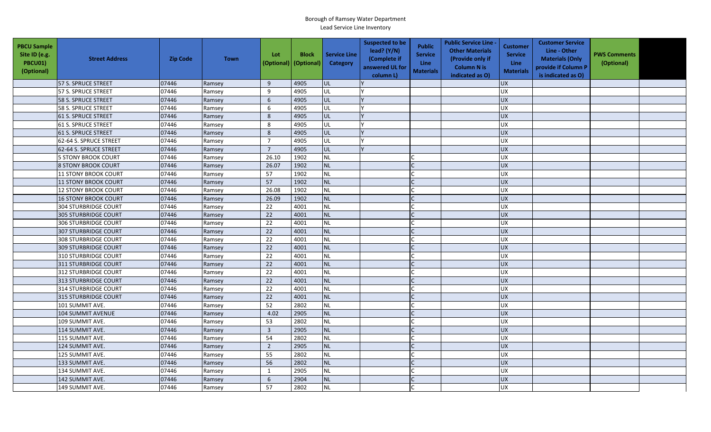| <b>PBCU Sample</b><br>Site ID (e.g.<br>PBCU01)<br>(Optional) | <b>Street Address</b>       | <b>Zip Code</b> | <b>Town</b> | Lot<br>(Optional) | <b>Block</b><br>(Optional) | <b>Service Line</b><br>Category | <b>Suspected to be</b><br>lead? (Y/N)<br>(Complete if<br>answered UL for<br>column L) | <b>Public</b><br><b>Service</b><br><b>Line</b><br><b>Materials</b> | <b>Public Service Line -</b><br><b>Other Materials</b><br>(Provide only if<br><b>Column N is</b><br>indicated as O) | <b>Customer</b><br><b>Service</b><br><b>Line</b><br><b>Materials</b> | <b>Customer Service</b><br>Line - Other<br><b>Materials (Only</b><br>provide if Column P<br>is indicated as O) | <b>PWS Comments</b><br>(Optional) |  |
|--------------------------------------------------------------|-----------------------------|-----------------|-------------|-------------------|----------------------------|---------------------------------|---------------------------------------------------------------------------------------|--------------------------------------------------------------------|---------------------------------------------------------------------------------------------------------------------|----------------------------------------------------------------------|----------------------------------------------------------------------------------------------------------------|-----------------------------------|--|
|                                                              | 57 S. SPRUCE STREET         | 07446           | Ramsey      | 9                 | 4905                       | lul                             |                                                                                       |                                                                    |                                                                                                                     | <b>UX</b>                                                            |                                                                                                                |                                   |  |
|                                                              | 57 S. SPRUCE STREET         | 07446           | Ramsey      | 9                 | 4905                       | UL                              |                                                                                       |                                                                    |                                                                                                                     | <b>UX</b>                                                            |                                                                                                                |                                   |  |
|                                                              | 58 S. SPRUCE STREET         | 07446           | Ramsey      | 6                 | 4905                       | UL                              |                                                                                       |                                                                    |                                                                                                                     | <b>UX</b>                                                            |                                                                                                                |                                   |  |
|                                                              | 58 S. SPRUCE STREET         | 07446           | Ramsey      | 6                 | 4905                       | UL                              |                                                                                       |                                                                    |                                                                                                                     | <b>UX</b>                                                            |                                                                                                                |                                   |  |
|                                                              | 61 S. SPRUCE STREET         | 07446           | Ramsey      | 8                 | 4905                       | UL                              |                                                                                       |                                                                    |                                                                                                                     | <b>UX</b>                                                            |                                                                                                                |                                   |  |
|                                                              | <b>61 S. SPRUCE STREET</b>  | 07446           | Ramsey      | 8                 | 4905                       | <b>UL</b>                       |                                                                                       |                                                                    |                                                                                                                     | <b>UX</b>                                                            |                                                                                                                |                                   |  |
|                                                              | <b>61 S. SPRUCE STREET</b>  | 07446           | Ramsey      | 8                 | 4905                       | UL                              |                                                                                       |                                                                    |                                                                                                                     | <b>UX</b>                                                            |                                                                                                                |                                   |  |
|                                                              | 62-64 S. SPRUCE STREET      | 07446           | Ramsey      | $\overline{7}$    | 4905                       | UL                              |                                                                                       |                                                                    |                                                                                                                     | UX                                                                   |                                                                                                                |                                   |  |
|                                                              | 62-64 S. SPRUCE STREET      | 07446           | Ramsey      | $\overline{7}$    | 4905                       | UL                              |                                                                                       |                                                                    |                                                                                                                     | <b>UX</b>                                                            |                                                                                                                |                                   |  |
|                                                              | <b>5 STONY BROOK COURT</b>  | 07446           | Ramsey      | 26.10             | 1902                       | <b>NL</b>                       |                                                                                       |                                                                    |                                                                                                                     | UX                                                                   |                                                                                                                |                                   |  |
|                                                              | <b>8 STONY BROOK COURT</b>  | 07446           | Ramsey      | 26.07             | 1902                       | <b>NL</b>                       |                                                                                       |                                                                    |                                                                                                                     | <b>UX</b>                                                            |                                                                                                                |                                   |  |
|                                                              | <b>11 STONY BROOK COURT</b> | 07446           | Ramsey      | 57                | 1902                       | <b>NL</b>                       |                                                                                       |                                                                    |                                                                                                                     | <b>UX</b>                                                            |                                                                                                                |                                   |  |
|                                                              | 11 STONY BROOK COURT        | 07446           | Ramsey      | 57                | 1902                       | <b>NL</b>                       |                                                                                       |                                                                    |                                                                                                                     | <b>UX</b>                                                            |                                                                                                                |                                   |  |
|                                                              | 12 STONY BROOK COURT        | 07446           | Ramsey      | 26.08             | 1902                       | <b>NL</b>                       |                                                                                       |                                                                    |                                                                                                                     | <b>UX</b>                                                            |                                                                                                                |                                   |  |
|                                                              | <b>16 STONY BROOK COURT</b> | 07446           | Ramsey      | 26.09             | 1902                       | <b>NL</b>                       |                                                                                       |                                                                    |                                                                                                                     | <b>UX</b>                                                            |                                                                                                                |                                   |  |
|                                                              | <b>304 STURBRIDGE COURT</b> | 07446           | Ramsey      | 22                | 4001                       | <b>NL</b>                       |                                                                                       |                                                                    |                                                                                                                     | <b>UX</b>                                                            |                                                                                                                |                                   |  |
|                                                              | <b>305 STURBRIDGE COURT</b> | 07446           | Ramsey      | 22                | 4001                       | <b>NL</b>                       |                                                                                       | $\Gamma$                                                           |                                                                                                                     | UX                                                                   |                                                                                                                |                                   |  |
|                                                              | <b>306 STURBRIDGE COURT</b> | 07446           | Ramsey      | 22                | 4001                       | <b>NL</b>                       |                                                                                       |                                                                    |                                                                                                                     | <b>UX</b>                                                            |                                                                                                                |                                   |  |
|                                                              | <b>307 STURBRIDGE COURT</b> | 07446           | Ramsey      | 22                | 4001                       | <b>NL</b>                       |                                                                                       |                                                                    |                                                                                                                     | <b>UX</b>                                                            |                                                                                                                |                                   |  |
|                                                              | <b>308 STURBRIDGE COURT</b> | 07446           | Ramsey      | 22                | 4001                       | <b>NL</b>                       |                                                                                       |                                                                    |                                                                                                                     | <b>UX</b>                                                            |                                                                                                                |                                   |  |
|                                                              | <b>309 STURBRIDGE COURT</b> | 07446           | Ramsey      | 22                | 4001                       | <b>NL</b>                       |                                                                                       |                                                                    |                                                                                                                     | UX                                                                   |                                                                                                                |                                   |  |
|                                                              | <b>310 STURBRIDGE COURT</b> | 07446           | Ramsey      | 22                | 4001                       | <b>NL</b>                       |                                                                                       |                                                                    |                                                                                                                     | UX                                                                   |                                                                                                                |                                   |  |
|                                                              | 311 STURBRIDGE COURT        | 07446           | Ramsey      | 22                | 4001                       | <b>NL</b>                       |                                                                                       |                                                                    |                                                                                                                     | <b>UX</b>                                                            |                                                                                                                |                                   |  |
|                                                              | <b>312 STURBRIDGE COURT</b> | 07446           | Ramsey      | 22                | 4001                       | <b>NL</b>                       |                                                                                       |                                                                    |                                                                                                                     | <b>UX</b>                                                            |                                                                                                                |                                   |  |
|                                                              | 313 STURBRIDGE COURT        | 07446           | Ramsey      | 22                | 4001                       | <b>NL</b>                       |                                                                                       | $\mathsf{C}$                                                       |                                                                                                                     | <b>UX</b>                                                            |                                                                                                                |                                   |  |
|                                                              | 314 STURBRIDGE COURT        | 07446           | Ramsey      | 22                | 4001                       | <b>NL</b>                       |                                                                                       |                                                                    |                                                                                                                     | <b>UX</b>                                                            |                                                                                                                |                                   |  |
|                                                              | 315 STURBRIDGE COURT        | 07446           | Ramsey      | 22                | 4001                       | <b>NL</b>                       |                                                                                       |                                                                    |                                                                                                                     | <b>UX</b>                                                            |                                                                                                                |                                   |  |
|                                                              | 101 SUMMIT AVE.             | 07446           | Ramsey      | 52                | 2802                       | <b>NL</b>                       |                                                                                       |                                                                    |                                                                                                                     | <b>UX</b>                                                            |                                                                                                                |                                   |  |
|                                                              | 104 SUMMIT AVENUE           | 07446           | Ramsey      | 4.02              | 2905                       | <b>NL</b>                       |                                                                                       |                                                                    |                                                                                                                     | <b>UX</b>                                                            |                                                                                                                |                                   |  |
|                                                              | 109 SUMMIT AVE.             | 07446           | Ramsey      | 53                | 2802                       | <b>NL</b>                       |                                                                                       |                                                                    |                                                                                                                     | <b>UX</b>                                                            |                                                                                                                |                                   |  |
|                                                              | 114 SUMMIT AVE.             | 07446           | Ramsey      | $\overline{3}$    | 2905                       | <b>NL</b>                       |                                                                                       |                                                                    |                                                                                                                     | <b>UX</b>                                                            |                                                                                                                |                                   |  |
|                                                              | 115 SUMMIT AVE.             | 07446           | Ramsey      | 54                | 2802                       | <b>NL</b>                       |                                                                                       | $\mathsf{C}$                                                       |                                                                                                                     | <b>UX</b>                                                            |                                                                                                                |                                   |  |
|                                                              | 124 SUMMIT AVE.             | 07446           | Ramsey      | $\overline{2}$    | 2905                       | <b>NL</b>                       |                                                                                       |                                                                    |                                                                                                                     | <b>UX</b>                                                            |                                                                                                                |                                   |  |
|                                                              | 125 SUMMIT AVE.             | 07446           | Ramsey      | 55                | 2802                       | <b>NL</b>                       |                                                                                       |                                                                    |                                                                                                                     | <b>UX</b>                                                            |                                                                                                                |                                   |  |
|                                                              | 133 SUMMIT AVE.             | 07446           | Ramsey      | 56                | 2802                       | <b>NL</b>                       |                                                                                       |                                                                    |                                                                                                                     | <b>UX</b>                                                            |                                                                                                                |                                   |  |
|                                                              | 134 SUMMIT AVE.             | 07446           | Ramsey      | 1                 | 2905                       | <b>NL</b>                       |                                                                                       |                                                                    |                                                                                                                     | <b>UX</b>                                                            |                                                                                                                |                                   |  |
|                                                              | 142 SUMMIT AVE.             | 07446           | Ramsey      | 6                 | 2904                       | <b>NL</b>                       |                                                                                       |                                                                    |                                                                                                                     | <b>UX</b>                                                            |                                                                                                                |                                   |  |
|                                                              | 149 SUMMIT AVE.             | 07446           | Ramsey      | 57                | 2802                       | <b>NL</b>                       |                                                                                       |                                                                    |                                                                                                                     | <b>UX</b>                                                            |                                                                                                                |                                   |  |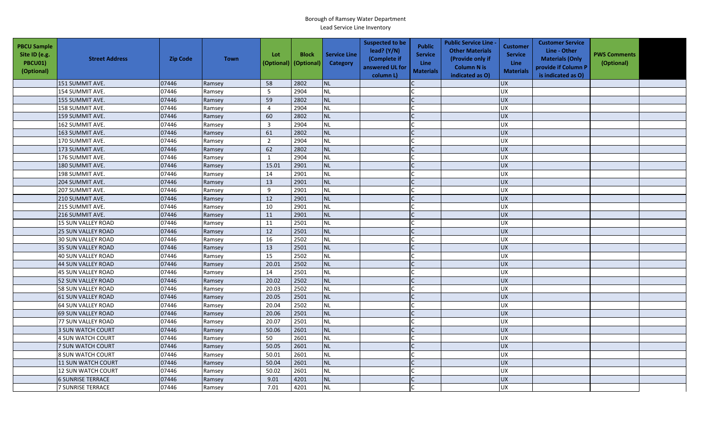| <b>PBCU Sample</b><br>Site ID (e.g.<br>PBCU01)<br>(Optional) | <b>Street Address</b>     | <b>Zip Code</b> | <b>Town</b> | Lot<br>(Optional) | <b>Block</b><br>(Optional) | <b>Service Line</b><br>Category | <b>Suspected to be</b><br>lead? $(Y/N)$<br>(Complete if<br>answered UL for<br>column L) | <b>Public</b><br><b>Service</b><br>Line<br><b>Materials</b> | <b>Public Service Line -</b><br><b>Other Materials</b><br>(Provide only if<br><b>Column N is</b><br>indicated as O) | <b>Customer</b><br><b>Service</b><br>Line<br><b>Materials</b> | <b>Customer Service</b><br>Line - Other<br><b>Materials (Only</b><br>provide if Column P<br>is indicated as O) | <b>PWS Comments</b><br>(Optional) |  |
|--------------------------------------------------------------|---------------------------|-----------------|-------------|-------------------|----------------------------|---------------------------------|-----------------------------------------------------------------------------------------|-------------------------------------------------------------|---------------------------------------------------------------------------------------------------------------------|---------------------------------------------------------------|----------------------------------------------------------------------------------------------------------------|-----------------------------------|--|
|                                                              | 151 SUMMIT AVE.           | 07446           | Ramsey      | 58                | 2802                       | <b>NL</b>                       |                                                                                         |                                                             |                                                                                                                     | <b>UX</b>                                                     |                                                                                                                |                                   |  |
|                                                              | 154 SUMMIT AVE.           | 07446           | Ramsey      | 5                 | 2904                       | NL                              |                                                                                         |                                                             |                                                                                                                     | <b>UX</b>                                                     |                                                                                                                |                                   |  |
|                                                              | 155 SUMMIT AVE.           | 07446           | Ramsey      | 59                | 2802                       | <b>NL</b>                       |                                                                                         |                                                             |                                                                                                                     | <b>UX</b>                                                     |                                                                                                                |                                   |  |
|                                                              | 158 SUMMIT AVE.           | 07446           | Ramsey      | $\overline{4}$    | 2904                       | <b>NL</b>                       |                                                                                         |                                                             |                                                                                                                     | <b>UX</b>                                                     |                                                                                                                |                                   |  |
|                                                              | 159 SUMMIT AVE.           | 07446           | Ramsey      | 60                | 2802                       | <b>NL</b>                       |                                                                                         |                                                             |                                                                                                                     | <b>UX</b>                                                     |                                                                                                                |                                   |  |
|                                                              | 162 SUMMIT AVE.           | 07446           | Ramsey      | $\overline{3}$    | 2904                       | <b>NL</b>                       |                                                                                         |                                                             |                                                                                                                     | <b>UX</b>                                                     |                                                                                                                |                                   |  |
|                                                              | 163 SUMMIT AVE.           | 07446           | Ramsey      | 61                | 2802                       | <b>NL</b>                       |                                                                                         |                                                             |                                                                                                                     | <b>UX</b>                                                     |                                                                                                                |                                   |  |
|                                                              | 170 SUMMIT AVE.           | 07446           | Ramsey      | $\overline{2}$    | 2904                       | <b>NL</b>                       |                                                                                         |                                                             |                                                                                                                     | <b>UX</b>                                                     |                                                                                                                |                                   |  |
|                                                              | 173 SUMMIT AVE.           | 07446           | Ramsey      | 62                | 2802                       | <b>NL</b>                       |                                                                                         |                                                             |                                                                                                                     | <b>UX</b>                                                     |                                                                                                                |                                   |  |
|                                                              | 176 SUMMIT AVE.           | 07446           | Ramsey      | 1                 | 2904                       | <b>NL</b>                       |                                                                                         |                                                             |                                                                                                                     | <b>UX</b>                                                     |                                                                                                                |                                   |  |
|                                                              | 180 SUMMIT AVE.           | 07446           | Ramsey      | 15.01             | 2901                       | NL                              |                                                                                         |                                                             |                                                                                                                     | <b>UX</b>                                                     |                                                                                                                |                                   |  |
|                                                              | 198 SUMMIT AVE.           | 07446           | Ramsey      | 14                | 2901                       | <b>NL</b>                       |                                                                                         |                                                             |                                                                                                                     | <b>UX</b>                                                     |                                                                                                                |                                   |  |
|                                                              | 204 SUMMIT AVE.           | 07446           | Ramsey      | 13                | 2901                       | <b>NL</b>                       |                                                                                         |                                                             |                                                                                                                     | <b>UX</b>                                                     |                                                                                                                |                                   |  |
|                                                              | 207 SUMMIT AVE.           | 07446           | Ramsey      | 9                 | 2901                       | <b>NL</b>                       |                                                                                         |                                                             |                                                                                                                     | <b>UX</b>                                                     |                                                                                                                |                                   |  |
|                                                              | 210 SUMMIT AVE.           | 07446           | Ramsey      | 12                | 2901                       | <b>NL</b>                       |                                                                                         |                                                             |                                                                                                                     | <b>UX</b>                                                     |                                                                                                                |                                   |  |
|                                                              | 215 SUMMIT AVE.           | 07446           | Ramsey      | 10                | 2901                       | <b>NL</b>                       |                                                                                         |                                                             |                                                                                                                     | <b>UX</b>                                                     |                                                                                                                |                                   |  |
|                                                              | 216 SUMMIT AVE.           | 07446           | Ramsey      | 11                | 2901                       | <b>NL</b>                       |                                                                                         |                                                             |                                                                                                                     | UX                                                            |                                                                                                                |                                   |  |
|                                                              | 15 SUN VALLEY ROAD        | 07446           | Ramsey      | 11                | 2501                       | <b>NL</b>                       |                                                                                         |                                                             |                                                                                                                     | UX                                                            |                                                                                                                |                                   |  |
|                                                              | <b>25 SUN VALLEY ROAD</b> | 07446           | Ramsey      | 12                | 2501                       | <b>NL</b>                       |                                                                                         |                                                             |                                                                                                                     | UX                                                            |                                                                                                                |                                   |  |
|                                                              | <b>30 SUN VALLEY ROAD</b> | 07446           | Ramsey      | 16                | 2502                       | <b>NL</b>                       |                                                                                         |                                                             |                                                                                                                     | <b>UX</b>                                                     |                                                                                                                |                                   |  |
|                                                              | 35 SUN VALLEY ROAD        | 07446           | Ramsey      | 13                | 2501                       | <b>NL</b>                       |                                                                                         |                                                             |                                                                                                                     | UX                                                            |                                                                                                                |                                   |  |
|                                                              | 40 SUN VALLEY ROAD        | 07446           | Ramsey      | 15                | 2502                       | <b>NL</b>                       |                                                                                         |                                                             |                                                                                                                     | UX                                                            |                                                                                                                |                                   |  |
|                                                              | 44 SUN VALLEY ROAD        | 07446           | Ramsey      | 20.01             | 2502                       | <b>NL</b>                       |                                                                                         |                                                             |                                                                                                                     | UX                                                            |                                                                                                                |                                   |  |
|                                                              | 45 SUN VALLEY ROAD        | 07446           | Ramsey      | 14                | 2501                       | <b>NL</b>                       |                                                                                         |                                                             |                                                                                                                     | UX                                                            |                                                                                                                |                                   |  |
|                                                              | <b>52 SUN VALLEY ROAD</b> | 07446           | Ramsey      | 20.02             | 2502                       | <b>NL</b>                       |                                                                                         |                                                             |                                                                                                                     | <b>UX</b>                                                     |                                                                                                                |                                   |  |
|                                                              | 58 SUN VALLEY ROAD        | 07446           | Ramsey      | 20.03             | 2502                       | <b>NL</b>                       |                                                                                         |                                                             |                                                                                                                     | UX                                                            |                                                                                                                |                                   |  |
|                                                              | 61 SUN VALLEY ROAD        | 07446           | Ramsey      | 20.05             | 2501                       | <b>NL</b>                       |                                                                                         |                                                             |                                                                                                                     | <b>UX</b>                                                     |                                                                                                                |                                   |  |
|                                                              | <b>64 SUN VALLEY ROAD</b> | 07446           | Ramsey      | 20.04             | 2502                       | <b>NL</b>                       |                                                                                         |                                                             |                                                                                                                     | UX                                                            |                                                                                                                |                                   |  |
|                                                              | 69 SUN VALLEY ROAD        | 07446           | Ramsey      | 20.06             | 2501                       | <b>NL</b>                       |                                                                                         |                                                             |                                                                                                                     | <b>UX</b>                                                     |                                                                                                                |                                   |  |
|                                                              | 77 SUN VALLEY ROAD        | 07446           | Ramsey      | 20.07             | 2501                       | <b>NL</b>                       |                                                                                         |                                                             |                                                                                                                     | UX                                                            |                                                                                                                |                                   |  |
|                                                              | <b>3 SUN WATCH COURT</b>  | 07446           | Ramsey      | 50.06             | 2601                       | <b>NL</b>                       |                                                                                         |                                                             |                                                                                                                     | <b>UX</b>                                                     |                                                                                                                |                                   |  |
|                                                              | <b>4 SUN WATCH COURT</b>  | 07446           | Ramsey      | 50                | 2601                       | <b>NL</b>                       |                                                                                         |                                                             |                                                                                                                     | <b>UX</b>                                                     |                                                                                                                |                                   |  |
|                                                              | <b>7 SUN WATCH COURT</b>  | 07446           | Ramsey      | 50.05             | 2601                       | NL                              |                                                                                         |                                                             |                                                                                                                     | <b>UX</b>                                                     |                                                                                                                |                                   |  |
|                                                              | <b>8 SUN WATCH COURT</b>  | 07446           | Ramsey      | 50.01             | 2601                       | <b>NL</b>                       |                                                                                         |                                                             |                                                                                                                     | UX                                                            |                                                                                                                |                                   |  |
|                                                              | 11 SUN WATCH COURT        | 07446           | Ramsey      | 50.04             | 2601                       | <b>NL</b>                       |                                                                                         |                                                             |                                                                                                                     | UX                                                            |                                                                                                                |                                   |  |
|                                                              | 12 SUN WATCH COURT        | 07446           | Ramsey      | 50.02             | 2601                       | <b>NL</b>                       |                                                                                         |                                                             |                                                                                                                     | <b>UX</b>                                                     |                                                                                                                |                                   |  |
|                                                              | <b>6 SUNRISE TERRACE</b>  | 07446           | Ramsey      | 9.01              | 4201                       | NL                              |                                                                                         |                                                             |                                                                                                                     | UX                                                            |                                                                                                                |                                   |  |
|                                                              | <b>7 SUNRISE TERRACE</b>  | 07446           | Ramsey      | 7.01              | 4201                       | <b>NL</b>                       |                                                                                         |                                                             |                                                                                                                     | <b>UX</b>                                                     |                                                                                                                |                                   |  |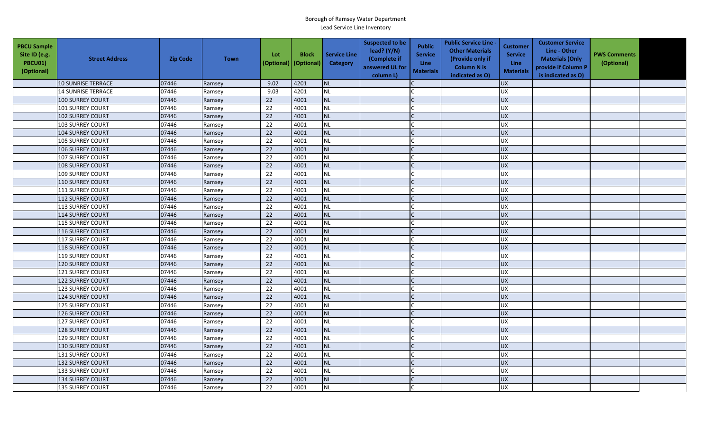| <b>PBCU Sample</b><br>Site ID (e.g.<br>PBCU01)<br>(Optional) | <b>Street Address</b>     | <b>Zip Code</b> | <b>Town</b> | Lot<br>(Optional) | <b>Block</b><br>(Optional) | <b>Service Line</b><br><b>Category</b> | <b>Suspected to be</b><br>lead? (Y/N)<br>(Complete if<br>answered UL for<br>column L) | <b>Public</b><br><b>Service</b><br><b>Line</b><br><b>Materials</b> | <b>Public Service Line -</b><br><b>Other Materials</b><br>(Provide only if<br><b>Column N is</b><br>indicated as O) | <b>Customer</b><br><b>Service</b><br>Line<br><b>Materials</b> | <b>Customer Service</b><br>Line - Other<br><b>Materials (Only</b><br>provide if Column P<br>is indicated as O) | <b>PWS Comments</b><br>(Optional) |  |
|--------------------------------------------------------------|---------------------------|-----------------|-------------|-------------------|----------------------------|----------------------------------------|---------------------------------------------------------------------------------------|--------------------------------------------------------------------|---------------------------------------------------------------------------------------------------------------------|---------------------------------------------------------------|----------------------------------------------------------------------------------------------------------------|-----------------------------------|--|
|                                                              | 10 SUNRISE TERRACE        | 07446           | Ramsey      | 9.02              | 4201                       | <b>NL</b>                              |                                                                                       |                                                                    |                                                                                                                     | <b>UX</b>                                                     |                                                                                                                |                                   |  |
|                                                              | <b>14 SUNRISE TERRACE</b> | 07446           | Ramsey      | 9.03              | 4201                       | <b>NL</b>                              |                                                                                       |                                                                    |                                                                                                                     | <b>UX</b>                                                     |                                                                                                                |                                   |  |
|                                                              | 100 SURREY COURT          | 07446           | Ramsey      | 22                | 4001                       | <b>NL</b>                              |                                                                                       |                                                                    |                                                                                                                     | <b>UX</b>                                                     |                                                                                                                |                                   |  |
|                                                              | <b>101 SURREY COURT</b>   | 07446           | Ramsey      | 22                | 4001                       | <b>NL</b>                              |                                                                                       |                                                                    |                                                                                                                     | UX                                                            |                                                                                                                |                                   |  |
|                                                              | <b>102 SURREY COURT</b>   | 07446           | Ramsey      | 22                | 4001                       | <b>NL</b>                              |                                                                                       |                                                                    |                                                                                                                     | <b>UX</b>                                                     |                                                                                                                |                                   |  |
|                                                              | 103 SURREY COURT          | 07446           | Ramsey      | 22                | 4001                       | <b>NL</b>                              |                                                                                       |                                                                    |                                                                                                                     | <b>UX</b>                                                     |                                                                                                                |                                   |  |
|                                                              | 104 SURREY COURT          | 07446           | Ramsey      | 22                | 4001                       | <b>NL</b>                              |                                                                                       | $\mathsf{C}$                                                       |                                                                                                                     | <b>UX</b>                                                     |                                                                                                                |                                   |  |
|                                                              | 105 SURREY COURT          | 07446           | Ramsey      | 22                | 4001                       | <b>NL</b>                              |                                                                                       |                                                                    |                                                                                                                     | <b>UX</b>                                                     |                                                                                                                |                                   |  |
|                                                              | 106 SURREY COURT          | 07446           | Ramsey      | 22                | 4001                       | <b>NL</b>                              |                                                                                       |                                                                    |                                                                                                                     | <b>UX</b>                                                     |                                                                                                                |                                   |  |
|                                                              | <b>107 SURREY COURT</b>   | 07446           | Ramsey      | 22                | 4001                       | NL                                     |                                                                                       |                                                                    |                                                                                                                     | UX                                                            |                                                                                                                |                                   |  |
|                                                              | 108 SURREY COURT          | 07446           | Ramsey      | 22                | 4001                       | <b>NL</b>                              |                                                                                       | C                                                                  |                                                                                                                     | <b>UX</b>                                                     |                                                                                                                |                                   |  |
|                                                              | <b>109 SURREY COURT</b>   | 07446           | Ramsey      | 22                | 4001                       | <b>NL</b>                              |                                                                                       |                                                                    |                                                                                                                     | <b>UX</b>                                                     |                                                                                                                |                                   |  |
|                                                              | <b>110 SURREY COURT</b>   | 07446           | Ramsey      | 22                | 4001                       | <b>NL</b>                              |                                                                                       |                                                                    |                                                                                                                     | <b>UX</b>                                                     |                                                                                                                |                                   |  |
|                                                              | 111 SURREY COURT          | 07446           | Ramsey      | 22                | 4001                       | <b>NL</b>                              |                                                                                       |                                                                    |                                                                                                                     | <b>UX</b>                                                     |                                                                                                                |                                   |  |
|                                                              | 112 SURREY COURT          | 07446           | Ramsey      | 22                | 4001                       | <b>NL</b>                              |                                                                                       |                                                                    |                                                                                                                     | <b>UX</b>                                                     |                                                                                                                |                                   |  |
|                                                              | 113 SURREY COURT          | 07446           | Ramsey      | 22                | 4001                       | <b>NL</b>                              |                                                                                       |                                                                    |                                                                                                                     | <b>UX</b>                                                     |                                                                                                                |                                   |  |
|                                                              | 114 SURREY COURT          | 07446           | Ramsey      | 22                | 4001                       | <b>NL</b>                              |                                                                                       |                                                                    |                                                                                                                     | UX                                                            |                                                                                                                |                                   |  |
|                                                              | <b>115 SURREY COURT</b>   | 07446           | Ramsey      | $\overline{22}$   | 4001                       | <b>NL</b>                              |                                                                                       |                                                                    |                                                                                                                     | UX                                                            |                                                                                                                |                                   |  |
|                                                              | <b>116 SURREY COURT</b>   | 07446           | Ramsey      | 22                | 4001                       | <b>NL</b>                              |                                                                                       |                                                                    |                                                                                                                     | <b>UX</b>                                                     |                                                                                                                |                                   |  |
|                                                              | <b>117 SURREY COURT</b>   | 07446           | Ramsey      | 22                | 4001                       | <b>NL</b>                              |                                                                                       |                                                                    |                                                                                                                     | <b>UX</b>                                                     |                                                                                                                |                                   |  |
|                                                              | <b>118 SURREY COURT</b>   | 07446           | Ramsey      | 22                | 4001                       | <b>NL</b>                              |                                                                                       |                                                                    |                                                                                                                     | <b>UX</b>                                                     |                                                                                                                |                                   |  |
|                                                              | <b>119 SURREY COURT</b>   | 07446           | Ramsey      | 22                | 4001                       | <b>NL</b>                              |                                                                                       |                                                                    |                                                                                                                     | <b>UX</b>                                                     |                                                                                                                |                                   |  |
|                                                              | 120 SURREY COURT          | 07446           | Ramsey      | $\overline{22}$   | 4001                       | <b>NL</b>                              |                                                                                       |                                                                    |                                                                                                                     | UX                                                            |                                                                                                                |                                   |  |
|                                                              | 121 SURREY COURT          | 07446           | Ramsey      | 22                | 4001                       | NL                                     |                                                                                       |                                                                    |                                                                                                                     | <b>UX</b>                                                     |                                                                                                                |                                   |  |
|                                                              | <b>122 SURREY COURT</b>   | 07446           | Ramsey      | 22                | 4001                       | <b>NL</b>                              |                                                                                       |                                                                    |                                                                                                                     | <b>UX</b>                                                     |                                                                                                                |                                   |  |
|                                                              | <b>123 SURREY COURT</b>   | 07446           | Ramsey      | 22                | 4001                       | <b>NL</b>                              |                                                                                       |                                                                    |                                                                                                                     | <b>UX</b>                                                     |                                                                                                                |                                   |  |
|                                                              | 124 SURREY COURT          | 07446           | Ramsey      | 22                | 4001                       | <b>NL</b>                              |                                                                                       |                                                                    |                                                                                                                     | UX                                                            |                                                                                                                |                                   |  |
|                                                              | <b>125 SURREY COURT</b>   | 07446           | Ramsey      | 22                | 4001                       | <b>NL</b>                              |                                                                                       |                                                                    |                                                                                                                     | <b>UX</b>                                                     |                                                                                                                |                                   |  |
|                                                              | <b>126 SURREY COURT</b>   | 07446           | Ramsey      | 22                | 4001                       | <b>NL</b>                              |                                                                                       |                                                                    |                                                                                                                     | <b>UX</b>                                                     |                                                                                                                |                                   |  |
|                                                              | <b>127 SURREY COURT</b>   | 07446           | Ramsey      | 22                | 4001                       | <b>NL</b>                              |                                                                                       |                                                                    |                                                                                                                     | UX                                                            |                                                                                                                |                                   |  |
|                                                              | 128 SURREY COURT          | 07446           | Ramsey      | 22                | 4001                       | <b>NL</b>                              |                                                                                       |                                                                    |                                                                                                                     | <b>UX</b>                                                     |                                                                                                                |                                   |  |
|                                                              | <b>129 SURREY COURT</b>   | 07446           | Ramsey      | 22                | 4001                       | NL                                     |                                                                                       |                                                                    |                                                                                                                     | UX                                                            |                                                                                                                |                                   |  |
|                                                              | <b>130 SURREY COURT</b>   | 07446           | Ramsey      | 22                | 4001                       | <b>NL</b>                              |                                                                                       |                                                                    |                                                                                                                     | <b>UX</b>                                                     |                                                                                                                |                                   |  |
|                                                              | 131 SURREY COURT          | 07446           | Ramsey      | 22                | 4001                       | <b>NL</b>                              |                                                                                       |                                                                    |                                                                                                                     | <b>UX</b>                                                     |                                                                                                                |                                   |  |
|                                                              | <b>132 SURREY COURT</b>   | 07446           | Ramsey      | $\overline{22}$   | 4001                       | <b>NL</b>                              |                                                                                       |                                                                    |                                                                                                                     | <b>UX</b>                                                     |                                                                                                                |                                   |  |
|                                                              | 133 SURREY COURT          | 07446           | Ramsey      | 22                | 4001                       | <b>NL</b>                              |                                                                                       |                                                                    |                                                                                                                     | <b>UX</b>                                                     |                                                                                                                |                                   |  |
|                                                              | <b>134 SURREY COURT</b>   | 07446           | Ramsey      | 22                | 4001                       | <b>NL</b>                              |                                                                                       |                                                                    |                                                                                                                     | UX                                                            |                                                                                                                |                                   |  |
|                                                              | <b>135 SURREY COURT</b>   | 07446           | Ramsey      | 22                | 4001                       | <b>NL</b>                              |                                                                                       |                                                                    |                                                                                                                     | <b>UX</b>                                                     |                                                                                                                |                                   |  |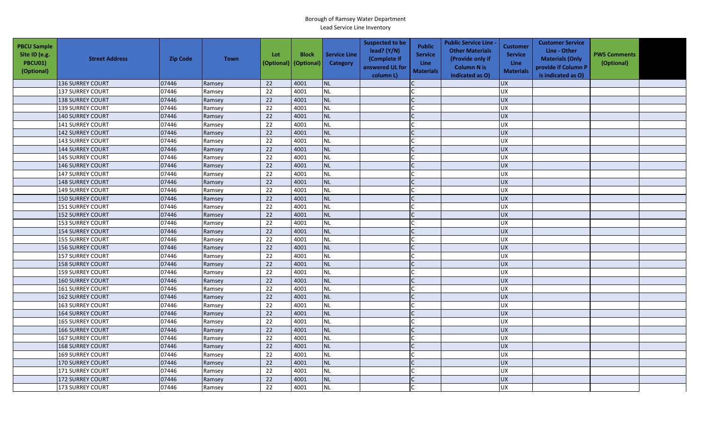| <b>PBCU Sample</b><br>Site ID (e.g.<br>PBCU01)<br>(Optional) | <b>Street Address</b>   | <b>Zip Code</b> | <b>Town</b> | Lot<br>(Optional) | <b>Block</b><br>(Optional) | <b>Service Line</b><br>Category | <b>Suspected to be</b><br>lead? (Y/N)<br>(Complete if<br>answered UL for<br>column L) | <b>Public</b><br><b>Service</b><br><b>Line</b><br><b>Materials</b> | <b>Public Service Line -</b><br><b>Other Materials</b><br>(Provide only if<br><b>Column N is</b><br>indicated as O) | <b>Customer</b><br><b>Service</b><br><b>Line</b><br><b>Materials</b> | <b>Customer Service</b><br>Line - Other<br><b>Materials (Only</b><br>provide if Column P<br>is indicated as O) | <b>PWS Comments</b><br>(Optional) |  |
|--------------------------------------------------------------|-------------------------|-----------------|-------------|-------------------|----------------------------|---------------------------------|---------------------------------------------------------------------------------------|--------------------------------------------------------------------|---------------------------------------------------------------------------------------------------------------------|----------------------------------------------------------------------|----------------------------------------------------------------------------------------------------------------|-----------------------------------|--|
|                                                              | 136 SURREY COURT        | 07446           | Ramsey      | 22                | 4001                       | <b>NL</b>                       |                                                                                       |                                                                    |                                                                                                                     | <b>UX</b>                                                            |                                                                                                                |                                   |  |
|                                                              | <b>137 SURREY COURT</b> | 07446           | Ramsey      | 22                | 4001                       | NL                              |                                                                                       |                                                                    |                                                                                                                     | UX                                                                   |                                                                                                                |                                   |  |
|                                                              | <b>138 SURREY COURT</b> | 07446           | Ramsey      | 22                | 4001                       | NL                              |                                                                                       |                                                                    |                                                                                                                     | <b>UX</b>                                                            |                                                                                                                |                                   |  |
|                                                              | <b>139 SURREY COURT</b> | 07446           | Ramsey      | 22                | 4001                       | <b>NL</b>                       |                                                                                       |                                                                    |                                                                                                                     | <b>UX</b>                                                            |                                                                                                                |                                   |  |
|                                                              | <b>140 SURREY COURT</b> | 07446           | Ramsey      | 22                | 4001                       | <b>NL</b>                       |                                                                                       |                                                                    |                                                                                                                     | <b>UX</b>                                                            |                                                                                                                |                                   |  |
|                                                              | <b>141 SURREY COURT</b> | 07446           | Ramsey      | 22                | 4001                       | <b>NL</b>                       |                                                                                       |                                                                    |                                                                                                                     | UX                                                                   |                                                                                                                |                                   |  |
|                                                              | 142 SURREY COURT        | 07446           | Ramsey      | 22                | 4001                       | <b>NL</b>                       |                                                                                       |                                                                    |                                                                                                                     | <b>UX</b>                                                            |                                                                                                                |                                   |  |
|                                                              | 143 SURREY COURT        | 07446           | Ramsey      | 22                | 4001                       | <b>NL</b>                       |                                                                                       |                                                                    |                                                                                                                     | <b>UX</b>                                                            |                                                                                                                |                                   |  |
|                                                              | 144 SURREY COURT        | 07446           | Ramsey      | 22                | 4001                       | <b>NL</b>                       |                                                                                       |                                                                    |                                                                                                                     | UX                                                                   |                                                                                                                |                                   |  |
|                                                              | <b>145 SURREY COURT</b> | 07446           | Ramsey      | 22                | 4001                       | <b>NL</b>                       |                                                                                       |                                                                    |                                                                                                                     | <b>UX</b>                                                            |                                                                                                                |                                   |  |
|                                                              | <b>146 SURREY COURT</b> | 07446           | Ramsey      | 22                | 4001                       | <b>NL</b>                       |                                                                                       |                                                                    |                                                                                                                     | <b>UX</b>                                                            |                                                                                                                |                                   |  |
|                                                              | 147 SURREY COURT        | 07446           | Ramsey      | $\overline{22}$   | 4001                       | <b>NL</b>                       |                                                                                       |                                                                    |                                                                                                                     | UX                                                                   |                                                                                                                |                                   |  |
|                                                              | 148 SURREY COURT        | 07446           | Ramsey      | 22                | 4001                       | <b>NL</b>                       |                                                                                       |                                                                    |                                                                                                                     | <b>UX</b>                                                            |                                                                                                                |                                   |  |
|                                                              | 149 SURREY COURT        | 07446           | Ramsey      | 22                | 4001                       | <b>NL</b>                       |                                                                                       |                                                                    |                                                                                                                     | UX                                                                   |                                                                                                                |                                   |  |
|                                                              | 150 SURREY COURT        | 07446           | Ramsey      | 22                | 4001                       | <b>NL</b>                       |                                                                                       |                                                                    |                                                                                                                     | <b>UX</b>                                                            |                                                                                                                |                                   |  |
|                                                              | 151 SURREY COURT        | 07446           | Ramsey      | 22                | 4001                       | <b>NL</b>                       |                                                                                       |                                                                    |                                                                                                                     | <b>UX</b>                                                            |                                                                                                                |                                   |  |
|                                                              | <b>152 SURREY COURT</b> | 07446           | Ramsey      | 22                | 4001                       | <b>NL</b>                       |                                                                                       |                                                                    |                                                                                                                     | UX                                                                   |                                                                                                                |                                   |  |
|                                                              | 153 SURREY COURT        | 07446           | Ramsey      | 22                | 4001                       | <b>NL</b>                       |                                                                                       |                                                                    |                                                                                                                     | <b>UX</b>                                                            |                                                                                                                |                                   |  |
|                                                              | 154 SURREY COURT        | 07446           | Ramsey      | 22                | 4001                       | <b>NL</b>                       |                                                                                       |                                                                    |                                                                                                                     | UX                                                                   |                                                                                                                |                                   |  |
|                                                              | 155 SURREY COURT        | 07446           | Ramsey      | 22                | 4001                       | <b>NL</b>                       |                                                                                       |                                                                    |                                                                                                                     | <b>UX</b>                                                            |                                                                                                                |                                   |  |
|                                                              | 156 SURREY COURT        | 07446           | Ramsey      | 22                | 4001                       | <b>NL</b>                       |                                                                                       |                                                                    |                                                                                                                     | <b>UX</b>                                                            |                                                                                                                |                                   |  |
|                                                              | <b>157 SURREY COURT</b> | 07446           | Ramsey      | 22                | 4001                       | <b>NL</b>                       |                                                                                       |                                                                    |                                                                                                                     | UX                                                                   |                                                                                                                |                                   |  |
|                                                              | <b>158 SURREY COURT</b> | 07446           | Ramsey      | 22                | 4001                       | <b>NL</b>                       |                                                                                       |                                                                    |                                                                                                                     | <b>UX</b>                                                            |                                                                                                                |                                   |  |
|                                                              | <b>159 SURREY COURT</b> | 07446           | Ramsey      | 22                | 4001                       | <b>NL</b>                       |                                                                                       |                                                                    |                                                                                                                     | UX                                                                   |                                                                                                                |                                   |  |
|                                                              | 160 SURREY COURT        | 07446           | Ramsey      | 22                | 4001                       | <b>NL</b>                       |                                                                                       | $\mathsf{C}$                                                       |                                                                                                                     | <b>UX</b>                                                            |                                                                                                                |                                   |  |
|                                                              | <b>161 SURREY COURT</b> | 07446           | Ramsey      | 22                | 4001                       | <b>NL</b>                       |                                                                                       |                                                                    |                                                                                                                     | <b>UX</b>                                                            |                                                                                                                |                                   |  |
|                                                              | 162 SURREY COURT        | 07446           | Ramsey      | 22                | 4001                       | <b>NL</b>                       |                                                                                       |                                                                    |                                                                                                                     | <b>UX</b>                                                            |                                                                                                                |                                   |  |
|                                                              | <b>163 SURREY COURT</b> | 07446           | Ramsey      | 22                | 4001                       | <b>NL</b>                       |                                                                                       |                                                                    |                                                                                                                     | <b>UX</b>                                                            |                                                                                                                |                                   |  |
|                                                              | <b>164 SURREY COURT</b> | 07446           | Ramsey      | 22                | 4001                       | <b>NL</b>                       |                                                                                       |                                                                    |                                                                                                                     | <b>UX</b>                                                            |                                                                                                                |                                   |  |
|                                                              | <b>165 SURREY COURT</b> | 07446           | Ramsey      | 22                | 4001                       | <b>NL</b>                       |                                                                                       |                                                                    |                                                                                                                     | <b>UX</b>                                                            |                                                                                                                |                                   |  |
|                                                              | <b>166 SURREY COURT</b> | 07446           | Ramsey      | 22                | 4001                       | <b>NL</b>                       |                                                                                       |                                                                    |                                                                                                                     | <b>UX</b>                                                            |                                                                                                                |                                   |  |
|                                                              | <b>167 SURREY COURT</b> | 07446           | Ramsey      | 22                | 4001                       | <b>NL</b>                       |                                                                                       |                                                                    |                                                                                                                     | <b>UX</b>                                                            |                                                                                                                |                                   |  |
|                                                              | <b>168 SURREY COURT</b> | 07446           | Ramsey      | 22                | 4001                       | <b>NL</b>                       |                                                                                       |                                                                    |                                                                                                                     | UX                                                                   |                                                                                                                |                                   |  |
|                                                              | <b>169 SURREY COURT</b> | 07446           | Ramsey      | 22                | 4001                       | <b>NL</b>                       |                                                                                       |                                                                    |                                                                                                                     | <b>UX</b>                                                            |                                                                                                                |                                   |  |
|                                                              | 170 SURREY COURT        | 07446           | Ramsey      | 22                | 4001                       | <b>NL</b>                       |                                                                                       |                                                                    |                                                                                                                     | UX                                                                   |                                                                                                                |                                   |  |
|                                                              | 171 SURREY COURT        | 07446           | Ramsey      | 22                | 4001                       | <b>NL</b>                       |                                                                                       |                                                                    |                                                                                                                     | <b>UX</b>                                                            |                                                                                                                |                                   |  |
|                                                              | <b>172 SURREY COURT</b> | 07446           | Ramsey      | 22                | 4001                       | <b>NL</b>                       |                                                                                       |                                                                    |                                                                                                                     | <b>UX</b>                                                            |                                                                                                                |                                   |  |
|                                                              | <b>173 SURREY COURT</b> | 07446           | Ramsey      | $\overline{22}$   | 4001                       | <b>NL</b>                       |                                                                                       |                                                                    |                                                                                                                     | <b>UX</b>                                                            |                                                                                                                |                                   |  |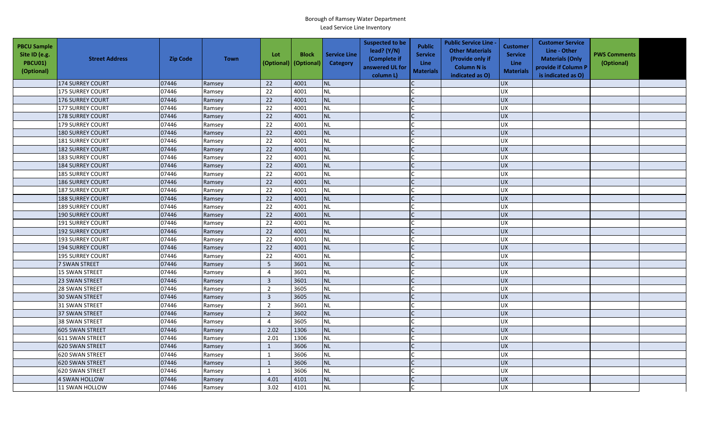| <b>PBCU Sample</b><br>Site ID (e.g.<br><b>PBCU01)</b><br>(Optional) | <b>Street Address</b>   | <b>Zip Code</b> | <b>Town</b> | Lot<br>(Optional) | <b>Block</b><br>(Optional) | <b>Service Line</b><br>Category | <b>Suspected to be</b><br>lead? $(Y/N)$<br>(Complete if<br>answered UL for<br>column L) | <b>Public</b><br><b>Service</b><br><b>Line</b><br><b>Materials</b> | <b>Public Service Line -</b><br><b>Other Materials</b><br>(Provide only if<br><b>Column N is</b><br>indicated as O) | <b>Customer</b><br><b>Service</b><br><b>Line</b><br><b>Materials</b> | <b>Customer Service</b><br>Line - Other<br><b>Materials (Only</b><br>provide if Column P<br>is indicated as O) | <b>PWS Comments</b><br>(Optional) |  |
|---------------------------------------------------------------------|-------------------------|-----------------|-------------|-------------------|----------------------------|---------------------------------|-----------------------------------------------------------------------------------------|--------------------------------------------------------------------|---------------------------------------------------------------------------------------------------------------------|----------------------------------------------------------------------|----------------------------------------------------------------------------------------------------------------|-----------------------------------|--|
|                                                                     | 174 SURREY COURT        | 07446           | Ramsey      | 22                | 4001                       | <b>NL</b>                       |                                                                                         |                                                                    |                                                                                                                     | <b>UX</b>                                                            |                                                                                                                |                                   |  |
|                                                                     | <b>175 SURREY COURT</b> | 07446           | Ramsey      | 22                | 4001                       | NL                              |                                                                                         |                                                                    |                                                                                                                     | UX                                                                   |                                                                                                                |                                   |  |
|                                                                     | <b>176 SURREY COURT</b> | 07446           | Ramsey      | 22                | 4001                       | NL                              |                                                                                         |                                                                    |                                                                                                                     | <b>UX</b>                                                            |                                                                                                                |                                   |  |
|                                                                     | <b>177 SURREY COURT</b> | 07446           | Ramsey      | 22                | 4001                       | <b>NL</b>                       |                                                                                         |                                                                    |                                                                                                                     | <b>UX</b>                                                            |                                                                                                                |                                   |  |
|                                                                     | <b>178 SURREY COURT</b> | 07446           | Ramsey      | 22                | 4001                       | NL                              |                                                                                         |                                                                    |                                                                                                                     | <b>UX</b>                                                            |                                                                                                                |                                   |  |
|                                                                     | <b>179 SURREY COURT</b> | 07446           | Ramsey      | 22                | 4001                       | <b>NL</b>                       |                                                                                         |                                                                    |                                                                                                                     | <b>UX</b>                                                            |                                                                                                                |                                   |  |
|                                                                     | <b>180 SURREY COURT</b> | 07446           | Ramsey      | 22                | 4001                       | <b>NL</b>                       |                                                                                         |                                                                    |                                                                                                                     | <b>UX</b>                                                            |                                                                                                                |                                   |  |
|                                                                     | <b>181 SURREY COURT</b> | 07446           | Ramsey      | 22                | 4001                       | <b>NL</b>                       |                                                                                         |                                                                    |                                                                                                                     | <b>UX</b>                                                            |                                                                                                                |                                   |  |
|                                                                     | 182 SURREY COURT        | 07446           | Ramsey      | 22                | 4001                       | <b>NL</b>                       |                                                                                         |                                                                    |                                                                                                                     | UX                                                                   |                                                                                                                |                                   |  |
|                                                                     | <b>183 SURREY COURT</b> | 07446           | Ramsey      | 22                | 4001                       | <b>NL</b>                       |                                                                                         |                                                                    |                                                                                                                     | <b>UX</b>                                                            |                                                                                                                |                                   |  |
|                                                                     | <b>184 SURREY COURT</b> | 07446           | Ramsey      | 22                | 4001                       | <b>NL</b>                       |                                                                                         |                                                                    |                                                                                                                     | <b>UX</b>                                                            |                                                                                                                |                                   |  |
|                                                                     | 185 SURREY COURT        | 07446           | Ramsey      | $\overline{22}$   | 4001                       | <b>NL</b>                       |                                                                                         |                                                                    |                                                                                                                     | UX                                                                   |                                                                                                                |                                   |  |
|                                                                     | <b>186 SURREY COURT</b> | 07446           | Ramsey      | 22                | 4001                       | <b>NL</b>                       |                                                                                         |                                                                    |                                                                                                                     | <b>UX</b>                                                            |                                                                                                                |                                   |  |
|                                                                     | <b>187 SURREY COURT</b> | 07446           | Ramsey      | 22                | 4001                       | <b>NL</b>                       |                                                                                         |                                                                    |                                                                                                                     | UX                                                                   |                                                                                                                |                                   |  |
|                                                                     | <b>188 SURREY COURT</b> | 07446           | Ramsey      | 22                | 4001                       | <b>NL</b>                       |                                                                                         |                                                                    |                                                                                                                     | <b>UX</b>                                                            |                                                                                                                |                                   |  |
|                                                                     | <b>189 SURREY COURT</b> | 07446           | Ramsey      | 22                | 4001                       | <b>NL</b>                       |                                                                                         |                                                                    |                                                                                                                     | <b>UX</b>                                                            |                                                                                                                |                                   |  |
|                                                                     | <b>190 SURREY COURT</b> | 07446           | Ramsey      | 22                | 4001                       | <b>NL</b>                       |                                                                                         |                                                                    |                                                                                                                     | UX                                                                   |                                                                                                                |                                   |  |
|                                                                     | <b>191 SURREY COURT</b> | 07446           | Ramsey      | 22                | 4001                       | <b>NL</b>                       |                                                                                         |                                                                    |                                                                                                                     | <b>UX</b>                                                            |                                                                                                                |                                   |  |
|                                                                     | 192 SURREY COURT        | 07446           | Ramsey      | 22                | 4001                       | <b>NL</b>                       |                                                                                         |                                                                    |                                                                                                                     | UX                                                                   |                                                                                                                |                                   |  |
|                                                                     | <b>193 SURREY COURT</b> | 07446           | Ramsey      | 22                | 4001                       | <b>NL</b>                       |                                                                                         |                                                                    |                                                                                                                     | <b>UX</b>                                                            |                                                                                                                |                                   |  |
|                                                                     | <b>194 SURREY COURT</b> | 07446           | Ramsey      | 22                | 4001                       | <b>NL</b>                       |                                                                                         |                                                                    |                                                                                                                     | <b>UX</b>                                                            |                                                                                                                |                                   |  |
|                                                                     | <b>195 SURREY COURT</b> | 07446           | Ramsey      | 22                | 4001                       | <b>NL</b>                       |                                                                                         |                                                                    |                                                                                                                     | UX                                                                   |                                                                                                                |                                   |  |
|                                                                     | 7 SWAN STREET           | 07446           | Ramsey      | 5                 | 3601                       | <b>NL</b>                       |                                                                                         |                                                                    |                                                                                                                     | <b>UX</b>                                                            |                                                                                                                |                                   |  |
|                                                                     | 15 SWAN STREET          | 07446           | Ramsey      | 4                 | 3601                       | <b>NL</b>                       |                                                                                         |                                                                    |                                                                                                                     | UX                                                                   |                                                                                                                |                                   |  |
|                                                                     | 23 SWAN STREET          | 07446           | Ramsey      | $\overline{3}$    | 3601                       | <b>NL</b>                       |                                                                                         | $\mathsf{C}$                                                       |                                                                                                                     | <b>UX</b>                                                            |                                                                                                                |                                   |  |
|                                                                     | 28 SWAN STREET          | 07446           | Ramsey      | $\overline{2}$    | 3605                       | <b>NL</b>                       |                                                                                         |                                                                    |                                                                                                                     | <b>UX</b>                                                            |                                                                                                                |                                   |  |
|                                                                     | 30 SWAN STREET          | 07446           | Ramsey      | $\overline{3}$    | 3605                       | <b>NL</b>                       |                                                                                         |                                                                    |                                                                                                                     | <b>UX</b>                                                            |                                                                                                                |                                   |  |
|                                                                     | 31 SWAN STREET          | 07446           | Ramsey      | $\overline{2}$    | 3601                       | <b>NL</b>                       |                                                                                         |                                                                    |                                                                                                                     | <b>UX</b>                                                            |                                                                                                                |                                   |  |
|                                                                     | <b>37 SWAN STREET</b>   | 07446           | Ramsey      | $\overline{2}$    | 3602                       | NL                              |                                                                                         |                                                                    |                                                                                                                     | <b>UX</b>                                                            |                                                                                                                |                                   |  |
|                                                                     | <b>38 SWAN STREET</b>   | 07446           | Ramsey      | $\overline{4}$    | 3605                       | <b>NL</b>                       |                                                                                         |                                                                    |                                                                                                                     | <b>UX</b>                                                            |                                                                                                                |                                   |  |
|                                                                     | 605 SWAN STREET         | 07446           | Ramsey      | 2.02              | 1306                       | <b>NL</b>                       |                                                                                         |                                                                    |                                                                                                                     | <b>UX</b>                                                            |                                                                                                                |                                   |  |
|                                                                     | 611 SWAN STREET         | 07446           | Ramsey      | 2.01              | 1306                       | <b>NL</b>                       |                                                                                         |                                                                    |                                                                                                                     | <b>UX</b>                                                            |                                                                                                                |                                   |  |
|                                                                     | 620 SWAN STREET         | 07446           | Ramsey      | $\mathbf{1}$      | 3606                       | <b>NL</b>                       |                                                                                         |                                                                    |                                                                                                                     | UX                                                                   |                                                                                                                |                                   |  |
|                                                                     | 620 SWAN STREET         | 07446           | Ramsey      | $\mathbf{1}$      | 3606                       | <b>NL</b>                       |                                                                                         |                                                                    |                                                                                                                     | <b>UX</b>                                                            |                                                                                                                |                                   |  |
|                                                                     | 620 SWAN STREET         | 07446           | Ramsey      | $\mathbf{1}$      | 3606                       | <b>NL</b>                       |                                                                                         |                                                                    |                                                                                                                     | UX                                                                   |                                                                                                                |                                   |  |
|                                                                     | 620 SWAN STREET         | 07446           | Ramsey      | $\mathbf{1}$      | 3606                       | <b>NL</b>                       |                                                                                         |                                                                    |                                                                                                                     | <b>UX</b>                                                            |                                                                                                                |                                   |  |
|                                                                     | <b>4 SWAN HOLLOW</b>    | 07446           | Ramsey      | 4.01              | 4101                       | <b>NL</b>                       |                                                                                         |                                                                    |                                                                                                                     | <b>UX</b>                                                            |                                                                                                                |                                   |  |
|                                                                     | 11 SWAN HOLLOW          | 07446           | Ramsey      | 3.02              | 4101                       | <b>NL</b>                       |                                                                                         |                                                                    |                                                                                                                     | <b>UX</b>                                                            |                                                                                                                |                                   |  |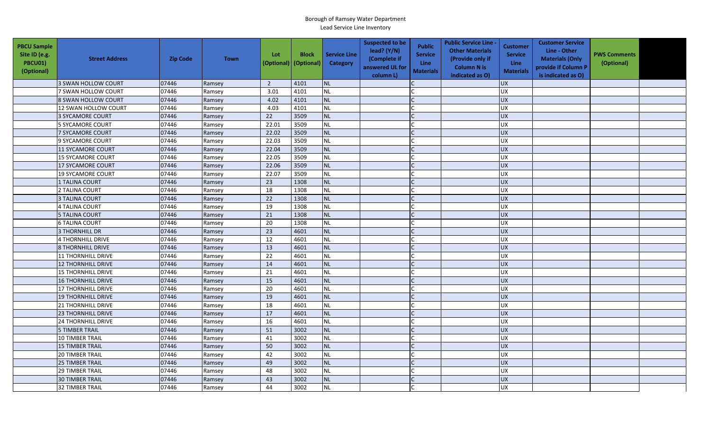| <b>PBCU Sample</b><br>Site ID (e.g.<br><b>PBCU01)</b><br>(Optional) | <b>Street Address</b>     | <b>Zip Code</b> | <b>Town</b> | Lot<br>(Optional) | <b>Block</b><br>(Optional) | <b>Service Line</b><br>Category | <b>Suspected to be</b><br>lead? (Y/N)<br>(Complete if<br>answered UL for<br>column L) | <b>Public</b><br><b>Service</b><br><b>Line</b><br><b>Materials</b> | <b>Public Service Line -</b><br><b>Other Materials</b><br>(Provide only if<br><b>Column N is</b><br>indicated as O) | Customer<br><b>Service</b><br>Line<br><b>Materials</b> | <b>Customer Service</b><br>Line - Other<br><b>Materials (Only</b><br>provide if Column P<br>is indicated as O) | <b>PWS Comments</b><br>(Optional) |  |
|---------------------------------------------------------------------|---------------------------|-----------------|-------------|-------------------|----------------------------|---------------------------------|---------------------------------------------------------------------------------------|--------------------------------------------------------------------|---------------------------------------------------------------------------------------------------------------------|--------------------------------------------------------|----------------------------------------------------------------------------------------------------------------|-----------------------------------|--|
|                                                                     | 3 SWAN HOLLOW COURT       | 07446           | Ramsey      | $\overline{2}$    | 4101                       | <b>NL</b>                       |                                                                                       |                                                                    |                                                                                                                     | <b>UX</b>                                              |                                                                                                                |                                   |  |
|                                                                     | 7 SWAN HOLLOW COURT       | 07446           | Ramsey      | 3.01              | 4101                       | <b>NL</b>                       |                                                                                       |                                                                    |                                                                                                                     | <b>UX</b>                                              |                                                                                                                |                                   |  |
|                                                                     | 8 SWAN HOLLOW COURT       | 07446           | Ramsey      | 4.02              | 4101                       | NL                              |                                                                                       |                                                                    |                                                                                                                     | <b>UX</b>                                              |                                                                                                                |                                   |  |
|                                                                     | 12 SWAN HOLLOW COURT      | 07446           | Ramsey      | 4.03              | 4101                       | <b>NL</b>                       |                                                                                       |                                                                    |                                                                                                                     | <b>UX</b>                                              |                                                                                                                |                                   |  |
|                                                                     | <b>3 SYCAMORE COURT</b>   | 07446           | Ramsey      | 22                | 3509                       | <b>NL</b>                       |                                                                                       |                                                                    |                                                                                                                     | <b>UX</b>                                              |                                                                                                                |                                   |  |
|                                                                     | <b>5 SYCAMORE COURT</b>   | 07446           | Ramsey      | 22.01             | 3509                       | NL                              |                                                                                       |                                                                    |                                                                                                                     | <b>UX</b>                                              |                                                                                                                |                                   |  |
|                                                                     | 7 SYCAMORE COURT          | 07446           | Ramsey      | 22.02             | 3509                       | <b>NL</b>                       |                                                                                       |                                                                    |                                                                                                                     | <b>UX</b>                                              |                                                                                                                |                                   |  |
|                                                                     | 9 SYCAMORE COURT          | 07446           | Ramsey      | 22.03             | 3509                       | <b>NL</b>                       |                                                                                       |                                                                    |                                                                                                                     | <b>UX</b>                                              |                                                                                                                |                                   |  |
|                                                                     | <b>11 SYCAMORE COURT</b>  | 07446           | Ramsey      | 22.04             | 3509                       | <b>NL</b>                       |                                                                                       |                                                                    |                                                                                                                     | <b>UX</b>                                              |                                                                                                                |                                   |  |
|                                                                     | <b>15 SYCAMORE COURT</b>  | 07446           | Ramsey      | 22.05             | 3509                       | NL                              |                                                                                       |                                                                    |                                                                                                                     | <b>UX</b>                                              |                                                                                                                |                                   |  |
|                                                                     | 17 SYCAMORE COURT         | 07446           | Ramsey      | 22.06             | 3509                       | NL                              |                                                                                       |                                                                    |                                                                                                                     | <b>UX</b>                                              |                                                                                                                |                                   |  |
|                                                                     | <b>19 SYCAMORE COURT</b>  | 07446           | Ramsey      | 22.07             | 3509                       | <b>NL</b>                       |                                                                                       |                                                                    |                                                                                                                     | <b>UX</b>                                              |                                                                                                                |                                   |  |
|                                                                     | 1 TALINA COURT            | 07446           | Ramsey      | 23                | 1308                       | <b>NL</b>                       |                                                                                       |                                                                    |                                                                                                                     | <b>UX</b>                                              |                                                                                                                |                                   |  |
|                                                                     | 2 TALINA COURT            | 07446           | Ramsey      | 18                | 1308                       | <b>NL</b>                       |                                                                                       |                                                                    |                                                                                                                     | <b>UX</b>                                              |                                                                                                                |                                   |  |
|                                                                     | <b>3 TALINA COURT</b>     | 07446           | Ramsey      | 22                | 1308                       | <b>NL</b>                       |                                                                                       |                                                                    |                                                                                                                     | <b>UX</b>                                              |                                                                                                                |                                   |  |
|                                                                     | 4 TALINA COURT            | 07446           | Ramsey      | 19                | 1308                       | NL                              |                                                                                       |                                                                    |                                                                                                                     | <b>UX</b>                                              |                                                                                                                |                                   |  |
|                                                                     | <b>5 TALINA COURT</b>     | 07446           | Ramsey      | 21                | 1308                       | $\sf NL$                        |                                                                                       |                                                                    |                                                                                                                     | <b>UX</b>                                              |                                                                                                                |                                   |  |
|                                                                     | <b>6 TALINA COURT</b>     | 07446           | Ramsey      | 20                | 1308                       | <b>NL</b>                       |                                                                                       |                                                                    |                                                                                                                     | UX                                                     |                                                                                                                |                                   |  |
|                                                                     | <b>3 THORNHILL DR</b>     | 07446           | Ramsey      | 23                | 4601                       | <b>NL</b>                       |                                                                                       |                                                                    |                                                                                                                     | <b>UX</b>                                              |                                                                                                                |                                   |  |
|                                                                     | <b>4 THORNHILL DRIVE</b>  | 07446           | Ramsey      | 12                | 4601                       | NL                              |                                                                                       |                                                                    |                                                                                                                     | <b>UX</b>                                              |                                                                                                                |                                   |  |
|                                                                     | <b>8 THORNHILL DRIVE</b>  | 07446           | Ramsey      | 13                | 4601                       | NL                              |                                                                                       |                                                                    |                                                                                                                     | <b>UX</b>                                              |                                                                                                                |                                   |  |
|                                                                     | <b>11 THORNHILL DRIVE</b> | 07446           | Ramsey      | 22                | 4601                       | NL                              |                                                                                       |                                                                    |                                                                                                                     | UX                                                     |                                                                                                                |                                   |  |
|                                                                     | <b>12 THORNHILL DRIVE</b> | 07446           | Ramsey      | 14                | 4601                       | NL                              |                                                                                       |                                                                    |                                                                                                                     | <b>UX</b>                                              |                                                                                                                |                                   |  |
|                                                                     | <b>15 THORNHILL DRIVE</b> | 07446           | Ramsey      | 21                | 4601                       | NL                              |                                                                                       |                                                                    |                                                                                                                     | <b>UX</b>                                              |                                                                                                                |                                   |  |
|                                                                     | <b>16 THORNHILL DRIVE</b> | 07446           | Ramsey      | 15                | 4601                       | <b>NL</b>                       |                                                                                       |                                                                    |                                                                                                                     | <b>UX</b>                                              |                                                                                                                |                                   |  |
|                                                                     | 17 THORNHILL DRIVE        | 07446           | Ramsey      | 20                | 4601                       | <b>NL</b>                       |                                                                                       |                                                                    |                                                                                                                     | <b>UX</b>                                              |                                                                                                                |                                   |  |
|                                                                     | <b>19 THORNHILL DRIVE</b> | 07446           | Ramsey      | 19                | 4601                       | NL                              |                                                                                       |                                                                    |                                                                                                                     | <b>UX</b>                                              |                                                                                                                |                                   |  |
|                                                                     | <b>21 THORNHILL DRIVE</b> | 07446           | Ramsey      | 18                | 4601                       | <b>NL</b>                       |                                                                                       |                                                                    |                                                                                                                     | <b>UX</b>                                              |                                                                                                                |                                   |  |
|                                                                     | <b>23 THORNHILL DRIVE</b> | 07446           | Ramsey      | 17                | 4601                       | <b>NL</b>                       |                                                                                       |                                                                    |                                                                                                                     | <b>UX</b>                                              |                                                                                                                |                                   |  |
|                                                                     | <b>24 THORNHILL DRIVE</b> | 07446           | Ramsey      | 16                | 4601                       | NL                              |                                                                                       |                                                                    |                                                                                                                     | <b>UX</b>                                              |                                                                                                                |                                   |  |
|                                                                     | <b>5 TIMBER TRAIL</b>     | 07446           | Ramsey      | 51                | 3002                       | <b>NL</b>                       |                                                                                       |                                                                    |                                                                                                                     | <b>UX</b>                                              |                                                                                                                |                                   |  |
|                                                                     | <b>10 TIMBER TRAIL</b>    | 07446           | Ramsey      | 41                | 3002                       | NL                              |                                                                                       |                                                                    |                                                                                                                     | UX                                                     |                                                                                                                |                                   |  |
|                                                                     | <b>15 TIMBER TRAIL</b>    | 07446           | Ramsey      | 50                | 3002                       | <b>NL</b>                       |                                                                                       |                                                                    |                                                                                                                     | <b>UX</b>                                              |                                                                                                                |                                   |  |
|                                                                     | <b>20 TIMBER TRAIL</b>    | 07446           | Ramsey      | 42                | 3002                       | <b>NL</b>                       |                                                                                       |                                                                    |                                                                                                                     | <b>UX</b>                                              |                                                                                                                |                                   |  |
|                                                                     | <b>25 TIMBER TRAIL</b>    | 07446           | Ramsey      | 49                | 3002                       | NL                              |                                                                                       |                                                                    |                                                                                                                     | <b>UX</b>                                              |                                                                                                                |                                   |  |
|                                                                     | <b>29 TIMBER TRAIL</b>    | 07446           | Ramsey      | 48                | 3002                       | <b>NL</b>                       |                                                                                       |                                                                    |                                                                                                                     | <b>UX</b>                                              |                                                                                                                |                                   |  |
|                                                                     | <b>30 TIMBER TRAIL</b>    | 07446           | Ramsey      | 43                | 3002                       | NL                              |                                                                                       |                                                                    |                                                                                                                     | <b>UX</b>                                              |                                                                                                                |                                   |  |
|                                                                     | <b>32 TIMBER TRAIL</b>    | 07446           | Ramsey      | 44                | 3002                       | <b>NL</b>                       |                                                                                       |                                                                    |                                                                                                                     | <b>UX</b>                                              |                                                                                                                |                                   |  |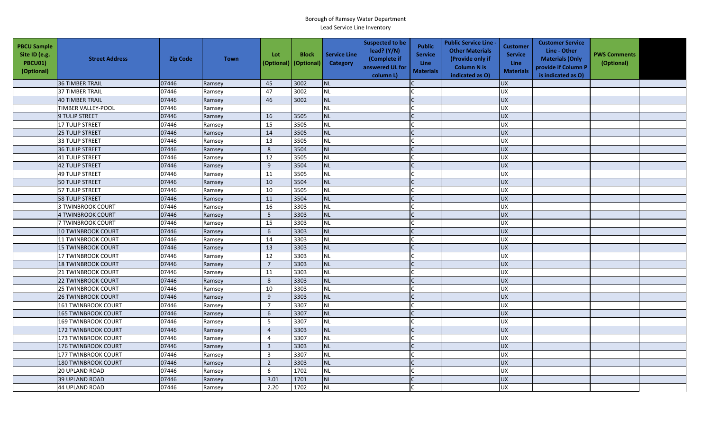| <b>PBCU Sample</b><br>Site ID (e.g.<br>PBCU01)<br>(Optional) | <b>Street Address</b>      | <b>Zip Code</b> | <b>Town</b> | Lot<br>(Optional) | <b>Block</b><br>(Optional) | <b>Service Line</b><br><b>Category</b> | <b>Suspected to be</b><br>lead? (Y/N)<br>(Complete if<br>answered UL for<br>column L) | <b>Public</b><br><b>Service</b><br><b>Line</b><br><b>Materials</b> | <b>Public Service Line -</b><br><b>Other Materials</b><br>(Provide only if<br><b>Column N is</b><br>indicated as O) | <b>Customer</b><br><b>Service</b><br>Line<br><b>Materials</b> | <b>Customer Service</b><br>Line - Other<br><b>Materials (Only</b><br>provide if Column P<br>is indicated as O) | <b>PWS Comments</b><br>(Optional) |  |
|--------------------------------------------------------------|----------------------------|-----------------|-------------|-------------------|----------------------------|----------------------------------------|---------------------------------------------------------------------------------------|--------------------------------------------------------------------|---------------------------------------------------------------------------------------------------------------------|---------------------------------------------------------------|----------------------------------------------------------------------------------------------------------------|-----------------------------------|--|
|                                                              | <b>36 TIMBER TRAIL</b>     | 07446           | Ramsey      | 45                | 3002                       | <b>NL</b>                              |                                                                                       |                                                                    |                                                                                                                     | <b>UX</b>                                                     |                                                                                                                |                                   |  |
|                                                              | <b>37 TIMBER TRAIL</b>     | 07446           | Ramsey      | 47                | 3002                       | <b>NL</b>                              |                                                                                       |                                                                    |                                                                                                                     | <b>UX</b>                                                     |                                                                                                                |                                   |  |
|                                                              | <b>40 TIMBER TRAIL</b>     | 07446           | Ramsey      | 46                | 3002                       | <b>NL</b>                              |                                                                                       |                                                                    |                                                                                                                     | <b>UX</b>                                                     |                                                                                                                |                                   |  |
|                                                              | <b>TIMBER VALLEY-POOL</b>  | 07446           | Ramsey      |                   |                            | <b>NL</b>                              |                                                                                       |                                                                    |                                                                                                                     | UX                                                            |                                                                                                                |                                   |  |
|                                                              | 9 TULIP STREET             | 07446           | Ramsey      | 16                | 3505                       | <b>NL</b>                              |                                                                                       |                                                                    |                                                                                                                     | <b>UX</b>                                                     |                                                                                                                |                                   |  |
|                                                              | 17 TULIP STREET            | 07446           | Ramsey      | 15                | 3505                       | <b>NL</b>                              |                                                                                       |                                                                    |                                                                                                                     | <b>UX</b>                                                     |                                                                                                                |                                   |  |
|                                                              | 25 TULIP STREET            | 07446           | Ramsey      | 14                | 3505                       | <b>NL</b>                              |                                                                                       | $\mathsf{C}$                                                       |                                                                                                                     | <b>UX</b>                                                     |                                                                                                                |                                   |  |
|                                                              | 33 TULIP STREET            | 07446           | Ramsey      | 13                | 3505                       | <b>NL</b>                              |                                                                                       |                                                                    |                                                                                                                     | <b>UX</b>                                                     |                                                                                                                |                                   |  |
|                                                              | 36 TULIP STREET            | 07446           | Ramsey      | 8                 | 3504                       | <b>NL</b>                              |                                                                                       |                                                                    |                                                                                                                     | <b>UX</b>                                                     |                                                                                                                |                                   |  |
|                                                              | <b>41 TULIP STREET</b>     | 07446           | Ramsey      | 12                | 3505                       | <b>NL</b>                              |                                                                                       |                                                                    |                                                                                                                     | UX                                                            |                                                                                                                |                                   |  |
|                                                              | <b>42 TULIP STREET</b>     | 07446           | Ramsey      | 9                 | 3504                       | <b>NL</b>                              |                                                                                       | C                                                                  |                                                                                                                     | <b>UX</b>                                                     |                                                                                                                |                                   |  |
|                                                              | <b>49 TULIP STREET</b>     | 07446           | Ramsey      | 11                | 3505                       | <b>NL</b>                              |                                                                                       |                                                                    |                                                                                                                     | <b>UX</b>                                                     |                                                                                                                |                                   |  |
|                                                              | <b>50 TULIP STREET</b>     | 07446           | Ramsey      | 10                | 3504                       | <b>NL</b>                              |                                                                                       |                                                                    |                                                                                                                     | <b>UX</b>                                                     |                                                                                                                |                                   |  |
|                                                              | 57 TULIP STREET            | 07446           | Ramsey      | 10                | 3505                       | <b>NL</b>                              |                                                                                       |                                                                    |                                                                                                                     | <b>UX</b>                                                     |                                                                                                                |                                   |  |
|                                                              | <b>58 TULIP STREET</b>     | 07446           | Ramsey      | 11                | 3504                       | <b>NL</b>                              |                                                                                       |                                                                    |                                                                                                                     | <b>UX</b>                                                     |                                                                                                                |                                   |  |
|                                                              | <b>3 TWINBROOK COURT</b>   | 07446           | Ramsey      | 16                | 3303                       | <b>NL</b>                              |                                                                                       |                                                                    |                                                                                                                     | <b>UX</b>                                                     |                                                                                                                |                                   |  |
|                                                              | 4 TWINBROOK COURT          | 07446           | Ramsey      | 5                 | 3303                       | <b>NL</b>                              |                                                                                       |                                                                    |                                                                                                                     | UX                                                            |                                                                                                                |                                   |  |
|                                                              | 7 TWINBROOK COURT          | 07446           | Ramsey      | 15                | 3303                       | <b>NL</b>                              |                                                                                       |                                                                    |                                                                                                                     | UX                                                            |                                                                                                                |                                   |  |
|                                                              | 10 TWINBROOK COURT         | 07446           | Ramsey      | 6                 | 3303                       | NL                                     |                                                                                       |                                                                    |                                                                                                                     | <b>UX</b>                                                     |                                                                                                                |                                   |  |
|                                                              | <b>11 TWINBROOK COURT</b>  | 07446           | Ramsey      | 14                | 3303                       | <b>NL</b>                              |                                                                                       |                                                                    |                                                                                                                     | <b>UX</b>                                                     |                                                                                                                |                                   |  |
|                                                              | 15 TWINBROOK COURT         | 07446           | Ramsey      | 13                | 3303                       | <b>NL</b>                              |                                                                                       |                                                                    |                                                                                                                     | <b>UX</b>                                                     |                                                                                                                |                                   |  |
|                                                              | 17 TWINBROOK COURT         | 07446           | Ramsey      | 12                | 3303                       | <b>NL</b>                              |                                                                                       |                                                                    |                                                                                                                     | <b>UX</b>                                                     |                                                                                                                |                                   |  |
|                                                              | 18 TWINBROOK COURT         | 07446           | Ramsey      | $\overline{7}$    | 3303                       | NL                                     |                                                                                       |                                                                    |                                                                                                                     | <b>UX</b>                                                     |                                                                                                                |                                   |  |
|                                                              | 21 TWINBROOK COURT         | 07446           | Ramsey      | 11                | 3303                       | NL                                     |                                                                                       |                                                                    |                                                                                                                     | <b>UX</b>                                                     |                                                                                                                |                                   |  |
|                                                              | 22 TWINBROOK COURT         | 07446           | Ramsey      | $\,$ 8            | 3303                       | <b>NL</b>                              |                                                                                       |                                                                    |                                                                                                                     | <b>UX</b>                                                     |                                                                                                                |                                   |  |
|                                                              | <b>25 TWINBROOK COURT</b>  | 07446           | Ramsey      | 10                | 3303                       | <b>NL</b>                              |                                                                                       |                                                                    |                                                                                                                     | <b>UX</b>                                                     |                                                                                                                |                                   |  |
|                                                              | <b>26 TWINBROOK COURT</b>  | 07446           | Ramsey      | 9                 | 3303                       | <b>NL</b>                              |                                                                                       |                                                                    |                                                                                                                     | UX                                                            |                                                                                                                |                                   |  |
|                                                              | <b>161 TWINBROOK COURT</b> | 07446           | Ramsey      | $\overline{7}$    | 3307                       | <b>NL</b>                              |                                                                                       |                                                                    |                                                                                                                     | <b>UX</b>                                                     |                                                                                                                |                                   |  |
|                                                              | <b>165 TWINBROOK COURT</b> | 07446           | Ramsey      | 6                 | 3307                       | <b>NL</b>                              |                                                                                       |                                                                    |                                                                                                                     | <b>UX</b>                                                     |                                                                                                                |                                   |  |
|                                                              | <b>169 TWINBROOK COURT</b> | 07446           | Ramsey      | 5                 | 3307                       | <b>NL</b>                              |                                                                                       |                                                                    |                                                                                                                     | UX                                                            |                                                                                                                |                                   |  |
|                                                              | 172 TWINBROOK COURT        | 07446           | Ramsey      | $\overline{4}$    | 3303                       | <b>NL</b>                              |                                                                                       |                                                                    |                                                                                                                     | <b>UX</b>                                                     |                                                                                                                |                                   |  |
|                                                              | 173 TWINBROOK COURT        | 07446           | Ramsey      | 4                 | 3307                       | NL                                     |                                                                                       |                                                                    |                                                                                                                     | UX                                                            |                                                                                                                |                                   |  |
|                                                              | 176 TWINBROOK COURT        | 07446           | Ramsey      | $\overline{3}$    | 3303                       | <b>NL</b>                              |                                                                                       |                                                                    |                                                                                                                     | <b>UX</b>                                                     |                                                                                                                |                                   |  |
|                                                              | <b>177 TWINBROOK COURT</b> | 07446           | Ramsey      | $\overline{3}$    | 3307                       | <b>NL</b>                              |                                                                                       |                                                                    |                                                                                                                     | <b>UX</b>                                                     |                                                                                                                |                                   |  |
|                                                              | <b>180 TWINBROOK COURT</b> | 07446           | Ramsey      | $\overline{2}$    | 3303                       | NL                                     |                                                                                       |                                                                    |                                                                                                                     | <b>UX</b>                                                     |                                                                                                                |                                   |  |
|                                                              | <b>20 UPLAND ROAD</b>      | 07446           | Ramsey      | 6                 | 1702                       | <b>NL</b>                              |                                                                                       |                                                                    |                                                                                                                     | <b>UX</b>                                                     |                                                                                                                |                                   |  |
|                                                              | <b>39 UPLAND ROAD</b>      | 07446           | Ramsey      | 3.01              | 1701                       | NL                                     |                                                                                       |                                                                    |                                                                                                                     | UX                                                            |                                                                                                                |                                   |  |
|                                                              | 44 UPLAND ROAD             | 07446           | Ramsey      | 2.20              | 1702                       | <b>NL</b>                              |                                                                                       |                                                                    |                                                                                                                     | <b>UX</b>                                                     |                                                                                                                |                                   |  |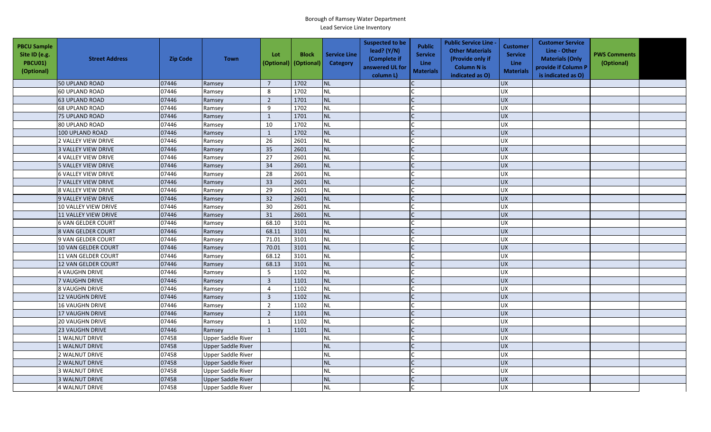| <b>PBCU Sample</b><br>Site ID (e.g.<br><b>PBCU01)</b><br>(Optional) | <b>Street Address</b>      | <b>Zip Code</b> | <b>Town</b>               | Lot<br>(Optional) | <b>Block</b><br>(Optional) | <b>Service Line</b><br><b>Category</b> | <b>Suspected to be</b><br>lead? $(Y/N)$<br>(Complete if<br>answered UL for<br>column L) | <b>Public</b><br><b>Service</b><br>Line<br><b>Materials</b> | <b>Public Service Line -</b><br><b>Other Materials</b><br>(Provide only if<br><b>Column N is</b><br>indicated as O) | <b>Customer</b><br><b>Service</b><br><b>Line</b><br><b>Materials</b> | <b>Customer Service</b><br>Line - Other<br><b>Materials (Only</b><br>provide if Column P<br>is indicated as O) | <b>PWS Comments</b><br>(Optional) |  |
|---------------------------------------------------------------------|----------------------------|-----------------|---------------------------|-------------------|----------------------------|----------------------------------------|-----------------------------------------------------------------------------------------|-------------------------------------------------------------|---------------------------------------------------------------------------------------------------------------------|----------------------------------------------------------------------|----------------------------------------------------------------------------------------------------------------|-----------------------------------|--|
|                                                                     | 50 UPLAND ROAD             | 07446           | Ramsey                    | $\overline{7}$    | 1702                       | <b>NL</b>                              |                                                                                         |                                                             |                                                                                                                     | <b>UX</b>                                                            |                                                                                                                |                                   |  |
|                                                                     | <b>60 UPLAND ROAD</b>      | 07446           | Ramsey                    | 8                 | 1702                       | <b>NL</b>                              |                                                                                         |                                                             |                                                                                                                     | <b>UX</b>                                                            |                                                                                                                |                                   |  |
|                                                                     | <b>63 UPLAND ROAD</b>      | 07446           | Ramsey                    | $\overline{2}$    | 1701                       | <b>NL</b>                              |                                                                                         |                                                             |                                                                                                                     | <b>UX</b>                                                            |                                                                                                                |                                   |  |
|                                                                     | <b>68 UPLAND ROAD</b>      | 07446           | Ramsey                    | 9                 | 1702                       | <b>NL</b>                              |                                                                                         |                                                             |                                                                                                                     | <b>UX</b>                                                            |                                                                                                                |                                   |  |
|                                                                     | <b>75 UPLAND ROAD</b>      | 07446           | Ramsey                    | 1                 | 1701                       | <b>NL</b>                              |                                                                                         |                                                             |                                                                                                                     | <b>UX</b>                                                            |                                                                                                                |                                   |  |
|                                                                     | <b>80 UPLAND ROAD</b>      | 07446           | Ramsey                    | 10                | 1702                       | <b>NL</b>                              |                                                                                         |                                                             |                                                                                                                     | <b>UX</b>                                                            |                                                                                                                |                                   |  |
|                                                                     | 100 UPLAND ROAD            | 07446           | Ramsey                    | 1                 | 1702                       | <b>NL</b>                              |                                                                                         |                                                             |                                                                                                                     | <b>UX</b>                                                            |                                                                                                                |                                   |  |
|                                                                     | 2 VALLEY VIEW DRIVE        | 07446           | Ramsey                    | 26                | 2601                       | <b>NL</b>                              |                                                                                         |                                                             |                                                                                                                     | <b>UX</b>                                                            |                                                                                                                |                                   |  |
|                                                                     | 3 VALLEY VIEW DRIVE        | 07446           | Ramsey                    | 35                | 2601                       | <b>NL</b>                              |                                                                                         | $\mathsf{C}$                                                |                                                                                                                     | <b>UX</b>                                                            |                                                                                                                |                                   |  |
|                                                                     | 4 VALLEY VIEW DRIVE        | 07446           | Ramsey                    | 27                | 2601                       | <b>NL</b>                              |                                                                                         | $\mathsf{C}$                                                |                                                                                                                     | UX                                                                   |                                                                                                                |                                   |  |
|                                                                     | <b>5 VALLEY VIEW DRIVE</b> | 07446           | Ramsey                    | 34                | 2601                       | <b>NL</b>                              |                                                                                         |                                                             |                                                                                                                     | <b>UX</b>                                                            |                                                                                                                |                                   |  |
|                                                                     | <b>6 VALLEY VIEW DRIVE</b> | 07446           | Ramsey                    | 28                | 2601                       | <b>NL</b>                              |                                                                                         |                                                             |                                                                                                                     | UX                                                                   |                                                                                                                |                                   |  |
|                                                                     | 7 VALLEY VIEW DRIVE        | 07446           | Ramsey                    | 33                | 2601                       | <b>NL</b>                              |                                                                                         |                                                             |                                                                                                                     | <b>UX</b>                                                            |                                                                                                                |                                   |  |
|                                                                     | <b>8 VALLEY VIEW DRIVE</b> | 07446           | Ramsey                    | 29                | 2601                       | <b>NL</b>                              |                                                                                         |                                                             |                                                                                                                     | <b>UX</b>                                                            |                                                                                                                |                                   |  |
|                                                                     | 9 VALLEY VIEW DRIVE        | 07446           | Ramsey                    | 32                | 2601                       | <b>NL</b>                              |                                                                                         |                                                             |                                                                                                                     | <b>ZD</b>                                                            |                                                                                                                |                                   |  |
|                                                                     | 10 VALLEY VIEW DRIVE       | 07446           | Ramsey                    | 30                | 2601                       | <b>NL</b>                              |                                                                                         |                                                             |                                                                                                                     | <b>UX</b>                                                            |                                                                                                                |                                   |  |
|                                                                     | 11 VALLEY VIEW DRIVE       | 07446           | Ramsey                    | 31                | 2601                       | <b>NL</b>                              |                                                                                         |                                                             |                                                                                                                     | <b>UX</b>                                                            |                                                                                                                |                                   |  |
|                                                                     | <b>6 VAN GELDER COURT</b>  | 07446           | Ramsey                    | 68.10             | 3101                       | <b>NL</b>                              |                                                                                         |                                                             |                                                                                                                     | <b>UX</b>                                                            |                                                                                                                |                                   |  |
|                                                                     | 8 VAN GELDER COURT         | 07446           | Ramsey                    | 68.11             | 3101                       | <b>NL</b>                              |                                                                                         |                                                             |                                                                                                                     | <b>UX</b>                                                            |                                                                                                                |                                   |  |
|                                                                     | 9 VAN GELDER COURT         | 07446           | Ramsey                    | 71.01             | 3101                       | <b>NL</b>                              |                                                                                         |                                                             |                                                                                                                     | <b>UX</b>                                                            |                                                                                                                |                                   |  |
|                                                                     | 10 VAN GELDER COURT        | 07446           | Ramsey                    | 70.01             | 3101                       | <b>NL</b>                              |                                                                                         |                                                             |                                                                                                                     | <b>UX</b>                                                            |                                                                                                                |                                   |  |
|                                                                     | 11 VAN GELDER COURT        | 07446           | Ramsey                    | 68.12             | 3101                       | <b>NL</b>                              |                                                                                         |                                                             |                                                                                                                     | <b>UX</b>                                                            |                                                                                                                |                                   |  |
|                                                                     | 12 VAN GELDER COURT        | 07446           | Ramsey                    | 68.13             | 3101                       | <b>NL</b>                              |                                                                                         |                                                             |                                                                                                                     | <b>UX</b>                                                            |                                                                                                                |                                   |  |
|                                                                     | <b>4 VAUGHN DRIVE</b>      | 07446           | Ramsey                    | 5                 | 1102                       | <b>NL</b>                              |                                                                                         |                                                             |                                                                                                                     | <b>UX</b>                                                            |                                                                                                                |                                   |  |
|                                                                     | <b>7 VAUGHN DRIVE</b>      | 07446           | Ramsey                    | $\mathbf{3}$      | 1101                       | <b>NL</b>                              |                                                                                         |                                                             |                                                                                                                     | <b>UX</b>                                                            |                                                                                                                |                                   |  |
|                                                                     | <b>8 VAUGHN DRIVE</b>      | 07446           | Ramsey                    | $\overline{4}$    | 1102                       | <b>NL</b>                              |                                                                                         |                                                             |                                                                                                                     | <b>UX</b>                                                            |                                                                                                                |                                   |  |
|                                                                     | <b>12 VAUGHN DRIVE</b>     | 07446           | Ramsey                    | $\mathbf{3}$      | 1102                       | <b>NL</b>                              |                                                                                         |                                                             |                                                                                                                     | <b>UX</b>                                                            |                                                                                                                |                                   |  |
|                                                                     | <b>16 VAUGHN DRIVE</b>     | 07446           | Ramsey                    | $\overline{2}$    | 1102                       | <b>NL</b>                              |                                                                                         |                                                             |                                                                                                                     | <b>UX</b>                                                            |                                                                                                                |                                   |  |
|                                                                     | 17 VAUGHN DRIVE            | 07446           | Ramsey                    | $\overline{2}$    | 1101                       | <b>NL</b>                              |                                                                                         |                                                             |                                                                                                                     | <b>UX</b>                                                            |                                                                                                                |                                   |  |
|                                                                     | <b>20 VAUGHN DRIVE</b>     | 07446           | Ramsey                    | $\mathbf{1}$      | 1102                       | <b>NL</b>                              |                                                                                         |                                                             |                                                                                                                     | <b>UX</b>                                                            |                                                                                                                |                                   |  |
|                                                                     | <b>23 VAUGHN DRIVE</b>     | 07446           | Ramsey                    | $\mathbf{1}$      | 1101                       | <b>NL</b>                              |                                                                                         |                                                             |                                                                                                                     | <b>UX</b>                                                            |                                                                                                                |                                   |  |
|                                                                     | 1 WALNUT DRIVE             | 07458           | <b>Upper Saddle River</b> |                   |                            | <b>NL</b>                              |                                                                                         | $\mathsf{C}$                                                |                                                                                                                     | <b>UX</b>                                                            |                                                                                                                |                                   |  |
|                                                                     | 1 WALNUT DRIVE             | 07458           | <b>Upper Saddle River</b> |                   |                            | <b>NL</b>                              |                                                                                         |                                                             |                                                                                                                     | <b>UX</b>                                                            |                                                                                                                |                                   |  |
|                                                                     | 2 WALNUT DRIVE             | 07458           | <b>Upper Saddle River</b> |                   |                            | <b>NL</b>                              |                                                                                         |                                                             |                                                                                                                     | <b>UX</b>                                                            |                                                                                                                |                                   |  |
|                                                                     | 2 WALNUT DRIVE             | 07458           | <b>Upper Saddle River</b> |                   |                            | <b>NL</b>                              |                                                                                         |                                                             |                                                                                                                     | <b>UX</b>                                                            |                                                                                                                |                                   |  |
|                                                                     | <b>3 WALNUT DRIVE</b>      | 07458           | <b>Upper Saddle River</b> |                   |                            | <b>NL</b>                              |                                                                                         |                                                             |                                                                                                                     | <b>UX</b>                                                            |                                                                                                                |                                   |  |
|                                                                     | <b>3 WALNUT DRIVE</b>      | 07458           | <b>Upper Saddle River</b> |                   |                            | <b>NL</b>                              |                                                                                         |                                                             |                                                                                                                     | <b>ND</b>                                                            |                                                                                                                |                                   |  |
|                                                                     | <b>4 WALNUT DRIVE</b>      | 07458           | <b>Upper Saddle River</b> |                   |                            | <b>NL</b>                              |                                                                                         |                                                             |                                                                                                                     | <b>UX</b>                                                            |                                                                                                                |                                   |  |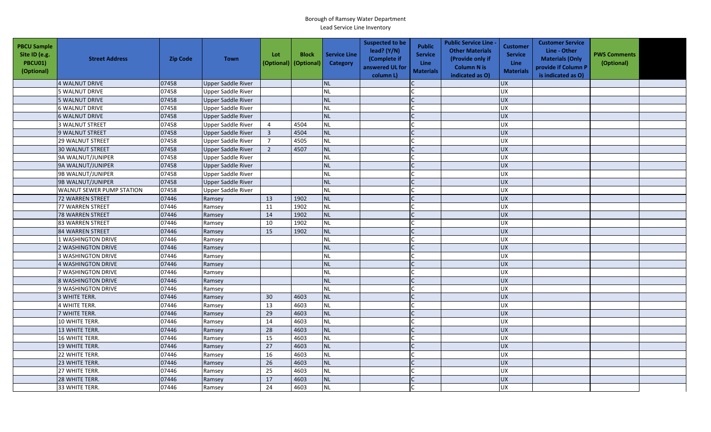| <b>PBCU Sample</b><br>Site ID (e.g.<br>PBCU01)<br>(Optional) | <b>Street Address</b>     | <b>Zip Code</b> | <b>Town</b>               | Lot<br>(Optional) (Optional) | <b>Block</b> | <b>Service Line</b><br>Category | <b>Suspected to be</b><br>lead? $(Y/N)$<br>(Complete if<br>answered UL for<br>column L) | <b>Public</b><br><b>Service</b><br><b>Line</b><br><b>Materials</b> | <b>Public Service Line -</b><br><b>Other Materials</b><br>(Provide only if<br><b>Column N is</b><br>indicated as O) | Customer<br><b>Service</b><br><b>Line</b><br><b>Materials</b> | <b>Customer Service</b><br>Line - Other<br><b>Materials (Only</b><br>provide if Column P<br>is indicated as O) | <b>PWS Comments</b><br>(Optional) |  |
|--------------------------------------------------------------|---------------------------|-----------------|---------------------------|------------------------------|--------------|---------------------------------|-----------------------------------------------------------------------------------------|--------------------------------------------------------------------|---------------------------------------------------------------------------------------------------------------------|---------------------------------------------------------------|----------------------------------------------------------------------------------------------------------------|-----------------------------------|--|
|                                                              | 4 WALNUT DRIVE            | 07458           | <b>Upper Saddle River</b> |                              |              | <b>NL</b>                       |                                                                                         |                                                                    |                                                                                                                     | <b>UX</b>                                                     |                                                                                                                |                                   |  |
|                                                              | 5 WALNUT DRIVE            | 07458           | <b>Upper Saddle River</b> |                              |              | <b>NL</b>                       |                                                                                         |                                                                    |                                                                                                                     | <b>UX</b>                                                     |                                                                                                                |                                   |  |
|                                                              | 5 WALNUT DRIVE            | 07458           | Upper Saddle River        |                              |              | <b>NL</b>                       |                                                                                         |                                                                    |                                                                                                                     | UX                                                            |                                                                                                                |                                   |  |
|                                                              | <b>6 WALNUT DRIVE</b>     | 07458           | <b>Upper Saddle River</b> |                              |              | <b>NL</b>                       |                                                                                         |                                                                    |                                                                                                                     | <b>UX</b>                                                     |                                                                                                                |                                   |  |
|                                                              | <b>6 WALNUT DRIVE</b>     | 07458           | <b>Upper Saddle River</b> |                              |              | <b>NL</b>                       |                                                                                         |                                                                    |                                                                                                                     | <b>UX</b>                                                     |                                                                                                                |                                   |  |
|                                                              | 3 WALNUT STREET           | 07458           | <b>Upper Saddle River</b> | $\overline{4}$               | 4504         | <b>NL</b>                       |                                                                                         |                                                                    |                                                                                                                     | <b>UX</b>                                                     |                                                                                                                |                                   |  |
|                                                              | 9 WALNUT STREET           | 07458           | <b>Upper Saddle River</b> | $\overline{3}$               | 4504         | <b>NL</b>                       |                                                                                         |                                                                    |                                                                                                                     | <b>UX</b>                                                     |                                                                                                                |                                   |  |
|                                                              | 29 WALNUT STREET          | 07458           | <b>Upper Saddle River</b> | $\overline{7}$               | 4505         | <b>NL</b>                       |                                                                                         |                                                                    |                                                                                                                     | UX                                                            |                                                                                                                |                                   |  |
|                                                              | 30 WALNUT STREET          | 07458           | <b>Upper Saddle River</b> | $\overline{2}$               | 4507         | <b>NL</b>                       |                                                                                         |                                                                    |                                                                                                                     | <b>UX</b>                                                     |                                                                                                                |                                   |  |
|                                                              | 9A WALNUT/JUNIPER         | 07458           | <b>Upper Saddle River</b> |                              |              | <b>NL</b>                       |                                                                                         |                                                                    |                                                                                                                     | UX                                                            |                                                                                                                |                                   |  |
|                                                              | 9A WALNUT/JUNIPER         | 07458           | <b>Upper Saddle River</b> |                              |              | <b>NL</b>                       |                                                                                         |                                                                    |                                                                                                                     | UX                                                            |                                                                                                                |                                   |  |
|                                                              | 9B WALNUT/JUNIPER         | 07458           | <b>Upper Saddle River</b> |                              |              | <b>NL</b>                       |                                                                                         |                                                                    |                                                                                                                     | UX                                                            |                                                                                                                |                                   |  |
|                                                              | 9B WALNUT/JUNIPER         | 07458           | <b>Upper Saddle River</b> |                              |              | <b>NL</b>                       |                                                                                         |                                                                    |                                                                                                                     | <b>UX</b>                                                     |                                                                                                                |                                   |  |
|                                                              | WALNUT SEWER PUMP STATION | 07458           | <b>Upper Saddle River</b> |                              |              | <b>NL</b>                       |                                                                                         |                                                                    |                                                                                                                     | UX                                                            |                                                                                                                |                                   |  |
|                                                              | <b>72 WARREN STREET</b>   | 07446           | Ramsey                    | 13                           | 1902         | <b>NL</b>                       |                                                                                         |                                                                    |                                                                                                                     | UX                                                            |                                                                                                                |                                   |  |
|                                                              | 77 WARREN STREET          | 07446           | Ramsey                    | 11                           | 1902         | <b>NL</b>                       |                                                                                         |                                                                    |                                                                                                                     | <b>UX</b>                                                     |                                                                                                                |                                   |  |
|                                                              | <b>78 WARREN STREET</b>   | 07446           | Ramsey                    | 14                           | 1902         | NL                              |                                                                                         |                                                                    |                                                                                                                     | <b>UX</b>                                                     |                                                                                                                |                                   |  |
|                                                              | 83 WARREN STREET          | 07446           | Ramsey                    | 10                           | 1902         | <b>NL</b>                       |                                                                                         |                                                                    |                                                                                                                     | UX                                                            |                                                                                                                |                                   |  |
|                                                              | 84 WARREN STREET          | 07446           | Ramsey                    | 15                           | 1902         | <b>NL</b>                       |                                                                                         |                                                                    |                                                                                                                     | <b>UX</b>                                                     |                                                                                                                |                                   |  |
|                                                              | 1 WASHINGTON DRIVE        | 07446           | Ramsey                    |                              |              | <b>NL</b>                       |                                                                                         |                                                                    |                                                                                                                     | UX                                                            |                                                                                                                |                                   |  |
|                                                              | 2 WASHINGTON DRIVE        | 07446           | Ramsey                    |                              |              | <b>NL</b>                       |                                                                                         |                                                                    |                                                                                                                     | UX                                                            |                                                                                                                |                                   |  |
|                                                              | <b>3 WASHINGTON DRIVE</b> | 07446           | Ramsey                    |                              |              | <b>NL</b>                       |                                                                                         |                                                                    |                                                                                                                     | <b>UX</b>                                                     |                                                                                                                |                                   |  |
|                                                              | 4 WASHINGTON DRIVE        | 07446           | Ramsey                    |                              |              | <b>NL</b>                       |                                                                                         |                                                                    |                                                                                                                     | UX                                                            |                                                                                                                |                                   |  |
|                                                              | 7 WASHINGTON DRIVE        | 07446           | Ramsey                    |                              |              | <b>NL</b>                       |                                                                                         |                                                                    |                                                                                                                     | UX                                                            |                                                                                                                |                                   |  |
|                                                              | <b>8 WASHINGTON DRIVE</b> | 07446           | Ramsey                    |                              |              | <b>NL</b>                       |                                                                                         |                                                                    |                                                                                                                     | UX                                                            |                                                                                                                |                                   |  |
|                                                              | 9 WASHINGTON DRIVE        | 07446           | Ramsey                    |                              |              | <b>NL</b>                       |                                                                                         |                                                                    |                                                                                                                     | <b>UX</b>                                                     |                                                                                                                |                                   |  |
|                                                              | 3 WHITE TERR.             | 07446           | Ramsey                    | 30                           | 4603         | <b>NL</b>                       |                                                                                         |                                                                    |                                                                                                                     | <b>UX</b>                                                     |                                                                                                                |                                   |  |
|                                                              | 4 WHITE TERR.             | 07446           | Ramsey                    | 13                           | 4603         | <b>NL</b>                       |                                                                                         |                                                                    |                                                                                                                     | <b>UX</b>                                                     |                                                                                                                |                                   |  |
|                                                              | 7 WHITE TERR.             | 07446           | Ramsey                    | 29                           | 4603         | <b>NL</b>                       |                                                                                         |                                                                    |                                                                                                                     | <b>UX</b>                                                     |                                                                                                                |                                   |  |
|                                                              | 10 WHITE TERR.            | 07446           | Ramsey                    | 14                           | 4603         | <b>NL</b>                       |                                                                                         |                                                                    |                                                                                                                     | UX                                                            |                                                                                                                |                                   |  |
|                                                              | 13 WHITE TERR.            | 07446           | Ramsey                    | 28                           | 4603         | <b>NL</b>                       |                                                                                         |                                                                    |                                                                                                                     | <b>UX</b>                                                     |                                                                                                                |                                   |  |
|                                                              | 16 WHITE TERR.            | 07446           | Ramsey                    | 15                           | 4603         | <b>NL</b>                       |                                                                                         |                                                                    |                                                                                                                     | UX                                                            |                                                                                                                |                                   |  |
|                                                              | 19 WHITE TERR.            | 07446           | Ramsey                    | 27                           | 4603         | <b>NL</b>                       |                                                                                         |                                                                    |                                                                                                                     | <b>UX</b>                                                     |                                                                                                                |                                   |  |
|                                                              | 22 WHITE TERR.            | 07446           | Ramsey                    | 16                           | 4603         | <b>NL</b>                       |                                                                                         |                                                                    |                                                                                                                     | UX                                                            |                                                                                                                |                                   |  |
|                                                              | 23 WHITE TERR.            | 07446           | Ramsey                    | 26                           | 4603         | <b>NL</b>                       |                                                                                         |                                                                    |                                                                                                                     | <b>UX</b>                                                     |                                                                                                                |                                   |  |
|                                                              | 27 WHITE TERR.            | 07446           | Ramsey                    | 25                           | 4603         | <b>NL</b>                       |                                                                                         |                                                                    |                                                                                                                     | UX                                                            |                                                                                                                |                                   |  |
|                                                              | 28 WHITE TERR.            | 07446           | Ramsey                    | 17                           | 4603         | NL                              |                                                                                         |                                                                    |                                                                                                                     | <b>UX</b>                                                     |                                                                                                                |                                   |  |
|                                                              | 33 WHITE TERR.            | 07446           | Ramsey                    | 24                           | 4603         | <b>NL</b>                       |                                                                                         |                                                                    |                                                                                                                     | <b>UX</b>                                                     |                                                                                                                |                                   |  |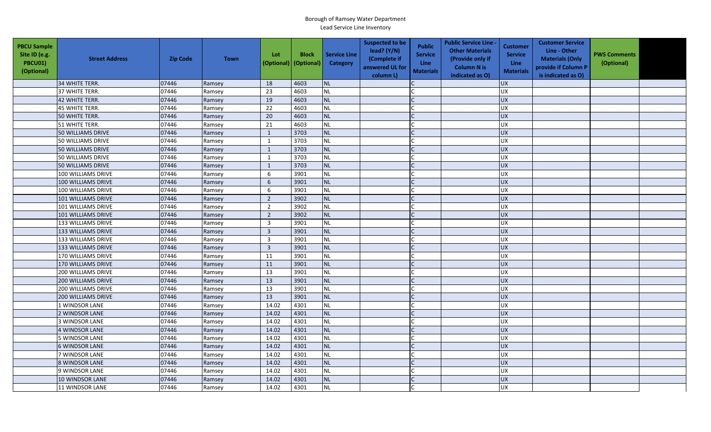| <b>PBCU Sample</b><br>Site ID (e.g.<br>PBCU01)<br>(Optional) | <b>Street Address</b>     | <b>Zip Code</b> | <b>Town</b> | Lot<br>(Optional) | <b>Block</b><br>(Optional) | <b>Service Line</b><br>Category | <b>Suspected to be</b><br>lead? $(Y/N)$<br>(Complete if<br>answered UL for<br>column L) | <b>Public</b><br><b>Service</b><br><b>Line</b><br><b>Materials</b> | <b>Public Service Line -</b><br><b>Other Materials</b><br>(Provide only if<br><b>Column N is</b><br>indicated as O) | <b>Customer</b><br><b>Service</b><br>Line<br><b>Materials</b> | <b>Customer Service</b><br>Line - Other<br><b>Materials (Only</b><br>provide if Column P<br>is indicated as O) | <b>PWS Comments</b><br>(Optional) |  |
|--------------------------------------------------------------|---------------------------|-----------------|-------------|-------------------|----------------------------|---------------------------------|-----------------------------------------------------------------------------------------|--------------------------------------------------------------------|---------------------------------------------------------------------------------------------------------------------|---------------------------------------------------------------|----------------------------------------------------------------------------------------------------------------|-----------------------------------|--|
|                                                              | 34 WHITE TERR.            | 07446           | Ramsey      | 18                | 4603                       | <b>NL</b>                       |                                                                                         |                                                                    |                                                                                                                     | <b>UX</b>                                                     |                                                                                                                |                                   |  |
|                                                              | 37 WHITE TERR.            | 07446           | Ramsey      | 23                | 4603                       | <b>NL</b>                       |                                                                                         |                                                                    |                                                                                                                     | <b>UX</b>                                                     |                                                                                                                |                                   |  |
|                                                              | 42 WHITE TERR.            | 07446           | Ramsey      | 19                | 4603                       | <b>NL</b>                       |                                                                                         |                                                                    |                                                                                                                     | <b>UX</b>                                                     |                                                                                                                |                                   |  |
|                                                              | 45 WHITE TERR.            | 07446           | Ramsey      | 22                | 4603                       | <b>NL</b>                       |                                                                                         |                                                                    |                                                                                                                     | UX                                                            |                                                                                                                |                                   |  |
|                                                              | 50 WHITE TERR.            | 07446           | Ramsey      | 20                | 4603                       | <b>NL</b>                       |                                                                                         |                                                                    |                                                                                                                     | <b>UX</b>                                                     |                                                                                                                |                                   |  |
|                                                              | 51 WHITE TERR.            | 07446           | Ramsey      | 21                | 4603                       | <b>NL</b>                       |                                                                                         |                                                                    |                                                                                                                     | <b>UX</b>                                                     |                                                                                                                |                                   |  |
|                                                              | 50 WILLIAMS DRIVE         | 07446           | Ramsey      | 1                 | 3703                       | <b>NL</b>                       |                                                                                         | $\mathsf{C}$                                                       |                                                                                                                     | <b>UX</b>                                                     |                                                                                                                |                                   |  |
|                                                              | 50 WILLIAMS DRIVE         | 07446           | Ramsey      | $\mathbf{1}$      | 3703                       | <b>NL</b>                       |                                                                                         |                                                                    |                                                                                                                     | <b>UX</b>                                                     |                                                                                                                |                                   |  |
|                                                              | 50 WILLIAMS DRIVE         | 07446           | Ramsey      | 1                 | 3703                       | <b>NL</b>                       |                                                                                         |                                                                    |                                                                                                                     | <b>UX</b>                                                     |                                                                                                                |                                   |  |
|                                                              | 50 WILLIAMS DRIVE         | 07446           | Ramsey      | 1                 | 3703                       | NL                              |                                                                                         |                                                                    |                                                                                                                     | UX                                                            |                                                                                                                |                                   |  |
|                                                              | 50 WILLIAMS DRIVE         | 07446           | Ramsey      | 1                 | 3703                       | <b>NL</b>                       |                                                                                         | C                                                                  |                                                                                                                     | <b>UX</b>                                                     |                                                                                                                |                                   |  |
|                                                              | 100 WILLIAMS DRIVE        | 07446           | Ramsey      | 6                 | 3901                       | <b>NL</b>                       |                                                                                         |                                                                    |                                                                                                                     | <b>UX</b>                                                     |                                                                                                                |                                   |  |
|                                                              | 100 WILLIAMS DRIVE        | 07446           | Ramsey      | 6                 | 3901                       | <b>NL</b>                       |                                                                                         |                                                                    |                                                                                                                     | <b>UX</b>                                                     |                                                                                                                |                                   |  |
|                                                              | 100 WILLIAMS DRIVE        | 07446           | Ramsey      | 6                 | 3901                       | <b>NL</b>                       |                                                                                         |                                                                    |                                                                                                                     | <b>UX</b>                                                     |                                                                                                                |                                   |  |
|                                                              | 101 WILLIAMS DRIVE        | 07446           | Ramsey      | $\overline{2}$    | 3902                       | <b>NL</b>                       |                                                                                         |                                                                    |                                                                                                                     | <b>UX</b>                                                     |                                                                                                                |                                   |  |
|                                                              | 101 WILLIAMS DRIVE        | 07446           | Ramsey      | $\overline{2}$    | 3902                       | <b>NL</b>                       |                                                                                         |                                                                    |                                                                                                                     | <b>UX</b>                                                     |                                                                                                                |                                   |  |
|                                                              | 101 WILLIAMS DRIVE        | 07446           | Ramsey      | $\sqrt{2}$        | 3902                       | <b>NL</b>                       |                                                                                         |                                                                    |                                                                                                                     | UX                                                            |                                                                                                                |                                   |  |
|                                                              | 133 WILLIAMS DRIVE        | 07446           | Ramsey      | $\overline{3}$    | 3901                       | <b>NL</b>                       |                                                                                         |                                                                    |                                                                                                                     | UX                                                            |                                                                                                                |                                   |  |
|                                                              | <b>133 WILLIAMS DRIVE</b> | 07446           | Ramsey      | $\mathbf{3}$      | 3901                       | <b>NL</b>                       |                                                                                         |                                                                    |                                                                                                                     | <b>UX</b>                                                     |                                                                                                                |                                   |  |
|                                                              | 133 WILLIAMS DRIVE        | 07446           | Ramsey      | $\overline{3}$    | 3901                       | <b>NL</b>                       |                                                                                         |                                                                    |                                                                                                                     | <b>UX</b>                                                     |                                                                                                                |                                   |  |
|                                                              | 133 WILLIAMS DRIVE        | 07446           | Ramsey      | $\overline{3}$    | 3901                       | <b>NL</b>                       |                                                                                         |                                                                    |                                                                                                                     | <b>UX</b>                                                     |                                                                                                                |                                   |  |
|                                                              | 170 WILLIAMS DRIVE        | 07446           | Ramsey      | 11                | 3901                       | <b>NL</b>                       |                                                                                         |                                                                    |                                                                                                                     | <b>UX</b>                                                     |                                                                                                                |                                   |  |
|                                                              | 170 WILLIAMS DRIVE        | 07446           | Ramsey      | 11                | 3901                       | <b>NL</b>                       |                                                                                         |                                                                    |                                                                                                                     | UX                                                            |                                                                                                                |                                   |  |
|                                                              | 200 WILLIAMS DRIVE        | 07446           | Ramsey      | 13                | 3901                       | <b>NL</b>                       |                                                                                         |                                                                    |                                                                                                                     | <b>UX</b>                                                     |                                                                                                                |                                   |  |
|                                                              | 200 WILLIAMS DRIVE        | 07446           | Ramsey      | 13                | 3901                       | <b>NL</b>                       |                                                                                         |                                                                    |                                                                                                                     | UX                                                            |                                                                                                                |                                   |  |
|                                                              | 200 WILLIAMS DRIVE        | 07446           | Ramsey      | 13                | 3901                       | <b>NL</b>                       |                                                                                         |                                                                    |                                                                                                                     | <b>UX</b>                                                     |                                                                                                                |                                   |  |
|                                                              | 200 WILLIAMS DRIVE        | 07446           | Ramsey      | 13                | 3901                       | <b>NL</b>                       |                                                                                         |                                                                    |                                                                                                                     | UX                                                            |                                                                                                                |                                   |  |
|                                                              | 1 WINDSOR LANE            | 07446           | Ramsey      | 14.02             | 4301                       | <b>NL</b>                       |                                                                                         |                                                                    |                                                                                                                     | <b>UX</b>                                                     |                                                                                                                |                                   |  |
|                                                              | <b>2 WINDSOR LANE</b>     | 07446           | Ramsey      | 14.02             | 4301                       | <b>NL</b>                       |                                                                                         |                                                                    |                                                                                                                     | <b>UX</b>                                                     |                                                                                                                |                                   |  |
|                                                              | 3 WINDSOR LANE            | 07446           | Ramsey      | 14.02             | 4301                       | <b>NL</b>                       |                                                                                         |                                                                    |                                                                                                                     | UX                                                            |                                                                                                                |                                   |  |
|                                                              | 4 WINDSOR LANE            | 07446           | Ramsey      | 14.02             | 4301                       | <b>NL</b>                       |                                                                                         |                                                                    |                                                                                                                     | <b>UX</b>                                                     |                                                                                                                |                                   |  |
|                                                              | 5 WINDSOR LANE            | 07446           | Ramsey      | 14.02             | 4301                       | NL                              |                                                                                         |                                                                    |                                                                                                                     | UX                                                            |                                                                                                                |                                   |  |
|                                                              | <b>6 WINDSOR LANE</b>     | 07446           | Ramsey      | 14.02             | 4301                       | <b>NL</b>                       |                                                                                         |                                                                    |                                                                                                                     | <b>UX</b>                                                     |                                                                                                                |                                   |  |
|                                                              | 7 WINDSOR LANE            | 07446           | Ramsey      | 14.02             | 4301                       | <b>NL</b>                       |                                                                                         |                                                                    |                                                                                                                     | <b>UX</b>                                                     |                                                                                                                |                                   |  |
|                                                              | <b>8 WINDSOR LANE</b>     | 07446           | Ramsey      | 14.02             | 4301                       | <b>NL</b>                       |                                                                                         |                                                                    |                                                                                                                     | <b>UX</b>                                                     |                                                                                                                |                                   |  |
|                                                              | 9 WINDSOR LANE            | 07446           | Ramsey      | 14.02             | 4301                       | <b>NL</b>                       |                                                                                         |                                                                    |                                                                                                                     | <b>UX</b>                                                     |                                                                                                                |                                   |  |
|                                                              | <b>10 WINDSOR LANE</b>    | 07446           | Ramsey      | 14.02             | 4301                       | <b>NL</b>                       |                                                                                         |                                                                    |                                                                                                                     | UX                                                            |                                                                                                                |                                   |  |
|                                                              | <b>11 WINDSOR LANE</b>    | 07446           | Ramsey      | 14.02             | 4301                       | NL                              |                                                                                         |                                                                    |                                                                                                                     | <b>UX</b>                                                     |                                                                                                                |                                   |  |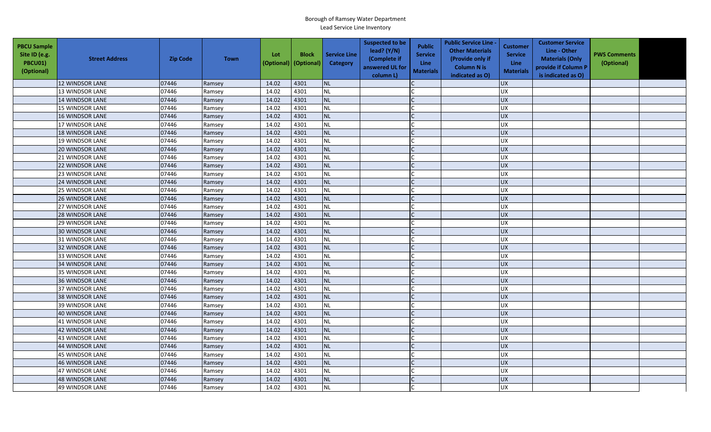| <b>PBCU Sample</b><br>Site ID (e.g.<br><b>PBCU01)</b><br>(Optional) | <b>Street Address</b>  | <b>Zip Code</b> | <b>Town</b> | Lot<br>(Optional) | <b>Block</b><br>(Optional) | <b>Service Line</b><br><b>Category</b> | <b>Suspected to be</b><br>lead? (Y/N)<br>(Complete if<br>answered UL for<br>column L) | <b>Public</b><br><b>Service</b><br><b>Line</b><br><b>Materials</b> | <b>Public Service Line -</b><br><b>Other Materials</b><br>(Provide only if<br><b>Column N is</b><br>indicated as O) | Customer<br><b>Service</b><br>Line<br><b>Materials</b> | <b>Customer Service</b><br>Line - Other<br><b>Materials (Only</b><br>provide if Column P<br>is indicated as O) | <b>PWS Comments</b><br>(Optional) |  |
|---------------------------------------------------------------------|------------------------|-----------------|-------------|-------------------|----------------------------|----------------------------------------|---------------------------------------------------------------------------------------|--------------------------------------------------------------------|---------------------------------------------------------------------------------------------------------------------|--------------------------------------------------------|----------------------------------------------------------------------------------------------------------------|-----------------------------------|--|
|                                                                     | <b>12 WINDSOR LANE</b> | 07446           | Ramsey      | 14.02             | 4301                       | <b>NL</b>                              |                                                                                       |                                                                    |                                                                                                                     | <b>UX</b>                                              |                                                                                                                |                                   |  |
|                                                                     | 13 WINDSOR LANE        | 07446           | Ramsey      | 14.02             | 4301                       | $\sf NL$                               |                                                                                       |                                                                    |                                                                                                                     | <b>UX</b>                                              |                                                                                                                |                                   |  |
|                                                                     | 14 WINDSOR LANE        | 07446           | Ramsey      | 14.02             | 4301                       | <b>NL</b>                              |                                                                                       |                                                                    |                                                                                                                     | <b>UX</b>                                              |                                                                                                                |                                   |  |
|                                                                     | <b>15 WINDSOR LANE</b> | 07446           | Ramsey      | 14.02             | 4301                       | <b>NL</b>                              |                                                                                       |                                                                    |                                                                                                                     | <b>UX</b>                                              |                                                                                                                |                                   |  |
|                                                                     | 16 WINDSOR LANE        | 07446           | Ramsey      | 14.02             | 4301                       | <b>NL</b>                              |                                                                                       |                                                                    |                                                                                                                     | <b>UX</b>                                              |                                                                                                                |                                   |  |
|                                                                     | 17 WINDSOR LANE        | 07446           | Ramsey      | 14.02             | 4301                       | NL                                     |                                                                                       |                                                                    |                                                                                                                     | <b>UX</b>                                              |                                                                                                                |                                   |  |
|                                                                     | 18 WINDSOR LANE        | 07446           | Ramsey      | 14.02             | 4301                       | <b>NL</b>                              |                                                                                       |                                                                    |                                                                                                                     | <b>UX</b>                                              |                                                                                                                |                                   |  |
|                                                                     | 19 WINDSOR LANE        | 07446           | Ramsey      | 14.02             | 4301                       | <b>NL</b>                              |                                                                                       |                                                                    |                                                                                                                     | <b>UX</b>                                              |                                                                                                                |                                   |  |
|                                                                     | 20 WINDSOR LANE        | 07446           | Ramsey      | 14.02             | 4301                       | NL                                     |                                                                                       |                                                                    |                                                                                                                     | <b>UX</b>                                              |                                                                                                                |                                   |  |
|                                                                     | 21 WINDSOR LANE        | 07446           | Ramsey      | 14.02             | 4301                       | NL                                     |                                                                                       |                                                                    |                                                                                                                     | UX                                                     |                                                                                                                |                                   |  |
|                                                                     | <b>22 WINDSOR LANE</b> | 07446           | Ramsey      | 14.02             | 4301                       | NL                                     |                                                                                       |                                                                    |                                                                                                                     | <b>UX</b>                                              |                                                                                                                |                                   |  |
|                                                                     | 23 WINDSOR LANE        | 07446           | Ramsey      | 14.02             | 4301                       | <b>NL</b>                              |                                                                                       |                                                                    |                                                                                                                     | <b>UX</b>                                              |                                                                                                                |                                   |  |
|                                                                     | 24 WINDSOR LANE        | 07446           | Ramsey      | 14.02             | 4301                       | <b>NL</b>                              |                                                                                       |                                                                    |                                                                                                                     | <b>UX</b>                                              |                                                                                                                |                                   |  |
|                                                                     | 25 WINDSOR LANE        | 07446           | Ramsey      | 14.02             | 4301                       | NL                                     |                                                                                       |                                                                    |                                                                                                                     | <b>UX</b>                                              |                                                                                                                |                                   |  |
|                                                                     | <b>26 WINDSOR LANE</b> | 07446           | Ramsey      | 14.02             | 4301                       | <b>NL</b>                              |                                                                                       |                                                                    |                                                                                                                     | <b>UX</b>                                              |                                                                                                                |                                   |  |
|                                                                     | 27 WINDSOR LANE        | 07446           | Ramsey      | 14.02             | 4301                       | NL                                     |                                                                                       |                                                                    |                                                                                                                     | <b>UX</b>                                              |                                                                                                                |                                   |  |
|                                                                     | 28 WINDSOR LANE        | 07446           | Ramsey      | 14.02             | 4301                       | <b>NL</b>                              |                                                                                       |                                                                    |                                                                                                                     | <b>UX</b>                                              |                                                                                                                |                                   |  |
|                                                                     | 29 WINDSOR LANE        | 07446           | Ramsey      | 14.02             | 4301                       | NL                                     |                                                                                       |                                                                    |                                                                                                                     | UX                                                     |                                                                                                                |                                   |  |
|                                                                     | <b>30 WINDSOR LANE</b> | 07446           | Ramsey      | 14.02             | 4301                       | <b>NL</b>                              |                                                                                       |                                                                    |                                                                                                                     | <b>UX</b>                                              |                                                                                                                |                                   |  |
|                                                                     | 31 WINDSOR LANE        | 07446           | Ramsey      | 14.02             | 4301                       | <b>NL</b>                              |                                                                                       |                                                                    |                                                                                                                     | <b>UX</b>                                              |                                                                                                                |                                   |  |
|                                                                     | 32 WINDSOR LANE        | 07446           | Ramsey      | 14.02             | 4301                       | NL                                     |                                                                                       |                                                                    |                                                                                                                     | <b>UX</b>                                              |                                                                                                                |                                   |  |
|                                                                     | 33 WINDSOR LANE        | 07446           | Ramsey      | 14.02             | 4301                       | NL                                     |                                                                                       |                                                                    |                                                                                                                     | UX                                                     |                                                                                                                |                                   |  |
|                                                                     | <b>34 WINDSOR LANE</b> | 07446           | Ramsey      | 14.02             | 4301                       | <b>NL</b>                              |                                                                                       |                                                                    |                                                                                                                     | <b>UX</b>                                              |                                                                                                                |                                   |  |
|                                                                     | 35 WINDSOR LANE        | 07446           | Ramsey      | 14.02             | 4301                       | NL                                     |                                                                                       |                                                                    |                                                                                                                     | <b>UX</b>                                              |                                                                                                                |                                   |  |
|                                                                     | 36 WINDSOR LANE        | 07446           | Ramsey      | 14.02             | 4301                       | NL                                     |                                                                                       |                                                                    |                                                                                                                     | <b>UX</b>                                              |                                                                                                                |                                   |  |
|                                                                     | 37 WINDSOR LANE        | 07446           | Ramsey      | 14.02             | 4301                       | <b>NL</b>                              |                                                                                       |                                                                    |                                                                                                                     | <b>UX</b>                                              |                                                                                                                |                                   |  |
|                                                                     | 38 WINDSOR LANE        | 07446           | Ramsey      | 14.02             | 4301                       | <b>NL</b>                              |                                                                                       |                                                                    |                                                                                                                     | <b>UX</b>                                              |                                                                                                                |                                   |  |
|                                                                     | 39 WINDSOR LANE        | 07446           | Ramsey      | 14.02             | 4301                       | <b>NL</b>                              |                                                                                       |                                                                    |                                                                                                                     | <b>UX</b>                                              |                                                                                                                |                                   |  |
|                                                                     | 40 WINDSOR LANE        | 07446           | Ramsey      | 14.02             | 4301                       | <b>NL</b>                              |                                                                                       |                                                                    |                                                                                                                     | <b>UX</b>                                              |                                                                                                                |                                   |  |
|                                                                     | 41 WINDSOR LANE        | 07446           | Ramsey      | 14.02             | 4301                       | NL                                     |                                                                                       |                                                                    |                                                                                                                     | <b>UX</b>                                              |                                                                                                                |                                   |  |
|                                                                     | 42 WINDSOR LANE        | 07446           | Ramsey      | 14.02             | 4301                       | <b>NL</b>                              |                                                                                       |                                                                    |                                                                                                                     | <b>UX</b>                                              |                                                                                                                |                                   |  |
|                                                                     | 43 WINDSOR LANE        | 07446           | Ramsey      | 14.02             | 4301                       | $\sf NL$                               |                                                                                       |                                                                    |                                                                                                                     | UX                                                     |                                                                                                                |                                   |  |
|                                                                     | <b>44 WINDSOR LANE</b> | 07446           | Ramsey      | 14.02             | 4301                       | <b>NL</b>                              |                                                                                       |                                                                    |                                                                                                                     | <b>UX</b>                                              |                                                                                                                |                                   |  |
|                                                                     | <b>45 WINDSOR LANE</b> | 07446           | Ramsey      | 14.02             | 4301                       | <b>NL</b>                              |                                                                                       |                                                                    |                                                                                                                     | <b>UX</b>                                              |                                                                                                                |                                   |  |
|                                                                     | <b>46 WINDSOR LANE</b> | 07446           | Ramsey      | 14.02             | 4301                       | NL                                     |                                                                                       |                                                                    |                                                                                                                     | <b>UX</b>                                              |                                                                                                                |                                   |  |
|                                                                     | 47 WINDSOR LANE        | 07446           | Ramsey      | 14.02             | 4301                       | NL                                     |                                                                                       |                                                                    |                                                                                                                     | <b>UX</b>                                              |                                                                                                                |                                   |  |
|                                                                     | <b>48 WINDSOR LANE</b> | 07446           | Ramsey      | 14.02             | 4301                       | <b>NL</b>                              |                                                                                       |                                                                    |                                                                                                                     | <b>UX</b>                                              |                                                                                                                |                                   |  |
|                                                                     | <b>49 WINDSOR LANE</b> | 07446           | Ramsey      | 14.02             | 4301                       | <b>NL</b>                              |                                                                                       |                                                                    |                                                                                                                     | <b>UX</b>                                              |                                                                                                                |                                   |  |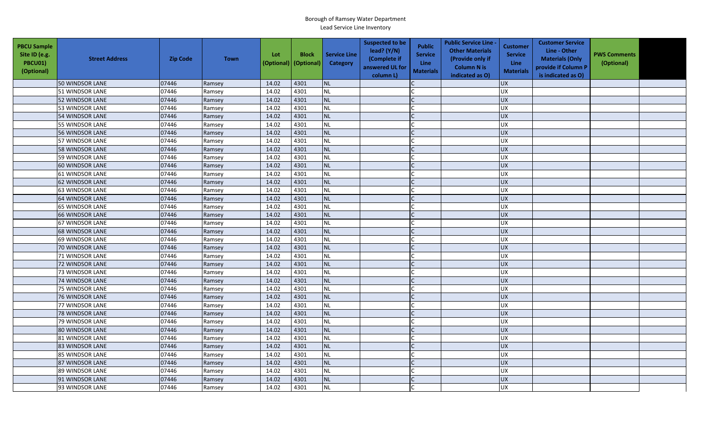| <b>PBCU Sample</b><br>Site ID (e.g.<br>PBCU01)<br>(Optional) | <b>Street Address</b>  | <b>Zip Code</b> | <b>Town</b> | Lot<br>(Optional) | <b>Block</b><br>(Optional) | <b>Service Line</b><br><b>Category</b> | <b>Suspected to be</b><br>lead? (Y/N)<br>(Complete if<br>answered UL for<br>column L) | <b>Public</b><br><b>Service</b><br><b>Line</b><br><b>Materials</b> | <b>Public Service Line -</b><br><b>Other Materials</b><br>(Provide only if<br><b>Column N is</b><br>indicated as O) | Customer<br><b>Service</b><br>Line<br><b>Materials</b> | <b>Customer Service</b><br>Line - Other<br><b>Materials (Only</b><br>provide if Column P<br>is indicated as O) | <b>PWS Comments</b><br>(Optional) |  |
|--------------------------------------------------------------|------------------------|-----------------|-------------|-------------------|----------------------------|----------------------------------------|---------------------------------------------------------------------------------------|--------------------------------------------------------------------|---------------------------------------------------------------------------------------------------------------------|--------------------------------------------------------|----------------------------------------------------------------------------------------------------------------|-----------------------------------|--|
|                                                              | 50 WINDSOR LANE        | 07446           | Ramsey      | 14.02             | 4301                       | <b>NL</b>                              |                                                                                       |                                                                    |                                                                                                                     | <b>UX</b>                                              |                                                                                                                |                                   |  |
|                                                              | 51 WINDSOR LANE        | 07446           | Ramsey      | 14.02             | 4301                       | <b>NL</b>                              |                                                                                       |                                                                    |                                                                                                                     | <b>UX</b>                                              |                                                                                                                |                                   |  |
|                                                              | <b>52 WINDSOR LANE</b> | 07446           | Ramsey      | 14.02             | 4301                       | <b>NL</b>                              |                                                                                       |                                                                    |                                                                                                                     | <b>UX</b>                                              |                                                                                                                |                                   |  |
|                                                              | 53 WINDSOR LANE        | 07446           | Ramsey      | 14.02             | 4301                       | <b>NL</b>                              |                                                                                       |                                                                    |                                                                                                                     | <b>UX</b>                                              |                                                                                                                |                                   |  |
|                                                              | 54 WINDSOR LANE        | 07446           | Ramsey      | 14.02             | 4301                       | <b>NL</b>                              |                                                                                       |                                                                    |                                                                                                                     | <b>UX</b>                                              |                                                                                                                |                                   |  |
|                                                              | 55 WINDSOR LANE        | 07446           | Ramsey      | 14.02             | 4301                       | <b>NL</b>                              |                                                                                       |                                                                    |                                                                                                                     | <b>UX</b>                                              |                                                                                                                |                                   |  |
|                                                              | 56 WINDSOR LANE        | 07446           | Ramsey      | 14.02             | 4301                       | <b>NL</b>                              |                                                                                       |                                                                    |                                                                                                                     | <b>UX</b>                                              |                                                                                                                |                                   |  |
|                                                              | 57 WINDSOR LANE        | 07446           | Ramsey      | 14.02             | 4301                       | <b>NL</b>                              |                                                                                       |                                                                    |                                                                                                                     | <b>UX</b>                                              |                                                                                                                |                                   |  |
|                                                              | 58 WINDSOR LANE        | 07446           | Ramsey      | 14.02             | 4301                       | <b>NL</b>                              |                                                                                       |                                                                    |                                                                                                                     | <b>UX</b>                                              |                                                                                                                |                                   |  |
|                                                              | 59 WINDSOR LANE        | 07446           | Ramsey      | 14.02             | 4301                       | <b>NL</b>                              |                                                                                       |                                                                    |                                                                                                                     | UX                                                     |                                                                                                                |                                   |  |
|                                                              | 60 WINDSOR LANE        | 07446           | Ramsey      | 14.02             | 4301                       | <b>NL</b>                              |                                                                                       |                                                                    |                                                                                                                     | <b>UX</b>                                              |                                                                                                                |                                   |  |
|                                                              | <b>61 WINDSOR LANE</b> | 07446           | Ramsey      | 14.02             | 4301                       | <b>NL</b>                              |                                                                                       |                                                                    |                                                                                                                     | <b>UX</b>                                              |                                                                                                                |                                   |  |
|                                                              | <b>62 WINDSOR LANE</b> | 07446           | Ramsey      | 14.02             | 4301                       | <b>NL</b>                              |                                                                                       |                                                                    |                                                                                                                     | <b>UX</b>                                              |                                                                                                                |                                   |  |
|                                                              | <b>63 WINDSOR LANE</b> | 07446           | Ramsey      | 14.02             | 4301                       | <b>NL</b>                              |                                                                                       |                                                                    |                                                                                                                     | <b>UX</b>                                              |                                                                                                                |                                   |  |
|                                                              | <b>64 WINDSOR LANE</b> | 07446           | Ramsey      | 14.02             | 4301                       | <b>NL</b>                              |                                                                                       |                                                                    |                                                                                                                     | <b>UX</b>                                              |                                                                                                                |                                   |  |
|                                                              | <b>65 WINDSOR LANE</b> | 07446           | Ramsey      | 14.02             | 4301                       | <b>NL</b>                              |                                                                                       |                                                                    |                                                                                                                     | <b>UX</b>                                              |                                                                                                                |                                   |  |
|                                                              | 66 WINDSOR LANE        | 07446           | Ramsey      | 14.02             | 4301                       | <b>NL</b>                              |                                                                                       |                                                                    |                                                                                                                     | UX                                                     |                                                                                                                |                                   |  |
|                                                              | 67 WINDSOR LANE        | 07446           | Ramsey      | 14.02             | 4301                       | <b>NL</b>                              |                                                                                       |                                                                    |                                                                                                                     | UX                                                     |                                                                                                                |                                   |  |
|                                                              | <b>68 WINDSOR LANE</b> | 07446           | Ramsey      | 14.02             | 4301                       | <b>NL</b>                              |                                                                                       |                                                                    |                                                                                                                     | <b>UX</b>                                              |                                                                                                                |                                   |  |
|                                                              | 69 WINDSOR LANE        | 07446           | Ramsey      | 14.02             | 4301                       | <b>NL</b>                              |                                                                                       |                                                                    |                                                                                                                     | <b>UX</b>                                              |                                                                                                                |                                   |  |
|                                                              | 70 WINDSOR LANE        | 07446           | Ramsey      | 14.02             | 4301                       | <b>NL</b>                              |                                                                                       |                                                                    |                                                                                                                     | <b>UX</b>                                              |                                                                                                                |                                   |  |
|                                                              | 71 WINDSOR LANE        | 07446           | Ramsey      | 14.02             | 4301                       | <b>NL</b>                              |                                                                                       |                                                                    |                                                                                                                     | <b>UX</b>                                              |                                                                                                                |                                   |  |
|                                                              | 72 WINDSOR LANE        | 07446           | Ramsey      | 14.02             | 4301                       | <b>NL</b>                              |                                                                                       |                                                                    |                                                                                                                     | UX                                                     |                                                                                                                |                                   |  |
|                                                              | 73 WINDSOR LANE        | 07446           | Ramsey      | 14.02             | 4301                       | <b>NL</b>                              |                                                                                       |                                                                    |                                                                                                                     | UX                                                     |                                                                                                                |                                   |  |
|                                                              | <b>74 WINDSOR LANE</b> | 07446           | Ramsey      | 14.02             | 4301                       | <b>NL</b>                              |                                                                                       |                                                                    |                                                                                                                     | <b>UX</b>                                              |                                                                                                                |                                   |  |
|                                                              | 75 WINDSOR LANE        | 07446           | Ramsey      | 14.02             | 4301                       | <b>NL</b>                              |                                                                                       |                                                                    |                                                                                                                     | <b>UX</b>                                              |                                                                                                                |                                   |  |
|                                                              | <b>76 WINDSOR LANE</b> | 07446           | Ramsey      | 14.02             | 4301                       | <b>NL</b>                              |                                                                                       |                                                                    |                                                                                                                     | UX                                                     |                                                                                                                |                                   |  |
|                                                              | 77 WINDSOR LANE        | 07446           | Ramsey      | 14.02             | 4301                       | <b>NL</b>                              |                                                                                       |                                                                    |                                                                                                                     | <b>UX</b>                                              |                                                                                                                |                                   |  |
|                                                              | 78 WINDSOR LANE        | 07446           | Ramsey      | 14.02             | 4301                       | <b>NL</b>                              |                                                                                       |                                                                    |                                                                                                                     | <b>UX</b>                                              |                                                                                                                |                                   |  |
|                                                              | 79 WINDSOR LANE        | 07446           | Ramsey      | 14.02             | 4301                       | <b>NL</b>                              |                                                                                       |                                                                    |                                                                                                                     | <b>UX</b>                                              |                                                                                                                |                                   |  |
|                                                              | 80 WINDSOR LANE        | 07446           | Ramsey      | 14.02             | 4301                       | <b>NL</b>                              |                                                                                       |                                                                    |                                                                                                                     | <b>UX</b>                                              |                                                                                                                |                                   |  |
|                                                              | 81 WINDSOR LANE        | 07446           | Ramsey      | 14.02             | 4301                       | <b>NL</b>                              |                                                                                       |                                                                    |                                                                                                                     | UX                                                     |                                                                                                                |                                   |  |
|                                                              | <b>83 WINDSOR LANE</b> | 07446           | Ramsey      | 14.02             | 4301                       | <b>NL</b>                              |                                                                                       |                                                                    |                                                                                                                     | <b>UX</b>                                              |                                                                                                                |                                   |  |
|                                                              | <b>85 WINDSOR LANE</b> | 07446           | Ramsey      | 14.02             | 4301                       | <b>NL</b>                              |                                                                                       |                                                                    |                                                                                                                     | <b>UX</b>                                              |                                                                                                                |                                   |  |
|                                                              | 87 WINDSOR LANE        | 07446           | Ramsey      | 14.02             | 4301                       | <b>NL</b>                              |                                                                                       |                                                                    |                                                                                                                     | <b>UX</b>                                              |                                                                                                                |                                   |  |
|                                                              | 89 WINDSOR LANE        | 07446           | Ramsey      | 14.02             | 4301                       | <b>NL</b>                              |                                                                                       |                                                                    |                                                                                                                     | <b>UX</b>                                              |                                                                                                                |                                   |  |
|                                                              | 91 WINDSOR LANE        | 07446           | Ramsey      | 14.02             | 4301                       | <b>NL</b>                              |                                                                                       |                                                                    |                                                                                                                     | UX                                                     |                                                                                                                |                                   |  |
|                                                              | 93 WINDSOR LANE        | 07446           | Ramsey      | 14.02             | 4301                       | <b>NL</b>                              |                                                                                       |                                                                    |                                                                                                                     | <b>UX</b>                                              |                                                                                                                |                                   |  |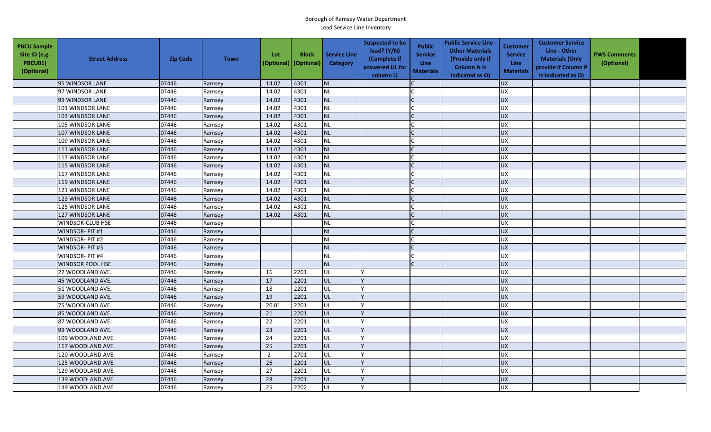| <b>PBCU Sample</b><br>Site ID (e.g.<br><b>PBCU01)</b><br>(Optional) | <b>Street Address</b>   | <b>Zip Code</b> | <b>Town</b> | Lot<br>(Optional) | <b>Block</b><br>(Optional) | <b>Service Line</b><br>Category | <b>Suspected to be</b><br>lead? (Y/N)<br>(Complete if<br>answered UL for<br>column L) | <b>Public</b><br><b>Service</b><br>Line<br><b>Materials</b> | <b>Public Service Line -</b><br><b>Other Materials</b><br>(Provide only if<br><b>Column N is</b><br>indicated as O) | <b>Customer</b><br><b>Service</b><br><b>Line</b><br><b>Materials</b> | <b>Customer Service</b><br>Line - Other<br><b>Materials (Only</b><br>provide if Column P<br>is indicated as O) | <b>PWS Comments</b><br>(Optional) |  |
|---------------------------------------------------------------------|-------------------------|-----------------|-------------|-------------------|----------------------------|---------------------------------|---------------------------------------------------------------------------------------|-------------------------------------------------------------|---------------------------------------------------------------------------------------------------------------------|----------------------------------------------------------------------|----------------------------------------------------------------------------------------------------------------|-----------------------------------|--|
|                                                                     | 95 WINDSOR LANE         | 07446           | Ramsey      | 14.02             | 4301                       | <b>NL</b>                       |                                                                                       |                                                             |                                                                                                                     | <b>UX</b>                                                            |                                                                                                                |                                   |  |
|                                                                     | 97 WINDSOR LANE         | 07446           | Ramsey      | 14.02             | 4301                       | <b>NL</b>                       |                                                                                       |                                                             |                                                                                                                     | <b>UX</b>                                                            |                                                                                                                |                                   |  |
|                                                                     | 99 WINDSOR LANE         | 07446           | Ramsey      | 14.02             | 4301                       | NL                              |                                                                                       |                                                             |                                                                                                                     | <b>UX</b>                                                            |                                                                                                                |                                   |  |
|                                                                     | 101 WINDSOR LANE        | 07446           | Ramsey      | 14.02             | 4301                       | <b>NL</b>                       |                                                                                       |                                                             |                                                                                                                     | UX                                                                   |                                                                                                                |                                   |  |
|                                                                     | 103 WINDSOR LANE        | 07446           | Ramsey      | 14.02             | 4301                       | <b>NL</b>                       |                                                                                       |                                                             |                                                                                                                     | <b>UX</b>                                                            |                                                                                                                |                                   |  |
|                                                                     | 105 WINDSOR LANE        | 07446           | Ramsey      | 14.02             | 4301                       | <b>NL</b>                       |                                                                                       |                                                             |                                                                                                                     | <b>UX</b>                                                            |                                                                                                                |                                   |  |
|                                                                     | 107 WINDSOR LANE        | 07446           | Ramsey      | 14.02             | 4301                       | <b>NL</b>                       |                                                                                       |                                                             |                                                                                                                     | <b>UX</b>                                                            |                                                                                                                |                                   |  |
|                                                                     | 109 WINDSOR LANE        | 07446           | Ramsey      | 14.02             | 4301                       | <b>NL</b>                       |                                                                                       |                                                             |                                                                                                                     | <b>UX</b>                                                            |                                                                                                                |                                   |  |
|                                                                     | 111 WINDSOR LANE        | 07446           | Ramsey      | 14.02             | 4301                       | <b>NL</b>                       |                                                                                       |                                                             |                                                                                                                     | UX                                                                   |                                                                                                                |                                   |  |
|                                                                     | 113 WINDSOR LANE        | 07446           | Ramsey      | 14.02             | 4301                       | <b>NL</b>                       |                                                                                       |                                                             |                                                                                                                     | <b>UX</b>                                                            |                                                                                                                |                                   |  |
|                                                                     | 115 WINDSOR LANE        | 07446           | Ramsey      | 14.02             | 4301                       | <b>NL</b>                       |                                                                                       |                                                             |                                                                                                                     | <b>UX</b>                                                            |                                                                                                                |                                   |  |
|                                                                     | 117 WINDSOR LANE        | 07446           | Ramsey      | 14.02             | 4301                       | NL                              |                                                                                       |                                                             |                                                                                                                     | <b>UX</b>                                                            |                                                                                                                |                                   |  |
|                                                                     | 119 WINDSOR LANE        | 07446           | Ramsey      | 14.02             | 4301                       | <b>NL</b>                       |                                                                                       |                                                             |                                                                                                                     | UX                                                                   |                                                                                                                |                                   |  |
|                                                                     | 121 WINDSOR LANE        | 07446           | Ramsey      | 14.02             | 4301                       | <b>NL</b>                       |                                                                                       |                                                             |                                                                                                                     | <b>UX</b>                                                            |                                                                                                                |                                   |  |
|                                                                     | 123 WINDSOR LANE        | 07446           | Ramsey      | 14.02             | 4301                       | <b>NL</b>                       |                                                                                       |                                                             |                                                                                                                     | UX                                                                   |                                                                                                                |                                   |  |
|                                                                     | 125 WINDSOR LANE        | 07446           | Ramsey      | 14.02             | 4301                       | <b>NL</b>                       |                                                                                       |                                                             |                                                                                                                     | <b>UX</b>                                                            |                                                                                                                |                                   |  |
|                                                                     | 127 WINDSOR LANE        | 07446           | Ramsey      | 14.02             | 4301                       | <b>NL</b>                       |                                                                                       |                                                             |                                                                                                                     | <b>UX</b>                                                            |                                                                                                                |                                   |  |
|                                                                     | WINDSOR-CLUB HSE        | 07446           | Ramsey      |                   |                            | <b>NL</b>                       |                                                                                       |                                                             |                                                                                                                     | UX                                                                   |                                                                                                                |                                   |  |
|                                                                     | WINDSOR- PIT #1         | 07446           | Ramsey      |                   |                            | <b>NL</b>                       |                                                                                       |                                                             |                                                                                                                     | UX                                                                   |                                                                                                                |                                   |  |
|                                                                     | WINDSOR- PIT #2         | 07446           | Ramsey      |                   |                            | <b>NL</b>                       |                                                                                       |                                                             |                                                                                                                     | <b>UX</b>                                                            |                                                                                                                |                                   |  |
|                                                                     | WINDSOR-PIT#3           | 07446           | Ramsey      |                   |                            | <b>NL</b>                       |                                                                                       |                                                             |                                                                                                                     | <b>UX</b>                                                            |                                                                                                                |                                   |  |
|                                                                     | WINDSOR- PIT #4         | 07446           | Ramsey      |                   |                            | <b>NL</b>                       |                                                                                       |                                                             |                                                                                                                     | <b>UX</b>                                                            |                                                                                                                |                                   |  |
|                                                                     | <b>WINDSOR POOL HSE</b> | 07446           | Ramsey      |                   |                            | <b>NL</b>                       |                                                                                       |                                                             |                                                                                                                     | UX                                                                   |                                                                                                                |                                   |  |
|                                                                     | 27 WOODLAND AVE.        | 07446           | Ramsey      | 16                | 2201                       | UL                              |                                                                                       |                                                             |                                                                                                                     | <b>UX</b>                                                            |                                                                                                                |                                   |  |
|                                                                     | 45 WOODLAND AVE.        | 07446           | Ramsey      | 17                | 2201                       | UL                              |                                                                                       |                                                             |                                                                                                                     | <b>UX</b>                                                            |                                                                                                                |                                   |  |
|                                                                     | 51 WOODLAND AVE.        | 07446           | Ramsey      | 18                | 2201                       | UL                              |                                                                                       |                                                             |                                                                                                                     | UX                                                                   |                                                                                                                |                                   |  |
|                                                                     | 59 WOODLAND AVE.        | 07446           | Ramsey      | 19                | 2201                       | UL                              |                                                                                       |                                                             |                                                                                                                     | <b>UX</b>                                                            |                                                                                                                |                                   |  |
|                                                                     | 75 WOODLAND AVE.        | 07446           | Ramsey      | 20.01             | 2201                       | UL                              |                                                                                       |                                                             |                                                                                                                     | <b>UX</b>                                                            |                                                                                                                |                                   |  |
|                                                                     | 85 WOODLAND AVE.        | 07446           | Ramsey      | 21                | 2201                       | UL                              |                                                                                       |                                                             |                                                                                                                     | <b>UX</b>                                                            |                                                                                                                |                                   |  |
|                                                                     | 87 WOODLAND AVE.        | 07446           | Ramsey      | 22                | 2201                       | UL                              |                                                                                       |                                                             |                                                                                                                     | <b>UX</b>                                                            |                                                                                                                |                                   |  |
|                                                                     | 99 WOODLAND AVE.        | 07446           | Ramsey      | 23                | 2201                       | UL                              |                                                                                       |                                                             |                                                                                                                     | <b>UX</b>                                                            |                                                                                                                |                                   |  |
|                                                                     | 109 WOODLAND AVE.       | 07446           | Ramsey      | 24                | 2201                       | UL                              |                                                                                       |                                                             |                                                                                                                     | <b>UX</b>                                                            |                                                                                                                |                                   |  |
|                                                                     | 117 WOODLAND AVE.       | 07446           | Ramsey      | 25                | 2201                       | UL                              |                                                                                       |                                                             |                                                                                                                     | $\overline{UX}$                                                      |                                                                                                                |                                   |  |
|                                                                     | 120 WOODLAND AVE.       | 07446           | Ramsey      | $\overline{2}$    | 2701                       | UL                              |                                                                                       |                                                             |                                                                                                                     | UX                                                                   |                                                                                                                |                                   |  |
|                                                                     | 125 WOODLAND AVE.       | 07446           | Ramsey      | 26                | 2201                       | UL                              |                                                                                       |                                                             |                                                                                                                     | UX                                                                   |                                                                                                                |                                   |  |
|                                                                     | 129 WOODLAND AVE.       | 07446           | Ramsey      | 27                | 2201                       | UL                              |                                                                                       |                                                             |                                                                                                                     | <b>UX</b>                                                            |                                                                                                                |                                   |  |
|                                                                     | 139 WOODLAND AVE.       | 07446           | Ramsey      | 28                | 2201                       | UL                              |                                                                                       |                                                             |                                                                                                                     | <b>UX</b>                                                            |                                                                                                                |                                   |  |
|                                                                     | 149 WOODLAND AVE.       | 07446           | Ramsey      | 25                | 2202                       | UL                              |                                                                                       |                                                             |                                                                                                                     | UX                                                                   |                                                                                                                |                                   |  |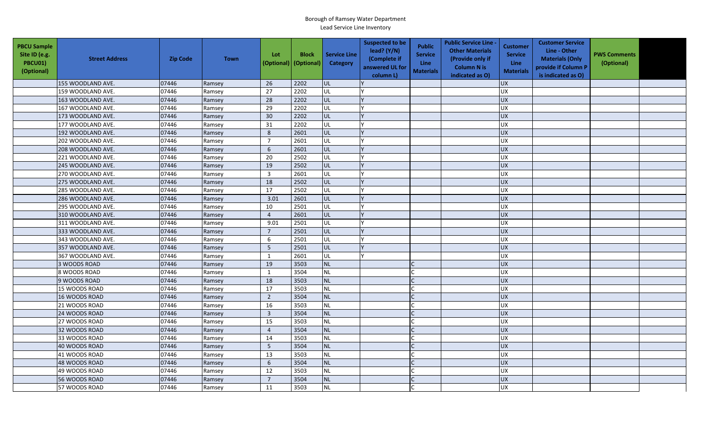| <b>PBCU Sample</b><br>Site ID (e.g.<br>PBCU01)<br>(Optional) | <b>Street Address</b> | <b>Zip Code</b> | <b>Town</b> | Lot<br>(Optional) | <b>Block</b><br>(Optional) | <b>Service Line</b><br>Category | <b>Suspected to be</b><br>lead? $(Y/N)$<br>(Complete if<br>answered UL for<br>column L) | <b>Public</b><br><b>Service</b><br><b>Line</b><br><b>Materials</b> | <b>Public Service Line -</b><br><b>Other Materials</b><br>(Provide only if<br><b>Column N is</b><br>indicated as O) | <b>Customer</b><br><b>Service</b><br><b>Line</b><br><b>Materials</b> | <b>Customer Service</b><br>Line - Other<br><b>Materials (Only</b><br>provide if Column P<br>is indicated as O) | <b>PWS Comments</b><br>(Optional) |  |
|--------------------------------------------------------------|-----------------------|-----------------|-------------|-------------------|----------------------------|---------------------------------|-----------------------------------------------------------------------------------------|--------------------------------------------------------------------|---------------------------------------------------------------------------------------------------------------------|----------------------------------------------------------------------|----------------------------------------------------------------------------------------------------------------|-----------------------------------|--|
|                                                              | 155 WOODLAND AVE.     | 07446           | Ramsey      | 26                | 2202                       | UL                              |                                                                                         |                                                                    |                                                                                                                     | <b>UX</b>                                                            |                                                                                                                |                                   |  |
|                                                              | 159 WOODLAND AVE.     | 07446           | Ramsey      | 27                | 2202                       | UL                              |                                                                                         |                                                                    |                                                                                                                     | UX                                                                   |                                                                                                                |                                   |  |
|                                                              | 163 WOODLAND AVE.     | 07446           | Ramsey      | 28                | 2202                       | UL                              |                                                                                         |                                                                    |                                                                                                                     | <b>UX</b>                                                            |                                                                                                                |                                   |  |
|                                                              | 167 WOODLAND AVE.     | 07446           | Ramsey      | 29                | 2202                       | UL                              |                                                                                         |                                                                    |                                                                                                                     | <b>UX</b>                                                            |                                                                                                                |                                   |  |
|                                                              | 173 WOODLAND AVE.     | 07446           | Ramsey      | 30                | 2202                       | UL                              |                                                                                         |                                                                    |                                                                                                                     | <b>UX</b>                                                            |                                                                                                                |                                   |  |
|                                                              | 177 WOODLAND AVE.     | 07446           | Ramsey      | 31                | 2202                       | UL                              |                                                                                         |                                                                    |                                                                                                                     | <b>UX</b>                                                            |                                                                                                                |                                   |  |
|                                                              | 192 WOODLAND AVE.     | 07446           | Ramsey      | 8                 | 2601                       | UL                              |                                                                                         |                                                                    |                                                                                                                     | <b>UX</b>                                                            |                                                                                                                |                                   |  |
|                                                              | 202 WOODLAND AVE.     | 07446           | Ramsey      | $\overline{7}$    | 2601                       | UL                              |                                                                                         |                                                                    |                                                                                                                     | <b>UX</b>                                                            |                                                                                                                |                                   |  |
|                                                              | 208 WOODLAND AVE.     | 07446           | Ramsey      | 6                 | 2601                       | UL                              |                                                                                         |                                                                    |                                                                                                                     | UX                                                                   |                                                                                                                |                                   |  |
|                                                              | 221 WOODLAND AVE.     | 07446           | Ramsey      | 20                | 2502                       | UL                              |                                                                                         |                                                                    |                                                                                                                     | <b>UX</b>                                                            |                                                                                                                |                                   |  |
|                                                              | 245 WOODLAND AVE.     | 07446           | Ramsey      | 19                | 2502                       | UL                              |                                                                                         |                                                                    |                                                                                                                     | <b>UX</b>                                                            |                                                                                                                |                                   |  |
|                                                              | 270 WOODLAND AVE.     | 07446           | Ramsey      | $\overline{3}$    | 2601                       | UL                              |                                                                                         |                                                                    |                                                                                                                     | UX                                                                   |                                                                                                                |                                   |  |
|                                                              | 275 WOODLAND AVE.     | 07446           | Ramsey      | 18                | 2502                       | UL                              |                                                                                         |                                                                    |                                                                                                                     | <b>UX</b>                                                            |                                                                                                                |                                   |  |
|                                                              | 285 WOODLAND AVE.     | 07446           | Ramsey      | 17                | 2502                       | UL                              |                                                                                         |                                                                    |                                                                                                                     | UX                                                                   |                                                                                                                |                                   |  |
|                                                              | 286 WOODLAND AVE.     | 07446           | Ramsey      | 3.01              | 2601                       | UL                              |                                                                                         |                                                                    |                                                                                                                     | <b>UX</b>                                                            |                                                                                                                |                                   |  |
|                                                              | 295 WOODLAND AVE.     | 07446           | Ramsey      | 10                | 2501                       | UL                              |                                                                                         |                                                                    |                                                                                                                     | <b>UX</b>                                                            |                                                                                                                |                                   |  |
|                                                              | 310 WOODLAND AVE.     | 07446           | Ramsey      | $\overline{4}$    | 2601                       | UL                              |                                                                                         |                                                                    |                                                                                                                     | UX                                                                   |                                                                                                                |                                   |  |
|                                                              | 311 WOODLAND AVE.     | 07446           | Ramsey      | 9.01              | 2501                       | UL                              |                                                                                         |                                                                    |                                                                                                                     | <b>UX</b>                                                            |                                                                                                                |                                   |  |
|                                                              | 333 WOODLAND AVE.     | 07446           | Ramsey      | $\overline{7}$    | 2501                       | UL                              |                                                                                         |                                                                    |                                                                                                                     | UX                                                                   |                                                                                                                |                                   |  |
|                                                              | 343 WOODLAND AVE.     | 07446           | Ramsey      | 6                 | 2501                       | UL                              |                                                                                         |                                                                    |                                                                                                                     | <b>UX</b>                                                            |                                                                                                                |                                   |  |
|                                                              | 357 WOODLAND AVE.     | 07446           | Ramsey      | $\overline{5}$    | 2501                       | <b>UL</b>                       |                                                                                         |                                                                    |                                                                                                                     | <b>UX</b>                                                            |                                                                                                                |                                   |  |
|                                                              | 367 WOODLAND AVE.     | 07446           | Ramsey      | $\mathbf{1}$      | 2601                       | UL                              |                                                                                         |                                                                    |                                                                                                                     | UX                                                                   |                                                                                                                |                                   |  |
|                                                              | 3 WOODS ROAD          | 07446           | Ramsey      | 19                | 3503                       | <b>NL</b>                       |                                                                                         |                                                                    |                                                                                                                     | <b>UX</b>                                                            |                                                                                                                |                                   |  |
|                                                              | 8 WOODS ROAD          | 07446           | Ramsey      | 1                 | 3504                       | <b>NL</b>                       |                                                                                         |                                                                    |                                                                                                                     | UX                                                                   |                                                                                                                |                                   |  |
|                                                              | 9 WOODS ROAD          | 07446           | Ramsey      | 18                | 3503                       | <b>NL</b>                       |                                                                                         | $\mathsf{C}$                                                       |                                                                                                                     | <b>UX</b>                                                            |                                                                                                                |                                   |  |
|                                                              | 15 WOODS ROAD         | 07446           | Ramsey      | 17                | 3503                       | <b>NL</b>                       |                                                                                         |                                                                    |                                                                                                                     | <b>UX</b>                                                            |                                                                                                                |                                   |  |
|                                                              | 16 WOODS ROAD         | 07446           | Ramsey      | $\overline{2}$    | 3504                       | <b>NL</b>                       |                                                                                         |                                                                    |                                                                                                                     | <b>UX</b>                                                            |                                                                                                                |                                   |  |
|                                                              | 21 WOODS ROAD         | 07446           | Ramsey      | 16                | 3503                       | <b>NL</b>                       |                                                                                         |                                                                    |                                                                                                                     | <b>UX</b>                                                            |                                                                                                                |                                   |  |
|                                                              | 24 WOODS ROAD         | 07446           | Ramsey      | $\overline{3}$    | 3504                       | NL                              |                                                                                         |                                                                    |                                                                                                                     | <b>UX</b>                                                            |                                                                                                                |                                   |  |
|                                                              | 27 WOODS ROAD         | 07446           | Ramsey      | 15                | 3503                       | <b>NL</b>                       |                                                                                         |                                                                    |                                                                                                                     | <b>UX</b>                                                            |                                                                                                                |                                   |  |
|                                                              | 32 WOODS ROAD         | 07446           | Ramsey      | $\overline{4}$    | 3504                       | <b>NL</b>                       |                                                                                         |                                                                    |                                                                                                                     | <b>UX</b>                                                            |                                                                                                                |                                   |  |
|                                                              | 33 WOODS ROAD         | 07446           | Ramsey      | 14                | 3503                       | <b>NL</b>                       |                                                                                         |                                                                    |                                                                                                                     | UX                                                                   |                                                                                                                |                                   |  |
|                                                              | 40 WOODS ROAD         | 07446           | Ramsey      | 5                 | 3504                       | <b>NL</b>                       |                                                                                         |                                                                    |                                                                                                                     | UX                                                                   |                                                                                                                |                                   |  |
|                                                              | 41 WOODS ROAD         | 07446           | Ramsey      | 13                | 3503                       | <b>NL</b>                       |                                                                                         |                                                                    |                                                                                                                     | <b>UX</b>                                                            |                                                                                                                |                                   |  |
|                                                              | 48 WOODS ROAD         | 07446           | Ramsey      | 6                 | 3504                       | <b>NL</b>                       |                                                                                         |                                                                    |                                                                                                                     | UX                                                                   |                                                                                                                |                                   |  |
|                                                              | 49 WOODS ROAD         | 07446           | Ramsey      | 12                | 3503                       | NL                              |                                                                                         |                                                                    |                                                                                                                     | <b>UX</b>                                                            |                                                                                                                |                                   |  |
|                                                              | 56 WOODS ROAD         | 07446           | Ramsey      | $\overline{7}$    | 3504                       | NL                              |                                                                                         |                                                                    |                                                                                                                     | <b>UX</b>                                                            |                                                                                                                |                                   |  |
|                                                              | 57 WOODS ROAD         | 07446           | Ramsey      | 11                | 3503                       | <b>NL</b>                       |                                                                                         |                                                                    |                                                                                                                     | <b>UX</b>                                                            |                                                                                                                |                                   |  |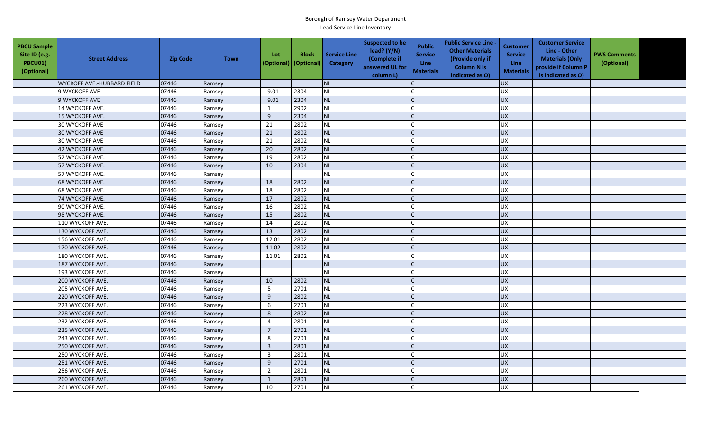| <b>PBCU Sample</b><br>Site ID (e.g.<br>PBCU01)<br>(Optional) | <b>Street Address</b>             | <b>Zip Code</b> | <b>Town</b> | Lot            | <b>Block</b><br>(Optional) (Optional) | <b>Service Line</b><br>Category | <b>Suspected to be</b><br>lead? $(Y/N)$<br>(Complete if<br>answered UL for<br>column L) | <b>Public</b><br><b>Service</b><br>Line<br><b>Materials</b> | <b>Public Service Line -</b><br><b>Other Materials</b><br>(Provide only if<br><b>Column N is</b><br>indicated as O) | <b>Customer</b><br><b>Service</b><br>Line<br><b>Materials</b> | <b>Customer Service</b><br>Line - Other<br><b>Materials (Only</b><br>provide if Column P<br>is indicated as O) | <b>PWS Comments</b><br>(Optional) |  |
|--------------------------------------------------------------|-----------------------------------|-----------------|-------------|----------------|---------------------------------------|---------------------------------|-----------------------------------------------------------------------------------------|-------------------------------------------------------------|---------------------------------------------------------------------------------------------------------------------|---------------------------------------------------------------|----------------------------------------------------------------------------------------------------------------|-----------------------------------|--|
|                                                              | <b>WYCKOFF AVE.-HUBBARD FIELD</b> | 07446           | Ramsey      |                |                                       | <b>NL</b>                       |                                                                                         |                                                             |                                                                                                                     | <b>UX</b>                                                     |                                                                                                                |                                   |  |
|                                                              | 9 WYCKOFF AVE                     | 07446           | Ramsey      | 9.01           | 2304                                  | <b>NL</b>                       |                                                                                         |                                                             |                                                                                                                     | UX                                                            |                                                                                                                |                                   |  |
|                                                              | 9 WYCKOFF AVE                     | 07446           | Ramsey      | 9.01           | 2304                                  | <b>NL</b>                       |                                                                                         |                                                             |                                                                                                                     | <b>UX</b>                                                     |                                                                                                                |                                   |  |
|                                                              | 14 WYCKOFF AVE.                   | 07446           | Ramsey      | $\mathbf{1}$   | 2902                                  | <b>NL</b>                       |                                                                                         |                                                             |                                                                                                                     | <b>UX</b>                                                     |                                                                                                                |                                   |  |
|                                                              | 15 WYCKOFF AVE.                   | 07446           | Ramsey      | 9              | 2304                                  | <b>NL</b>                       |                                                                                         |                                                             |                                                                                                                     | <b>UX</b>                                                     |                                                                                                                |                                   |  |
|                                                              | <b>30 WYCKOFF AVE</b>             | 07446           | Ramsey      | 21             | 2802                                  | <b>NL</b>                       |                                                                                         |                                                             |                                                                                                                     | <b>UX</b>                                                     |                                                                                                                |                                   |  |
|                                                              | 30 WYCKOFF AVE                    | 07446           | Ramsey      | 21             | 2802                                  | <b>NL</b>                       |                                                                                         |                                                             |                                                                                                                     | UX                                                            |                                                                                                                |                                   |  |
|                                                              | <b>30 WYCKOFF AVE</b>             | 07446           | Ramsey      | 21             | 2802                                  | <b>NL</b>                       |                                                                                         |                                                             |                                                                                                                     | <b>UX</b>                                                     |                                                                                                                |                                   |  |
|                                                              | 42 WYCKOFF AVE.                   | 07446           | Ramsey      | 20             | 2802                                  | <b>NL</b>                       |                                                                                         |                                                             |                                                                                                                     | <b>UX</b>                                                     |                                                                                                                |                                   |  |
|                                                              | 52 WYCKOFF AVE.                   | 07446           | Ramsey      | 19             | 2802                                  | <b>NL</b>                       |                                                                                         |                                                             |                                                                                                                     | <b>UX</b>                                                     |                                                                                                                |                                   |  |
|                                                              | 57 WYCKOFF AVE.                   | 07446           | Ramsey      | 10             | 2304                                  | <b>NL</b>                       |                                                                                         |                                                             |                                                                                                                     | <b>UX</b>                                                     |                                                                                                                |                                   |  |
|                                                              | 57 WYCKOFF AVE.                   | 07446           | Ramsey      |                |                                       | <b>NL</b>                       |                                                                                         |                                                             |                                                                                                                     | <b>UX</b>                                                     |                                                                                                                |                                   |  |
|                                                              | 68 WYCKOFF AVE.                   | 07446           | Ramsey      | 18             | 2802                                  | <b>NL</b>                       |                                                                                         |                                                             |                                                                                                                     | <b>UX</b>                                                     |                                                                                                                |                                   |  |
|                                                              | 68 WYCKOFF AVE.                   | 07446           | Ramsey      | 18             | 2802                                  | <b>NL</b>                       |                                                                                         |                                                             |                                                                                                                     | <b>UX</b>                                                     |                                                                                                                |                                   |  |
|                                                              | 74 WYCKOFF AVE.                   | 07446           | Ramsey      | 17             | 2802                                  | <b>NL</b>                       |                                                                                         |                                                             |                                                                                                                     | <b>UX</b>                                                     |                                                                                                                |                                   |  |
|                                                              | 90 WYCKOFF AVE.                   | 07446           | Ramsey      | 16             | 2802                                  | <b>NL</b>                       |                                                                                         |                                                             |                                                                                                                     | UX                                                            |                                                                                                                |                                   |  |
|                                                              | 98 WYCKOFF AVE.                   | 07446           | Ramsey      | 15             | 2802                                  | <b>NL</b>                       |                                                                                         |                                                             |                                                                                                                     | UX                                                            |                                                                                                                |                                   |  |
|                                                              | 110 WYCKOFF AVE.                  | 07446           | Ramsey      | 14             | 2802                                  | <b>NL</b>                       |                                                                                         |                                                             |                                                                                                                     | UX                                                            |                                                                                                                |                                   |  |
|                                                              | 130 WYCKOFF AVE.                  | 07446           | Ramsey      | 13             | 2802                                  | <b>NL</b>                       |                                                                                         |                                                             |                                                                                                                     | UX                                                            |                                                                                                                |                                   |  |
|                                                              | 156 WYCKOFF AVE.                  | 07446           | Ramsey      | 12.01          | 2802                                  | <b>NL</b>                       |                                                                                         |                                                             |                                                                                                                     | <b>UX</b>                                                     |                                                                                                                |                                   |  |
|                                                              | 170 WYCKOFF AVE.                  | 07446           | Ramsey      | 11.02          | 2802                                  | <b>NL</b>                       |                                                                                         |                                                             |                                                                                                                     | UX                                                            |                                                                                                                |                                   |  |
|                                                              | 180 WYCKOFF AVE.                  | 07446           | Ramsey      | 11.01          | 2802                                  | <b>NL</b>                       |                                                                                         |                                                             |                                                                                                                     | UX                                                            |                                                                                                                |                                   |  |
|                                                              | 187 WYCKOFF AVE.                  | 07446           | Ramsey      |                |                                       | <b>NL</b>                       |                                                                                         |                                                             |                                                                                                                     | UX                                                            |                                                                                                                |                                   |  |
|                                                              | 193 WYCKOFF AVE.                  | 07446           | Ramsey      |                |                                       | <b>NL</b>                       |                                                                                         |                                                             |                                                                                                                     | <b>UX</b>                                                     |                                                                                                                |                                   |  |
|                                                              | 200 WYCKOFF AVE.                  | 07446           | Ramsey      | 10             | 2802                                  | <b>NL</b>                       |                                                                                         |                                                             |                                                                                                                     | <b>UX</b>                                                     |                                                                                                                |                                   |  |
|                                                              | 205 WYCKOFF AVE.                  | 07446           | Ramsey      | 5              | 2701                                  | <b>NL</b>                       |                                                                                         |                                                             |                                                                                                                     | UX                                                            |                                                                                                                |                                   |  |
|                                                              | 220 WYCKOFF AVE.                  | 07446           | Ramsey      | $\overline{9}$ | 2802                                  | <b>NL</b>                       |                                                                                         |                                                             |                                                                                                                     | <b>UX</b>                                                     |                                                                                                                |                                   |  |
|                                                              | 223 WYCKOFF AVE.                  | 07446           | Ramsey      | 6              | 2701                                  | <b>NL</b>                       |                                                                                         |                                                             |                                                                                                                     | <b>UX</b>                                                     |                                                                                                                |                                   |  |
|                                                              | 228 WYCKOFF AVE.                  | 07446           | Ramsey      | 8              | 2802                                  | <b>NL</b>                       |                                                                                         |                                                             |                                                                                                                     | <b>UX</b>                                                     |                                                                                                                |                                   |  |
|                                                              | 232 WYCKOFF AVE.                  | 07446           | Ramsey      | $\overline{4}$ | 2801                                  | <b>NL</b>                       |                                                                                         |                                                             |                                                                                                                     | UX                                                            |                                                                                                                |                                   |  |
|                                                              | 235 WYCKOFF AVE.                  | 07446           | Ramsey      | $\overline{7}$ | 2701                                  | <b>NL</b>                       |                                                                                         |                                                             |                                                                                                                     | <b>UX</b>                                                     |                                                                                                                |                                   |  |
|                                                              | 243 WYCKOFF AVE.                  | 07446           | Ramsey      | 8              | 2701                                  | <b>NL</b>                       |                                                                                         |                                                             |                                                                                                                     | <b>UX</b>                                                     |                                                                                                                |                                   |  |
|                                                              | 250 WYCKOFF AVE.                  | 07446           | Ramsey      | $\overline{3}$ | 2801                                  | <b>NL</b>                       |                                                                                         |                                                             |                                                                                                                     | <b>UX</b>                                                     |                                                                                                                |                                   |  |
|                                                              | 250 WYCKOFF AVE.                  | 07446           | Ramsey      | $\overline{3}$ | 2801                                  | <b>NL</b>                       |                                                                                         |                                                             |                                                                                                                     | UX                                                            |                                                                                                                |                                   |  |
|                                                              | 251 WYCKOFF AVE.                  | 07446           | Ramsey      | $9\,$          | 2701                                  | <b>NL</b>                       |                                                                                         |                                                             |                                                                                                                     | UX                                                            |                                                                                                                |                                   |  |
|                                                              | 256 WYCKOFF AVE.                  | 07446           | Ramsey      | $\overline{2}$ | 2801                                  | <b>NL</b>                       |                                                                                         |                                                             |                                                                                                                     | UX                                                            |                                                                                                                |                                   |  |
|                                                              | 260 WYCKOFF AVE.                  | 07446           | Ramsey      | $\mathbf 1$    | 2801                                  | <b>NL</b>                       |                                                                                         |                                                             |                                                                                                                     | UX                                                            |                                                                                                                |                                   |  |
|                                                              | 261 WYCKOFF AVE.                  | 07446           | Ramsey      | 10             | 2701                                  | <b>NL</b>                       |                                                                                         |                                                             |                                                                                                                     | UX                                                            |                                                                                                                |                                   |  |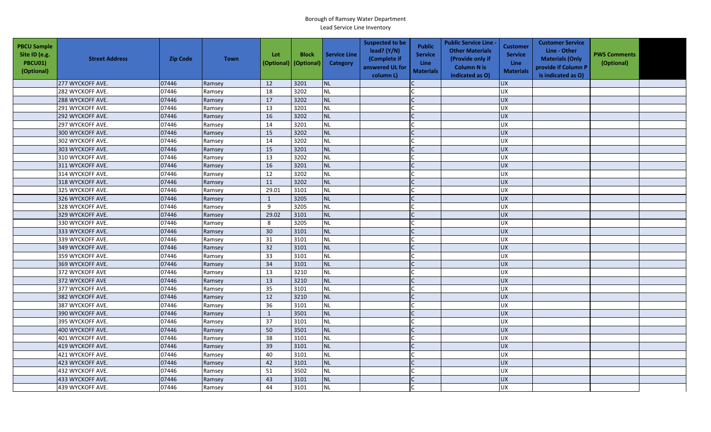| <b>PBCU Sample</b><br>Site ID (e.g.<br>PBCU01)<br>(Optional) | <b>Street Address</b> | <b>Zip Code</b> | <b>Town</b> | Lot<br>(Optional) | <b>Block</b><br>(Optional) | <b>Service Line</b><br><b>Category</b> | <b>Suspected to be</b><br>lead? (Y/N)<br>(Complete if<br>answered UL for<br>column L) | <b>Public</b><br><b>Service</b><br><b>Line</b><br><b>Materials</b> | <b>Public Service Line -</b><br><b>Other Materials</b><br>(Provide only if<br><b>Column N is</b><br>indicated as O) | <b>Customer</b><br><b>Service</b><br>Line<br><b>Materials</b> | <b>Customer Service</b><br>Line - Other<br><b>Materials (Only</b><br>provide if Column P<br>is indicated as O) | <b>PWS Comments</b><br>(Optional) |  |
|--------------------------------------------------------------|-----------------------|-----------------|-------------|-------------------|----------------------------|----------------------------------------|---------------------------------------------------------------------------------------|--------------------------------------------------------------------|---------------------------------------------------------------------------------------------------------------------|---------------------------------------------------------------|----------------------------------------------------------------------------------------------------------------|-----------------------------------|--|
|                                                              | 277 WYCKOFF AVE.      | 07446           | Ramsey      | 12                | 3201                       | <b>NL</b>                              |                                                                                       |                                                                    |                                                                                                                     | <b>UX</b>                                                     |                                                                                                                |                                   |  |
|                                                              | 282 WYCKOFF AVE.      | 07446           | Ramsey      | 18                | 3202                       | <b>NL</b>                              |                                                                                       |                                                                    |                                                                                                                     | <b>UX</b>                                                     |                                                                                                                |                                   |  |
|                                                              | 288 WYCKOFF AVE.      | 07446           | Ramsey      | 17                | 3202                       | <b>NL</b>                              |                                                                                       |                                                                    |                                                                                                                     | <b>UX</b>                                                     |                                                                                                                |                                   |  |
|                                                              | 291 WYCKOFF AVE.      | 07446           | Ramsey      | 13                | 3201                       | <b>NL</b>                              |                                                                                       |                                                                    |                                                                                                                     | <b>UX</b>                                                     |                                                                                                                |                                   |  |
|                                                              | 292 WYCKOFF AVE.      | 07446           | Ramsey      | 16                | 3202                       | <b>NL</b>                              |                                                                                       |                                                                    |                                                                                                                     | <b>UX</b>                                                     |                                                                                                                |                                   |  |
|                                                              | 297 WYCKOFF AVE.      | 07446           | Ramsey      | 14                | 3201                       | <b>NL</b>                              |                                                                                       |                                                                    |                                                                                                                     | <b>UX</b>                                                     |                                                                                                                |                                   |  |
|                                                              | 300 WYCKOFF AVE.      | 07446           | Ramsey      | 15                | 3202                       | <b>NL</b>                              |                                                                                       | $\mathsf{C}$                                                       |                                                                                                                     | <b>UX</b>                                                     |                                                                                                                |                                   |  |
|                                                              | 302 WYCKOFF AVE.      | 07446           | Ramsey      | 14                | 3202                       | <b>NL</b>                              |                                                                                       |                                                                    |                                                                                                                     | <b>UX</b>                                                     |                                                                                                                |                                   |  |
|                                                              | 303 WYCKOFF AVE.      | 07446           | Ramsey      | 15                | 3201                       | <b>NL</b>                              |                                                                                       |                                                                    |                                                                                                                     | <b>UX</b>                                                     |                                                                                                                |                                   |  |
|                                                              | 310 WYCKOFF AVE.      | 07446           | Ramsey      | 13                | 3202                       | NL                                     |                                                                                       |                                                                    |                                                                                                                     | UX                                                            |                                                                                                                |                                   |  |
|                                                              | 311 WYCKOFF AVE.      | 07446           | Ramsey      | 16                | 3201                       | <b>NL</b>                              |                                                                                       | C                                                                  |                                                                                                                     | <b>UX</b>                                                     |                                                                                                                |                                   |  |
|                                                              | 314 WYCKOFF AVE.      | 07446           | Ramsey      | 12                | 3202                       | <b>NL</b>                              |                                                                                       |                                                                    |                                                                                                                     | <b>UX</b>                                                     |                                                                                                                |                                   |  |
|                                                              | 318 WYCKOFF AVE.      | 07446           | Ramsey      | 11                | 3202                       | <b>NL</b>                              |                                                                                       |                                                                    |                                                                                                                     | <b>UX</b>                                                     |                                                                                                                |                                   |  |
|                                                              | 325 WYCKOFF AVE.      | 07446           | Ramsey      | 29.01             | 3101                       | <b>NL</b>                              |                                                                                       |                                                                    |                                                                                                                     | <b>UX</b>                                                     |                                                                                                                |                                   |  |
|                                                              | 326 WYCKOFF AVE.      | 07446           | Ramsey      | 1                 | 3205                       | <b>NL</b>                              |                                                                                       |                                                                    |                                                                                                                     | <b>UX</b>                                                     |                                                                                                                |                                   |  |
|                                                              | 328 WYCKOFF AVE.      | 07446           | Ramsey      | 9                 | 3205                       | <b>NL</b>                              |                                                                                       |                                                                    |                                                                                                                     | <b>UX</b>                                                     |                                                                                                                |                                   |  |
|                                                              | 329 WYCKOFF AVE.      | 07446           | Ramsey      | 29.02             | 3101                       | <b>NL</b>                              |                                                                                       |                                                                    |                                                                                                                     | UX                                                            |                                                                                                                |                                   |  |
|                                                              | 330 WYCKOFF AVE.      | 07446           | Ramsey      | 8                 | 3205                       | <b>NL</b>                              |                                                                                       |                                                                    |                                                                                                                     | UX                                                            |                                                                                                                |                                   |  |
|                                                              | 333 WYCKOFF AVE.      | 07446           | Ramsey      | 30                | 3101                       | <b>NL</b>                              |                                                                                       |                                                                    |                                                                                                                     | <b>UX</b>                                                     |                                                                                                                |                                   |  |
|                                                              | 339 WYCKOFF AVE.      | 07446           | Ramsey      | 31                | 3101                       | <b>NL</b>                              |                                                                                       |                                                                    |                                                                                                                     | <b>UX</b>                                                     |                                                                                                                |                                   |  |
|                                                              | 349 WYCKOFF AVE.      | 07446           | Ramsey      | 32                | 3101                       | <b>NL</b>                              |                                                                                       |                                                                    |                                                                                                                     | <b>UX</b>                                                     |                                                                                                                |                                   |  |
|                                                              | 359 WYCKOFF AVE.      | 07446           | Ramsey      | 33                | 3101                       | <b>NL</b>                              |                                                                                       |                                                                    |                                                                                                                     | <b>UX</b>                                                     |                                                                                                                |                                   |  |
|                                                              | 369 WYCKOFF AVE.      | 07446           | Ramsey      | 34                | 3101                       | <b>NL</b>                              |                                                                                       |                                                                    |                                                                                                                     | UX                                                            |                                                                                                                |                                   |  |
|                                                              | 372 WYCKOFF AVE       | 07446           | Ramsey      | 13                | 3210                       | <b>NL</b>                              |                                                                                       |                                                                    |                                                                                                                     | UX                                                            |                                                                                                                |                                   |  |
|                                                              | 372 WYCKOFF AVE       | 07446           | Ramsey      | 13                | 3210                       | <b>NL</b>                              |                                                                                       |                                                                    |                                                                                                                     | UX                                                            |                                                                                                                |                                   |  |
|                                                              | 377 WYCKOFF AVE.      | 07446           | Ramsey      | 35                | 3101                       | <b>NL</b>                              |                                                                                       |                                                                    |                                                                                                                     | <b>UX</b>                                                     |                                                                                                                |                                   |  |
|                                                              | 382 WYCKOFF AVE.      | 07446           | Ramsey      | 12                | 3210                       | <b>NL</b>                              |                                                                                       |                                                                    |                                                                                                                     | UX                                                            |                                                                                                                |                                   |  |
|                                                              | 387 WYCKOFF AVE.      | 07446           | Ramsey      | 36                | 3101                       | <b>NL</b>                              |                                                                                       |                                                                    |                                                                                                                     | <b>UX</b>                                                     |                                                                                                                |                                   |  |
|                                                              | 390 WYCKOFF AVE.      | 07446           | Ramsey      | 1                 | 3501                       | <b>NL</b>                              |                                                                                       |                                                                    |                                                                                                                     | <b>UX</b>                                                     |                                                                                                                |                                   |  |
|                                                              | 395 WYCKOFF AVE.      | 07446           | Ramsey      | 37                | 3101                       | <b>NL</b>                              |                                                                                       |                                                                    |                                                                                                                     | <b>UX</b>                                                     |                                                                                                                |                                   |  |
|                                                              | 400 WYCKOFF AVE.      | 07446           | Ramsey      | 50                | 3501                       | <b>NL</b>                              |                                                                                       |                                                                    |                                                                                                                     | <b>UX</b>                                                     |                                                                                                                |                                   |  |
|                                                              | 401 WYCKOFF AVE.      | 07446           | Ramsey      | 38                | 3101                       | <b>NL</b>                              |                                                                                       |                                                                    |                                                                                                                     | UX                                                            |                                                                                                                |                                   |  |
|                                                              | 419 WYCKOFF AVE.      | 07446           | Ramsey      | 39                | 3101                       | <b>NL</b>                              |                                                                                       |                                                                    |                                                                                                                     | <b>UX</b>                                                     |                                                                                                                |                                   |  |
|                                                              | 421 WYCKOFF AVE.      | 07446           | Ramsey      | 40                | 3101                       | <b>NL</b>                              |                                                                                       |                                                                    |                                                                                                                     | <b>UX</b>                                                     |                                                                                                                |                                   |  |
|                                                              | 423 WYCKOFF AVE.      | 07446           | Ramsey      | 42                | 3101                       | <b>NL</b>                              |                                                                                       |                                                                    |                                                                                                                     | <b>UX</b>                                                     |                                                                                                                |                                   |  |
|                                                              | 432 WYCKOFF AVE.      | 07446           | Ramsey      | 51                | 3502                       | <b>NL</b>                              |                                                                                       |                                                                    |                                                                                                                     | <b>UX</b>                                                     |                                                                                                                |                                   |  |
|                                                              | 433 WYCKOFF AVE.      | 07446           | Ramsey      | 43                | 3101                       | <b>NL</b>                              |                                                                                       |                                                                    |                                                                                                                     | UX                                                            |                                                                                                                |                                   |  |
|                                                              | 439 WYCKOFF AVE.      | 07446           | Ramsey      | 44                | 3101                       | <b>NL</b>                              |                                                                                       |                                                                    |                                                                                                                     | <b>UX</b>                                                     |                                                                                                                |                                   |  |